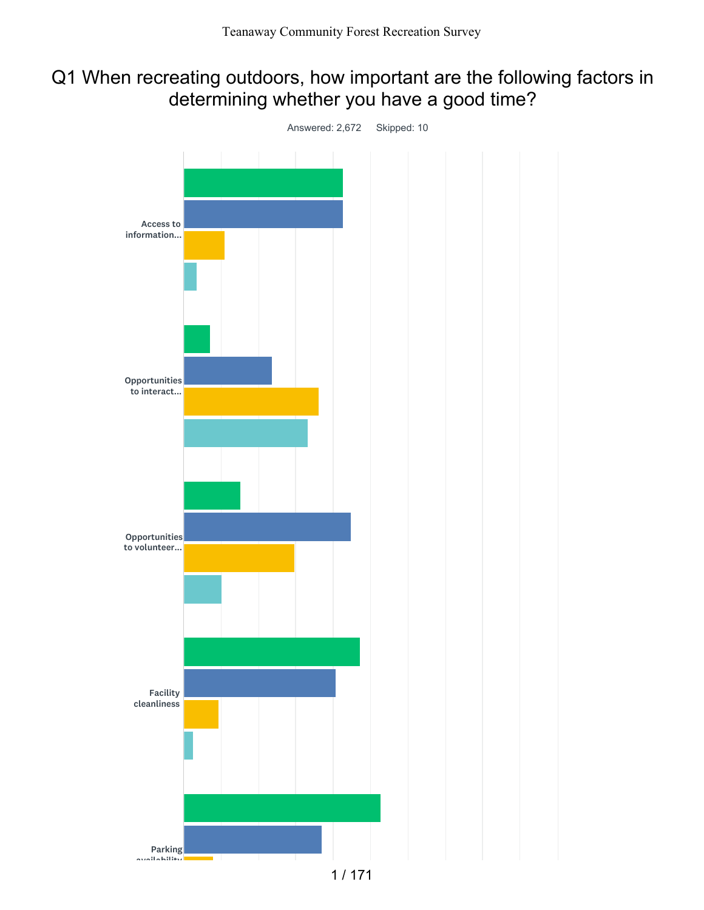## Q1 When recreating outdoors, how important are the following factors in determining whether you have a good time?

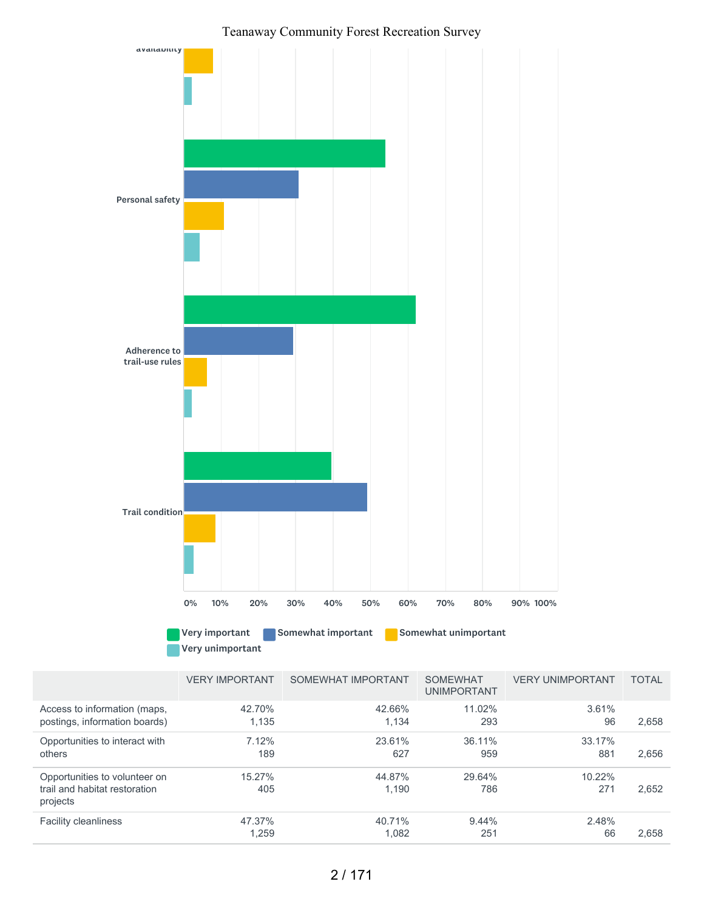

|                                                                            | VENT INIFUNITION | <b>SUMEWHAT IME UNTAIN</b> | <u>UUIVIL VYI IA I</u><br><b>UNIMPORTANT</b> | VENT UNIVE UNTAINT | 1017L |
|----------------------------------------------------------------------------|------------------|----------------------------|----------------------------------------------|--------------------|-------|
| Access to information (maps,<br>postings, information boards)              | 42.70%<br>1,135  | 42.66%<br>1.134            | 11.02%<br>293                                | 3.61%<br>96        | 2,658 |
| Opportunities to interact with<br>others                                   | 7.12%<br>189     | 23.61%<br>627              | 36.11%<br>959                                | 33.17%<br>881      | 2,656 |
| Opportunities to volunteer on<br>trail and habitat restoration<br>projects | 15.27%<br>405    | 44.87%<br>1.190            | 29.64%<br>786                                | 10.22%<br>271      | 2,652 |
| <b>Facility cleanliness</b>                                                | 47.37%<br>1,259  | 40.71%<br>1,082            | $9.44\%$<br>251                              | 2.48%<br>66        | 2,658 |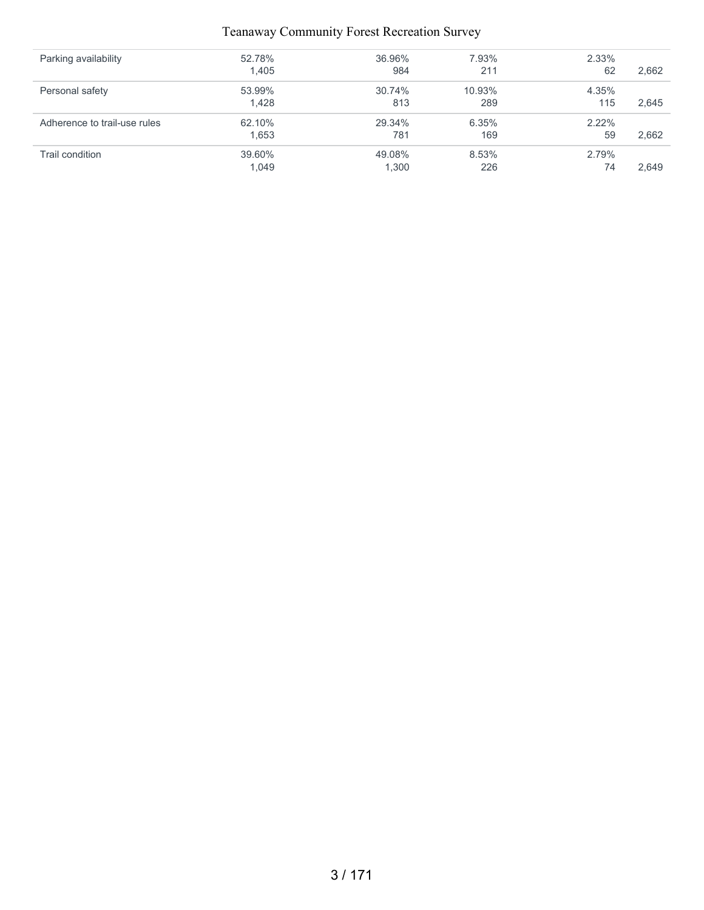| Parking availability         | 52.78% | 36.96% | 7.93%  | 2.33% |       |
|------------------------------|--------|--------|--------|-------|-------|
|                              | 1,405  | 984    | 211    | 62    | 2,662 |
| Personal safety              | 53.99% | 30.74% | 10.93% | 4.35% |       |
|                              | 1.428  | 813    | 289    | 115   | 2,645 |
| Adherence to trail-use rules | 62.10% | 29.34% | 6.35%  | 2.22% |       |
|                              | 1.653  | 781    | 169    | 59    | 2.662 |
| Trail condition              | 39.60% | 49.08% | 8.53%  | 2.79% |       |
|                              | 1,049  | ,300   | 226    | 74    | 2.649 |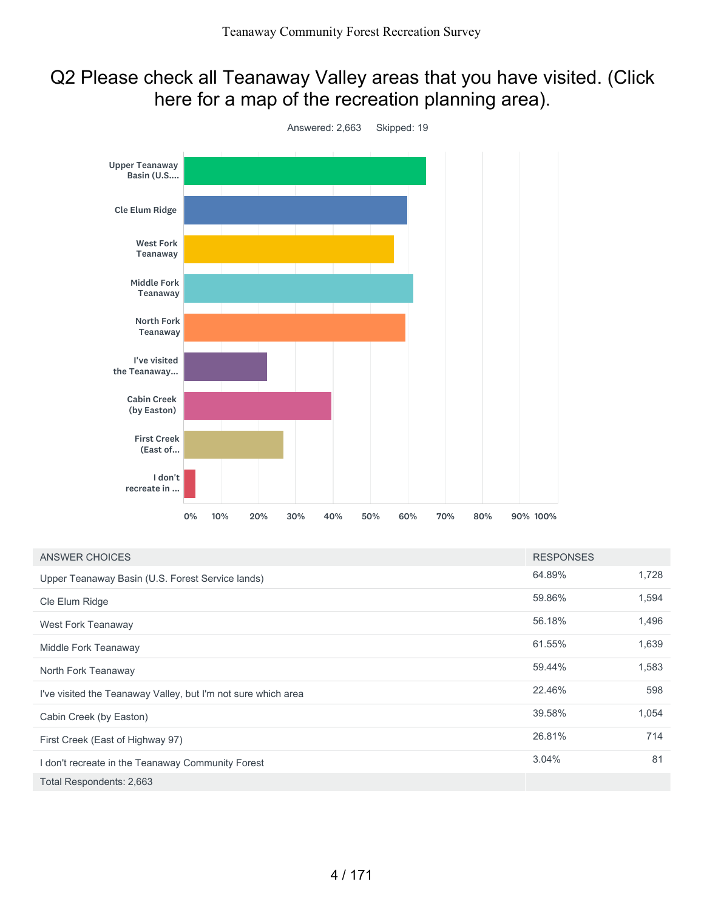## Q2 Please check all Teanaway Valley areas that you have visited. (Click here for a map of the recreation planning area).



| ANSWER CHOICES                                                | <b>RESPONSES</b> |       |
|---------------------------------------------------------------|------------------|-------|
| Upper Teanaway Basin (U.S. Forest Service lands)              | 64.89%           | 1,728 |
| Cle Elum Ridge                                                | 59.86%           | 1,594 |
| West Fork Teanaway                                            | 56.18%           | 1,496 |
| Middle Fork Teanaway                                          | 61.55%           | 1,639 |
| North Fork Teanaway                                           | 59.44%           | 1,583 |
| I've visited the Teanaway Valley, but I'm not sure which area | 22.46%           | 598   |
| Cabin Creek (by Easton)                                       | 39.58%           | 1,054 |
| First Creek (East of Highway 97)                              | 26.81%           | 714   |
| I don't recreate in the Teanaway Community Forest             | 3.04%            | 81    |
| Total Respondents: 2,663                                      |                  |       |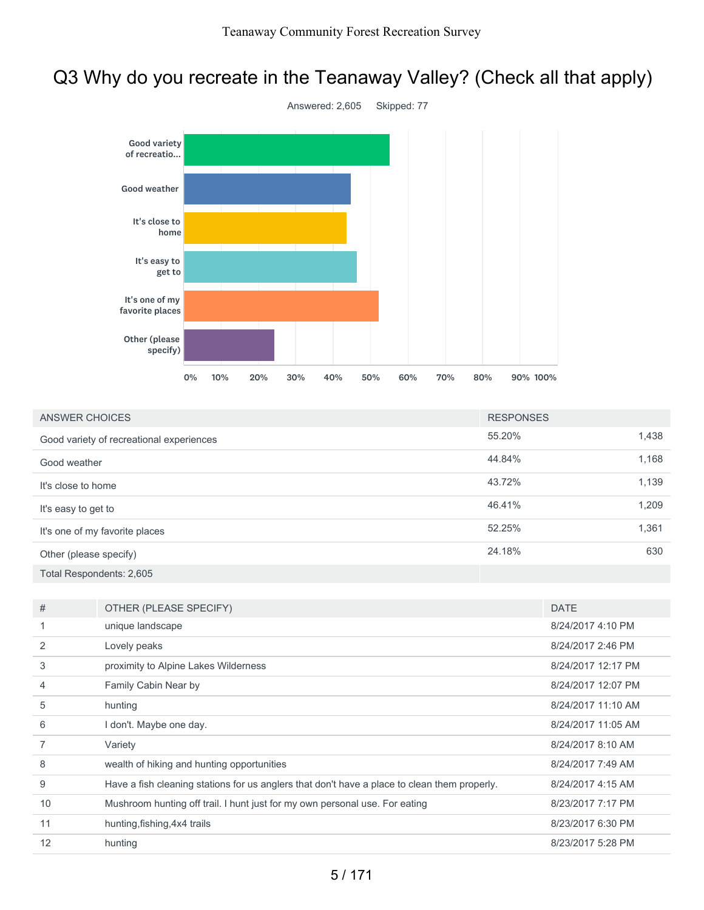# Q3 Why do you recreate in the Teanaway Valley? (Check all that apply)



| <b>ANSWER CHOICES</b>                    | <b>RESPONSES</b> |       |
|------------------------------------------|------------------|-------|
| Good variety of recreational experiences | 55.20%           | 1,438 |
| Good weather                             | 44.84%           | 1,168 |
| It's close to home                       | 43.72%           | 1,139 |
| It's easy to get to                      | 46.41%           | 1,209 |
| It's one of my favorite places           | 52.25%           | 1,361 |
| Other (please specify)                   | 24.18%           | 630   |
| Total Respondents: 2,605                 |                  |       |

| #              | OTHER (PLEASE SPECIFY)                                                                       | <b>DATE</b>        |
|----------------|----------------------------------------------------------------------------------------------|--------------------|
|                | unique landscape                                                                             | 8/24/2017 4:10 PM  |
| 2              | Lovely peaks                                                                                 | 8/24/2017 2:46 PM  |
| 3              | proximity to Alpine Lakes Wilderness                                                         | 8/24/2017 12:17 PM |
| $\overline{4}$ | Family Cabin Near by                                                                         | 8/24/2017 12:07 PM |
| 5              | hunting                                                                                      | 8/24/2017 11:10 AM |
| 6              | I don't. Maybe one day.                                                                      | 8/24/2017 11:05 AM |
|                | Variety                                                                                      | 8/24/2017 8:10 AM  |
| 8              | wealth of hiking and hunting opportunities                                                   | 8/24/2017 7:49 AM  |
| 9              | Have a fish cleaning stations for us anglers that don't have a place to clean them properly. | 8/24/2017 4:15 AM  |
| 10             | Mushroom hunting off trail. I hunt just for my own personal use. For eating                  | 8/23/2017 7:17 PM  |
| 11             | hunting, fishing, 4x4 trails                                                                 | 8/23/2017 6:30 PM  |
| 12             | hunting                                                                                      | 8/23/2017 5:28 PM  |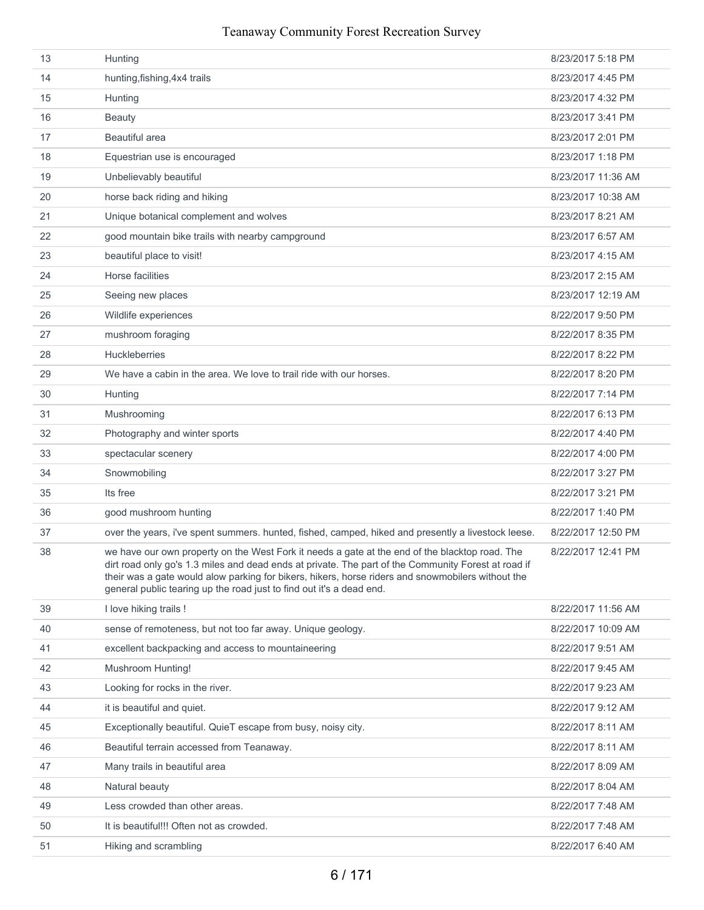| 13 | Hunting                                                                                                                                                                                                                                                                                                                                                                            | 8/23/2017 5:18 PM  |
|----|------------------------------------------------------------------------------------------------------------------------------------------------------------------------------------------------------------------------------------------------------------------------------------------------------------------------------------------------------------------------------------|--------------------|
| 14 | hunting, fishing, 4x4 trails                                                                                                                                                                                                                                                                                                                                                       | 8/23/2017 4:45 PM  |
| 15 | Hunting                                                                                                                                                                                                                                                                                                                                                                            | 8/23/2017 4:32 PM  |
| 16 | <b>Beauty</b>                                                                                                                                                                                                                                                                                                                                                                      | 8/23/2017 3:41 PM  |
| 17 | Beautiful area                                                                                                                                                                                                                                                                                                                                                                     | 8/23/2017 2:01 PM  |
| 18 | Equestrian use is encouraged                                                                                                                                                                                                                                                                                                                                                       | 8/23/2017 1:18 PM  |
| 19 | Unbelievably beautiful                                                                                                                                                                                                                                                                                                                                                             | 8/23/2017 11:36 AM |
| 20 | horse back riding and hiking                                                                                                                                                                                                                                                                                                                                                       | 8/23/2017 10:38 AM |
| 21 | Unique botanical complement and wolves                                                                                                                                                                                                                                                                                                                                             | 8/23/2017 8:21 AM  |
| 22 | good mountain bike trails with nearby campground                                                                                                                                                                                                                                                                                                                                   | 8/23/2017 6:57 AM  |
| 23 | beautiful place to visit!                                                                                                                                                                                                                                                                                                                                                          | 8/23/2017 4:15 AM  |
| 24 | Horse facilities                                                                                                                                                                                                                                                                                                                                                                   | 8/23/2017 2:15 AM  |
| 25 | Seeing new places                                                                                                                                                                                                                                                                                                                                                                  | 8/23/2017 12:19 AM |
| 26 | Wildlife experiences                                                                                                                                                                                                                                                                                                                                                               | 8/22/2017 9:50 PM  |
| 27 | mushroom foraging                                                                                                                                                                                                                                                                                                                                                                  | 8/22/2017 8:35 PM  |
| 28 | <b>Huckleberries</b>                                                                                                                                                                                                                                                                                                                                                               | 8/22/2017 8:22 PM  |
| 29 | We have a cabin in the area. We love to trail ride with our horses.                                                                                                                                                                                                                                                                                                                | 8/22/2017 8:20 PM  |
| 30 | Hunting                                                                                                                                                                                                                                                                                                                                                                            | 8/22/2017 7:14 PM  |
| 31 | Mushrooming                                                                                                                                                                                                                                                                                                                                                                        | 8/22/2017 6:13 PM  |
| 32 | Photography and winter sports                                                                                                                                                                                                                                                                                                                                                      | 8/22/2017 4:40 PM  |
| 33 | spectacular scenery                                                                                                                                                                                                                                                                                                                                                                | 8/22/2017 4:00 PM  |
| 34 | Snowmobiling                                                                                                                                                                                                                                                                                                                                                                       | 8/22/2017 3:27 PM  |
| 35 | Its free                                                                                                                                                                                                                                                                                                                                                                           | 8/22/2017 3:21 PM  |
| 36 | good mushroom hunting                                                                                                                                                                                                                                                                                                                                                              | 8/22/2017 1:40 PM  |
| 37 | over the years, i've spent summers. hunted, fished, camped, hiked and presently a livestock leese.                                                                                                                                                                                                                                                                                 | 8/22/2017 12:50 PM |
| 38 | we have our own property on the West Fork it needs a gate at the end of the blacktop road. The<br>dirt road only go's 1.3 miles and dead ends at private. The part of the Community Forest at road if<br>their was a gate would alow parking for bikers, hikers, horse riders and snowmobilers without the<br>general public tearing up the road just to find out it's a dead end. | 8/22/2017 12:41 PM |
| 39 | I love hiking trails !                                                                                                                                                                                                                                                                                                                                                             | 8/22/2017 11:56 AM |
| 40 | sense of remoteness, but not too far away. Unique geology.                                                                                                                                                                                                                                                                                                                         | 8/22/2017 10:09 AM |
| 41 | excellent backpacking and access to mountaineering                                                                                                                                                                                                                                                                                                                                 | 8/22/2017 9:51 AM  |
| 42 | Mushroom Hunting!                                                                                                                                                                                                                                                                                                                                                                  | 8/22/2017 9:45 AM  |
| 43 | Looking for rocks in the river.                                                                                                                                                                                                                                                                                                                                                    | 8/22/2017 9:23 AM  |
| 44 | it is beautiful and quiet.                                                                                                                                                                                                                                                                                                                                                         | 8/22/2017 9:12 AM  |
| 45 | Exceptionally beautiful. QuieT escape from busy, noisy city.                                                                                                                                                                                                                                                                                                                       | 8/22/2017 8:11 AM  |
| 46 | Beautiful terrain accessed from Teanaway.                                                                                                                                                                                                                                                                                                                                          | 8/22/2017 8:11 AM  |
| 47 | Many trails in beautiful area                                                                                                                                                                                                                                                                                                                                                      | 8/22/2017 8:09 AM  |
| 48 | Natural beauty                                                                                                                                                                                                                                                                                                                                                                     | 8/22/2017 8:04 AM  |
| 49 | Less crowded than other areas.                                                                                                                                                                                                                                                                                                                                                     | 8/22/2017 7:48 AM  |
| 50 | It is beautiful!!! Often not as crowded.                                                                                                                                                                                                                                                                                                                                           | 8/22/2017 7:48 AM  |
| 51 | Hiking and scrambling                                                                                                                                                                                                                                                                                                                                                              | 8/22/2017 6:40 AM  |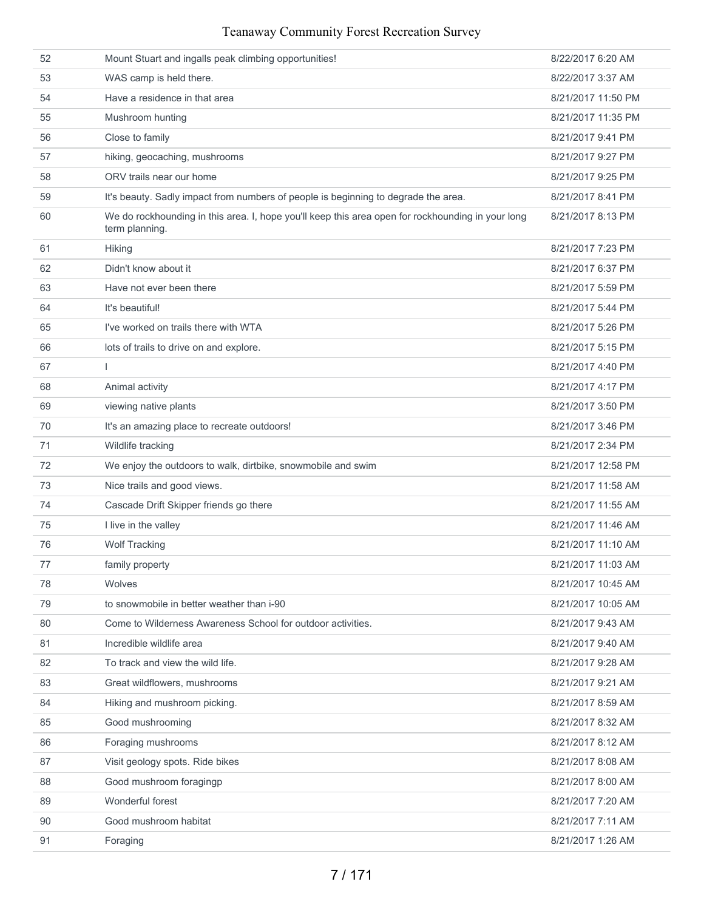| 52 | Mount Stuart and ingalls peak climbing opportunities!                                                               | 8/22/2017 6:20 AM  |
|----|---------------------------------------------------------------------------------------------------------------------|--------------------|
| 53 | WAS camp is held there.                                                                                             | 8/22/2017 3:37 AM  |
| 54 | Have a residence in that area                                                                                       | 8/21/2017 11:50 PM |
| 55 | Mushroom hunting                                                                                                    | 8/21/2017 11:35 PM |
| 56 | Close to family                                                                                                     | 8/21/2017 9:41 PM  |
| 57 | hiking, geocaching, mushrooms                                                                                       | 8/21/2017 9:27 PM  |
| 58 | ORV trails near our home                                                                                            | 8/21/2017 9:25 PM  |
| 59 | It's beauty. Sadly impact from numbers of people is beginning to degrade the area.                                  | 8/21/2017 8:41 PM  |
| 60 | We do rockhounding in this area. I, hope you'll keep this area open for rockhounding in your long<br>term planning. | 8/21/2017 8:13 PM  |
| 61 | <b>Hiking</b>                                                                                                       | 8/21/2017 7:23 PM  |
| 62 | Didn't know about it                                                                                                | 8/21/2017 6:37 PM  |
| 63 | Have not ever been there                                                                                            | 8/21/2017 5:59 PM  |
| 64 | It's beautiful!                                                                                                     | 8/21/2017 5:44 PM  |
| 65 | I've worked on trails there with WTA                                                                                | 8/21/2017 5:26 PM  |
| 66 | lots of trails to drive on and explore.                                                                             | 8/21/2017 5:15 PM  |
| 67 | $\mathbf{I}$                                                                                                        | 8/21/2017 4:40 PM  |
| 68 | Animal activity                                                                                                     | 8/21/2017 4:17 PM  |
| 69 | viewing native plants                                                                                               | 8/21/2017 3:50 PM  |
| 70 | It's an amazing place to recreate outdoors!                                                                         | 8/21/2017 3:46 PM  |
| 71 | Wildlife tracking                                                                                                   | 8/21/2017 2:34 PM  |
| 72 | We enjoy the outdoors to walk, dirtbike, snowmobile and swim                                                        | 8/21/2017 12:58 PM |
| 73 | Nice trails and good views.                                                                                         | 8/21/2017 11:58 AM |
| 74 | Cascade Drift Skipper friends go there                                                                              | 8/21/2017 11:55 AM |
| 75 | I live in the valley                                                                                                | 8/21/2017 11:46 AM |
| 76 | <b>Wolf Tracking</b>                                                                                                | 8/21/2017 11:10 AM |
| 77 | family property                                                                                                     | 8/21/2017 11:03 AM |
| 78 | Wolves                                                                                                              | 8/21/2017 10:45 AM |
| 79 | to snowmobile in better weather than i-90                                                                           | 8/21/2017 10:05 AM |
| 80 | Come to Wilderness Awareness School for outdoor activities.                                                         | 8/21/2017 9:43 AM  |
| 81 | Incredible wildlife area                                                                                            | 8/21/2017 9:40 AM  |
| 82 | To track and view the wild life.                                                                                    | 8/21/2017 9:28 AM  |
| 83 | Great wildflowers, mushrooms                                                                                        | 8/21/2017 9:21 AM  |
| 84 | Hiking and mushroom picking.                                                                                        | 8/21/2017 8:59 AM  |
| 85 | Good mushrooming                                                                                                    | 8/21/2017 8:32 AM  |
| 86 | Foraging mushrooms                                                                                                  | 8/21/2017 8:12 AM  |
| 87 | Visit geology spots. Ride bikes                                                                                     | 8/21/2017 8:08 AM  |
| 88 | Good mushroom foragingp                                                                                             | 8/21/2017 8:00 AM  |
| 89 | Wonderful forest                                                                                                    | 8/21/2017 7:20 AM  |
| 90 | Good mushroom habitat                                                                                               | 8/21/2017 7:11 AM  |
| 91 | Foraging                                                                                                            | 8/21/2017 1:26 AM  |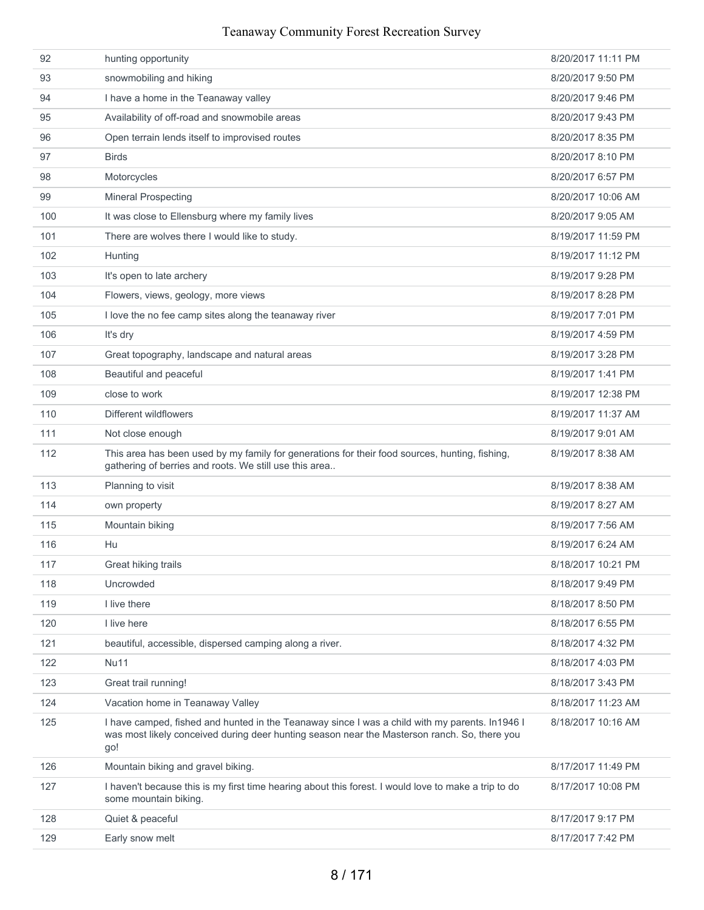| 92  | hunting opportunity                                                                                                                                                                                    | 8/20/2017 11:11 PM |
|-----|--------------------------------------------------------------------------------------------------------------------------------------------------------------------------------------------------------|--------------------|
| 93  | snowmobiling and hiking                                                                                                                                                                                | 8/20/2017 9:50 PM  |
| 94  | I have a home in the Teanaway valley                                                                                                                                                                   | 8/20/2017 9:46 PM  |
| 95  | Availability of off-road and snowmobile areas                                                                                                                                                          | 8/20/2017 9:43 PM  |
| 96  | Open terrain lends itself to improvised routes                                                                                                                                                         | 8/20/2017 8:35 PM  |
| 97  | <b>Birds</b>                                                                                                                                                                                           | 8/20/2017 8:10 PM  |
| 98  | Motorcycles                                                                                                                                                                                            | 8/20/2017 6:57 PM  |
| 99  | <b>Mineral Prospecting</b>                                                                                                                                                                             | 8/20/2017 10:06 AM |
| 100 | It was close to Ellensburg where my family lives                                                                                                                                                       | 8/20/2017 9:05 AM  |
| 101 | There are wolves there I would like to study.                                                                                                                                                          | 8/19/2017 11:59 PM |
| 102 | Hunting                                                                                                                                                                                                | 8/19/2017 11:12 PM |
| 103 | It's open to late archery                                                                                                                                                                              | 8/19/2017 9:28 PM  |
| 104 | Flowers, views, geology, more views                                                                                                                                                                    | 8/19/2017 8:28 PM  |
| 105 | I love the no fee camp sites along the teanaway river                                                                                                                                                  | 8/19/2017 7:01 PM  |
| 106 | It's dry                                                                                                                                                                                               | 8/19/2017 4:59 PM  |
| 107 | Great topography, landscape and natural areas                                                                                                                                                          | 8/19/2017 3:28 PM  |
| 108 | Beautiful and peaceful                                                                                                                                                                                 | 8/19/2017 1:41 PM  |
| 109 | close to work                                                                                                                                                                                          | 8/19/2017 12:38 PM |
| 110 | Different wildflowers                                                                                                                                                                                  | 8/19/2017 11:37 AM |
| 111 | Not close enough                                                                                                                                                                                       | 8/19/2017 9:01 AM  |
| 112 | This area has been used by my family for generations for their food sources, hunting, fishing,<br>gathering of berries and roots. We still use this area                                               | 8/19/2017 8:38 AM  |
| 113 | Planning to visit                                                                                                                                                                                      | 8/19/2017 8:38 AM  |
| 114 | own property                                                                                                                                                                                           | 8/19/2017 8:27 AM  |
| 115 | Mountain biking                                                                                                                                                                                        | 8/19/2017 7:56 AM  |
| 116 | Hu                                                                                                                                                                                                     | 8/19/2017 6:24 AM  |
| 117 | Great hiking trails                                                                                                                                                                                    | 8/18/2017 10:21 PM |
| 118 | Uncrowded                                                                                                                                                                                              | 8/18/2017 9:49 PM  |
| 119 | I live there                                                                                                                                                                                           | 8/18/2017 8:50 PM  |
| 120 | I live here                                                                                                                                                                                            | 8/18/2017 6:55 PM  |
| 121 | beautiful, accessible, dispersed camping along a river.                                                                                                                                                | 8/18/2017 4:32 PM  |
| 122 | <b>Nu11</b>                                                                                                                                                                                            | 8/18/2017 4:03 PM  |
| 123 | Great trail running!                                                                                                                                                                                   | 8/18/2017 3:43 PM  |
| 124 | Vacation home in Teanaway Valley                                                                                                                                                                       | 8/18/2017 11:23 AM |
| 125 | I have camped, fished and hunted in the Teanaway since I was a child with my parents. In 1946 I<br>was most likely conceived during deer hunting season near the Masterson ranch. So, there you<br>go! | 8/18/2017 10:16 AM |
| 126 | Mountain biking and gravel biking.                                                                                                                                                                     | 8/17/2017 11:49 PM |
| 127 | I haven't because this is my first time hearing about this forest. I would love to make a trip to do<br>some mountain biking.                                                                          | 8/17/2017 10:08 PM |
| 128 | Quiet & peaceful                                                                                                                                                                                       | 8/17/2017 9:17 PM  |
| 129 | Early snow melt                                                                                                                                                                                        | 8/17/2017 7:42 PM  |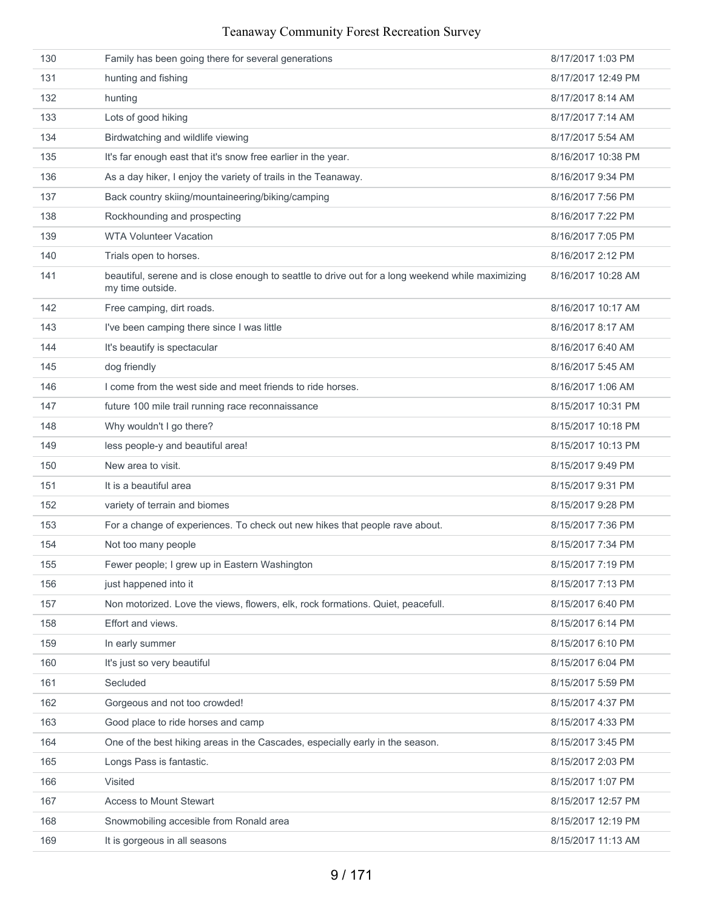| 130 | Family has been going there for several generations                                                                   | 8/17/2017 1:03 PM  |
|-----|-----------------------------------------------------------------------------------------------------------------------|--------------------|
| 131 | hunting and fishing                                                                                                   | 8/17/2017 12:49 PM |
| 132 | hunting                                                                                                               | 8/17/2017 8:14 AM  |
| 133 | Lots of good hiking                                                                                                   | 8/17/2017 7:14 AM  |
| 134 | Birdwatching and wildlife viewing                                                                                     | 8/17/2017 5:54 AM  |
| 135 | It's far enough east that it's snow free earlier in the year.                                                         | 8/16/2017 10:38 PM |
| 136 | As a day hiker, I enjoy the variety of trails in the Teanaway.                                                        | 8/16/2017 9:34 PM  |
| 137 | Back country skiing/mountaineering/biking/camping                                                                     | 8/16/2017 7:56 PM  |
| 138 | Rockhounding and prospecting                                                                                          | 8/16/2017 7:22 PM  |
| 139 | <b>WTA Volunteer Vacation</b>                                                                                         | 8/16/2017 7:05 PM  |
| 140 | Trials open to horses.                                                                                                | 8/16/2017 2:12 PM  |
| 141 | beautiful, serene and is close enough to seattle to drive out for a long weekend while maximizing<br>my time outside. | 8/16/2017 10:28 AM |
| 142 | Free camping, dirt roads.                                                                                             | 8/16/2017 10:17 AM |
| 143 | I've been camping there since I was little                                                                            | 8/16/2017 8:17 AM  |
| 144 | It's beautify is spectacular                                                                                          | 8/16/2017 6:40 AM  |
| 145 | dog friendly                                                                                                          | 8/16/2017 5:45 AM  |
| 146 | I come from the west side and meet friends to ride horses.                                                            | 8/16/2017 1:06 AM  |
| 147 | future 100 mile trail running race reconnaissance                                                                     | 8/15/2017 10:31 PM |
| 148 | Why wouldn't I go there?                                                                                              | 8/15/2017 10:18 PM |
| 149 | less people-y and beautiful area!                                                                                     | 8/15/2017 10:13 PM |
| 150 | New area to visit.                                                                                                    | 8/15/2017 9:49 PM  |
| 151 | It is a beautiful area                                                                                                | 8/15/2017 9:31 PM  |
| 152 | variety of terrain and biomes                                                                                         | 8/15/2017 9:28 PM  |
| 153 | For a change of experiences. To check out new hikes that people rave about.                                           | 8/15/2017 7:36 PM  |
| 154 | Not too many people                                                                                                   | 8/15/2017 7:34 PM  |
| 155 | Fewer people; I grew up in Eastern Washington                                                                         | 8/15/2017 7:19 PM  |
| 156 | just happened into it                                                                                                 | 8/15/2017 7:13 PM  |
| 157 | Non motorized. Love the views, flowers, elk, rock formations. Quiet, peacefull.                                       | 8/15/2017 6:40 PM  |
| 158 | Effort and views.                                                                                                     | 8/15/2017 6:14 PM  |
| 159 | In early summer                                                                                                       | 8/15/2017 6:10 PM  |
| 160 | It's just so very beautiful                                                                                           | 8/15/2017 6:04 PM  |
| 161 | Secluded                                                                                                              | 8/15/2017 5:59 PM  |
| 162 | Gorgeous and not too crowded!                                                                                         | 8/15/2017 4:37 PM  |
| 163 | Good place to ride horses and camp                                                                                    | 8/15/2017 4:33 PM  |
| 164 | One of the best hiking areas in the Cascades, especially early in the season.                                         | 8/15/2017 3:45 PM  |
| 165 | Longs Pass is fantastic.                                                                                              | 8/15/2017 2:03 PM  |
| 166 | Visited                                                                                                               | 8/15/2017 1:07 PM  |
| 167 | <b>Access to Mount Stewart</b>                                                                                        | 8/15/2017 12:57 PM |
| 168 | Snowmobiling accesible from Ronald area                                                                               | 8/15/2017 12:19 PM |
| 169 | It is gorgeous in all seasons                                                                                         | 8/15/2017 11:13 AM |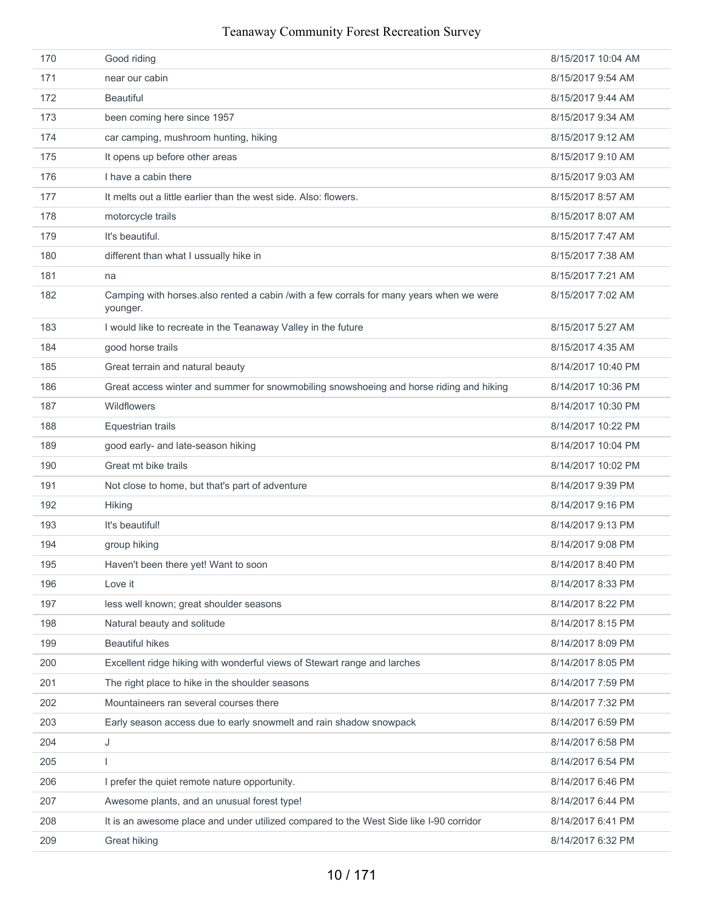| 171<br>8/15/2017 9:54 AM<br>near our cabin<br>172<br><b>Beautiful</b><br>8/15/2017 9:44 AM<br>173<br>been coming here since 1957<br>8/15/2017 9:34 AM<br>174<br>car camping, mushroom hunting, hiking<br>8/15/2017 9:12 AM<br>175<br>It opens up before other areas<br>8/15/2017 9:10 AM<br>I have a cabin there<br>176<br>8/15/2017 9:03 AM<br>It melts out a little earlier than the west side. Also: flowers.<br>8/15/2017 8:57 AM<br>177<br>178<br>motorcycle trails<br>8/15/2017 8:07 AM |  |
|-----------------------------------------------------------------------------------------------------------------------------------------------------------------------------------------------------------------------------------------------------------------------------------------------------------------------------------------------------------------------------------------------------------------------------------------------------------------------------------------------|--|
|                                                                                                                                                                                                                                                                                                                                                                                                                                                                                               |  |
|                                                                                                                                                                                                                                                                                                                                                                                                                                                                                               |  |
|                                                                                                                                                                                                                                                                                                                                                                                                                                                                                               |  |
|                                                                                                                                                                                                                                                                                                                                                                                                                                                                                               |  |
|                                                                                                                                                                                                                                                                                                                                                                                                                                                                                               |  |
|                                                                                                                                                                                                                                                                                                                                                                                                                                                                                               |  |
|                                                                                                                                                                                                                                                                                                                                                                                                                                                                                               |  |
|                                                                                                                                                                                                                                                                                                                                                                                                                                                                                               |  |
| It's beautiful.<br>179<br>8/15/2017 7:47 AM                                                                                                                                                                                                                                                                                                                                                                                                                                                   |  |
| 180<br>different than what I ussually hike in<br>8/15/2017 7:38 AM                                                                                                                                                                                                                                                                                                                                                                                                                            |  |
| 8/15/2017 7:21 AM<br>181<br>na                                                                                                                                                                                                                                                                                                                                                                                                                                                                |  |
| 182<br>Camping with horses.also rented a cabin /with a few corrals for many years when we were<br>8/15/2017 7:02 AM<br>younger.                                                                                                                                                                                                                                                                                                                                                               |  |
| 183<br>I would like to recreate in the Teanaway Valley in the future<br>8/15/2017 5:27 AM                                                                                                                                                                                                                                                                                                                                                                                                     |  |
| 184<br>good horse trails<br>8/15/2017 4:35 AM                                                                                                                                                                                                                                                                                                                                                                                                                                                 |  |
| 185<br>Great terrain and natural beauty<br>8/14/2017 10:40 PM                                                                                                                                                                                                                                                                                                                                                                                                                                 |  |
| 186<br>Great access winter and summer for snowmobiling snowshoeing and horse riding and hiking<br>8/14/2017 10:36 PM                                                                                                                                                                                                                                                                                                                                                                          |  |
| 187<br><b>Wildflowers</b><br>8/14/2017 10:30 PM                                                                                                                                                                                                                                                                                                                                                                                                                                               |  |
| 188<br>Equestrian trails<br>8/14/2017 10:22 PM                                                                                                                                                                                                                                                                                                                                                                                                                                                |  |
| 189<br>good early- and late-season hiking<br>8/14/2017 10:04 PM                                                                                                                                                                                                                                                                                                                                                                                                                               |  |
| Great mt bike trails<br>190<br>8/14/2017 10:02 PM                                                                                                                                                                                                                                                                                                                                                                                                                                             |  |
| 191<br>Not close to home, but that's part of adventure<br>8/14/2017 9:39 PM                                                                                                                                                                                                                                                                                                                                                                                                                   |  |
| 192<br>8/14/2017 9:16 PM<br><b>Hiking</b>                                                                                                                                                                                                                                                                                                                                                                                                                                                     |  |
| It's beautiful!<br>193<br>8/14/2017 9:13 PM                                                                                                                                                                                                                                                                                                                                                                                                                                                   |  |
| 194<br>group hiking<br>8/14/2017 9:08 PM                                                                                                                                                                                                                                                                                                                                                                                                                                                      |  |
| 195<br>8/14/2017 8:40 PM<br>Haven't been there yet! Want to soon                                                                                                                                                                                                                                                                                                                                                                                                                              |  |
| 8/14/2017 8:33 PM<br>196<br>Love it                                                                                                                                                                                                                                                                                                                                                                                                                                                           |  |
| 197<br>less well known; great shoulder seasons<br>8/14/2017 8:22 PM                                                                                                                                                                                                                                                                                                                                                                                                                           |  |
| 198<br>Natural beauty and solitude<br>8/14/2017 8:15 PM                                                                                                                                                                                                                                                                                                                                                                                                                                       |  |
| 199<br><b>Beautiful hikes</b><br>8/14/2017 8:09 PM                                                                                                                                                                                                                                                                                                                                                                                                                                            |  |
| 200<br>Excellent ridge hiking with wonderful views of Stewart range and larches<br>8/14/2017 8:05 PM                                                                                                                                                                                                                                                                                                                                                                                          |  |
| 201<br>The right place to hike in the shoulder seasons<br>8/14/2017 7:59 PM                                                                                                                                                                                                                                                                                                                                                                                                                   |  |
| 202<br>Mountaineers ran several courses there<br>8/14/2017 7:32 PM                                                                                                                                                                                                                                                                                                                                                                                                                            |  |
| Early season access due to early snowmelt and rain shadow snowpack<br>203<br>8/14/2017 6:59 PM                                                                                                                                                                                                                                                                                                                                                                                                |  |
| 204<br>8/14/2017 6:58 PM<br>J                                                                                                                                                                                                                                                                                                                                                                                                                                                                 |  |
| 205<br>8/14/2017 6:54 PM<br>T                                                                                                                                                                                                                                                                                                                                                                                                                                                                 |  |
| 206<br>I prefer the quiet remote nature opportunity.<br>8/14/2017 6:46 PM                                                                                                                                                                                                                                                                                                                                                                                                                     |  |
| 207<br>Awesome plants, and an unusual forest type!<br>8/14/2017 6:44 PM                                                                                                                                                                                                                                                                                                                                                                                                                       |  |
| It is an awesome place and under utilized compared to the West Side like I-90 corridor<br>208<br>8/14/2017 6:41 PM                                                                                                                                                                                                                                                                                                                                                                            |  |
| 209<br>8/14/2017 6:32 PM<br>Great hiking                                                                                                                                                                                                                                                                                                                                                                                                                                                      |  |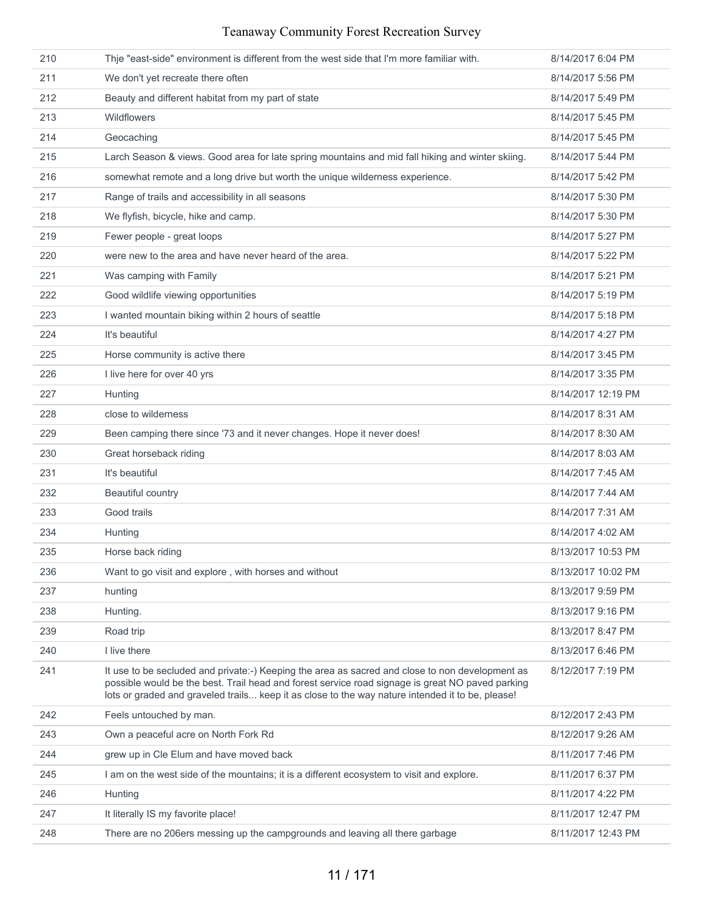| 210 | Thje "east-side" environment is different from the west side that I'm more familiar with.                                                                                                                                                                                                               | 8/14/2017 6:04 PM  |
|-----|---------------------------------------------------------------------------------------------------------------------------------------------------------------------------------------------------------------------------------------------------------------------------------------------------------|--------------------|
| 211 | We don't yet recreate there often                                                                                                                                                                                                                                                                       | 8/14/2017 5:56 PM  |
| 212 | Beauty and different habitat from my part of state                                                                                                                                                                                                                                                      | 8/14/2017 5:49 PM  |
| 213 | <b>Wildflowers</b>                                                                                                                                                                                                                                                                                      | 8/14/2017 5:45 PM  |
| 214 | Geocaching                                                                                                                                                                                                                                                                                              | 8/14/2017 5:45 PM  |
| 215 | Larch Season & views. Good area for late spring mountains and mid fall hiking and winter skiing.                                                                                                                                                                                                        | 8/14/2017 5:44 PM  |
| 216 | somewhat remote and a long drive but worth the unique wilderness experience.                                                                                                                                                                                                                            | 8/14/2017 5:42 PM  |
| 217 | Range of trails and accessibility in all seasons                                                                                                                                                                                                                                                        | 8/14/2017 5:30 PM  |
| 218 | We flyfish, bicycle, hike and camp.                                                                                                                                                                                                                                                                     | 8/14/2017 5:30 PM  |
| 219 | Fewer people - great loops                                                                                                                                                                                                                                                                              | 8/14/2017 5:27 PM  |
| 220 | were new to the area and have never heard of the area.                                                                                                                                                                                                                                                  | 8/14/2017 5:22 PM  |
| 221 | Was camping with Family                                                                                                                                                                                                                                                                                 | 8/14/2017 5:21 PM  |
| 222 | Good wildlife viewing opportunities                                                                                                                                                                                                                                                                     | 8/14/2017 5:19 PM  |
| 223 | I wanted mountain biking within 2 hours of seattle                                                                                                                                                                                                                                                      | 8/14/2017 5:18 PM  |
| 224 | It's beautiful                                                                                                                                                                                                                                                                                          | 8/14/2017 4:27 PM  |
| 225 | Horse community is active there                                                                                                                                                                                                                                                                         | 8/14/2017 3:45 PM  |
| 226 | I live here for over 40 yrs                                                                                                                                                                                                                                                                             | 8/14/2017 3:35 PM  |
| 227 | Hunting                                                                                                                                                                                                                                                                                                 | 8/14/2017 12:19 PM |
| 228 | close to wilderness                                                                                                                                                                                                                                                                                     | 8/14/2017 8:31 AM  |
| 229 | Been camping there since '73 and it never changes. Hope it never does!                                                                                                                                                                                                                                  | 8/14/2017 8:30 AM  |
| 230 | Great horseback riding                                                                                                                                                                                                                                                                                  | 8/14/2017 8:03 AM  |
| 231 | It's beautiful                                                                                                                                                                                                                                                                                          | 8/14/2017 7:45 AM  |
| 232 | Beautiful country                                                                                                                                                                                                                                                                                       | 8/14/2017 7:44 AM  |
| 233 | Good trails                                                                                                                                                                                                                                                                                             | 8/14/2017 7:31 AM  |
| 234 | Hunting                                                                                                                                                                                                                                                                                                 | 8/14/2017 4:02 AM  |
| 235 | Horse back riding                                                                                                                                                                                                                                                                                       | 8/13/2017 10:53 PM |
| 236 | Want to go visit and explore, with horses and without                                                                                                                                                                                                                                                   | 8/13/2017 10:02 PM |
| 237 | hunting                                                                                                                                                                                                                                                                                                 | 8/13/2017 9:59 PM  |
| 238 | Hunting.                                                                                                                                                                                                                                                                                                | 8/13/2017 9:16 PM  |
| 239 | Road trip                                                                                                                                                                                                                                                                                               | 8/13/2017 8:47 PM  |
| 240 | I live there                                                                                                                                                                                                                                                                                            | 8/13/2017 6:46 PM  |
| 241 | It use to be secluded and private:-) Keeping the area as sacred and close to non development as<br>possible would be the best. Trail head and forest service road signage is great NO paved parking<br>lots or graded and graveled trails keep it as close to the way nature intended it to be, please! | 8/12/2017 7:19 PM  |
| 242 | Feels untouched by man.                                                                                                                                                                                                                                                                                 | 8/12/2017 2:43 PM  |
| 243 | Own a peaceful acre on North Fork Rd                                                                                                                                                                                                                                                                    | 8/12/2017 9:26 AM  |
| 244 | grew up in Cle Elum and have moved back                                                                                                                                                                                                                                                                 | 8/11/2017 7:46 PM  |
| 245 | I am on the west side of the mountains; it is a different ecosystem to visit and explore.                                                                                                                                                                                                               | 8/11/2017 6:37 PM  |
| 246 | Hunting                                                                                                                                                                                                                                                                                                 | 8/11/2017 4:22 PM  |
| 247 | It literally IS my favorite place!                                                                                                                                                                                                                                                                      | 8/11/2017 12:47 PM |
| 248 | There are no 206ers messing up the campgrounds and leaving all there garbage                                                                                                                                                                                                                            | 8/11/2017 12:43 PM |
|     |                                                                                                                                                                                                                                                                                                         |                    |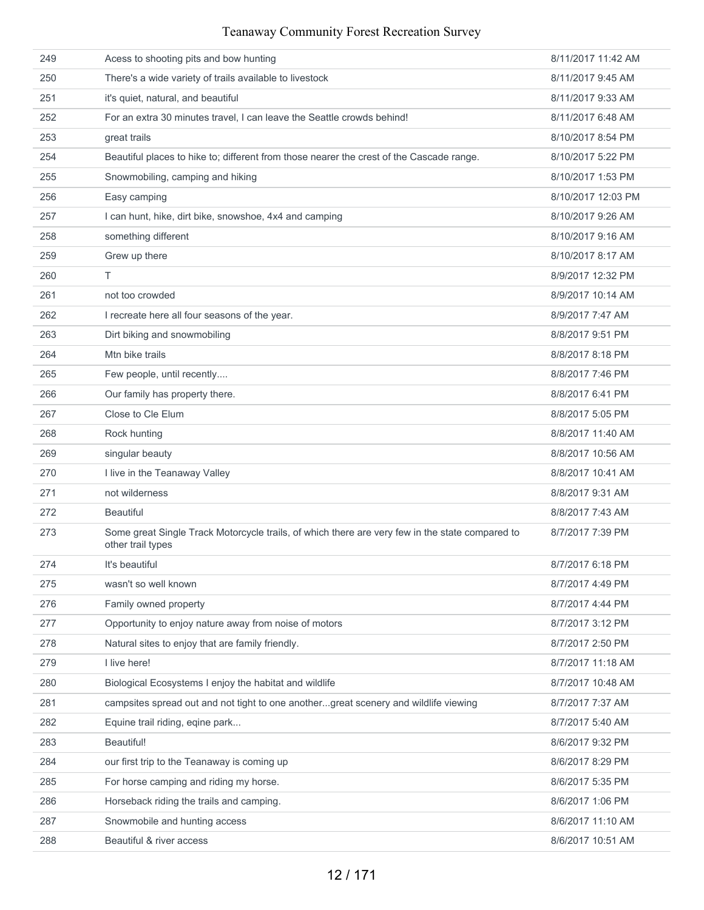| 249 | Acess to shooting pits and bow hunting                                                                               | 8/11/2017 11:42 AM |
|-----|----------------------------------------------------------------------------------------------------------------------|--------------------|
| 250 | There's a wide variety of trails available to livestock                                                              | 8/11/2017 9:45 AM  |
| 251 | it's quiet, natural, and beautiful                                                                                   | 8/11/2017 9:33 AM  |
| 252 | For an extra 30 minutes travel, I can leave the Seattle crowds behind!                                               | 8/11/2017 6:48 AM  |
| 253 | great trails                                                                                                         | 8/10/2017 8:54 PM  |
| 254 | Beautiful places to hike to; different from those nearer the crest of the Cascade range.                             | 8/10/2017 5:22 PM  |
| 255 | Snowmobiling, camping and hiking                                                                                     | 8/10/2017 1:53 PM  |
| 256 | Easy camping                                                                                                         | 8/10/2017 12:03 PM |
| 257 | I can hunt, hike, dirt bike, snowshoe, 4x4 and camping                                                               | 8/10/2017 9:26 AM  |
| 258 | something different                                                                                                  | 8/10/2017 9:16 AM  |
| 259 | Grew up there                                                                                                        | 8/10/2017 8:17 AM  |
| 260 | T.                                                                                                                   | 8/9/2017 12:32 PM  |
| 261 | not too crowded                                                                                                      | 8/9/2017 10:14 AM  |
| 262 | I recreate here all four seasons of the year.                                                                        | 8/9/2017 7:47 AM   |
| 263 | Dirt biking and snowmobiling                                                                                         | 8/8/2017 9:51 PM   |
| 264 | Mtn bike trails                                                                                                      | 8/8/2017 8:18 PM   |
| 265 | Few people, until recently                                                                                           | 8/8/2017 7:46 PM   |
| 266 | Our family has property there.                                                                                       | 8/8/2017 6:41 PM   |
| 267 | Close to Cle Elum                                                                                                    | 8/8/2017 5:05 PM   |
| 268 | Rock hunting                                                                                                         | 8/8/2017 11:40 AM  |
| 269 | singular beauty                                                                                                      | 8/8/2017 10:56 AM  |
| 270 | I live in the Teanaway Valley                                                                                        | 8/8/2017 10:41 AM  |
| 271 | not wilderness                                                                                                       | 8/8/2017 9:31 AM   |
| 272 | <b>Beautiful</b>                                                                                                     | 8/8/2017 7:43 AM   |
| 273 | Some great Single Track Motorcycle trails, of which there are very few in the state compared to<br>other trail types | 8/7/2017 7:39 PM   |
| 274 | It's beautiful                                                                                                       | 8/7/2017 6:18 PM   |
| 275 | wasn't so well known                                                                                                 | 8/7/2017 4:49 PM   |
| 276 | Family owned property                                                                                                | 8/7/2017 4:44 PM   |
| 277 | Opportunity to enjoy nature away from noise of motors                                                                | 8/7/2017 3:12 PM   |
| 278 | Natural sites to enjoy that are family friendly.                                                                     | 8/7/2017 2:50 PM   |
| 279 | I live here!                                                                                                         | 8/7/2017 11:18 AM  |
| 280 | Biological Ecosystems I enjoy the habitat and wildlife                                                               | 8/7/2017 10:48 AM  |
| 281 | campsites spread out and not tight to one anothergreat scenery and wildlife viewing                                  | 8/7/2017 7:37 AM   |
| 282 | Equine trail riding, eqine park                                                                                      | 8/7/2017 5:40 AM   |
| 283 | Beautiful!                                                                                                           | 8/6/2017 9:32 PM   |
| 284 | our first trip to the Teanaway is coming up                                                                          | 8/6/2017 8:29 PM   |
| 285 | For horse camping and riding my horse.                                                                               | 8/6/2017 5:35 PM   |
| 286 | Horseback riding the trails and camping.                                                                             | 8/6/2017 1:06 PM   |
| 287 | Snowmobile and hunting access                                                                                        | 8/6/2017 11:10 AM  |
| 288 | Beautiful & river access                                                                                             | 8/6/2017 10:51 AM  |
|     |                                                                                                                      |                    |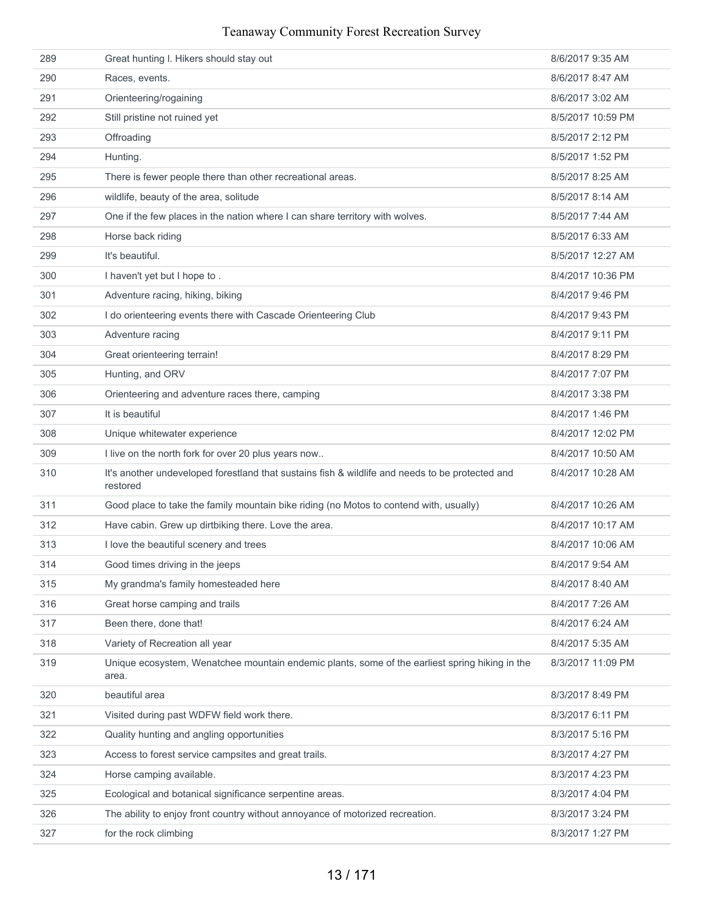| 289 | Great hunting I. Hikers should stay out                                                                     | 8/6/2017 9:35 AM  |
|-----|-------------------------------------------------------------------------------------------------------------|-------------------|
| 290 | Races, events.                                                                                              | 8/6/2017 8:47 AM  |
| 291 | Orienteering/rogaining                                                                                      | 8/6/2017 3:02 AM  |
| 292 | Still pristine not ruined yet                                                                               | 8/5/2017 10:59 PM |
| 293 | Offroading                                                                                                  | 8/5/2017 2:12 PM  |
| 294 | Hunting.                                                                                                    | 8/5/2017 1:52 PM  |
| 295 | There is fewer people there than other recreational areas.                                                  | 8/5/2017 8:25 AM  |
| 296 | wildlife, beauty of the area, solitude                                                                      | 8/5/2017 8:14 AM  |
| 297 | One if the few places in the nation where I can share territory with wolves.                                | 8/5/2017 7:44 AM  |
| 298 | Horse back riding                                                                                           | 8/5/2017 6:33 AM  |
| 299 | It's beautiful.                                                                                             | 8/5/2017 12:27 AM |
| 300 | I haven't yet but I hope to.                                                                                | 8/4/2017 10:36 PM |
| 301 | Adventure racing, hiking, biking                                                                            | 8/4/2017 9:46 PM  |
| 302 | I do orienteering events there with Cascade Orienteering Club                                               | 8/4/2017 9:43 PM  |
| 303 | Adventure racing                                                                                            | 8/4/2017 9:11 PM  |
| 304 | Great orienteering terrain!                                                                                 | 8/4/2017 8:29 PM  |
| 305 | Hunting, and ORV                                                                                            | 8/4/2017 7:07 PM  |
| 306 | Orienteering and adventure races there, camping                                                             | 8/4/2017 3:38 PM  |
| 307 | It is beautiful                                                                                             | 8/4/2017 1:46 PM  |
| 308 | Unique whitewater experience                                                                                | 8/4/2017 12:02 PM |
| 309 | I live on the north fork for over 20 plus years now                                                         | 8/4/2017 10:50 AM |
| 310 | It's another undeveloped forestland that sustains fish & wildlife and needs to be protected and<br>restored | 8/4/2017 10:28 AM |
| 311 | Good place to take the family mountain bike riding (no Motos to contend with, usually)                      | 8/4/2017 10:26 AM |
| 312 | Have cabin. Grew up dirtbiking there. Love the area.                                                        | 8/4/2017 10:17 AM |
| 313 | I love the beautiful scenery and trees                                                                      | 8/4/2017 10:06 AM |
| 314 | Good times driving in the jeeps                                                                             | 8/4/2017 9:54 AM  |
| 315 | My grandma's family homesteaded here                                                                        | 8/4/2017 8:40 AM  |
| 316 | Great horse camping and trails                                                                              | 8/4/2017 7:26 AM  |
| 317 | Been there, done that!                                                                                      | 8/4/2017 6:24 AM  |
| 318 | Variety of Recreation all year                                                                              | 8/4/2017 5:35 AM  |
| 319 | Unique ecosystem, Wenatchee mountain endemic plants, some of the earliest spring hiking in the<br>area.     | 8/3/2017 11:09 PM |
| 320 | beautiful area                                                                                              | 8/3/2017 8:49 PM  |
| 321 | Visited during past WDFW field work there.                                                                  | 8/3/2017 6:11 PM  |
| 322 | Quality hunting and angling opportunities                                                                   | 8/3/2017 5:16 PM  |
| 323 | Access to forest service campsites and great trails.                                                        | 8/3/2017 4:27 PM  |
| 324 | Horse camping available.                                                                                    | 8/3/2017 4:23 PM  |
| 325 | Ecological and botanical significance serpentine areas.                                                     | 8/3/2017 4:04 PM  |
| 326 | The ability to enjoy front country without annoyance of motorized recreation.                               | 8/3/2017 3:24 PM  |
| 327 | for the rock climbing                                                                                       | 8/3/2017 1:27 PM  |
|     |                                                                                                             |                   |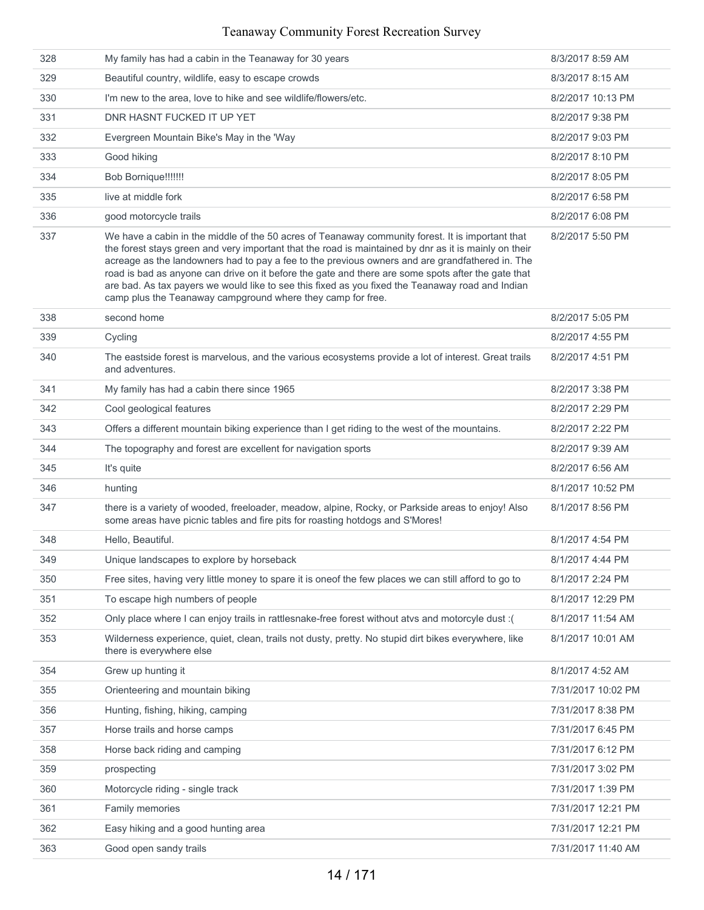| 328 | My family has had a cabin in the Teanaway for 30 years                                                                                                                                                                                                                                                                                                                                                                                                                                                                                                                                | 8/3/2017 8:59 AM   |
|-----|---------------------------------------------------------------------------------------------------------------------------------------------------------------------------------------------------------------------------------------------------------------------------------------------------------------------------------------------------------------------------------------------------------------------------------------------------------------------------------------------------------------------------------------------------------------------------------------|--------------------|
| 329 | Beautiful country, wildlife, easy to escape crowds                                                                                                                                                                                                                                                                                                                                                                                                                                                                                                                                    | 8/3/2017 8:15 AM   |
| 330 | I'm new to the area, love to hike and see wildlife/flowers/etc.                                                                                                                                                                                                                                                                                                                                                                                                                                                                                                                       | 8/2/2017 10:13 PM  |
| 331 | DNR HASNT FUCKED IT UP YET                                                                                                                                                                                                                                                                                                                                                                                                                                                                                                                                                            | 8/2/2017 9:38 PM   |
| 332 | Evergreen Mountain Bike's May in the 'Way                                                                                                                                                                                                                                                                                                                                                                                                                                                                                                                                             | 8/2/2017 9:03 PM   |
| 333 | Good hiking                                                                                                                                                                                                                                                                                                                                                                                                                                                                                                                                                                           | 8/2/2017 8:10 PM   |
| 334 | Bob Bornique!!!!!!!                                                                                                                                                                                                                                                                                                                                                                                                                                                                                                                                                                   | 8/2/2017 8:05 PM   |
| 335 | live at middle fork                                                                                                                                                                                                                                                                                                                                                                                                                                                                                                                                                                   | 8/2/2017 6:58 PM   |
| 336 | good motorcycle trails                                                                                                                                                                                                                                                                                                                                                                                                                                                                                                                                                                | 8/2/2017 6:08 PM   |
| 337 | We have a cabin in the middle of the 50 acres of Teanaway community forest. It is important that<br>the forest stays green and very important that the road is maintained by dnr as it is mainly on their<br>acreage as the landowners had to pay a fee to the previous owners and are grandfathered in. The<br>road is bad as anyone can drive on it before the gate and there are some spots after the gate that<br>are bad. As tax payers we would like to see this fixed as you fixed the Teanaway road and Indian<br>camp plus the Teanaway campground where they camp for free. | 8/2/2017 5:50 PM   |
| 338 | second home                                                                                                                                                                                                                                                                                                                                                                                                                                                                                                                                                                           | 8/2/2017 5:05 PM   |
| 339 | Cycling                                                                                                                                                                                                                                                                                                                                                                                                                                                                                                                                                                               | 8/2/2017 4:55 PM   |
| 340 | The eastside forest is marvelous, and the various ecosystems provide a lot of interest. Great trails<br>and adventures.                                                                                                                                                                                                                                                                                                                                                                                                                                                               | 8/2/2017 4:51 PM   |
| 341 | My family has had a cabin there since 1965                                                                                                                                                                                                                                                                                                                                                                                                                                                                                                                                            | 8/2/2017 3:38 PM   |
| 342 | Cool geological features                                                                                                                                                                                                                                                                                                                                                                                                                                                                                                                                                              | 8/2/2017 2:29 PM   |
| 343 | Offers a different mountain biking experience than I get riding to the west of the mountains.                                                                                                                                                                                                                                                                                                                                                                                                                                                                                         | 8/2/2017 2:22 PM   |
| 344 | The topography and forest are excellent for navigation sports                                                                                                                                                                                                                                                                                                                                                                                                                                                                                                                         | 8/2/2017 9:39 AM   |
| 345 | It's quite                                                                                                                                                                                                                                                                                                                                                                                                                                                                                                                                                                            | 8/2/2017 6:56 AM   |
| 346 | hunting                                                                                                                                                                                                                                                                                                                                                                                                                                                                                                                                                                               | 8/1/2017 10:52 PM  |
| 347 | there is a variety of wooded, freeloader, meadow, alpine, Rocky, or Parkside areas to enjoy! Also<br>some areas have picnic tables and fire pits for roasting hotdogs and S'Mores!                                                                                                                                                                                                                                                                                                                                                                                                    | 8/1/2017 8:56 PM   |
| 348 | Hello, Beautiful.                                                                                                                                                                                                                                                                                                                                                                                                                                                                                                                                                                     | 8/1/2017 4:54 PM   |
| 349 | Unique landscapes to explore by horseback                                                                                                                                                                                                                                                                                                                                                                                                                                                                                                                                             | 8/1/2017 4:44 PM   |
| 350 | Free sites, having very little money to spare it is oneof the few places we can still afford to go to                                                                                                                                                                                                                                                                                                                                                                                                                                                                                 | 8/1/2017 2:24 PM   |
| 351 | To escape high numbers of people                                                                                                                                                                                                                                                                                                                                                                                                                                                                                                                                                      | 8/1/2017 12:29 PM  |
| 352 | Only place where I can enjoy trails in rattlesnake-free forest without atvs and motorcyle dust :(                                                                                                                                                                                                                                                                                                                                                                                                                                                                                     | 8/1/2017 11:54 AM  |
| 353 | Wilderness experience, quiet, clean, trails not dusty, pretty. No stupid dirt bikes everywhere, like<br>there is everywhere else                                                                                                                                                                                                                                                                                                                                                                                                                                                      | 8/1/2017 10:01 AM  |
| 354 | Grew up hunting it                                                                                                                                                                                                                                                                                                                                                                                                                                                                                                                                                                    | 8/1/2017 4:52 AM   |
| 355 | Orienteering and mountain biking                                                                                                                                                                                                                                                                                                                                                                                                                                                                                                                                                      | 7/31/2017 10:02 PM |
| 356 | Hunting, fishing, hiking, camping                                                                                                                                                                                                                                                                                                                                                                                                                                                                                                                                                     | 7/31/2017 8:38 PM  |
| 357 | Horse trails and horse camps                                                                                                                                                                                                                                                                                                                                                                                                                                                                                                                                                          | 7/31/2017 6:45 PM  |
| 358 | Horse back riding and camping                                                                                                                                                                                                                                                                                                                                                                                                                                                                                                                                                         | 7/31/2017 6:12 PM  |
| 359 | prospecting                                                                                                                                                                                                                                                                                                                                                                                                                                                                                                                                                                           | 7/31/2017 3:02 PM  |
| 360 | Motorcycle riding - single track                                                                                                                                                                                                                                                                                                                                                                                                                                                                                                                                                      | 7/31/2017 1:39 PM  |
| 361 | Family memories                                                                                                                                                                                                                                                                                                                                                                                                                                                                                                                                                                       | 7/31/2017 12:21 PM |
| 362 | Easy hiking and a good hunting area                                                                                                                                                                                                                                                                                                                                                                                                                                                                                                                                                   | 7/31/2017 12:21 PM |
| 363 | Good open sandy trails                                                                                                                                                                                                                                                                                                                                                                                                                                                                                                                                                                | 7/31/2017 11:40 AM |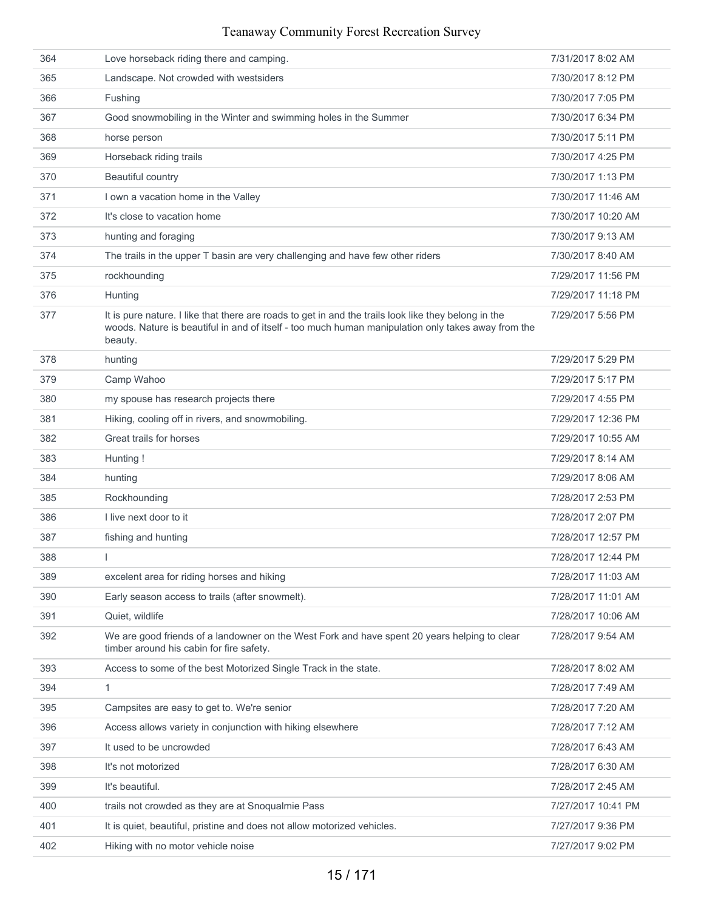| 364 | Love horseback riding there and camping.                                                                                                                                                                              | 7/31/2017 8:02 AM  |
|-----|-----------------------------------------------------------------------------------------------------------------------------------------------------------------------------------------------------------------------|--------------------|
| 365 | Landscape. Not crowded with westsiders                                                                                                                                                                                | 7/30/2017 8:12 PM  |
| 366 | Fushing                                                                                                                                                                                                               | 7/30/2017 7:05 PM  |
| 367 | Good snowmobiling in the Winter and swimming holes in the Summer                                                                                                                                                      | 7/30/2017 6:34 PM  |
| 368 | horse person                                                                                                                                                                                                          | 7/30/2017 5:11 PM  |
| 369 | Horseback riding trails                                                                                                                                                                                               | 7/30/2017 4:25 PM  |
| 370 | Beautiful country                                                                                                                                                                                                     | 7/30/2017 1:13 PM  |
| 371 | I own a vacation home in the Valley                                                                                                                                                                                   | 7/30/2017 11:46 AM |
| 372 | It's close to vacation home                                                                                                                                                                                           | 7/30/2017 10:20 AM |
| 373 | hunting and foraging                                                                                                                                                                                                  | 7/30/2017 9:13 AM  |
| 374 | The trails in the upper T basin are very challenging and have few other riders                                                                                                                                        | 7/30/2017 8:40 AM  |
| 375 | rockhounding                                                                                                                                                                                                          | 7/29/2017 11:56 PM |
| 376 | Hunting                                                                                                                                                                                                               | 7/29/2017 11:18 PM |
| 377 | It is pure nature. I like that there are roads to get in and the trails look like they belong in the<br>woods. Nature is beautiful in and of itself - too much human manipulation only takes away from the<br>beauty. | 7/29/2017 5:56 PM  |
| 378 | hunting                                                                                                                                                                                                               | 7/29/2017 5:29 PM  |
| 379 | Camp Wahoo                                                                                                                                                                                                            | 7/29/2017 5:17 PM  |
| 380 | my spouse has research projects there                                                                                                                                                                                 | 7/29/2017 4:55 PM  |
| 381 | Hiking, cooling off in rivers, and snowmobiling.                                                                                                                                                                      | 7/29/2017 12:36 PM |
| 382 | Great trails for horses                                                                                                                                                                                               | 7/29/2017 10:55 AM |
| 383 | Hunting!                                                                                                                                                                                                              | 7/29/2017 8:14 AM  |
| 384 | hunting                                                                                                                                                                                                               | 7/29/2017 8:06 AM  |
| 385 | Rockhounding                                                                                                                                                                                                          | 7/28/2017 2:53 PM  |
| 386 | I live next door to it                                                                                                                                                                                                | 7/28/2017 2:07 PM  |
| 387 | fishing and hunting                                                                                                                                                                                                   | 7/28/2017 12:57 PM |
| 388 |                                                                                                                                                                                                                       | 7/28/2017 12:44 PM |
| 389 | excelent area for riding horses and hiking                                                                                                                                                                            | 7/28/2017 11:03 AM |
| 390 | Early season access to trails (after snowmelt).                                                                                                                                                                       | 7/28/2017 11:01 AM |
| 391 | Quiet, wildlife                                                                                                                                                                                                       | 7/28/2017 10:06 AM |
| 392 | We are good friends of a landowner on the West Fork and have spent 20 years helping to clear<br>timber around his cabin for fire safety.                                                                              | 7/28/2017 9:54 AM  |
| 393 | Access to some of the best Motorized Single Track in the state.                                                                                                                                                       | 7/28/2017 8:02 AM  |
| 394 | 1                                                                                                                                                                                                                     | 7/28/2017 7:49 AM  |
| 395 | Campsites are easy to get to. We're senior                                                                                                                                                                            | 7/28/2017 7:20 AM  |
| 396 | Access allows variety in conjunction with hiking elsewhere                                                                                                                                                            | 7/28/2017 7:12 AM  |
| 397 | It used to be uncrowded                                                                                                                                                                                               | 7/28/2017 6:43 AM  |
| 398 | It's not motorized                                                                                                                                                                                                    | 7/28/2017 6:30 AM  |
| 399 | It's beautiful.                                                                                                                                                                                                       | 7/28/2017 2:45 AM  |
| 400 | trails not crowded as they are at Snoqualmie Pass                                                                                                                                                                     | 7/27/2017 10:41 PM |
| 401 | It is quiet, beautiful, pristine and does not allow motorized vehicles.                                                                                                                                               | 7/27/2017 9:36 PM  |
| 402 | Hiking with no motor vehicle noise                                                                                                                                                                                    | 7/27/2017 9:02 PM  |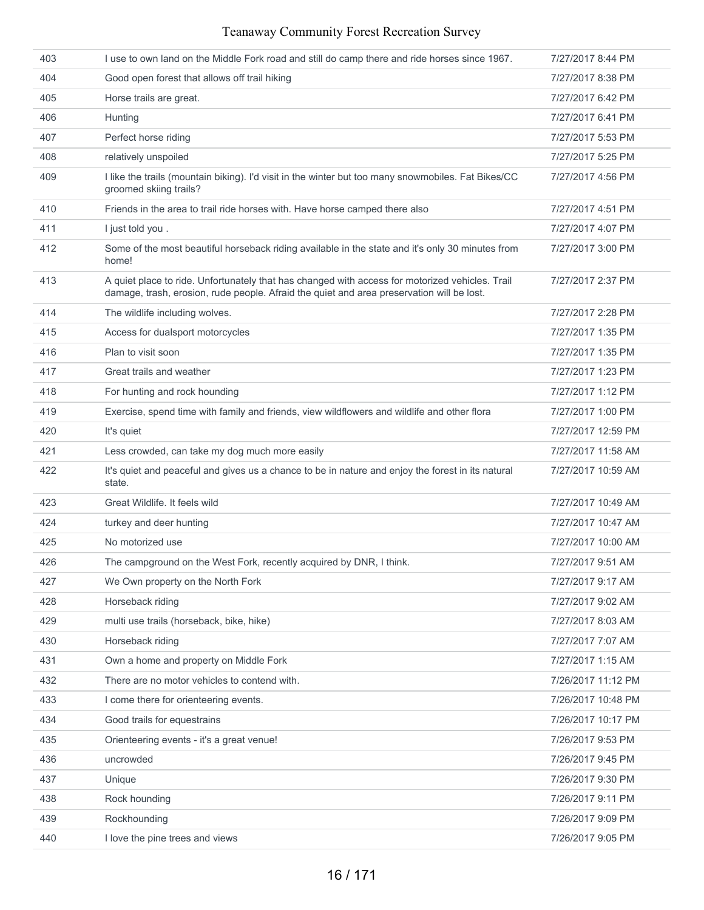| 403 | I use to own land on the Middle Fork road and still do camp there and ride horses since 1967.                                                                                                | 7/27/2017 8:44 PM  |
|-----|----------------------------------------------------------------------------------------------------------------------------------------------------------------------------------------------|--------------------|
| 404 | Good open forest that allows off trail hiking                                                                                                                                                | 7/27/2017 8:38 PM  |
| 405 | Horse trails are great.                                                                                                                                                                      | 7/27/2017 6:42 PM  |
| 406 | Hunting                                                                                                                                                                                      | 7/27/2017 6:41 PM  |
| 407 | Perfect horse riding                                                                                                                                                                         | 7/27/2017 5:53 PM  |
| 408 | relatively unspoiled                                                                                                                                                                         | 7/27/2017 5:25 PM  |
| 409 | I like the trails (mountain biking). I'd visit in the winter but too many snowmobiles. Fat Bikes/CC<br>groomed skiing trails?                                                                | 7/27/2017 4:56 PM  |
| 410 | Friends in the area to trail ride horses with. Have horse camped there also                                                                                                                  | 7/27/2017 4:51 PM  |
| 411 | I just told you.                                                                                                                                                                             | 7/27/2017 4:07 PM  |
| 412 | Some of the most beautiful horseback riding available in the state and it's only 30 minutes from<br>home!                                                                                    | 7/27/2017 3:00 PM  |
| 413 | A quiet place to ride. Unfortunately that has changed with access for motorized vehicles. Trail<br>damage, trash, erosion, rude people. Afraid the quiet and area preservation will be lost. | 7/27/2017 2:37 PM  |
| 414 | The wildlife including wolves.                                                                                                                                                               | 7/27/2017 2:28 PM  |
| 415 | Access for dualsport motorcycles                                                                                                                                                             | 7/27/2017 1:35 PM  |
| 416 | Plan to visit soon                                                                                                                                                                           | 7/27/2017 1:35 PM  |
| 417 | Great trails and weather                                                                                                                                                                     | 7/27/2017 1:23 PM  |
| 418 | For hunting and rock hounding                                                                                                                                                                | 7/27/2017 1:12 PM  |
| 419 | Exercise, spend time with family and friends, view wildflowers and wildlife and other flora                                                                                                  | 7/27/2017 1:00 PM  |
| 420 | It's quiet                                                                                                                                                                                   | 7/27/2017 12:59 PM |
| 421 | Less crowded, can take my dog much more easily                                                                                                                                               | 7/27/2017 11:58 AM |
| 422 | It's quiet and peaceful and gives us a chance to be in nature and enjoy the forest in its natural<br>state.                                                                                  | 7/27/2017 10:59 AM |
| 423 | Great Wildlife. It feels wild                                                                                                                                                                | 7/27/2017 10:49 AM |
| 424 | turkey and deer hunting                                                                                                                                                                      | 7/27/2017 10:47 AM |
| 425 | No motorized use                                                                                                                                                                             | 7/27/2017 10:00 AM |
| 426 | The campground on the West Fork, recently acquired by DNR, I think.                                                                                                                          | 7/27/2017 9:51 AM  |
| 427 | We Own property on the North Fork                                                                                                                                                            | 7/27/2017 9:17 AM  |
| 428 | Horseback riding                                                                                                                                                                             | 7/27/2017 9:02 AM  |
| 429 | multi use trails (horseback, bike, hike)                                                                                                                                                     | 7/27/2017 8:03 AM  |
| 430 | Horseback riding                                                                                                                                                                             | 7/27/2017 7:07 AM  |
| 431 | Own a home and property on Middle Fork                                                                                                                                                       | 7/27/2017 1:15 AM  |
| 432 | There are no motor vehicles to contend with.                                                                                                                                                 | 7/26/2017 11:12 PM |
| 433 | I come there for orienteering events.                                                                                                                                                        | 7/26/2017 10:48 PM |
| 434 | Good trails for equestrains                                                                                                                                                                  | 7/26/2017 10:17 PM |
| 435 | Orienteering events - it's a great venue!                                                                                                                                                    | 7/26/2017 9:53 PM  |
| 436 | uncrowded                                                                                                                                                                                    | 7/26/2017 9:45 PM  |
| 437 | Unique                                                                                                                                                                                       | 7/26/2017 9:30 PM  |
| 438 | Rock hounding                                                                                                                                                                                | 7/26/2017 9:11 PM  |
| 439 | Rockhounding                                                                                                                                                                                 | 7/26/2017 9:09 PM  |
| 440 | I love the pine trees and views                                                                                                                                                              | 7/26/2017 9:05 PM  |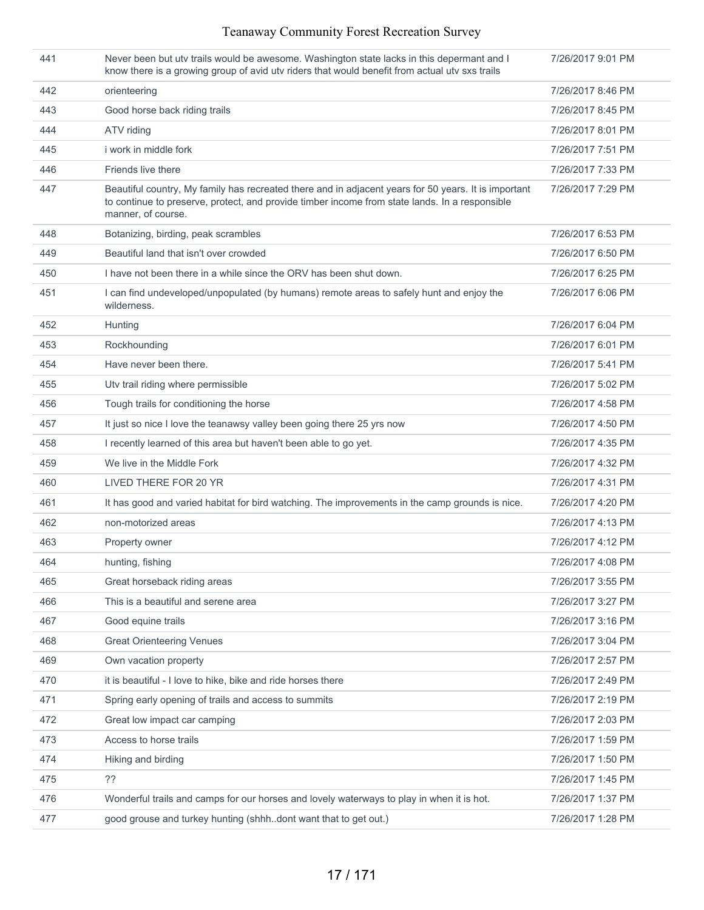| 441 | Never been but utv trails would be awesome. Washington state lacks in this depermant and I<br>know there is a growing group of avid utv riders that would benefit from actual utv sxs trails                                 | 7/26/2017 9:01 PM |
|-----|------------------------------------------------------------------------------------------------------------------------------------------------------------------------------------------------------------------------------|-------------------|
| 442 | orienteering                                                                                                                                                                                                                 | 7/26/2017 8:46 PM |
| 443 | Good horse back riding trails                                                                                                                                                                                                | 7/26/2017 8:45 PM |
| 444 | ATV riding                                                                                                                                                                                                                   | 7/26/2017 8:01 PM |
| 445 | i work in middle fork                                                                                                                                                                                                        | 7/26/2017 7:51 PM |
| 446 | Friends live there                                                                                                                                                                                                           | 7/26/2017 7:33 PM |
| 447 | Beautiful country, My family has recreated there and in adjacent years for 50 years. It is important<br>to continue to preserve, protect, and provide timber income from state lands. In a responsible<br>manner, of course. | 7/26/2017 7:29 PM |
| 448 | Botanizing, birding, peak scrambles                                                                                                                                                                                          | 7/26/2017 6:53 PM |
| 449 | Beautiful land that isn't over crowded                                                                                                                                                                                       | 7/26/2017 6:50 PM |
| 450 | I have not been there in a while since the ORV has been shut down.                                                                                                                                                           | 7/26/2017 6:25 PM |
| 451 | I can find undeveloped/unpopulated (by humans) remote areas to safely hunt and enjoy the<br>wilderness.                                                                                                                      | 7/26/2017 6:06 PM |
| 452 | Hunting                                                                                                                                                                                                                      | 7/26/2017 6:04 PM |
| 453 | Rockhounding                                                                                                                                                                                                                 | 7/26/2017 6:01 PM |
| 454 | Have never been there.                                                                                                                                                                                                       | 7/26/2017 5:41 PM |
| 455 | Utv trail riding where permissible                                                                                                                                                                                           | 7/26/2017 5:02 PM |
| 456 | Tough trails for conditioning the horse                                                                                                                                                                                      | 7/26/2017 4:58 PM |
| 457 | It just so nice I love the teanawsy valley been going there 25 yrs now                                                                                                                                                       | 7/26/2017 4:50 PM |
| 458 | I recently learned of this area but haven't been able to go yet.                                                                                                                                                             | 7/26/2017 4:35 PM |
| 459 | We live in the Middle Fork                                                                                                                                                                                                   | 7/26/2017 4:32 PM |
| 460 | LIVED THERE FOR 20 YR                                                                                                                                                                                                        | 7/26/2017 4:31 PM |
| 461 | It has good and varied habitat for bird watching. The improvements in the camp grounds is nice.                                                                                                                              | 7/26/2017 4:20 PM |
| 462 | non-motorized areas                                                                                                                                                                                                          | 7/26/2017 4:13 PM |
| 463 | Property owner                                                                                                                                                                                                               | 7/26/2017 4:12 PM |
| 464 | hunting, fishing                                                                                                                                                                                                             | 7/26/2017 4:08 PM |
| 465 | Great horseback riding areas                                                                                                                                                                                                 | 7/26/2017 3:55 PM |
| 466 | This is a beautiful and serene area                                                                                                                                                                                          | 7/26/2017 3:27 PM |
| 467 | Good equine trails                                                                                                                                                                                                           | 7/26/2017 3:16 PM |
| 468 | <b>Great Orienteering Venues</b>                                                                                                                                                                                             | 7/26/2017 3:04 PM |
| 469 | Own vacation property                                                                                                                                                                                                        | 7/26/2017 2:57 PM |
| 470 | it is beautiful - I love to hike, bike and ride horses there                                                                                                                                                                 | 7/26/2017 2:49 PM |
| 471 | Spring early opening of trails and access to summits                                                                                                                                                                         | 7/26/2017 2:19 PM |
| 472 | Great low impact car camping                                                                                                                                                                                                 | 7/26/2017 2:03 PM |
| 473 | Access to horse trails                                                                                                                                                                                                       | 7/26/2017 1:59 PM |
| 474 | Hiking and birding                                                                                                                                                                                                           | 7/26/2017 1:50 PM |
| 475 | ??                                                                                                                                                                                                                           | 7/26/2017 1:45 PM |
| 476 | Wonderful trails and camps for our horses and lovely waterways to play in when it is hot.                                                                                                                                    | 7/26/2017 1:37 PM |
| 477 | good grouse and turkey hunting (shhhdont want that to get out.)                                                                                                                                                              | 7/26/2017 1:28 PM |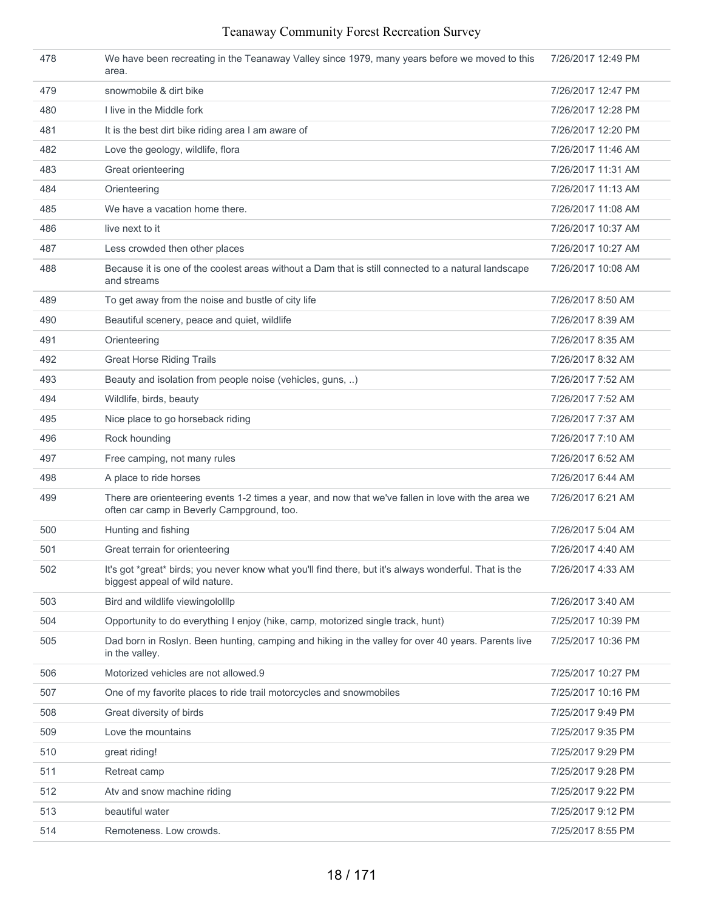| 478 | We have been recreating in the Teanaway Valley since 1979, many years before we moved to this<br>area.                                           | 7/26/2017 12:49 PM |
|-----|--------------------------------------------------------------------------------------------------------------------------------------------------|--------------------|
| 479 | snowmobile & dirt bike                                                                                                                           | 7/26/2017 12:47 PM |
| 480 | I live in the Middle fork                                                                                                                        | 7/26/2017 12:28 PM |
| 481 | It is the best dirt bike riding area I am aware of                                                                                               | 7/26/2017 12:20 PM |
| 482 | Love the geology, wildlife, flora                                                                                                                | 7/26/2017 11:46 AM |
| 483 | Great orienteering                                                                                                                               | 7/26/2017 11:31 AM |
| 484 | Orienteering                                                                                                                                     | 7/26/2017 11:13 AM |
| 485 | We have a vacation home there.                                                                                                                   | 7/26/2017 11:08 AM |
| 486 | live next to it                                                                                                                                  | 7/26/2017 10:37 AM |
| 487 | Less crowded then other places                                                                                                                   | 7/26/2017 10:27 AM |
| 488 | Because it is one of the coolest areas without a Dam that is still connected to a natural landscape<br>and streams                               | 7/26/2017 10:08 AM |
| 489 | To get away from the noise and bustle of city life                                                                                               | 7/26/2017 8:50 AM  |
| 490 | Beautiful scenery, peace and quiet, wildlife                                                                                                     | 7/26/2017 8:39 AM  |
| 491 | Orienteering                                                                                                                                     | 7/26/2017 8:35 AM  |
| 492 | <b>Great Horse Riding Trails</b>                                                                                                                 | 7/26/2017 8:32 AM  |
| 493 | Beauty and isolation from people noise (vehicles, guns, )                                                                                        | 7/26/2017 7:52 AM  |
| 494 | Wildlife, birds, beauty                                                                                                                          | 7/26/2017 7:52 AM  |
| 495 | Nice place to go horseback riding                                                                                                                | 7/26/2017 7:37 AM  |
| 496 | Rock hounding                                                                                                                                    | 7/26/2017 7:10 AM  |
| 497 | Free camping, not many rules                                                                                                                     | 7/26/2017 6:52 AM  |
| 498 | A place to ride horses                                                                                                                           | 7/26/2017 6:44 AM  |
| 499 | There are orienteering events 1-2 times a year, and now that we've fallen in love with the area we<br>often car camp in Beverly Campground, too. | 7/26/2017 6:21 AM  |
| 500 | Hunting and fishing                                                                                                                              | 7/26/2017 5:04 AM  |
| 501 | Great terrain for orienteering                                                                                                                   | 7/26/2017 4:40 AM  |
| 502 | It's got *great* birds; you never know what you'll find there, but it's always wonderful. That is the<br>biggest appeal of wild nature.          | 7/26/2017 4:33 AM  |
| 503 | Bird and wildlife viewingololllp                                                                                                                 | 7/26/2017 3:40 AM  |
| 504 | Opportunity to do everything I enjoy (hike, camp, motorized single track, hunt)                                                                  | 7/25/2017 10:39 PM |
| 505 | Dad born in Roslyn. Been hunting, camping and hiking in the valley for over 40 years. Parents live<br>in the valley.                             | 7/25/2017 10:36 PM |
| 506 | Motorized vehicles are not allowed.9                                                                                                             | 7/25/2017 10:27 PM |
| 507 | One of my favorite places to ride trail motorcycles and snowmobiles                                                                              | 7/25/2017 10:16 PM |
| 508 | Great diversity of birds                                                                                                                         | 7/25/2017 9:49 PM  |
| 509 | Love the mountains                                                                                                                               | 7/25/2017 9:35 PM  |
| 510 | great riding!                                                                                                                                    | 7/25/2017 9:29 PM  |
| 511 | Retreat camp                                                                                                                                     | 7/25/2017 9:28 PM  |
| 512 | Atv and snow machine riding                                                                                                                      | 7/25/2017 9:22 PM  |
| 513 | beautiful water                                                                                                                                  | 7/25/2017 9:12 PM  |
| 514 | Remoteness. Low crowds.                                                                                                                          | 7/25/2017 8:55 PM  |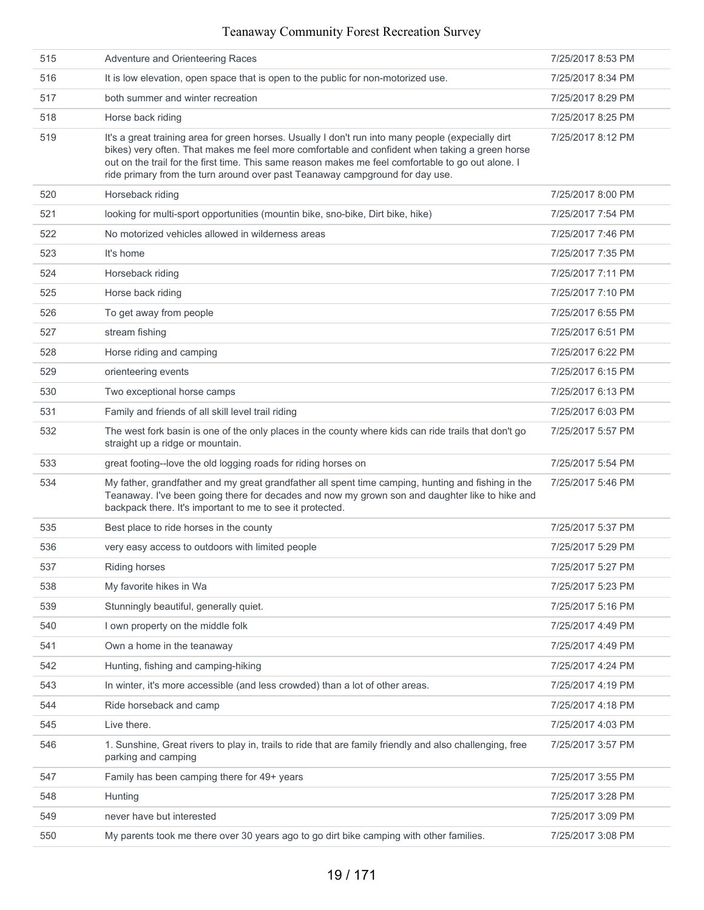| 515 | Adventure and Orienteering Races                                                                                                                                                                                                                                                                                                                                                           | 7/25/2017 8:53 PM |
|-----|--------------------------------------------------------------------------------------------------------------------------------------------------------------------------------------------------------------------------------------------------------------------------------------------------------------------------------------------------------------------------------------------|-------------------|
| 516 | It is low elevation, open space that is open to the public for non-motorized use.                                                                                                                                                                                                                                                                                                          | 7/25/2017 8:34 PM |
| 517 | both summer and winter recreation                                                                                                                                                                                                                                                                                                                                                          | 7/25/2017 8:29 PM |
| 518 | Horse back riding                                                                                                                                                                                                                                                                                                                                                                          | 7/25/2017 8:25 PM |
| 519 | It's a great training area for green horses. Usually I don't run into many people (expecially dirt<br>bikes) very often. That makes me feel more comfortable and confident when taking a green horse<br>out on the trail for the first time. This same reason makes me feel comfortable to go out alone. I<br>ride primary from the turn around over past Teanaway campground for day use. | 7/25/2017 8:12 PM |
| 520 | Horseback riding                                                                                                                                                                                                                                                                                                                                                                           | 7/25/2017 8:00 PM |
| 521 | looking for multi-sport opportunities (mountin bike, sno-bike, Dirt bike, hike)                                                                                                                                                                                                                                                                                                            | 7/25/2017 7:54 PM |
| 522 | No motorized vehicles allowed in wilderness areas                                                                                                                                                                                                                                                                                                                                          | 7/25/2017 7:46 PM |
| 523 | It's home                                                                                                                                                                                                                                                                                                                                                                                  | 7/25/2017 7:35 PM |
| 524 | Horseback riding                                                                                                                                                                                                                                                                                                                                                                           | 7/25/2017 7:11 PM |
| 525 | Horse back riding                                                                                                                                                                                                                                                                                                                                                                          | 7/25/2017 7:10 PM |
| 526 | To get away from people                                                                                                                                                                                                                                                                                                                                                                    | 7/25/2017 6:55 PM |
| 527 | stream fishing                                                                                                                                                                                                                                                                                                                                                                             | 7/25/2017 6:51 PM |
| 528 | Horse riding and camping                                                                                                                                                                                                                                                                                                                                                                   | 7/25/2017 6:22 PM |
| 529 | orienteering events                                                                                                                                                                                                                                                                                                                                                                        | 7/25/2017 6:15 PM |
| 530 | Two exceptional horse camps                                                                                                                                                                                                                                                                                                                                                                | 7/25/2017 6:13 PM |
| 531 | Family and friends of all skill level trail riding                                                                                                                                                                                                                                                                                                                                         | 7/25/2017 6:03 PM |
| 532 | The west fork basin is one of the only places in the county where kids can ride trails that don't go<br>straight up a ridge or mountain.                                                                                                                                                                                                                                                   | 7/25/2017 5:57 PM |
| 533 | great footing--love the old logging roads for riding horses on                                                                                                                                                                                                                                                                                                                             | 7/25/2017 5:54 PM |
| 534 | My father, grandfather and my great grandfather all spent time camping, hunting and fishing in the<br>Teanaway. I've been going there for decades and now my grown son and daughter like to hike and<br>backpack there. It's important to me to see it protected.                                                                                                                          | 7/25/2017 5:46 PM |
| 535 | Best place to ride horses in the county                                                                                                                                                                                                                                                                                                                                                    | 7/25/2017 5:37 PM |
| 536 | very easy access to outdoors with limited people                                                                                                                                                                                                                                                                                                                                           | 7/25/2017 5:29 PM |
| 537 | Riding horses                                                                                                                                                                                                                                                                                                                                                                              | 7/25/2017 5:27 PM |
| 538 | My favorite hikes in Wa                                                                                                                                                                                                                                                                                                                                                                    | 7/25/2017 5:23 PM |
| 539 | Stunningly beautiful, generally quiet.                                                                                                                                                                                                                                                                                                                                                     | 7/25/2017 5:16 PM |
| 540 | I own property on the middle folk                                                                                                                                                                                                                                                                                                                                                          | 7/25/2017 4:49 PM |
| 541 | Own a home in the teanaway                                                                                                                                                                                                                                                                                                                                                                 | 7/25/2017 4:49 PM |
| 542 | Hunting, fishing and camping-hiking                                                                                                                                                                                                                                                                                                                                                        | 7/25/2017 4:24 PM |
| 543 | In winter, it's more accessible (and less crowded) than a lot of other areas.                                                                                                                                                                                                                                                                                                              | 7/25/2017 4:19 PM |
| 544 | Ride horseback and camp                                                                                                                                                                                                                                                                                                                                                                    | 7/25/2017 4:18 PM |
| 545 | Live there.                                                                                                                                                                                                                                                                                                                                                                                | 7/25/2017 4:03 PM |
| 546 | 1. Sunshine, Great rivers to play in, trails to ride that are family friendly and also challenging, free<br>parking and camping                                                                                                                                                                                                                                                            | 7/25/2017 3:57 PM |
| 547 | Family has been camping there for 49+ years                                                                                                                                                                                                                                                                                                                                                | 7/25/2017 3:55 PM |
| 548 | Hunting                                                                                                                                                                                                                                                                                                                                                                                    | 7/25/2017 3:28 PM |
| 549 | never have but interested                                                                                                                                                                                                                                                                                                                                                                  | 7/25/2017 3:09 PM |
| 550 | My parents took me there over 30 years ago to go dirt bike camping with other families.                                                                                                                                                                                                                                                                                                    | 7/25/2017 3:08 PM |
|     |                                                                                                                                                                                                                                                                                                                                                                                            |                   |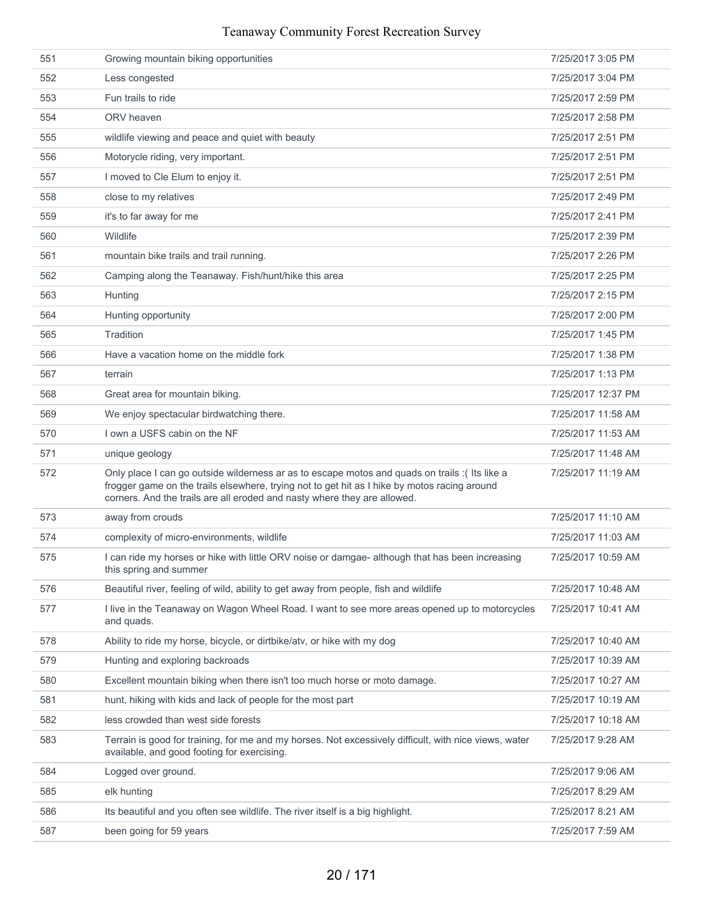| 551 | Growing mountain biking opportunities                                                                                                                                                                                                                                      | 7/25/2017 3:05 PM  |
|-----|----------------------------------------------------------------------------------------------------------------------------------------------------------------------------------------------------------------------------------------------------------------------------|--------------------|
| 552 | Less congested                                                                                                                                                                                                                                                             | 7/25/2017 3:04 PM  |
| 553 | Fun trails to ride                                                                                                                                                                                                                                                         | 7/25/2017 2:59 PM  |
| 554 | ORV heaven                                                                                                                                                                                                                                                                 | 7/25/2017 2:58 PM  |
| 555 | wildlife viewing and peace and quiet with beauty                                                                                                                                                                                                                           | 7/25/2017 2:51 PM  |
| 556 | Motorycle riding, very important.                                                                                                                                                                                                                                          | 7/25/2017 2:51 PM  |
| 557 | I moved to Cle Elum to enjoy it.                                                                                                                                                                                                                                           | 7/25/2017 2:51 PM  |
| 558 | close to my relatives                                                                                                                                                                                                                                                      | 7/25/2017 2:49 PM  |
| 559 | it's to far away for me                                                                                                                                                                                                                                                    | 7/25/2017 2:41 PM  |
| 560 | Wildlife                                                                                                                                                                                                                                                                   | 7/25/2017 2:39 PM  |
| 561 | mountain bike trails and trail running.                                                                                                                                                                                                                                    | 7/25/2017 2:26 PM  |
| 562 | Camping along the Teanaway. Fish/hunt/hike this area                                                                                                                                                                                                                       | 7/25/2017 2:25 PM  |
| 563 | Hunting                                                                                                                                                                                                                                                                    | 7/25/2017 2:15 PM  |
| 564 | Hunting opportunity                                                                                                                                                                                                                                                        | 7/25/2017 2:00 PM  |
| 565 | Tradition                                                                                                                                                                                                                                                                  | 7/25/2017 1:45 PM  |
| 566 | Have a vacation home on the middle fork                                                                                                                                                                                                                                    | 7/25/2017 1:38 PM  |
| 567 | terrain                                                                                                                                                                                                                                                                    | 7/25/2017 1:13 PM  |
| 568 | Great area for mountain biking.                                                                                                                                                                                                                                            | 7/25/2017 12:37 PM |
| 569 | We enjoy spectacular birdwatching there.                                                                                                                                                                                                                                   | 7/25/2017 11:58 AM |
| 570 | I own a USFS cabin on the NF                                                                                                                                                                                                                                               | 7/25/2017 11:53 AM |
| 571 | unique geology                                                                                                                                                                                                                                                             | 7/25/2017 11:48 AM |
| 572 | Only place I can go outside wilderness ar as to escape motos and quads on trails : (Its like a<br>frogger game on the trails elsewhere, trying not to get hit as I hike by motos racing around<br>corners. And the trails are all eroded and nasty where they are allowed. | 7/25/2017 11:19 AM |
| 573 | away from crouds                                                                                                                                                                                                                                                           | 7/25/2017 11:10 AM |
| 574 | complexity of micro-environments, wildlife                                                                                                                                                                                                                                 | 7/25/2017 11:03 AM |
| 575 | I can ride my horses or hike with little ORV noise or damgae- although that has been increasing<br>this spring and summer                                                                                                                                                  | 7/25/2017 10:59 AM |
| 576 | Beautiful river, feeling of wild, ability to get away from people, fish and wildlife                                                                                                                                                                                       | 7/25/2017 10:48 AM |
| 577 | I live in the Teanaway on Wagon Wheel Road. I want to see more areas opened up to motorcycles<br>and quads.                                                                                                                                                                | 7/25/2017 10:41 AM |
| 578 | Ability to ride my horse, bicycle, or dirtbike/atv, or hike with my dog                                                                                                                                                                                                    | 7/25/2017 10:40 AM |
| 579 | Hunting and exploring backroads                                                                                                                                                                                                                                            | 7/25/2017 10:39 AM |
| 580 | Excellent mountain biking when there isn't too much horse or moto damage.                                                                                                                                                                                                  | 7/25/2017 10:27 AM |
| 581 | hunt, hiking with kids and lack of people for the most part                                                                                                                                                                                                                | 7/25/2017 10:19 AM |
| 582 | less crowded than west side forests                                                                                                                                                                                                                                        | 7/25/2017 10:18 AM |
| 583 | Terrain is good for training, for me and my horses. Not excessively difficult, with nice views, water<br>available, and good footing for exercising.                                                                                                                       | 7/25/2017 9:28 AM  |
| 584 | Logged over ground.                                                                                                                                                                                                                                                        | 7/25/2017 9:06 AM  |
| 585 | elk hunting                                                                                                                                                                                                                                                                | 7/25/2017 8:29 AM  |
| 586 | Its beautiful and you often see wildlife. The river itself is a big highlight.                                                                                                                                                                                             | 7/25/2017 8:21 AM  |
| 587 | been going for 59 years                                                                                                                                                                                                                                                    | 7/25/2017 7:59 AM  |
|     |                                                                                                                                                                                                                                                                            |                    |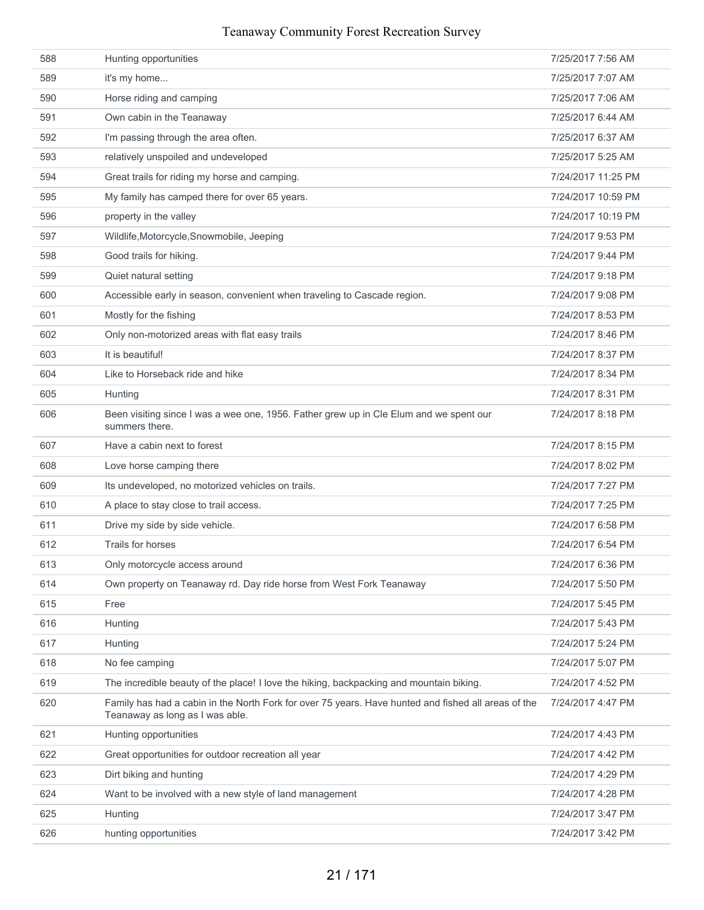| 588 | Hunting opportunities                                                                                                                  | 7/25/2017 7:56 AM  |
|-----|----------------------------------------------------------------------------------------------------------------------------------------|--------------------|
| 589 | it's my home                                                                                                                           | 7/25/2017 7:07 AM  |
| 590 | Horse riding and camping                                                                                                               | 7/25/2017 7:06 AM  |
| 591 | Own cabin in the Teanaway                                                                                                              | 7/25/2017 6:44 AM  |
| 592 | I'm passing through the area often.                                                                                                    | 7/25/2017 6:37 AM  |
| 593 | relatively unspoiled and undeveloped                                                                                                   | 7/25/2017 5:25 AM  |
| 594 | Great trails for riding my horse and camping.                                                                                          | 7/24/2017 11:25 PM |
| 595 | My family has camped there for over 65 years.                                                                                          | 7/24/2017 10:59 PM |
| 596 | property in the valley                                                                                                                 | 7/24/2017 10:19 PM |
| 597 | Wildlife, Motorcycle, Snowmobile, Jeeping                                                                                              | 7/24/2017 9:53 PM  |
| 598 | Good trails for hiking.                                                                                                                | 7/24/2017 9:44 PM  |
| 599 | Quiet natural setting                                                                                                                  | 7/24/2017 9:18 PM  |
| 600 | Accessible early in season, convenient when traveling to Cascade region.                                                               | 7/24/2017 9:08 PM  |
| 601 | Mostly for the fishing                                                                                                                 | 7/24/2017 8:53 PM  |
| 602 | Only non-motorized areas with flat easy trails                                                                                         | 7/24/2017 8:46 PM  |
| 603 | It is beautiful!                                                                                                                       | 7/24/2017 8:37 PM  |
| 604 | Like to Horseback ride and hike                                                                                                        | 7/24/2017 8:34 PM  |
| 605 | Hunting                                                                                                                                | 7/24/2017 8:31 PM  |
| 606 | Been visiting since I was a wee one, 1956. Father grew up in Cle Elum and we spent our<br>summers there.                               | 7/24/2017 8:18 PM  |
| 607 | Have a cabin next to forest                                                                                                            | 7/24/2017 8:15 PM  |
| 608 | Love horse camping there                                                                                                               | 7/24/2017 8:02 PM  |
| 609 | Its undeveloped, no motorized vehicles on trails.                                                                                      | 7/24/2017 7:27 PM  |
| 610 | A place to stay close to trail access.                                                                                                 | 7/24/2017 7:25 PM  |
| 611 | Drive my side by side vehicle.                                                                                                         | 7/24/2017 6:58 PM  |
| 612 | Trails for horses                                                                                                                      | 7/24/2017 6:54 PM  |
| 613 | Only motorcycle access around                                                                                                          | 7/24/2017 6:36 PM  |
| 614 | Own property on Teanaway rd. Day ride horse from West Fork Teanaway                                                                    | 7/24/2017 5:50 PM  |
| 615 | Free                                                                                                                                   | 7/24/2017 5:45 PM  |
| 616 | Hunting                                                                                                                                | 7/24/2017 5:43 PM  |
| 617 | Hunting                                                                                                                                | 7/24/2017 5:24 PM  |
| 618 | No fee camping                                                                                                                         | 7/24/2017 5:07 PM  |
| 619 | The incredible beauty of the place! I love the hiking, backpacking and mountain biking.                                                | 7/24/2017 4:52 PM  |
| 620 | Family has had a cabin in the North Fork for over 75 years. Have hunted and fished all areas of the<br>Teanaway as long as I was able. | 7/24/2017 4:47 PM  |
| 621 | Hunting opportunities                                                                                                                  | 7/24/2017 4:43 PM  |
| 622 | Great opportunities for outdoor recreation all year                                                                                    | 7/24/2017 4:42 PM  |
| 623 | Dirt biking and hunting                                                                                                                | 7/24/2017 4:29 PM  |
| 624 | Want to be involved with a new style of land management                                                                                | 7/24/2017 4:28 PM  |
| 625 | Hunting                                                                                                                                | 7/24/2017 3:47 PM  |
| 626 | hunting opportunities                                                                                                                  | 7/24/2017 3:42 PM  |
|     |                                                                                                                                        |                    |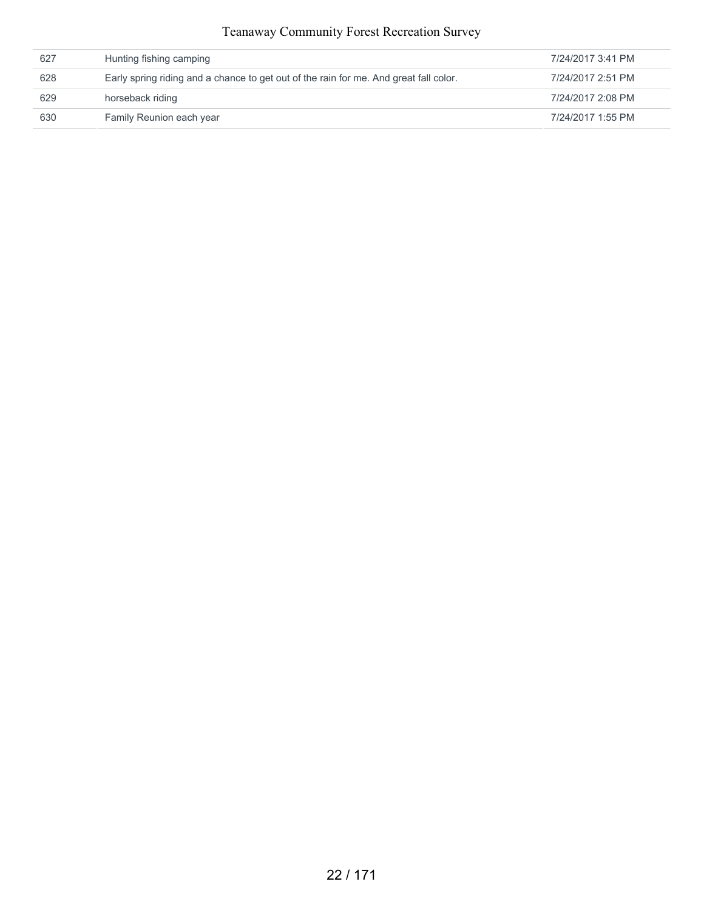| 627 | Hunting fishing camping                                                               | 7/24/2017 3:41 PM |
|-----|---------------------------------------------------------------------------------------|-------------------|
| 628 | Early spring riding and a chance to get out of the rain for me. And great fall color. | 7/24/2017 2:51 PM |
| 629 | horseback riding                                                                      | 7/24/2017 2:08 PM |
| 630 | Family Reunion each year                                                              | 7/24/2017 1:55 PM |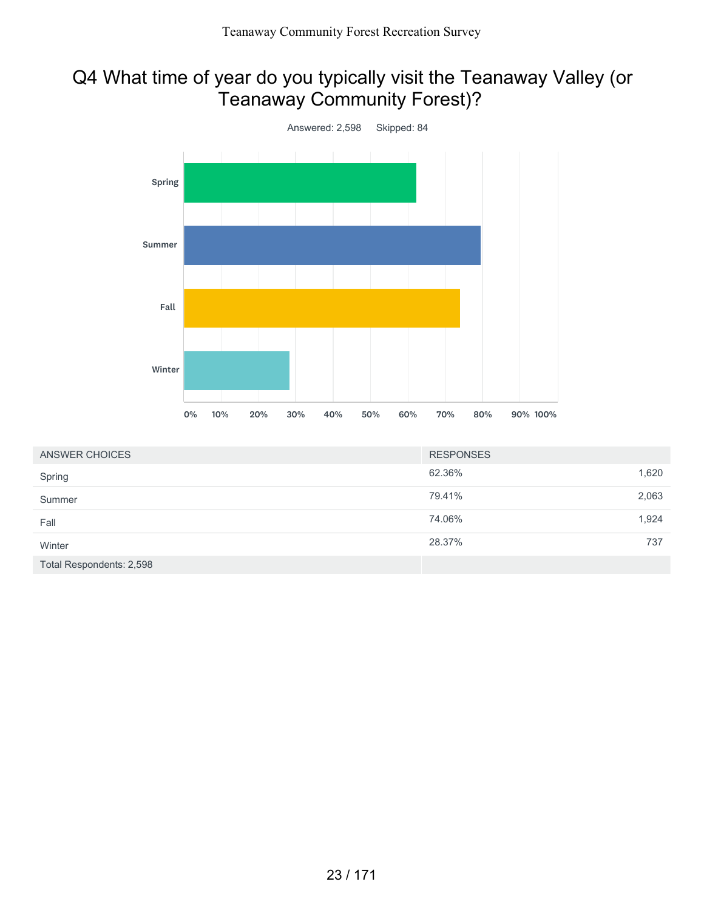# Q4 What time of year do you typically visit the Teanaway Valley (or Teanaway Community Forest)?



| ANSWER CHOICES           | <b>RESPONSES</b> |       |
|--------------------------|------------------|-------|
| Spring                   | 62.36%           | 1,620 |
| Summer                   | 79.41%           | 2,063 |
| Fall                     | 74.06%           | 1,924 |
| Winter                   | 28.37%           | 737   |
| Total Respondents: 2,598 |                  |       |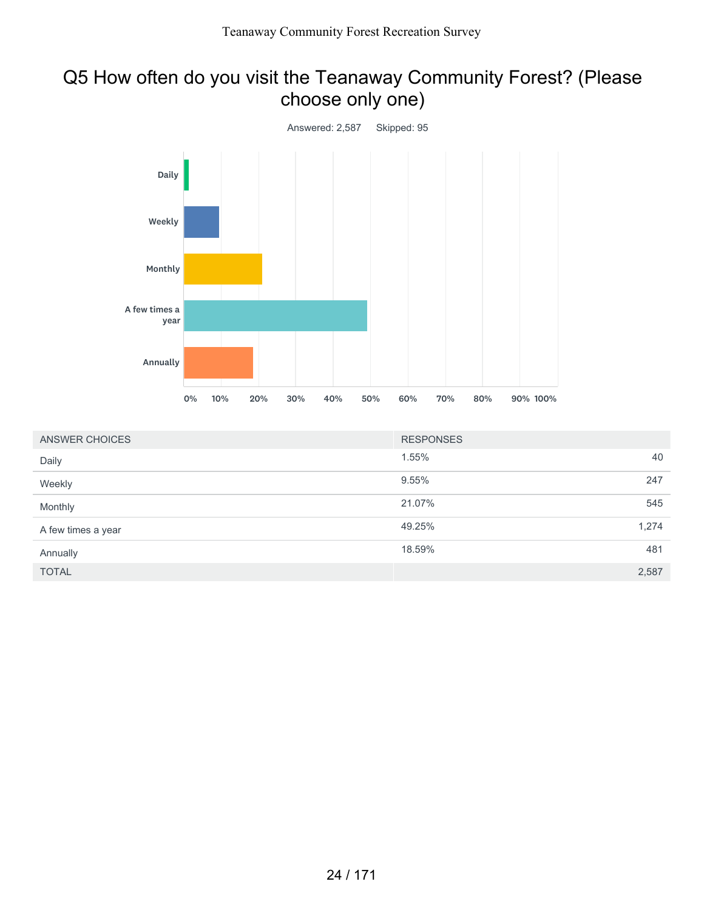## Q5 How often do you visit the Teanaway Community Forest? (Please choose only one)



| ANSWER CHOICES     | <b>RESPONSES</b> |       |
|--------------------|------------------|-------|
| Daily              | 1.55%            | 40    |
| Weekly             | 9.55%            | 247   |
| Monthly            | 21.07%           | 545   |
| A few times a year | 49.25%           | 1,274 |
| Annually           | 18.59%           | 481   |
| <b>TOTAL</b>       |                  | 2,587 |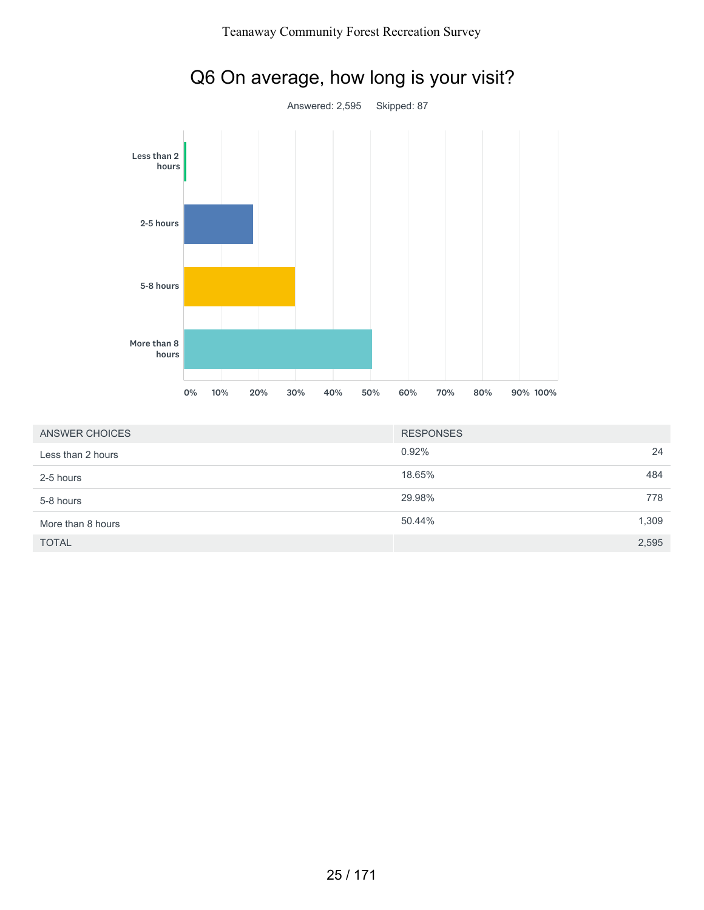

| ANSWER CHOICES    | <b>RESPONSES</b> |       |
|-------------------|------------------|-------|
| Less than 2 hours | 0.92%            | 24    |
| 2-5 hours         | 18.65%           | 484   |
| 5-8 hours         | 29.98%           | 778   |
| More than 8 hours | 50.44%           | 1,309 |
| <b>TOTAL</b>      |                  | 2,595 |

## 25 / 171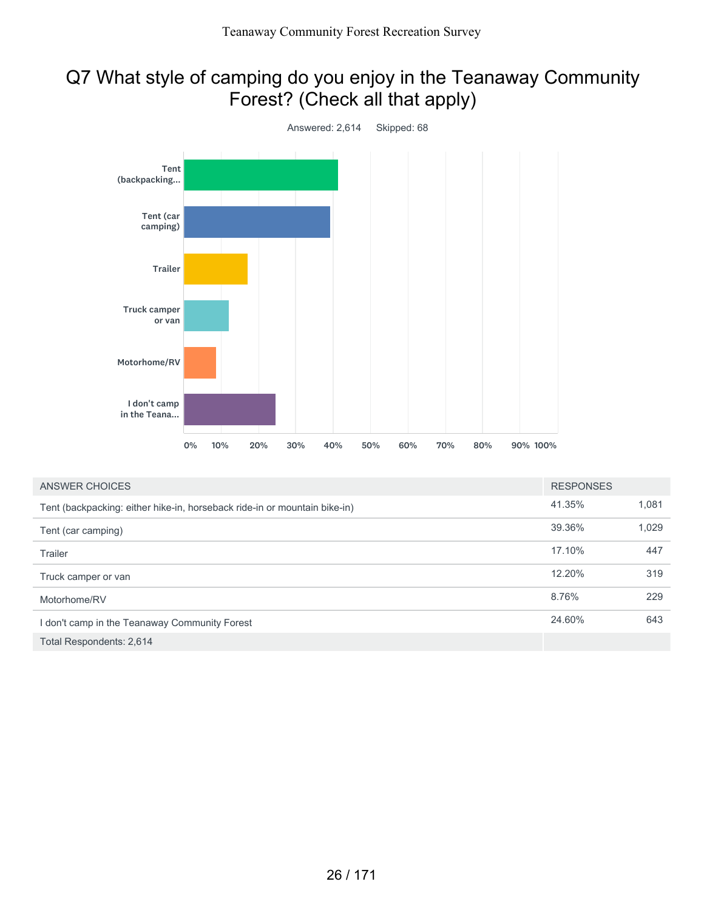# Q7 What style of camping do you enjoy in the Teanaway Community Forest? (Check all that apply)



| ANSWER CHOICES                                                            | <b>RESPONSES</b> |       |
|---------------------------------------------------------------------------|------------------|-------|
| Tent (backpacking: either hike-in, horseback ride-in or mountain bike-in) | 41.35%           | 1,081 |
| Tent (car camping)                                                        | 39.36%           | 1,029 |
| Trailer                                                                   | 17.10%           | 447   |
| Truck camper or van                                                       | 12.20%           | 319   |
| Motorhome/RV                                                              | 8.76%            | 229   |
| I don't camp in the Teanaway Community Forest                             | 24.60%           | 643   |
| Total Respondents: 2,614                                                  |                  |       |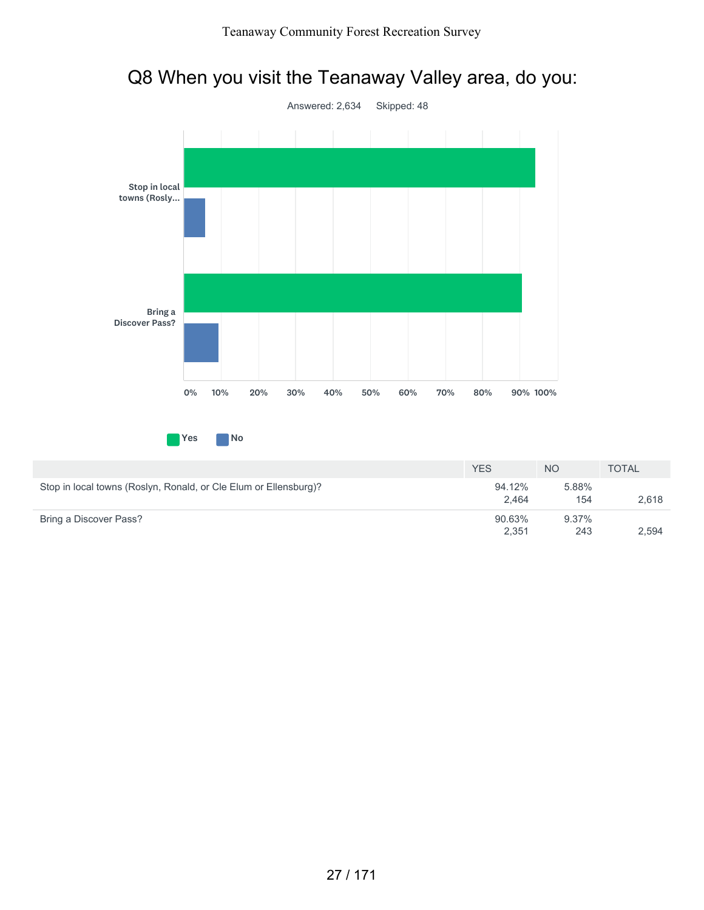# Q8 When you visit the Teanaway Valley area, do you:



|                                                                  | <b>YES</b>      | <b>NO</b>    | <b>TOTAL</b> |
|------------------------------------------------------------------|-----------------|--------------|--------------|
| Stop in local towns (Roslyn, Ronald, or Cle Elum or Ellensburg)? | 94.12%<br>2.464 | 5.88%<br>154 | 2.618        |
| Bring a Discover Pass?                                           | 90.63%<br>2.351 | 9.37%<br>243 | 2.594        |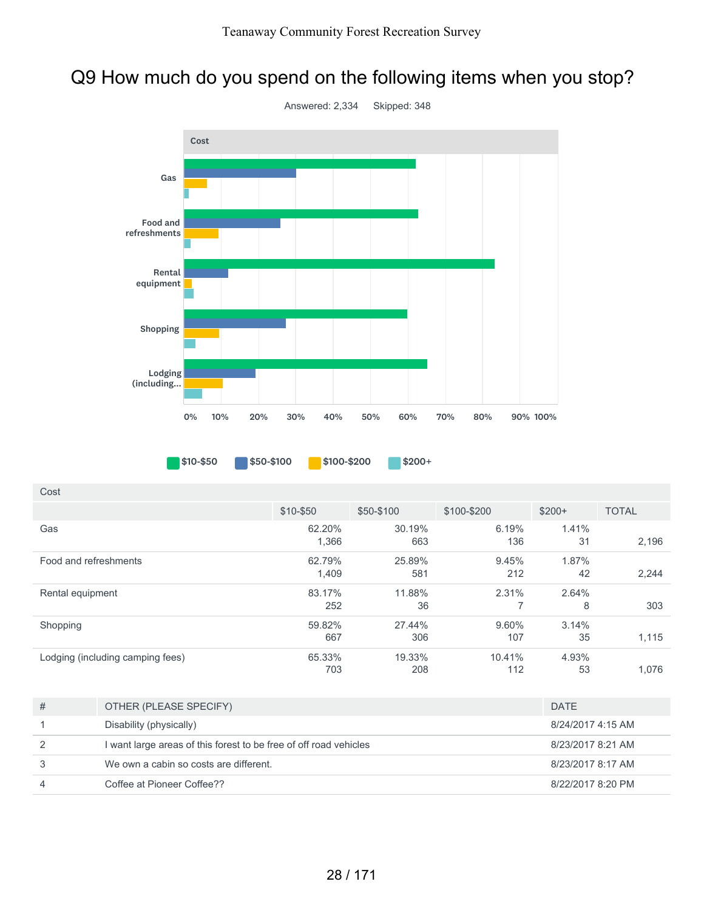# Q9 How much do you spend on the following items when you stop?



\$10-\$50 \$50-\$100 \$100-\$200 \$200+

| Cost                             |                 |               |               |             |              |
|----------------------------------|-----------------|---------------|---------------|-------------|--------------|
|                                  | \$10-\$50       | \$50-\$100    | \$100-\$200   | $$200+$     | <b>TOTAL</b> |
| Gas                              | 62.20%<br>1,366 | 30.19%<br>663 | 6.19%<br>136  | 1.41%<br>31 | 2,196        |
| Food and refreshments            | 62.79%<br>1,409 | 25.89%<br>581 | 9.45%<br>212  | 1.87%<br>42 | 2,244        |
| Rental equipment                 | 83.17%<br>252   | 11.88%<br>36  | 2.31%         | 2.64%<br>8  | 303          |
| Shopping                         | 59.82%<br>667   | 27.44%<br>306 | 9.60%<br>107  | 3.14%<br>35 | 1,115        |
| Lodging (including camping fees) | 65.33%<br>703   | 19.33%<br>208 | 10.41%<br>112 | 4.93%<br>53 | 1,076        |

| # | OTHER (PLEASE SPECIFY)                                            | <b>DATE</b>       |
|---|-------------------------------------------------------------------|-------------------|
|   | Disability (physically)                                           | 8/24/2017 4:15 AM |
| 2 | I want large areas of this forest to be free of off road vehicles | 8/23/2017 8:21 AM |
| 3 | We own a cabin so costs are different.                            | 8/23/2017 8:17 AM |
| 4 | Coffee at Pioneer Coffee??                                        | 8/22/2017 8:20 PM |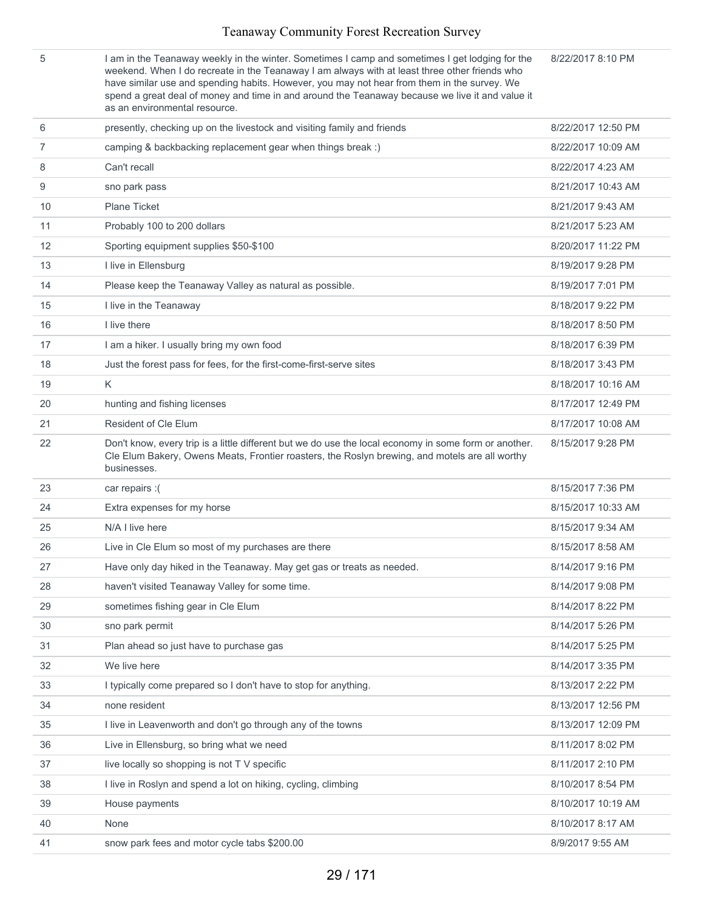|    | I am in the Teanaway weekly in the winter. Sometimes I camp and sometimes I get lodging for the<br>weekend. When I do recreate in the Teanaway I am always with at least three other friends who<br>have similar use and spending habits. However, you may not hear from them in the survey. We<br>spend a great deal of money and time in and around the Teanaway because we live it and value it<br>as an environmental resource. | 8/22/2017 8:10 PM  |
|----|-------------------------------------------------------------------------------------------------------------------------------------------------------------------------------------------------------------------------------------------------------------------------------------------------------------------------------------------------------------------------------------------------------------------------------------|--------------------|
| 6  | presently, checking up on the livestock and visiting family and friends                                                                                                                                                                                                                                                                                                                                                             | 8/22/2017 12:50 PM |
| 7  | camping & backbacking replacement gear when things break :)                                                                                                                                                                                                                                                                                                                                                                         | 8/22/2017 10:09 AM |
| 8  | Can't recall                                                                                                                                                                                                                                                                                                                                                                                                                        | 8/22/2017 4:23 AM  |
| 9  | sno park pass                                                                                                                                                                                                                                                                                                                                                                                                                       | 8/21/2017 10:43 AM |
| 10 | <b>Plane Ticket</b>                                                                                                                                                                                                                                                                                                                                                                                                                 | 8/21/2017 9:43 AM  |
| 11 | Probably 100 to 200 dollars                                                                                                                                                                                                                                                                                                                                                                                                         | 8/21/2017 5:23 AM  |
| 12 | Sporting equipment supplies \$50-\$100                                                                                                                                                                                                                                                                                                                                                                                              | 8/20/2017 11:22 PM |
| 13 | I live in Ellensburg                                                                                                                                                                                                                                                                                                                                                                                                                | 8/19/2017 9:28 PM  |
| 14 | Please keep the Teanaway Valley as natural as possible.                                                                                                                                                                                                                                                                                                                                                                             | 8/19/2017 7:01 PM  |
| 15 | I live in the Teanaway                                                                                                                                                                                                                                                                                                                                                                                                              | 8/18/2017 9:22 PM  |
| 16 | I live there                                                                                                                                                                                                                                                                                                                                                                                                                        | 8/18/2017 8:50 PM  |
| 17 | I am a hiker. I usually bring my own food                                                                                                                                                                                                                                                                                                                                                                                           | 8/18/2017 6:39 PM  |
| 18 | Just the forest pass for fees, for the first-come-first-serve sites                                                                                                                                                                                                                                                                                                                                                                 | 8/18/2017 3:43 PM  |
| 19 | K                                                                                                                                                                                                                                                                                                                                                                                                                                   | 8/18/2017 10:16 AM |
| 20 | hunting and fishing licenses                                                                                                                                                                                                                                                                                                                                                                                                        | 8/17/2017 12:49 PM |
| 21 | <b>Resident of Cle Elum</b>                                                                                                                                                                                                                                                                                                                                                                                                         | 8/17/2017 10:08 AM |
| 22 | Don't know, every trip is a little different but we do use the local economy in some form or another.<br>Cle Elum Bakery, Owens Meats, Frontier roasters, the Roslyn brewing, and motels are all worthy<br>businesses.                                                                                                                                                                                                              | 8/15/2017 9:28 PM  |
|    |                                                                                                                                                                                                                                                                                                                                                                                                                                     |                    |
| 23 | car repairs :(                                                                                                                                                                                                                                                                                                                                                                                                                      | 8/15/2017 7:36 PM  |
| 24 | Extra expenses for my horse                                                                                                                                                                                                                                                                                                                                                                                                         | 8/15/2017 10:33 AM |
| 25 | N/A I live here                                                                                                                                                                                                                                                                                                                                                                                                                     | 8/15/2017 9:34 AM  |
| 26 | Live in Cle Elum so most of my purchases are there                                                                                                                                                                                                                                                                                                                                                                                  | 8/15/2017 8:58 AM  |
| 27 | Have only day hiked in the Teanaway. May get gas or treats as needed.                                                                                                                                                                                                                                                                                                                                                               | 8/14/2017 9:16 PM  |
| 28 | haven't visited Teanaway Valley for some time.                                                                                                                                                                                                                                                                                                                                                                                      | 8/14/2017 9:08 PM  |
| 29 | sometimes fishing gear in Cle Elum                                                                                                                                                                                                                                                                                                                                                                                                  | 8/14/2017 8:22 PM  |
| 30 | sno park permit                                                                                                                                                                                                                                                                                                                                                                                                                     | 8/14/2017 5:26 PM  |
| 31 | Plan ahead so just have to purchase gas                                                                                                                                                                                                                                                                                                                                                                                             | 8/14/2017 5:25 PM  |
| 32 | We live here                                                                                                                                                                                                                                                                                                                                                                                                                        | 8/14/2017 3:35 PM  |
| 33 | I typically come prepared so I don't have to stop for anything.                                                                                                                                                                                                                                                                                                                                                                     | 8/13/2017 2:22 PM  |
| 34 | none resident                                                                                                                                                                                                                                                                                                                                                                                                                       | 8/13/2017 12:56 PM |
| 35 | I live in Leavenworth and don't go through any of the towns                                                                                                                                                                                                                                                                                                                                                                         | 8/13/2017 12:09 PM |
| 36 | Live in Ellensburg, so bring what we need                                                                                                                                                                                                                                                                                                                                                                                           | 8/11/2017 8:02 PM  |
| 37 | live locally so shopping is not TV specific                                                                                                                                                                                                                                                                                                                                                                                         | 8/11/2017 2:10 PM  |
| 38 | I live in Roslyn and spend a lot on hiking, cycling, climbing                                                                                                                                                                                                                                                                                                                                                                       | 8/10/2017 8:54 PM  |
| 39 | House payments                                                                                                                                                                                                                                                                                                                                                                                                                      | 8/10/2017 10:19 AM |
| 40 | None                                                                                                                                                                                                                                                                                                                                                                                                                                | 8/10/2017 8:17 AM  |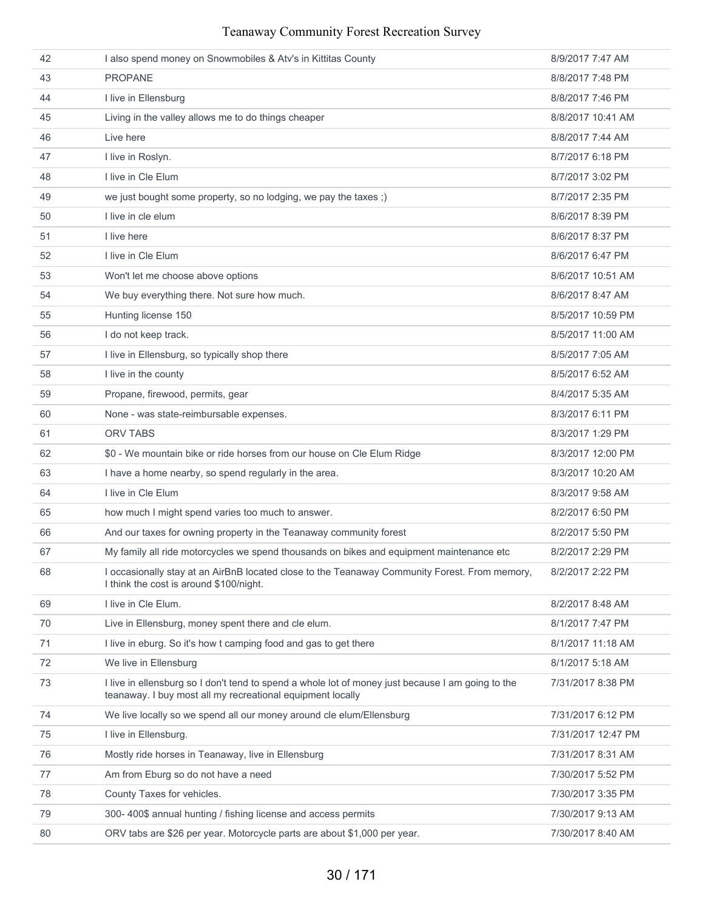| 42 | I also spend money on Snowmobiles & Atv's in Kittitas County                                                                                                    | 8/9/2017 7:47 AM   |
|----|-----------------------------------------------------------------------------------------------------------------------------------------------------------------|--------------------|
| 43 | <b>PROPANE</b>                                                                                                                                                  | 8/8/2017 7:48 PM   |
| 44 | I live in Ellensburg                                                                                                                                            | 8/8/2017 7:46 PM   |
| 45 | Living in the valley allows me to do things cheaper                                                                                                             | 8/8/2017 10:41 AM  |
| 46 | Live here                                                                                                                                                       | 8/8/2017 7:44 AM   |
| 47 | I live in Roslyn.                                                                                                                                               | 8/7/2017 6:18 PM   |
| 48 | I live in Cle Elum                                                                                                                                              | 8/7/2017 3:02 PM   |
| 49 | we just bought some property, so no lodging, we pay the taxes;)                                                                                                 | 8/7/2017 2:35 PM   |
| 50 | I live in cle elum                                                                                                                                              | 8/6/2017 8:39 PM   |
| 51 | I live here                                                                                                                                                     | 8/6/2017 8:37 PM   |
| 52 | I live in Cle Elum                                                                                                                                              | 8/6/2017 6:47 PM   |
| 53 | Won't let me choose above options                                                                                                                               | 8/6/2017 10:51 AM  |
| 54 | We buy everything there. Not sure how much.                                                                                                                     | 8/6/2017 8:47 AM   |
| 55 | Hunting license 150                                                                                                                                             | 8/5/2017 10:59 PM  |
| 56 | I do not keep track.                                                                                                                                            | 8/5/2017 11:00 AM  |
| 57 | I live in Ellensburg, so typically shop there                                                                                                                   | 8/5/2017 7:05 AM   |
| 58 | I live in the county                                                                                                                                            | 8/5/2017 6:52 AM   |
| 59 | Propane, firewood, permits, gear                                                                                                                                | 8/4/2017 5:35 AM   |
| 60 | None - was state-reimbursable expenses.                                                                                                                         | 8/3/2017 6:11 PM   |
| 61 | <b>ORV TABS</b>                                                                                                                                                 | 8/3/2017 1:29 PM   |
| 62 | \$0 - We mountain bike or ride horses from our house on Cle Elum Ridge                                                                                          | 8/3/2017 12:00 PM  |
| 63 | I have a home nearby, so spend regularly in the area.                                                                                                           | 8/3/2017 10:20 AM  |
| 64 | I live in Cle Elum                                                                                                                                              | 8/3/2017 9:58 AM   |
| 65 | how much I might spend varies too much to answer.                                                                                                               | 8/2/2017 6:50 PM   |
| 66 | And our taxes for owning property in the Teanaway community forest                                                                                              | 8/2/2017 5:50 PM   |
| 67 | My family all ride motorcycles we spend thousands on bikes and equipment maintenance etc                                                                        | 8/2/2017 2:29 PM   |
| 68 | I occasionally stay at an AirBnB located close to the Teanaway Community Forest. From memory,<br>I think the cost is around \$100/night.                        | 8/2/2017 2:22 PM   |
| 69 | I live in Cle Elum.                                                                                                                                             | 8/2/2017 8:48 AM   |
| 70 | Live in Ellensburg, money spent there and cle elum.                                                                                                             | 8/1/2017 7:47 PM   |
| 71 | I live in eburg. So it's how t camping food and gas to get there                                                                                                | 8/1/2017 11:18 AM  |
| 72 | We live in Ellensburg                                                                                                                                           | 8/1/2017 5:18 AM   |
| 73 | I live in ellensburg so I don't tend to spend a whole lot of money just because I am going to the<br>teanaway. I buy most all my recreational equipment locally | 7/31/2017 8:38 PM  |
| 74 | We live locally so we spend all our money around cle elum/Ellensburg                                                                                            | 7/31/2017 6:12 PM  |
| 75 | I live in Ellensburg.                                                                                                                                           | 7/31/2017 12:47 PM |
| 76 | Mostly ride horses in Teanaway, live in Ellensburg                                                                                                              | 7/31/2017 8:31 AM  |
| 77 | Am from Eburg so do not have a need                                                                                                                             | 7/30/2017 5:52 PM  |
| 78 | County Taxes for vehicles.                                                                                                                                      | 7/30/2017 3:35 PM  |
| 79 | 300-400\$ annual hunting / fishing license and access permits                                                                                                   | 7/30/2017 9:13 AM  |
| 80 | ORV tabs are \$26 per year. Motorcycle parts are about \$1,000 per year.                                                                                        | 7/30/2017 8:40 AM  |
|    |                                                                                                                                                                 |                    |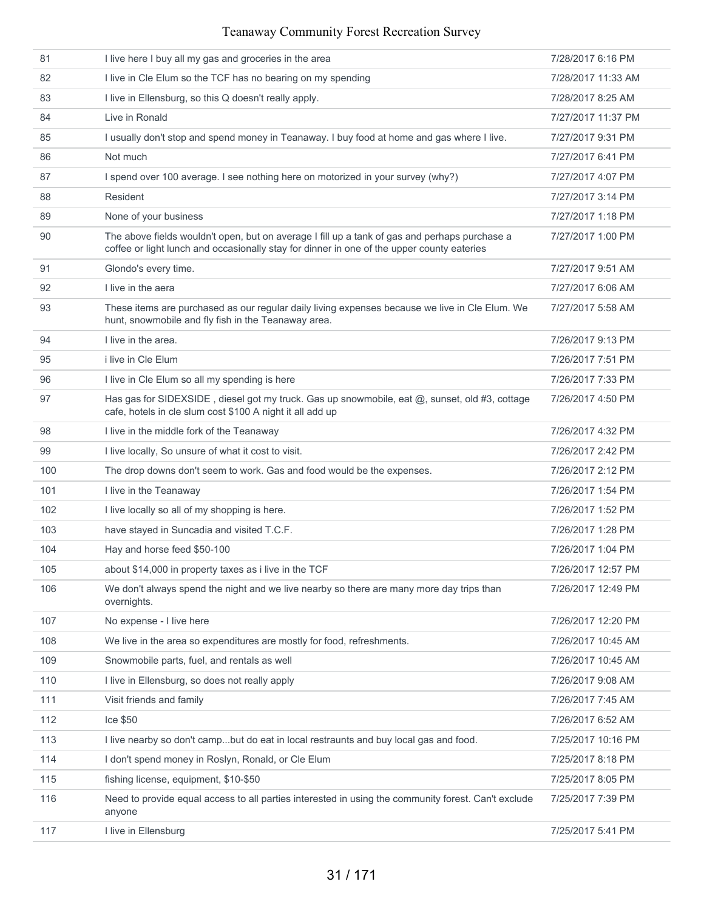| 81  | I live here I buy all my gas and groceries in the area                                                                                                                                      | 7/28/2017 6:16 PM  |
|-----|---------------------------------------------------------------------------------------------------------------------------------------------------------------------------------------------|--------------------|
| 82  | I live in Cle Elum so the TCF has no bearing on my spending                                                                                                                                 | 7/28/2017 11:33 AM |
| 83  | I live in Ellensburg, so this Q doesn't really apply.                                                                                                                                       | 7/28/2017 8:25 AM  |
| 84  | Live in Ronald                                                                                                                                                                              | 7/27/2017 11:37 PM |
| 85  | I usually don't stop and spend money in Teanaway. I buy food at home and gas where I live.                                                                                                  | 7/27/2017 9:31 PM  |
| 86  | Not much                                                                                                                                                                                    | 7/27/2017 6:41 PM  |
| 87  | I spend over 100 average. I see nothing here on motorized in your survey (why?)                                                                                                             | 7/27/2017 4:07 PM  |
| 88  | Resident                                                                                                                                                                                    | 7/27/2017 3:14 PM  |
| 89  | None of your business                                                                                                                                                                       | 7/27/2017 1:18 PM  |
| 90  | The above fields wouldn't open, but on average I fill up a tank of gas and perhaps purchase a<br>coffee or light lunch and occasionally stay for dinner in one of the upper county eateries | 7/27/2017 1:00 PM  |
| 91  | Glondo's every time.                                                                                                                                                                        | 7/27/2017 9:51 AM  |
| 92  | I live in the aera                                                                                                                                                                          | 7/27/2017 6:06 AM  |
| 93  | These items are purchased as our regular daily living expenses because we live in Cle Elum. We<br>hunt, snowmobile and fly fish in the Teanaway area.                                       | 7/27/2017 5:58 AM  |
| 94  | I live in the area.                                                                                                                                                                         | 7/26/2017 9:13 PM  |
| 95  | <i>i</i> live in Cle Elum                                                                                                                                                                   | 7/26/2017 7:51 PM  |
| 96  | I live in Cle Elum so all my spending is here                                                                                                                                               | 7/26/2017 7:33 PM  |
| 97  | Has gas for SIDEXSIDE, diesel got my truck. Gas up snowmobile, eat @, sunset, old #3, cottage<br>cafe, hotels in cle slum cost \$100 A night it all add up                                  | 7/26/2017 4:50 PM  |
| 98  | I live in the middle fork of the Teanaway                                                                                                                                                   | 7/26/2017 4:32 PM  |
| 99  | I live locally, So unsure of what it cost to visit.                                                                                                                                         | 7/26/2017 2:42 PM  |
| 100 | The drop downs don't seem to work. Gas and food would be the expenses.                                                                                                                      | 7/26/2017 2:12 PM  |
| 101 | I live in the Teanaway                                                                                                                                                                      | 7/26/2017 1:54 PM  |
| 102 | I live locally so all of my shopping is here.                                                                                                                                               | 7/26/2017 1:52 PM  |
| 103 | have stayed in Suncadia and visited T.C.F.                                                                                                                                                  | 7/26/2017 1:28 PM  |
| 104 | Hay and horse feed \$50-100                                                                                                                                                                 | 7/26/2017 1:04 PM  |
| 105 | about \$14,000 in property taxes as i live in the TCF                                                                                                                                       | 7/26/2017 12:57 PM |
| 106 | We don't always spend the night and we live nearby so there are many more day trips than<br>overnights.                                                                                     | 7/26/2017 12:49 PM |
| 107 | No expense - I live here                                                                                                                                                                    | 7/26/2017 12:20 PM |
| 108 | We live in the area so expenditures are mostly for food, refreshments.                                                                                                                      | 7/26/2017 10:45 AM |
| 109 | Snowmobile parts, fuel, and rentals as well                                                                                                                                                 | 7/26/2017 10:45 AM |
| 110 | I live in Ellensburg, so does not really apply                                                                                                                                              | 7/26/2017 9:08 AM  |
| 111 | Visit friends and family                                                                                                                                                                    | 7/26/2017 7:45 AM  |
| 112 | Ice \$50                                                                                                                                                                                    | 7/26/2017 6:52 AM  |
| 113 | I live nearby so don't campbut do eat in local restraunts and buy local gas and food.                                                                                                       | 7/25/2017 10:16 PM |
| 114 | I don't spend money in Roslyn, Ronald, or Cle Elum                                                                                                                                          | 7/25/2017 8:18 PM  |
| 115 | fishing license, equipment, \$10-\$50                                                                                                                                                       | 7/25/2017 8:05 PM  |
| 116 | Need to provide equal access to all parties interested in using the community forest. Can't exclude<br>anyone                                                                               | 7/25/2017 7:39 PM  |
| 117 | I live in Ellensburg                                                                                                                                                                        | 7/25/2017 5:41 PM  |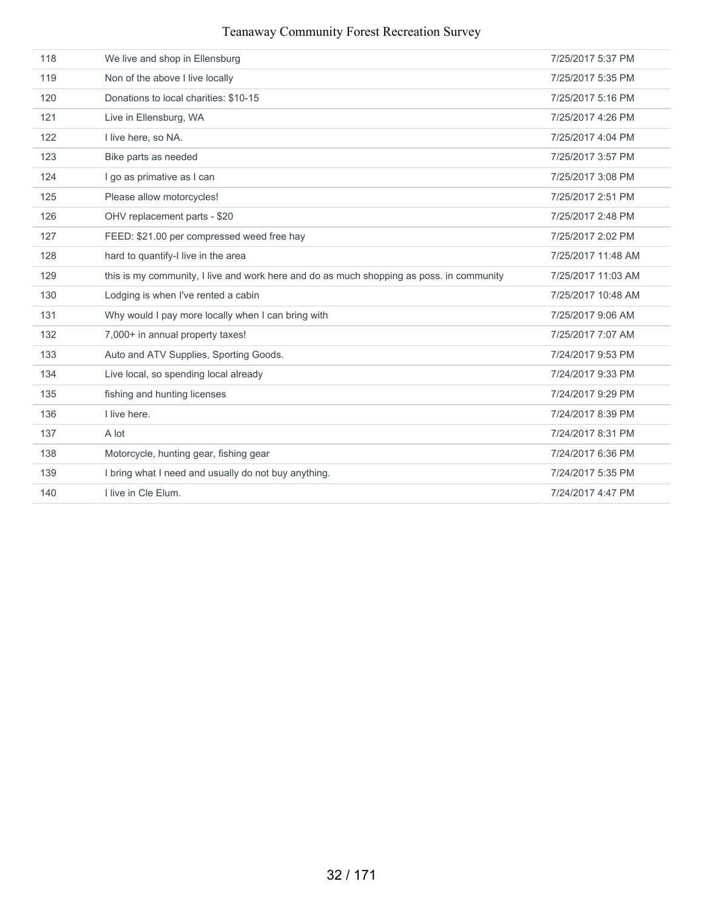| 118 | We live and shop in Ellensburg                                                           | 7/25/2017 5:37 PM  |
|-----|------------------------------------------------------------------------------------------|--------------------|
| 119 | Non of the above I live locally                                                          | 7/25/2017 5:35 PM  |
| 120 | Donations to local charities: \$10-15                                                    | 7/25/2017 5:16 PM  |
| 121 | Live in Ellensburg, WA                                                                   | 7/25/2017 4:26 PM  |
| 122 | I live here, so NA.                                                                      | 7/25/2017 4:04 PM  |
| 123 | Bike parts as needed                                                                     | 7/25/2017 3:57 PM  |
| 124 | I go as primative as I can                                                               | 7/25/2017 3:08 PM  |
| 125 | Please allow motorcycles!                                                                | 7/25/2017 2:51 PM  |
| 126 | OHV replacement parts - \$20                                                             | 7/25/2017 2:48 PM  |
| 127 | FEED: \$21.00 per compressed weed free hay                                               | 7/25/2017 2:02 PM  |
| 128 | hard to quantify-I live in the area                                                      | 7/25/2017 11:48 AM |
| 129 | this is my community, I live and work here and do as much shopping as poss. in community | 7/25/2017 11:03 AM |
| 130 | Lodging is when I've rented a cabin                                                      | 7/25/2017 10:48 AM |
| 131 | Why would I pay more locally when I can bring with                                       | 7/25/2017 9:06 AM  |
| 132 | 7,000+ in annual property taxes!                                                         | 7/25/2017 7:07 AM  |
| 133 | Auto and ATV Supplies, Sporting Goods.                                                   | 7/24/2017 9:53 PM  |
| 134 | Live local, so spending local already                                                    | 7/24/2017 9:33 PM  |
| 135 | fishing and hunting licenses                                                             | 7/24/2017 9:29 PM  |
| 136 | I live here.                                                                             | 7/24/2017 8:39 PM  |
| 137 | A lot                                                                                    | 7/24/2017 8:31 PM  |
| 138 | Motorcycle, hunting gear, fishing gear                                                   | 7/24/2017 6:36 PM  |
| 139 | I bring what I need and usually do not buy anything.                                     | 7/24/2017 5:35 PM  |
| 140 | I live in Cle Elum.                                                                      | 7/24/2017 4:47 PM  |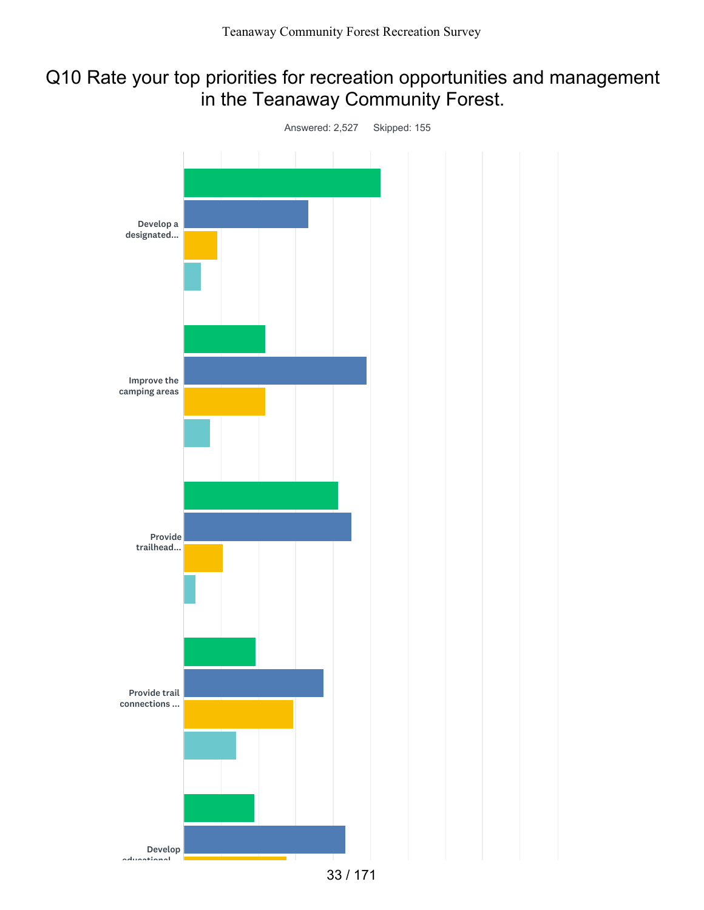## Q10 Rate your top priorities for recreation opportunities and management in the Teanaway Community Forest.

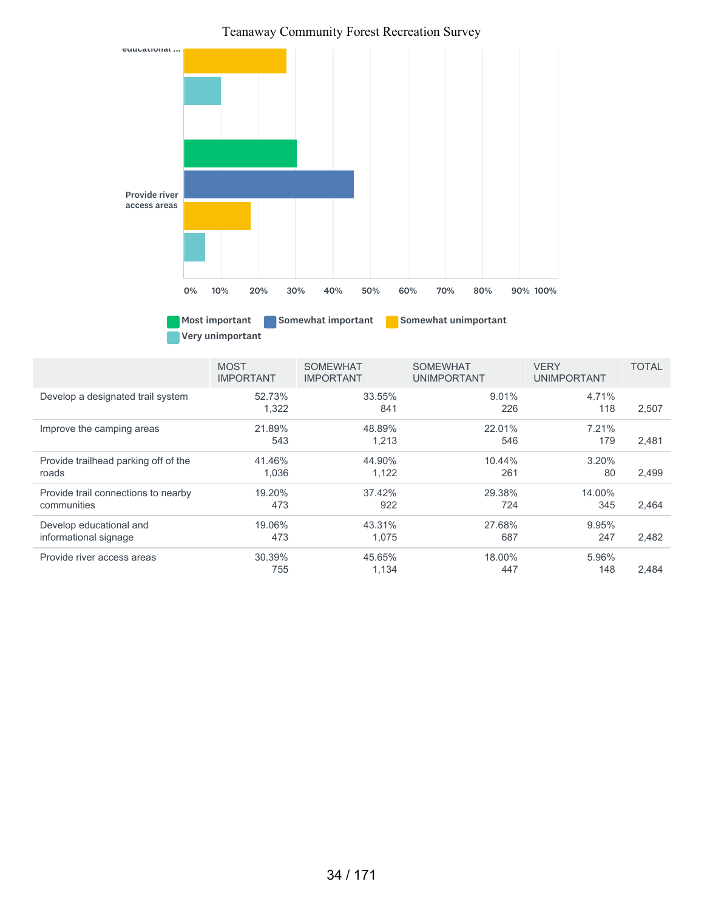

#### 52.73% 1,322 33.55% 841 9.01% 226 4.71% 118 2,507 21.89% 543 48.89% 1,213 22.01% 546 7.21% 179 2,481 41.46% 1,036 44.90% 1,122 10.44% 261 3.20% 80 2,499 19.20% 473 37.42% 922 29.38% 724 14.00% 345 2,464 19.06% 473 43.31% 1,075 27.68% 687 9.95% 247 2,482 30.39% 755 45.65% 1,134 18.00% 447 5.96% 148 2,484 MOST IMPORTANT SOMEWHAT IMPORTANT SOMEWHAT UNIMPORTANT VERY UNIMPORTANT TOTAL Develop a designated trail system Improve the camping areas Provide trailhead parking off of the roads Provide trail connections to nearby communities Develop educational and informational signage Provide river access areas

#### 34 / 171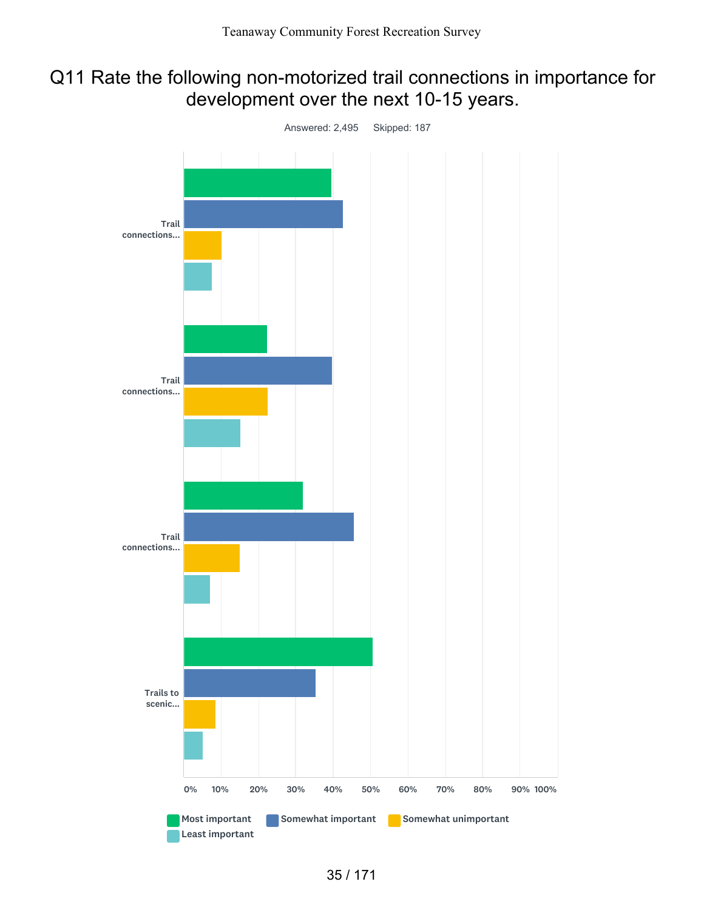## Q11 Rate the following non-motorized trail connections in importance for development over the next 10-15 years.

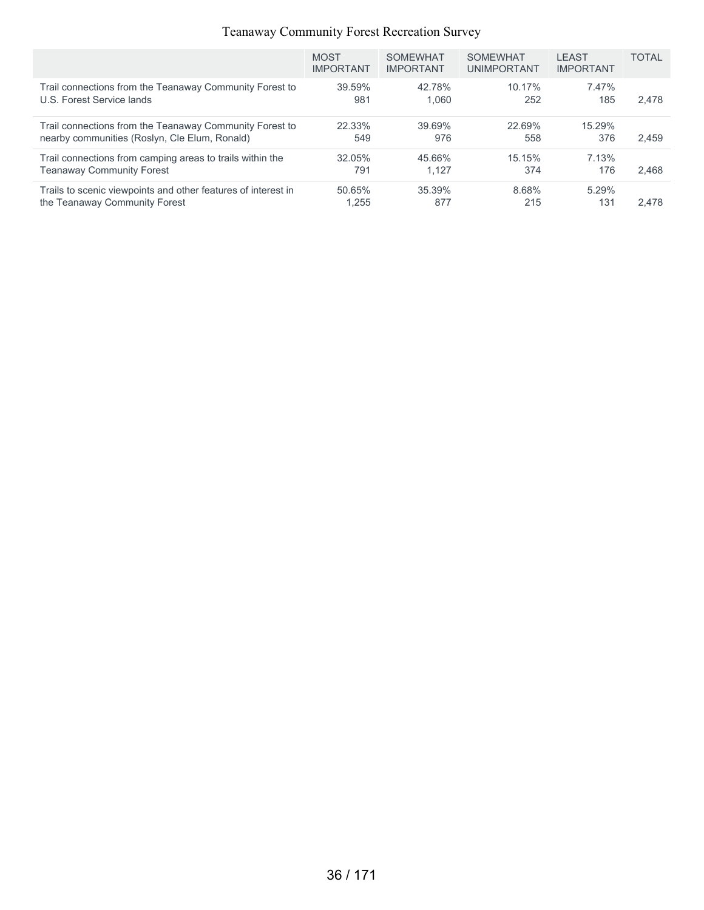|                                                               | <b>MOST</b><br><b>IMPORTANT</b> | <b>SOMEWHAT</b><br><b>IMPORTANT</b> | <b>SOMEWHAT</b><br><b>UNIMPORTANT</b> | <b>LEAST</b><br><b>IMPORTANT</b> | <b>TOTAL</b> |
|---------------------------------------------------------------|---------------------------------|-------------------------------------|---------------------------------------|----------------------------------|--------------|
| Trail connections from the Teanaway Community Forest to       | 39.59%                          | 42.78%                              | 10.17%                                | 7.47%                            | 2,478        |
| U.S. Forest Service lands                                     | 981                             | 1.060                               | 252                                   | 185                              |              |
| Trail connections from the Teanaway Community Forest to       | 22.33%                          | 39.69%                              | 22.69%                                | 15.29%                           | 2.459        |
| nearby communities (Roslyn, Cle Elum, Ronald)                 | 549                             | 976                                 | 558                                   | 376                              |              |
| Trail connections from camping areas to trails within the     | 32.05%                          | 45.66%                              | 15.15%                                | 7.13%                            | 2.468        |
| <b>Teanaway Community Forest</b>                              | 791                             | 1.127                               | 374                                   | 176                              |              |
| Trails to scenic viewpoints and other features of interest in | 50.65%                          | 35.39%                              | 8.68%                                 | 5.29%                            | 2.478        |
| the Teanaway Community Forest                                 | 1.255                           | 877                                 | 215                                   | 131                              |              |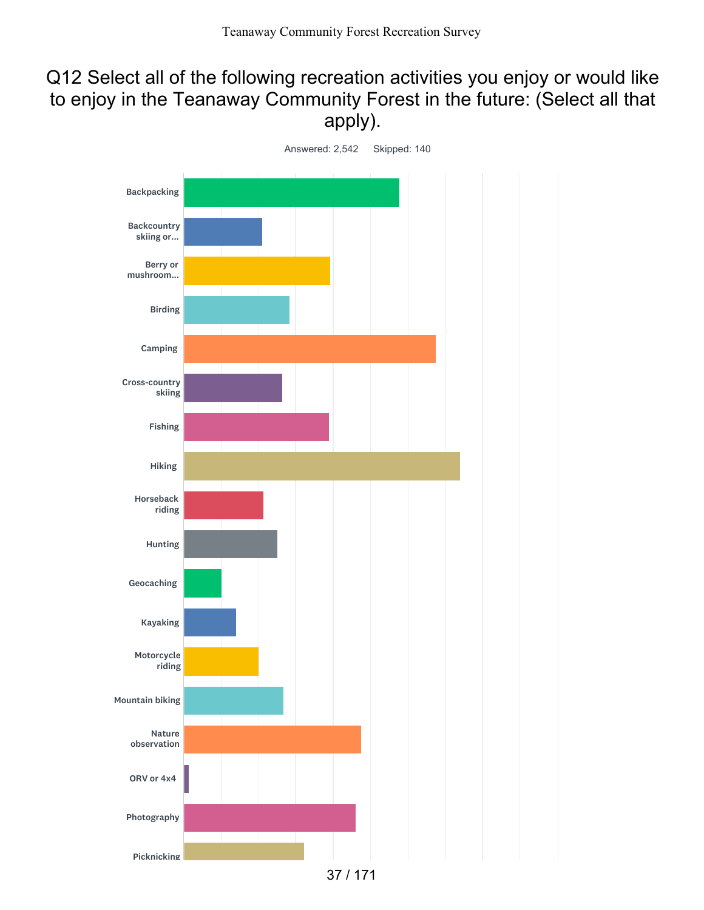## Q12 Select all of the following recreation activities you enjoy or would like to enjoy in the Teanaway Community Forest in the future: (Select all that apply).

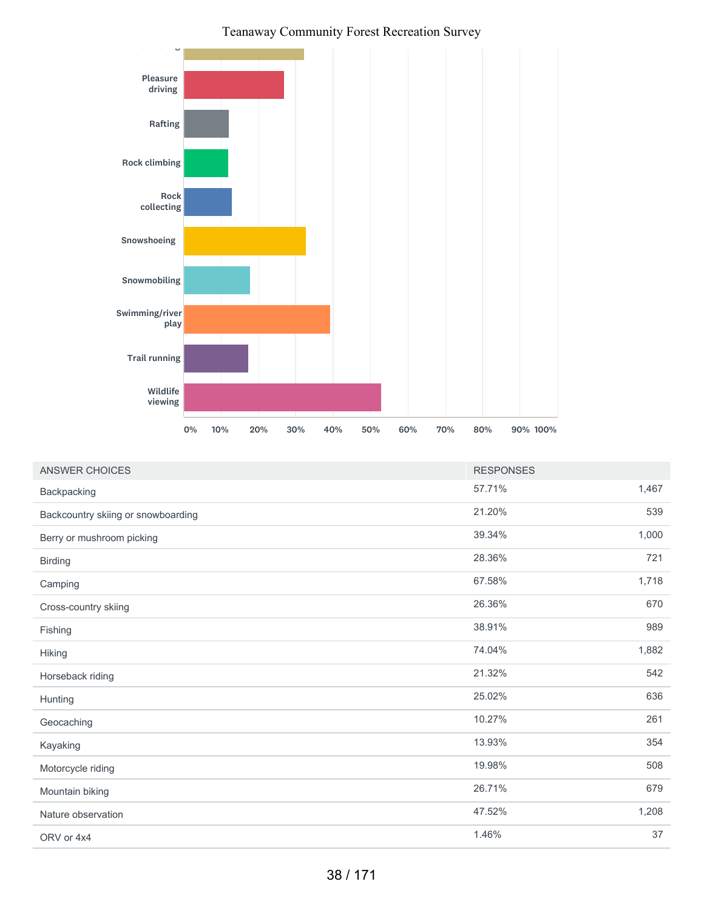

| <b>ANSWER CHOICES</b>              | <b>RESPONSES</b> |       |
|------------------------------------|------------------|-------|
| Backpacking                        | 57.71%           | 1,467 |
| Backcountry skiing or snowboarding | 21.20%           | 539   |
| Berry or mushroom picking          | 39.34%           | 1,000 |
| <b>Birding</b>                     | 28.36%           | 721   |
| Camping                            | 67.58%           | 1,718 |
| Cross-country skiing               | 26.36%           | 670   |
| Fishing                            | 38.91%           | 989   |
| Hiking                             | 74.04%           | 1,882 |
| Horseback riding                   | 21.32%           | 542   |
| Hunting                            | 25.02%           | 636   |
| Geocaching                         | 10.27%           | 261   |
| Kayaking                           | 13.93%           | 354   |
| Motorcycle riding                  | 19.98%           | 508   |
| Mountain biking                    | 26.71%           | 679   |
| Nature observation                 | 47.52%           | 1,208 |
| ORV or 4x4                         | 1.46%            | 37    |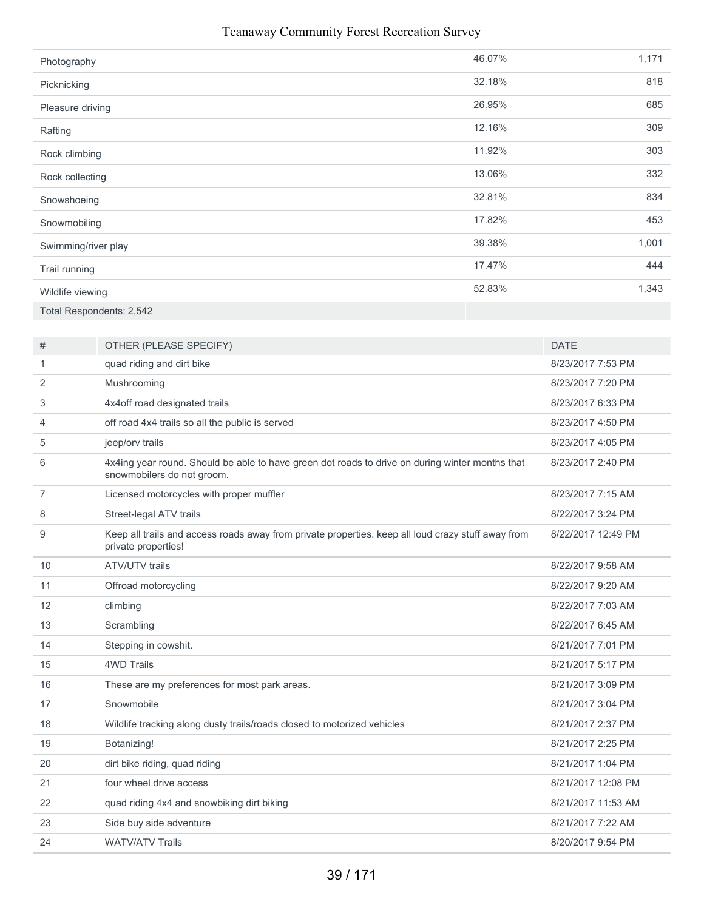| Photography              | 46.07% | 1,171 |
|--------------------------|--------|-------|
| Picknicking              | 32.18% | 818   |
| Pleasure driving         | 26.95% | 685   |
| Rafting                  | 12.16% | 309   |
| Rock climbing            | 11.92% | 303   |
| Rock collecting          | 13.06% | 332   |
| Snowshoeing              | 32.81% | 834   |
| Snowmobiling             | 17.82% | 453   |
| Swimming/river play      | 39.38% | 1,001 |
| Trail running            | 17.47% | 444   |
| Wildlife viewing         | 52.83% | 1,343 |
| Total Respondents: 2,542 |        |       |

| #              | OTHER (PLEASE SPECIFY)                                                                                                        | <b>DATE</b>        |
|----------------|-------------------------------------------------------------------------------------------------------------------------------|--------------------|
| 1              | quad riding and dirt bike                                                                                                     | 8/23/2017 7:53 PM  |
| 2              | Mushrooming                                                                                                                   | 8/23/2017 7:20 PM  |
| 3              | 4x4off road designated trails                                                                                                 | 8/23/2017 6:33 PM  |
| 4              | off road 4x4 trails so all the public is served                                                                               | 8/23/2017 4:50 PM  |
| 5              | jeep/orv trails                                                                                                               | 8/23/2017 4:05 PM  |
| 6              | 4x4ing year round. Should be able to have green dot roads to drive on during winter months that<br>snowmobilers do not groom. | 8/23/2017 2:40 PM  |
| $\overline{7}$ | Licensed motorcycles with proper muffler                                                                                      | 8/23/2017 7:15 AM  |
| 8              | Street-legal ATV trails                                                                                                       | 8/22/2017 3:24 PM  |
| 9              | Keep all trails and access roads away from private properties. keep all loud crazy stuff away from<br>private properties!     | 8/22/2017 12:49 PM |
| 10             | <b>ATV/UTV</b> trails                                                                                                         | 8/22/2017 9:58 AM  |
| 11             | Offroad motorcycling                                                                                                          | 8/22/2017 9:20 AM  |
| 12             | climbing                                                                                                                      | 8/22/2017 7:03 AM  |
| 13             | Scrambling                                                                                                                    | 8/22/2017 6:45 AM  |
| 14             | Stepping in cowshit.                                                                                                          | 8/21/2017 7:01 PM  |
| 15             | <b>4WD Trails</b>                                                                                                             | 8/21/2017 5:17 PM  |
| 16             | These are my preferences for most park areas.                                                                                 | 8/21/2017 3:09 PM  |
| 17             | Snowmobile                                                                                                                    | 8/21/2017 3:04 PM  |
| 18             | Wildlife tracking along dusty trails/roads closed to motorized vehicles                                                       | 8/21/2017 2:37 PM  |
| 19             | Botanizing!                                                                                                                   | 8/21/2017 2:25 PM  |
| 20             | dirt bike riding, quad riding                                                                                                 | 8/21/2017 1:04 PM  |
| 21             | four wheel drive access                                                                                                       | 8/21/2017 12:08 PM |
| 22             | quad riding 4x4 and snowbiking dirt biking                                                                                    | 8/21/2017 11:53 AM |
| 23             | Side buy side adventure                                                                                                       | 8/21/2017 7:22 AM  |
| 24             | <b>WATV/ATV Trails</b>                                                                                                        | 8/20/2017 9:54 PM  |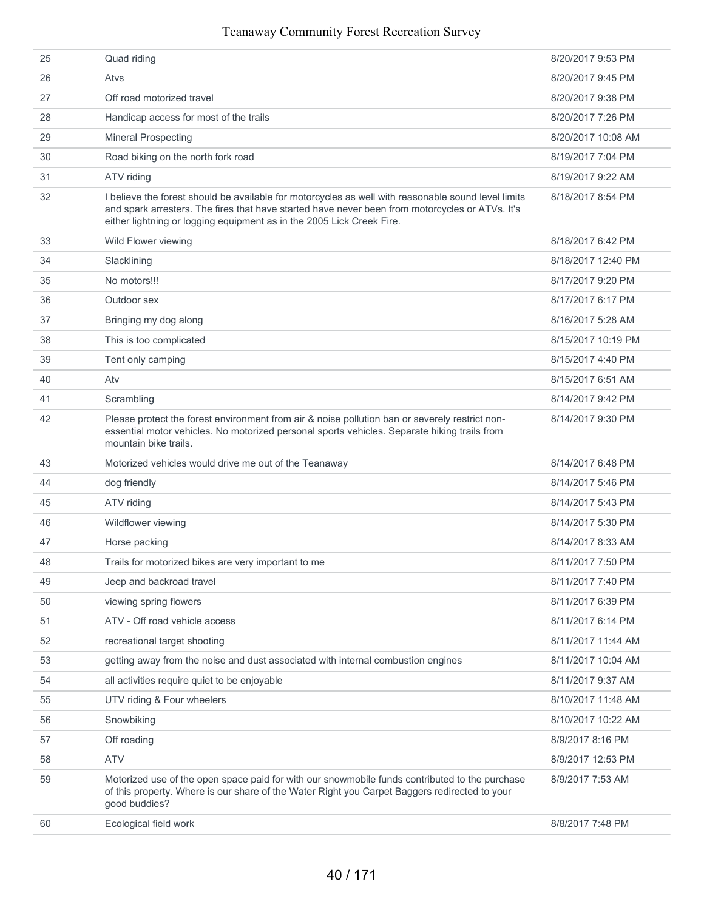| 25 | Quad riding                                                                                                                                                                                                                                                                     | 8/20/2017 9:53 PM  |
|----|---------------------------------------------------------------------------------------------------------------------------------------------------------------------------------------------------------------------------------------------------------------------------------|--------------------|
| 26 | Atvs                                                                                                                                                                                                                                                                            | 8/20/2017 9:45 PM  |
| 27 | Off road motorized travel                                                                                                                                                                                                                                                       | 8/20/2017 9:38 PM  |
| 28 | Handicap access for most of the trails                                                                                                                                                                                                                                          | 8/20/2017 7:26 PM  |
| 29 | <b>Mineral Prospecting</b>                                                                                                                                                                                                                                                      | 8/20/2017 10:08 AM |
| 30 | Road biking on the north fork road                                                                                                                                                                                                                                              | 8/19/2017 7:04 PM  |
| 31 | ATV riding                                                                                                                                                                                                                                                                      | 8/19/2017 9:22 AM  |
| 32 | I believe the forest should be available for motorcycles as well with reasonable sound level limits<br>and spark arresters. The fires that have started have never been from motorcycles or ATVs. It's<br>either lightning or logging equipment as in the 2005 Lick Creek Fire. | 8/18/2017 8:54 PM  |
| 33 | Wild Flower viewing                                                                                                                                                                                                                                                             | 8/18/2017 6:42 PM  |
| 34 | Slacklining                                                                                                                                                                                                                                                                     | 8/18/2017 12:40 PM |
| 35 | No motors!!!                                                                                                                                                                                                                                                                    | 8/17/2017 9:20 PM  |
| 36 | Outdoor sex                                                                                                                                                                                                                                                                     | 8/17/2017 6:17 PM  |
| 37 | Bringing my dog along                                                                                                                                                                                                                                                           | 8/16/2017 5:28 AM  |
| 38 | This is too complicated                                                                                                                                                                                                                                                         | 8/15/2017 10:19 PM |
| 39 | Tent only camping                                                                                                                                                                                                                                                               | 8/15/2017 4:40 PM  |
| 40 | Atv                                                                                                                                                                                                                                                                             | 8/15/2017 6:51 AM  |
| 41 | Scrambling                                                                                                                                                                                                                                                                      | 8/14/2017 9:42 PM  |
| 42 | Please protect the forest environment from air & noise pollution ban or severely restrict non-<br>essential motor vehicles. No motorized personal sports vehicles. Separate hiking trails from<br>mountain bike trails.                                                         | 8/14/2017 9:30 PM  |
| 43 | Motorized vehicles would drive me out of the Teanaway                                                                                                                                                                                                                           | 8/14/2017 6:48 PM  |
| 44 | dog friendly                                                                                                                                                                                                                                                                    | 8/14/2017 5:46 PM  |
| 45 | ATV riding                                                                                                                                                                                                                                                                      | 8/14/2017 5:43 PM  |
| 46 | Wildflower viewing                                                                                                                                                                                                                                                              | 8/14/2017 5:30 PM  |
| 47 | Horse packing                                                                                                                                                                                                                                                                   | 8/14/2017 8:33 AM  |
| 48 | Trails for motorized bikes are very important to me                                                                                                                                                                                                                             | 8/11/2017 7:50 PM  |
| 49 | Jeep and backroad travel                                                                                                                                                                                                                                                        | 8/11/2017 7:40 PM  |
| 50 | viewing spring flowers                                                                                                                                                                                                                                                          | 8/11/2017 6:39 PM  |
| 51 | ATV - Off road vehicle access                                                                                                                                                                                                                                                   | 8/11/2017 6:14 PM  |
| 52 | recreational target shooting                                                                                                                                                                                                                                                    | 8/11/2017 11:44 AM |
| 53 | getting away from the noise and dust associated with internal combustion engines                                                                                                                                                                                                | 8/11/2017 10:04 AM |
| 54 | all activities require quiet to be enjoyable                                                                                                                                                                                                                                    | 8/11/2017 9:37 AM  |
| 55 | UTV riding & Four wheelers                                                                                                                                                                                                                                                      | 8/10/2017 11:48 AM |
| 56 | Snowbiking                                                                                                                                                                                                                                                                      | 8/10/2017 10:22 AM |
| 57 | Off roading                                                                                                                                                                                                                                                                     | 8/9/2017 8:16 PM   |
| 58 | <b>ATV</b>                                                                                                                                                                                                                                                                      | 8/9/2017 12:53 PM  |
| 59 | Motorized use of the open space paid for with our snowmobile funds contributed to the purchase<br>of this property. Where is our share of the Water Right you Carpet Baggers redirected to your<br>good buddies?                                                                | 8/9/2017 7:53 AM   |
| 60 | Ecological field work                                                                                                                                                                                                                                                           | 8/8/2017 7:48 PM   |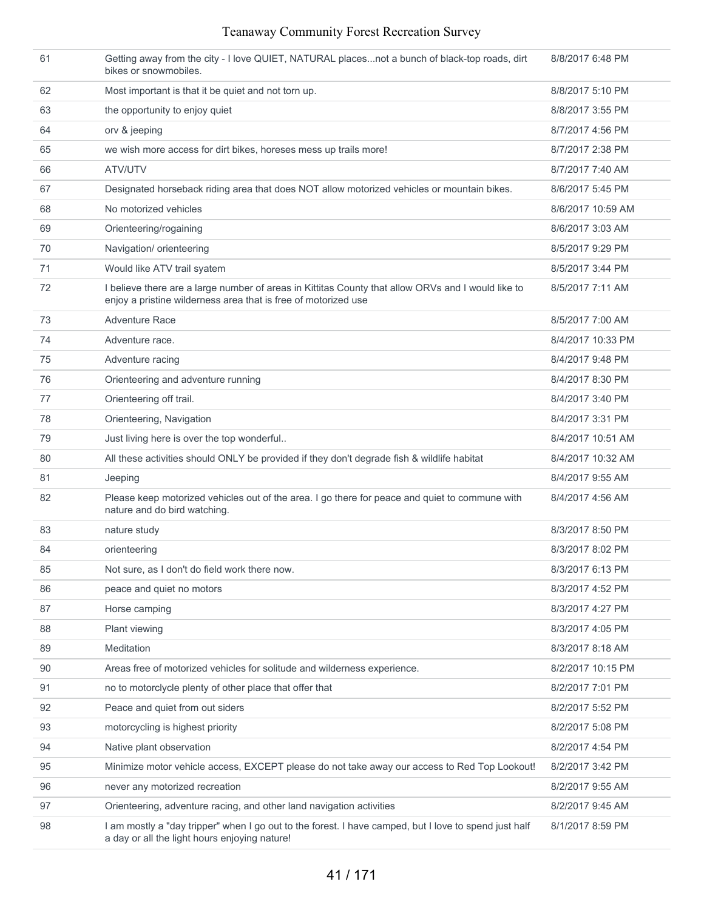| 61 | Getting away from the city - I love QUIET, NATURAL placesnot a bunch of black-top roads, dirt<br>bikes or snowmobiles.                                               | 8/8/2017 6:48 PM  |
|----|----------------------------------------------------------------------------------------------------------------------------------------------------------------------|-------------------|
| 62 | Most important is that it be quiet and not torn up.                                                                                                                  | 8/8/2017 5:10 PM  |
| 63 | the opportunity to enjoy quiet                                                                                                                                       | 8/8/2017 3:55 PM  |
| 64 | orv & jeeping                                                                                                                                                        | 8/7/2017 4:56 PM  |
| 65 | we wish more access for dirt bikes, horeses mess up trails more!                                                                                                     | 8/7/2017 2:38 PM  |
| 66 | ATV/UTV                                                                                                                                                              | 8/7/2017 7:40 AM  |
| 67 | Designated horseback riding area that does NOT allow motorized vehicles or mountain bikes.                                                                           | 8/6/2017 5:45 PM  |
| 68 | No motorized vehicles                                                                                                                                                | 8/6/2017 10:59 AM |
| 69 | Orienteering/rogaining                                                                                                                                               | 8/6/2017 3:03 AM  |
| 70 | Navigation/ orienteering                                                                                                                                             | 8/5/2017 9:29 PM  |
| 71 | Would like ATV trail syatem                                                                                                                                          | 8/5/2017 3:44 PM  |
| 72 | I believe there are a large number of areas in Kittitas County that allow ORVs and I would like to<br>enjoy a pristine wilderness area that is free of motorized use | 8/5/2017 7:11 AM  |
| 73 | <b>Adventure Race</b>                                                                                                                                                | 8/5/2017 7:00 AM  |
| 74 | Adventure race.                                                                                                                                                      | 8/4/2017 10:33 PM |
| 75 | Adventure racing                                                                                                                                                     | 8/4/2017 9:48 PM  |
| 76 | Orienteering and adventure running                                                                                                                                   | 8/4/2017 8:30 PM  |
| 77 | Orienteering off trail.                                                                                                                                              | 8/4/2017 3:40 PM  |
| 78 | Orienteering, Navigation                                                                                                                                             | 8/4/2017 3:31 PM  |
| 79 | Just living here is over the top wonderful                                                                                                                           | 8/4/2017 10:51 AM |
| 80 | All these activities should ONLY be provided if they don't degrade fish & wildlife habitat                                                                           | 8/4/2017 10:32 AM |
| 81 | Jeeping                                                                                                                                                              | 8/4/2017 9:55 AM  |
| 82 | Please keep motorized vehicles out of the area. I go there for peace and quiet to commune with<br>nature and do bird watching.                                       | 8/4/2017 4:56 AM  |
| 83 | nature study                                                                                                                                                         | 8/3/2017 8:50 PM  |
| 84 | orienteering                                                                                                                                                         | 8/3/2017 8:02 PM  |
| 85 | Not sure, as I don't do field work there now.                                                                                                                        | 8/3/2017 6:13 PM  |
| 86 | peace and quiet no motors                                                                                                                                            | 8/3/2017 4:52 PM  |
| 87 | Horse camping                                                                                                                                                        | 8/3/2017 4:27 PM  |
| 88 | Plant viewing                                                                                                                                                        | 8/3/2017 4:05 PM  |
| 89 | Meditation                                                                                                                                                           | 8/3/2017 8:18 AM  |
| 90 | Areas free of motorized vehicles for solitude and wilderness experience.                                                                                             | 8/2/2017 10:15 PM |
| 91 | no to motorclycle plenty of other place that offer that                                                                                                              | 8/2/2017 7:01 PM  |
| 92 | Peace and quiet from out siders                                                                                                                                      | 8/2/2017 5:52 PM  |
| 93 | motorcycling is highest priority                                                                                                                                     | 8/2/2017 5:08 PM  |
| 94 | Native plant observation                                                                                                                                             | 8/2/2017 4:54 PM  |
| 95 | Minimize motor vehicle access, EXCEPT please do not take away our access to Red Top Lookout!                                                                         | 8/2/2017 3:42 PM  |
| 96 | never any motorized recreation                                                                                                                                       | 8/2/2017 9:55 AM  |
| 97 | Orienteering, adventure racing, and other land navigation activities                                                                                                 | 8/2/2017 9:45 AM  |
| 98 | I am mostly a "day tripper" when I go out to the forest. I have camped, but I love to spend just half<br>a day or all the light hours enjoying nature!               | 8/1/2017 8:59 PM  |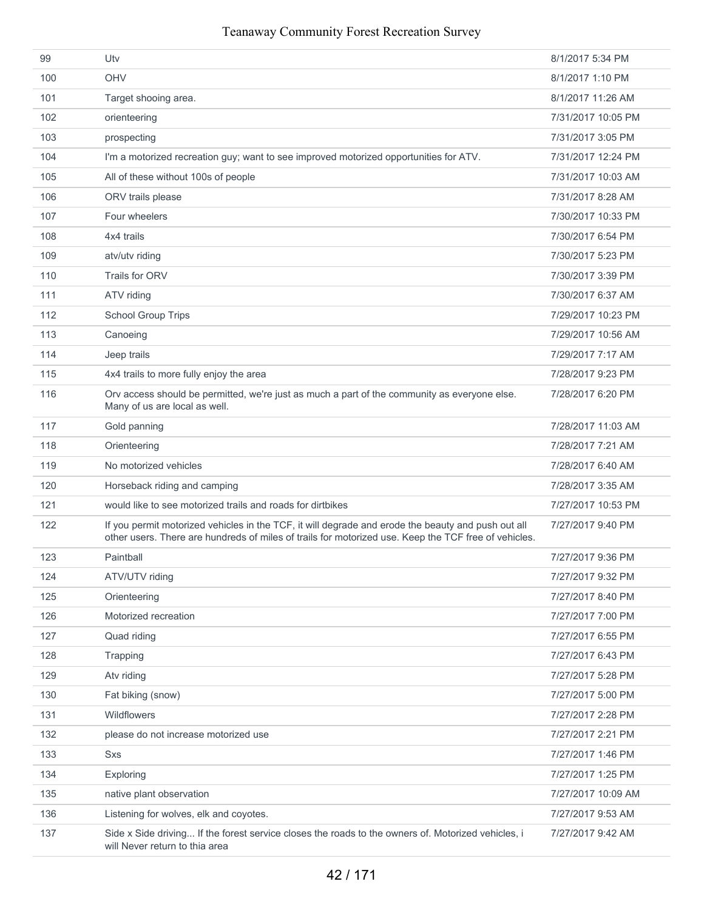| 99  | Utv                                                                                                                                                                                                        | 8/1/2017 5:34 PM   |
|-----|------------------------------------------------------------------------------------------------------------------------------------------------------------------------------------------------------------|--------------------|
| 100 | OHV                                                                                                                                                                                                        | 8/1/2017 1:10 PM   |
| 101 | Target shooing area.                                                                                                                                                                                       | 8/1/2017 11:26 AM  |
| 102 | orienteering                                                                                                                                                                                               | 7/31/2017 10:05 PM |
| 103 | prospecting                                                                                                                                                                                                | 7/31/2017 3:05 PM  |
| 104 | I'm a motorized recreation guy; want to see improved motorized opportunities for ATV.                                                                                                                      | 7/31/2017 12:24 PM |
| 105 | All of these without 100s of people                                                                                                                                                                        | 7/31/2017 10:03 AM |
| 106 | ORV trails please                                                                                                                                                                                          | 7/31/2017 8:28 AM  |
| 107 | Four wheelers                                                                                                                                                                                              | 7/30/2017 10:33 PM |
| 108 | 4x4 trails                                                                                                                                                                                                 | 7/30/2017 6:54 PM  |
| 109 | atv/utv riding                                                                                                                                                                                             | 7/30/2017 5:23 PM  |
| 110 | Trails for ORV                                                                                                                                                                                             | 7/30/2017 3:39 PM  |
| 111 | ATV riding                                                                                                                                                                                                 | 7/30/2017 6:37 AM  |
| 112 | <b>School Group Trips</b>                                                                                                                                                                                  | 7/29/2017 10:23 PM |
| 113 | Canoeing                                                                                                                                                                                                   | 7/29/2017 10:56 AM |
| 114 | Jeep trails                                                                                                                                                                                                | 7/29/2017 7:17 AM  |
| 115 | 4x4 trails to more fully enjoy the area                                                                                                                                                                    | 7/28/2017 9:23 PM  |
| 116 | Orv access should be permitted, we're just as much a part of the community as everyone else.<br>Many of us are local as well.                                                                              | 7/28/2017 6:20 PM  |
| 117 | Gold panning                                                                                                                                                                                               | 7/28/2017 11:03 AM |
| 118 | Orienteering                                                                                                                                                                                               | 7/28/2017 7:21 AM  |
| 119 | No motorized vehicles                                                                                                                                                                                      | 7/28/2017 6:40 AM  |
| 120 | Horseback riding and camping                                                                                                                                                                               | 7/28/2017 3:35 AM  |
| 121 | would like to see motorized trails and roads for dirtbikes                                                                                                                                                 | 7/27/2017 10:53 PM |
| 122 | If you permit motorized vehicles in the TCF, it will degrade and erode the beauty and push out all<br>other users. There are hundreds of miles of trails for motorized use. Keep the TCF free of vehicles. | 7/27/2017 9:40 PM  |
| 123 | Paintball                                                                                                                                                                                                  | 7/27/2017 9:36 PM  |
| 124 | ATV/UTV riding                                                                                                                                                                                             | 7/27/2017 9:32 PM  |
| 125 | Orienteering                                                                                                                                                                                               | 7/27/2017 8:40 PM  |
| 126 | Motorized recreation                                                                                                                                                                                       | 7/27/2017 7:00 PM  |
| 127 | Quad riding                                                                                                                                                                                                | 7/27/2017 6:55 PM  |
| 128 | Trapping                                                                                                                                                                                                   | 7/27/2017 6:43 PM  |
| 129 | Atv riding                                                                                                                                                                                                 | 7/27/2017 5:28 PM  |
| 130 | Fat biking (snow)                                                                                                                                                                                          | 7/27/2017 5:00 PM  |
| 131 | <b>Wildflowers</b>                                                                                                                                                                                         | 7/27/2017 2:28 PM  |
| 132 | please do not increase motorized use                                                                                                                                                                       | 7/27/2017 2:21 PM  |
| 133 | Sxs                                                                                                                                                                                                        | 7/27/2017 1:46 PM  |
| 134 | Exploring                                                                                                                                                                                                  | 7/27/2017 1:25 PM  |
| 135 | native plant observation                                                                                                                                                                                   | 7/27/2017 10:09 AM |
| 136 | Listening for wolves, elk and coyotes.                                                                                                                                                                     | 7/27/2017 9:53 AM  |
| 137 | Side x Side driving If the forest service closes the roads to the owners of. Motorized vehicles, i<br>will Never return to thia area                                                                       | 7/27/2017 9:42 AM  |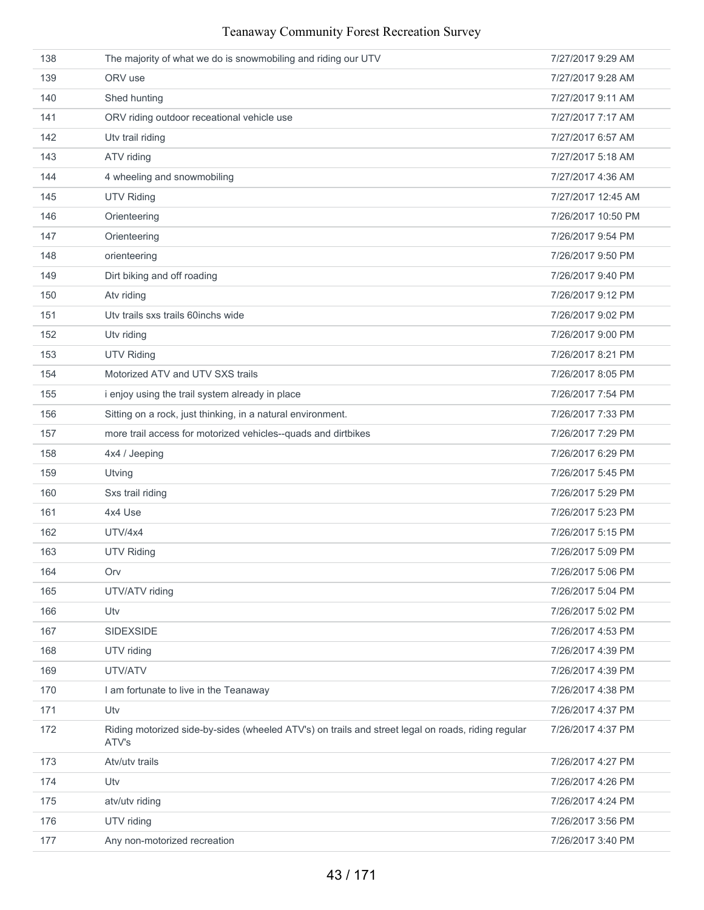| 138 | The majority of what we do is snowmobiling and riding our UTV                                               | 7/27/2017 9:29 AM  |
|-----|-------------------------------------------------------------------------------------------------------------|--------------------|
| 139 | ORV use                                                                                                     | 7/27/2017 9:28 AM  |
| 140 | Shed hunting                                                                                                | 7/27/2017 9:11 AM  |
| 141 | ORV riding outdoor receational vehicle use                                                                  | 7/27/2017 7:17 AM  |
| 142 | Utv trail riding                                                                                            | 7/27/2017 6:57 AM  |
| 143 | ATV riding                                                                                                  | 7/27/2017 5:18 AM  |
| 144 | 4 wheeling and snowmobiling                                                                                 | 7/27/2017 4:36 AM  |
| 145 | <b>UTV Riding</b>                                                                                           | 7/27/2017 12:45 AM |
| 146 | Orienteering                                                                                                | 7/26/2017 10:50 PM |
| 147 | Orienteering                                                                                                | 7/26/2017 9:54 PM  |
| 148 | orienteering                                                                                                | 7/26/2017 9:50 PM  |
| 149 | Dirt biking and off roading                                                                                 | 7/26/2017 9:40 PM  |
| 150 | Atv riding                                                                                                  | 7/26/2017 9:12 PM  |
| 151 | Utv trails sxs trails 60 inchs wide                                                                         | 7/26/2017 9:02 PM  |
| 152 | Utv riding                                                                                                  | 7/26/2017 9:00 PM  |
| 153 | <b>UTV Riding</b>                                                                                           | 7/26/2017 8:21 PM  |
| 154 | Motorized ATV and UTV SXS trails                                                                            | 7/26/2017 8:05 PM  |
| 155 | i enjoy using the trail system already in place                                                             | 7/26/2017 7:54 PM  |
| 156 | Sitting on a rock, just thinking, in a natural environment.                                                 | 7/26/2017 7:33 PM  |
| 157 | more trail access for motorized vehicles--quads and dirtbikes                                               | 7/26/2017 7:29 PM  |
| 158 | 4x4 / Jeeping                                                                                               | 7/26/2017 6:29 PM  |
| 159 | Utving                                                                                                      | 7/26/2017 5:45 PM  |
| 160 | Sxs trail riding                                                                                            | 7/26/2017 5:29 PM  |
| 161 | 4x4 Use                                                                                                     | 7/26/2017 5:23 PM  |
| 162 | UTV/4x4                                                                                                     | 7/26/2017 5:15 PM  |
| 163 | <b>UTV Riding</b>                                                                                           | 7/26/2017 5:09 PM  |
| 164 | Orv                                                                                                         | 7/26/2017 5:06 PM  |
| 165 | UTV/ATV riding                                                                                              | 7/26/2017 5:04 PM  |
| 166 | Utv                                                                                                         | 7/26/2017 5:02 PM  |
| 167 | <b>SIDEXSIDE</b>                                                                                            | 7/26/2017 4:53 PM  |
| 168 | UTV riding                                                                                                  | 7/26/2017 4:39 PM  |
| 169 | UTV/ATV                                                                                                     | 7/26/2017 4:39 PM  |
| 170 | I am fortunate to live in the Teanaway                                                                      | 7/26/2017 4:38 PM  |
| 171 | Utv                                                                                                         | 7/26/2017 4:37 PM  |
| 172 | Riding motorized side-by-sides (wheeled ATV's) on trails and street legal on roads, riding regular<br>ATV's | 7/26/2017 4:37 PM  |
| 173 | Atv/utv trails                                                                                              | 7/26/2017 4:27 PM  |
| 174 | Utv                                                                                                         | 7/26/2017 4:26 PM  |
| 175 | atv/utv riding                                                                                              | 7/26/2017 4:24 PM  |
| 176 | UTV riding                                                                                                  | 7/26/2017 3:56 PM  |
| 177 | Any non-motorized recreation                                                                                | 7/26/2017 3:40 PM  |
|     |                                                                                                             |                    |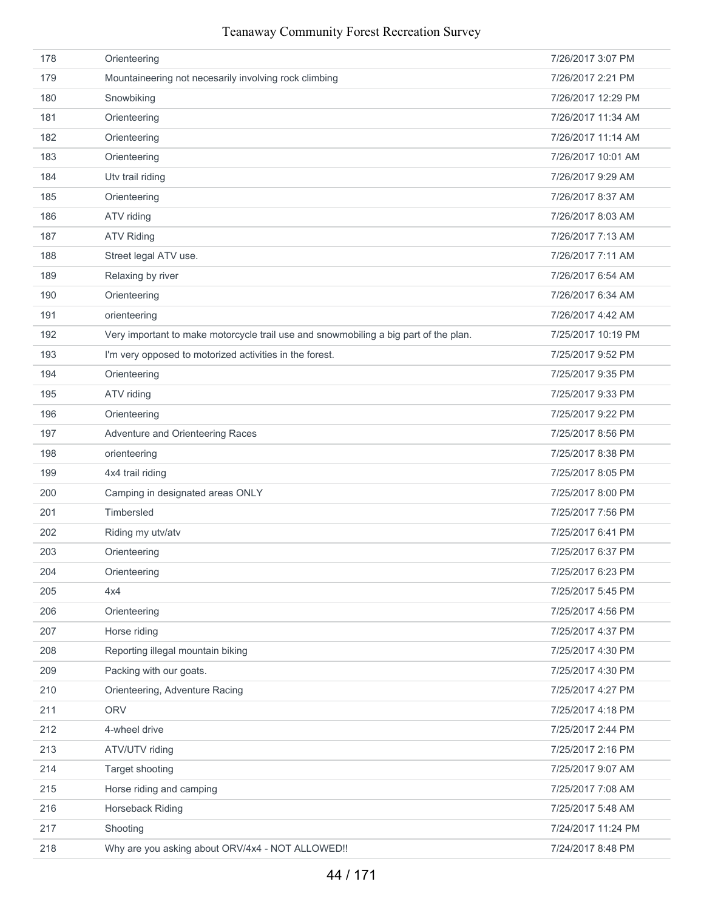| 178 | Orienteering                                                                         | 7/26/2017 3:07 PM  |
|-----|--------------------------------------------------------------------------------------|--------------------|
| 179 | Mountaineering not necesarily involving rock climbing                                | 7/26/2017 2:21 PM  |
| 180 | Snowbiking                                                                           | 7/26/2017 12:29 PM |
| 181 | Orienteering                                                                         | 7/26/2017 11:34 AM |
| 182 | Orienteering                                                                         | 7/26/2017 11:14 AM |
| 183 | Orienteering                                                                         | 7/26/2017 10:01 AM |
| 184 | Utv trail riding                                                                     | 7/26/2017 9:29 AM  |
| 185 | Orienteering                                                                         | 7/26/2017 8:37 AM  |
| 186 | ATV riding                                                                           | 7/26/2017 8:03 AM  |
| 187 | <b>ATV Riding</b>                                                                    | 7/26/2017 7:13 AM  |
| 188 | Street legal ATV use.                                                                | 7/26/2017 7:11 AM  |
| 189 | Relaxing by river                                                                    | 7/26/2017 6:54 AM  |
| 190 | Orienteering                                                                         | 7/26/2017 6:34 AM  |
| 191 | orienteering                                                                         | 7/26/2017 4:42 AM  |
| 192 | Very important to make motorcycle trail use and snowmobiling a big part of the plan. | 7/25/2017 10:19 PM |
| 193 | I'm very opposed to motorized activities in the forest.                              | 7/25/2017 9:52 PM  |
| 194 | Orienteering                                                                         | 7/25/2017 9:35 PM  |
| 195 | ATV riding                                                                           | 7/25/2017 9:33 PM  |
| 196 | Orienteering                                                                         | 7/25/2017 9:22 PM  |
| 197 | Adventure and Orienteering Races                                                     | 7/25/2017 8:56 PM  |
| 198 | orienteering                                                                         | 7/25/2017 8:38 PM  |
| 199 | 4x4 trail riding                                                                     | 7/25/2017 8:05 PM  |
| 200 | Camping in designated areas ONLY                                                     | 7/25/2017 8:00 PM  |
| 201 | Timbersled                                                                           | 7/25/2017 7:56 PM  |
| 202 | Riding my utv/atv                                                                    | 7/25/2017 6:41 PM  |
| 203 | Orienteering                                                                         | 7/25/2017 6:37 PM  |
| 204 | Orienteering                                                                         | 7/25/2017 6:23 PM  |
| 205 | 4x4                                                                                  | 7/25/2017 5:45 PM  |
| 206 | Orienteering                                                                         | 7/25/2017 4:56 PM  |
| 207 | Horse riding                                                                         | 7/25/2017 4:37 PM  |
| 208 | Reporting illegal mountain biking                                                    | 7/25/2017 4:30 PM  |
| 209 | Packing with our goats.                                                              | 7/25/2017 4:30 PM  |
| 210 | Orienteering, Adventure Racing                                                       | 7/25/2017 4:27 PM  |
| 211 | <b>ORV</b>                                                                           | 7/25/2017 4:18 PM  |
| 212 | 4-wheel drive                                                                        | 7/25/2017 2:44 PM  |
| 213 | ATV/UTV riding                                                                       | 7/25/2017 2:16 PM  |
| 214 | Target shooting                                                                      | 7/25/2017 9:07 AM  |
| 215 | Horse riding and camping                                                             | 7/25/2017 7:08 AM  |
| 216 | Horseback Riding                                                                     | 7/25/2017 5:48 AM  |
| 217 | Shooting                                                                             | 7/24/2017 11:24 PM |
| 218 | Why are you asking about ORV/4x4 - NOT ALLOWED!!                                     | 7/24/2017 8:48 PM  |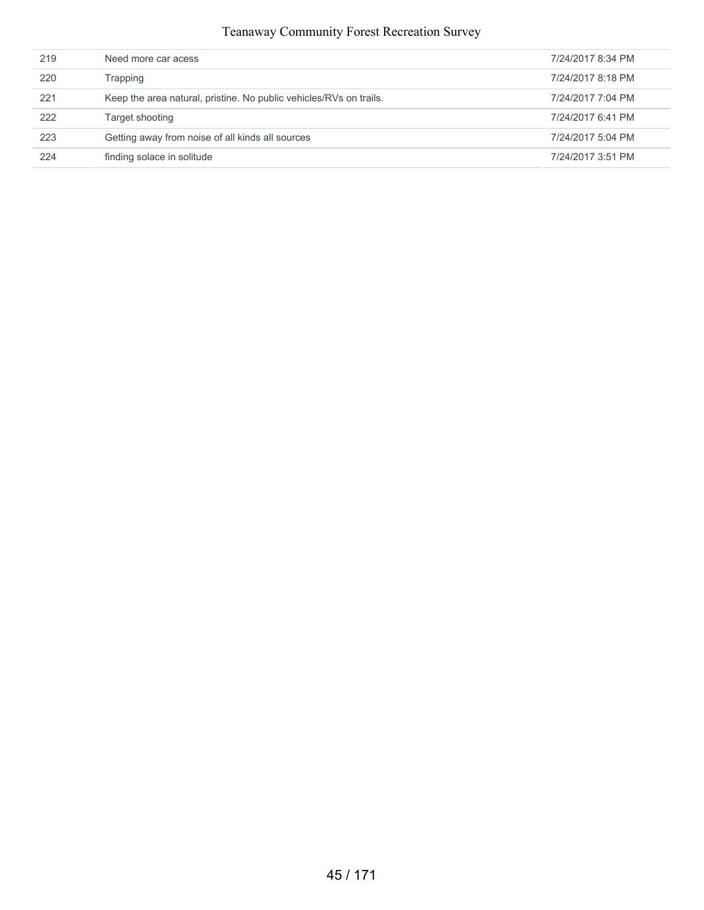| 219 | Need more car acess                                                | 7/24/2017 8:34 PM |
|-----|--------------------------------------------------------------------|-------------------|
| 220 | Trapping                                                           | 7/24/2017 8:18 PM |
| 221 | Keep the area natural, pristine. No public vehicles/RVs on trails. | 7/24/2017 7:04 PM |
| 222 | Target shooting                                                    | 7/24/2017 6:41 PM |
| 223 | Getting away from noise of all kinds all sources                   | 7/24/2017 5:04 PM |
| 224 | finding solace in solitude                                         | 7/24/2017 3:51 PM |
|     |                                                                    |                   |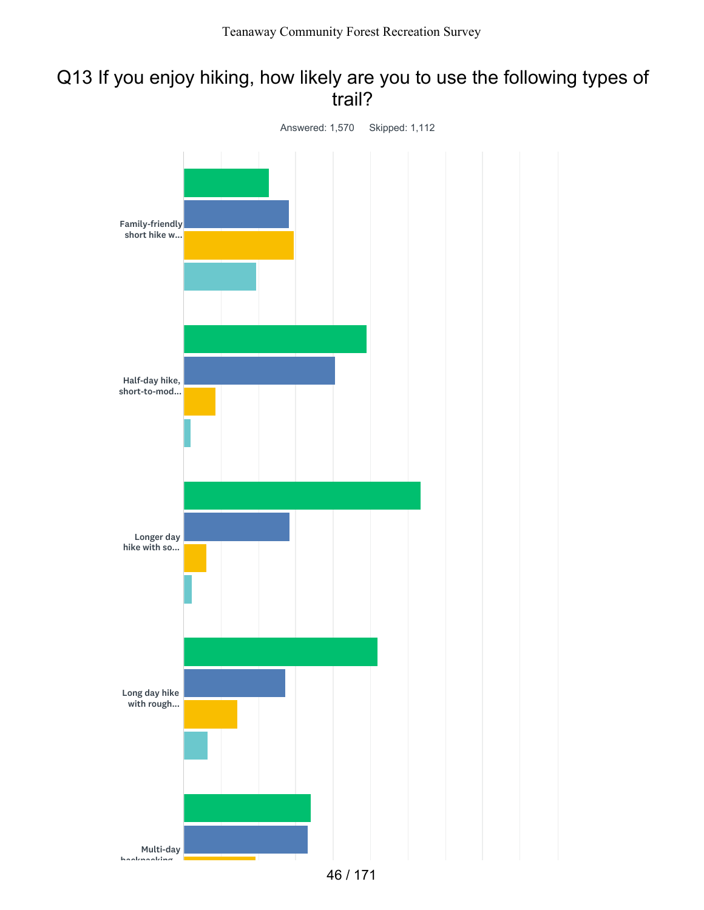## Q13 If you enjoy hiking, how likely are you to use the following types of trail?

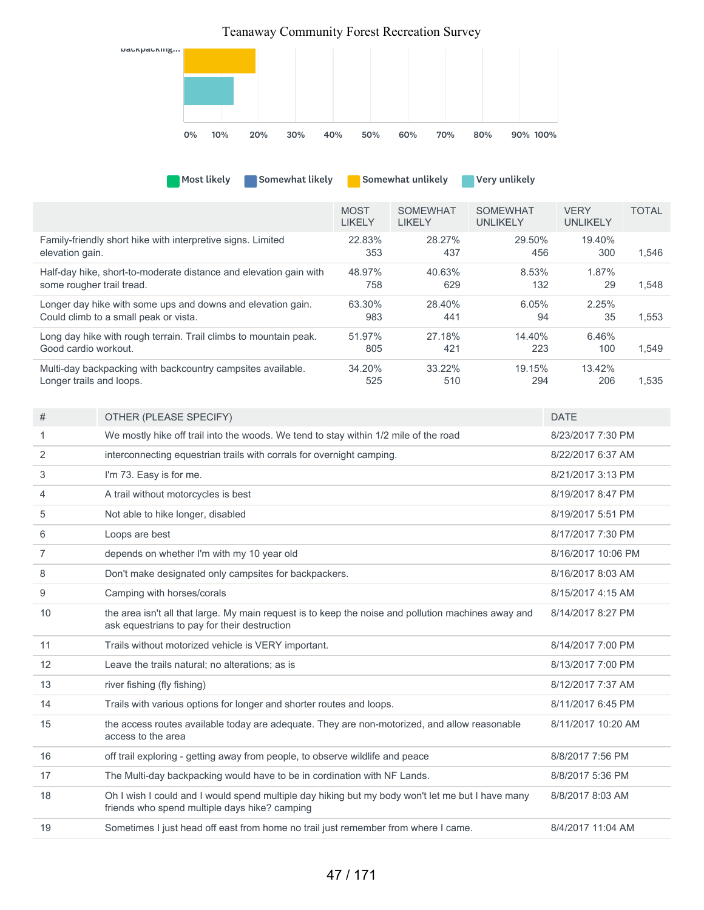

| Somewhat likely<br><b>Most likely</b>                             |                              | Somewhat unlikely                | Very unlikely                      |                                |              |
|-------------------------------------------------------------------|------------------------------|----------------------------------|------------------------------------|--------------------------------|--------------|
|                                                                   | <b>MOST</b><br><b>LIKELY</b> | <b>SOMEWHAT</b><br><b>LIKELY</b> | <b>SOMEWHAT</b><br><b>UNLIKELY</b> | <b>VERY</b><br><b>UNLIKELY</b> | <b>TOTAL</b> |
| Family-friendly short hike with interpretive signs. Limited       | 22.83%                       | 28.27%                           | 29.50%                             | 19.40%                         | 1.546        |
| elevation gain.                                                   | 353                          | 437                              | 456                                | 300                            |              |
| Half-day hike, short-to-moderate distance and elevation gain with | 48.97%                       | 40.63%                           | 8.53%                              | 1.87%                          | 1,548        |
| some rougher trail tread.                                         | 758                          | 629                              | 132                                | 29                             |              |
| Longer day hike with some ups and downs and elevation gain.       | 63.30%                       | 28.40%                           | 6.05%                              | 2.25%                          | 1.553        |
| Could climb to a small peak or vista.                             | 983                          | 441                              | 94                                 | 35                             |              |
| Long day hike with rough terrain. Trail climbs to mountain peak.  | 51.97%                       | 27.18%                           | 14.40%                             | 6.46%                          | 1.549        |
| Good cardio workout.                                              | 805                          | 421                              | 223                                | 100                            |              |
| Multi-day backpacking with backcountry campsites available.       | 34.20%                       | 33.22%                           | 19.15%                             | 13.42%                         | 1.535        |
| Longer trails and loops.                                          | 525                          | 510                              | 294                                | 206                            |              |

| #  | OTHER (PLEASE SPECIFY)                                                                                                                              | <b>DATE</b>        |
|----|-----------------------------------------------------------------------------------------------------------------------------------------------------|--------------------|
| 1  | We mostly hike off trail into the woods. We tend to stay within 1/2 mile of the road                                                                | 8/23/2017 7:30 PM  |
| 2  | interconnecting equestrian trails with corrals for overnight camping.                                                                               | 8/22/2017 6:37 AM  |
| 3  | I'm 73. Easy is for me.                                                                                                                             | 8/21/2017 3:13 PM  |
| 4  | A trail without motorcycles is best                                                                                                                 | 8/19/2017 8:47 PM  |
| 5  | Not able to hike longer, disabled                                                                                                                   | 8/19/2017 5:51 PM  |
| 6  | Loops are best                                                                                                                                      | 8/17/2017 7:30 PM  |
| 7  | depends on whether I'm with my 10 year old                                                                                                          | 8/16/2017 10:06 PM |
| 8  | Don't make designated only campsites for backpackers.                                                                                               | 8/16/2017 8:03 AM  |
| 9  | Camping with horses/corals                                                                                                                          | 8/15/2017 4:15 AM  |
| 10 | the area isn't all that large. My main request is to keep the noise and pollution machines away and<br>ask equestrians to pay for their destruction | 8/14/2017 8:27 PM  |
| 11 | Trails without motorized vehicle is VERY important.                                                                                                 | 8/14/2017 7:00 PM  |
| 12 | Leave the trails natural; no alterations; as is                                                                                                     | 8/13/2017 7:00 PM  |
| 13 | river fishing (fly fishing)                                                                                                                         | 8/12/2017 7:37 AM  |
| 14 | Trails with various options for longer and shorter routes and loops.                                                                                | 8/11/2017 6:45 PM  |
| 15 | the access routes available today are adequate. They are non-motorized, and allow reasonable<br>access to the area                                  | 8/11/2017 10:20 AM |
| 16 | off trail exploring - getting away from people, to observe wildlife and peace                                                                       | 8/8/2017 7:56 PM   |
| 17 | The Multi-day backpacking would have to be in cordination with NF Lands.                                                                            | 8/8/2017 5:36 PM   |
| 18 | Oh I wish I could and I would spend multiple day hiking but my body won't let me but I have many<br>friends who spend multiple days hike? camping   | 8/8/2017 8:03 AM   |
| 19 | Sometimes I just head off east from home no trail just remember from where I came.                                                                  | 8/4/2017 11:04 AM  |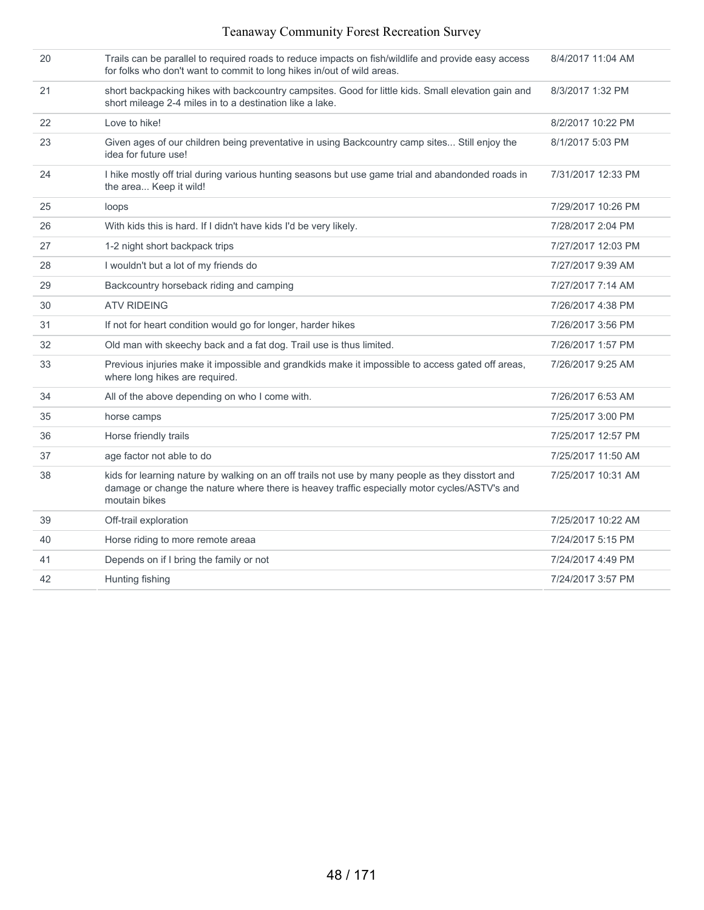| 20 | Trails can be parallel to required roads to reduce impacts on fish/wildlife and provide easy access<br>for folks who don't want to commit to long hikes in/out of wild areas.                                     | 8/4/2017 11:04 AM  |
|----|-------------------------------------------------------------------------------------------------------------------------------------------------------------------------------------------------------------------|--------------------|
| 21 | short backpacking hikes with backcountry campsites. Good for little kids. Small elevation gain and<br>short mileage 2-4 miles in to a destination like a lake.                                                    | 8/3/2017 1:32 PM   |
| 22 | Love to hike!                                                                                                                                                                                                     | 8/2/2017 10:22 PM  |
| 23 | Given ages of our children being preventative in using Backcountry camp sites Still enjoy the<br>idea for future use!                                                                                             | 8/1/2017 5:03 PM   |
| 24 | I hike mostly off trial during various hunting seasons but use game trial and abandonded roads in<br>the area Keep it wild!                                                                                       | 7/31/2017 12:33 PM |
| 25 | loops                                                                                                                                                                                                             | 7/29/2017 10:26 PM |
| 26 | With kids this is hard. If I didn't have kids I'd be very likely.                                                                                                                                                 | 7/28/2017 2:04 PM  |
| 27 | 1-2 night short backpack trips                                                                                                                                                                                    | 7/27/2017 12:03 PM |
| 28 | I wouldn't but a lot of my friends do                                                                                                                                                                             | 7/27/2017 9:39 AM  |
| 29 | Backcountry horseback riding and camping                                                                                                                                                                          | 7/27/2017 7:14 AM  |
| 30 | <b>ATV RIDEING</b>                                                                                                                                                                                                | 7/26/2017 4:38 PM  |
| 31 | If not for heart condition would go for longer, harder hikes                                                                                                                                                      | 7/26/2017 3:56 PM  |
| 32 | Old man with skeechy back and a fat dog. Trail use is thus limited.                                                                                                                                               | 7/26/2017 1:57 PM  |
| 33 | Previous injuries make it impossible and grandkids make it impossible to access gated off areas,<br>where long hikes are required.                                                                                | 7/26/2017 9:25 AM  |
| 34 | All of the above depending on who I come with.                                                                                                                                                                    | 7/26/2017 6:53 AM  |
| 35 | horse camps                                                                                                                                                                                                       | 7/25/2017 3:00 PM  |
| 36 | Horse friendly trails                                                                                                                                                                                             | 7/25/2017 12:57 PM |
| 37 | age factor not able to do                                                                                                                                                                                         | 7/25/2017 11:50 AM |
| 38 | kids for learning nature by walking on an off trails not use by many people as they disstort and<br>damage or change the nature where there is heavey traffic especially motor cycles/ASTV's and<br>moutain bikes | 7/25/2017 10:31 AM |
| 39 | Off-trail exploration                                                                                                                                                                                             | 7/25/2017 10:22 AM |
| 40 | Horse riding to more remote areaa                                                                                                                                                                                 | 7/24/2017 5:15 PM  |
| 41 | Depends on if I bring the family or not                                                                                                                                                                           | 7/24/2017 4:49 PM  |
| 42 | Hunting fishing                                                                                                                                                                                                   | 7/24/2017 3:57 PM  |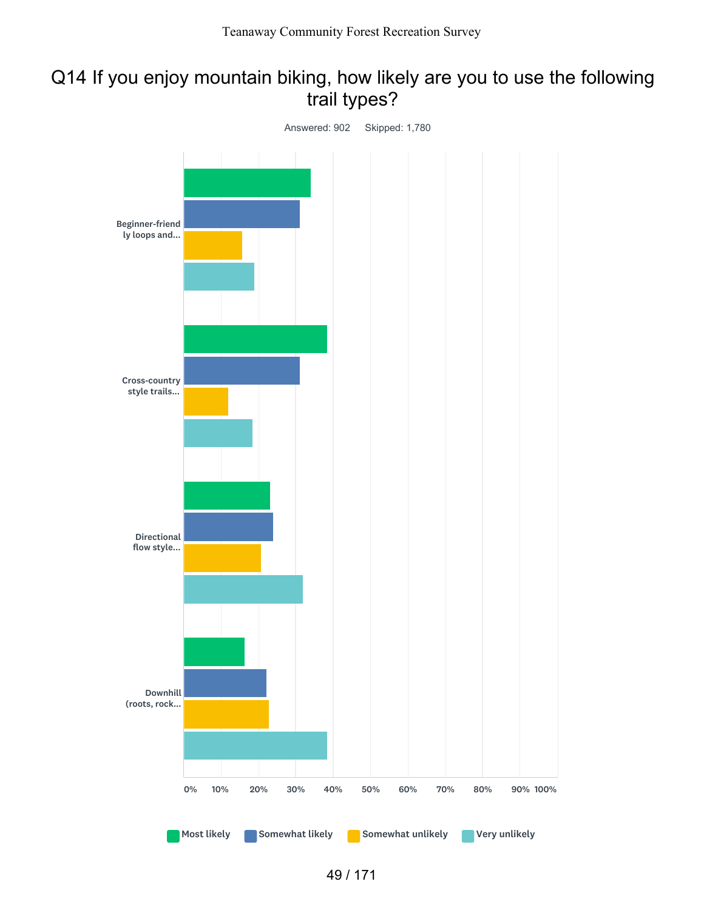# Q14 If you enjoy mountain biking, how likely are you to use the following trail types?

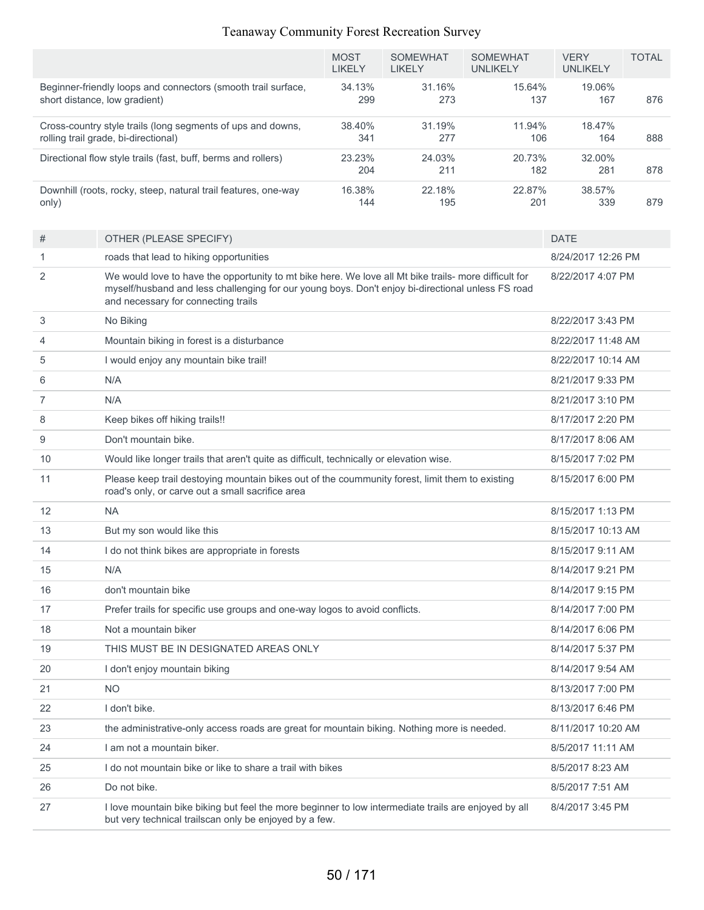|       |                                                                                                                                                                                                                                                   | <b>MOST</b><br><b>LIKELY</b> | <b>SOMEWHAT</b><br><b>LIKELY</b> | <b>SOMEWHAT</b><br><b>UNLIKELY</b> | <b>VERY</b><br><b>UNLIKELY</b> | <b>TOTAL</b>      |  |
|-------|---------------------------------------------------------------------------------------------------------------------------------------------------------------------------------------------------------------------------------------------------|------------------------------|----------------------------------|------------------------------------|--------------------------------|-------------------|--|
|       | Beginner-friendly loops and connectors (smooth trail surface,<br>short distance, low gradient)                                                                                                                                                    | 34.13%<br>299                | 31.16%<br>273                    | 15.64%<br>137                      | 19.06%<br>167                  | 876               |  |
|       | Cross-country style trails (long segments of ups and downs,<br>rolling trail grade, bi-directional)                                                                                                                                               | 38.40%<br>341                | 31.19%<br>277                    | 11.94%<br>106                      | 18.47%<br>164                  | 888               |  |
|       | Directional flow style trails (fast, buff, berms and rollers)                                                                                                                                                                                     | 23.23%<br>204                | 24.03%<br>211                    | 20.73%<br>182                      | 32.00%<br>281                  | 878               |  |
| only) | Downhill (roots, rocky, steep, natural trail features, one-way                                                                                                                                                                                    | 16.38%<br>144                | 22.18%<br>195                    | 22.87%<br>201                      | 38.57%<br>339                  | 879               |  |
| #     | OTHER (PLEASE SPECIFY)                                                                                                                                                                                                                            |                              |                                  |                                    | <b>DATE</b>                    |                   |  |
| 1     | roads that lead to hiking opportunities                                                                                                                                                                                                           |                              |                                  |                                    | 8/24/2017 12:26 PM             |                   |  |
| 2     | We would love to have the opportunity to mt bike here. We love all Mt bike trails- more difficult for<br>myself/husband and less challenging for our young boys. Don't enjoy bi-directional unless FS road<br>and necessary for connecting trails |                              |                                  |                                    | 8/22/2017 4:07 PM              |                   |  |
| 3     | No Biking                                                                                                                                                                                                                                         |                              |                                  |                                    | 8/22/2017 3:43 PM              |                   |  |
| 4     | Mountain biking in forest is a disturbance                                                                                                                                                                                                        |                              |                                  |                                    | 8/22/2017 11:48 AM             |                   |  |
| 5     | I would enjoy any mountain bike trail!                                                                                                                                                                                                            |                              |                                  |                                    | 8/22/2017 10:14 AM             |                   |  |
| 6     | N/A                                                                                                                                                                                                                                               |                              |                                  |                                    | 8/21/2017 9:33 PM              |                   |  |
| 7     | N/A                                                                                                                                                                                                                                               |                              |                                  |                                    | 8/21/2017 3:10 PM              |                   |  |
| 8     | Keep bikes off hiking trails!!                                                                                                                                                                                                                    |                              |                                  |                                    | 8/17/2017 2:20 PM              |                   |  |
| 9     | Don't mountain bike.                                                                                                                                                                                                                              |                              |                                  |                                    |                                | 8/17/2017 8:06 AM |  |
| 10    | Would like longer trails that aren't quite as difficult, technically or elevation wise.                                                                                                                                                           |                              |                                  |                                    | 8/15/2017 7:02 PM              |                   |  |
| 11    | Please keep trail destoying mountain bikes out of the coummunity forest, limit them to existing<br>road's only, or carve out a small sacrifice area                                                                                               |                              |                                  |                                    | 8/15/2017 6:00 PM              |                   |  |
| 12    | <b>NA</b>                                                                                                                                                                                                                                         |                              |                                  |                                    | 8/15/2017 1:13 PM              |                   |  |
| 13    | But my son would like this                                                                                                                                                                                                                        |                              |                                  |                                    | 8/15/2017 10:13 AM             |                   |  |
| 14    | I do not think bikes are appropriate in forests                                                                                                                                                                                                   |                              |                                  |                                    | 8/15/2017 9:11 AM              |                   |  |
| 15    | N/A                                                                                                                                                                                                                                               |                              |                                  |                                    | 8/14/2017 9:21 PM              |                   |  |
| 16    | don't mountain bike                                                                                                                                                                                                                               |                              |                                  |                                    | 8/14/2017 9:15 PM              |                   |  |
| 17    | Prefer trails for specific use groups and one-way logos to avoid conflicts.                                                                                                                                                                       |                              |                                  |                                    | 8/14/2017 7:00 PM              |                   |  |
| 18    | Not a mountain biker                                                                                                                                                                                                                              |                              |                                  |                                    | 8/14/2017 6:06 PM              |                   |  |
| 19    | THIS MUST BE IN DESIGNATED AREAS ONLY                                                                                                                                                                                                             |                              |                                  |                                    | 8/14/2017 5:37 PM              |                   |  |
| 20    | I don't enjoy mountain biking                                                                                                                                                                                                                     |                              |                                  |                                    | 8/14/2017 9:54 AM              |                   |  |
| 21    | <b>NO</b>                                                                                                                                                                                                                                         |                              |                                  |                                    | 8/13/2017 7:00 PM              |                   |  |
| 22    | I don't bike.                                                                                                                                                                                                                                     |                              |                                  |                                    | 8/13/2017 6:46 PM              |                   |  |
| 23    | the administrative-only access roads are great for mountain biking. Nothing more is needed.                                                                                                                                                       |                              |                                  |                                    | 8/11/2017 10:20 AM             |                   |  |
| 24    | I am not a mountain biker.                                                                                                                                                                                                                        |                              |                                  |                                    | 8/5/2017 11:11 AM              |                   |  |
| 25    | I do not mountain bike or like to share a trail with bikes                                                                                                                                                                                        |                              |                                  |                                    | 8/5/2017 8:23 AM               |                   |  |
| 26    | Do not bike.                                                                                                                                                                                                                                      |                              |                                  |                                    | 8/5/2017 7:51 AM               |                   |  |
| 27    | I love mountain bike biking but feel the more beginner to low intermediate trails are enjoyed by all<br>but very technical trailscan only be enjoyed by a few.                                                                                    |                              |                                  |                                    | 8/4/2017 3:45 PM               |                   |  |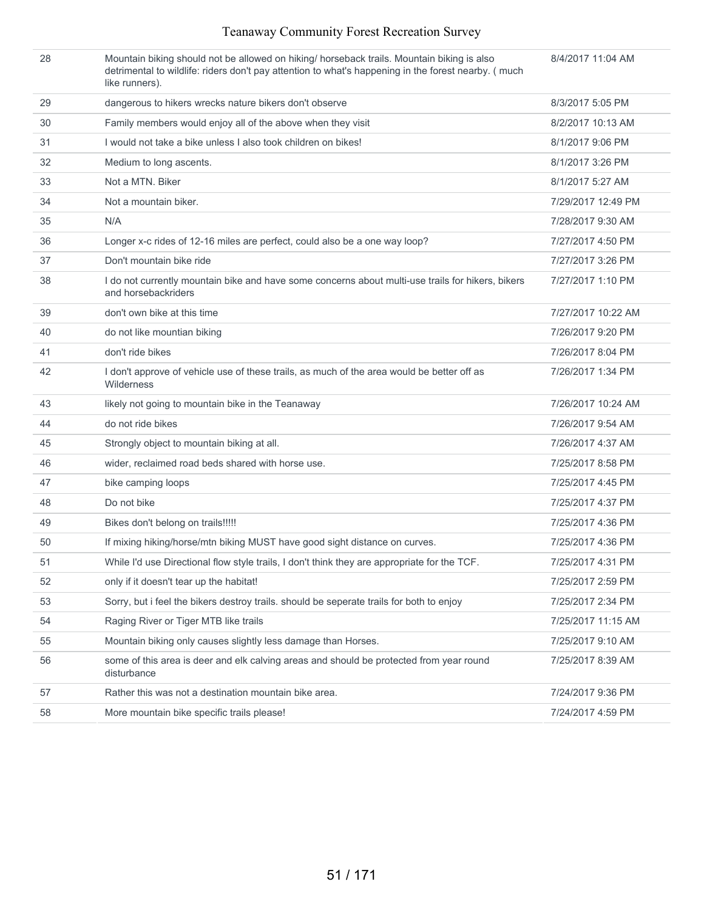| 28 | Mountain biking should not be allowed on hiking/ horseback trails. Mountain biking is also<br>detrimental to wildlife: riders don't pay attention to what's happening in the forest nearby. ( much<br>like runners). | 8/4/2017 11:04 AM  |
|----|----------------------------------------------------------------------------------------------------------------------------------------------------------------------------------------------------------------------|--------------------|
| 29 | dangerous to hikers wrecks nature bikers don't observe                                                                                                                                                               | 8/3/2017 5:05 PM   |
| 30 | Family members would enjoy all of the above when they visit                                                                                                                                                          | 8/2/2017 10:13 AM  |
| 31 | I would not take a bike unless I also took children on bikes!                                                                                                                                                        | 8/1/2017 9:06 PM   |
| 32 | Medium to long ascents.                                                                                                                                                                                              | 8/1/2017 3:26 PM   |
| 33 | Not a MTN. Biker                                                                                                                                                                                                     | 8/1/2017 5:27 AM   |
| 34 | Not a mountain biker.                                                                                                                                                                                                | 7/29/2017 12:49 PM |
| 35 | N/A                                                                                                                                                                                                                  | 7/28/2017 9:30 AM  |
| 36 | Longer x-c rides of 12-16 miles are perfect, could also be a one way loop?                                                                                                                                           | 7/27/2017 4:50 PM  |
| 37 | Don't mountain bike ride                                                                                                                                                                                             | 7/27/2017 3:26 PM  |
| 38 | I do not currently mountain bike and have some concerns about multi-use trails for hikers, bikers<br>and horsebackriders                                                                                             | 7/27/2017 1:10 PM  |
| 39 | don't own bike at this time                                                                                                                                                                                          | 7/27/2017 10:22 AM |
| 40 | do not like mountian biking                                                                                                                                                                                          | 7/26/2017 9:20 PM  |
| 41 | don't ride bikes                                                                                                                                                                                                     | 7/26/2017 8:04 PM  |
| 42 | I don't approve of vehicle use of these trails, as much of the area would be better off as<br>Wilderness                                                                                                             | 7/26/2017 1:34 PM  |
| 43 | likely not going to mountain bike in the Teanaway                                                                                                                                                                    | 7/26/2017 10:24 AM |
| 44 | do not ride bikes                                                                                                                                                                                                    | 7/26/2017 9:54 AM  |
| 45 | Strongly object to mountain biking at all.                                                                                                                                                                           | 7/26/2017 4:37 AM  |
| 46 | wider, reclaimed road beds shared with horse use.                                                                                                                                                                    | 7/25/2017 8:58 PM  |
| 47 | bike camping loops                                                                                                                                                                                                   | 7/25/2017 4:45 PM  |
| 48 | Do not bike                                                                                                                                                                                                          | 7/25/2017 4:37 PM  |
| 49 | Bikes don't belong on trails!!!!!                                                                                                                                                                                    | 7/25/2017 4:36 PM  |
| 50 | If mixing hiking/horse/mtn biking MUST have good sight distance on curves.                                                                                                                                           | 7/25/2017 4:36 PM  |
| 51 | While I'd use Directional flow style trails, I don't think they are appropriate for the TCF.                                                                                                                         | 7/25/2017 4:31 PM  |
| 52 | only if it doesn't tear up the habitat!                                                                                                                                                                              | 7/25/2017 2:59 PM  |
| 53 | Sorry, but i feel the bikers destroy trails. should be seperate trails for both to enjoy                                                                                                                             | 7/25/2017 2:34 PM  |
| 54 | Raging River or Tiger MTB like trails                                                                                                                                                                                | 7/25/2017 11:15 AM |
| 55 | Mountain biking only causes slightly less damage than Horses.                                                                                                                                                        | 7/25/2017 9:10 AM  |
| 56 | some of this area is deer and elk calving areas and should be protected from year round<br>disturbance                                                                                                               | 7/25/2017 8:39 AM  |
| 57 | Rather this was not a destination mountain bike area.                                                                                                                                                                | 7/24/2017 9:36 PM  |
| 58 | More mountain bike specific trails please!                                                                                                                                                                           | 7/24/2017 4:59 PM  |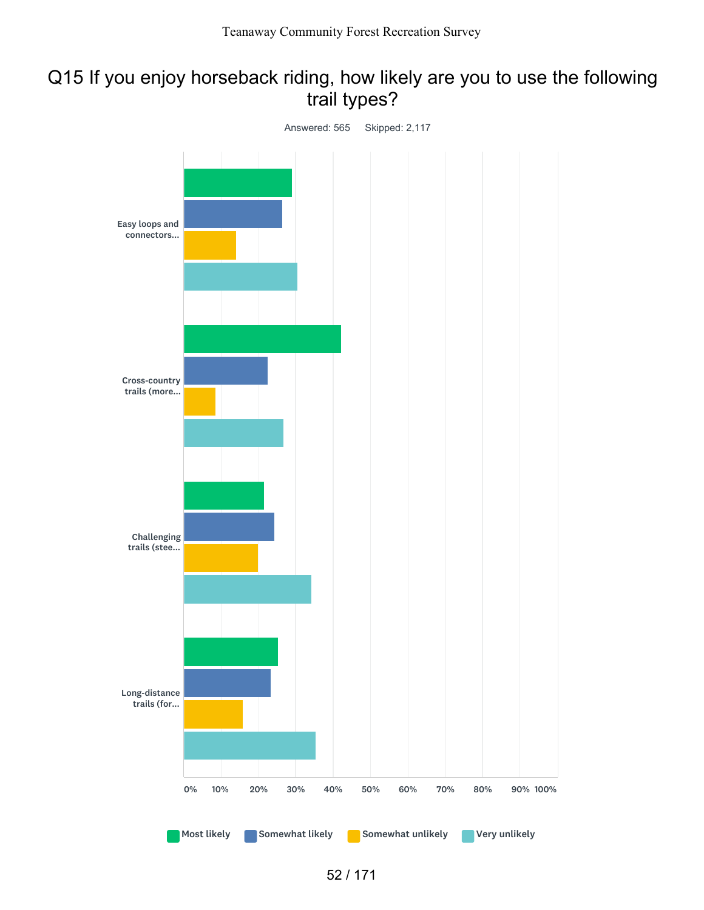# Q15 If you enjoy horseback riding, how likely are you to use the following trail types?

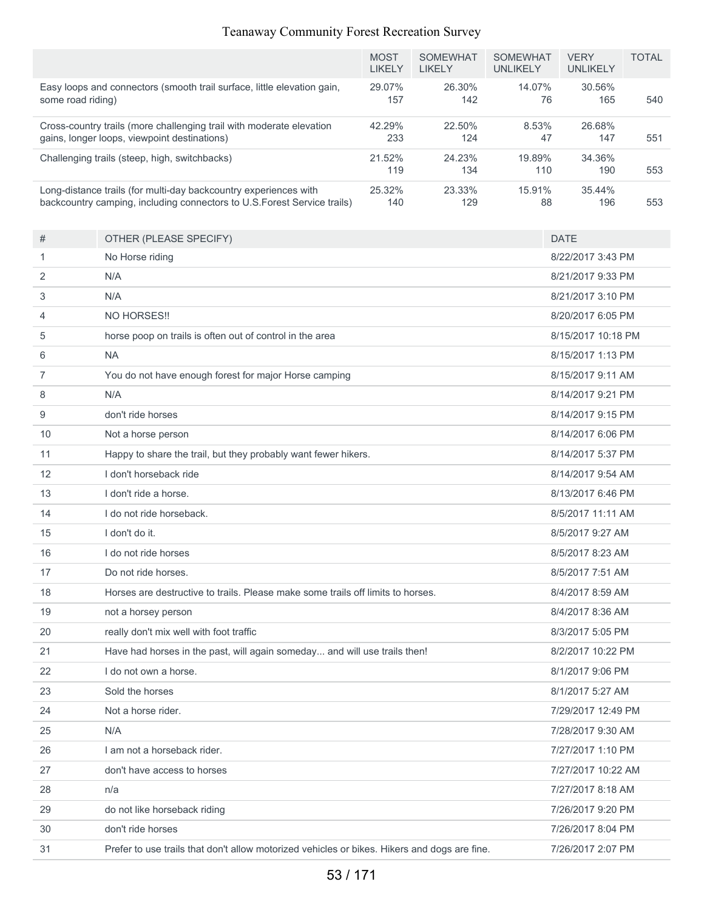|                   |                                                                                                                                              | <b>MOST</b><br><b>LIKELY</b> | <b>SOMEWHAT</b><br><b>LIKELY</b> | <b>SOMEWHAT</b><br><b>UNLIKELY</b> | <b>VERY</b><br><b>UNLIKELY</b> | <b>TOTAL</b> |
|-------------------|----------------------------------------------------------------------------------------------------------------------------------------------|------------------------------|----------------------------------|------------------------------------|--------------------------------|--------------|
| some road riding) | Easy loops and connectors (smooth trail surface, little elevation gain,                                                                      | 29.07%<br>157                | 26.30%<br>142                    | 14.07%<br>76                       | 30.56%<br>165                  | 540          |
|                   | Cross-country trails (more challenging trail with moderate elevation<br>gains, longer loops, viewpoint destinations)                         | 42.29%<br>233                | 22.50%<br>124                    | 8.53%<br>47                        | 26.68%<br>147                  | 551          |
|                   | Challenging trails (steep, high, switchbacks)                                                                                                | 21.52%<br>119                | 24.23%<br>134                    | 19.89%<br>110                      | 34.36%<br>190                  | 553          |
|                   | Long-distance trails (for multi-day backcountry experiences with<br>backcountry camping, including connectors to U.S. Forest Service trails) | 25.32%<br>140                | 23.33%<br>129                    | 15.91%<br>88                       | 35.44%<br>196                  | 553          |
| #                 | OTHER (PLEASE SPECIFY)                                                                                                                       |                              |                                  |                                    | <b>DATE</b>                    |              |
| 1                 | No Horse riding                                                                                                                              |                              |                                  |                                    | 8/22/2017 3:43 PM              |              |
| 2                 | N/A                                                                                                                                          |                              |                                  |                                    | 8/21/2017 9:33 PM              |              |
| 3                 | N/A                                                                                                                                          |                              |                                  |                                    | 8/21/2017 3:10 PM              |              |
| 4                 | NO HORSES!!                                                                                                                                  |                              |                                  |                                    | 8/20/2017 6:05 PM              |              |
| 5                 | horse poop on trails is often out of control in the area                                                                                     |                              |                                  |                                    | 8/15/2017 10:18 PM             |              |
| 6                 | <b>NA</b>                                                                                                                                    |                              |                                  |                                    | 8/15/2017 1:13 PM              |              |
| $\overline{7}$    | You do not have enough forest for major Horse camping                                                                                        |                              |                                  |                                    | 8/15/2017 9:11 AM              |              |
| 8                 | N/A                                                                                                                                          |                              |                                  |                                    | 8/14/2017 9:21 PM              |              |
| 9                 | don't ride horses                                                                                                                            |                              |                                  |                                    | 8/14/2017 9:15 PM              |              |
| 10                | Not a horse person                                                                                                                           |                              |                                  |                                    | 8/14/2017 6:06 PM              |              |
| 11                | Happy to share the trail, but they probably want fewer hikers.                                                                               |                              |                                  |                                    | 8/14/2017 5:37 PM              |              |
| 12                | I don't horseback ride                                                                                                                       |                              |                                  |                                    | 8/14/2017 9:54 AM              |              |
| 13                | I don't ride a horse.                                                                                                                        |                              |                                  |                                    | 8/13/2017 6:46 PM              |              |
| 14                | I do not ride horseback.                                                                                                                     |                              |                                  |                                    | 8/5/2017 11:11 AM              |              |
| 15                | I don't do it.                                                                                                                               |                              |                                  |                                    | 8/5/2017 9:27 AM               |              |
| 16                | I do not ride horses                                                                                                                         |                              |                                  |                                    | 8/5/2017 8:23 AM               |              |
| 17                | Do not ride horses.                                                                                                                          |                              |                                  |                                    | 8/5/2017 7:51 AM               |              |
| 18                | Horses are destructive to trails. Please make some trails off limits to horses.                                                              |                              |                                  |                                    | 8/4/2017 8:59 AM               |              |
| 19                | not a horsey person                                                                                                                          |                              |                                  |                                    | 8/4/2017 8:36 AM               |              |
| 20                | really don't mix well with foot traffic                                                                                                      |                              |                                  |                                    | 8/3/2017 5:05 PM               |              |
| 21                | Have had horses in the past, will again someday and will use trails then!                                                                    |                              |                                  |                                    | 8/2/2017 10:22 PM              |              |
| 22                | I do not own a horse.                                                                                                                        |                              |                                  |                                    | 8/1/2017 9:06 PM               |              |
| 23                | Sold the horses                                                                                                                              |                              |                                  |                                    | 8/1/2017 5:27 AM               |              |
| 24                | Not a horse rider.                                                                                                                           |                              |                                  |                                    | 7/29/2017 12:49 PM             |              |
| 25                | N/A                                                                                                                                          |                              |                                  |                                    | 7/28/2017 9:30 AM              |              |
| 26                | I am not a horseback rider.                                                                                                                  |                              |                                  |                                    | 7/27/2017 1:10 PM              |              |
| 27                | don't have access to horses                                                                                                                  |                              |                                  |                                    | 7/27/2017 10:22 AM             |              |
| 28                | n/a                                                                                                                                          |                              |                                  |                                    | 7/27/2017 8:18 AM              |              |
| 29                | do not like horseback riding                                                                                                                 |                              |                                  |                                    | 7/26/2017 9:20 PM              |              |
| 30                | don't ride horses                                                                                                                            |                              |                                  |                                    | 7/26/2017 8:04 PM              |              |
| 31                | Prefer to use trails that don't allow motorized vehicles or bikes. Hikers and dogs are fine.                                                 |                              |                                  |                                    | 7/26/2017 2:07 PM              |              |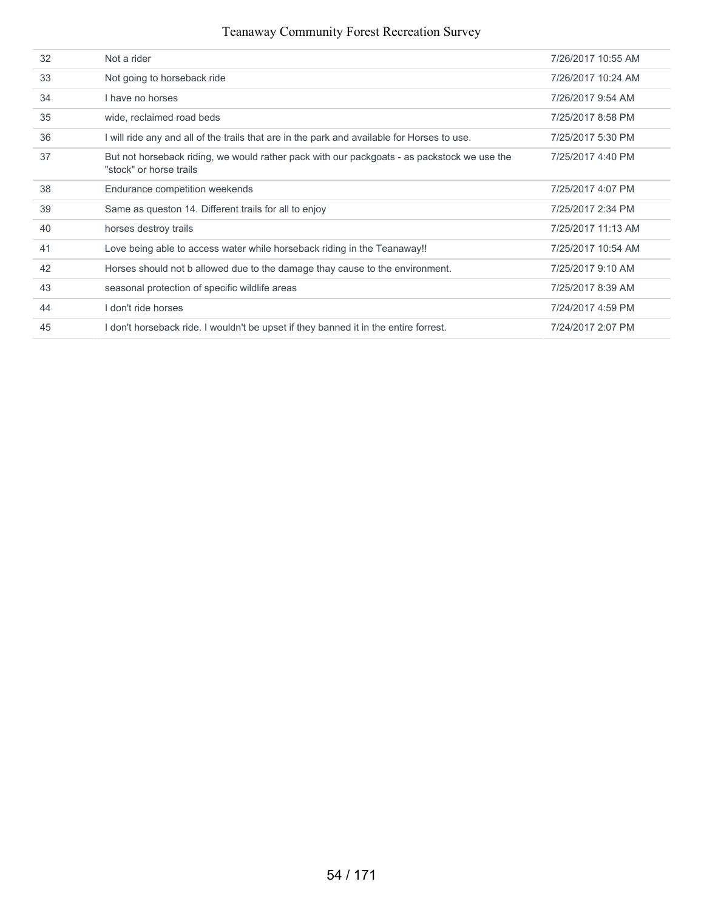| 32 | Not a rider                                                                                                            | 7/26/2017 10:55 AM |
|----|------------------------------------------------------------------------------------------------------------------------|--------------------|
| 33 | Not going to horseback ride                                                                                            | 7/26/2017 10:24 AM |
| 34 | I have no horses                                                                                                       | 7/26/2017 9:54 AM  |
| 35 | wide, reclaimed road beds                                                                                              | 7/25/2017 8:58 PM  |
| 36 | I will ride any and all of the trails that are in the park and available for Horses to use.                            | 7/25/2017 5:30 PM  |
| 37 | But not horseback riding, we would rather pack with our packgoats - as packstock we use the<br>"stock" or horse trails | 7/25/2017 4:40 PM  |
| 38 | Endurance competition weekends                                                                                         | 7/25/2017 4:07 PM  |
| 39 | Same as queston 14. Different trails for all to enjoy                                                                  | 7/25/2017 2:34 PM  |
| 40 | horses destroy trails                                                                                                  | 7/25/2017 11:13 AM |
| 41 | Love being able to access water while horseback riding in the Teanaway!!                                               | 7/25/2017 10:54 AM |
| 42 | Horses should not b allowed due to the damage thay cause to the environment.                                           | 7/25/2017 9:10 AM  |
| 43 | seasonal protection of specific wildlife areas                                                                         | 7/25/2017 8:39 AM  |
| 44 | I don't ride horses                                                                                                    | 7/24/2017 4:59 PM  |
| 45 | I don't horseback ride. I wouldn't be upset if they banned it in the entire forrest.                                   | 7/24/2017 2:07 PM  |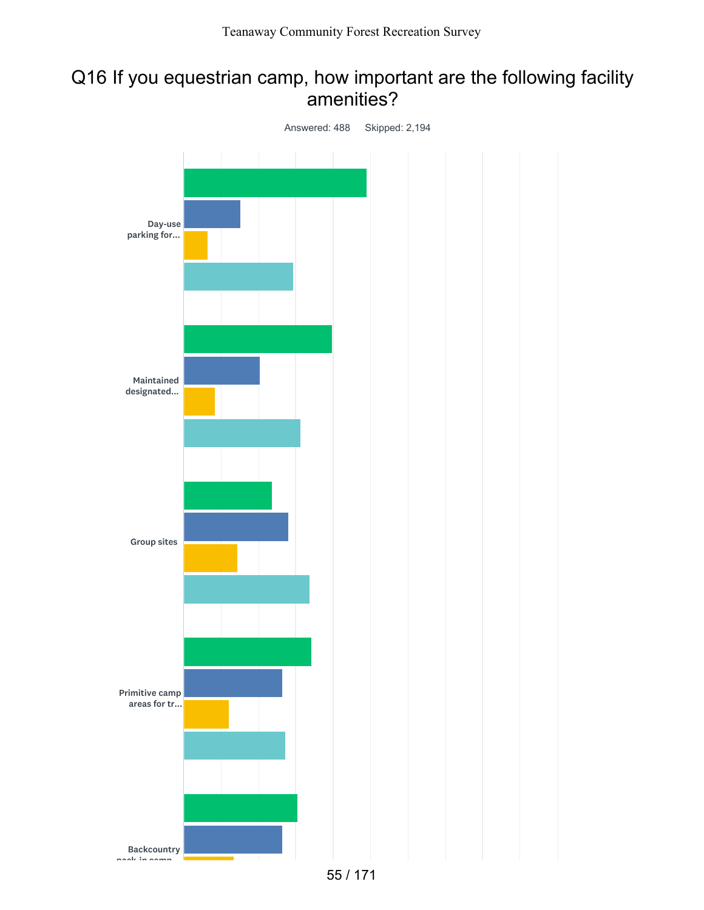## Q16 If you equestrian camp, how important are the following facility amenities?

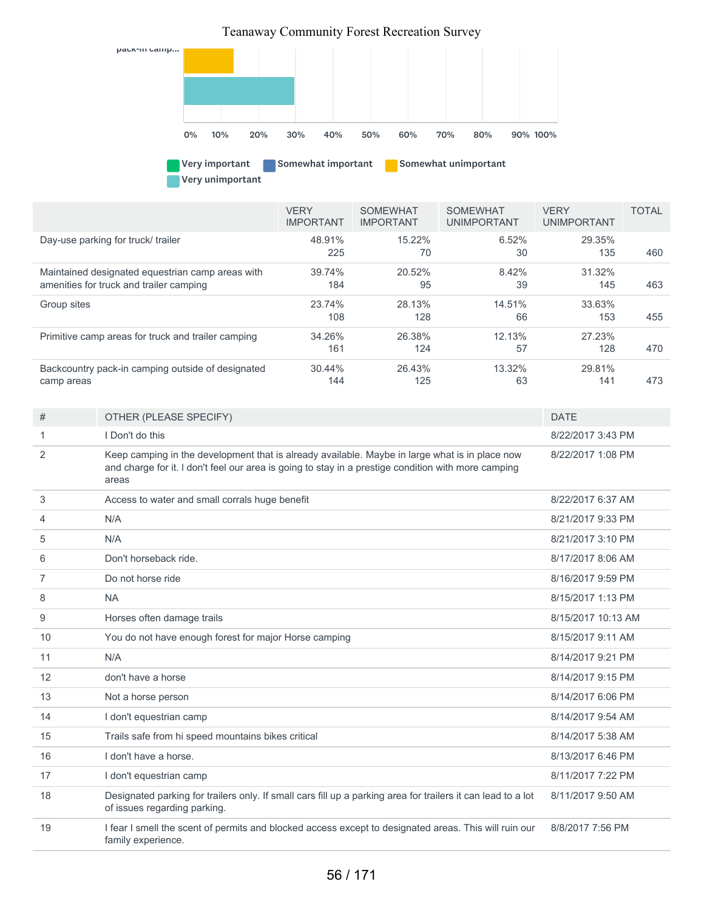

Very unimportant

|                                                    | <b>VERY</b><br><b>IMPORTANT</b> | <b>SOMEWHAT</b><br><b>IMPORTANT</b> | <b>SOMEWHAT</b><br><b>UNIMPORTANT</b> | <b>VERY</b><br><b>UNIMPORTANT</b> | <b>TOTAL</b> |
|----------------------------------------------------|---------------------------------|-------------------------------------|---------------------------------------|-----------------------------------|--------------|
| Day-use parking for truck/ trailer                 | 48.91%<br>225                   | $15.22\%$<br>70                     | 6.52%<br>30                           | 29.35%<br>135                     | 460          |
| Maintained designated equestrian camp areas with   | 39.74%                          | 20.52%                              | 8.42%                                 | 31.32%                            |              |
| amenities for truck and trailer camping            | 184                             | 95                                  | 39                                    | 145                               | 463          |
| Group sites                                        | 23.74%                          | 28.13%                              | 14.51%                                | 33.63%                            |              |
|                                                    | 108                             | 128                                 | 66                                    | 153                               | 455          |
| Primitive camp areas for truck and trailer camping | 34.26%                          | 26.38%                              | 12.13%                                | 27.23%                            |              |
|                                                    | 161                             | 124                                 | 57                                    | 128                               | 470          |
| Backcountry pack-in camping outside of designated  | 30.44%                          | 26.43%                              | 13.32%                                | 29.81%                            |              |
| camp areas                                         | 144                             | 125                                 | 63                                    | 141                               | 473          |

| #              | OTHER (PLEASE SPECIFY)                                                                                                                                                                                         | <b>DATE</b>        |
|----------------|----------------------------------------------------------------------------------------------------------------------------------------------------------------------------------------------------------------|--------------------|
| 1              | I Don't do this                                                                                                                                                                                                | 8/22/2017 3:43 PM  |
| 2              | Keep camping in the development that is already available. Maybe in large what is in place now<br>and charge for it. I don't feel our area is going to stay in a prestige condition with more camping<br>areas | 8/22/2017 1:08 PM  |
| 3              | Access to water and small corrals huge benefit                                                                                                                                                                 | 8/22/2017 6:37 AM  |
| 4              | N/A                                                                                                                                                                                                            | 8/21/2017 9:33 PM  |
| 5              | N/A                                                                                                                                                                                                            | 8/21/2017 3:10 PM  |
| 6              | Don't horseback ride.                                                                                                                                                                                          | 8/17/2017 8:06 AM  |
| $\overline{7}$ | Do not horse ride                                                                                                                                                                                              | 8/16/2017 9:59 PM  |
| 8              | <b>NA</b>                                                                                                                                                                                                      | 8/15/2017 1:13 PM  |
| 9              | Horses often damage trails                                                                                                                                                                                     | 8/15/2017 10:13 AM |
| 10             | You do not have enough forest for major Horse camping                                                                                                                                                          | 8/15/2017 9:11 AM  |
| 11             | N/A                                                                                                                                                                                                            | 8/14/2017 9:21 PM  |
| 12             | don't have a horse                                                                                                                                                                                             | 8/14/2017 9:15 PM  |
| 13             | Not a horse person                                                                                                                                                                                             | 8/14/2017 6:06 PM  |
| 14             | I don't equestrian camp                                                                                                                                                                                        | 8/14/2017 9:54 AM  |
| 15             | Trails safe from hi speed mountains bikes critical                                                                                                                                                             | 8/14/2017 5:38 AM  |
| 16             | I don't have a horse.                                                                                                                                                                                          | 8/13/2017 6:46 PM  |
| 17             | I don't equestrian camp                                                                                                                                                                                        | 8/11/2017 7:22 PM  |
| 18             | Designated parking for trailers only. If small cars fill up a parking area for trailers it can lead to a lot<br>of issues regarding parking.                                                                   | 8/11/2017 9:50 AM  |
| 19             | I fear I smell the scent of permits and blocked access except to designated areas. This will ruin our<br>family experience.                                                                                    | 8/8/2017 7:56 PM   |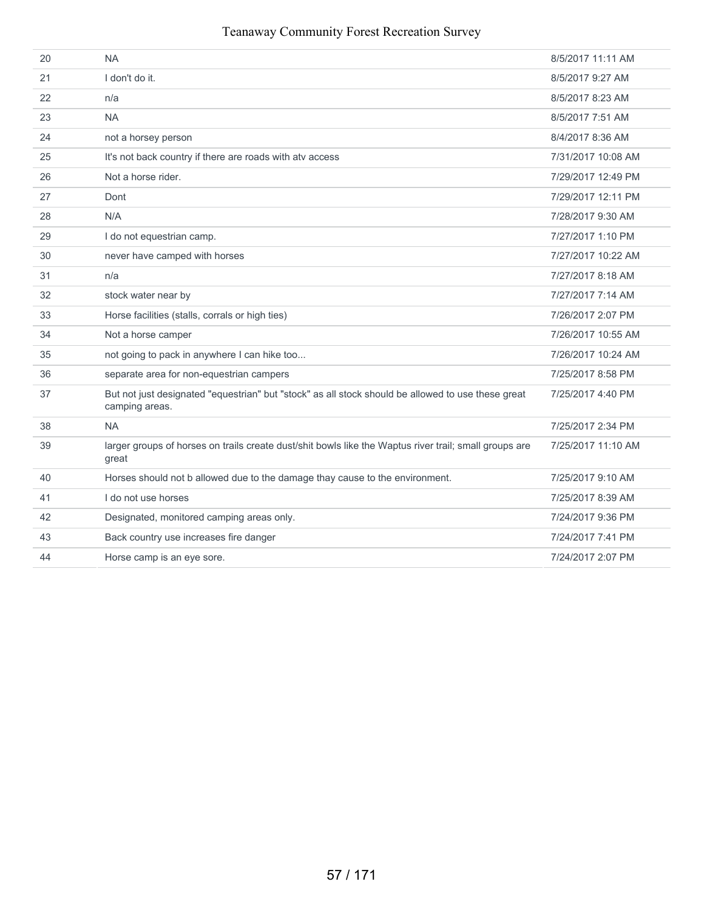| 20 | <b>NA</b>                                                                                                            | 8/5/2017 11:11 AM  |
|----|----------------------------------------------------------------------------------------------------------------------|--------------------|
| 21 | I don't do it.                                                                                                       | 8/5/2017 9:27 AM   |
| 22 | n/a                                                                                                                  | 8/5/2017 8:23 AM   |
| 23 | <b>NA</b>                                                                                                            | 8/5/2017 7:51 AM   |
| 24 | not a horsey person                                                                                                  | 8/4/2017 8:36 AM   |
| 25 | It's not back country if there are roads with atv access                                                             | 7/31/2017 10:08 AM |
| 26 | Not a horse rider.                                                                                                   | 7/29/2017 12:49 PM |
| 27 | Dont                                                                                                                 | 7/29/2017 12:11 PM |
| 28 | N/A                                                                                                                  | 7/28/2017 9:30 AM  |
| 29 | I do not equestrian camp.                                                                                            | 7/27/2017 1:10 PM  |
| 30 | never have camped with horses                                                                                        | 7/27/2017 10:22 AM |
| 31 | n/a                                                                                                                  | 7/27/2017 8:18 AM  |
| 32 | stock water near by                                                                                                  | 7/27/2017 7:14 AM  |
| 33 | Horse facilities (stalls, corrals or high ties)                                                                      | 7/26/2017 2:07 PM  |
| 34 | Not a horse camper                                                                                                   | 7/26/2017 10:55 AM |
| 35 | not going to pack in anywhere I can hike too                                                                         | 7/26/2017 10:24 AM |
| 36 | separate area for non-equestrian campers                                                                             | 7/25/2017 8:58 PM  |
| 37 | But not just designated "equestrian" but "stock" as all stock should be allowed to use these great<br>camping areas. | 7/25/2017 4:40 PM  |
| 38 | <b>NA</b>                                                                                                            | 7/25/2017 2:34 PM  |
| 39 | larger groups of horses on trails create dust/shit bowls like the Waptus river trail; small groups are<br>great      | 7/25/2017 11:10 AM |
| 40 | Horses should not b allowed due to the damage thay cause to the environment.                                         | 7/25/2017 9:10 AM  |
| 41 | I do not use horses                                                                                                  | 7/25/2017 8:39 AM  |
| 42 | Designated, monitored camping areas only.                                                                            | 7/24/2017 9:36 PM  |
| 43 | Back country use increases fire danger                                                                               | 7/24/2017 7:41 PM  |
| 44 | Horse camp is an eye sore.                                                                                           | 7/24/2017 2:07 PM  |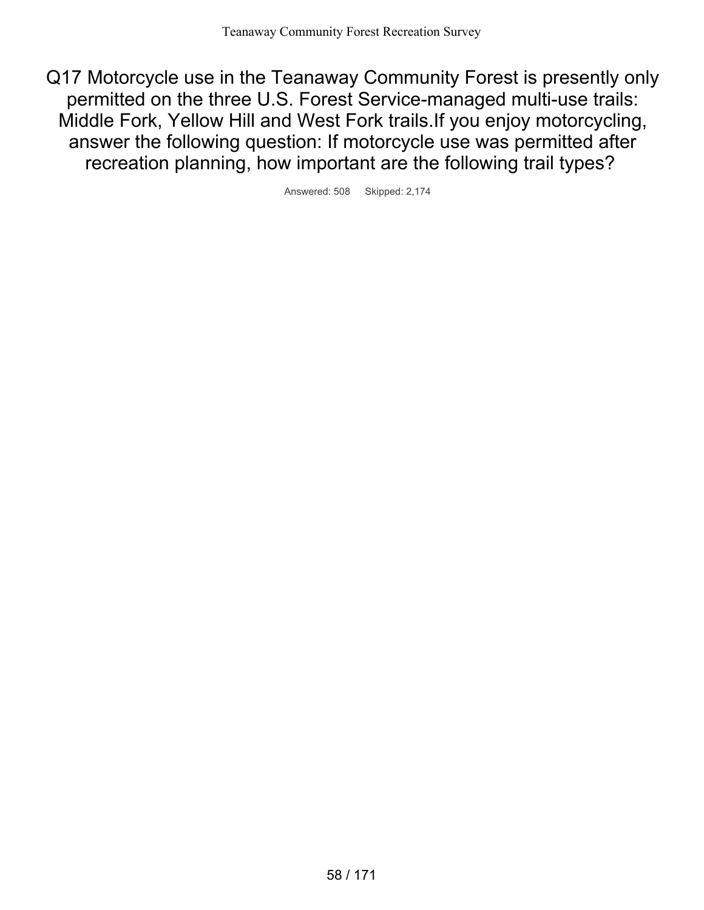Q17 Motorcycle use in the Teanaway Community Forest is presently only permitted on the three U.S. Forest Service-managed multi-use trails: Middle Fork, Yellow Hill and West Fork trails.If you enjoy motorcycling, answer the following question: If motorcycle use was permitted after recreation planning, how important are the following trail types?

Answered: 508 Skipped: 2,174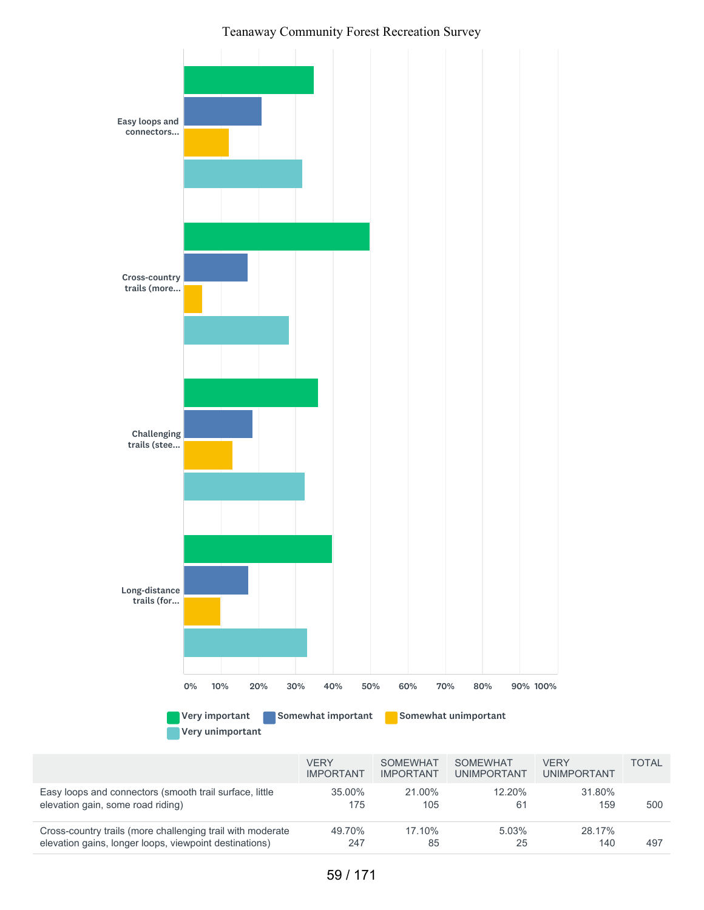

|                                                            | <b>VFRY</b><br><b>IMPORTANT</b> | <b>SOMEWHAT</b><br><b>IMPORTANT</b> | SOMFWHAT<br><b>UNIMPORTANT</b> | <b>VFRY</b><br><b>UNIMPORTANT</b> | TOTAI |
|------------------------------------------------------------|---------------------------------|-------------------------------------|--------------------------------|-----------------------------------|-------|
| Easy loops and connectors (smooth trail surface, little    | 35.00%                          | 21.00%                              | 12.20%                         | 31.80%                            | 500   |
| elevation gain, some road riding)                          | 175                             | 105                                 | 61                             | 159                               |       |
| Cross-country trails (more challenging trail with moderate | 49.70%                          | 17.10%                              | 5.03%                          | 28.17%                            | 497   |
| elevation gains, longer loops, viewpoint destinations)     | 247                             | 85                                  | 25                             | 140                               |       |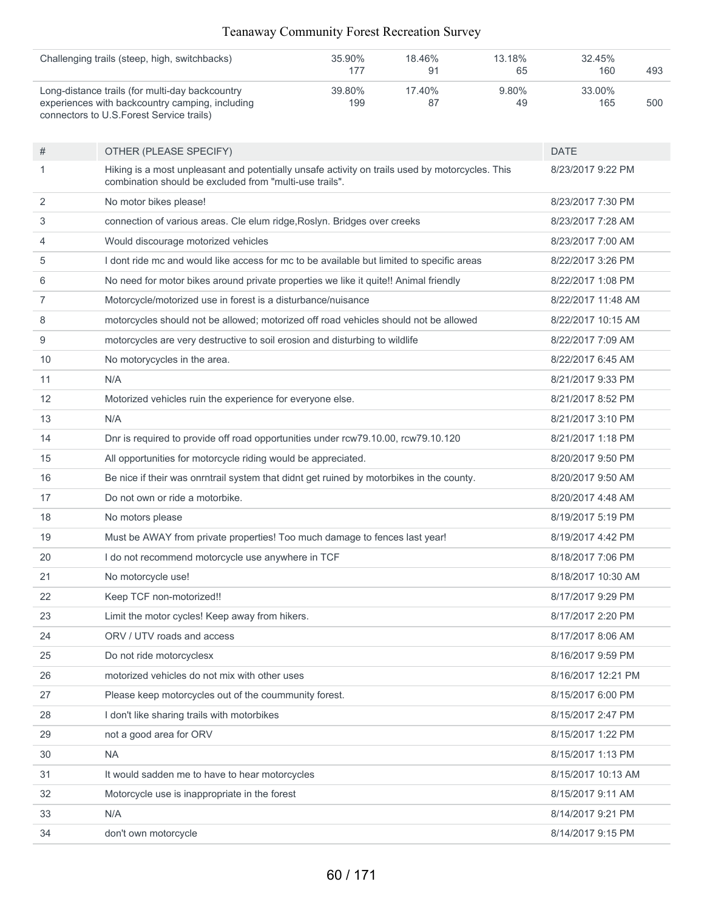| Challenging trails (steep, high, switchbacks)                                                | $35.90\%$ | 18.46% | 13.18%   | 32.45% |     |
|----------------------------------------------------------------------------------------------|-----------|--------|----------|--------|-----|
|                                                                                              | 177       |        | 65       | 160    | 493 |
| Long-distance trails (for multi-day backcountry                                              | 39.80%    | 17.40% | $9.80\%$ | 33.00% |     |
| experiences with backcountry camping, including<br>connectors to U.S. Forest Service trails) | 199       |        | 49       | 165    | 500 |

| #  | OTHER (PLEASE SPECIFY)                                                                                                                                     | <b>DATE</b>        |
|----|------------------------------------------------------------------------------------------------------------------------------------------------------------|--------------------|
| 1  | Hiking is a most unpleasant and potentially unsafe activity on trails used by motorcycles. This<br>combination should be excluded from "multi-use trails". | 8/23/2017 9:22 PM  |
| 2  | No motor bikes please!                                                                                                                                     | 8/23/2017 7:30 PM  |
| 3  | connection of various areas. Cle elum ridge, Roslyn. Bridges over creeks                                                                                   | 8/23/2017 7:28 AM  |
| 4  | Would discourage motorized vehicles                                                                                                                        | 8/23/2017 7:00 AM  |
| 5  | I dont ride mc and would like access for mc to be available but limited to specific areas                                                                  | 8/22/2017 3:26 PM  |
| 6  | No need for motor bikes around private properties we like it quite!! Animal friendly                                                                       | 8/22/2017 1:08 PM  |
| 7  | Motorcycle/motorized use in forest is a disturbance/nuisance                                                                                               | 8/22/2017 11:48 AM |
| 8  | motorcycles should not be allowed; motorized off road vehicles should not be allowed                                                                       | 8/22/2017 10:15 AM |
| 9  | motorcycles are very destructive to soil erosion and disturbing to wildlife                                                                                | 8/22/2017 7:09 AM  |
| 10 | No motorycycles in the area.                                                                                                                               | 8/22/2017 6:45 AM  |
| 11 | N/A                                                                                                                                                        | 8/21/2017 9:33 PM  |
| 12 | Motorized vehicles ruin the experience for everyone else.                                                                                                  | 8/21/2017 8:52 PM  |
| 13 | N/A                                                                                                                                                        | 8/21/2017 3:10 PM  |
| 14 | Dnr is required to provide off road opportunities under rcw79.10.00, rcw79.10.120                                                                          | 8/21/2017 1:18 PM  |
| 15 | All opportunities for motorcycle riding would be appreciated.                                                                                              | 8/20/2017 9:50 PM  |
| 16 | Be nice if their was onrntrail system that didnt get ruined by motorbikes in the county.                                                                   | 8/20/2017 9:50 AM  |
| 17 | Do not own or ride a motorbike.                                                                                                                            | 8/20/2017 4:48 AM  |
| 18 | No motors please                                                                                                                                           | 8/19/2017 5:19 PM  |
| 19 | Must be AWAY from private properties! Too much damage to fences last year!                                                                                 | 8/19/2017 4:42 PM  |
| 20 | I do not recommend motorcycle use anywhere in TCF                                                                                                          | 8/18/2017 7:06 PM  |
| 21 | No motorcycle use!                                                                                                                                         | 8/18/2017 10:30 AM |
| 22 | Keep TCF non-motorized!!                                                                                                                                   | 8/17/2017 9:29 PM  |
| 23 | Limit the motor cycles! Keep away from hikers.                                                                                                             | 8/17/2017 2:20 PM  |
| 24 | ORV / UTV roads and access                                                                                                                                 | 8/17/2017 8:06 AM  |
| 25 | Do not ride motorcyclesx                                                                                                                                   | 8/16/2017 9:59 PM  |
| 26 | motorized vehicles do not mix with other uses                                                                                                              | 8/16/2017 12:21 PM |
| 27 | Please keep motorcycles out of the coummunity forest.                                                                                                      | 8/15/2017 6:00 PM  |
| 28 | I don't like sharing trails with motorbikes                                                                                                                | 8/15/2017 2:47 PM  |
| 29 | not a good area for ORV                                                                                                                                    | 8/15/2017 1:22 PM  |
| 30 | <b>NA</b>                                                                                                                                                  | 8/15/2017 1:13 PM  |
| 31 | It would sadden me to have to hear motorcycles                                                                                                             | 8/15/2017 10:13 AM |
| 32 | Motorcycle use is inappropriate in the forest                                                                                                              | 8/15/2017 9:11 AM  |
| 33 | N/A                                                                                                                                                        | 8/14/2017 9:21 PM  |
| 34 | don't own motorcycle                                                                                                                                       | 8/14/2017 9:15 PM  |
|    |                                                                                                                                                            |                    |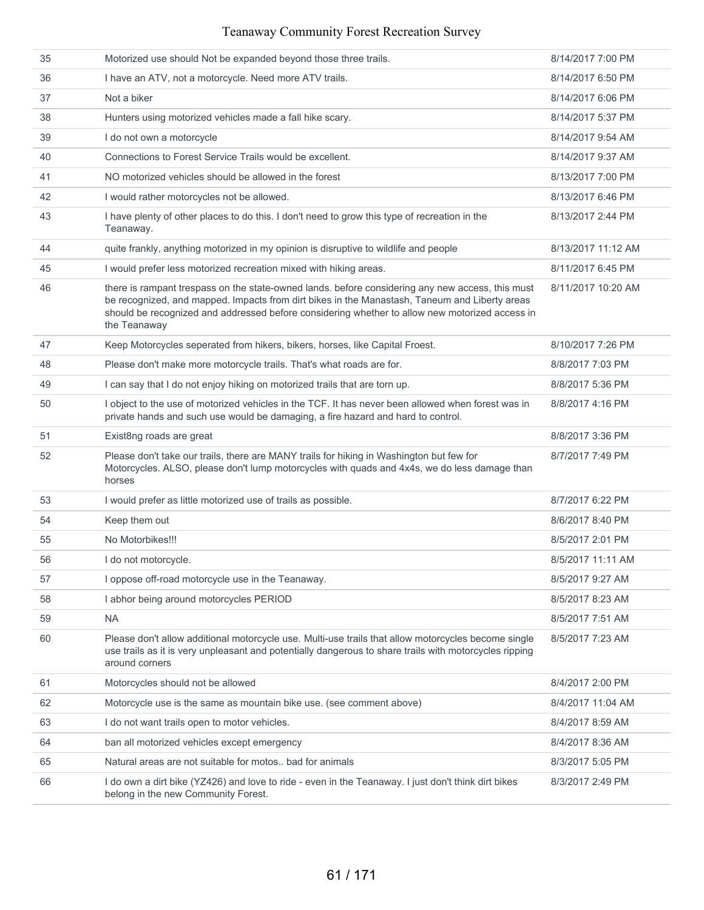| 35 | Motorized use should Not be expanded beyond those three trails.                                                                                                                                                                                                                                                     | 8/14/2017 7:00 PM  |
|----|---------------------------------------------------------------------------------------------------------------------------------------------------------------------------------------------------------------------------------------------------------------------------------------------------------------------|--------------------|
| 36 | I have an ATV, not a motorcycle. Need more ATV trails.                                                                                                                                                                                                                                                              | 8/14/2017 6:50 PM  |
| 37 | Not a biker                                                                                                                                                                                                                                                                                                         | 8/14/2017 6:06 PM  |
| 38 | Hunters using motorized vehicles made a fall hike scary.                                                                                                                                                                                                                                                            | 8/14/2017 5:37 PM  |
| 39 | I do not own a motorcycle                                                                                                                                                                                                                                                                                           | 8/14/2017 9:54 AM  |
| 40 | Connections to Forest Service Trails would be excellent.                                                                                                                                                                                                                                                            | 8/14/2017 9:37 AM  |
| 41 | NO motorized vehicles should be allowed in the forest                                                                                                                                                                                                                                                               | 8/13/2017 7:00 PM  |
| 42 | I would rather motorcycles not be allowed.                                                                                                                                                                                                                                                                          | 8/13/2017 6:46 PM  |
| 43 | I have plenty of other places to do this. I don't need to grow this type of recreation in the<br>Teanaway.                                                                                                                                                                                                          | 8/13/2017 2:44 PM  |
| 44 | quite frankly, anything motorized in my opinion is disruptive to wildlife and people                                                                                                                                                                                                                                | 8/13/2017 11:12 AM |
| 45 | I would prefer less motorized recreation mixed with hiking areas.                                                                                                                                                                                                                                                   | 8/11/2017 6:45 PM  |
| 46 | there is rampant trespass on the state-owned lands. before considering any new access, this must<br>be recognized, and mapped. Impacts from dirt bikes in the Manastash, Taneum and Liberty areas<br>should be recognized and addressed before considering whether to allow new motorized access in<br>the Teanaway | 8/11/2017 10:20 AM |
| 47 | Keep Motorcycles seperated from hikers, bikers, horses, like Capital Froest.                                                                                                                                                                                                                                        | 8/10/2017 7:26 PM  |
| 48 | Please don't make more motorcycle trails. That's what roads are for.                                                                                                                                                                                                                                                | 8/8/2017 7:03 PM   |
| 49 | I can say that I do not enjoy hiking on motorized trails that are torn up.                                                                                                                                                                                                                                          | 8/8/2017 5:36 PM   |
| 50 | I object to the use of motorized vehicles in the TCF. It has never been allowed when forest was in<br>private hands and such use would be damaging, a fire hazard and hard to control.                                                                                                                              | 8/8/2017 4:16 PM   |
| 51 | Exist8ng roads are great                                                                                                                                                                                                                                                                                            | 8/8/2017 3:36 PM   |
| 52 | Please don't take our trails, there are MANY trails for hiking in Washington but few for<br>Motorcycles. ALSO, please don't lump motorcycles with quads and 4x4s, we do less damage than<br>horses                                                                                                                  | 8/7/2017 7:49 PM   |
| 53 | I would prefer as little motorized use of trails as possible.                                                                                                                                                                                                                                                       | 8/7/2017 6:22 PM   |
| 54 | Keep them out                                                                                                                                                                                                                                                                                                       | 8/6/2017 8:40 PM   |
| 55 | No Motorbikes!!!                                                                                                                                                                                                                                                                                                    | 8/5/2017 2:01 PM   |
| 56 | I do not motorcycle.                                                                                                                                                                                                                                                                                                | 8/5/2017 11:11 AM  |
| 57 | I oppose off-road motorcycle use in the Teanaway.                                                                                                                                                                                                                                                                   | 8/5/2017 9:27 AM   |
| 58 | I abhor being around motorcycles PERIOD                                                                                                                                                                                                                                                                             | 8/5/2017 8:23 AM   |
| 59 | <b>NA</b>                                                                                                                                                                                                                                                                                                           | 8/5/2017 7:51 AM   |
| 60 | Please don't allow additional motorcycle use. Multi-use trails that allow motorcycles become single<br>use trails as it is very unpleasant and potentially dangerous to share trails with motorcycles ripping<br>around corners                                                                                     | 8/5/2017 7:23 AM   |
| 61 | Motorcycles should not be allowed                                                                                                                                                                                                                                                                                   | 8/4/2017 2:00 PM   |
| 62 | Motorcycle use is the same as mountain bike use. (see comment above)                                                                                                                                                                                                                                                | 8/4/2017 11:04 AM  |
| 63 | I do not want trails open to motor vehicles.                                                                                                                                                                                                                                                                        | 8/4/2017 8:59 AM   |
| 64 | ban all motorized vehicles except emergency                                                                                                                                                                                                                                                                         | 8/4/2017 8:36 AM   |
| 65 | Natural areas are not suitable for motos bad for animals                                                                                                                                                                                                                                                            | 8/3/2017 5:05 PM   |
| 66 | I do own a dirt bike (YZ426) and love to ride - even in the Teanaway. I just don't think dirt bikes<br>belong in the new Community Forest.                                                                                                                                                                          | 8/3/2017 2:49 PM   |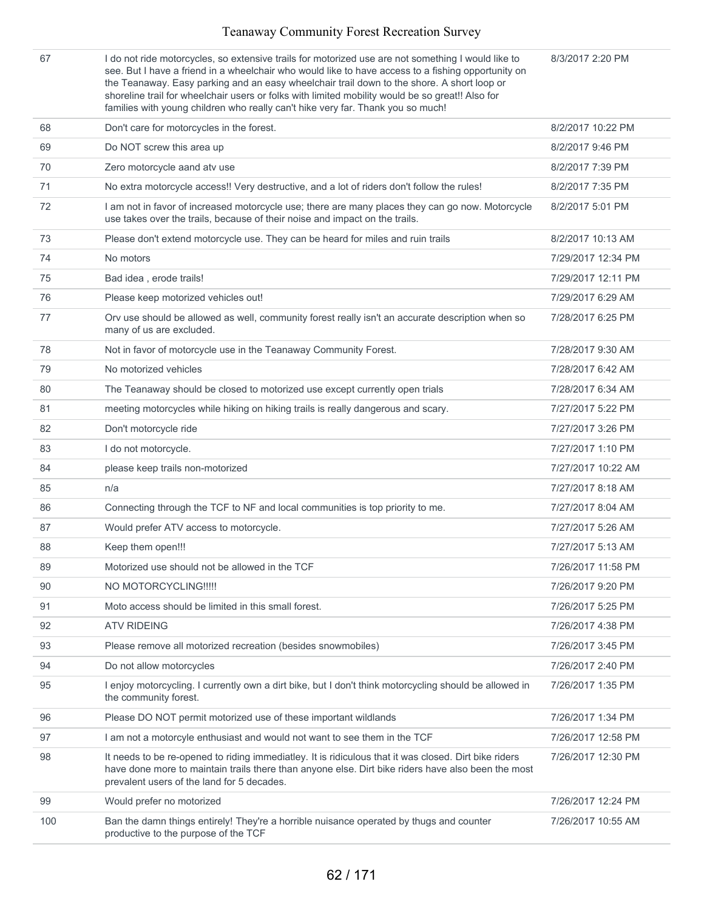| 67  | I do not ride motorcycles, so extensive trails for motorized use are not something I would like to<br>see. But I have a friend in a wheelchair who would like to have access to a fishing opportunity on<br>the Teanaway. Easy parking and an easy wheelchair trail down to the shore. A short loop or<br>shoreline trail for wheelchair users or folks with limited mobility would be so great!! Also for<br>families with young children who really can't hike very far. Thank you so much! | 8/3/2017 2:20 PM   |
|-----|-----------------------------------------------------------------------------------------------------------------------------------------------------------------------------------------------------------------------------------------------------------------------------------------------------------------------------------------------------------------------------------------------------------------------------------------------------------------------------------------------|--------------------|
| 68  | Don't care for motorcycles in the forest.                                                                                                                                                                                                                                                                                                                                                                                                                                                     | 8/2/2017 10:22 PM  |
| 69  | Do NOT screw this area up                                                                                                                                                                                                                                                                                                                                                                                                                                                                     | 8/2/2017 9:46 PM   |
| 70  | Zero motorcycle aand atv use                                                                                                                                                                                                                                                                                                                                                                                                                                                                  | 8/2/2017 7:39 PM   |
| 71  | No extra motorcycle access!! Very destructive, and a lot of riders don't follow the rules!                                                                                                                                                                                                                                                                                                                                                                                                    | 8/2/2017 7:35 PM   |
| 72  | I am not in favor of increased motorcycle use; there are many places they can go now. Motorcycle<br>use takes over the trails, because of their noise and impact on the trails.                                                                                                                                                                                                                                                                                                               | 8/2/2017 5:01 PM   |
| 73  | Please don't extend motorcycle use. They can be heard for miles and ruin trails                                                                                                                                                                                                                                                                                                                                                                                                               | 8/2/2017 10:13 AM  |
| 74  | No motors                                                                                                                                                                                                                                                                                                                                                                                                                                                                                     | 7/29/2017 12:34 PM |
| 75  | Bad idea, erode trails!                                                                                                                                                                                                                                                                                                                                                                                                                                                                       | 7/29/2017 12:11 PM |
| 76  | Please keep motorized vehicles out!                                                                                                                                                                                                                                                                                                                                                                                                                                                           | 7/29/2017 6:29 AM  |
| 77  | Orv use should be allowed as well, community forest really isn't an accurate description when so<br>many of us are excluded.                                                                                                                                                                                                                                                                                                                                                                  | 7/28/2017 6:25 PM  |
| 78  | Not in favor of motorcycle use in the Teanaway Community Forest.                                                                                                                                                                                                                                                                                                                                                                                                                              | 7/28/2017 9:30 AM  |
| 79  | No motorized vehicles                                                                                                                                                                                                                                                                                                                                                                                                                                                                         | 7/28/2017 6:42 AM  |
| 80  | The Teanaway should be closed to motorized use except currently open trials                                                                                                                                                                                                                                                                                                                                                                                                                   | 7/28/2017 6:34 AM  |
| 81  | meeting motorcycles while hiking on hiking trails is really dangerous and scary.                                                                                                                                                                                                                                                                                                                                                                                                              | 7/27/2017 5:22 PM  |
| 82  | Don't motorcycle ride                                                                                                                                                                                                                                                                                                                                                                                                                                                                         | 7/27/2017 3:26 PM  |
| 83  | I do not motorcycle.                                                                                                                                                                                                                                                                                                                                                                                                                                                                          | 7/27/2017 1:10 PM  |
| 84  | please keep trails non-motorized                                                                                                                                                                                                                                                                                                                                                                                                                                                              | 7/27/2017 10:22 AM |
| 85  | n/a                                                                                                                                                                                                                                                                                                                                                                                                                                                                                           | 7/27/2017 8:18 AM  |
| 86  | Connecting through the TCF to NF and local communities is top priority to me.                                                                                                                                                                                                                                                                                                                                                                                                                 | 7/27/2017 8:04 AM  |
| 87  | Would prefer ATV access to motorcycle.                                                                                                                                                                                                                                                                                                                                                                                                                                                        | 7/27/2017 5:26 AM  |
| 88  | Keep them open!!!                                                                                                                                                                                                                                                                                                                                                                                                                                                                             | 7/27/2017 5:13 AM  |
| 89  | Motorized use should not be allowed in the TCF                                                                                                                                                                                                                                                                                                                                                                                                                                                | 7/26/2017 11:58 PM |
| 90  | NO MOTORCYCLING !!!!!                                                                                                                                                                                                                                                                                                                                                                                                                                                                         | 7/26/2017 9:20 PM  |
| 91  | Moto access should be limited in this small forest.                                                                                                                                                                                                                                                                                                                                                                                                                                           | 7/26/2017 5:25 PM  |
| 92  | <b>ATV RIDEING</b>                                                                                                                                                                                                                                                                                                                                                                                                                                                                            | 7/26/2017 4:38 PM  |
| 93  | Please remove all motorized recreation (besides snowmobiles)                                                                                                                                                                                                                                                                                                                                                                                                                                  | 7/26/2017 3:45 PM  |
| 94  | Do not allow motorcycles                                                                                                                                                                                                                                                                                                                                                                                                                                                                      | 7/26/2017 2:40 PM  |
| 95  | I enjoy motorcycling. I currently own a dirt bike, but I don't think motorcycling should be allowed in<br>the community forest.                                                                                                                                                                                                                                                                                                                                                               | 7/26/2017 1:35 PM  |
| 96  | Please DO NOT permit motorized use of these important wildlands                                                                                                                                                                                                                                                                                                                                                                                                                               | 7/26/2017 1:34 PM  |
| 97  | I am not a motorcyle enthusiast and would not want to see them in the TCF                                                                                                                                                                                                                                                                                                                                                                                                                     | 7/26/2017 12:58 PM |
| 98  | It needs to be re-opened to riding immediatley. It is ridiculous that it was closed. Dirt bike riders<br>have done more to maintain trails there than anyone else. Dirt bike riders have also been the most<br>prevalent users of the land for 5 decades.                                                                                                                                                                                                                                     | 7/26/2017 12:30 PM |
| 99  | Would prefer no motorized                                                                                                                                                                                                                                                                                                                                                                                                                                                                     | 7/26/2017 12:24 PM |
| 100 | Ban the damn things entirely! They're a horrible nuisance operated by thugs and counter<br>productive to the purpose of the TCF                                                                                                                                                                                                                                                                                                                                                               | 7/26/2017 10:55 AM |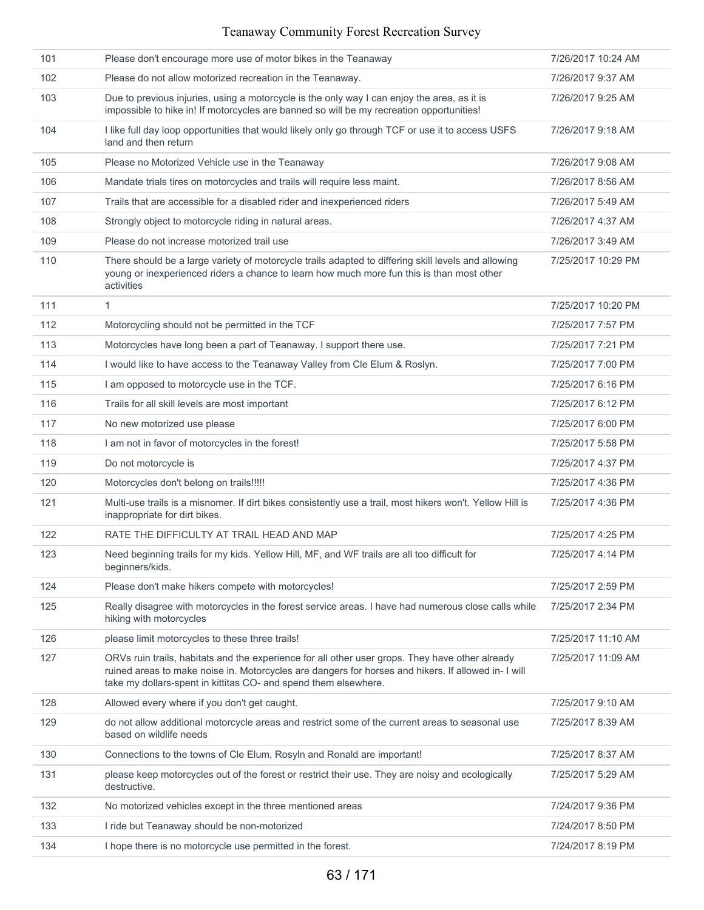| 101 | Please don't encourage more use of motor bikes in the Teanaway                                                                                                                                                                                                            | 7/26/2017 10:24 AM |
|-----|---------------------------------------------------------------------------------------------------------------------------------------------------------------------------------------------------------------------------------------------------------------------------|--------------------|
| 102 | Please do not allow motorized recreation in the Teanaway.                                                                                                                                                                                                                 | 7/26/2017 9:37 AM  |
| 103 | Due to previous injuries, using a motorcycle is the only way I can enjoy the area, as it is<br>impossible to hike in! If motorcycles are banned so will be my recreation opportunities!                                                                                   | 7/26/2017 9:25 AM  |
| 104 | I like full day loop opportunities that would likely only go through TCF or use it to access USFS<br>land and then return                                                                                                                                                 | 7/26/2017 9:18 AM  |
| 105 | Please no Motorized Vehicle use in the Teanaway                                                                                                                                                                                                                           | 7/26/2017 9:08 AM  |
| 106 | Mandate trials tires on motorcycles and trails will require less maint.                                                                                                                                                                                                   | 7/26/2017 8:56 AM  |
| 107 | Trails that are accessible for a disabled rider and inexperienced riders                                                                                                                                                                                                  | 7/26/2017 5:49 AM  |
| 108 | Strongly object to motorcycle riding in natural areas.                                                                                                                                                                                                                    | 7/26/2017 4:37 AM  |
| 109 | Please do not increase motorized trail use                                                                                                                                                                                                                                | 7/26/2017 3:49 AM  |
| 110 | There should be a large variety of motorcycle trails adapted to differing skill levels and allowing<br>young or inexperienced riders a chance to learn how much more fun this is than most other<br>activities                                                            | 7/25/2017 10:29 PM |
| 111 | $\mathbf{1}$                                                                                                                                                                                                                                                              | 7/25/2017 10:20 PM |
| 112 | Motorcycling should not be permitted in the TCF                                                                                                                                                                                                                           | 7/25/2017 7:57 PM  |
| 113 | Motorcycles have long been a part of Teanaway. I support there use.                                                                                                                                                                                                       | 7/25/2017 7:21 PM  |
| 114 | I would like to have access to the Teanaway Valley from Cle Elum & Roslyn.                                                                                                                                                                                                | 7/25/2017 7:00 PM  |
| 115 | I am opposed to motorcycle use in the TCF.                                                                                                                                                                                                                                | 7/25/2017 6:16 PM  |
| 116 | Trails for all skill levels are most important                                                                                                                                                                                                                            | 7/25/2017 6:12 PM  |
| 117 | No new motorized use please                                                                                                                                                                                                                                               | 7/25/2017 6:00 PM  |
| 118 | I am not in favor of motorcycles in the forest!                                                                                                                                                                                                                           | 7/25/2017 5:58 PM  |
| 119 | Do not motorcycle is                                                                                                                                                                                                                                                      | 7/25/2017 4:37 PM  |
| 120 | Motorcycles don't belong on trails!!!!!                                                                                                                                                                                                                                   | 7/25/2017 4:36 PM  |
| 121 | Multi-use trails is a misnomer. If dirt bikes consistently use a trail, most hikers won't. Yellow Hill is<br>inappropriate for dirt bikes.                                                                                                                                | 7/25/2017 4:36 PM  |
| 122 | RATE THE DIFFICULTY AT TRAIL HEAD AND MAP                                                                                                                                                                                                                                 | 7/25/2017 4:25 PM  |
| 123 | Need beginning trails for my kids. Yellow Hill, MF, and WF trails are all too difficult for<br>beginners/kids.                                                                                                                                                            | 7/25/2017 4:14 PM  |
| 124 | Please don't make hikers compete with motorcycles!                                                                                                                                                                                                                        | 7/25/2017 2:59 PM  |
| 125 | Really disagree with motorcycles in the forest service areas. I have had numerous close calls while<br>hiking with motorcycles                                                                                                                                            | 7/25/2017 2:34 PM  |
| 126 | please limit motorcycles to these three trails!                                                                                                                                                                                                                           | 7/25/2017 11:10 AM |
| 127 | ORVs ruin trails, habitats and the experience for all other user grops. They have other already<br>ruined areas to make noise in. Motorcycles are dangers for horses and hikers. If allowed in- I will<br>take my dollars-spent in kittitas CO- and spend them elsewhere. | 7/25/2017 11:09 AM |
| 128 | Allowed every where if you don't get caught.                                                                                                                                                                                                                              | 7/25/2017 9:10 AM  |
| 129 | do not allow additional motorcycle areas and restrict some of the current areas to seasonal use<br>based on wildlife needs                                                                                                                                                | 7/25/2017 8:39 AM  |
| 130 | Connections to the towns of Cle Elum, Rosyln and Ronald are important!                                                                                                                                                                                                    | 7/25/2017 8:37 AM  |
| 131 | please keep motorcycles out of the forest or restrict their use. They are noisy and ecologically<br>destructive.                                                                                                                                                          | 7/25/2017 5:29 AM  |
| 132 | No motorized vehicles except in the three mentioned areas                                                                                                                                                                                                                 | 7/24/2017 9:36 PM  |
| 133 | I ride but Teanaway should be non-motorized                                                                                                                                                                                                                               | 7/24/2017 8:50 PM  |
| 134 | I hope there is no motorcycle use permitted in the forest.                                                                                                                                                                                                                | 7/24/2017 8:19 PM  |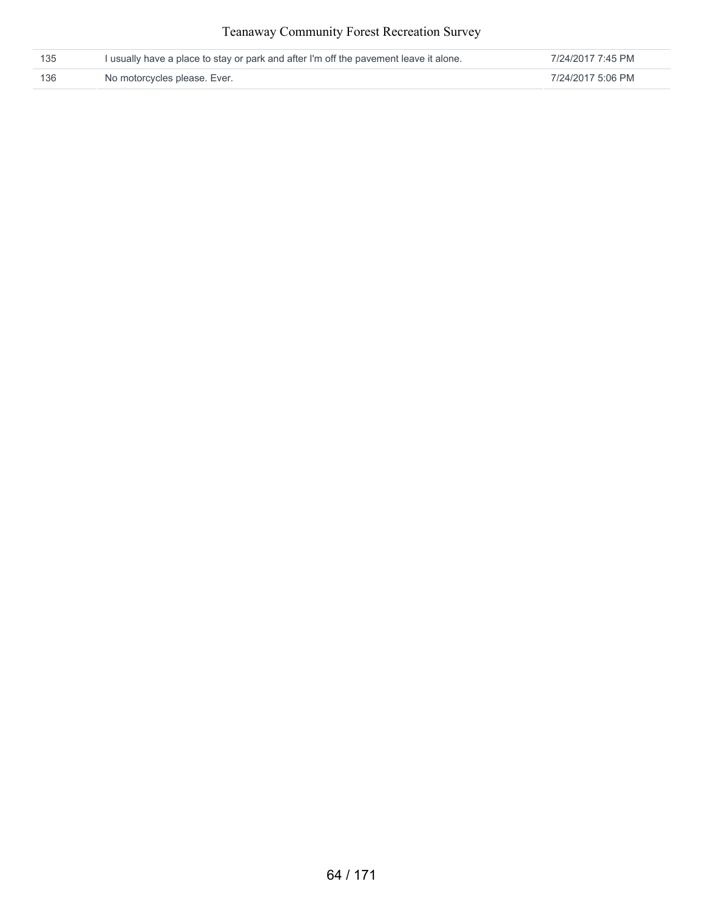| 135 | I usually have a place to stay or park and after I'm off the pavement leave it alone. | 7/24/2017 7:45 PM |
|-----|---------------------------------------------------------------------------------------|-------------------|
| 136 | No motorcycles please. Ever.                                                          | 7/24/2017 5:06 PM |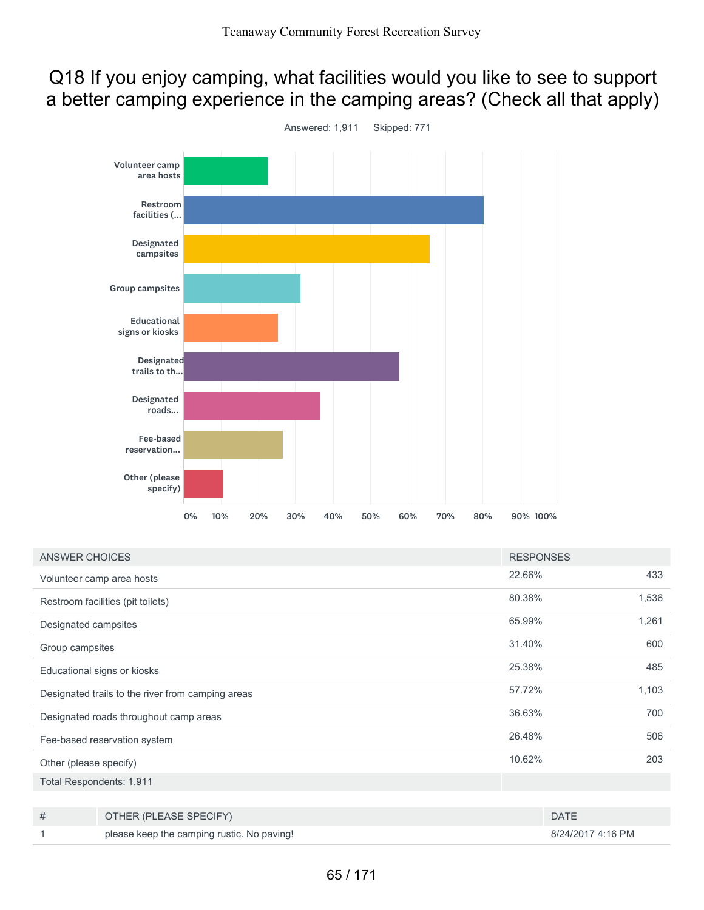# Q18 If you enjoy camping, what facilities would you like to see to support a better camping experience in the camping areas? (Check all that apply)



| <b>ANSWER CHOICES</b>                             |                                            | <b>RESPONSES</b> |                   |       |
|---------------------------------------------------|--------------------------------------------|------------------|-------------------|-------|
|                                                   | Volunteer camp area hosts                  | 22.66%           |                   | 433   |
|                                                   | Restroom facilities (pit toilets)          | 80.38%           |                   | 1,536 |
| Designated campsites                              |                                            | 65.99%           |                   | 1,261 |
| Group campsites                                   |                                            | 31.40%           |                   | 600   |
|                                                   | Educational signs or kiosks                | 25.38%           |                   | 485   |
| Designated trails to the river from camping areas |                                            | 57.72%           |                   | 1,103 |
| Designated roads throughout camp areas            |                                            | 36.63%           |                   | 700   |
| Fee-based reservation system                      |                                            | 26.48%           |                   | 506   |
| Other (please specify)                            |                                            | 10.62%           |                   | 203   |
| Total Respondents: 1,911                          |                                            |                  |                   |       |
|                                                   |                                            |                  |                   |       |
| #                                                 | OTHER (PLEASE SPECIFY)                     |                  | <b>DATE</b>       |       |
|                                                   | please keep the camping rustic. No paving! |                  | 8/24/2017 4:16 PM |       |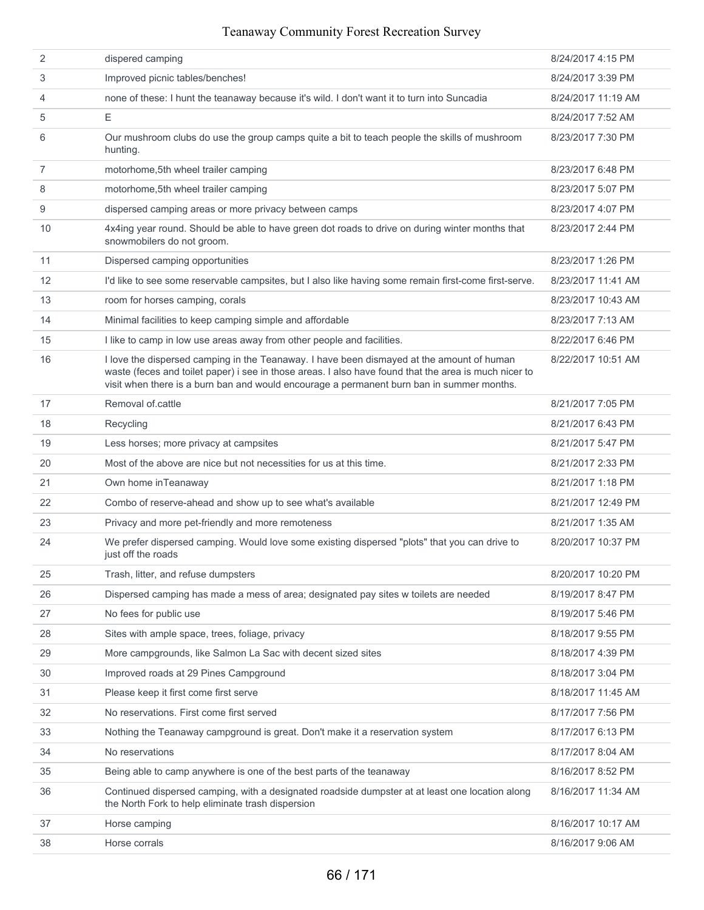| 2              | dispered camping                                                                                                                                                                                                                                                                                | 8/24/2017 4:15 PM  |
|----------------|-------------------------------------------------------------------------------------------------------------------------------------------------------------------------------------------------------------------------------------------------------------------------------------------------|--------------------|
| 3              | Improved picnic tables/benches!                                                                                                                                                                                                                                                                 | 8/24/2017 3:39 PM  |
| 4              | none of these: I hunt the teanaway because it's wild. I don't want it to turn into Suncadia                                                                                                                                                                                                     | 8/24/2017 11:19 AM |
| 5              | Ε                                                                                                                                                                                                                                                                                               | 8/24/2017 7:52 AM  |
| 6              | Our mushroom clubs do use the group camps quite a bit to teach people the skills of mushroom<br>hunting.                                                                                                                                                                                        | 8/23/2017 7:30 PM  |
| $\overline{7}$ | motorhome, 5th wheel trailer camping                                                                                                                                                                                                                                                            | 8/23/2017 6:48 PM  |
| 8              | motorhome, 5th wheel trailer camping                                                                                                                                                                                                                                                            | 8/23/2017 5:07 PM  |
| 9              | dispersed camping areas or more privacy between camps                                                                                                                                                                                                                                           | 8/23/2017 4:07 PM  |
| 10             | 4x4ing year round. Should be able to have green dot roads to drive on during winter months that<br>snowmobilers do not groom.                                                                                                                                                                   | 8/23/2017 2:44 PM  |
| 11             | Dispersed camping opportunities                                                                                                                                                                                                                                                                 | 8/23/2017 1:26 PM  |
| 12             | I'd like to see some reservable campsites, but I also like having some remain first-come first-serve.                                                                                                                                                                                           | 8/23/2017 11:41 AM |
| 13             | room for horses camping, corals                                                                                                                                                                                                                                                                 | 8/23/2017 10:43 AM |
| 14             | Minimal facilities to keep camping simple and affordable                                                                                                                                                                                                                                        | 8/23/2017 7:13 AM  |
| 15             | I like to camp in low use areas away from other people and facilities.                                                                                                                                                                                                                          | 8/22/2017 6:46 PM  |
| 16             | I love the dispersed camping in the Teanaway. I have been dismayed at the amount of human<br>waste (feces and toilet paper) i see in those areas. I also have found that the area is much nicer to<br>visit when there is a burn ban and would encourage a permanent burn ban in summer months. | 8/22/2017 10:51 AM |
| 17             | Removal of cattle                                                                                                                                                                                                                                                                               | 8/21/2017 7:05 PM  |
| 18             | Recycling                                                                                                                                                                                                                                                                                       | 8/21/2017 6:43 PM  |
| 19             | Less horses; more privacy at campsites                                                                                                                                                                                                                                                          | 8/21/2017 5:47 PM  |
| 20             | Most of the above are nice but not necessities for us at this time.                                                                                                                                                                                                                             | 8/21/2017 2:33 PM  |
| 21             | Own home inTeanaway                                                                                                                                                                                                                                                                             | 8/21/2017 1:18 PM  |
| 22             | Combo of reserve-ahead and show up to see what's available                                                                                                                                                                                                                                      | 8/21/2017 12:49 PM |
| 23             | Privacy and more pet-friendly and more remoteness                                                                                                                                                                                                                                               | 8/21/2017 1:35 AM  |
| 24             | We prefer dispersed camping. Would love some existing dispersed "plots" that you can drive to<br>just off the roads                                                                                                                                                                             | 8/20/2017 10:37 PM |
| 25             | Trash, litter, and refuse dumpsters                                                                                                                                                                                                                                                             | 8/20/2017 10:20 PM |
| 26             | Dispersed camping has made a mess of area; designated pay sites w toilets are needed                                                                                                                                                                                                            | 8/19/2017 8:47 PM  |
| 27             | No fees for public use                                                                                                                                                                                                                                                                          | 8/19/2017 5:46 PM  |
| 28             | Sites with ample space, trees, foliage, privacy                                                                                                                                                                                                                                                 | 8/18/2017 9:55 PM  |
| 29             | More campgrounds, like Salmon La Sac with decent sized sites                                                                                                                                                                                                                                    | 8/18/2017 4:39 PM  |
| 30             | Improved roads at 29 Pines Campground                                                                                                                                                                                                                                                           | 8/18/2017 3:04 PM  |
| 31             | Please keep it first come first serve                                                                                                                                                                                                                                                           | 8/18/2017 11:45 AM |
| 32             | No reservations. First come first served                                                                                                                                                                                                                                                        | 8/17/2017 7:56 PM  |
| 33             | Nothing the Teanaway campground is great. Don't make it a reservation system                                                                                                                                                                                                                    | 8/17/2017 6:13 PM  |
| 34             | No reservations                                                                                                                                                                                                                                                                                 | 8/17/2017 8:04 AM  |
| 35             | Being able to camp anywhere is one of the best parts of the teanaway                                                                                                                                                                                                                            | 8/16/2017 8:52 PM  |
| 36             | Continued dispersed camping, with a designated roadside dumpster at at least one location along<br>the North Fork to help eliminate trash dispersion                                                                                                                                            | 8/16/2017 11:34 AM |
| 37             | Horse camping                                                                                                                                                                                                                                                                                   | 8/16/2017 10:17 AM |
| 38             | Horse corrals                                                                                                                                                                                                                                                                                   | 8/16/2017 9:06 AM  |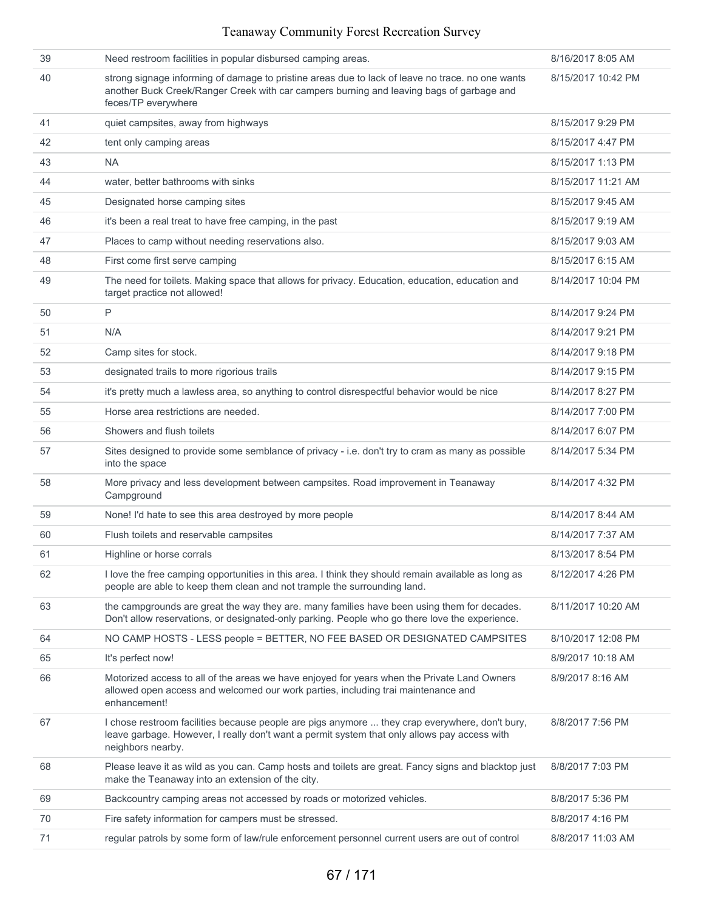| 39 | Need restroom facilities in popular disbursed camping areas.                                                                                                                                                        | 8/16/2017 8:05 AM  |
|----|---------------------------------------------------------------------------------------------------------------------------------------------------------------------------------------------------------------------|--------------------|
| 40 | strong signage informing of damage to pristine areas due to lack of leave no trace. no one wants<br>another Buck Creek/Ranger Creek with car campers burning and leaving bags of garbage and<br>feces/TP everywhere | 8/15/2017 10:42 PM |
| 41 | quiet campsites, away from highways                                                                                                                                                                                 | 8/15/2017 9:29 PM  |
| 42 | tent only camping areas                                                                                                                                                                                             | 8/15/2017 4:47 PM  |
| 43 | <b>NA</b>                                                                                                                                                                                                           | 8/15/2017 1:13 PM  |
| 44 | water, better bathrooms with sinks                                                                                                                                                                                  | 8/15/2017 11:21 AM |
| 45 | Designated horse camping sites                                                                                                                                                                                      | 8/15/2017 9:45 AM  |
| 46 | it's been a real treat to have free camping, in the past                                                                                                                                                            | 8/15/2017 9:19 AM  |
| 47 | Places to camp without needing reservations also.                                                                                                                                                                   | 8/15/2017 9:03 AM  |
| 48 | First come first serve camping                                                                                                                                                                                      | 8/15/2017 6:15 AM  |
| 49 | The need for toilets. Making space that allows for privacy. Education, education, education and<br>target practice not allowed!                                                                                     | 8/14/2017 10:04 PM |
| 50 | P                                                                                                                                                                                                                   | 8/14/2017 9:24 PM  |
| 51 | N/A                                                                                                                                                                                                                 | 8/14/2017 9:21 PM  |
| 52 | Camp sites for stock.                                                                                                                                                                                               | 8/14/2017 9:18 PM  |
| 53 | designated trails to more rigorious trails                                                                                                                                                                          | 8/14/2017 9:15 PM  |
| 54 | it's pretty much a lawless area, so anything to control disrespectful behavior would be nice                                                                                                                        | 8/14/2017 8:27 PM  |
| 55 | Horse area restrictions are needed.                                                                                                                                                                                 | 8/14/2017 7:00 PM  |
| 56 | Showers and flush toilets                                                                                                                                                                                           | 8/14/2017 6:07 PM  |
| 57 | Sites designed to provide some semblance of privacy - i.e. don't try to cram as many as possible<br>into the space                                                                                                  | 8/14/2017 5:34 PM  |
| 58 | More privacy and less development between campsites. Road improvement in Teanaway<br>Campground                                                                                                                     | 8/14/2017 4:32 PM  |
| 59 | None! I'd hate to see this area destroyed by more people                                                                                                                                                            | 8/14/2017 8:44 AM  |
| 60 | Flush toilets and reservable campsites                                                                                                                                                                              | 8/14/2017 7:37 AM  |
| 61 | Highline or horse corrals                                                                                                                                                                                           | 8/13/2017 8:54 PM  |
| 62 | I love the free camping opportunities in this area. I think they should remain available as long as<br>people are able to keep them clean and not trample the surrounding land.                                     | 8/12/2017 4:26 PM  |
| 63 | the campgrounds are great the way they are. many families have been using them for decades.<br>Don't allow reservations, or designated-only parking. People who go there love the experience.                       | 8/11/2017 10:20 AM |
| 64 | NO CAMP HOSTS - LESS people = BETTER, NO FEE BASED OR DESIGNATED CAMPSITES                                                                                                                                          | 8/10/2017 12:08 PM |
| 65 | It's perfect now!                                                                                                                                                                                                   | 8/9/2017 10:18 AM  |
| 66 | Motorized access to all of the areas we have enjoyed for years when the Private Land Owners<br>allowed open access and welcomed our work parties, including trai maintenance and<br>enhancement!                    | 8/9/2017 8:16 AM   |
| 67 | I chose restroom facilities because people are pigs anymore  they crap everywhere, don't bury,<br>leave garbage. However, I really don't want a permit system that only allows pay access with<br>neighbors nearby. | 8/8/2017 7:56 PM   |
| 68 | Please leave it as wild as you can. Camp hosts and toilets are great. Fancy signs and blacktop just<br>make the Teanaway into an extension of the city.                                                             | 8/8/2017 7:03 PM   |
| 69 | Backcountry camping areas not accessed by roads or motorized vehicles.                                                                                                                                              | 8/8/2017 5:36 PM   |
| 70 | Fire safety information for campers must be stressed.                                                                                                                                                               | 8/8/2017 4:16 PM   |
| 71 | regular patrols by some form of law/rule enforcement personnel current users are out of control                                                                                                                     | 8/8/2017 11:03 AM  |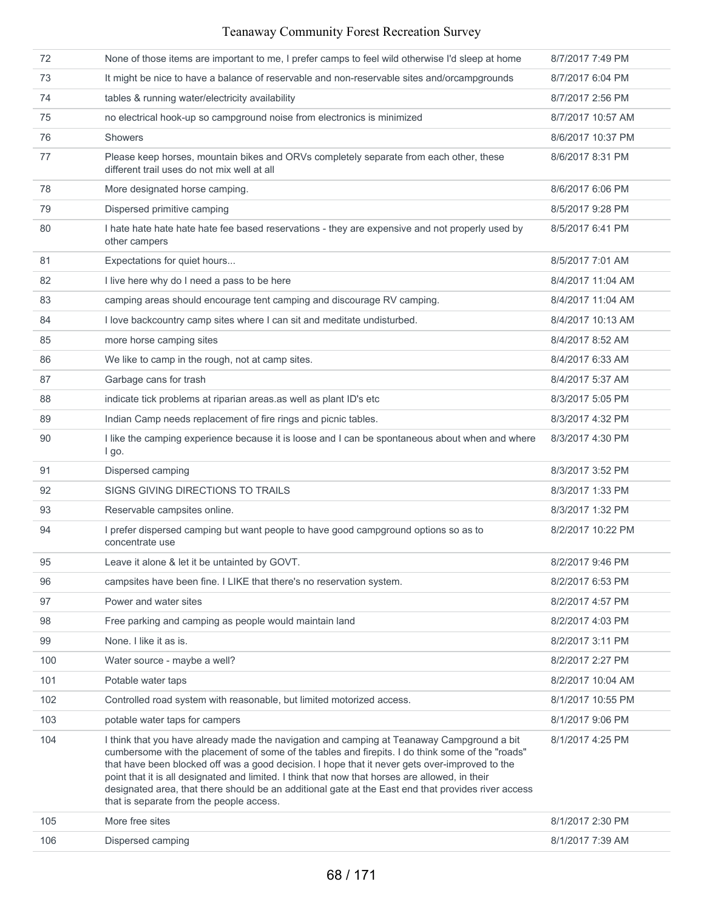| 72  | None of those items are important to me, I prefer camps to feel wild otherwise I'd sleep at home                                                                                                                                                                                                                                                                                                                                                                                                                                                       | 8/7/2017 7:49 PM  |
|-----|--------------------------------------------------------------------------------------------------------------------------------------------------------------------------------------------------------------------------------------------------------------------------------------------------------------------------------------------------------------------------------------------------------------------------------------------------------------------------------------------------------------------------------------------------------|-------------------|
| 73  | It might be nice to have a balance of reservable and non-reservable sites and/orcampgrounds                                                                                                                                                                                                                                                                                                                                                                                                                                                            | 8/7/2017 6:04 PM  |
| 74  | tables & running water/electricity availability                                                                                                                                                                                                                                                                                                                                                                                                                                                                                                        | 8/7/2017 2:56 PM  |
| 75  | no electrical hook-up so campground noise from electronics is minimized                                                                                                                                                                                                                                                                                                                                                                                                                                                                                | 8/7/2017 10:57 AM |
| 76  | <b>Showers</b>                                                                                                                                                                                                                                                                                                                                                                                                                                                                                                                                         | 8/6/2017 10:37 PM |
| 77  | Please keep horses, mountain bikes and ORVs completely separate from each other, these<br>different trail uses do not mix well at all                                                                                                                                                                                                                                                                                                                                                                                                                  | 8/6/2017 8:31 PM  |
| 78  | More designated horse camping.                                                                                                                                                                                                                                                                                                                                                                                                                                                                                                                         | 8/6/2017 6:06 PM  |
| 79  | Dispersed primitive camping                                                                                                                                                                                                                                                                                                                                                                                                                                                                                                                            | 8/5/2017 9:28 PM  |
| 80  | I hate hate hate hate hate fee based reservations - they are expensive and not properly used by<br>other campers                                                                                                                                                                                                                                                                                                                                                                                                                                       | 8/5/2017 6:41 PM  |
| 81  | Expectations for quiet hours                                                                                                                                                                                                                                                                                                                                                                                                                                                                                                                           | 8/5/2017 7:01 AM  |
| 82  | I live here why do I need a pass to be here                                                                                                                                                                                                                                                                                                                                                                                                                                                                                                            | 8/4/2017 11:04 AM |
| 83  | camping areas should encourage tent camping and discourage RV camping.                                                                                                                                                                                                                                                                                                                                                                                                                                                                                 | 8/4/2017 11:04 AM |
| 84  | I love backcountry camp sites where I can sit and meditate undisturbed.                                                                                                                                                                                                                                                                                                                                                                                                                                                                                | 8/4/2017 10:13 AM |
| 85  | more horse camping sites                                                                                                                                                                                                                                                                                                                                                                                                                                                                                                                               | 8/4/2017 8:52 AM  |
| 86  | We like to camp in the rough, not at camp sites.                                                                                                                                                                                                                                                                                                                                                                                                                                                                                                       | 8/4/2017 6:33 AM  |
| 87  | Garbage cans for trash                                                                                                                                                                                                                                                                                                                                                                                                                                                                                                                                 | 8/4/2017 5:37 AM  |
| 88  | indicate tick problems at riparian areas.as well as plant ID's etc                                                                                                                                                                                                                                                                                                                                                                                                                                                                                     | 8/3/2017 5:05 PM  |
| 89  | Indian Camp needs replacement of fire rings and picnic tables.                                                                                                                                                                                                                                                                                                                                                                                                                                                                                         | 8/3/2017 4:32 PM  |
| 90  | I like the camping experience because it is loose and I can be spontaneous about when and where<br>I go.                                                                                                                                                                                                                                                                                                                                                                                                                                               | 8/3/2017 4:30 PM  |
| 91  | Dispersed camping                                                                                                                                                                                                                                                                                                                                                                                                                                                                                                                                      | 8/3/2017 3:52 PM  |
| 92  | SIGNS GIVING DIRECTIONS TO TRAILS                                                                                                                                                                                                                                                                                                                                                                                                                                                                                                                      | 8/3/2017 1:33 PM  |
| 93  | Reservable campsites online.                                                                                                                                                                                                                                                                                                                                                                                                                                                                                                                           | 8/3/2017 1:32 PM  |
| 94  | I prefer dispersed camping but want people to have good campground options so as to<br>concentrate use                                                                                                                                                                                                                                                                                                                                                                                                                                                 | 8/2/2017 10:22 PM |
| 95  | Leave it alone & let it be untainted by GOVT.                                                                                                                                                                                                                                                                                                                                                                                                                                                                                                          | 8/2/2017 9:46 PM  |
| 96  | campsites have been fine. I LIKE that there's no reservation system.                                                                                                                                                                                                                                                                                                                                                                                                                                                                                   | 8/2/2017 6:53 PM  |
| 97  | Power and water sites                                                                                                                                                                                                                                                                                                                                                                                                                                                                                                                                  | 8/2/2017 4:57 PM  |
| 98  | Free parking and camping as people would maintain land                                                                                                                                                                                                                                                                                                                                                                                                                                                                                                 | 8/2/2017 4:03 PM  |
| 99  | None. I like it as is.                                                                                                                                                                                                                                                                                                                                                                                                                                                                                                                                 | 8/2/2017 3:11 PM  |
| 100 | Water source - maybe a well?                                                                                                                                                                                                                                                                                                                                                                                                                                                                                                                           | 8/2/2017 2:27 PM  |
| 101 | Potable water taps                                                                                                                                                                                                                                                                                                                                                                                                                                                                                                                                     | 8/2/2017 10:04 AM |
| 102 | Controlled road system with reasonable, but limited motorized access.                                                                                                                                                                                                                                                                                                                                                                                                                                                                                  | 8/1/2017 10:55 PM |
| 103 | potable water taps for campers                                                                                                                                                                                                                                                                                                                                                                                                                                                                                                                         | 8/1/2017 9:06 PM  |
| 104 | I think that you have already made the navigation and camping at Teanaway Campground a bit<br>cumbersome with the placement of some of the tables and firepits. I do think some of the "roads"<br>that have been blocked off was a good decision. I hope that it never gets over-improved to the<br>point that it is all designated and limited. I think that now that horses are allowed, in their<br>designated area, that there should be an additional gate at the East end that provides river access<br>that is separate from the people access. | 8/1/2017 4:25 PM  |
| 105 | More free sites                                                                                                                                                                                                                                                                                                                                                                                                                                                                                                                                        | 8/1/2017 2:30 PM  |
| 106 | Dispersed camping                                                                                                                                                                                                                                                                                                                                                                                                                                                                                                                                      | 8/1/2017 7:39 AM  |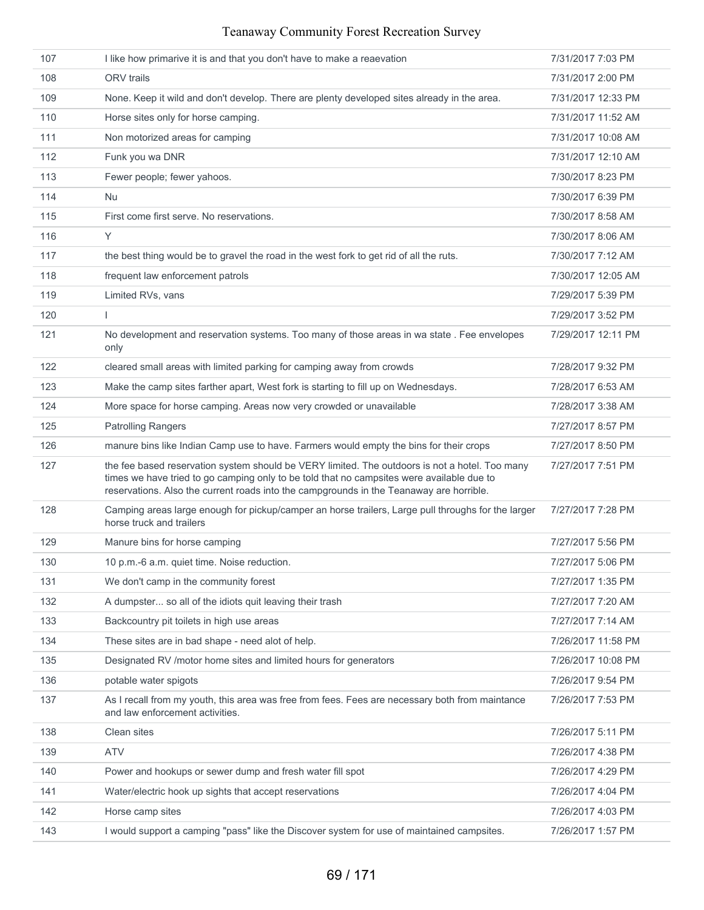| 107 | I like how primarive it is and that you don't have to make a reaevation                                                                                                                                                                                                                | 7/31/2017 7:03 PM  |
|-----|----------------------------------------------------------------------------------------------------------------------------------------------------------------------------------------------------------------------------------------------------------------------------------------|--------------------|
| 108 | <b>ORV</b> trails                                                                                                                                                                                                                                                                      | 7/31/2017 2:00 PM  |
| 109 | None. Keep it wild and don't develop. There are plenty developed sites already in the area.                                                                                                                                                                                            | 7/31/2017 12:33 PM |
| 110 | Horse sites only for horse camping.                                                                                                                                                                                                                                                    | 7/31/2017 11:52 AM |
| 111 | Non motorized areas for camping                                                                                                                                                                                                                                                        | 7/31/2017 10:08 AM |
| 112 | Funk you wa DNR                                                                                                                                                                                                                                                                        | 7/31/2017 12:10 AM |
| 113 | Fewer people; fewer yahoos.                                                                                                                                                                                                                                                            | 7/30/2017 8:23 PM  |
| 114 | <b>Nu</b>                                                                                                                                                                                                                                                                              | 7/30/2017 6:39 PM  |
| 115 | First come first serve. No reservations.                                                                                                                                                                                                                                               | 7/30/2017 8:58 AM  |
| 116 | Y                                                                                                                                                                                                                                                                                      | 7/30/2017 8:06 AM  |
| 117 | the best thing would be to gravel the road in the west fork to get rid of all the ruts.                                                                                                                                                                                                | 7/30/2017 7:12 AM  |
| 118 | frequent law enforcement patrols                                                                                                                                                                                                                                                       | 7/30/2017 12:05 AM |
| 119 | Limited RVs, vans                                                                                                                                                                                                                                                                      | 7/29/2017 5:39 PM  |
| 120 | T                                                                                                                                                                                                                                                                                      | 7/29/2017 3:52 PM  |
| 121 | No development and reservation systems. Too many of those areas in wa state . Fee envelopes<br>only                                                                                                                                                                                    | 7/29/2017 12:11 PM |
| 122 | cleared small areas with limited parking for camping away from crowds                                                                                                                                                                                                                  | 7/28/2017 9:32 PM  |
| 123 | Make the camp sites farther apart, West fork is starting to fill up on Wednesdays.                                                                                                                                                                                                     | 7/28/2017 6:53 AM  |
| 124 | More space for horse camping. Areas now very crowded or unavailable                                                                                                                                                                                                                    | 7/28/2017 3:38 AM  |
| 125 | <b>Patrolling Rangers</b>                                                                                                                                                                                                                                                              | 7/27/2017 8:57 PM  |
| 126 | manure bins like Indian Camp use to have. Farmers would empty the bins for their crops                                                                                                                                                                                                 | 7/27/2017 8:50 PM  |
| 127 | the fee based reservation system should be VERY limited. The outdoors is not a hotel. Too many<br>times we have tried to go camping only to be told that no campsites were available due to<br>reservations. Also the current roads into the campgrounds in the Teanaway are horrible. | 7/27/2017 7:51 PM  |
| 128 | Camping areas large enough for pickup/camper an horse trailers, Large pull throughs for the larger<br>horse truck and trailers                                                                                                                                                         | 7/27/2017 7:28 PM  |
| 129 | Manure bins for horse camping                                                                                                                                                                                                                                                          | 7/27/2017 5:56 PM  |
| 130 | 10 p.m.-6 a.m. quiet time. Noise reduction.                                                                                                                                                                                                                                            | 7/27/2017 5:06 PM  |
| 131 | We don't camp in the community forest                                                                                                                                                                                                                                                  | 7/27/2017 1:35 PM  |
| 132 | A dumpster so all of the idiots quit leaving their trash                                                                                                                                                                                                                               | 7/27/2017 7:20 AM  |
| 133 | Backcountry pit toilets in high use areas                                                                                                                                                                                                                                              | 7/27/2017 7:14 AM  |
| 134 | These sites are in bad shape - need alot of help.                                                                                                                                                                                                                                      | 7/26/2017 11:58 PM |
| 135 | Designated RV /motor home sites and limited hours for generators                                                                                                                                                                                                                       | 7/26/2017 10:08 PM |
| 136 | potable water spigots                                                                                                                                                                                                                                                                  | 7/26/2017 9:54 PM  |
| 137 | As I recall from my youth, this area was free from fees. Fees are necessary both from maintance<br>and law enforcement activities.                                                                                                                                                     | 7/26/2017 7:53 PM  |
| 138 | Clean sites                                                                                                                                                                                                                                                                            | 7/26/2017 5:11 PM  |
| 139 | <b>ATV</b>                                                                                                                                                                                                                                                                             | 7/26/2017 4:38 PM  |
| 140 | Power and hookups or sewer dump and fresh water fill spot                                                                                                                                                                                                                              | 7/26/2017 4:29 PM  |
| 141 | Water/electric hook up sights that accept reservations                                                                                                                                                                                                                                 | 7/26/2017 4:04 PM  |
| 142 | Horse camp sites                                                                                                                                                                                                                                                                       | 7/26/2017 4:03 PM  |
| 143 | I would support a camping "pass" like the Discover system for use of maintained campsites.                                                                                                                                                                                             | 7/26/2017 1:57 PM  |
|     |                                                                                                                                                                                                                                                                                        |                    |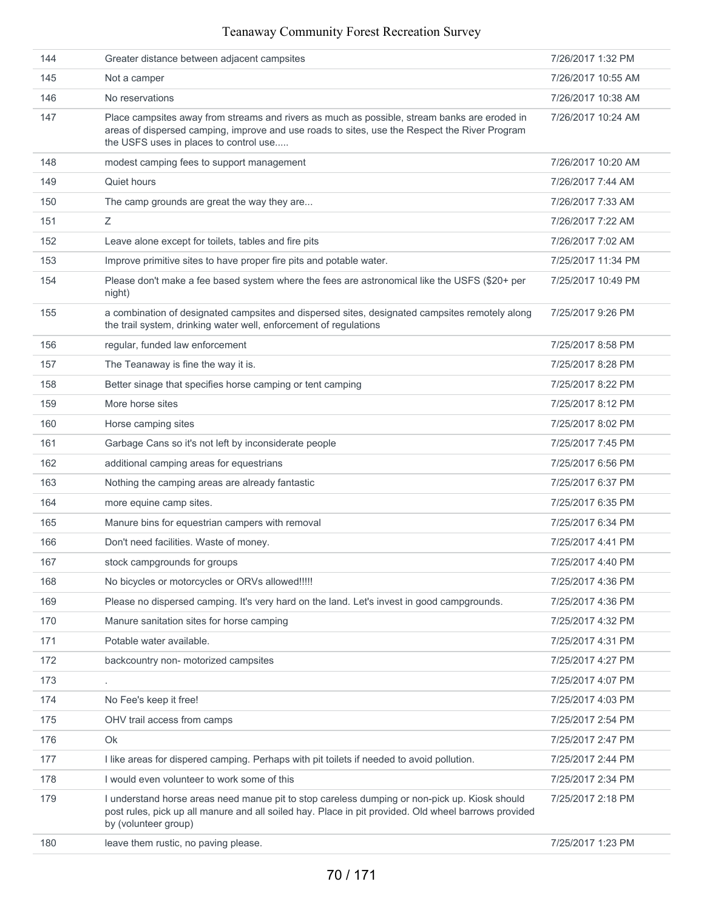| 144 | Greater distance between adjacent campsites                                                                                                                                                                                             | 7/26/2017 1:32 PM  |
|-----|-----------------------------------------------------------------------------------------------------------------------------------------------------------------------------------------------------------------------------------------|--------------------|
| 145 | Not a camper                                                                                                                                                                                                                            | 7/26/2017 10:55 AM |
| 146 | No reservations                                                                                                                                                                                                                         | 7/26/2017 10:38 AM |
| 147 | Place campsites away from streams and rivers as much as possible, stream banks are eroded in<br>areas of dispersed camping, improve and use roads to sites, use the Respect the River Program<br>the USFS uses in places to control use | 7/26/2017 10:24 AM |
| 148 | modest camping fees to support management                                                                                                                                                                                               | 7/26/2017 10:20 AM |
| 149 | Quiet hours                                                                                                                                                                                                                             | 7/26/2017 7:44 AM  |
| 150 | The camp grounds are great the way they are                                                                                                                                                                                             | 7/26/2017 7:33 AM  |
| 151 | Ζ                                                                                                                                                                                                                                       | 7/26/2017 7:22 AM  |
| 152 | Leave alone except for toilets, tables and fire pits                                                                                                                                                                                    | 7/26/2017 7:02 AM  |
| 153 | Improve primitive sites to have proper fire pits and potable water.                                                                                                                                                                     | 7/25/2017 11:34 PM |
| 154 | Please don't make a fee based system where the fees are astronomical like the USFS (\$20+ per<br>night)                                                                                                                                 | 7/25/2017 10:49 PM |
| 155 | a combination of designated campsites and dispersed sites, designated campsites remotely along<br>the trail system, drinking water well, enforcement of regulations                                                                     | 7/25/2017 9:26 PM  |
| 156 | regular, funded law enforcement                                                                                                                                                                                                         | 7/25/2017 8:58 PM  |
| 157 | The Teanaway is fine the way it is.                                                                                                                                                                                                     | 7/25/2017 8:28 PM  |
| 158 | Better sinage that specifies horse camping or tent camping                                                                                                                                                                              | 7/25/2017 8:22 PM  |
| 159 | More horse sites                                                                                                                                                                                                                        | 7/25/2017 8:12 PM  |
| 160 | Horse camping sites                                                                                                                                                                                                                     | 7/25/2017 8:02 PM  |
| 161 | Garbage Cans so it's not left by inconsiderate people                                                                                                                                                                                   | 7/25/2017 7:45 PM  |
| 162 | additional camping areas for equestrians                                                                                                                                                                                                | 7/25/2017 6:56 PM  |
| 163 | Nothing the camping areas are already fantastic                                                                                                                                                                                         | 7/25/2017 6:37 PM  |
| 164 | more equine camp sites.                                                                                                                                                                                                                 | 7/25/2017 6:35 PM  |
| 165 | Manure bins for equestrian campers with removal                                                                                                                                                                                         | 7/25/2017 6:34 PM  |
| 166 | Don't need facilities. Waste of money.                                                                                                                                                                                                  | 7/25/2017 4:41 PM  |
| 167 | stock campgrounds for groups                                                                                                                                                                                                            | 7/25/2017 4:40 PM  |
| 168 | No bicycles or motorcycles or ORVs allowed!!!!!                                                                                                                                                                                         | 7/25/2017 4:36 PM  |
| 169 | Please no dispersed camping. It's very hard on the land. Let's invest in good campgrounds.                                                                                                                                              | 7/25/2017 4:36 PM  |
| 170 | Manure sanitation sites for horse camping                                                                                                                                                                                               | 7/25/2017 4:32 PM  |
| 171 | Potable water available.                                                                                                                                                                                                                | 7/25/2017 4:31 PM  |
| 172 | backcountry non- motorized campsites                                                                                                                                                                                                    | 7/25/2017 4:27 PM  |
| 173 |                                                                                                                                                                                                                                         | 7/25/2017 4:07 PM  |
| 174 | No Fee's keep it free!                                                                                                                                                                                                                  | 7/25/2017 4:03 PM  |
| 175 | OHV trail access from camps                                                                                                                                                                                                             | 7/25/2017 2:54 PM  |
| 176 | Ok                                                                                                                                                                                                                                      | 7/25/2017 2:47 PM  |
| 177 | I like areas for dispered camping. Perhaps with pit toilets if needed to avoid pollution.                                                                                                                                               | 7/25/2017 2:44 PM  |
| 178 | I would even volunteer to work some of this                                                                                                                                                                                             | 7/25/2017 2:34 PM  |
| 179 | I understand horse areas need manue pit to stop careless dumping or non-pick up. Kiosk should<br>post rules, pick up all manure and all soiled hay. Place in pit provided. Old wheel barrows provided<br>by (volunteer group)           | 7/25/2017 2:18 PM  |
| 180 | leave them rustic, no paving please.                                                                                                                                                                                                    | 7/25/2017 1:23 PM  |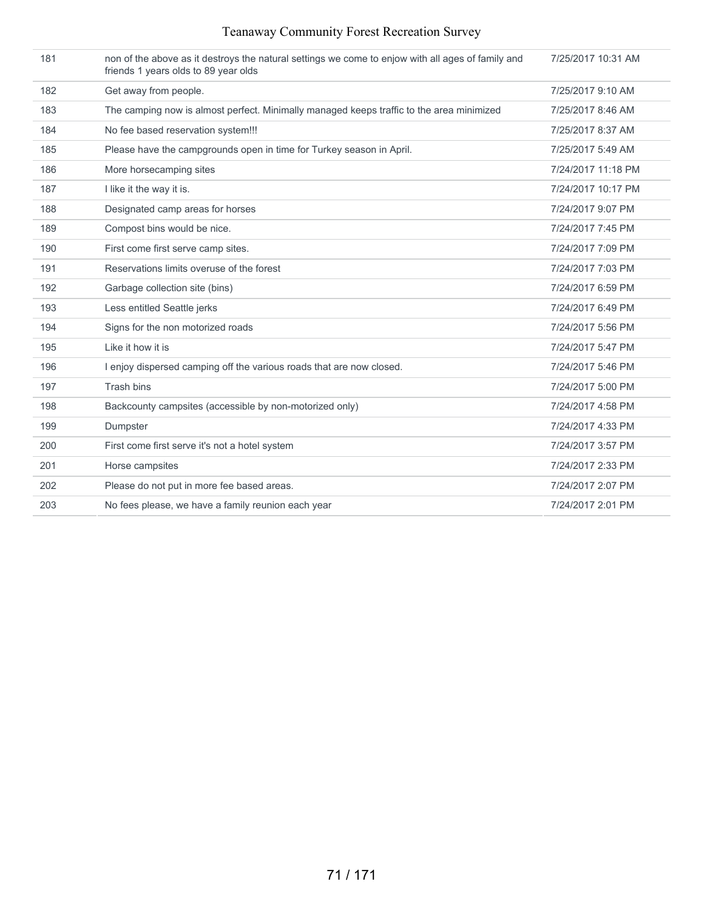| Teanaway Community Forest Recreation Survey |  |  |
|---------------------------------------------|--|--|
|                                             |  |  |

| 181 | non of the above as it destroys the natural settings we come to enjow with all ages of family and<br>friends 1 years olds to 89 year olds | 7/25/2017 10:31 AM |
|-----|-------------------------------------------------------------------------------------------------------------------------------------------|--------------------|
| 182 | Get away from people.                                                                                                                     | 7/25/2017 9:10 AM  |
| 183 | The camping now is almost perfect. Minimally managed keeps traffic to the area minimized                                                  | 7/25/2017 8:46 AM  |
| 184 | No fee based reservation system!!!                                                                                                        | 7/25/2017 8:37 AM  |
| 185 | Please have the campgrounds open in time for Turkey season in April.                                                                      | 7/25/2017 5:49 AM  |
| 186 | More horsecamping sites                                                                                                                   | 7/24/2017 11:18 PM |
| 187 | I like it the way it is.                                                                                                                  | 7/24/2017 10:17 PM |
| 188 | Designated camp areas for horses                                                                                                          | 7/24/2017 9:07 PM  |
| 189 | Compost bins would be nice.                                                                                                               | 7/24/2017 7:45 PM  |
| 190 | First come first serve camp sites.                                                                                                        | 7/24/2017 7:09 PM  |
| 191 | Reservations limits overuse of the forest                                                                                                 | 7/24/2017 7:03 PM  |
| 192 | Garbage collection site (bins)                                                                                                            | 7/24/2017 6:59 PM  |
| 193 | Less entitled Seattle jerks                                                                                                               | 7/24/2017 6:49 PM  |
| 194 | Signs for the non motorized roads                                                                                                         | 7/24/2017 5:56 PM  |
| 195 | Like it how it is                                                                                                                         | 7/24/2017 5:47 PM  |
| 196 | I enjoy dispersed camping off the various roads that are now closed.                                                                      | 7/24/2017 5:46 PM  |
| 197 | Trash bins                                                                                                                                | 7/24/2017 5:00 PM  |
| 198 | Backcounty campsites (accessible by non-motorized only)                                                                                   | 7/24/2017 4:58 PM  |
| 199 | Dumpster                                                                                                                                  | 7/24/2017 4:33 PM  |
| 200 | First come first serve it's not a hotel system                                                                                            | 7/24/2017 3:57 PM  |
| 201 | Horse campsites                                                                                                                           | 7/24/2017 2:33 PM  |
| 202 | Please do not put in more fee based areas.                                                                                                | 7/24/2017 2:07 PM  |
| 203 | No fees please, we have a family reunion each year                                                                                        | 7/24/2017 2:01 PM  |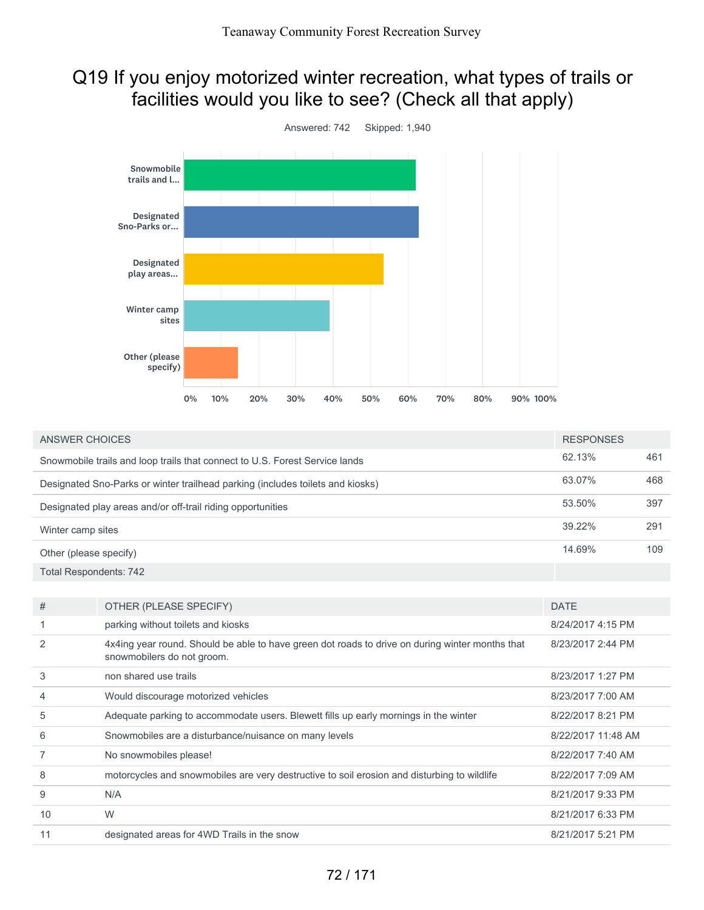# Q19 If you enjoy motorized winter recreation, what types of trails or facilities would you like to see? (Check all that apply)



| <b>ANSWER CHOICES</b>                                                       |                                                                                                                               | <b>RESPONSES</b>   |     |
|-----------------------------------------------------------------------------|-------------------------------------------------------------------------------------------------------------------------------|--------------------|-----|
| Snowmobile trails and loop trails that connect to U.S. Forest Service lands |                                                                                                                               | 62.13%             | 461 |
|                                                                             | Designated Sno-Parks or winter trailhead parking (includes toilets and kiosks)                                                | 63.07%             | 468 |
| Designated play areas and/or off-trail riding opportunities                 |                                                                                                                               | 53.50%             | 397 |
| Winter camp sites                                                           |                                                                                                                               | 39.22%             | 291 |
| Other (please specify)                                                      |                                                                                                                               | 14.69%             | 109 |
| <b>Total Respondents: 742</b>                                               |                                                                                                                               |                    |     |
|                                                                             |                                                                                                                               |                    |     |
| #                                                                           | OTHER (PLEASE SPECIFY)                                                                                                        | <b>DATE</b>        |     |
|                                                                             | parking without toilets and kiosks                                                                                            | 8/24/2017 4:15 PM  |     |
| 2                                                                           | 4x4ing year round. Should be able to have green dot roads to drive on during winter months that<br>snowmobilers do not groom. | 8/23/2017 2:44 PM  |     |
| 3                                                                           | non shared use trails                                                                                                         | 8/23/2017 1:27 PM  |     |
| 4                                                                           | Would discourage motorized vehicles                                                                                           | 8/23/2017 7:00 AM  |     |
| 5                                                                           | Adequate parking to accommodate users. Blewett fills up early mornings in the winter                                          | 8/22/2017 8:21 PM  |     |
| 6                                                                           | Snowmobiles are a disturbance/nuisance on many levels                                                                         | 8/22/2017 11:48 AM |     |
| 7                                                                           | No snowmobiles please!                                                                                                        | 8/22/2017 7:40 AM  |     |
| 8                                                                           | motorcycles and snowmobiles are very destructive to soil erosion and disturbing to wildlife                                   | 8/22/2017 7:09 AM  |     |
| 9                                                                           | N/A                                                                                                                           | 8/21/2017 9:33 PM  |     |
| 10                                                                          | W                                                                                                                             | 8/21/2017 6:33 PM  |     |
| 11                                                                          | designated areas for 4WD Trails in the snow                                                                                   | 8/21/2017 5:21 PM  |     |
|                                                                             |                                                                                                                               |                    |     |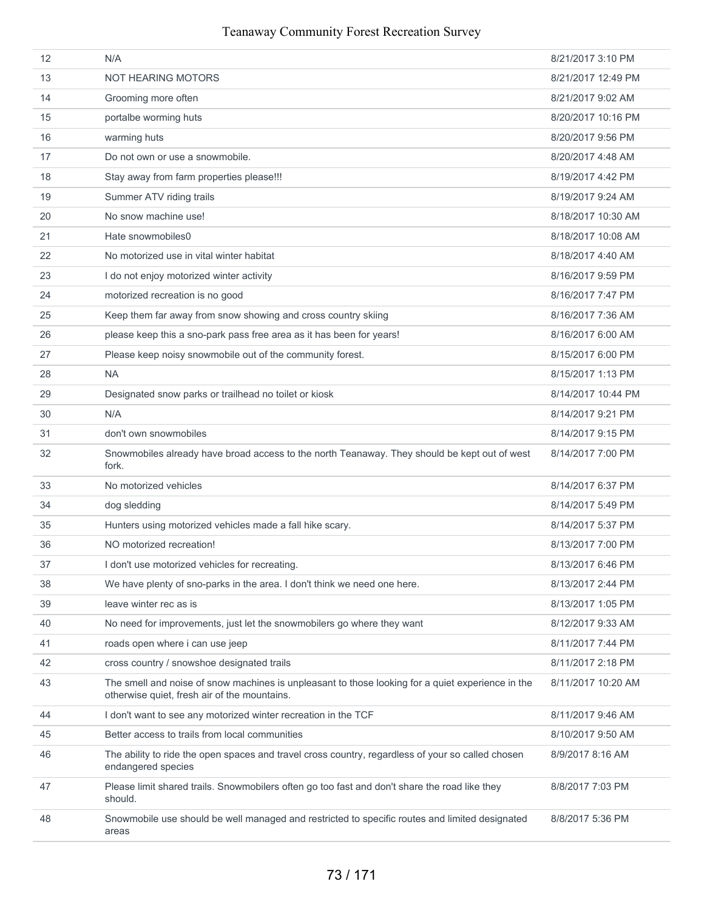#### 12 N/A 8/21/2017 3:10 PM 13 NOT HEARING MOTORS 8/21/2017 12:49 PM 14 Grooming more often 8/21/2017 9:02 AM 15 **b** portalbe worming huts **15** portal be worming huts **8/20/2017** 10:16 PM 16 warming huts 8/20/2017 9:56 PM 17 **Do not own or use a snowmobile.** 8/20/2017 4:48 AM 18 Stay away from farm properties please!!! 8/19/2017 4:42 PM 19 Summer ATV riding trails 8/19/2017 9:24 AM 20 No snow machine use! 8/18/2017 10:30 AM 21 Hate snowmobiles0 **But all a set of the state of the state of the state of the state of the state of the state of the state of the state of the state of the state of the state of the state of the state of the state of t** 22 No motorized use in vital winter habitat 8/18/2017 4:40 AM 23 I do not enjoy motorized winter activity 8/16/2017 9:59 PM 24 motorized recreation is no good 8/16/2017 7:47 PM 25 Keep them far away from snow showing and cross country skiing example and the state 8/16/2017 7:36 AM 26 please keep this a sno-park pass free area as it has been for years! 8/16/2017 6:00 AM 27 Please keep noisy snowmobile out of the community forest. The community of the community forest. Although the state of the community forest. 28 NA 8/15/2017 1:13 PM 29 Designated snow parks or trailhead no toilet or kiosk 8/14/2017 10:44 PM 30 N/A 8/14/2017 9:21 PM 31 don't own snowmobiles 8/14/2017 9:15 PM 32 Snowmobiles already have broad access to the north Teanaway. They should be kept out of west fork. 8/14/2017 7:00 PM 33 No motorized vehicles 8/14/2017 6:37 PM 34 dog sledding 8/14/2017 5:49 PM 35 Hunters using motorized vehicles made a fall hike scary. 8/14/2017 5:37 PM 36 NO motorized recreation! 8/13/2017 7:00 PM 37 I don't use motorized vehicles for recreating. Some state of the state of the SM 3/2017 6:46 PM 38 We have plenty of sno-parks in the area. I don't think we need one here. 8/13/2017 2:44 PM 39 leave winter rec as is 8/13/2017 1:05 PM 40 No need for improvements, just let the snowmobilers go where they want 8/12/2017 9:33 AM 41 roads open where i can use jeep 8/11/2017 7:44 PM 42 **cross country / snowshoe designated trails 8/11/2017 2:18 PM** 8/11/2017 2:18 PM 43 The smell and noise of snow machines is unpleasant to those looking for a quiet experience in the otherwise quiet, fresh air of the mountains. 8/11/2017 10:20 AM 44 I don't want to see any motorized winter recreation in the TCF 8/11/2017 9:46 AM 45 Better access to trails from local communities 8/10/2017 9:50 AM 46 The ability to ride the open spaces and travel cross country, regardless of your so called chosen endangered species 8/9/2017 8:16 AM 47 Please limit shared trails. Snowmobilers often go too fast and don't share the road like they should. 8/8/2017 7:03 PM 48 Snowmobile use should be well managed and restricted to specific routes and limited designated areas 8/8/2017 5:36 PM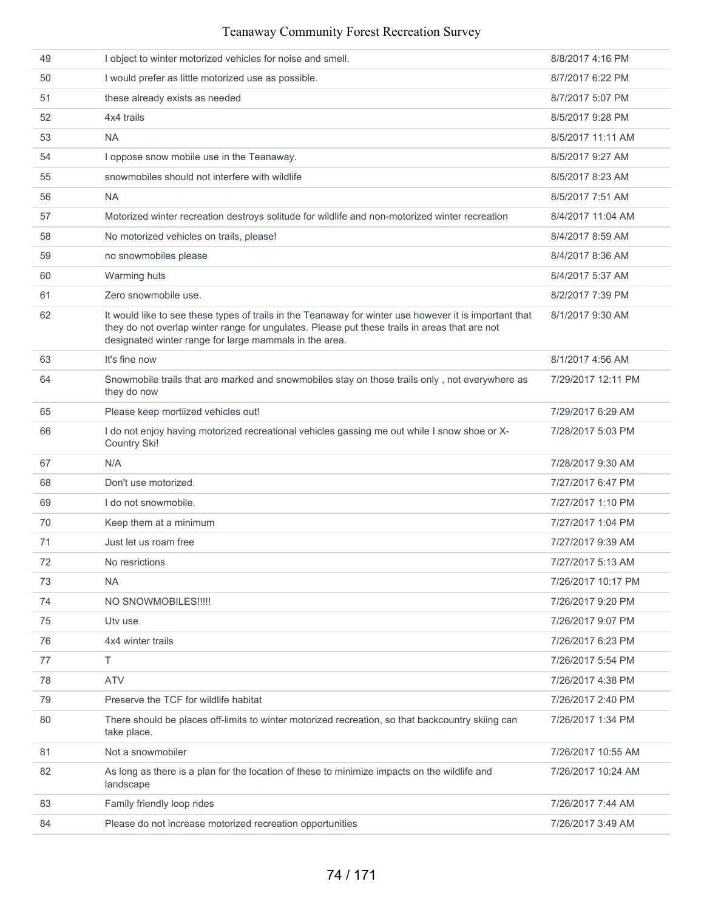| 49 | I object to winter motorized vehicles for noise and smell.                                                                                                                                                                                                        | 8/8/2017 4:16 PM   |
|----|-------------------------------------------------------------------------------------------------------------------------------------------------------------------------------------------------------------------------------------------------------------------|--------------------|
| 50 | I would prefer as little motorized use as possible.                                                                                                                                                                                                               | 8/7/2017 6:22 PM   |
| 51 | these already exists as needed                                                                                                                                                                                                                                    | 8/7/2017 5:07 PM   |
| 52 | 4x4 trails                                                                                                                                                                                                                                                        | 8/5/2017 9:28 PM   |
| 53 | <b>NA</b>                                                                                                                                                                                                                                                         | 8/5/2017 11:11 AM  |
| 54 | I oppose snow mobile use in the Teanaway.                                                                                                                                                                                                                         | 8/5/2017 9:27 AM   |
| 55 | snowmobiles should not interfere with wildlife                                                                                                                                                                                                                    | 8/5/2017 8:23 AM   |
| 56 | <b>NA</b>                                                                                                                                                                                                                                                         | 8/5/2017 7:51 AM   |
| 57 | Motorized winter recreation destroys solitude for wildlife and non-motorized winter recreation                                                                                                                                                                    | 8/4/2017 11:04 AM  |
| 58 | No motorized vehicles on trails, please!                                                                                                                                                                                                                          | 8/4/2017 8:59 AM   |
| 59 | no snowmobiles please                                                                                                                                                                                                                                             | 8/4/2017 8:36 AM   |
| 60 | Warming huts                                                                                                                                                                                                                                                      | 8/4/2017 5:37 AM   |
| 61 | Zero snowmobile use.                                                                                                                                                                                                                                              | 8/2/2017 7:39 PM   |
| 62 | It would like to see these types of trails in the Teanaway for winter use however it is important that<br>they do not overlap winter range for ungulates. Please put these trails in areas that are not<br>designated winter range for large mammals in the area. | 8/1/2017 9:30 AM   |
| 63 | It's fine now                                                                                                                                                                                                                                                     | 8/1/2017 4:56 AM   |
| 64 | Snowmobile trails that are marked and snowmobiles stay on those trails only, not everywhere as<br>they do now                                                                                                                                                     | 7/29/2017 12:11 PM |
| 65 | Please keep mortiized vehicles out!                                                                                                                                                                                                                               | 7/29/2017 6:29 AM  |
| 66 | I do not enjoy having motorized recreational vehicles gassing me out while I snow shoe or X-<br>Country Ski!                                                                                                                                                      | 7/28/2017 5:03 PM  |
| 67 | N/A                                                                                                                                                                                                                                                               | 7/28/2017 9:30 AM  |
| 68 | Don't use motorized.                                                                                                                                                                                                                                              | 7/27/2017 6:47 PM  |
| 69 | I do not snowmobile.                                                                                                                                                                                                                                              | 7/27/2017 1:10 PM  |
| 70 | Keep them at a minimum                                                                                                                                                                                                                                            | 7/27/2017 1:04 PM  |
| 71 | Just let us roam free                                                                                                                                                                                                                                             | 7/27/2017 9:39 AM  |
| 72 | No resrictions                                                                                                                                                                                                                                                    | 7/27/2017 5:13 AM  |
| 73 | <b>NA</b>                                                                                                                                                                                                                                                         | 7/26/2017 10:17 PM |
| 74 | NO SNOWMOBILES!!!!!                                                                                                                                                                                                                                               | 7/26/2017 9:20 PM  |
| 75 | Utv use                                                                                                                                                                                                                                                           | 7/26/2017 9:07 PM  |
| 76 | 4x4 winter trails                                                                                                                                                                                                                                                 | 7/26/2017 6:23 PM  |
| 77 | T.                                                                                                                                                                                                                                                                | 7/26/2017 5:54 PM  |
| 78 | <b>ATV</b>                                                                                                                                                                                                                                                        | 7/26/2017 4:38 PM  |
| 79 | Preserve the TCF for wildlife habitat                                                                                                                                                                                                                             | 7/26/2017 2:40 PM  |
| 80 | There should be places off-limits to winter motorized recreation, so that backcountry skiing can<br>take place.                                                                                                                                                   | 7/26/2017 1:34 PM  |
| 81 | Not a snowmobiler                                                                                                                                                                                                                                                 | 7/26/2017 10:55 AM |
| 82 | As long as there is a plan for the location of these to minimize impacts on the wildlife and<br>landscape                                                                                                                                                         | 7/26/2017 10:24 AM |
| 83 | Family friendly loop rides                                                                                                                                                                                                                                        | 7/26/2017 7:44 AM  |
| 84 | Please do not increase motorized recreation opportunities                                                                                                                                                                                                         | 7/26/2017 3:49 AM  |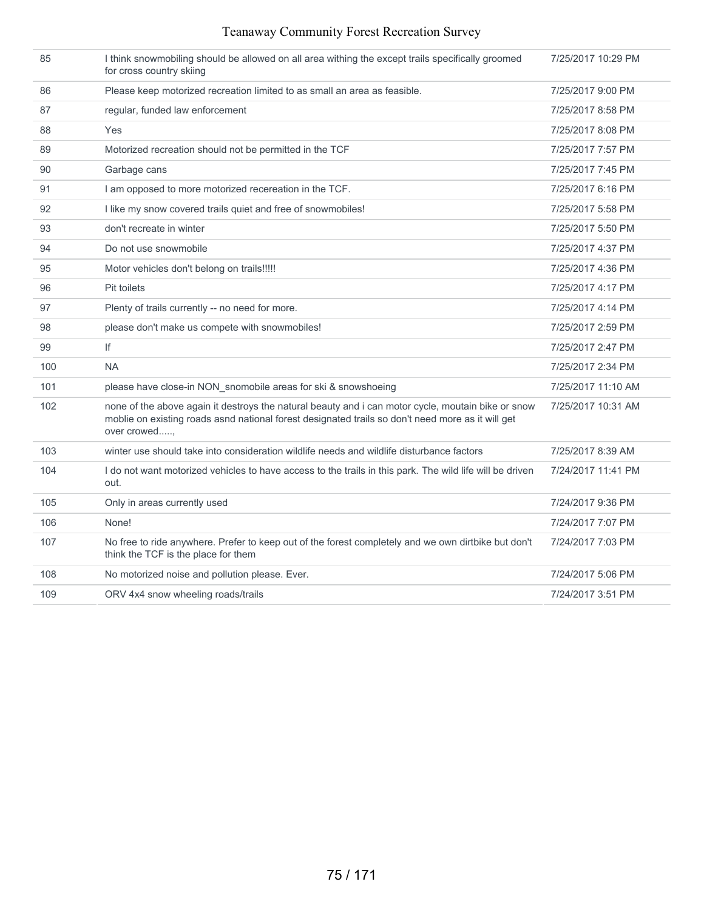| 85  | I think snowmobiling should be allowed on all area withing the except trails specifically groomed<br>for cross country skiing                                                                                           | 7/25/2017 10:29 PM |
|-----|-------------------------------------------------------------------------------------------------------------------------------------------------------------------------------------------------------------------------|--------------------|
| 86  | Please keep motorized recreation limited to as small an area as feasible.                                                                                                                                               | 7/25/2017 9:00 PM  |
| 87  | regular, funded law enforcement                                                                                                                                                                                         | 7/25/2017 8:58 PM  |
| 88  | Yes                                                                                                                                                                                                                     | 7/25/2017 8:08 PM  |
| 89  | Motorized recreation should not be permitted in the TCF                                                                                                                                                                 | 7/25/2017 7:57 PM  |
| 90  | Garbage cans                                                                                                                                                                                                            | 7/25/2017 7:45 PM  |
| 91  | I am opposed to more motorized recereation in the TCF.                                                                                                                                                                  | 7/25/2017 6:16 PM  |
| 92  | I like my snow covered trails quiet and free of snowmobiles!                                                                                                                                                            | 7/25/2017 5:58 PM  |
| 93  | don't recreate in winter                                                                                                                                                                                                | 7/25/2017 5:50 PM  |
| 94  | Do not use snowmobile                                                                                                                                                                                                   | 7/25/2017 4:37 PM  |
| 95  | Motor vehicles don't belong on trails!!!!!                                                                                                                                                                              | 7/25/2017 4:36 PM  |
| 96  | Pit toilets                                                                                                                                                                                                             | 7/25/2017 4:17 PM  |
| 97  | Plenty of trails currently -- no need for more.                                                                                                                                                                         | 7/25/2017 4:14 PM  |
| 98  | please don't make us compete with snowmobiles!                                                                                                                                                                          | 7/25/2017 2:59 PM  |
| 99  | lf                                                                                                                                                                                                                      | 7/25/2017 2:47 PM  |
| 100 | <b>NA</b>                                                                                                                                                                                                               | 7/25/2017 2:34 PM  |
| 101 | please have close-in NON_snomobile areas for ski & snowshoeing                                                                                                                                                          | 7/25/2017 11:10 AM |
| 102 | none of the above again it destroys the natural beauty and i can motor cycle, moutain bike or snow<br>moblie on existing roads asnd national forest designated trails so don't need more as it will get<br>over crowed, | 7/25/2017 10:31 AM |
| 103 | winter use should take into consideration wildlife needs and wildlife disturbance factors                                                                                                                               | 7/25/2017 8:39 AM  |
| 104 | I do not want motorized vehicles to have access to the trails in this park. The wild life will be driven<br>out.                                                                                                        | 7/24/2017 11:41 PM |
| 105 | Only in areas currently used                                                                                                                                                                                            | 7/24/2017 9:36 PM  |
| 106 | None!                                                                                                                                                                                                                   | 7/24/2017 7:07 PM  |
| 107 | No free to ride anywhere. Prefer to keep out of the forest completely and we own dirtbike but don't<br>think the TCF is the place for them                                                                              | 7/24/2017 7:03 PM  |
| 108 | No motorized noise and pollution please. Ever.                                                                                                                                                                          | 7/24/2017 5:06 PM  |
| 109 | ORV 4x4 snow wheeling roads/trails                                                                                                                                                                                      | 7/24/2017 3:51 PM  |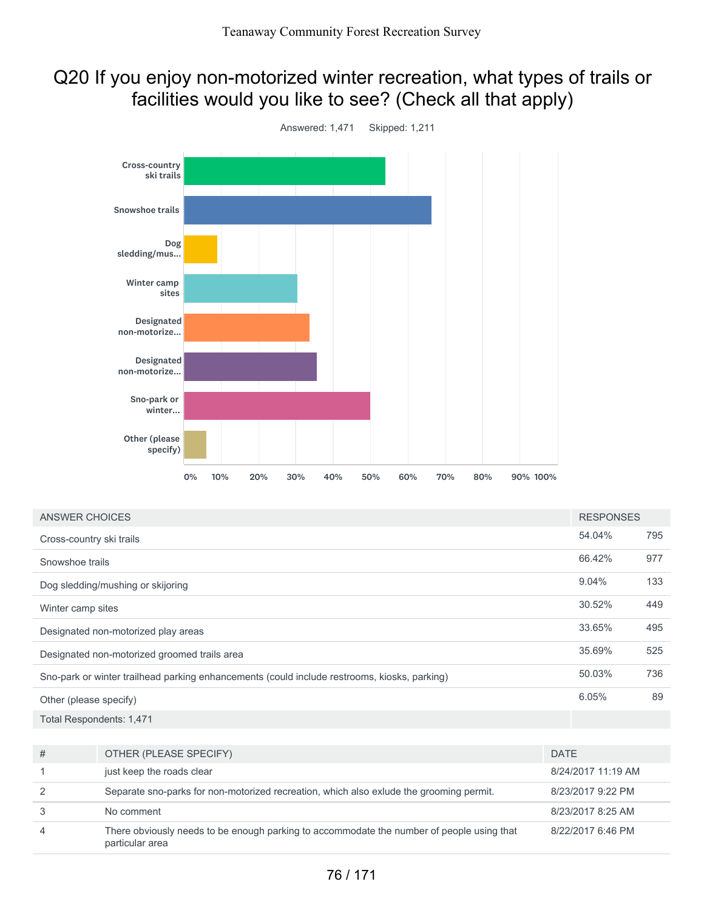## Q20 If you enjoy non-motorized winter recreation, what types of trails or facilities would you like to see? (Check all that apply)



| ANSWER CHOICES                                                                               |                                                                                         |                    | <b>RESPONSES</b>  |     |
|----------------------------------------------------------------------------------------------|-----------------------------------------------------------------------------------------|--------------------|-------------------|-----|
| Cross-country ski trails                                                                     |                                                                                         |                    | 54.04%            | 795 |
| Snowshoe trails                                                                              |                                                                                         |                    | 66.42%            | 977 |
|                                                                                              | Dog sledding/mushing or skijoring                                                       |                    | 9.04%             | 133 |
| Winter camp sites                                                                            |                                                                                         |                    | 30.52%            | 449 |
| Designated non-motorized play areas                                                          |                                                                                         |                    | 33.65%            | 495 |
| Designated non-motorized groomed trails area                                                 |                                                                                         |                    | 35.69%            | 525 |
| Sno-park or winter trailhead parking enhancements (could include restrooms, kiosks, parking) |                                                                                         |                    | 50.03%            | 736 |
| Other (please specify)                                                                       |                                                                                         |                    | 6.05%             | 89  |
| Total Respondents: 1,471                                                                     |                                                                                         |                    |                   |     |
|                                                                                              |                                                                                         |                    |                   |     |
| #                                                                                            | OTHER (PLEASE SPECIFY)                                                                  | <b>DATE</b>        |                   |     |
| 1                                                                                            | just keep the roads clear                                                               | 8/24/2017 11:19 AM |                   |     |
| 2                                                                                            | Separate sno-parks for non-motorized recreation, which also exlude the grooming permit. | 8/23/2017 9:22 PM  |                   |     |
| 3                                                                                            | No comment                                                                              |                    | 8/23/2017 8:25 AM |     |

4 There obviously needs to be enough parking to accommodate the number of people using that particular area 8/22/2017 6:46 PM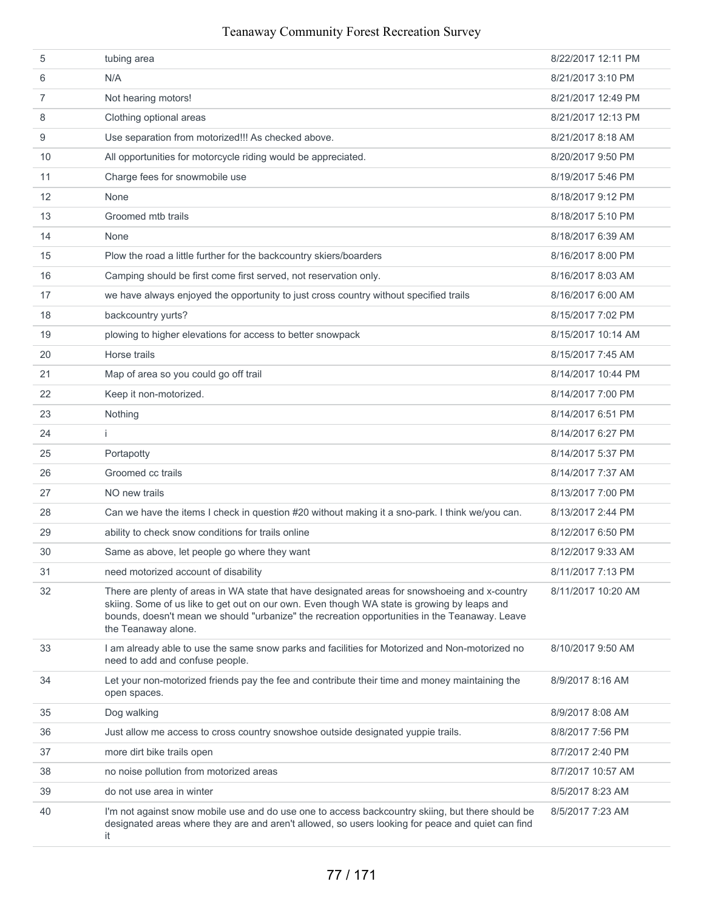| 5              | tubing area                                                                                                                                                                                                                                                                                                           | 8/22/2017 12:11 PM |
|----------------|-----------------------------------------------------------------------------------------------------------------------------------------------------------------------------------------------------------------------------------------------------------------------------------------------------------------------|--------------------|
| 6              | N/A                                                                                                                                                                                                                                                                                                                   | 8/21/2017 3:10 PM  |
| $\overline{7}$ | Not hearing motors!                                                                                                                                                                                                                                                                                                   | 8/21/2017 12:49 PM |
| 8              | Clothing optional areas                                                                                                                                                                                                                                                                                               | 8/21/2017 12:13 PM |
| 9              | Use separation from motorized!!! As checked above.                                                                                                                                                                                                                                                                    | 8/21/2017 8:18 AM  |
| 10             | All opportunities for motorcycle riding would be appreciated.                                                                                                                                                                                                                                                         | 8/20/2017 9:50 PM  |
| 11             | Charge fees for snowmobile use                                                                                                                                                                                                                                                                                        | 8/19/2017 5:46 PM  |
| 12             | None                                                                                                                                                                                                                                                                                                                  | 8/18/2017 9:12 PM  |
| 13             | Groomed mtb trails                                                                                                                                                                                                                                                                                                    | 8/18/2017 5:10 PM  |
| 14             | None                                                                                                                                                                                                                                                                                                                  | 8/18/2017 6:39 AM  |
| 15             | Plow the road a little further for the backcountry skiers/boarders                                                                                                                                                                                                                                                    | 8/16/2017 8:00 PM  |
| 16             | Camping should be first come first served, not reservation only.                                                                                                                                                                                                                                                      | 8/16/2017 8:03 AM  |
| 17             | we have always enjoyed the opportunity to just cross country without specified trails                                                                                                                                                                                                                                 | 8/16/2017 6:00 AM  |
| 18             | backcountry yurts?                                                                                                                                                                                                                                                                                                    | 8/15/2017 7:02 PM  |
| 19             | plowing to higher elevations for access to better snowpack                                                                                                                                                                                                                                                            | 8/15/2017 10:14 AM |
| 20             | Horse trails                                                                                                                                                                                                                                                                                                          | 8/15/2017 7:45 AM  |
| 21             | Map of area so you could go off trail                                                                                                                                                                                                                                                                                 | 8/14/2017 10:44 PM |
| 22             | Keep it non-motorized.                                                                                                                                                                                                                                                                                                | 8/14/2017 7:00 PM  |
| 23             | Nothing                                                                                                                                                                                                                                                                                                               | 8/14/2017 6:51 PM  |
| 24             | j.                                                                                                                                                                                                                                                                                                                    | 8/14/2017 6:27 PM  |
| 25             | Portapotty                                                                                                                                                                                                                                                                                                            | 8/14/2017 5:37 PM  |
| 26             | Groomed cc trails                                                                                                                                                                                                                                                                                                     | 8/14/2017 7:37 AM  |
| 27             | NO new trails                                                                                                                                                                                                                                                                                                         | 8/13/2017 7:00 PM  |
| 28             | Can we have the items I check in question #20 without making it a sno-park. I think we/you can.                                                                                                                                                                                                                       | 8/13/2017 2:44 PM  |
| 29             | ability to check snow conditions for trails online                                                                                                                                                                                                                                                                    | 8/12/2017 6:50 PM  |
| 30             | Same as above, let people go where they want                                                                                                                                                                                                                                                                          | 8/12/2017 9:33 AM  |
| 31             | need motorized account of disability                                                                                                                                                                                                                                                                                  | 8/11/2017 7:13 PM  |
| 32             | There are plenty of areas in WA state that have designated areas for snowshoeing and x-country<br>skiing. Some of us like to get out on our own. Even though WA state is growing by leaps and<br>bounds, doesn't mean we should "urbanize" the recreation opportunities in the Teanaway. Leave<br>the Teanaway alone. | 8/11/2017 10:20 AM |
| 33             | I am already able to use the same snow parks and facilities for Motorized and Non-motorized no<br>need to add and confuse people.                                                                                                                                                                                     | 8/10/2017 9:50 AM  |
| 34             | Let your non-motorized friends pay the fee and contribute their time and money maintaining the<br>open spaces.                                                                                                                                                                                                        | 8/9/2017 8:16 AM   |
| 35             | Dog walking                                                                                                                                                                                                                                                                                                           | 8/9/2017 8:08 AM   |
| 36             | Just allow me access to cross country snowshoe outside designated yuppie trails.                                                                                                                                                                                                                                      | 8/8/2017 7:56 PM   |
| 37             | more dirt bike trails open                                                                                                                                                                                                                                                                                            | 8/7/2017 2:40 PM   |
| 38             | no noise pollution from motorized areas                                                                                                                                                                                                                                                                               | 8/7/2017 10:57 AM  |
| 39             | do not use area in winter                                                                                                                                                                                                                                                                                             | 8/5/2017 8:23 AM   |
| 40             | I'm not against snow mobile use and do use one to access backcountry skiing, but there should be<br>designated areas where they are and aren't allowed, so users looking for peace and quiet can find<br>it                                                                                                           | 8/5/2017 7:23 AM   |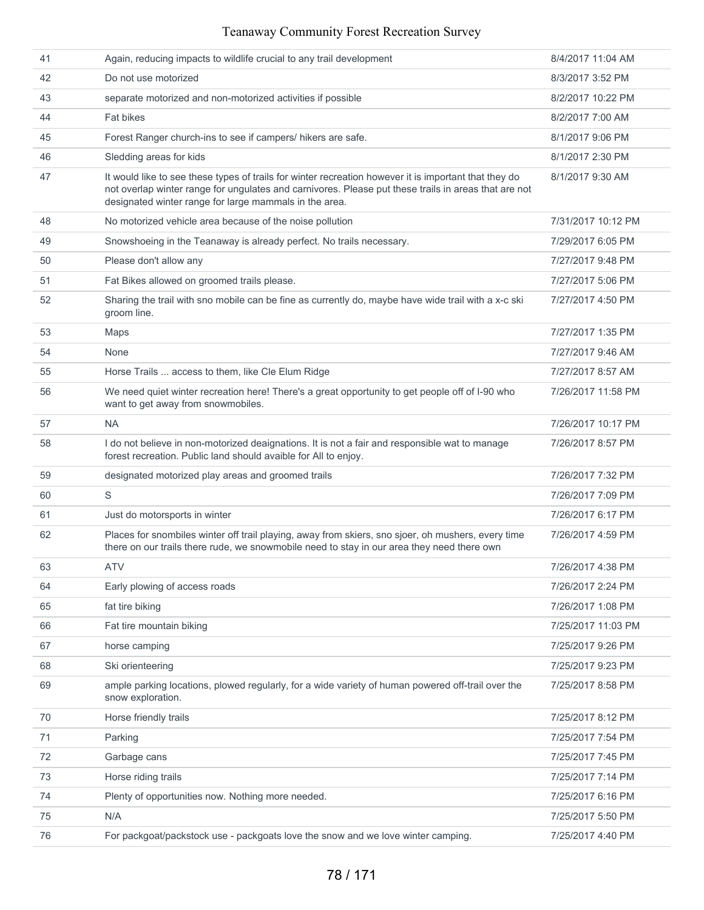| 41 | Again, reducing impacts to wildlife crucial to any trail development                                                                                                                                                                                                    | 8/4/2017 11:04 AM  |
|----|-------------------------------------------------------------------------------------------------------------------------------------------------------------------------------------------------------------------------------------------------------------------------|--------------------|
| 42 | Do not use motorized                                                                                                                                                                                                                                                    | 8/3/2017 3:52 PM   |
| 43 | separate motorized and non-motorized activities if possible                                                                                                                                                                                                             | 8/2/2017 10:22 PM  |
| 44 | <b>Fat bikes</b>                                                                                                                                                                                                                                                        | 8/2/2017 7:00 AM   |
| 45 | Forest Ranger church-ins to see if campers/ hikers are safe.                                                                                                                                                                                                            | 8/1/2017 9:06 PM   |
| 46 | Sledding areas for kids                                                                                                                                                                                                                                                 | 8/1/2017 2:30 PM   |
| 47 | It would like to see these types of trails for winter recreation however it is important that they do<br>not overlap winter range for ungulates and carnivores. Please put these trails in areas that are not<br>designated winter range for large mammals in the area. | 8/1/2017 9:30 AM   |
| 48 | No motorized vehicle area because of the noise pollution                                                                                                                                                                                                                | 7/31/2017 10:12 PM |
| 49 | Snowshoeing in the Teanaway is already perfect. No trails necessary.                                                                                                                                                                                                    | 7/29/2017 6:05 PM  |
| 50 | Please don't allow any                                                                                                                                                                                                                                                  | 7/27/2017 9:48 PM  |
| 51 | Fat Bikes allowed on groomed trails please.                                                                                                                                                                                                                             | 7/27/2017 5:06 PM  |
| 52 | Sharing the trail with sno mobile can be fine as currently do, maybe have wide trail with a x-c ski<br>groom line.                                                                                                                                                      | 7/27/2017 4:50 PM  |
| 53 | Maps                                                                                                                                                                                                                                                                    | 7/27/2017 1:35 PM  |
| 54 | None                                                                                                                                                                                                                                                                    | 7/27/2017 9:46 AM  |
| 55 | Horse Trails  access to them, like Cle Elum Ridge                                                                                                                                                                                                                       | 7/27/2017 8:57 AM  |
| 56 | We need quiet winter recreation here! There's a great opportunity to get people off of I-90 who<br>want to get away from snowmobiles.                                                                                                                                   | 7/26/2017 11:58 PM |
| 57 | <b>NA</b>                                                                                                                                                                                                                                                               | 7/26/2017 10:17 PM |
| 58 | I do not believe in non-motorized deaignations. It is not a fair and responsible wat to manage<br>forest recreation. Public land should avaible for All to enjoy.                                                                                                       | 7/26/2017 8:57 PM  |
| 59 | designated motorized play areas and groomed trails                                                                                                                                                                                                                      | 7/26/2017 7:32 PM  |
| 60 | S                                                                                                                                                                                                                                                                       | 7/26/2017 7:09 PM  |
| 61 | Just do motorsports in winter                                                                                                                                                                                                                                           | 7/26/2017 6:17 PM  |
| 62 | Places for snombiles winter off trail playing, away from skiers, sno sjoer, oh mushers, every time<br>there on our trails there rude, we snowmobile need to stay in our area they need there own                                                                        | 7/26/2017 4:59 PM  |
| 63 | <b>ATV</b>                                                                                                                                                                                                                                                              | 7/26/2017 4:38 PM  |
| 64 | Early plowing of access roads                                                                                                                                                                                                                                           | 7/26/2017 2:24 PM  |
| 65 | fat tire biking                                                                                                                                                                                                                                                         | 7/26/2017 1:08 PM  |
| 66 | Fat tire mountain biking                                                                                                                                                                                                                                                | 7/25/2017 11:03 PM |
| 67 | horse camping                                                                                                                                                                                                                                                           | 7/25/2017 9:26 PM  |
| 68 | Ski orienteering                                                                                                                                                                                                                                                        | 7/25/2017 9:23 PM  |
| 69 | ample parking locations, plowed regularly, for a wide variety of human powered off-trail over the<br>snow exploration.                                                                                                                                                  | 7/25/2017 8:58 PM  |
| 70 | Horse friendly trails                                                                                                                                                                                                                                                   | 7/25/2017 8:12 PM  |
| 71 | Parking                                                                                                                                                                                                                                                                 | 7/25/2017 7:54 PM  |
| 72 | Garbage cans                                                                                                                                                                                                                                                            | 7/25/2017 7:45 PM  |
| 73 | Horse riding trails                                                                                                                                                                                                                                                     | 7/25/2017 7:14 PM  |
| 74 | Plenty of opportunities now. Nothing more needed.                                                                                                                                                                                                                       | 7/25/2017 6:16 PM  |
| 75 | N/A                                                                                                                                                                                                                                                                     | 7/25/2017 5:50 PM  |
| 76 | For packgoat/packstock use - packgoats love the snow and we love winter camping.                                                                                                                                                                                        | 7/25/2017 4:40 PM  |
|    |                                                                                                                                                                                                                                                                         |                    |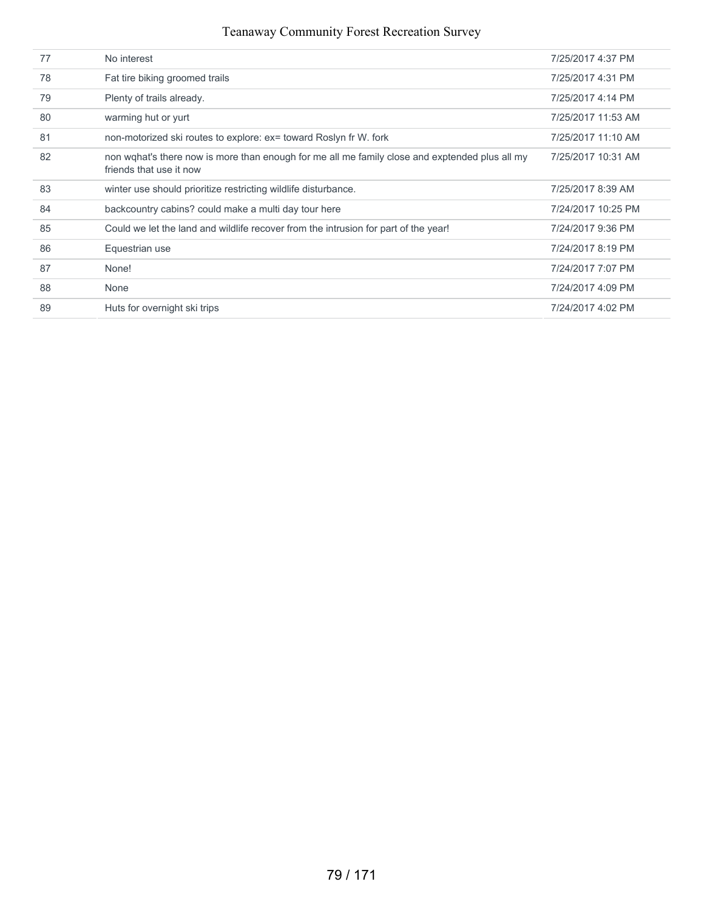| 77 | No interest                                                                                                               | 7/25/2017 4:37 PM  |
|----|---------------------------------------------------------------------------------------------------------------------------|--------------------|
| 78 | Fat tire biking groomed trails                                                                                            | 7/25/2017 4:31 PM  |
| 79 | Plenty of trails already.                                                                                                 | 7/25/2017 4:14 PM  |
| 80 | warming hut or yurt                                                                                                       | 7/25/2017 11:53 AM |
| 81 | non-motorized ski routes to explore: ex= toward Roslyn fr W. fork                                                         | 7/25/2017 11:10 AM |
| 82 | non wghat's there now is more than enough for me all me family close and exptended plus all my<br>friends that use it now | 7/25/2017 10:31 AM |
| 83 | winter use should prioritize restricting wildlife disturbance.                                                            | 7/25/2017 8:39 AM  |
| 84 | backcountry cabins? could make a multi day tour here                                                                      | 7/24/2017 10:25 PM |
| 85 | Could we let the land and wildlife recover from the intrusion for part of the year!                                       | 7/24/2017 9:36 PM  |
| 86 | Equestrian use                                                                                                            | 7/24/2017 8:19 PM  |
| 87 | None!                                                                                                                     | 7/24/2017 7:07 PM  |
| 88 | None                                                                                                                      | 7/24/2017 4:09 PM  |
| 89 | Huts for overnight ski trips                                                                                              | 7/24/2017 4:02 PM  |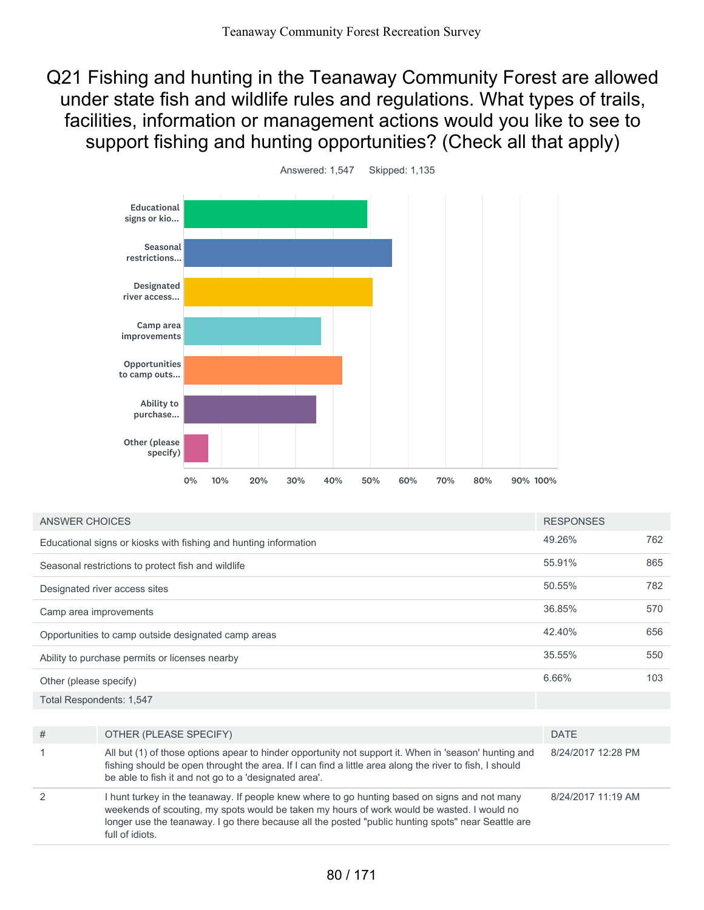Q21 Fishing and hunting in the Teanaway Community Forest are allowed under state fish and wildlife rules and regulations. What types of trails, facilities, information or management actions would you like to see to support fishing and hunting opportunities? (Check all that apply)



| ANSWER CHOICES                                                   | <b>RESPONSES</b> |     |
|------------------------------------------------------------------|------------------|-----|
| Educational signs or kiosks with fishing and hunting information | 49.26%           | 762 |
| Seasonal restrictions to protect fish and wildlife               | 55.91%           | 865 |
| Designated river access sites                                    | 50.55%           | 782 |
| Camp area improvements                                           | 36.85%           | 570 |
| Opportunities to camp outside designated camp areas              | 42.40%           | 656 |
| Ability to purchase permits or licenses nearby                   | 35.55%           | 550 |
| Other (please specify)                                           | 6.66%            | 103 |
|                                                                  |                  |     |

Total Respondents: 1,547

| # | OTHER (PLEASE SPECIFY)                                                                                                                                                                                                                                                                                             | <b>DATE</b>        |
|---|--------------------------------------------------------------------------------------------------------------------------------------------------------------------------------------------------------------------------------------------------------------------------------------------------------------------|--------------------|
|   | All but (1) of those options apear to hinder opportunity not support it. When in 'season' hunting and<br>fishing should be open throught the area. If I can find a little area along the river to fish, I should<br>be able to fish it and not go to a 'designated area'.                                          | 8/24/2017 12:28 PM |
| 2 | hunt turkey in the teanaway. If people knew where to go hunting based on signs and not many<br>weekends of scouting, my spots would be taken my hours of work would be wasted. I would no<br>longer use the teanaway. I go there because all the posted "public hunting spots" near Seattle are<br>full of idiots. | 8/24/2017 11:19 AM |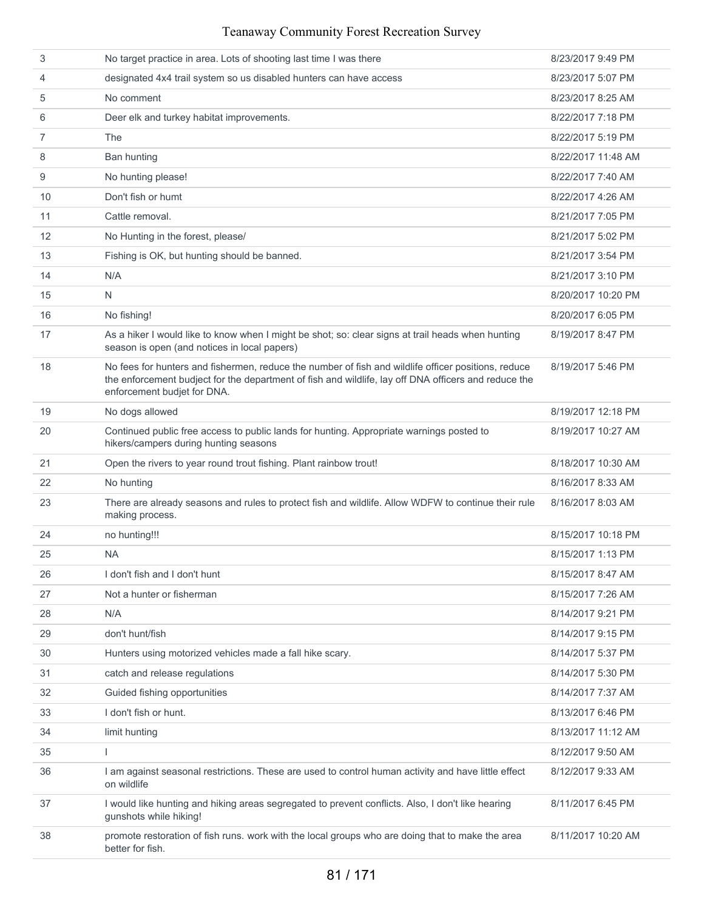| 3  | No target practice in area. Lots of shooting last time I was there                                                                                                                                                                         | 8/23/2017 9:49 PM  |
|----|--------------------------------------------------------------------------------------------------------------------------------------------------------------------------------------------------------------------------------------------|--------------------|
| 4  | designated 4x4 trail system so us disabled hunters can have access                                                                                                                                                                         | 8/23/2017 5:07 PM  |
| 5  | No comment                                                                                                                                                                                                                                 | 8/23/2017 8:25 AM  |
| 6  | Deer elk and turkey habitat improvements.                                                                                                                                                                                                  | 8/22/2017 7:18 PM  |
| 7  | The                                                                                                                                                                                                                                        | 8/22/2017 5:19 PM  |
| 8  | Ban hunting                                                                                                                                                                                                                                | 8/22/2017 11:48 AM |
| 9  | No hunting please!                                                                                                                                                                                                                         | 8/22/2017 7:40 AM  |
| 10 | Don't fish or humt                                                                                                                                                                                                                         | 8/22/2017 4:26 AM  |
| 11 | Cattle removal.                                                                                                                                                                                                                            | 8/21/2017 7:05 PM  |
| 12 | No Hunting in the forest, please/                                                                                                                                                                                                          | 8/21/2017 5:02 PM  |
| 13 | Fishing is OK, but hunting should be banned.                                                                                                                                                                                               | 8/21/2017 3:54 PM  |
| 14 | N/A                                                                                                                                                                                                                                        | 8/21/2017 3:10 PM  |
| 15 | N                                                                                                                                                                                                                                          | 8/20/2017 10:20 PM |
| 16 | No fishing!                                                                                                                                                                                                                                | 8/20/2017 6:05 PM  |
| 17 | As a hiker I would like to know when I might be shot; so: clear signs at trail heads when hunting<br>season is open (and notices in local papers)                                                                                          | 8/19/2017 8:47 PM  |
| 18 | No fees for hunters and fishermen, reduce the number of fish and wildlife officer positions, reduce<br>the enforcement budject for the department of fish and wildlife, lay off DNA officers and reduce the<br>enforcement budjet for DNA. | 8/19/2017 5:46 PM  |
| 19 | No dogs allowed                                                                                                                                                                                                                            | 8/19/2017 12:18 PM |
| 20 | Continued public free access to public lands for hunting. Appropriate warnings posted to<br>hikers/campers during hunting seasons                                                                                                          | 8/19/2017 10:27 AM |
| 21 | Open the rivers to year round trout fishing. Plant rainbow trout!                                                                                                                                                                          | 8/18/2017 10:30 AM |
| 22 | No hunting                                                                                                                                                                                                                                 | 8/16/2017 8:33 AM  |
| 23 | There are already seasons and rules to protect fish and wildlife. Allow WDFW to continue their rule<br>making process.                                                                                                                     | 8/16/2017 8:03 AM  |
| 24 | no hunting!!!                                                                                                                                                                                                                              | 8/15/2017 10:18 PM |
| 25 | <b>NA</b>                                                                                                                                                                                                                                  | 8/15/2017 1:13 PM  |
| 26 | I don't fish and I don't hunt                                                                                                                                                                                                              | 8/15/2017 8:47 AM  |
| 27 | Not a hunter or fisherman                                                                                                                                                                                                                  | 8/15/2017 7:26 AM  |
| 28 | N/A                                                                                                                                                                                                                                        | 8/14/2017 9:21 PM  |
| 29 | don't hunt/fish                                                                                                                                                                                                                            | 8/14/2017 9:15 PM  |
| 30 | Hunters using motorized vehicles made a fall hike scary.                                                                                                                                                                                   | 8/14/2017 5:37 PM  |
| 31 | catch and release regulations                                                                                                                                                                                                              | 8/14/2017 5:30 PM  |
| 32 | Guided fishing opportunities                                                                                                                                                                                                               | 8/14/2017 7:37 AM  |
| 33 | I don't fish or hunt.                                                                                                                                                                                                                      | 8/13/2017 6:46 PM  |
| 34 | limit hunting                                                                                                                                                                                                                              | 8/13/2017 11:12 AM |
| 35 |                                                                                                                                                                                                                                            | 8/12/2017 9:50 AM  |
| 36 | I am against seasonal restrictions. These are used to control human activity and have little effect<br>on wildlife                                                                                                                         | 8/12/2017 9:33 AM  |
| 37 | I would like hunting and hiking areas segregated to prevent conflicts. Also, I don't like hearing<br>qunshots while hiking!                                                                                                                | 8/11/2017 6:45 PM  |
| 38 | promote restoration of fish runs. work with the local groups who are doing that to make the area<br>better for fish.                                                                                                                       | 8/11/2017 10:20 AM |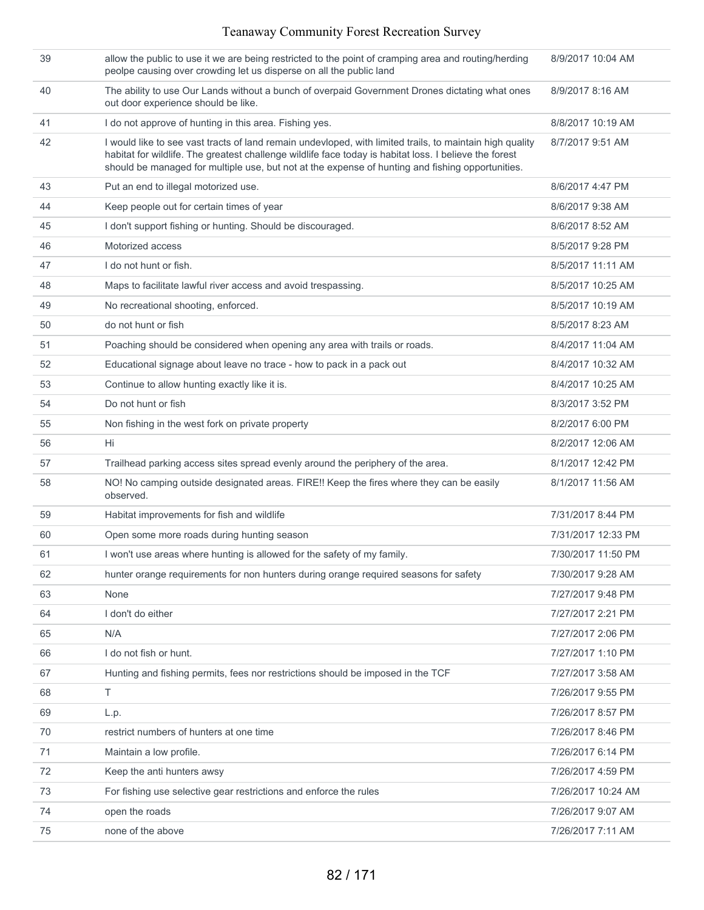| 39 | allow the public to use it we are being restricted to the point of cramping area and routing/herding<br>peolpe causing over crowding let us disperse on all the public land                                                                                                                                            | 8/9/2017 10:04 AM  |
|----|------------------------------------------------------------------------------------------------------------------------------------------------------------------------------------------------------------------------------------------------------------------------------------------------------------------------|--------------------|
| 40 | The ability to use Our Lands without a bunch of overpaid Government Drones dictating what ones<br>out door experience should be like.                                                                                                                                                                                  | 8/9/2017 8:16 AM   |
| 41 | I do not approve of hunting in this area. Fishing yes.                                                                                                                                                                                                                                                                 | 8/8/2017 10:19 AM  |
| 42 | I would like to see vast tracts of land remain undevloped, with limited trails, to maintain high quality<br>habitat for wildlife. The greatest challenge wildlife face today is habitat loss. I believe the forest<br>should be managed for multiple use, but not at the expense of hunting and fishing opportunities. | 8/7/2017 9:51 AM   |
| 43 | Put an end to illegal motorized use.                                                                                                                                                                                                                                                                                   | 8/6/2017 4:47 PM   |
| 44 | Keep people out for certain times of year                                                                                                                                                                                                                                                                              | 8/6/2017 9:38 AM   |
| 45 | I don't support fishing or hunting. Should be discouraged.                                                                                                                                                                                                                                                             | 8/6/2017 8:52 AM   |
| 46 | Motorized access                                                                                                                                                                                                                                                                                                       | 8/5/2017 9:28 PM   |
| 47 | I do not hunt or fish.                                                                                                                                                                                                                                                                                                 | 8/5/2017 11:11 AM  |
| 48 | Maps to facilitate lawful river access and avoid trespassing.                                                                                                                                                                                                                                                          | 8/5/2017 10:25 AM  |
| 49 | No recreational shooting, enforced.                                                                                                                                                                                                                                                                                    | 8/5/2017 10:19 AM  |
| 50 | do not hunt or fish                                                                                                                                                                                                                                                                                                    | 8/5/2017 8:23 AM   |
| 51 | Poaching should be considered when opening any area with trails or roads.                                                                                                                                                                                                                                              | 8/4/2017 11:04 AM  |
| 52 | Educational signage about leave no trace - how to pack in a pack out                                                                                                                                                                                                                                                   | 8/4/2017 10:32 AM  |
| 53 | Continue to allow hunting exactly like it is.                                                                                                                                                                                                                                                                          | 8/4/2017 10:25 AM  |
| 54 | Do not hunt or fish                                                                                                                                                                                                                                                                                                    | 8/3/2017 3:52 PM   |
| 55 | Non fishing in the west fork on private property                                                                                                                                                                                                                                                                       | 8/2/2017 6:00 PM   |
| 56 | Hi                                                                                                                                                                                                                                                                                                                     | 8/2/2017 12:06 AM  |
| 57 | Trailhead parking access sites spread evenly around the periphery of the area.                                                                                                                                                                                                                                         | 8/1/2017 12:42 PM  |
| 58 | NO! No camping outside designated areas. FIRE!! Keep the fires where they can be easily<br>observed.                                                                                                                                                                                                                   | 8/1/2017 11:56 AM  |
| 59 | Habitat improvements for fish and wildlife                                                                                                                                                                                                                                                                             | 7/31/2017 8:44 PM  |
| 60 | Open some more roads during hunting season                                                                                                                                                                                                                                                                             | 7/31/2017 12:33 PM |
| 61 | I won't use areas where hunting is allowed for the safety of my family.                                                                                                                                                                                                                                                | 7/30/2017 11:50 PM |
| 62 | hunter orange requirements for non hunters during orange required seasons for safety                                                                                                                                                                                                                                   | 7/30/2017 9:28 AM  |
| 63 | None                                                                                                                                                                                                                                                                                                                   | 7/27/2017 9:48 PM  |
| 64 | I don't do either                                                                                                                                                                                                                                                                                                      | 7/27/2017 2:21 PM  |
| 65 | N/A                                                                                                                                                                                                                                                                                                                    | 7/27/2017 2:06 PM  |
| 66 | I do not fish or hunt.                                                                                                                                                                                                                                                                                                 | 7/27/2017 1:10 PM  |
| 67 | Hunting and fishing permits, fees nor restrictions should be imposed in the TCF                                                                                                                                                                                                                                        | 7/27/2017 3:58 AM  |
| 68 | Τ                                                                                                                                                                                                                                                                                                                      | 7/26/2017 9:55 PM  |
| 69 | L.p.                                                                                                                                                                                                                                                                                                                   | 7/26/2017 8:57 PM  |
| 70 | restrict numbers of hunters at one time                                                                                                                                                                                                                                                                                | 7/26/2017 8:46 PM  |
| 71 | Maintain a low profile.                                                                                                                                                                                                                                                                                                | 7/26/2017 6:14 PM  |
| 72 | Keep the anti hunters awsy                                                                                                                                                                                                                                                                                             | 7/26/2017 4:59 PM  |
| 73 | For fishing use selective gear restrictions and enforce the rules                                                                                                                                                                                                                                                      | 7/26/2017 10:24 AM |
| 74 | open the roads                                                                                                                                                                                                                                                                                                         | 7/26/2017 9:07 AM  |
| 75 | none of the above                                                                                                                                                                                                                                                                                                      | 7/26/2017 7:11 AM  |
|    |                                                                                                                                                                                                                                                                                                                        |                    |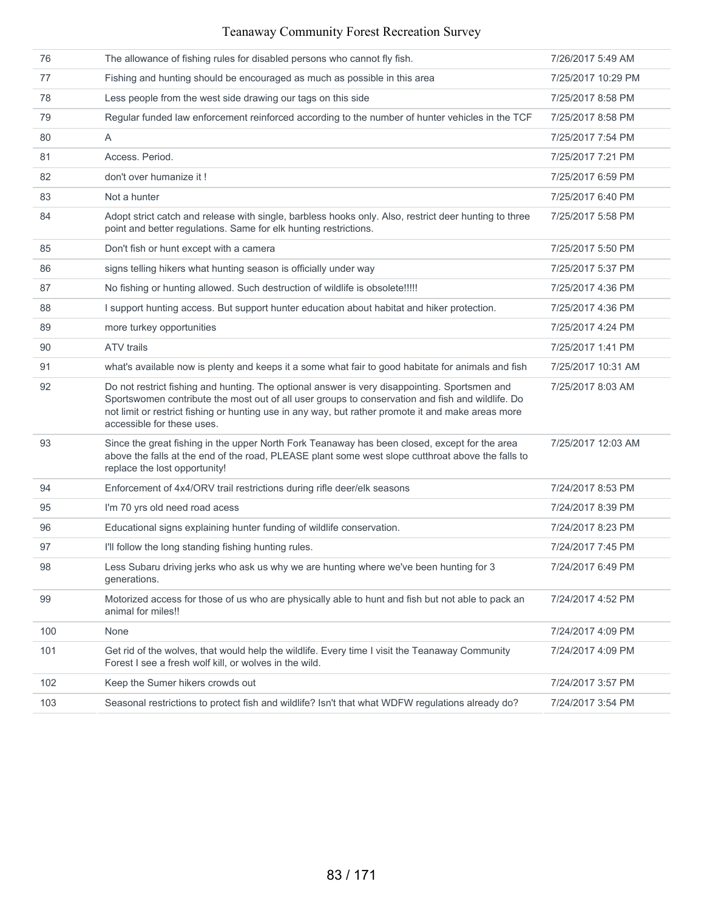|     |                                                                                                                                                                                                                                                                                                                                       | 7/26/2017 5:49 AM  |
|-----|---------------------------------------------------------------------------------------------------------------------------------------------------------------------------------------------------------------------------------------------------------------------------------------------------------------------------------------|--------------------|
| 76  | The allowance of fishing rules for disabled persons who cannot fly fish.                                                                                                                                                                                                                                                              |                    |
| 77  | Fishing and hunting should be encouraged as much as possible in this area                                                                                                                                                                                                                                                             | 7/25/2017 10:29 PM |
| 78  | Less people from the west side drawing our tags on this side                                                                                                                                                                                                                                                                          | 7/25/2017 8:58 PM  |
| 79  | Regular funded law enforcement reinforced according to the number of hunter vehicles in the TCF                                                                                                                                                                                                                                       | 7/25/2017 8:58 PM  |
| 80  | A                                                                                                                                                                                                                                                                                                                                     | 7/25/2017 7:54 PM  |
| 81  | Access. Period.                                                                                                                                                                                                                                                                                                                       | 7/25/2017 7:21 PM  |
| 82  | don't over humanize it !                                                                                                                                                                                                                                                                                                              | 7/25/2017 6:59 PM  |
| 83  | Not a hunter                                                                                                                                                                                                                                                                                                                          | 7/25/2017 6:40 PM  |
| 84  | Adopt strict catch and release with single, barbless hooks only. Also, restrict deer hunting to three<br>point and better regulations. Same for elk hunting restrictions.                                                                                                                                                             | 7/25/2017 5:58 PM  |
| 85  | Don't fish or hunt except with a camera                                                                                                                                                                                                                                                                                               | 7/25/2017 5:50 PM  |
| 86  | signs telling hikers what hunting season is officially under way                                                                                                                                                                                                                                                                      | 7/25/2017 5:37 PM  |
| 87  | No fishing or hunting allowed. Such destruction of wildlife is obsolete!!!!!                                                                                                                                                                                                                                                          | 7/25/2017 4:36 PM  |
| 88  | I support hunting access. But support hunter education about habitat and hiker protection.                                                                                                                                                                                                                                            | 7/25/2017 4:36 PM  |
| 89  | more turkey opportunities                                                                                                                                                                                                                                                                                                             | 7/25/2017 4:24 PM  |
| 90  | <b>ATV</b> trails                                                                                                                                                                                                                                                                                                                     | 7/25/2017 1:41 PM  |
| 91  | what's available now is plenty and keeps it a some what fair to good habitate for animals and fish                                                                                                                                                                                                                                    | 7/25/2017 10:31 AM |
| 92  | Do not restrict fishing and hunting. The optional answer is very disappointing. Sportsmen and<br>Sportswomen contribute the most out of all user groups to conservation and fish and wildlife. Do<br>not limit or restrict fishing or hunting use in any way, but rather promote it and make areas more<br>accessible for these uses. | 7/25/2017 8:03 AM  |
| 93  | Since the great fishing in the upper North Fork Teanaway has been closed, except for the area<br>above the falls at the end of the road, PLEASE plant some west slope cutthroat above the falls to<br>replace the lost opportunity!                                                                                                   | 7/25/2017 12:03 AM |
| 94  | Enforcement of 4x4/ORV trail restrictions during rifle deer/elk seasons                                                                                                                                                                                                                                                               | 7/24/2017 8:53 PM  |
| 95  | I'm 70 yrs old need road acess                                                                                                                                                                                                                                                                                                        | 7/24/2017 8:39 PM  |
| 96  | Educational signs explaining hunter funding of wildlife conservation.                                                                                                                                                                                                                                                                 | 7/24/2017 8:23 PM  |
| 97  | I'll follow the long standing fishing hunting rules.                                                                                                                                                                                                                                                                                  | 7/24/2017 7:45 PM  |
| 98  | Less Subaru driving jerks who ask us why we are hunting where we've been hunting for 3<br>generations.                                                                                                                                                                                                                                | 7/24/2017 6:49 PM  |
| 99  | Motorized access for those of us who are physically able to hunt and fish but not able to pack an<br>animal for miles!!                                                                                                                                                                                                               | 7/24/2017 4:52 PM  |
| 100 | None                                                                                                                                                                                                                                                                                                                                  | 7/24/2017 4:09 PM  |
| 101 | Get rid of the wolves, that would help the wildlife. Every time I visit the Teanaway Community<br>Forest I see a fresh wolf kill, or wolves in the wild.                                                                                                                                                                              | 7/24/2017 4:09 PM  |
| 102 | Keep the Sumer hikers crowds out                                                                                                                                                                                                                                                                                                      | 7/24/2017 3:57 PM  |
| 103 | Seasonal restrictions to protect fish and wildlife? Isn't that what WDFW regulations already do?                                                                                                                                                                                                                                      | 7/24/2017 3:54 PM  |
|     |                                                                                                                                                                                                                                                                                                                                       |                    |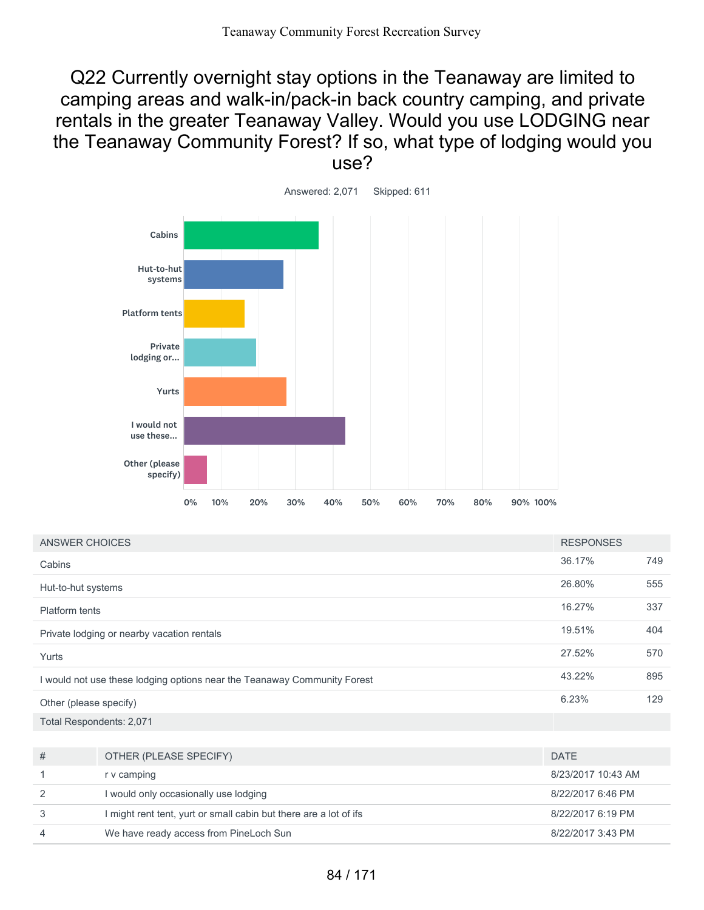Q22 Currently overnight stay options in the Teanaway are limited to camping areas and walk-in/pack-in back country camping, and private rentals in the greater Teanaway Valley. Would you use LODGING near the Teanaway Community Forest? If so, what type of lodging would you use?



| ANSWER CHOICES                                                           |                                                                   | <b>RESPONSES</b>   |     |
|--------------------------------------------------------------------------|-------------------------------------------------------------------|--------------------|-----|
| Cabins                                                                   |                                                                   | 36.17%             | 749 |
| Hut-to-hut systems                                                       |                                                                   | 26.80%             | 555 |
| <b>Platform tents</b>                                                    |                                                                   | 16.27%             | 337 |
|                                                                          | Private lodging or nearby vacation rentals                        | 19.51%             | 404 |
| Yurts                                                                    |                                                                   | 27.52%             | 570 |
| I would not use these lodging options near the Teanaway Community Forest |                                                                   | 43.22%             | 895 |
| Other (please specify)                                                   |                                                                   | 6.23%              | 129 |
| Total Respondents: 2,071                                                 |                                                                   |                    |     |
|                                                                          |                                                                   |                    |     |
| #                                                                        | OTHER (PLEASE SPECIFY)                                            | <b>DATE</b>        |     |
| 1                                                                        | r v camping                                                       | 8/23/2017 10:43 AM |     |
| 2                                                                        | I would only occasionally use lodging                             | 8/22/2017 6:46 PM  |     |
| 3                                                                        | I might rent tent, yurt or small cabin but there are a lot of ifs | 8/22/2017 6:19 PM  |     |
| 4                                                                        | We have ready access from PineLoch Sun                            | 8/22/2017 3:43 PM  |     |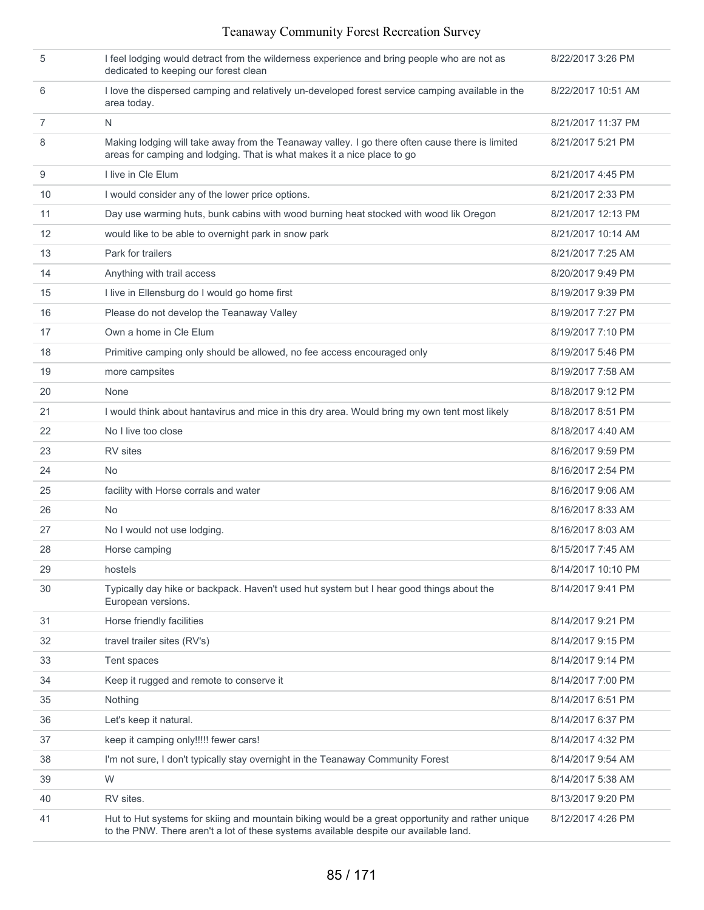| 5              | I feel lodging would detract from the wilderness experience and bring people who are not as<br>dedicated to keeping our forest clean                                                      | 8/22/2017 3:26 PM  |
|----------------|-------------------------------------------------------------------------------------------------------------------------------------------------------------------------------------------|--------------------|
| 6              | I love the dispersed camping and relatively un-developed forest service camping available in the<br>area today.                                                                           | 8/22/2017 10:51 AM |
| $\overline{7}$ | N                                                                                                                                                                                         | 8/21/2017 11:37 PM |
| 8              | Making lodging will take away from the Teanaway valley. I go there often cause there is limited<br>areas for camping and lodging. That is what makes it a nice place to go                | 8/21/2017 5:21 PM  |
| 9              | I live in Cle Elum                                                                                                                                                                        | 8/21/2017 4:45 PM  |
| 10             | I would consider any of the lower price options.                                                                                                                                          | 8/21/2017 2:33 PM  |
| 11             | Day use warming huts, bunk cabins with wood burning heat stocked with wood lik Oregon                                                                                                     | 8/21/2017 12:13 PM |
| 12             | would like to be able to overnight park in snow park                                                                                                                                      | 8/21/2017 10:14 AM |
| 13             | Park for trailers                                                                                                                                                                         | 8/21/2017 7:25 AM  |
| 14             | Anything with trail access                                                                                                                                                                | 8/20/2017 9:49 PM  |
| 15             | I live in Ellensburg do I would go home first                                                                                                                                             | 8/19/2017 9:39 PM  |
| 16             | Please do not develop the Teanaway Valley                                                                                                                                                 | 8/19/2017 7:27 PM  |
| 17             | Own a home in Cle Elum                                                                                                                                                                    | 8/19/2017 7:10 PM  |
| 18             | Primitive camping only should be allowed, no fee access encouraged only                                                                                                                   | 8/19/2017 5:46 PM  |
| 19             | more campsites                                                                                                                                                                            | 8/19/2017 7:58 AM  |
| 20             | None                                                                                                                                                                                      | 8/18/2017 9:12 PM  |
| 21             | I would think about hantavirus and mice in this dry area. Would bring my own tent most likely                                                                                             | 8/18/2017 8:51 PM  |
| 22             | No I live too close                                                                                                                                                                       | 8/18/2017 4:40 AM  |
| 23             | RV sites                                                                                                                                                                                  | 8/16/2017 9:59 PM  |
| 24             | N <sub>o</sub>                                                                                                                                                                            | 8/16/2017 2:54 PM  |
| 25             | facility with Horse corrals and water                                                                                                                                                     | 8/16/2017 9:06 AM  |
| 26             | N <sub>o</sub>                                                                                                                                                                            | 8/16/2017 8:33 AM  |
| 27             | No I would not use lodging.                                                                                                                                                               | 8/16/2017 8:03 AM  |
| 28             | Horse camping                                                                                                                                                                             | 8/15/2017 7:45 AM  |
| 29             | hostels                                                                                                                                                                                   | 8/14/2017 10:10 PM |
| 30             | Typically day hike or backpack. Haven't used hut system but I hear good things about the<br>European versions.                                                                            | 8/14/2017 9:41 PM  |
| 31             | Horse friendly facilities                                                                                                                                                                 | 8/14/2017 9:21 PM  |
| 32             | travel trailer sites (RV's)                                                                                                                                                               | 8/14/2017 9:15 PM  |
| 33             | Tent spaces                                                                                                                                                                               | 8/14/2017 9:14 PM  |
| 34             | Keep it rugged and remote to conserve it                                                                                                                                                  | 8/14/2017 7:00 PM  |
| 35             | Nothing                                                                                                                                                                                   | 8/14/2017 6:51 PM  |
| 36             | Let's keep it natural.                                                                                                                                                                    | 8/14/2017 6:37 PM  |
| 37             | keep it camping only!!!!! fewer cars!                                                                                                                                                     | 8/14/2017 4:32 PM  |
| 38             | I'm not sure, I don't typically stay overnight in the Teanaway Community Forest                                                                                                           | 8/14/2017 9:54 AM  |
| 39             | W                                                                                                                                                                                         | 8/14/2017 5:38 AM  |
| 40             | RV sites.                                                                                                                                                                                 | 8/13/2017 9:20 PM  |
| 41             | Hut to Hut systems for skiing and mountain biking would be a great opportunity and rather unique<br>to the PNW. There aren't a lot of these systems available despite our available land. | 8/12/2017 4:26 PM  |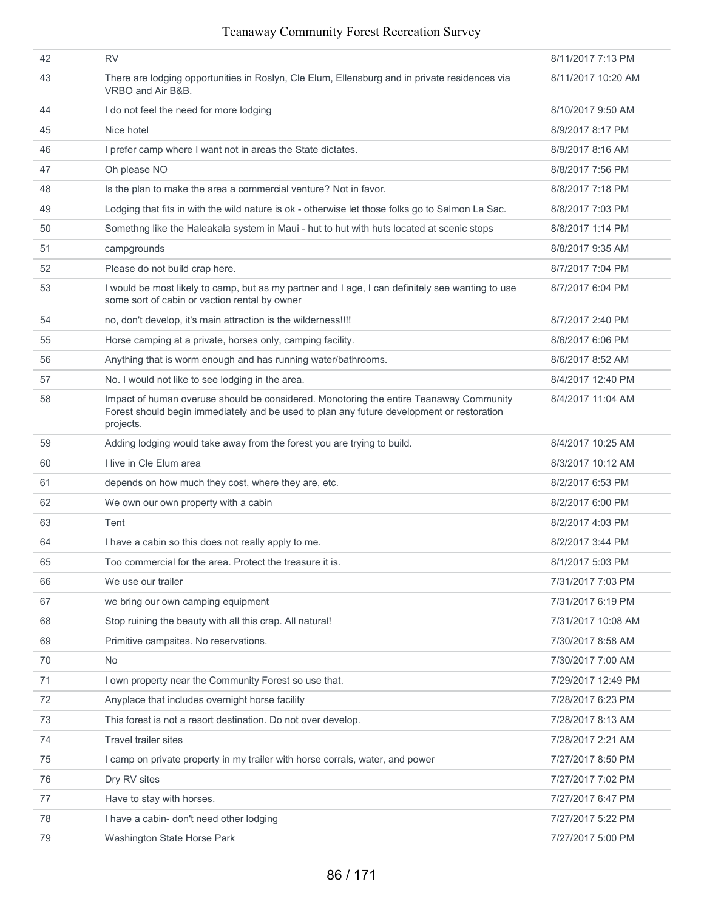| 42 | <b>RV</b>                                                                                                                                                                                        | 8/11/2017 7:13 PM  |
|----|--------------------------------------------------------------------------------------------------------------------------------------------------------------------------------------------------|--------------------|
| 43 | There are lodging opportunities in Roslyn, Cle Elum, Ellensburg and in private residences via<br>VRBO and Air B&B.                                                                               | 8/11/2017 10:20 AM |
| 44 | I do not feel the need for more lodging                                                                                                                                                          | 8/10/2017 9:50 AM  |
| 45 | Nice hotel                                                                                                                                                                                       | 8/9/2017 8:17 PM   |
| 46 | I prefer camp where I want not in areas the State dictates.                                                                                                                                      | 8/9/2017 8:16 AM   |
| 47 | Oh please NO                                                                                                                                                                                     | 8/8/2017 7:56 PM   |
| 48 | Is the plan to make the area a commercial venture? Not in favor.                                                                                                                                 | 8/8/2017 7:18 PM   |
| 49 | Lodging that fits in with the wild nature is ok - otherwise let those folks go to Salmon La Sac.                                                                                                 | 8/8/2017 7:03 PM   |
| 50 | Somethng like the Haleakala system in Maui - hut to hut with huts located at scenic stops                                                                                                        | 8/8/2017 1:14 PM   |
| 51 | campgrounds                                                                                                                                                                                      | 8/8/2017 9:35 AM   |
| 52 | Please do not build crap here.                                                                                                                                                                   | 8/7/2017 7:04 PM   |
| 53 | I would be most likely to camp, but as my partner and I age, I can definitely see wanting to use<br>some sort of cabin or vaction rental by owner                                                | 8/7/2017 6:04 PM   |
| 54 | no, don't develop, it's main attraction is the wilderness!!!!                                                                                                                                    | 8/7/2017 2:40 PM   |
| 55 | Horse camping at a private, horses only, camping facility.                                                                                                                                       | 8/6/2017 6:06 PM   |
| 56 | Anything that is worm enough and has running water/bathrooms.                                                                                                                                    | 8/6/2017 8:52 AM   |
| 57 | No. I would not like to see lodging in the area.                                                                                                                                                 | 8/4/2017 12:40 PM  |
| 58 | Impact of human overuse should be considered. Monotoring the entire Teanaway Community<br>Forest should begin immediately and be used to plan any future development or restoration<br>projects. | 8/4/2017 11:04 AM  |
| 59 | Adding lodging would take away from the forest you are trying to build.                                                                                                                          | 8/4/2017 10:25 AM  |
| 60 | I live in Cle Elum area                                                                                                                                                                          | 8/3/2017 10:12 AM  |
| 61 | depends on how much they cost, where they are, etc.                                                                                                                                              | 8/2/2017 6:53 PM   |
| 62 | We own our own property with a cabin                                                                                                                                                             | 8/2/2017 6:00 PM   |
| 63 | Tent                                                                                                                                                                                             | 8/2/2017 4:03 PM   |
| 64 | I have a cabin so this does not really apply to me.                                                                                                                                              | 8/2/2017 3:44 PM   |
| 65 | Too commercial for the area. Protect the treasure it is.                                                                                                                                         | 8/1/2017 5:03 PM   |
| 66 | We use our trailer                                                                                                                                                                               | 7/31/2017 7:03 PM  |
| 67 | we bring our own camping equipment                                                                                                                                                               | 7/31/2017 6:19 PM  |
| 68 | Stop ruining the beauty with all this crap. All natural!                                                                                                                                         | 7/31/2017 10:08 AM |
| 69 | Primitive campsites. No reservations.                                                                                                                                                            | 7/30/2017 8:58 AM  |
| 70 | No                                                                                                                                                                                               | 7/30/2017 7:00 AM  |
| 71 | I own property near the Community Forest so use that.                                                                                                                                            | 7/29/2017 12:49 PM |
| 72 | Anyplace that includes overnight horse facility                                                                                                                                                  | 7/28/2017 6:23 PM  |
| 73 | This forest is not a resort destination. Do not over develop.                                                                                                                                    | 7/28/2017 8:13 AM  |
| 74 | <b>Travel trailer sites</b>                                                                                                                                                                      | 7/28/2017 2:21 AM  |
| 75 | I camp on private property in my trailer with horse corrals, water, and power                                                                                                                    | 7/27/2017 8:50 PM  |
| 76 | Dry RV sites                                                                                                                                                                                     | 7/27/2017 7:02 PM  |
| 77 | Have to stay with horses.                                                                                                                                                                        | 7/27/2017 6:47 PM  |
| 78 | I have a cabin- don't need other lodging                                                                                                                                                         | 7/27/2017 5:22 PM  |
| 79 | Washington State Horse Park                                                                                                                                                                      | 7/27/2017 5:00 PM  |
|    |                                                                                                                                                                                                  |                    |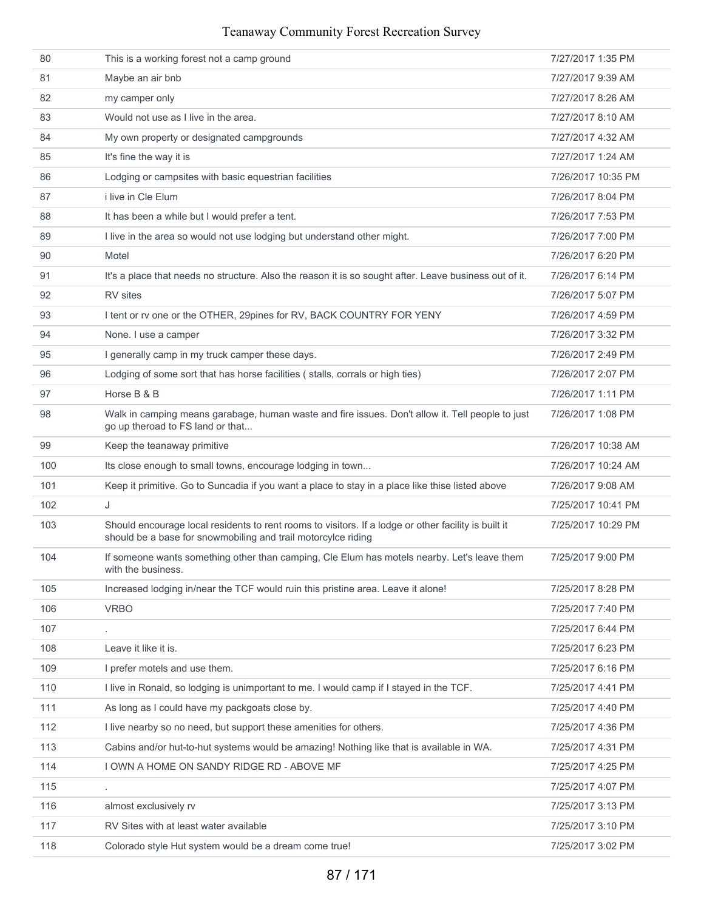| 80  | This is a working forest not a camp ground                                                                                                                            | 7/27/2017 1:35 PM  |
|-----|-----------------------------------------------------------------------------------------------------------------------------------------------------------------------|--------------------|
| 81  | Maybe an air bnb                                                                                                                                                      | 7/27/2017 9:39 AM  |
| 82  | my camper only                                                                                                                                                        | 7/27/2017 8:26 AM  |
| 83  | Would not use as I live in the area.                                                                                                                                  | 7/27/2017 8:10 AM  |
| 84  | My own property or designated campgrounds                                                                                                                             | 7/27/2017 4:32 AM  |
| 85  | It's fine the way it is                                                                                                                                               | 7/27/2017 1:24 AM  |
| 86  | Lodging or campsites with basic equestrian facilities                                                                                                                 | 7/26/2017 10:35 PM |
| 87  | i live in Cle Elum                                                                                                                                                    | 7/26/2017 8:04 PM  |
| 88  | It has been a while but I would prefer a tent.                                                                                                                        | 7/26/2017 7:53 PM  |
| 89  | I live in the area so would not use lodging but understand other might.                                                                                               | 7/26/2017 7:00 PM  |
| 90  | Motel                                                                                                                                                                 | 7/26/2017 6:20 PM  |
| 91  | It's a place that needs no structure. Also the reason it is so sought after. Leave business out of it.                                                                | 7/26/2017 6:14 PM  |
| 92  | RV sites                                                                                                                                                              | 7/26/2017 5:07 PM  |
| 93  | I tent or rv one or the OTHER, 29pines for RV, BACK COUNTRY FOR YENY                                                                                                  | 7/26/2017 4:59 PM  |
| 94  | None. I use a camper                                                                                                                                                  | 7/26/2017 3:32 PM  |
| 95  | I generally camp in my truck camper these days.                                                                                                                       | 7/26/2017 2:49 PM  |
| 96  | Lodging of some sort that has horse facilities (stalls, corrals or high ties)                                                                                         | 7/26/2017 2:07 PM  |
| 97  | Horse B & B                                                                                                                                                           | 7/26/2017 1:11 PM  |
| 98  | Walk in camping means garabage, human waste and fire issues. Don't allow it. Tell people to just<br>go up theroad to FS land or that                                  | 7/26/2017 1:08 PM  |
| 99  | Keep the teanaway primitive                                                                                                                                           | 7/26/2017 10:38 AM |
| 100 | Its close enough to small towns, encourage lodging in town                                                                                                            | 7/26/2017 10:24 AM |
| 101 | Keep it primitive. Go to Suncadia if you want a place to stay in a place like thise listed above                                                                      | 7/26/2017 9:08 AM  |
| 102 | J                                                                                                                                                                     | 7/25/2017 10:41 PM |
| 103 | Should encourage local residents to rent rooms to visitors. If a lodge or other facility is built it<br>should be a base for snowmobiling and trail motorcylce riding | 7/25/2017 10:29 PM |
| 104 | If someone wants something other than camping, Cle Elum has motels nearby. Let's leave them<br>with the business.                                                     | 7/25/2017 9:00 PM  |
| 105 | Increased lodging in/near the TCF would ruin this pristine area. Leave it alone!                                                                                      | 7/25/2017 8:28 PM  |
| 106 | <b>VRBO</b>                                                                                                                                                           | 7/25/2017 7:40 PM  |
| 107 |                                                                                                                                                                       | 7/25/2017 6:44 PM  |
| 108 | Leave it like it is.                                                                                                                                                  | 7/25/2017 6:23 PM  |
| 109 | I prefer motels and use them.                                                                                                                                         | 7/25/2017 6:16 PM  |
| 110 | I live in Ronald, so lodging is unimportant to me. I would camp if I stayed in the TCF.                                                                               | 7/25/2017 4:41 PM  |
| 111 | As long as I could have my packgoats close by.                                                                                                                        | 7/25/2017 4:40 PM  |
| 112 | I live nearby so no need, but support these amenities for others.                                                                                                     | 7/25/2017 4:36 PM  |
| 113 | Cabins and/or hut-to-hut systems would be amazing! Nothing like that is available in WA.                                                                              | 7/25/2017 4:31 PM  |
| 114 | I OWN A HOME ON SANDY RIDGE RD - ABOVE MF                                                                                                                             | 7/25/2017 4:25 PM  |
| 115 | $\blacksquare$                                                                                                                                                        | 7/25/2017 4:07 PM  |
| 116 | almost exclusively rv                                                                                                                                                 | 7/25/2017 3:13 PM  |
| 117 | RV Sites with at least water available                                                                                                                                | 7/25/2017 3:10 PM  |
| 118 | Colorado style Hut system would be a dream come true!                                                                                                                 | 7/25/2017 3:02 PM  |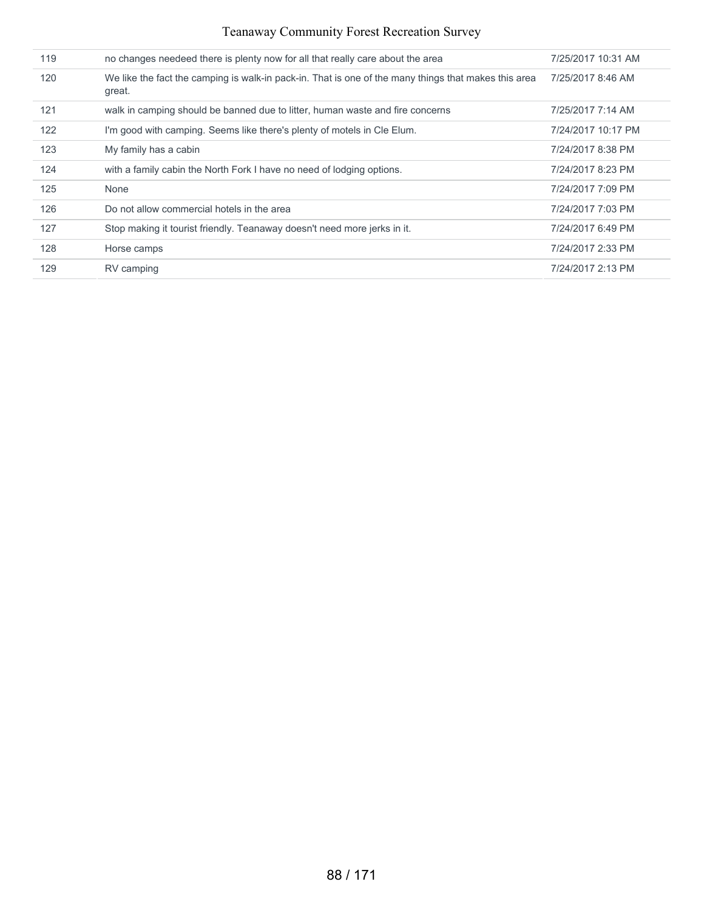| 119 | no changes needeed there is plenty now for all that really care about the area                                 | 7/25/2017 10:31 AM |
|-----|----------------------------------------------------------------------------------------------------------------|--------------------|
| 120 | We like the fact the camping is walk-in pack-in. That is one of the many things that makes this area<br>great. | 7/25/2017 8:46 AM  |
| 121 | walk in camping should be banned due to litter, human waste and fire concerns                                  | 7/25/2017 7:14 AM  |
| 122 | I'm good with camping. Seems like there's plenty of motels in Cle Elum.                                        | 7/24/2017 10:17 PM |
| 123 | My family has a cabin                                                                                          | 7/24/2017 8:38 PM  |
| 124 | with a family cabin the North Fork I have no need of lodging options.                                          | 7/24/2017 8:23 PM  |
| 125 | None                                                                                                           | 7/24/2017 7:09 PM  |
| 126 | Do not allow commercial hotels in the area                                                                     | 7/24/2017 7:03 PM  |
| 127 | Stop making it tourist friendly. Teanaway doesn't need more jerks in it.                                       | 7/24/2017 6:49 PM  |
| 128 | Horse camps                                                                                                    | 7/24/2017 2:33 PM  |
| 129 | RV camping                                                                                                     | 7/24/2017 2:13 PM  |
|     |                                                                                                                |                    |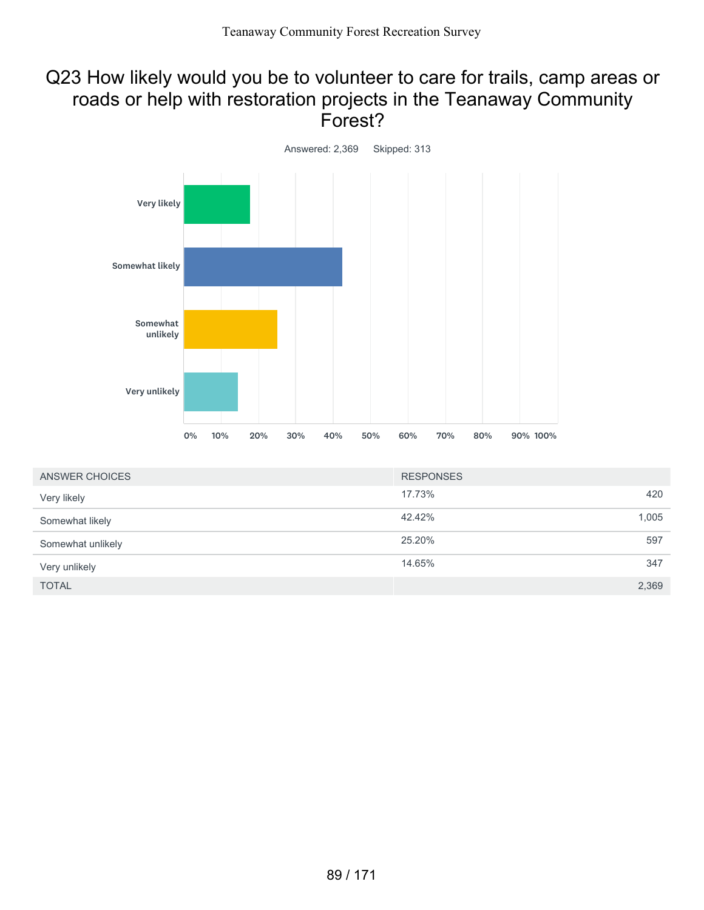## Q23 How likely would you be to volunteer to care for trails, camp areas or roads or help with restoration projects in the Teanaway Community Forest?



| ANSWER CHOICES    | <b>RESPONSES</b> |       |
|-------------------|------------------|-------|
| Very likely       | 17.73%           | 420   |
| Somewhat likely   | 42.42%           | 1,005 |
| Somewhat unlikely | 25.20%           | 597   |
| Very unlikely     | 14.65%           | 347   |
| <b>TOTAL</b>      |                  | 2,369 |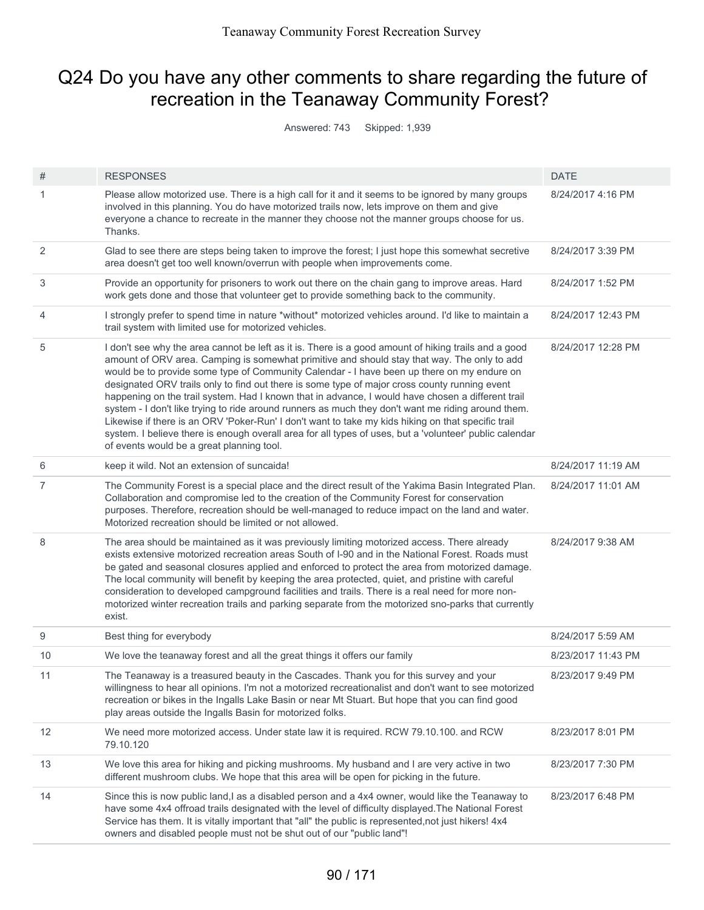# Q24 Do you have any other comments to share regarding the future of recreation in the Teanaway Community Forest?

Answered: 743 Skipped: 1,939

| #  | <b>RESPONSES</b>                                                                                                                                                                                                                                                                                                                                                                                                                                                                                                                                                                                                                                                                                                                                                                                                                                                            | <b>DATE</b>        |
|----|-----------------------------------------------------------------------------------------------------------------------------------------------------------------------------------------------------------------------------------------------------------------------------------------------------------------------------------------------------------------------------------------------------------------------------------------------------------------------------------------------------------------------------------------------------------------------------------------------------------------------------------------------------------------------------------------------------------------------------------------------------------------------------------------------------------------------------------------------------------------------------|--------------------|
| 1  | Please allow motorized use. There is a high call for it and it seems to be ignored by many groups<br>involved in this planning. You do have motorized trails now, lets improve on them and give<br>everyone a chance to recreate in the manner they choose not the manner groups choose for us.<br>Thanks.                                                                                                                                                                                                                                                                                                                                                                                                                                                                                                                                                                  | 8/24/2017 4:16 PM  |
| 2  | Glad to see there are steps being taken to improve the forest; I just hope this somewhat secretive<br>area doesn't get too well known/overrun with people when improvements come.                                                                                                                                                                                                                                                                                                                                                                                                                                                                                                                                                                                                                                                                                           | 8/24/2017 3:39 PM  |
| 3  | Provide an opportunity for prisoners to work out there on the chain gang to improve areas. Hard<br>work gets done and those that volunteer get to provide something back to the community.                                                                                                                                                                                                                                                                                                                                                                                                                                                                                                                                                                                                                                                                                  | 8/24/2017 1:52 PM  |
| 4  | I strongly prefer to spend time in nature *without* motorized vehicles around. I'd like to maintain a<br>trail system with limited use for motorized vehicles.                                                                                                                                                                                                                                                                                                                                                                                                                                                                                                                                                                                                                                                                                                              | 8/24/2017 12:43 PM |
| 5  | I don't see why the area cannot be left as it is. There is a good amount of hiking trails and a good<br>amount of ORV area. Camping is somewhat primitive and should stay that way. The only to add<br>would be to provide some type of Community Calendar - I have been up there on my endure on<br>designated ORV trails only to find out there is some type of major cross county running event<br>happening on the trail system. Had I known that in advance, I would have chosen a different trail<br>system - I don't like trying to ride around runners as much they don't want me riding around them.<br>Likewise if there is an ORV 'Poker-Run' I don't want to take my kids hiking on that specific trail<br>system. I believe there is enough overall area for all types of uses, but a 'volunteer' public calendar<br>of events would be a great planning tool. | 8/24/2017 12:28 PM |
| 6  | keep it wild. Not an extension of suncaida!                                                                                                                                                                                                                                                                                                                                                                                                                                                                                                                                                                                                                                                                                                                                                                                                                                 | 8/24/2017 11:19 AM |
| 7  | The Community Forest is a special place and the direct result of the Yakima Basin Integrated Plan.<br>Collaboration and compromise led to the creation of the Community Forest for conservation<br>purposes. Therefore, recreation should be well-managed to reduce impact on the land and water.<br>Motorized recreation should be limited or not allowed.                                                                                                                                                                                                                                                                                                                                                                                                                                                                                                                 | 8/24/2017 11:01 AM |
| 8  | The area should be maintained as it was previously limiting motorized access. There already<br>exists extensive motorized recreation areas South of I-90 and in the National Forest. Roads must<br>be gated and seasonal closures applied and enforced to protect the area from motorized damage.<br>The local community will benefit by keeping the area protected, quiet, and pristine with careful<br>consideration to developed campground facilities and trails. There is a real need for more non-<br>motorized winter recreation trails and parking separate from the motorized sno-parks that currently<br>exist.                                                                                                                                                                                                                                                   | 8/24/2017 9:38 AM  |
| 9  | Best thing for everybody                                                                                                                                                                                                                                                                                                                                                                                                                                                                                                                                                                                                                                                                                                                                                                                                                                                    | 8/24/2017 5:59 AM  |
| 10 | We love the teanaway forest and all the great things it offers our family                                                                                                                                                                                                                                                                                                                                                                                                                                                                                                                                                                                                                                                                                                                                                                                                   | 8/23/2017 11:43 PM |
| 11 | The Teanaway is a treasured beauty in the Cascades. Thank you for this survey and your<br>willingness to hear all opinions. I'm not a motorized recreationalist and don't want to see motorized<br>recreation or bikes in the Ingalls Lake Basin or near Mt Stuart. But hope that you can find good<br>play areas outside the Ingalls Basin for motorized folks.                                                                                                                                                                                                                                                                                                                                                                                                                                                                                                            | 8/23/2017 9:49 PM  |
| 12 | We need more motorized access. Under state law it is required. RCW 79.10.100. and RCW<br>79.10.120                                                                                                                                                                                                                                                                                                                                                                                                                                                                                                                                                                                                                                                                                                                                                                          | 8/23/2017 8:01 PM  |
| 13 | We love this area for hiking and picking mushrooms. My husband and I are very active in two<br>different mushroom clubs. We hope that this area will be open for picking in the future.                                                                                                                                                                                                                                                                                                                                                                                                                                                                                                                                                                                                                                                                                     | 8/23/2017 7:30 PM  |
| 14 | Since this is now public land, I as a disabled person and a 4x4 owner, would like the Teanaway to<br>have some 4x4 offroad trails designated with the level of difficulty displayed. The National Forest<br>Service has them. It is vitally important that "all" the public is represented, not just hikers! 4x4<br>owners and disabled people must not be shut out of our "public land"!                                                                                                                                                                                                                                                                                                                                                                                                                                                                                   | 8/23/2017 6:48 PM  |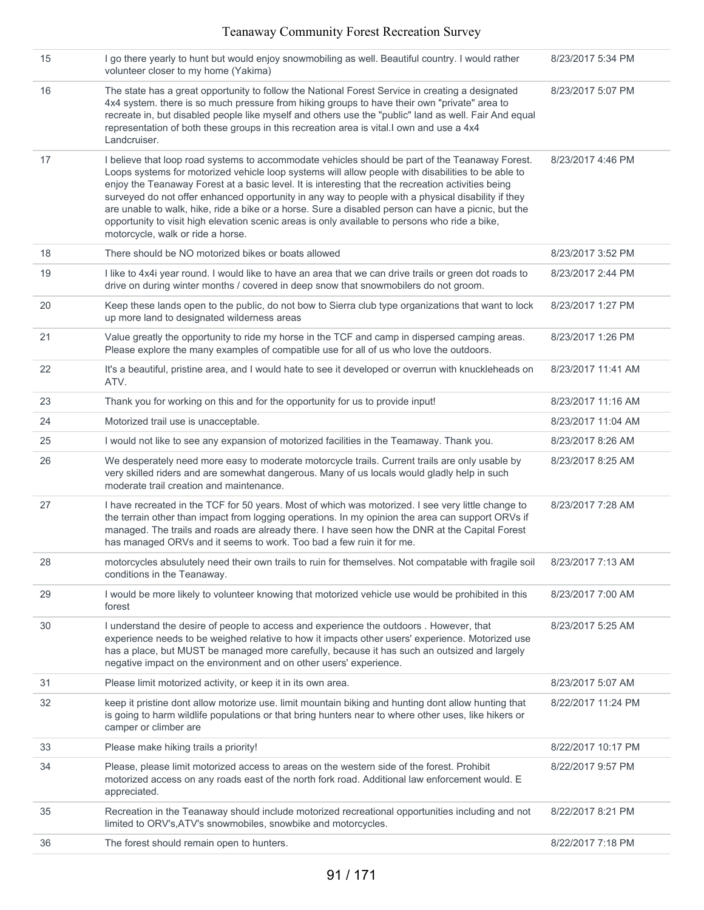| 15 | I go there yearly to hunt but would enjoy snowmobiling as well. Beautiful country. I would rather<br>volunteer closer to my home (Yakima)                                                                                                                                                                                                                                                                                                                                                                                                                                                                                                                       | 8/23/2017 5:34 PM  |
|----|-----------------------------------------------------------------------------------------------------------------------------------------------------------------------------------------------------------------------------------------------------------------------------------------------------------------------------------------------------------------------------------------------------------------------------------------------------------------------------------------------------------------------------------------------------------------------------------------------------------------------------------------------------------------|--------------------|
| 16 | The state has a great opportunity to follow the National Forest Service in creating a designated<br>4x4 system. there is so much pressure from hiking groups to have their own "private" area to<br>recreate in, but disabled people like myself and others use the "public" land as well. Fair And equal<br>representation of both these groups in this recreation area is vital. I own and use a 4x4<br>Landcruiser.                                                                                                                                                                                                                                          | 8/23/2017 5:07 PM  |
| 17 | I believe that loop road systems to accommodate vehicles should be part of the Teanaway Forest.<br>Loops systems for motorized vehicle loop systems will allow people with disabilities to be able to<br>enjoy the Teanaway Forest at a basic level. It is interesting that the recreation activities being<br>surveyed do not offer enhanced opportunity in any way to people with a physical disability if they<br>are unable to walk, hike, ride a bike or a horse. Sure a disabled person can have a picnic, but the<br>opportunity to visit high elevation scenic areas is only available to persons who ride a bike,<br>motorcycle, walk or ride a horse. | 8/23/2017 4:46 PM  |
| 18 | There should be NO motorized bikes or boats allowed                                                                                                                                                                                                                                                                                                                                                                                                                                                                                                                                                                                                             | 8/23/2017 3:52 PM  |
| 19 | I like to 4x4i year round. I would like to have an area that we can drive trails or green dot roads to<br>drive on during winter months / covered in deep snow that snowmobilers do not groom.                                                                                                                                                                                                                                                                                                                                                                                                                                                                  | 8/23/2017 2:44 PM  |
| 20 | Keep these lands open to the public, do not bow to Sierra club type organizations that want to lock<br>up more land to designated wilderness areas                                                                                                                                                                                                                                                                                                                                                                                                                                                                                                              | 8/23/2017 1:27 PM  |
| 21 | Value greatly the opportunity to ride my horse in the TCF and camp in dispersed camping areas.<br>Please explore the many examples of compatible use for all of us who love the outdoors.                                                                                                                                                                                                                                                                                                                                                                                                                                                                       | 8/23/2017 1:26 PM  |
| 22 | It's a beautiful, pristine area, and I would hate to see it developed or overrun with knuckleheads on<br>ATV.                                                                                                                                                                                                                                                                                                                                                                                                                                                                                                                                                   | 8/23/2017 11:41 AM |
| 23 | Thank you for working on this and for the opportunity for us to provide input!                                                                                                                                                                                                                                                                                                                                                                                                                                                                                                                                                                                  | 8/23/2017 11:16 AM |
| 24 | Motorized trail use is unacceptable.                                                                                                                                                                                                                                                                                                                                                                                                                                                                                                                                                                                                                            | 8/23/2017 11:04 AM |
| 25 | I would not like to see any expansion of motorized facilities in the Teamaway. Thank you.                                                                                                                                                                                                                                                                                                                                                                                                                                                                                                                                                                       | 8/23/2017 8:26 AM  |
| 26 | We desperately need more easy to moderate motorcycle trails. Current trails are only usable by<br>very skilled riders and are somewhat dangerous. Many of us locals would gladly help in such<br>moderate trail creation and maintenance.                                                                                                                                                                                                                                                                                                                                                                                                                       | 8/23/2017 8:25 AM  |
| 27 | I have recreated in the TCF for 50 years. Most of which was motorized. I see very little change to<br>the terrain other than impact from logging operations. In my opinion the area can support ORVs if<br>managed. The trails and roads are already there. I have seen how the DNR at the Capital Forest<br>has managed ORVs and it seems to work. Too bad a few ruin it for me.                                                                                                                                                                                                                                                                               | 8/23/2017 7:28 AM  |
| 28 | motorcycles absulutely need their own trails to ruin for themselves. Not compatable with fragile soil<br>conditions in the Teanaway.                                                                                                                                                                                                                                                                                                                                                                                                                                                                                                                            | 8/23/2017 7:13 AM  |
| 29 | I would be more likely to volunteer knowing that motorized vehicle use would be prohibited in this<br>forest                                                                                                                                                                                                                                                                                                                                                                                                                                                                                                                                                    | 8/23/2017 7:00 AM  |
| 30 | I understand the desire of people to access and experience the outdoors . However, that<br>experience needs to be weighed relative to how it impacts other users' experience. Motorized use<br>has a place, but MUST be managed more carefully, because it has such an outsized and largely<br>negative impact on the environment and on other users' experience.                                                                                                                                                                                                                                                                                               | 8/23/2017 5:25 AM  |
| 31 | Please limit motorized activity, or keep it in its own area.                                                                                                                                                                                                                                                                                                                                                                                                                                                                                                                                                                                                    | 8/23/2017 5:07 AM  |
| 32 | keep it pristine dont allow motorize use. Iimit mountain biking and hunting dont allow hunting that<br>is going to harm wildlife populations or that bring hunters near to where other uses, like hikers or<br>camper or climber are                                                                                                                                                                                                                                                                                                                                                                                                                            | 8/22/2017 11:24 PM |
| 33 | Please make hiking trails a priority!                                                                                                                                                                                                                                                                                                                                                                                                                                                                                                                                                                                                                           | 8/22/2017 10:17 PM |
| 34 | Please, please limit motorized access to areas on the western side of the forest. Prohibit<br>motorized access on any roads east of the north fork road. Additional law enforcement would. E<br>appreciated.                                                                                                                                                                                                                                                                                                                                                                                                                                                    | 8/22/2017 9:57 PM  |
| 35 | Recreation in the Teanaway should include motorized recreational opportunities including and not<br>limited to ORV's, ATV's snowmobiles, snowbike and motorcycles.                                                                                                                                                                                                                                                                                                                                                                                                                                                                                              | 8/22/2017 8:21 PM  |
| 36 | The forest should remain open to hunters.                                                                                                                                                                                                                                                                                                                                                                                                                                                                                                                                                                                                                       | 8/22/2017 7:18 PM  |
|    |                                                                                                                                                                                                                                                                                                                                                                                                                                                                                                                                                                                                                                                                 |                    |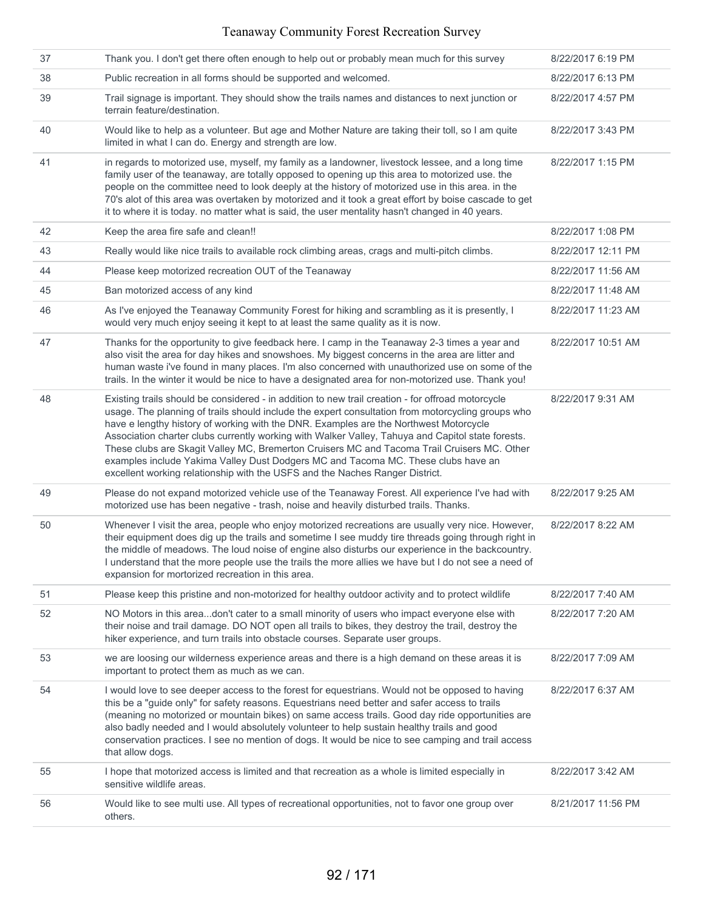| 37 | Thank you. I don't get there often enough to help out or probably mean much for this survey                                                                                                                                                                                                                                                                                                                                                                                                                                                                                                                                                                              | 8/22/2017 6:19 PM  |
|----|--------------------------------------------------------------------------------------------------------------------------------------------------------------------------------------------------------------------------------------------------------------------------------------------------------------------------------------------------------------------------------------------------------------------------------------------------------------------------------------------------------------------------------------------------------------------------------------------------------------------------------------------------------------------------|--------------------|
| 38 | Public recreation in all forms should be supported and welcomed.                                                                                                                                                                                                                                                                                                                                                                                                                                                                                                                                                                                                         | 8/22/2017 6:13 PM  |
| 39 | Trail signage is important. They should show the trails names and distances to next junction or<br>terrain feature/destination.                                                                                                                                                                                                                                                                                                                                                                                                                                                                                                                                          | 8/22/2017 4:57 PM  |
| 40 | Would like to help as a volunteer. But age and Mother Nature are taking their toll, so I am quite<br>limited in what I can do. Energy and strength are low.                                                                                                                                                                                                                                                                                                                                                                                                                                                                                                              | 8/22/2017 3:43 PM  |
| 41 | in regards to motorized use, myself, my family as a landowner, livestock lessee, and a long time<br>family user of the teanaway, are totally opposed to opening up this area to motorized use. the<br>people on the committee need to look deeply at the history of motorized use in this area. in the<br>70's alot of this area was overtaken by motorized and it took a great effort by boise cascade to get<br>it to where it is today. no matter what is said, the user mentality hasn't changed in 40 years.                                                                                                                                                        | 8/22/2017 1:15 PM  |
| 42 | Keep the area fire safe and clean!!                                                                                                                                                                                                                                                                                                                                                                                                                                                                                                                                                                                                                                      | 8/22/2017 1:08 PM  |
| 43 | Really would like nice trails to available rock climbing areas, crags and multi-pitch climbs.                                                                                                                                                                                                                                                                                                                                                                                                                                                                                                                                                                            | 8/22/2017 12:11 PM |
| 44 | Please keep motorized recreation OUT of the Teanaway                                                                                                                                                                                                                                                                                                                                                                                                                                                                                                                                                                                                                     | 8/22/2017 11:56 AM |
| 45 | Ban motorized access of any kind                                                                                                                                                                                                                                                                                                                                                                                                                                                                                                                                                                                                                                         | 8/22/2017 11:48 AM |
| 46 | As I've enjoyed the Teanaway Community Forest for hiking and scrambling as it is presently, I<br>would very much enjoy seeing it kept to at least the same quality as it is now.                                                                                                                                                                                                                                                                                                                                                                                                                                                                                         | 8/22/2017 11:23 AM |
| 47 | Thanks for the opportunity to give feedback here. I camp in the Teanaway 2-3 times a year and<br>also visit the area for day hikes and snowshoes. My biggest concerns in the area are litter and<br>human waste i've found in many places. I'm also concerned with unauthorized use on some of the<br>trails. In the winter it would be nice to have a designated area for non-motorized use. Thank you!                                                                                                                                                                                                                                                                 | 8/22/2017 10:51 AM |
| 48 | Existing trails should be considered - in addition to new trail creation - for offroad motorcycle<br>usage. The planning of trails should include the expert consultation from motorcycling groups who<br>have e lengthy history of working with the DNR. Examples are the Northwest Motorcycle<br>Association charter clubs currently working with Walker Valley, Tahuya and Capitol state forests.<br>These clubs are Skagit Valley MC, Bremerton Cruisers MC and Tacoma Trail Cruisers MC. Other<br>examples include Yakima Valley Dust Dodgers MC and Tacoma MC. These clubs have an<br>excellent working relationship with the USFS and the Naches Ranger District. | 8/22/2017 9:31 AM  |
| 49 | Please do not expand motorized vehicle use of the Teanaway Forest. All experience I've had with<br>motorized use has been negative - trash, noise and heavily disturbed trails. Thanks.                                                                                                                                                                                                                                                                                                                                                                                                                                                                                  | 8/22/2017 9:25 AM  |
| 50 | Whenever I visit the area, people who enjoy motorized recreations are usually very nice. However,<br>their equipment does dig up the trails and sometime I see muddy tire threads going through right in<br>the middle of meadows. The loud noise of engine also disturbs our experience in the backcountry.<br>I understand that the more people use the trails the more allies we have but I do not see a need of<br>expansion for mortorized recreation in this area.                                                                                                                                                                                                 | 8/22/2017 8:22 AM  |
| 51 | Please keep this pristine and non-motorized for healthy outdoor activity and to protect wildlife                                                                                                                                                                                                                                                                                                                                                                                                                                                                                                                                                                         | 8/22/2017 7:40 AM  |
| 52 | NO Motors in this areadon't cater to a small minority of users who impact everyone else with<br>their noise and trail damage. DO NOT open all trails to bikes, they destroy the trail, destroy the<br>hiker experience, and turn trails into obstacle courses. Separate user groups.                                                                                                                                                                                                                                                                                                                                                                                     | 8/22/2017 7:20 AM  |
| 53 | we are loosing our wilderness experience areas and there is a high demand on these areas it is<br>important to protect them as much as we can.                                                                                                                                                                                                                                                                                                                                                                                                                                                                                                                           | 8/22/2017 7:09 AM  |
| 54 | I would love to see deeper access to the forest for equestrians. Would not be opposed to having<br>this be a "guide only" for safety reasons. Equestrians need better and safer access to trails<br>(meaning no motorized or mountain bikes) on same access trails. Good day ride opportunities are<br>also badly needed and I would absolutely volunteer to help sustain healthy trails and good<br>conservation practices. I see no mention of dogs. It would be nice to see camping and trail access<br>that allow dogs.                                                                                                                                              | 8/22/2017 6:37 AM  |
| 55 | I hope that motorized access is limited and that recreation as a whole is limited especially in<br>sensitive wildlife areas.                                                                                                                                                                                                                                                                                                                                                                                                                                                                                                                                             | 8/22/2017 3:42 AM  |
| 56 | Would like to see multi use. All types of recreational opportunities, not to favor one group over<br>others.                                                                                                                                                                                                                                                                                                                                                                                                                                                                                                                                                             | 8/21/2017 11:56 PM |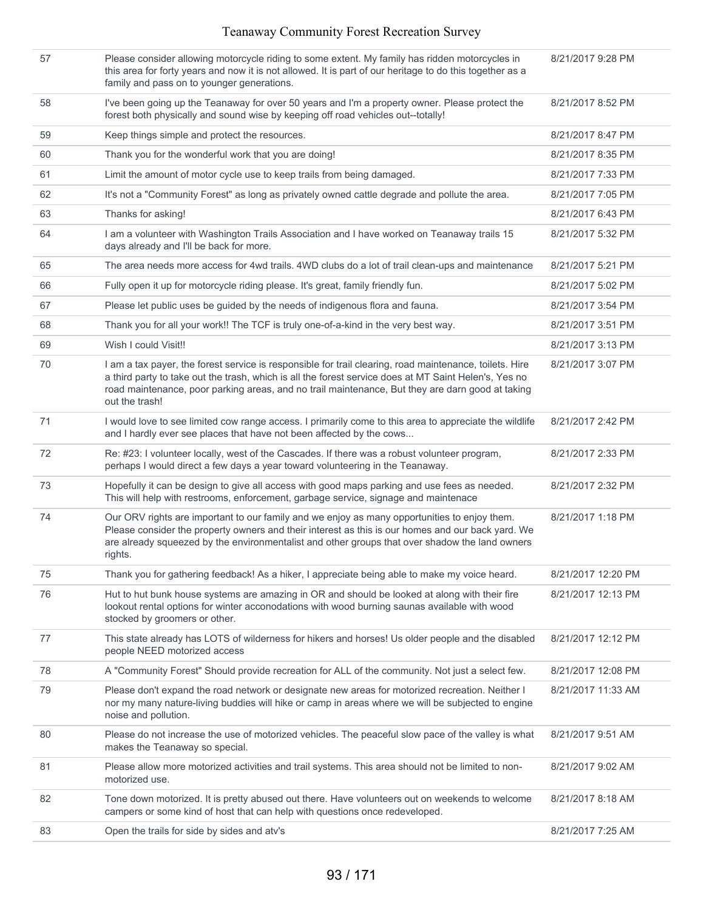| 57 | Please consider allowing motorcycle riding to some extent. My family has ridden motorcycles in<br>this area for forty years and now it is not allowed. It is part of our heritage to do this together as a<br>family and pass on to younger generations.                                                                               | 8/21/2017 9:28 PM  |
|----|----------------------------------------------------------------------------------------------------------------------------------------------------------------------------------------------------------------------------------------------------------------------------------------------------------------------------------------|--------------------|
| 58 | I've been going up the Teanaway for over 50 years and I'm a property owner. Please protect the<br>forest both physically and sound wise by keeping off road vehicles out--totally!                                                                                                                                                     | 8/21/2017 8:52 PM  |
| 59 | Keep things simple and protect the resources.                                                                                                                                                                                                                                                                                          | 8/21/2017 8:47 PM  |
| 60 | Thank you for the wonderful work that you are doing!                                                                                                                                                                                                                                                                                   | 8/21/2017 8:35 PM  |
| 61 | Limit the amount of motor cycle use to keep trails from being damaged.                                                                                                                                                                                                                                                                 | 8/21/2017 7:33 PM  |
| 62 | It's not a "Community Forest" as long as privately owned cattle degrade and pollute the area.                                                                                                                                                                                                                                          | 8/21/2017 7:05 PM  |
| 63 | Thanks for asking!                                                                                                                                                                                                                                                                                                                     | 8/21/2017 6:43 PM  |
| 64 | I am a volunteer with Washington Trails Association and I have worked on Teanaway trails 15<br>days already and I'll be back for more.                                                                                                                                                                                                 | 8/21/2017 5:32 PM  |
| 65 | The area needs more access for 4wd trails. 4WD clubs do a lot of trail clean-ups and maintenance                                                                                                                                                                                                                                       | 8/21/2017 5:21 PM  |
| 66 | Fully open it up for motorcycle riding please. It's great, family friendly fun.                                                                                                                                                                                                                                                        | 8/21/2017 5:02 PM  |
| 67 | Please let public uses be guided by the needs of indigenous flora and fauna.                                                                                                                                                                                                                                                           | 8/21/2017 3:54 PM  |
| 68 | Thank you for all your work!! The TCF is truly one-of-a-kind in the very best way.                                                                                                                                                                                                                                                     | 8/21/2017 3:51 PM  |
| 69 | Wish I could Visit!!                                                                                                                                                                                                                                                                                                                   | 8/21/2017 3:13 PM  |
| 70 | I am a tax payer, the forest service is responsible for trail clearing, road maintenance, toilets. Hire<br>a third party to take out the trash, which is all the forest service does at MT Saint Helen's, Yes no<br>road maintenance, poor parking areas, and no trail maintenance, But they are darn good at taking<br>out the trash! | 8/21/2017 3:07 PM  |
| 71 | I would love to see limited cow range access. I primarily come to this area to appreciate the wildlife<br>and I hardly ever see places that have not been affected by the cows                                                                                                                                                         | 8/21/2017 2:42 PM  |
| 72 | Re: #23: I volunteer locally, west of the Cascades. If there was a robust volunteer program,<br>perhaps I would direct a few days a year toward volunteering in the Teanaway.                                                                                                                                                          | 8/21/2017 2:33 PM  |
| 73 | Hopefully it can be design to give all access with good maps parking and use fees as needed.<br>This will help with restrooms, enforcement, garbage service, signage and maintenace                                                                                                                                                    | 8/21/2017 2:32 PM  |
| 74 | Our ORV rights are important to our family and we enjoy as many opportunities to enjoy them.<br>Please consider the property owners and their interest as this is our homes and our back yard. We<br>are already squeezed by the environmentalist and other groups that over shadow the land owners<br>rights.                         | 8/21/2017 1:18 PM  |
| 75 | Thank you for gathering feedback! As a hiker, I appreciate being able to make my voice heard.                                                                                                                                                                                                                                          | 8/21/2017 12:20 PM |
| 76 | Hut to hut bunk house systems are amazing in OR and should be looked at along with their fire<br>lookout rental options for winter acconodations with wood burning saunas available with wood<br>stocked by groomers or other.                                                                                                         | 8/21/2017 12:13 PM |
| 77 | This state already has LOTS of wilderness for hikers and horses! Us older people and the disabled<br>people NEED motorized access                                                                                                                                                                                                      | 8/21/2017 12:12 PM |
| 78 | A "Community Forest" Should provide recreation for ALL of the community. Not just a select few.                                                                                                                                                                                                                                        | 8/21/2017 12:08 PM |
| 79 | Please don't expand the road network or designate new areas for motorized recreation. Neither I<br>nor my many nature-living buddies will hike or camp in areas where we will be subjected to engine<br>noise and pollution.                                                                                                           | 8/21/2017 11:33 AM |
| 80 | Please do not increase the use of motorized vehicles. The peaceful slow pace of the valley is what<br>makes the Teanaway so special.                                                                                                                                                                                                   | 8/21/2017 9:51 AM  |
| 81 | Please allow more motorized activities and trail systems. This area should not be limited to non-<br>motorized use.                                                                                                                                                                                                                    | 8/21/2017 9:02 AM  |
|    |                                                                                                                                                                                                                                                                                                                                        |                    |
| 82 | Tone down motorized. It is pretty abused out there. Have volunteers out on weekends to welcome<br>campers or some kind of host that can help with questions once redeveloped.                                                                                                                                                          | 8/21/2017 8:18 AM  |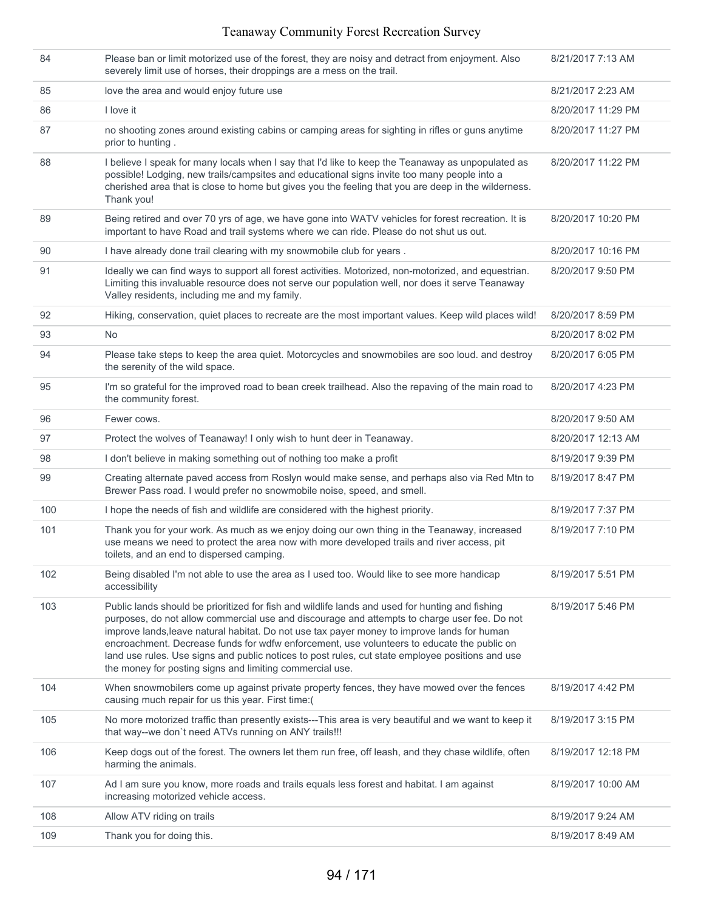| 84  | Please ban or limit motorized use of the forest, they are noisy and detract from enjoyment. Also<br>severely limit use of horses, their droppings are a mess on the trail.                                                                                                                                                                                                                                                                                                                                                                                   | 8/21/2017 7:13 AM  |
|-----|--------------------------------------------------------------------------------------------------------------------------------------------------------------------------------------------------------------------------------------------------------------------------------------------------------------------------------------------------------------------------------------------------------------------------------------------------------------------------------------------------------------------------------------------------------------|--------------------|
| 85  | love the area and would enjoy future use                                                                                                                                                                                                                                                                                                                                                                                                                                                                                                                     | 8/21/2017 2:23 AM  |
| 86  | I love it                                                                                                                                                                                                                                                                                                                                                                                                                                                                                                                                                    | 8/20/2017 11:29 PM |
| 87  | no shooting zones around existing cabins or camping areas for sighting in rifles or guns anytime<br>prior to hunting.                                                                                                                                                                                                                                                                                                                                                                                                                                        | 8/20/2017 11:27 PM |
| 88  | I believe I speak for many locals when I say that I'd like to keep the Teanaway as unpopulated as<br>possible! Lodging, new trails/campsites and educational signs invite too many people into a<br>cherished area that is close to home but gives you the feeling that you are deep in the wilderness.<br>Thank you!                                                                                                                                                                                                                                        | 8/20/2017 11:22 PM |
| 89  | Being retired and over 70 yrs of age, we have gone into WATV vehicles for forest recreation. It is<br>important to have Road and trail systems where we can ride. Please do not shut us out.                                                                                                                                                                                                                                                                                                                                                                 | 8/20/2017 10:20 PM |
| 90  | I have already done trail clearing with my snowmobile club for years.                                                                                                                                                                                                                                                                                                                                                                                                                                                                                        | 8/20/2017 10:16 PM |
| 91  | Ideally we can find ways to support all forest activities. Motorized, non-motorized, and equestrian.<br>Limiting this invaluable resource does not serve our population well, nor does it serve Teanaway<br>Valley residents, including me and my family.                                                                                                                                                                                                                                                                                                    | 8/20/2017 9:50 PM  |
| 92  | Hiking, conservation, quiet places to recreate are the most important values. Keep wild places wild!                                                                                                                                                                                                                                                                                                                                                                                                                                                         | 8/20/2017 8:59 PM  |
| 93  | No.                                                                                                                                                                                                                                                                                                                                                                                                                                                                                                                                                          | 8/20/2017 8:02 PM  |
| 94  | Please take steps to keep the area quiet. Motorcycles and snowmobiles are soo loud. and destroy<br>the serenity of the wild space.                                                                                                                                                                                                                                                                                                                                                                                                                           | 8/20/2017 6:05 PM  |
| 95  | I'm so grateful for the improved road to bean creek trailhead. Also the repaving of the main road to<br>the community forest.                                                                                                                                                                                                                                                                                                                                                                                                                                | 8/20/2017 4:23 PM  |
| 96  | Fewer cows.                                                                                                                                                                                                                                                                                                                                                                                                                                                                                                                                                  | 8/20/2017 9:50 AM  |
| 97  | Protect the wolves of Teanaway! I only wish to hunt deer in Teanaway.                                                                                                                                                                                                                                                                                                                                                                                                                                                                                        | 8/20/2017 12:13 AM |
| 98  | I don't believe in making something out of nothing too make a profit                                                                                                                                                                                                                                                                                                                                                                                                                                                                                         | 8/19/2017 9:39 PM  |
| 99  | Creating alternate paved access from Roslyn would make sense, and perhaps also via Red Mtn to<br>Brewer Pass road. I would prefer no snowmobile noise, speed, and smell.                                                                                                                                                                                                                                                                                                                                                                                     | 8/19/2017 8:47 PM  |
| 100 | I hope the needs of fish and wildlife are considered with the highest priority.                                                                                                                                                                                                                                                                                                                                                                                                                                                                              | 8/19/2017 7:37 PM  |
| 101 | Thank you for your work. As much as we enjoy doing our own thing in the Teanaway, increased<br>use means we need to protect the area now with more developed trails and river access, pit<br>toilets, and an end to dispersed camping.                                                                                                                                                                                                                                                                                                                       | 8/19/2017 7:10 PM  |
| 102 | Being disabled I'm not able to use the area as I used too. Would like to see more handicap<br>accessibility                                                                                                                                                                                                                                                                                                                                                                                                                                                  | 8/19/2017 5:51 PM  |
| 103 | Public lands should be prioritized for fish and wildlife lands and used for hunting and fishing<br>purposes, do not allow commercial use and discourage and attempts to charge user fee. Do not<br>improve lands, leave natural habitat. Do not use tax payer money to improve lands for human<br>encroachment. Decrease funds for wdfw enforcement, use volunteers to educate the public on<br>land use rules. Use signs and public notices to post rules, cut state employee positions and use<br>the money for posting signs and limiting commercial use. | 8/19/2017 5:46 PM  |
| 104 | When snowmobilers come up against private property fences, they have mowed over the fences<br>causing much repair for us this year. First time:(                                                                                                                                                                                                                                                                                                                                                                                                             | 8/19/2017 4:42 PM  |
| 105 | No more motorized traffic than presently exists---This area is very beautiful and we want to keep it<br>that way--we don't need ATVs running on ANY trails!!!                                                                                                                                                                                                                                                                                                                                                                                                | 8/19/2017 3:15 PM  |
| 106 | Keep dogs out of the forest. The owners let them run free, off leash, and they chase wildlife, often<br>harming the animals.                                                                                                                                                                                                                                                                                                                                                                                                                                 | 8/19/2017 12:18 PM |
| 107 | Ad I am sure you know, more roads and trails equals less forest and habitat. I am against<br>increasing motorized vehicle access.                                                                                                                                                                                                                                                                                                                                                                                                                            | 8/19/2017 10:00 AM |
| 108 | Allow ATV riding on trails                                                                                                                                                                                                                                                                                                                                                                                                                                                                                                                                   | 8/19/2017 9:24 AM  |
| 109 | Thank you for doing this.                                                                                                                                                                                                                                                                                                                                                                                                                                                                                                                                    | 8/19/2017 8:49 AM  |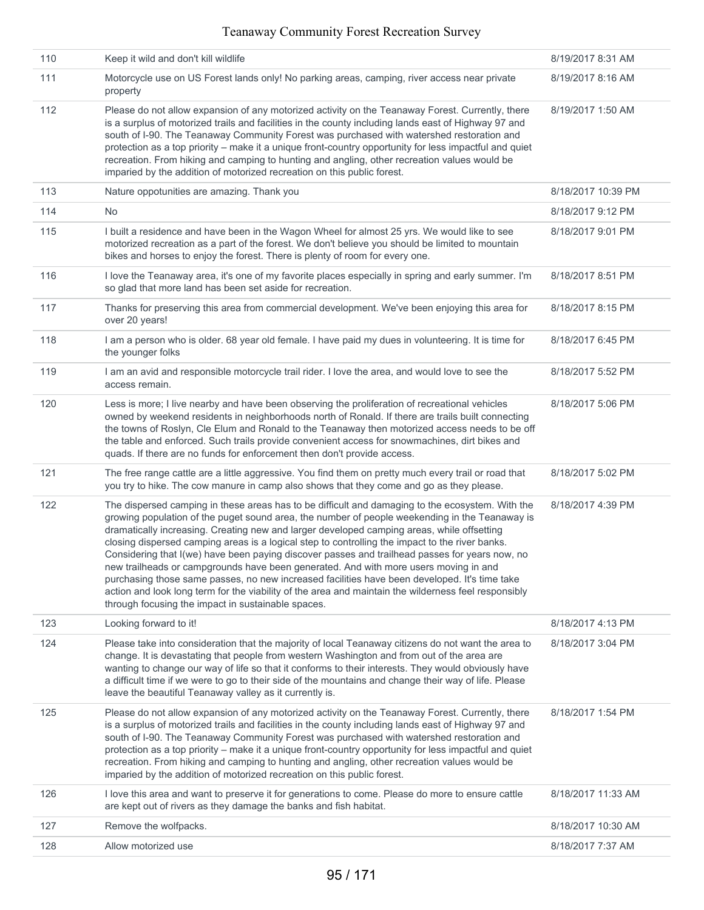| 110 | Keep it wild and don't kill wildlife                                                                                                                                                                                                                                                                                                                                                                                                                                                                                                                                                                                                                                                                                                                                                                                                                         | 8/19/2017 8:31 AM  |
|-----|--------------------------------------------------------------------------------------------------------------------------------------------------------------------------------------------------------------------------------------------------------------------------------------------------------------------------------------------------------------------------------------------------------------------------------------------------------------------------------------------------------------------------------------------------------------------------------------------------------------------------------------------------------------------------------------------------------------------------------------------------------------------------------------------------------------------------------------------------------------|--------------------|
| 111 | Motorcycle use on US Forest lands only! No parking areas, camping, river access near private<br>property                                                                                                                                                                                                                                                                                                                                                                                                                                                                                                                                                                                                                                                                                                                                                     | 8/19/2017 8:16 AM  |
| 112 | Please do not allow expansion of any motorized activity on the Teanaway Forest. Currently, there<br>is a surplus of motorized trails and facilities in the county including lands east of Highway 97 and<br>south of I-90. The Teanaway Community Forest was purchased with watershed restoration and<br>protection as a top priority - make it a unique front-country opportunity for less impactful and quiet<br>recreation. From hiking and camping to hunting and angling, other recreation values would be<br>imparied by the addition of motorized recreation on this public forest.                                                                                                                                                                                                                                                                   | 8/19/2017 1:50 AM  |
| 113 | Nature oppotunities are amazing. Thank you                                                                                                                                                                                                                                                                                                                                                                                                                                                                                                                                                                                                                                                                                                                                                                                                                   | 8/18/2017 10:39 PM |
| 114 | No.                                                                                                                                                                                                                                                                                                                                                                                                                                                                                                                                                                                                                                                                                                                                                                                                                                                          | 8/18/2017 9:12 PM  |
| 115 | I built a residence and have been in the Wagon Wheel for almost 25 yrs. We would like to see<br>motorized recreation as a part of the forest. We don't believe you should be limited to mountain<br>bikes and horses to enjoy the forest. There is plenty of room for every one.                                                                                                                                                                                                                                                                                                                                                                                                                                                                                                                                                                             | 8/18/2017 9:01 PM  |
| 116 | I love the Teanaway area, it's one of my favorite places especially in spring and early summer. I'm<br>so glad that more land has been set aside for recreation.                                                                                                                                                                                                                                                                                                                                                                                                                                                                                                                                                                                                                                                                                             | 8/18/2017 8:51 PM  |
| 117 | Thanks for preserving this area from commercial development. We've been enjoying this area for<br>over 20 years!                                                                                                                                                                                                                                                                                                                                                                                                                                                                                                                                                                                                                                                                                                                                             | 8/18/2017 8:15 PM  |
| 118 | I am a person who is older. 68 year old female. I have paid my dues in volunteering. It is time for<br>the younger folks                                                                                                                                                                                                                                                                                                                                                                                                                                                                                                                                                                                                                                                                                                                                     | 8/18/2017 6:45 PM  |
| 119 | I am an avid and responsible motorcycle trail rider. I love the area, and would love to see the<br>access remain.                                                                                                                                                                                                                                                                                                                                                                                                                                                                                                                                                                                                                                                                                                                                            | 8/18/2017 5:52 PM  |
| 120 | Less is more; I live nearby and have been observing the proliferation of recreational vehicles<br>owned by weekend residents in neighborhoods north of Ronald. If there are trails built connecting<br>the towns of Roslyn, Cle Elum and Ronald to the Teanaway then motorized access needs to be off<br>the table and enforced. Such trails provide convenient access for snowmachines, dirt bikes and<br>quads. If there are no funds for enforcement then don't provide access.                                                                                                                                                                                                                                                                                                                                                                           | 8/18/2017 5:06 PM  |
| 121 | The free range cattle are a little aggressive. You find them on pretty much every trail or road that<br>you try to hike. The cow manure in camp also shows that they come and go as they please.                                                                                                                                                                                                                                                                                                                                                                                                                                                                                                                                                                                                                                                             | 8/18/2017 5:02 PM  |
| 122 | The dispersed camping in these areas has to be difficult and damaging to the ecosystem. With the<br>growing population of the puget sound area, the number of people weekending in the Teanaway is<br>dramatically increasing. Creating new and larger developed camping areas, while offsetting<br>closing dispersed camping areas is a logical step to controlling the impact to the river banks.<br>Considering that I(we) have been paying discover passes and trailhead passes for years now, no<br>new trailheads or campgrounds have been generated. And with more users moving in and<br>purchasing those same passes, no new increased facilities have been developed. It's time take<br>action and look long term for the viability of the area and maintain the wilderness feel responsibly<br>through focusing the impact in sustainable spaces. | 8/18/2017 4:39 PM  |
| 123 | Looking forward to it!                                                                                                                                                                                                                                                                                                                                                                                                                                                                                                                                                                                                                                                                                                                                                                                                                                       | 8/18/2017 4:13 PM  |
| 124 | Please take into consideration that the majority of local Teanaway citizens do not want the area to<br>change. It is devastating that people from western Washington and from out of the area are<br>wanting to change our way of life so that it conforms to their interests. They would obviously have<br>a difficult time if we were to go to their side of the mountains and change their way of life. Please<br>leave the beautiful Teanaway valley as it currently is.                                                                                                                                                                                                                                                                                                                                                                                 | 8/18/2017 3:04 PM  |
| 125 | Please do not allow expansion of any motorized activity on the Teanaway Forest. Currently, there<br>is a surplus of motorized trails and facilities in the county including lands east of Highway 97 and<br>south of I-90. The Teanaway Community Forest was purchased with watershed restoration and<br>protection as a top priority - make it a unique front-country opportunity for less impactful and quiet<br>recreation. From hiking and camping to hunting and angling, other recreation values would be<br>imparied by the addition of motorized recreation on this public forest.                                                                                                                                                                                                                                                                   | 8/18/2017 1:54 PM  |
| 126 | I love this area and want to preserve it for generations to come. Please do more to ensure cattle<br>are kept out of rivers as they damage the banks and fish habitat.                                                                                                                                                                                                                                                                                                                                                                                                                                                                                                                                                                                                                                                                                       | 8/18/2017 11:33 AM |
| 127 | Remove the wolfpacks.                                                                                                                                                                                                                                                                                                                                                                                                                                                                                                                                                                                                                                                                                                                                                                                                                                        | 8/18/2017 10:30 AM |
| 128 | Allow motorized use                                                                                                                                                                                                                                                                                                                                                                                                                                                                                                                                                                                                                                                                                                                                                                                                                                          | 8/18/2017 7:37 AM  |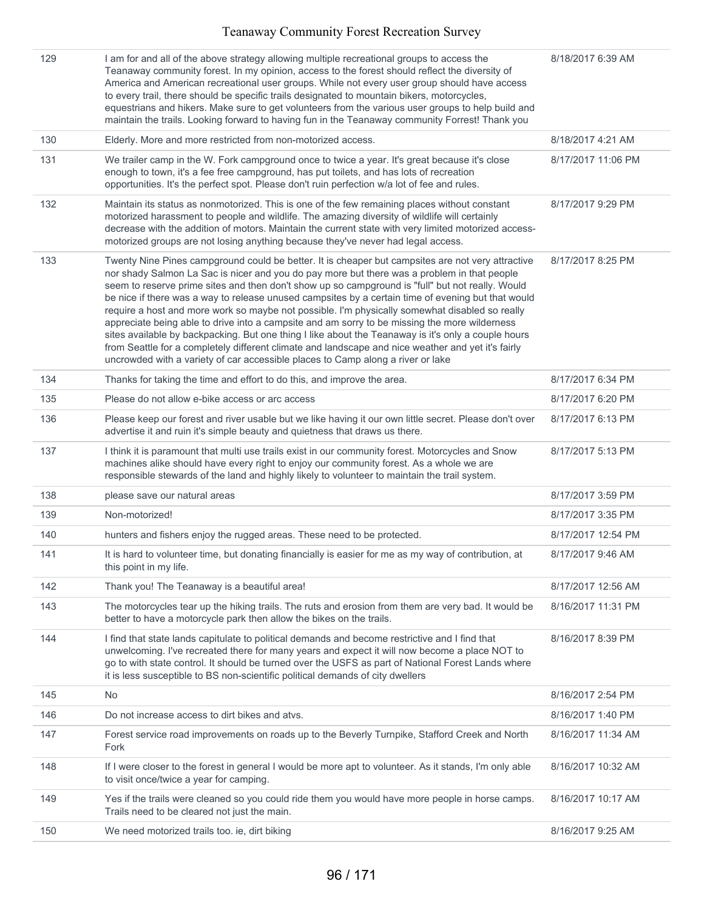| 129 | I am for and all of the above strategy allowing multiple recreational groups to access the<br>Teanaway community forest. In my opinion, access to the forest should reflect the diversity of<br>America and American recreational user groups. While not every user group should have access<br>to every trail, there should be specific trails designated to mountain bikers, motorcycles,<br>equestrians and hikers. Make sure to get volunteers from the various user groups to help build and<br>maintain the trails. Looking forward to having fun in the Teanaway community Forrest! Thank you                                                                                                                                                                                                                                                                                                          | 8/18/2017 6:39 AM  |
|-----|---------------------------------------------------------------------------------------------------------------------------------------------------------------------------------------------------------------------------------------------------------------------------------------------------------------------------------------------------------------------------------------------------------------------------------------------------------------------------------------------------------------------------------------------------------------------------------------------------------------------------------------------------------------------------------------------------------------------------------------------------------------------------------------------------------------------------------------------------------------------------------------------------------------|--------------------|
| 130 | Elderly. More and more restricted from non-motorized access.                                                                                                                                                                                                                                                                                                                                                                                                                                                                                                                                                                                                                                                                                                                                                                                                                                                  | 8/18/2017 4:21 AM  |
| 131 | We trailer camp in the W. Fork campground once to twice a year. It's great because it's close<br>enough to town, it's a fee free campground, has put toilets, and has lots of recreation<br>opportunities. It's the perfect spot. Please don't ruin perfection w/a lot of fee and rules.                                                                                                                                                                                                                                                                                                                                                                                                                                                                                                                                                                                                                      | 8/17/2017 11:06 PM |
| 132 | Maintain its status as nonmotorized. This is one of the few remaining places without constant<br>motorized harassment to people and wildlife. The amazing diversity of wildlife will certainly<br>decrease with the addition of motors. Maintain the current state with very limited motorized access-<br>motorized groups are not losing anything because they've never had legal access.                                                                                                                                                                                                                                                                                                                                                                                                                                                                                                                    | 8/17/2017 9:29 PM  |
| 133 | Twenty Nine Pines campground could be better. It is cheaper but campsites are not very attractive<br>nor shady Salmon La Sac is nicer and you do pay more but there was a problem in that people<br>seem to reserve prime sites and then don't show up so campground is "full" but not really. Would<br>be nice if there was a way to release unused campsites by a certain time of evening but that would<br>require a host and more work so maybe not possible. I'm physically somewhat disabled so really<br>appreciate being able to drive into a campsite and am sorry to be missing the more wilderness<br>sites available by backpacking. But one thing I like about the Teanaway is it's only a couple hours<br>from Seattle for a completely different climate and landscape and nice weather and yet it's fairly<br>uncrowded with a variety of car accessible places to Camp along a river or lake | 8/17/2017 8:25 PM  |
| 134 | Thanks for taking the time and effort to do this, and improve the area.                                                                                                                                                                                                                                                                                                                                                                                                                                                                                                                                                                                                                                                                                                                                                                                                                                       | 8/17/2017 6:34 PM  |
| 135 | Please do not allow e-bike access or arc access                                                                                                                                                                                                                                                                                                                                                                                                                                                                                                                                                                                                                                                                                                                                                                                                                                                               | 8/17/2017 6:20 PM  |
| 136 | Please keep our forest and river usable but we like having it our own little secret. Please don't over<br>advertise it and ruin it's simple beauty and quietness that draws us there.                                                                                                                                                                                                                                                                                                                                                                                                                                                                                                                                                                                                                                                                                                                         | 8/17/2017 6:13 PM  |
| 137 | I think it is paramount that multi use trails exist in our community forest. Motorcycles and Snow<br>machines alike should have every right to enjoy our community forest. As a whole we are<br>responsible stewards of the land and highly likely to volunteer to maintain the trail system.                                                                                                                                                                                                                                                                                                                                                                                                                                                                                                                                                                                                                 | 8/17/2017 5:13 PM  |
| 138 | please save our natural areas                                                                                                                                                                                                                                                                                                                                                                                                                                                                                                                                                                                                                                                                                                                                                                                                                                                                                 | 8/17/2017 3:59 PM  |
| 139 | Non-motorized!                                                                                                                                                                                                                                                                                                                                                                                                                                                                                                                                                                                                                                                                                                                                                                                                                                                                                                | 8/17/2017 3:35 PM  |
| 140 | hunters and fishers enjoy the rugged areas. These need to be protected.                                                                                                                                                                                                                                                                                                                                                                                                                                                                                                                                                                                                                                                                                                                                                                                                                                       | 8/17/2017 12:54 PM |
| 141 | It is hard to volunteer time, but donating financially is easier for me as my way of contribution, at<br>this point in my life.                                                                                                                                                                                                                                                                                                                                                                                                                                                                                                                                                                                                                                                                                                                                                                               | 8/17/2017 9:46 AM  |
| 142 | Thank you! The Teanaway is a beautiful area!                                                                                                                                                                                                                                                                                                                                                                                                                                                                                                                                                                                                                                                                                                                                                                                                                                                                  | 8/17/2017 12:56 AM |
| 143 | The motorcycles tear up the hiking trails. The ruts and erosion from them are very bad. It would be<br>better to have a motorcycle park then allow the bikes on the trails.                                                                                                                                                                                                                                                                                                                                                                                                                                                                                                                                                                                                                                                                                                                                   | 8/16/2017 11:31 PM |
| 144 | I find that state lands capitulate to political demands and become restrictive and I find that<br>unwelcoming. I've recreated there for many years and expect it will now become a place NOT to<br>go to with state control. It should be turned over the USFS as part of National Forest Lands where<br>it is less susceptible to BS non-scientific political demands of city dwellers                                                                                                                                                                                                                                                                                                                                                                                                                                                                                                                       | 8/16/2017 8:39 PM  |
| 145 | No                                                                                                                                                                                                                                                                                                                                                                                                                                                                                                                                                                                                                                                                                                                                                                                                                                                                                                            | 8/16/2017 2:54 PM  |
| 146 | Do not increase access to dirt bikes and atvs.                                                                                                                                                                                                                                                                                                                                                                                                                                                                                                                                                                                                                                                                                                                                                                                                                                                                | 8/16/2017 1:40 PM  |
| 147 | Forest service road improvements on roads up to the Beverly Turnpike, Stafford Creek and North<br>Fork                                                                                                                                                                                                                                                                                                                                                                                                                                                                                                                                                                                                                                                                                                                                                                                                        | 8/16/2017 11:34 AM |
| 148 | If I were closer to the forest in general I would be more apt to volunteer. As it stands, I'm only able<br>to visit once/twice a year for camping.                                                                                                                                                                                                                                                                                                                                                                                                                                                                                                                                                                                                                                                                                                                                                            | 8/16/2017 10:32 AM |
| 149 | Yes if the trails were cleaned so you could ride them you would have more people in horse camps.<br>Trails need to be cleared not just the main.                                                                                                                                                                                                                                                                                                                                                                                                                                                                                                                                                                                                                                                                                                                                                              | 8/16/2017 10:17 AM |
| 150 | We need motorized trails too. ie, dirt biking                                                                                                                                                                                                                                                                                                                                                                                                                                                                                                                                                                                                                                                                                                                                                                                                                                                                 | 8/16/2017 9:25 AM  |
|     |                                                                                                                                                                                                                                                                                                                                                                                                                                                                                                                                                                                                                                                                                                                                                                                                                                                                                                               |                    |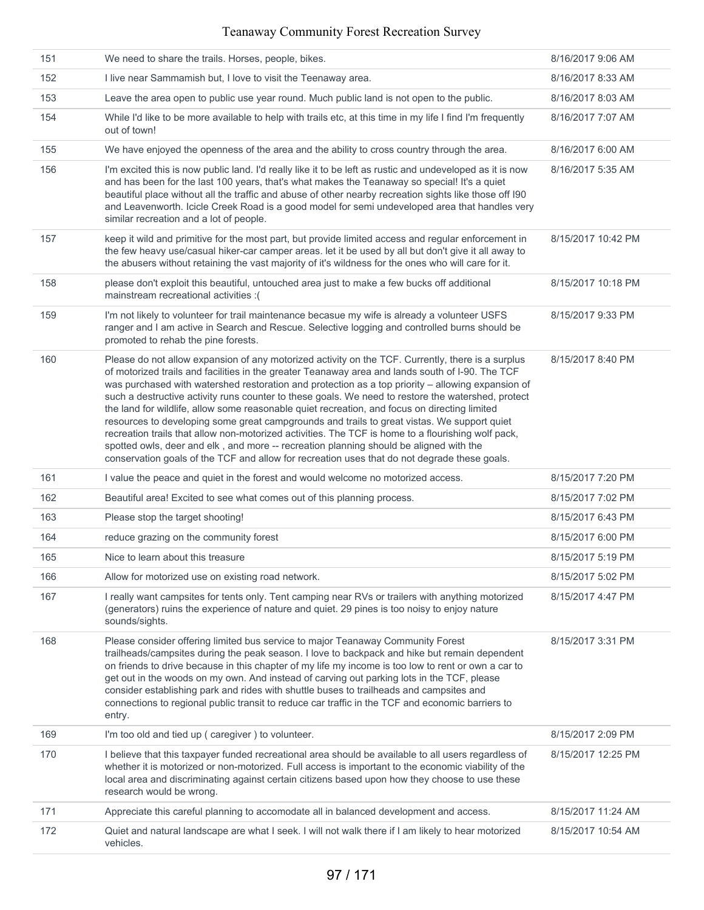| 151 | We need to share the trails. Horses, people, bikes.                                                                                                                                                                                                                                                                                                                                                                                                                                                                                                                                                                                                                                                                                                                                                                                                                                                              | 8/16/2017 9:06 AM  |
|-----|------------------------------------------------------------------------------------------------------------------------------------------------------------------------------------------------------------------------------------------------------------------------------------------------------------------------------------------------------------------------------------------------------------------------------------------------------------------------------------------------------------------------------------------------------------------------------------------------------------------------------------------------------------------------------------------------------------------------------------------------------------------------------------------------------------------------------------------------------------------------------------------------------------------|--------------------|
| 152 | I live near Sammamish but, I love to visit the Teenaway area.                                                                                                                                                                                                                                                                                                                                                                                                                                                                                                                                                                                                                                                                                                                                                                                                                                                    | 8/16/2017 8:33 AM  |
| 153 | Leave the area open to public use year round. Much public land is not open to the public.                                                                                                                                                                                                                                                                                                                                                                                                                                                                                                                                                                                                                                                                                                                                                                                                                        | 8/16/2017 8:03 AM  |
| 154 | While I'd like to be more available to help with trails etc, at this time in my life I find I'm frequently<br>out of town!                                                                                                                                                                                                                                                                                                                                                                                                                                                                                                                                                                                                                                                                                                                                                                                       | 8/16/2017 7:07 AM  |
| 155 | We have enjoyed the openness of the area and the ability to cross country through the area.                                                                                                                                                                                                                                                                                                                                                                                                                                                                                                                                                                                                                                                                                                                                                                                                                      | 8/16/2017 6:00 AM  |
| 156 | I'm excited this is now public land. I'd really like it to be left as rustic and undeveloped as it is now<br>and has been for the last 100 years, that's what makes the Teanaway so special! It's a quiet<br>beautiful place without all the traffic and abuse of other nearby recreation sights like those off I90<br>and Leavenworth. Icicle Creek Road is a good model for semi undeveloped area that handles very<br>similar recreation and a lot of people.                                                                                                                                                                                                                                                                                                                                                                                                                                                 | 8/16/2017 5:35 AM  |
| 157 | keep it wild and primitive for the most part, but provide limited access and regular enforcement in<br>the few heavy use/casual hiker-car camper areas. let it be used by all but don't give it all away to<br>the abusers without retaining the vast majority of it's wildness for the ones who will care for it.                                                                                                                                                                                                                                                                                                                                                                                                                                                                                                                                                                                               | 8/15/2017 10:42 PM |
| 158 | please don't exploit this beautiful, untouched area just to make a few bucks off additional<br>mainstream recreational activities : (                                                                                                                                                                                                                                                                                                                                                                                                                                                                                                                                                                                                                                                                                                                                                                            | 8/15/2017 10:18 PM |
| 159 | I'm not likely to volunteer for trail maintenance becasue my wife is already a volunteer USFS<br>ranger and I am active in Search and Rescue. Selective logging and controlled burns should be<br>promoted to rehab the pine forests.                                                                                                                                                                                                                                                                                                                                                                                                                                                                                                                                                                                                                                                                            | 8/15/2017 9:33 PM  |
| 160 | Please do not allow expansion of any motorized activity on the TCF. Currently, there is a surplus<br>of motorized trails and facilities in the greater Teanaway area and lands south of I-90. The TCF<br>was purchased with watershed restoration and protection as a top priority - allowing expansion of<br>such a destructive activity runs counter to these goals. We need to restore the watershed, protect<br>the land for wildlife, allow some reasonable quiet recreation, and focus on directing limited<br>resources to developing some great campgrounds and trails to great vistas. We support quiet<br>recreation trails that allow non-motorized activities. The TCF is home to a flourishing wolf pack,<br>spotted owls, deer and elk, and more -- recreation planning should be aligned with the<br>conservation goals of the TCF and allow for recreation uses that do not degrade these goals. | 8/15/2017 8:40 PM  |
| 161 | I value the peace and quiet in the forest and would welcome no motorized access.                                                                                                                                                                                                                                                                                                                                                                                                                                                                                                                                                                                                                                                                                                                                                                                                                                 | 8/15/2017 7:20 PM  |
| 162 | Beautiful area! Excited to see what comes out of this planning process.                                                                                                                                                                                                                                                                                                                                                                                                                                                                                                                                                                                                                                                                                                                                                                                                                                          | 8/15/2017 7:02 PM  |
| 163 | Please stop the target shooting!                                                                                                                                                                                                                                                                                                                                                                                                                                                                                                                                                                                                                                                                                                                                                                                                                                                                                 | 8/15/2017 6:43 PM  |
| 164 | reduce grazing on the community forest                                                                                                                                                                                                                                                                                                                                                                                                                                                                                                                                                                                                                                                                                                                                                                                                                                                                           | 8/15/2017 6:00 PM  |
| 165 | Nice to learn about this treasure                                                                                                                                                                                                                                                                                                                                                                                                                                                                                                                                                                                                                                                                                                                                                                                                                                                                                | 8/15/2017 5:19 PM  |
| 166 | Allow for motorized use on existing road network.                                                                                                                                                                                                                                                                                                                                                                                                                                                                                                                                                                                                                                                                                                                                                                                                                                                                | 8/15/2017 5:02 PM  |
| 167 | I really want campsites for tents only. Tent camping near RVs or trailers with anything motorized<br>(generators) ruins the experience of nature and quiet. 29 pines is too noisy to enjoy nature<br>sounds/sights.                                                                                                                                                                                                                                                                                                                                                                                                                                                                                                                                                                                                                                                                                              | 8/15/2017 4:47 PM  |
| 168 | Please consider offering limited bus service to major Teanaway Community Forest<br>trailheads/campsites during the peak season. I love to backpack and hike but remain dependent<br>on friends to drive because in this chapter of my life my income is too low to rent or own a car to<br>get out in the woods on my own. And instead of carving out parking lots in the TCF, please<br>consider establishing park and rides with shuttle buses to trailheads and campsites and<br>connections to regional public transit to reduce car traffic in the TCF and economic barriers to<br>entry.                                                                                                                                                                                                                                                                                                                   | 8/15/2017 3:31 PM  |
| 169 | I'm too old and tied up (caregiver) to volunteer.                                                                                                                                                                                                                                                                                                                                                                                                                                                                                                                                                                                                                                                                                                                                                                                                                                                                | 8/15/2017 2:09 PM  |
| 170 | I believe that this taxpayer funded recreational area should be available to all users regardless of<br>whether it is motorized or non-motorized. Full access is important to the economic viability of the<br>local area and discriminating against certain citizens based upon how they choose to use these<br>research would be wrong.                                                                                                                                                                                                                                                                                                                                                                                                                                                                                                                                                                        | 8/15/2017 12:25 PM |
| 171 | Appreciate this careful planning to accomodate all in balanced development and access.                                                                                                                                                                                                                                                                                                                                                                                                                                                                                                                                                                                                                                                                                                                                                                                                                           | 8/15/2017 11:24 AM |
| 172 | Quiet and natural landscape are what I seek. I will not walk there if I am likely to hear motorized<br>vehicles.                                                                                                                                                                                                                                                                                                                                                                                                                                                                                                                                                                                                                                                                                                                                                                                                 | 8/15/2017 10:54 AM |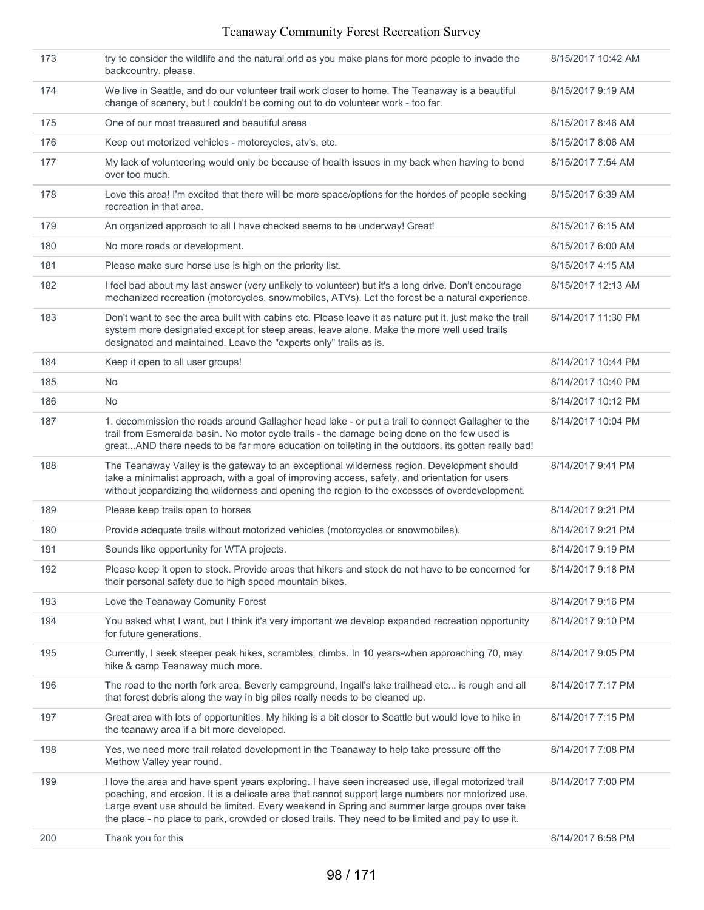| 173 | try to consider the wildlife and the natural orld as you make plans for more people to invade the<br>backcountry. please.                                                                                                                                                                                                                                                                                     | 8/15/2017 10:42 AM |
|-----|---------------------------------------------------------------------------------------------------------------------------------------------------------------------------------------------------------------------------------------------------------------------------------------------------------------------------------------------------------------------------------------------------------------|--------------------|
| 174 | We live in Seattle, and do our volunteer trail work closer to home. The Teanaway is a beautiful<br>change of scenery, but I couldn't be coming out to do volunteer work - too far.                                                                                                                                                                                                                            | 8/15/2017 9:19 AM  |
| 175 | One of our most treasured and beautiful areas                                                                                                                                                                                                                                                                                                                                                                 | 8/15/2017 8:46 AM  |
| 176 | Keep out motorized vehicles - motorcycles, atv's, etc.                                                                                                                                                                                                                                                                                                                                                        | 8/15/2017 8:06 AM  |
| 177 | My lack of volunteering would only be because of health issues in my back when having to bend<br>over too much.                                                                                                                                                                                                                                                                                               | 8/15/2017 7:54 AM  |
| 178 | Love this area! I'm excited that there will be more space/options for the hordes of people seeking<br>recreation in that area.                                                                                                                                                                                                                                                                                | 8/15/2017 6:39 AM  |
| 179 | An organized approach to all I have checked seems to be underway! Great!                                                                                                                                                                                                                                                                                                                                      | 8/15/2017 6:15 AM  |
| 180 | No more roads or development.                                                                                                                                                                                                                                                                                                                                                                                 | 8/15/2017 6:00 AM  |
| 181 | Please make sure horse use is high on the priority list.                                                                                                                                                                                                                                                                                                                                                      | 8/15/2017 4:15 AM  |
| 182 | I feel bad about my last answer (very unlikely to volunteer) but it's a long drive. Don't encourage<br>mechanized recreation (motorcycles, snowmobiles, ATVs). Let the forest be a natural experience.                                                                                                                                                                                                        | 8/15/2017 12:13 AM |
| 183 | Don't want to see the area built with cabins etc. Please leave it as nature put it, just make the trail<br>system more designated except for steep areas, leave alone. Make the more well used trails<br>designated and maintained. Leave the "experts only" trails as is.                                                                                                                                    | 8/14/2017 11:30 PM |
| 184 | Keep it open to all user groups!                                                                                                                                                                                                                                                                                                                                                                              | 8/14/2017 10:44 PM |
| 185 | <b>No</b>                                                                                                                                                                                                                                                                                                                                                                                                     | 8/14/2017 10:40 PM |
| 186 | <b>No</b>                                                                                                                                                                                                                                                                                                                                                                                                     | 8/14/2017 10:12 PM |
| 187 | 1. decommission the roads around Gallagher head lake - or put a trail to connect Gallagher to the<br>trail from Esmeralda basin. No motor cycle trails - the damage being done on the few used is<br>greatAND there needs to be far more education on toileting in the outdoors, its gotten really bad!                                                                                                       | 8/14/2017 10:04 PM |
| 188 | The Teanaway Valley is the gateway to an exceptional wilderness region. Development should<br>take a minimalist approach, with a goal of improving access, safety, and orientation for users<br>without jeopardizing the wilderness and opening the region to the excesses of overdevelopment.                                                                                                                | 8/14/2017 9:41 PM  |
| 189 | Please keep trails open to horses                                                                                                                                                                                                                                                                                                                                                                             | 8/14/2017 9:21 PM  |
| 190 | Provide adequate trails without motorized vehicles (motorcycles or snowmobiles).                                                                                                                                                                                                                                                                                                                              | 8/14/2017 9:21 PM  |
| 191 | Sounds like opportunity for WTA projects.                                                                                                                                                                                                                                                                                                                                                                     | 8/14/2017 9:19 PM  |
| 192 | Please keep it open to stock. Provide areas that hikers and stock do not have to be concerned for<br>their personal safety due to high speed mountain bikes.                                                                                                                                                                                                                                                  | 8/14/2017 9:18 PM  |
| 193 | Love the Teanaway Comunity Forest                                                                                                                                                                                                                                                                                                                                                                             | 8/14/2017 9:16 PM  |
| 194 | You asked what I want, but I think it's very important we develop expanded recreation opportunity<br>for future generations.                                                                                                                                                                                                                                                                                  | 8/14/2017 9:10 PM  |
| 195 | Currently, I seek steeper peak hikes, scrambles, climbs. In 10 years-when approaching 70, may<br>hike & camp Teanaway much more.                                                                                                                                                                                                                                                                              | 8/14/2017 9:05 PM  |
| 196 | The road to the north fork area, Beverly campground, Ingall's lake trailhead etc is rough and all<br>that forest debris along the way in big piles really needs to be cleaned up.                                                                                                                                                                                                                             | 8/14/2017 7:17 PM  |
| 197 | Great area with lots of opportunities. My hiking is a bit closer to Seattle but would love to hike in<br>the teanawy area if a bit more developed.                                                                                                                                                                                                                                                            | 8/14/2017 7:15 PM  |
| 198 | Yes, we need more trail related development in the Teanaway to help take pressure off the<br>Methow Valley year round.                                                                                                                                                                                                                                                                                        | 8/14/2017 7:08 PM  |
| 199 | I love the area and have spent years exploring. I have seen increased use, illegal motorized trail<br>poaching, and erosion. It is a delicate area that cannot support large numbers nor motorized use.<br>Large event use should be limited. Every weekend in Spring and summer large groups over take<br>the place - no place to park, crowded or closed trails. They need to be limited and pay to use it. | 8/14/2017 7:00 PM  |
| 200 | Thank you for this                                                                                                                                                                                                                                                                                                                                                                                            | 8/14/2017 6:58 PM  |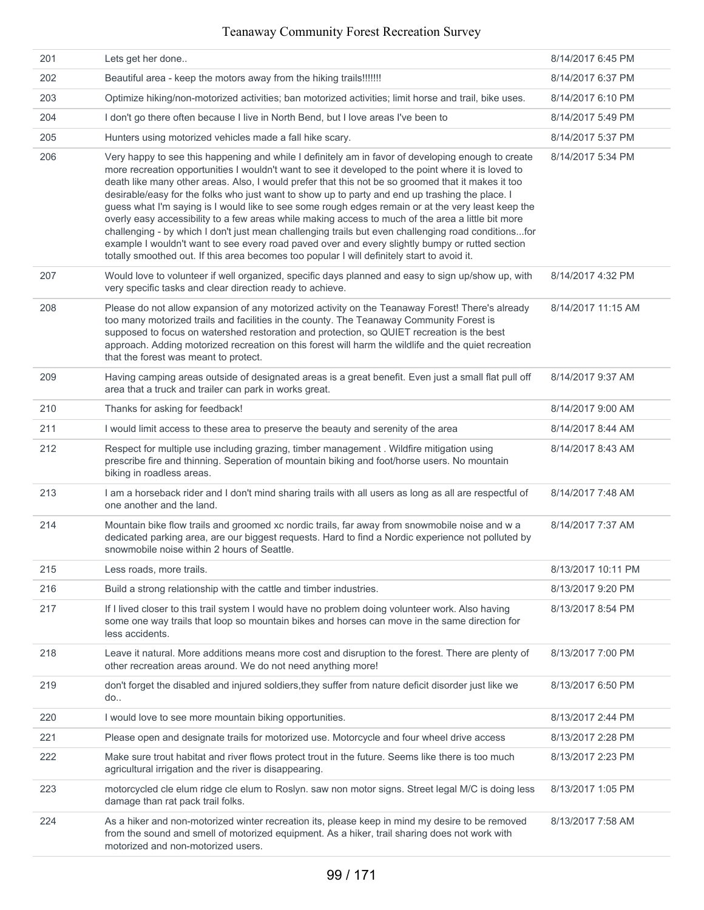| 201 | Lets get her done                                                                                                                                                                                                                                                                                                                                                                                                                                                                                                                                                                                                                                                                                                                                                                                                                                                                                                                       | 8/14/2017 6:45 PM  |
|-----|-----------------------------------------------------------------------------------------------------------------------------------------------------------------------------------------------------------------------------------------------------------------------------------------------------------------------------------------------------------------------------------------------------------------------------------------------------------------------------------------------------------------------------------------------------------------------------------------------------------------------------------------------------------------------------------------------------------------------------------------------------------------------------------------------------------------------------------------------------------------------------------------------------------------------------------------|--------------------|
| 202 | Beautiful area - keep the motors away from the hiking trails!!!!!!!                                                                                                                                                                                                                                                                                                                                                                                                                                                                                                                                                                                                                                                                                                                                                                                                                                                                     | 8/14/2017 6:37 PM  |
| 203 | Optimize hiking/non-motorized activities; ban motorized activities; limit horse and trail, bike uses.                                                                                                                                                                                                                                                                                                                                                                                                                                                                                                                                                                                                                                                                                                                                                                                                                                   | 8/14/2017 6:10 PM  |
| 204 | I don't go there often because I live in North Bend, but I love areas I've been to                                                                                                                                                                                                                                                                                                                                                                                                                                                                                                                                                                                                                                                                                                                                                                                                                                                      | 8/14/2017 5:49 PM  |
| 205 | Hunters using motorized vehicles made a fall hike scary.                                                                                                                                                                                                                                                                                                                                                                                                                                                                                                                                                                                                                                                                                                                                                                                                                                                                                | 8/14/2017 5:37 PM  |
| 206 | Very happy to see this happening and while I definitely am in favor of developing enough to create<br>more recreation opportunities I wouldn't want to see it developed to the point where it is loved to<br>death like many other areas. Also, I would prefer that this not be so groomed that it makes it too<br>desirable/easy for the folks who just want to show up to party and end up trashing the place. I<br>guess what I'm saying is I would like to see some rough edges remain or at the very least keep the<br>overly easy accessibility to a few areas while making access to much of the area a little bit more<br>challenging - by which I don't just mean challenging trails but even challenging road conditionsfor<br>example I wouldn't want to see every road paved over and every slightly bumpy or rutted section<br>totally smoothed out. If this area becomes too popular I will definitely start to avoid it. | 8/14/2017 5:34 PM  |
| 207 | Would love to volunteer if well organized, specific days planned and easy to sign up/show up, with<br>very specific tasks and clear direction ready to achieve.                                                                                                                                                                                                                                                                                                                                                                                                                                                                                                                                                                                                                                                                                                                                                                         | 8/14/2017 4:32 PM  |
| 208 | Please do not allow expansion of any motorized activity on the Teanaway Forest! There's already<br>too many motorized trails and facilities in the county. The Teanaway Community Forest is<br>supposed to focus on watershed restoration and protection, so QUIET recreation is the best<br>approach. Adding motorized recreation on this forest will harm the wildlife and the quiet recreation<br>that the forest was meant to protect.                                                                                                                                                                                                                                                                                                                                                                                                                                                                                              | 8/14/2017 11:15 AM |
| 209 | Having camping areas outside of designated areas is a great benefit. Even just a small flat pull off<br>area that a truck and trailer can park in works great.                                                                                                                                                                                                                                                                                                                                                                                                                                                                                                                                                                                                                                                                                                                                                                          | 8/14/2017 9:37 AM  |
| 210 | Thanks for asking for feedback!                                                                                                                                                                                                                                                                                                                                                                                                                                                                                                                                                                                                                                                                                                                                                                                                                                                                                                         | 8/14/2017 9:00 AM  |
| 211 | I would limit access to these area to preserve the beauty and serenity of the area                                                                                                                                                                                                                                                                                                                                                                                                                                                                                                                                                                                                                                                                                                                                                                                                                                                      | 8/14/2017 8:44 AM  |
| 212 | Respect for multiple use including grazing, timber management . Wildfire mitigation using<br>prescribe fire and thinning. Seperation of mountain biking and foot/horse users. No mountain<br>biking in roadless areas.                                                                                                                                                                                                                                                                                                                                                                                                                                                                                                                                                                                                                                                                                                                  | 8/14/2017 8:43 AM  |
| 213 | I am a horseback rider and I don't mind sharing trails with all users as long as all are respectful of<br>one another and the land.                                                                                                                                                                                                                                                                                                                                                                                                                                                                                                                                                                                                                                                                                                                                                                                                     | 8/14/2017 7:48 AM  |
| 214 | Mountain bike flow trails and groomed xc nordic trails, far away from snowmobile noise and w a<br>dedicated parking area, are our biggest requests. Hard to find a Nordic experience not polluted by<br>snowmobile noise within 2 hours of Seattle.                                                                                                                                                                                                                                                                                                                                                                                                                                                                                                                                                                                                                                                                                     | 8/14/2017 7:37 AM  |
| 215 | Less roads, more trails.                                                                                                                                                                                                                                                                                                                                                                                                                                                                                                                                                                                                                                                                                                                                                                                                                                                                                                                | 8/13/2017 10:11 PM |
| 216 | Build a strong relationship with the cattle and timber industries.                                                                                                                                                                                                                                                                                                                                                                                                                                                                                                                                                                                                                                                                                                                                                                                                                                                                      | 8/13/2017 9:20 PM  |
| 217 | If I lived closer to this trail system I would have no problem doing volunteer work. Also having<br>some one way trails that loop so mountain bikes and horses can move in the same direction for<br>less accidents.                                                                                                                                                                                                                                                                                                                                                                                                                                                                                                                                                                                                                                                                                                                    | 8/13/2017 8:54 PM  |
| 218 | Leave it natural. More additions means more cost and disruption to the forest. There are plenty of<br>other recreation areas around. We do not need anything more!                                                                                                                                                                                                                                                                                                                                                                                                                                                                                                                                                                                                                                                                                                                                                                      | 8/13/2017 7:00 PM  |
| 219 | don't forget the disabled and injured soldiers, they suffer from nature deficit disorder just like we<br>do                                                                                                                                                                                                                                                                                                                                                                                                                                                                                                                                                                                                                                                                                                                                                                                                                             | 8/13/2017 6:50 PM  |
| 220 | I would love to see more mountain biking opportunities.                                                                                                                                                                                                                                                                                                                                                                                                                                                                                                                                                                                                                                                                                                                                                                                                                                                                                 | 8/13/2017 2:44 PM  |
| 221 | Please open and designate trails for motorized use. Motorcycle and four wheel drive access                                                                                                                                                                                                                                                                                                                                                                                                                                                                                                                                                                                                                                                                                                                                                                                                                                              | 8/13/2017 2:28 PM  |
| 222 | Make sure trout habitat and river flows protect trout in the future. Seems like there is too much<br>agricultural irrigation and the river is disappearing.                                                                                                                                                                                                                                                                                                                                                                                                                                                                                                                                                                                                                                                                                                                                                                             | 8/13/2017 2:23 PM  |
| 223 | motorcycled cle elum ridge cle elum to Roslyn. saw non motor signs. Street legal M/C is doing less<br>damage than rat pack trail folks.                                                                                                                                                                                                                                                                                                                                                                                                                                                                                                                                                                                                                                                                                                                                                                                                 | 8/13/2017 1:05 PM  |
| 224 | As a hiker and non-motorized winter recreation its, please keep in mind my desire to be removed<br>from the sound and smell of motorized equipment. As a hiker, trail sharing does not work with<br>motorized and non-motorized users.                                                                                                                                                                                                                                                                                                                                                                                                                                                                                                                                                                                                                                                                                                  | 8/13/2017 7:58 AM  |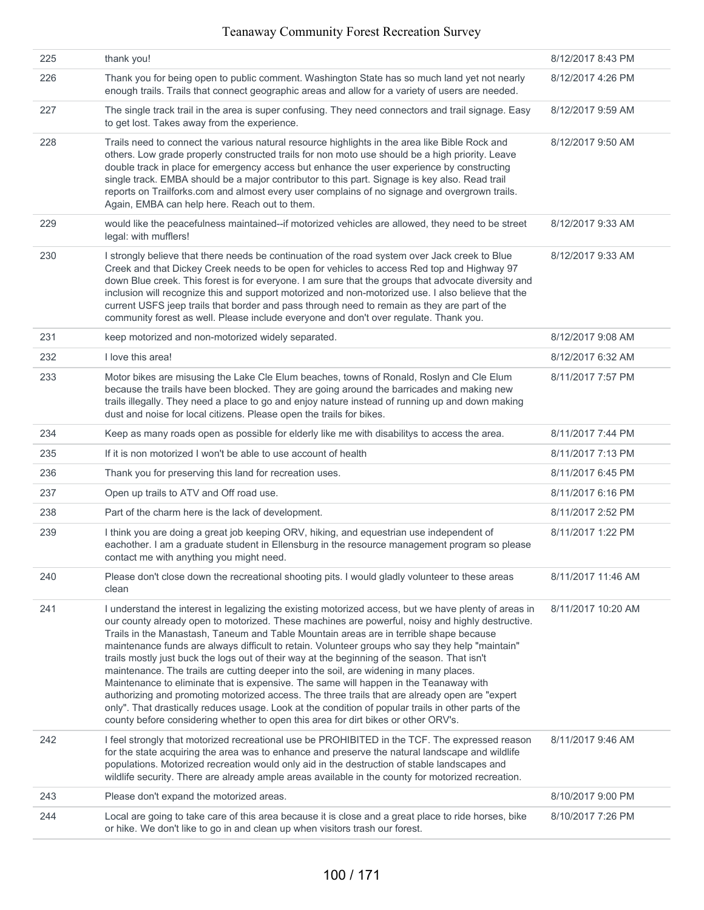| 225 | thank you!                                                                                                                                                                                                                                                                                                                                                                                                                                                                                                                                                                                                                                                                                                                                                                                                                                                                                                                                                                                | 8/12/2017 8:43 PM  |
|-----|-------------------------------------------------------------------------------------------------------------------------------------------------------------------------------------------------------------------------------------------------------------------------------------------------------------------------------------------------------------------------------------------------------------------------------------------------------------------------------------------------------------------------------------------------------------------------------------------------------------------------------------------------------------------------------------------------------------------------------------------------------------------------------------------------------------------------------------------------------------------------------------------------------------------------------------------------------------------------------------------|--------------------|
| 226 | Thank you for being open to public comment. Washington State has so much land yet not nearly<br>enough trails. Trails that connect geographic areas and allow for a variety of users are needed.                                                                                                                                                                                                                                                                                                                                                                                                                                                                                                                                                                                                                                                                                                                                                                                          | 8/12/2017 4:26 PM  |
| 227 | The single track trail in the area is super confusing. They need connectors and trail signage. Easy<br>to get lost. Takes away from the experience.                                                                                                                                                                                                                                                                                                                                                                                                                                                                                                                                                                                                                                                                                                                                                                                                                                       | 8/12/2017 9:59 AM  |
| 228 | Trails need to connect the various natural resource highlights in the area like Bible Rock and<br>others. Low grade properly constructed trails for non moto use should be a high priority. Leave<br>double track in place for emergency access but enhance the user experience by constructing<br>single track. EMBA should be a major contributor to this part. Signage is key also. Read trail<br>reports on Trailforks.com and almost every user complains of no signage and overgrown trails.<br>Again, EMBA can help here. Reach out to them.                                                                                                                                                                                                                                                                                                                                                                                                                                       | 8/12/2017 9:50 AM  |
| 229 | would like the peacefulness maintained--if motorized vehicles are allowed, they need to be street<br>legal: with mufflers!                                                                                                                                                                                                                                                                                                                                                                                                                                                                                                                                                                                                                                                                                                                                                                                                                                                                | 8/12/2017 9:33 AM  |
| 230 | I strongly believe that there needs be continuation of the road system over Jack creek to Blue<br>Creek and that Dickey Creek needs to be open for vehicles to access Red top and Highway 97<br>down Blue creek. This forest is for everyone. I am sure that the groups that advocate diversity and<br>inclusion will recognize this and support motorized and non-motorized use. I also believe that the<br>current USFS jeep trails that border and pass through need to remain as they are part of the<br>community forest as well. Please include everyone and don't over regulate. Thank you.                                                                                                                                                                                                                                                                                                                                                                                        | 8/12/2017 9:33 AM  |
| 231 | keep motorized and non-motorized widely separated.                                                                                                                                                                                                                                                                                                                                                                                                                                                                                                                                                                                                                                                                                                                                                                                                                                                                                                                                        | 8/12/2017 9:08 AM  |
| 232 | I love this area!                                                                                                                                                                                                                                                                                                                                                                                                                                                                                                                                                                                                                                                                                                                                                                                                                                                                                                                                                                         | 8/12/2017 6:32 AM  |
| 233 | Motor bikes are misusing the Lake Cle Elum beaches, towns of Ronald, Roslyn and Cle Elum<br>because the trails have been blocked. They are going around the barricades and making new<br>trails illegally. They need a place to go and enjoy nature instead of running up and down making<br>dust and noise for local citizens. Please open the trails for bikes.                                                                                                                                                                                                                                                                                                                                                                                                                                                                                                                                                                                                                         | 8/11/2017 7:57 PM  |
| 234 | Keep as many roads open as possible for elderly like me with disabilitys to access the area.                                                                                                                                                                                                                                                                                                                                                                                                                                                                                                                                                                                                                                                                                                                                                                                                                                                                                              | 8/11/2017 7:44 PM  |
| 235 | If it is non motorized I won't be able to use account of health                                                                                                                                                                                                                                                                                                                                                                                                                                                                                                                                                                                                                                                                                                                                                                                                                                                                                                                           | 8/11/2017 7:13 PM  |
| 236 | Thank you for preserving this land for recreation uses.                                                                                                                                                                                                                                                                                                                                                                                                                                                                                                                                                                                                                                                                                                                                                                                                                                                                                                                                   | 8/11/2017 6:45 PM  |
| 237 | Open up trails to ATV and Off road use.                                                                                                                                                                                                                                                                                                                                                                                                                                                                                                                                                                                                                                                                                                                                                                                                                                                                                                                                                   | 8/11/2017 6:16 PM  |
| 238 | Part of the charm here is the lack of development.                                                                                                                                                                                                                                                                                                                                                                                                                                                                                                                                                                                                                                                                                                                                                                                                                                                                                                                                        | 8/11/2017 2:52 PM  |
| 239 | I think you are doing a great job keeping ORV, hiking, and equestrian use independent of<br>eachother. I am a graduate student in Ellensburg in the resource management program so please<br>contact me with anything you might need.                                                                                                                                                                                                                                                                                                                                                                                                                                                                                                                                                                                                                                                                                                                                                     | 8/11/2017 1:22 PM  |
| 240 | Please don't close down the recreational shooting pits. I would gladly volunteer to these areas<br>clean                                                                                                                                                                                                                                                                                                                                                                                                                                                                                                                                                                                                                                                                                                                                                                                                                                                                                  | 8/11/2017 11:46 AM |
| 241 | I understand the interest in legalizing the existing motorized access, but we have plenty of areas in<br>our county already open to motorized. These machines are powerful, noisy and highly destructive.<br>Trails in the Manastash, Taneum and Table Mountain areas are in terrible shape because<br>maintenance funds are always difficult to retain. Volunteer groups who say they help "maintain"<br>trails mostly just buck the logs out of their way at the beginning of the season. That isn't<br>maintenance. The trails are cutting deeper into the soil, are widening in many places.<br>Maintenance to eliminate that is expensive. The same will happen in the Teanaway with<br>authorizing and promoting motorized access. The three trails that are already open are "expert<br>only". That drastically reduces usage. Look at the condition of popular trails in other parts of the<br>county before considering whether to open this area for dirt bikes or other ORV's. | 8/11/2017 10:20 AM |
| 242 | I feel strongly that motorized recreational use be PROHIBITED in the TCF. The expressed reason<br>for the state acquiring the area was to enhance and preserve the natural landscape and wildlife<br>populations. Motorized recreation would only aid in the destruction of stable landscapes and<br>wildlife security. There are already ample areas available in the county for motorized recreation.                                                                                                                                                                                                                                                                                                                                                                                                                                                                                                                                                                                   | 8/11/2017 9:46 AM  |
| 243 | Please don't expand the motorized areas.                                                                                                                                                                                                                                                                                                                                                                                                                                                                                                                                                                                                                                                                                                                                                                                                                                                                                                                                                  | 8/10/2017 9:00 PM  |
| 244 | Local are going to take care of this area because it is close and a great place to ride horses, bike<br>or hike. We don't like to go in and clean up when visitors trash our forest.                                                                                                                                                                                                                                                                                                                                                                                                                                                                                                                                                                                                                                                                                                                                                                                                      | 8/10/2017 7:26 PM  |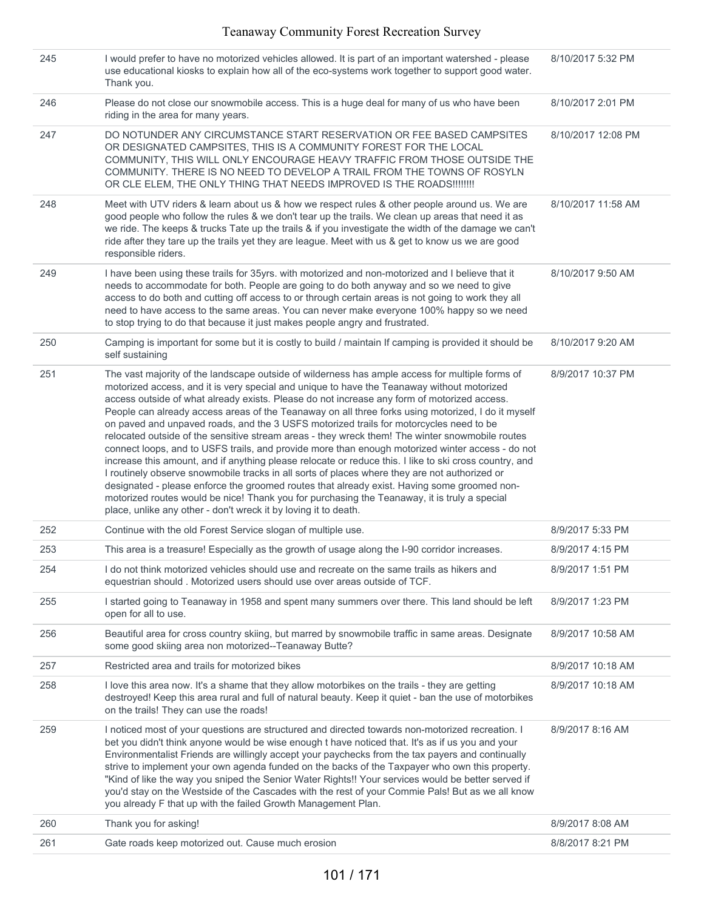| 245 | I would prefer to have no motorized vehicles allowed. It is part of an important watershed - please<br>use educational kiosks to explain how all of the eco-systems work together to support good water.<br>Thank you.                                                                                                                                                                                                                                                                                                                                                                                                                                                                                                                                                                                                                                                                                                                                                                                                                                                                                                                                                           | 8/10/2017 5:32 PM  |
|-----|----------------------------------------------------------------------------------------------------------------------------------------------------------------------------------------------------------------------------------------------------------------------------------------------------------------------------------------------------------------------------------------------------------------------------------------------------------------------------------------------------------------------------------------------------------------------------------------------------------------------------------------------------------------------------------------------------------------------------------------------------------------------------------------------------------------------------------------------------------------------------------------------------------------------------------------------------------------------------------------------------------------------------------------------------------------------------------------------------------------------------------------------------------------------------------|--------------------|
| 246 | Please do not close our snowmobile access. This is a huge deal for many of us who have been<br>riding in the area for many years.                                                                                                                                                                                                                                                                                                                                                                                                                                                                                                                                                                                                                                                                                                                                                                                                                                                                                                                                                                                                                                                | 8/10/2017 2:01 PM  |
| 247 | DO NOTUNDER ANY CIRCUMSTANCE START RESERVATION OR FEE BASED CAMPSITES<br>OR DESIGNATED CAMPSITES, THIS IS A COMMUNITY FOREST FOR THE LOCAL<br>COMMUNITY, THIS WILL ONLY ENCOURAGE HEAVY TRAFFIC FROM THOSE OUTSIDE THE<br>COMMUNITY. THERE IS NO NEED TO DEVELOP A TRAIL FROM THE TOWNS OF ROSYLN<br>OR CLE ELEM, THE ONLY THING THAT NEEDS IMPROVED IS THE ROADS!!!!!!!!                                                                                                                                                                                                                                                                                                                                                                                                                                                                                                                                                                                                                                                                                                                                                                                                        | 8/10/2017 12:08 PM |
| 248 | Meet with UTV riders & learn about us & how we respect rules & other people around us. We are<br>good people who follow the rules & we don't tear up the trails. We clean up areas that need it as<br>we ride. The keeps & trucks Tate up the trails & if you investigate the width of the damage we can't<br>ride after they tare up the trails yet they are league. Meet with us & get to know us we are good<br>responsible riders.                                                                                                                                                                                                                                                                                                                                                                                                                                                                                                                                                                                                                                                                                                                                           | 8/10/2017 11:58 AM |
| 249 | I have been using these trails for 35yrs. with motorized and non-motorized and I believe that it<br>needs to accommodate for both. People are going to do both anyway and so we need to give<br>access to do both and cutting off access to or through certain areas is not going to work they all<br>need to have access to the same areas. You can never make everyone 100% happy so we need<br>to stop trying to do that because it just makes people angry and frustrated.                                                                                                                                                                                                                                                                                                                                                                                                                                                                                                                                                                                                                                                                                                   | 8/10/2017 9:50 AM  |
| 250 | Camping is important for some but it is costly to build / maintain If camping is provided it should be<br>self sustaining                                                                                                                                                                                                                                                                                                                                                                                                                                                                                                                                                                                                                                                                                                                                                                                                                                                                                                                                                                                                                                                        | 8/10/2017 9:20 AM  |
| 251 | The vast majority of the landscape outside of wilderness has ample access for multiple forms of<br>motorized access, and it is very special and unique to have the Teanaway without motorized<br>access outside of what already exists. Please do not increase any form of motorized access.<br>People can already access areas of the Teanaway on all three forks using motorized, I do it myself<br>on paved and unpaved roads, and the 3 USFS motorized trails for motorcycles need to be<br>relocated outside of the sensitive stream areas - they wreck them! The winter snowmobile routes<br>connect loops, and to USFS trails, and provide more than enough motorized winter access - do not<br>increase this amount, and if anything please relocate or reduce this. I like to ski cross country, and<br>I routinely observe snowmobile tracks in all sorts of places where they are not authorized or<br>designated - please enforce the groomed routes that already exist. Having some groomed non-<br>motorized routes would be nice! Thank you for purchasing the Teanaway, it is truly a special<br>place, unlike any other - don't wreck it by loving it to death. | 8/9/2017 10:37 PM  |
| 252 | Continue with the old Forest Service slogan of multiple use.                                                                                                                                                                                                                                                                                                                                                                                                                                                                                                                                                                                                                                                                                                                                                                                                                                                                                                                                                                                                                                                                                                                     | 8/9/2017 5:33 PM   |
| 253 | This area is a treasure! Especially as the growth of usage along the I-90 corridor increases.                                                                                                                                                                                                                                                                                                                                                                                                                                                                                                                                                                                                                                                                                                                                                                                                                                                                                                                                                                                                                                                                                    | 8/9/2017 4:15 PM   |
| 254 | I do not think motorized vehicles should use and recreate on the same trails as hikers and<br>equestrian should, Motorized users should use over areas outside of TCF.                                                                                                                                                                                                                                                                                                                                                                                                                                                                                                                                                                                                                                                                                                                                                                                                                                                                                                                                                                                                           | 8/9/2017 1:51 PM   |
| 255 | I started going to Teanaway in 1958 and spent many summers over there. This land should be left<br>open for all to use.                                                                                                                                                                                                                                                                                                                                                                                                                                                                                                                                                                                                                                                                                                                                                                                                                                                                                                                                                                                                                                                          | 8/9/2017 1:23 PM   |
| 256 | Beautiful area for cross country skiing, but marred by snowmobile traffic in same areas. Designate<br>some good skiing area non motorized--Teanaway Butte?                                                                                                                                                                                                                                                                                                                                                                                                                                                                                                                                                                                                                                                                                                                                                                                                                                                                                                                                                                                                                       | 8/9/2017 10:58 AM  |
| 257 | Restricted area and trails for motorized bikes                                                                                                                                                                                                                                                                                                                                                                                                                                                                                                                                                                                                                                                                                                                                                                                                                                                                                                                                                                                                                                                                                                                                   | 8/9/2017 10:18 AM  |
| 258 | I love this area now. It's a shame that they allow motorbikes on the trails - they are getting<br>destroyed! Keep this area rural and full of natural beauty. Keep it quiet - ban the use of motorbikes<br>on the trails! They can use the roads!                                                                                                                                                                                                                                                                                                                                                                                                                                                                                                                                                                                                                                                                                                                                                                                                                                                                                                                                | 8/9/2017 10:18 AM  |
| 259 | I noticed most of your questions are structured and directed towards non-motorized recreation. I<br>bet you didn't think anyone would be wise enough t have noticed that. It's as if us you and your<br>Environmentalist Friends are willingly accept your paychecks from the tax payers and continually<br>strive to implement your own agenda funded on the backs of the Taxpayer who own this property.<br>"Kind of like the way you sniped the Senior Water Rights!! Your services would be better served if<br>you'd stay on the Westside of the Cascades with the rest of your Commie Pals! But as we all know<br>you already F that up with the failed Growth Management Plan.                                                                                                                                                                                                                                                                                                                                                                                                                                                                                            | 8/9/2017 8:16 AM   |
| 260 | Thank you for asking!                                                                                                                                                                                                                                                                                                                                                                                                                                                                                                                                                                                                                                                                                                                                                                                                                                                                                                                                                                                                                                                                                                                                                            | 8/9/2017 8:08 AM   |
| 261 | Gate roads keep motorized out. Cause much erosion                                                                                                                                                                                                                                                                                                                                                                                                                                                                                                                                                                                                                                                                                                                                                                                                                                                                                                                                                                                                                                                                                                                                | 8/8/2017 8:21 PM   |
|     |                                                                                                                                                                                                                                                                                                                                                                                                                                                                                                                                                                                                                                                                                                                                                                                                                                                                                                                                                                                                                                                                                                                                                                                  |                    |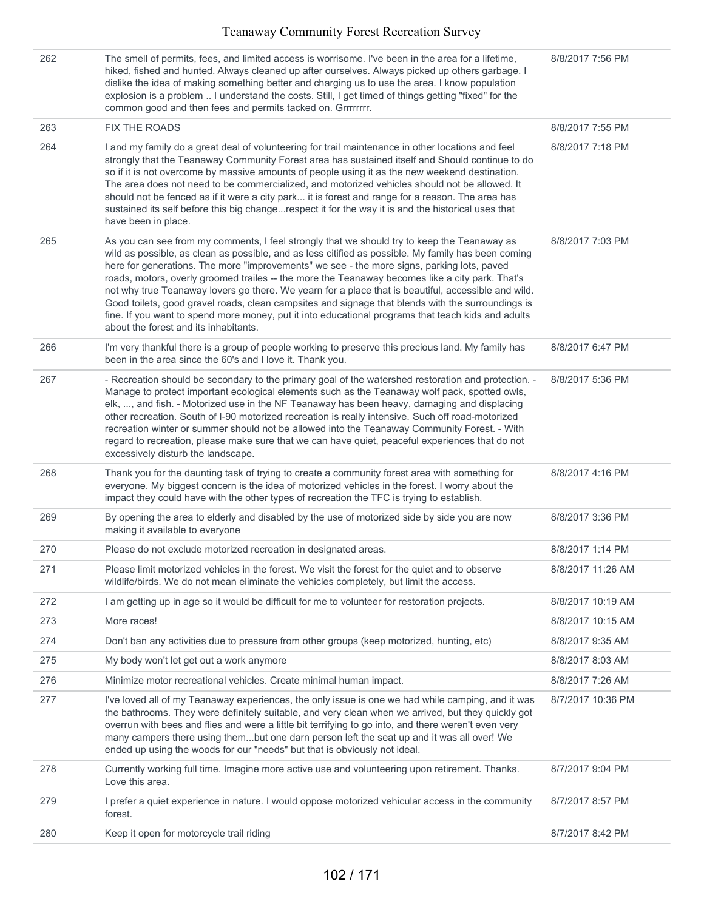| 262 | The smell of permits, fees, and limited access is worrisome. I've been in the area for a lifetime,<br>hiked, fished and hunted. Always cleaned up after ourselves. Always picked up others garbage. I<br>dislike the idea of making something better and charging us to use the area. I know population<br>explosion is a problem  I understand the costs. Still, I get timed of things getting "fixed" for the<br>common good and then fees and permits tacked on. Grrrrrrrr.                                                                                                                                                                                                                                                                                 | 8/8/2017 7:56 PM  |
|-----|----------------------------------------------------------------------------------------------------------------------------------------------------------------------------------------------------------------------------------------------------------------------------------------------------------------------------------------------------------------------------------------------------------------------------------------------------------------------------------------------------------------------------------------------------------------------------------------------------------------------------------------------------------------------------------------------------------------------------------------------------------------|-------------------|
| 263 | <b>FIX THE ROADS</b>                                                                                                                                                                                                                                                                                                                                                                                                                                                                                                                                                                                                                                                                                                                                           | 8/8/2017 7:55 PM  |
| 264 | I and my family do a great deal of volunteering for trail maintenance in other locations and feel<br>strongly that the Teanaway Community Forest area has sustained itself and Should continue to do<br>so if it is not overcome by massive amounts of people using it as the new weekend destination.<br>The area does not need to be commercialized, and motorized vehicles should not be allowed. It<br>should not be fenced as if it were a city park it is forest and range for a reason. The area has<br>sustained its self before this big changerespect it for the way it is and the historical uses that<br>have been in place.                                                                                                                       | 8/8/2017 7:18 PM  |
| 265 | As you can see from my comments, I feel strongly that we should try to keep the Teanaway as<br>wild as possible, as clean as possible, and as less citified as possible. My family has been coming<br>here for generations. The more "improvements" we see - the more signs, parking lots, paved<br>roads, motors, overly groomed trailes -- the more the Teanaway becomes like a city park. That's<br>not why true Teanaway lovers go there. We yearn for a place that is beautiful, accessible and wild.<br>Good toilets, good gravel roads, clean campsites and signage that blends with the surroundings is<br>fine. If you want to spend more money, put it into educational programs that teach kids and adults<br>about the forest and its inhabitants. | 8/8/2017 7:03 PM  |
| 266 | I'm very thankful there is a group of people working to preserve this precious land. My family has<br>been in the area since the 60's and I love it. Thank you.                                                                                                                                                                                                                                                                                                                                                                                                                                                                                                                                                                                                | 8/8/2017 6:47 PM  |
| 267 | - Recreation should be secondary to the primary goal of the watershed restoration and protection. -<br>Manage to protect important ecological elements such as the Teanaway wolf pack, spotted owls,<br>elk, , and fish. - Motorized use in the NF Teanaway has been heavy, damaging and displacing<br>other recreation. South of I-90 motorized recreation is really intensive. Such off road-motorized<br>recreation winter or summer should not be allowed into the Teanaway Community Forest. - With<br>regard to recreation, please make sure that we can have quiet, peaceful experiences that do not<br>excessively disturb the landscape.                                                                                                              | 8/8/2017 5:36 PM  |
| 268 | Thank you for the daunting task of trying to create a community forest area with something for<br>everyone. My biggest concern is the idea of motorized vehicles in the forest. I worry about the<br>impact they could have with the other types of recreation the TFC is trying to establish.                                                                                                                                                                                                                                                                                                                                                                                                                                                                 | 8/8/2017 4:16 PM  |
| 269 | By opening the area to elderly and disabled by the use of motorized side by side you are now<br>making it available to everyone                                                                                                                                                                                                                                                                                                                                                                                                                                                                                                                                                                                                                                | 8/8/2017 3:36 PM  |
| 270 | Please do not exclude motorized recreation in designated areas.                                                                                                                                                                                                                                                                                                                                                                                                                                                                                                                                                                                                                                                                                                | 8/8/2017 1:14 PM  |
| 271 | Please limit motorized vehicles in the forest. We visit the forest for the quiet and to observe<br>wildlife/birds. We do not mean eliminate the vehicles completely, but limit the access.                                                                                                                                                                                                                                                                                                                                                                                                                                                                                                                                                                     | 8/8/2017 11:26 AM |
| 272 | I am getting up in age so it would be difficult for me to volunteer for restoration projects.                                                                                                                                                                                                                                                                                                                                                                                                                                                                                                                                                                                                                                                                  | 8/8/2017 10:19 AM |
| 273 | More races!                                                                                                                                                                                                                                                                                                                                                                                                                                                                                                                                                                                                                                                                                                                                                    | 8/8/2017 10:15 AM |
| 274 | Don't ban any activities due to pressure from other groups (keep motorized, hunting, etc)                                                                                                                                                                                                                                                                                                                                                                                                                                                                                                                                                                                                                                                                      | 8/8/2017 9:35 AM  |
| 275 | My body won't let get out a work anymore                                                                                                                                                                                                                                                                                                                                                                                                                                                                                                                                                                                                                                                                                                                       | 8/8/2017 8:03 AM  |
| 276 | Minimize motor recreational vehicles. Create minimal human impact.                                                                                                                                                                                                                                                                                                                                                                                                                                                                                                                                                                                                                                                                                             | 8/8/2017 7:26 AM  |
| 277 | I've loved all of my Teanaway experiences, the only issue is one we had while camping, and it was<br>the bathrooms. They were definitely suitable, and very clean when we arrived, but they quickly got<br>overrun with bees and flies and were a little bit terrifying to go into, and there weren't even very<br>many campers there using thembut one darn person left the seat up and it was all over! We<br>ended up using the woods for our "needs" but that is obviously not ideal.                                                                                                                                                                                                                                                                      | 8/7/2017 10:36 PM |
| 278 | Currently working full time. Imagine more active use and volunteering upon retirement. Thanks.<br>Love this area.                                                                                                                                                                                                                                                                                                                                                                                                                                                                                                                                                                                                                                              | 8/7/2017 9:04 PM  |
| 279 | I prefer a quiet experience in nature. I would oppose motorized vehicular access in the community<br>forest.                                                                                                                                                                                                                                                                                                                                                                                                                                                                                                                                                                                                                                                   | 8/7/2017 8:57 PM  |
| 280 | Keep it open for motorcycle trail riding                                                                                                                                                                                                                                                                                                                                                                                                                                                                                                                                                                                                                                                                                                                       | 8/7/2017 8:42 PM  |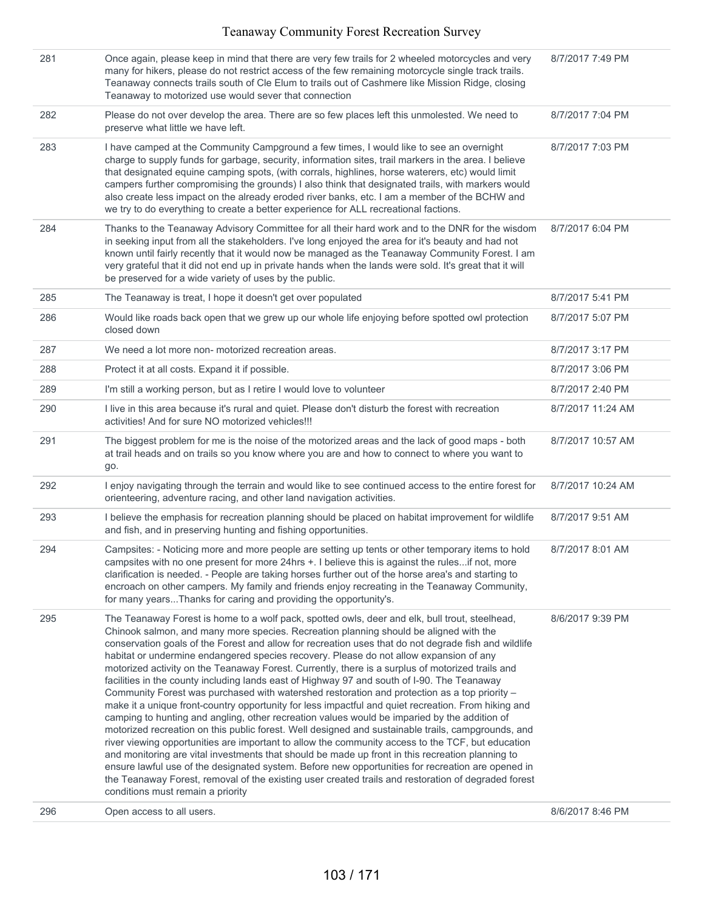| 281 | Once again, please keep in mind that there are very few trails for 2 wheeled motorcycles and very<br>many for hikers, please do not restrict access of the few remaining motorcycle single track trails.<br>Teanaway connects trails south of Cle Elum to trails out of Cashmere like Mission Ridge, closing<br>Teanaway to motorized use would sever that connection                                                                                                                                                                                                                                                                                                                                                                                                                                                                                                                                                                                                                                                                                                                                                                                                                                                                                                                                                                                                                                                                                               | 8/7/2017 7:49 PM  |
|-----|---------------------------------------------------------------------------------------------------------------------------------------------------------------------------------------------------------------------------------------------------------------------------------------------------------------------------------------------------------------------------------------------------------------------------------------------------------------------------------------------------------------------------------------------------------------------------------------------------------------------------------------------------------------------------------------------------------------------------------------------------------------------------------------------------------------------------------------------------------------------------------------------------------------------------------------------------------------------------------------------------------------------------------------------------------------------------------------------------------------------------------------------------------------------------------------------------------------------------------------------------------------------------------------------------------------------------------------------------------------------------------------------------------------------------------------------------------------------|-------------------|
| 282 | Please do not over develop the area. There are so few places left this unmolested. We need to<br>preserve what little we have left.                                                                                                                                                                                                                                                                                                                                                                                                                                                                                                                                                                                                                                                                                                                                                                                                                                                                                                                                                                                                                                                                                                                                                                                                                                                                                                                                 | 8/7/2017 7:04 PM  |
| 283 | I have camped at the Community Campground a few times, I would like to see an overnight<br>charge to supply funds for garbage, security, information sites, trail markers in the area. I believe<br>that designated equine camping spots, (with corrals, highlines, horse waterers, etc) would limit<br>campers further compromising the grounds) I also think that designated trails, with markers would<br>also create less impact on the already eroded river banks, etc. I am a member of the BCHW and<br>we try to do everything to create a better experience for ALL recreational factions.                                                                                                                                                                                                                                                                                                                                                                                                                                                                                                                                                                                                                                                                                                                                                                                                                                                                  | 8/7/2017 7:03 PM  |
| 284 | Thanks to the Teanaway Advisory Committee for all their hard work and to the DNR for the wisdom<br>in seeking input from all the stakeholders. I've long enjoyed the area for it's beauty and had not<br>known until fairly recently that it would now be managed as the Teanaway Community Forest. I am<br>very grateful that it did not end up in private hands when the lands were sold. It's great that it will<br>be preserved for a wide variety of uses by the public.                                                                                                                                                                                                                                                                                                                                                                                                                                                                                                                                                                                                                                                                                                                                                                                                                                                                                                                                                                                       | 8/7/2017 6:04 PM  |
| 285 | The Teanaway is treat, I hope it doesn't get over populated                                                                                                                                                                                                                                                                                                                                                                                                                                                                                                                                                                                                                                                                                                                                                                                                                                                                                                                                                                                                                                                                                                                                                                                                                                                                                                                                                                                                         | 8/7/2017 5:41 PM  |
| 286 | Would like roads back open that we grew up our whole life enjoying before spotted owl protection<br>closed down                                                                                                                                                                                                                                                                                                                                                                                                                                                                                                                                                                                                                                                                                                                                                                                                                                                                                                                                                                                                                                                                                                                                                                                                                                                                                                                                                     | 8/7/2017 5:07 PM  |
| 287 | We need a lot more non- motorized recreation areas.                                                                                                                                                                                                                                                                                                                                                                                                                                                                                                                                                                                                                                                                                                                                                                                                                                                                                                                                                                                                                                                                                                                                                                                                                                                                                                                                                                                                                 | 8/7/2017 3:17 PM  |
| 288 | Protect it at all costs. Expand it if possible.                                                                                                                                                                                                                                                                                                                                                                                                                                                                                                                                                                                                                                                                                                                                                                                                                                                                                                                                                                                                                                                                                                                                                                                                                                                                                                                                                                                                                     | 8/7/2017 3:06 PM  |
| 289 | I'm still a working person, but as I retire I would love to volunteer                                                                                                                                                                                                                                                                                                                                                                                                                                                                                                                                                                                                                                                                                                                                                                                                                                                                                                                                                                                                                                                                                                                                                                                                                                                                                                                                                                                               | 8/7/2017 2:40 PM  |
| 290 | I live in this area because it's rural and quiet. Please don't disturb the forest with recreation<br>activities! And for sure NO motorized vehicles!!!                                                                                                                                                                                                                                                                                                                                                                                                                                                                                                                                                                                                                                                                                                                                                                                                                                                                                                                                                                                                                                                                                                                                                                                                                                                                                                              | 8/7/2017 11:24 AM |
| 291 | The biggest problem for me is the noise of the motorized areas and the lack of good maps - both<br>at trail heads and on trails so you know where you are and how to connect to where you want to<br>go.                                                                                                                                                                                                                                                                                                                                                                                                                                                                                                                                                                                                                                                                                                                                                                                                                                                                                                                                                                                                                                                                                                                                                                                                                                                            | 8/7/2017 10:57 AM |
| 292 | I enjoy navigating through the terrain and would like to see continued access to the entire forest for<br>orienteering, adventure racing, and other land navigation activities.                                                                                                                                                                                                                                                                                                                                                                                                                                                                                                                                                                                                                                                                                                                                                                                                                                                                                                                                                                                                                                                                                                                                                                                                                                                                                     | 8/7/2017 10:24 AM |
| 293 | I believe the emphasis for recreation planning should be placed on habitat improvement for wildlife<br>and fish, and in preserving hunting and fishing opportunities.                                                                                                                                                                                                                                                                                                                                                                                                                                                                                                                                                                                                                                                                                                                                                                                                                                                                                                                                                                                                                                                                                                                                                                                                                                                                                               | 8/7/2017 9:51 AM  |
| 294 | Campsites: - Noticing more and more people are setting up tents or other temporary items to hold<br>campsites with no one present for more 24hrs +. I believe this is against the rulesif not, more<br>clarification is needed. - People are taking horses further out of the horse area's and starting to<br>encroach on other campers. My family and friends enjoy recreating in the Teanaway Community,<br>for many yearsThanks for caring and providing the opportunity's.                                                                                                                                                                                                                                                                                                                                                                                                                                                                                                                                                                                                                                                                                                                                                                                                                                                                                                                                                                                      | 8/7/2017 8:01 AM  |
| 295 | The Teanaway Forest is home to a wolf pack, spotted owls, deer and elk, bull trout, steelhead,<br>Chinook salmon, and many more species. Recreation planning should be aligned with the<br>conservation goals of the Forest and allow for recreation uses that do not degrade fish and wildlife<br>habitat or undermine endangered species recovery. Please do not allow expansion of any<br>motorized activity on the Teanaway Forest. Currently, there is a surplus of motorized trails and<br>facilities in the county including lands east of Highway 97 and south of I-90. The Teanaway<br>Community Forest was purchased with watershed restoration and protection as a top priority -<br>make it a unique front-country opportunity for less impactful and quiet recreation. From hiking and<br>camping to hunting and angling, other recreation values would be imparied by the addition of<br>motorized recreation on this public forest. Well designed and sustainable trails, campgrounds, and<br>river viewing opportunities are important to allow the community access to the TCF, but education<br>and monitoring are vital investments that should be made up front in this recreation planning to<br>ensure lawful use of the designated system. Before new opportunities for recreation are opened in<br>the Teanaway Forest, removal of the existing user created trails and restoration of degraded forest<br>conditions must remain a priority | 8/6/2017 9:39 PM  |
| 296 | Open access to all users.                                                                                                                                                                                                                                                                                                                                                                                                                                                                                                                                                                                                                                                                                                                                                                                                                                                                                                                                                                                                                                                                                                                                                                                                                                                                                                                                                                                                                                           | 8/6/2017 8:46 PM  |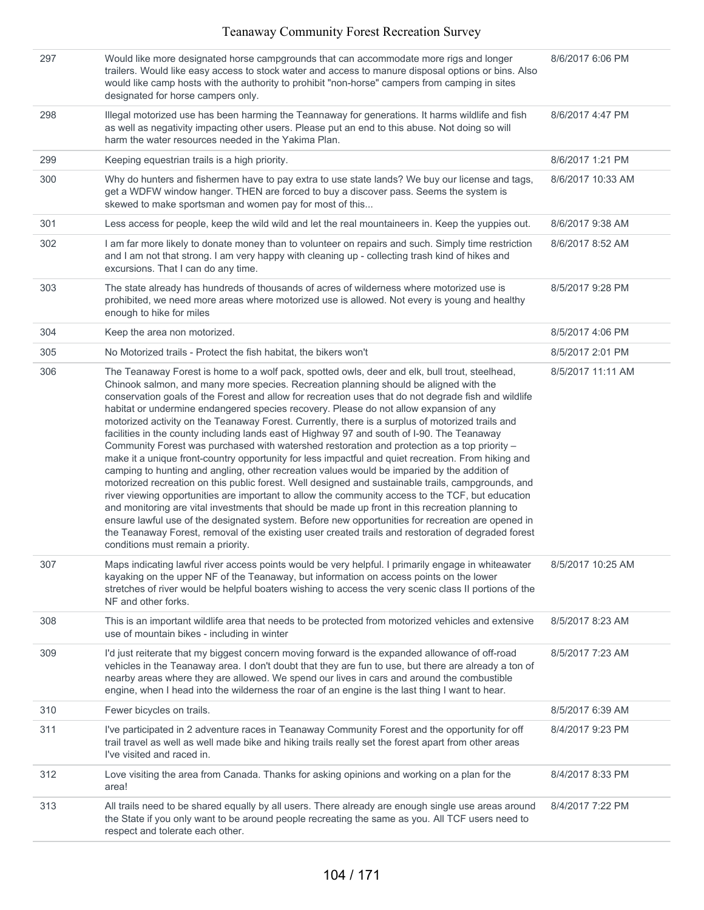| 297 | Would like more designated horse campgrounds that can accommodate more rigs and longer<br>trailers. Would like easy access to stock water and access to manure disposal options or bins. Also<br>would like camp hosts with the authority to prohibit "non-horse" campers from camping in sites<br>designated for horse campers only.                                                                                                                                                                                                                                                                                                                                                                                                                                                                                                                                                                                                                                                                                                                                                                                                                                                                                                                                                                                                                                                                                                                                | 8/6/2017 6:06 PM  |
|-----|----------------------------------------------------------------------------------------------------------------------------------------------------------------------------------------------------------------------------------------------------------------------------------------------------------------------------------------------------------------------------------------------------------------------------------------------------------------------------------------------------------------------------------------------------------------------------------------------------------------------------------------------------------------------------------------------------------------------------------------------------------------------------------------------------------------------------------------------------------------------------------------------------------------------------------------------------------------------------------------------------------------------------------------------------------------------------------------------------------------------------------------------------------------------------------------------------------------------------------------------------------------------------------------------------------------------------------------------------------------------------------------------------------------------------------------------------------------------|-------------------|
| 298 | Illegal motorized use has been harming the Teannaway for generations. It harms wildlife and fish<br>as well as negativity impacting other users. Please put an end to this abuse. Not doing so will<br>harm the water resources needed in the Yakima Plan.                                                                                                                                                                                                                                                                                                                                                                                                                                                                                                                                                                                                                                                                                                                                                                                                                                                                                                                                                                                                                                                                                                                                                                                                           | 8/6/2017 4:47 PM  |
| 299 | Keeping equestrian trails is a high priority.                                                                                                                                                                                                                                                                                                                                                                                                                                                                                                                                                                                                                                                                                                                                                                                                                                                                                                                                                                                                                                                                                                                                                                                                                                                                                                                                                                                                                        | 8/6/2017 1:21 PM  |
| 300 | Why do hunters and fishermen have to pay extra to use state lands? We buy our license and tags,<br>get a WDFW window hanger. THEN are forced to buy a discover pass. Seems the system is<br>skewed to make sportsman and women pay for most of this                                                                                                                                                                                                                                                                                                                                                                                                                                                                                                                                                                                                                                                                                                                                                                                                                                                                                                                                                                                                                                                                                                                                                                                                                  | 8/6/2017 10:33 AM |
| 301 | Less access for people, keep the wild wild and let the real mountaineers in. Keep the yuppies out.                                                                                                                                                                                                                                                                                                                                                                                                                                                                                                                                                                                                                                                                                                                                                                                                                                                                                                                                                                                                                                                                                                                                                                                                                                                                                                                                                                   | 8/6/2017 9:38 AM  |
| 302 | I am far more likely to donate money than to volunteer on repairs and such. Simply time restriction<br>and I am not that strong. I am very happy with cleaning up - collecting trash kind of hikes and<br>excursions. That I can do any time.                                                                                                                                                                                                                                                                                                                                                                                                                                                                                                                                                                                                                                                                                                                                                                                                                                                                                                                                                                                                                                                                                                                                                                                                                        | 8/6/2017 8:52 AM  |
| 303 | The state already has hundreds of thousands of acres of wilderness where motorized use is<br>prohibited, we need more areas where motorized use is allowed. Not every is young and healthy<br>enough to hike for miles                                                                                                                                                                                                                                                                                                                                                                                                                                                                                                                                                                                                                                                                                                                                                                                                                                                                                                                                                                                                                                                                                                                                                                                                                                               | 8/5/2017 9:28 PM  |
| 304 | Keep the area non motorized.                                                                                                                                                                                                                                                                                                                                                                                                                                                                                                                                                                                                                                                                                                                                                                                                                                                                                                                                                                                                                                                                                                                                                                                                                                                                                                                                                                                                                                         | 8/5/2017 4:06 PM  |
| 305 | No Motorized trails - Protect the fish habitat, the bikers won't                                                                                                                                                                                                                                                                                                                                                                                                                                                                                                                                                                                                                                                                                                                                                                                                                                                                                                                                                                                                                                                                                                                                                                                                                                                                                                                                                                                                     | 8/5/2017 2:01 PM  |
| 306 | The Teanaway Forest is home to a wolf pack, spotted owls, deer and elk, bull trout, steelhead,<br>Chinook salmon, and many more species. Recreation planning should be aligned with the<br>conservation goals of the Forest and allow for recreation uses that do not degrade fish and wildlife<br>habitat or undermine endangered species recovery. Please do not allow expansion of any<br>motorized activity on the Teanaway Forest. Currently, there is a surplus of motorized trails and<br>facilities in the county including lands east of Highway 97 and south of I-90. The Teanaway<br>Community Forest was purchased with watershed restoration and protection as a top priority -<br>make it a unique front-country opportunity for less impactful and quiet recreation. From hiking and<br>camping to hunting and angling, other recreation values would be imparied by the addition of<br>motorized recreation on this public forest. Well designed and sustainable trails, campgrounds, and<br>river viewing opportunities are important to allow the community access to the TCF, but education<br>and monitoring are vital investments that should be made up front in this recreation planning to<br>ensure lawful use of the designated system. Before new opportunities for recreation are opened in<br>the Teanaway Forest, removal of the existing user created trails and restoration of degraded forest<br>conditions must remain a priority. | 8/5/2017 11:11 AM |
| 307 | Maps indicating lawful river access points would be very helpful. I primarily engage in whiteawater<br>kayaking on the upper NF of the Teanaway, but information on access points on the lower<br>stretches of river would be helpful boaters wishing to access the very scenic class II portions of the<br>NF and other forks.                                                                                                                                                                                                                                                                                                                                                                                                                                                                                                                                                                                                                                                                                                                                                                                                                                                                                                                                                                                                                                                                                                                                      | 8/5/2017 10:25 AM |
| 308 | This is an important wildlife area that needs to be protected from motorized vehicles and extensive<br>use of mountain bikes - including in winter                                                                                                                                                                                                                                                                                                                                                                                                                                                                                                                                                                                                                                                                                                                                                                                                                                                                                                                                                                                                                                                                                                                                                                                                                                                                                                                   | 8/5/2017 8:23 AM  |
| 309 | I'd just reiterate that my biggest concern moving forward is the expanded allowance of off-road<br>vehicles in the Teanaway area. I don't doubt that they are fun to use, but there are already a ton of<br>nearby areas where they are allowed. We spend our lives in cars and around the combustible<br>engine, when I head into the wilderness the roar of an engine is the last thing I want to hear.                                                                                                                                                                                                                                                                                                                                                                                                                                                                                                                                                                                                                                                                                                                                                                                                                                                                                                                                                                                                                                                            | 8/5/2017 7:23 AM  |
| 310 | Fewer bicycles on trails.                                                                                                                                                                                                                                                                                                                                                                                                                                                                                                                                                                                                                                                                                                                                                                                                                                                                                                                                                                                                                                                                                                                                                                                                                                                                                                                                                                                                                                            | 8/5/2017 6:39 AM  |
| 311 | I've participated in 2 adventure races in Teanaway Community Forest and the opportunity for off<br>trail travel as well as well made bike and hiking trails really set the forest apart from other areas<br>I've visited and raced in.                                                                                                                                                                                                                                                                                                                                                                                                                                                                                                                                                                                                                                                                                                                                                                                                                                                                                                                                                                                                                                                                                                                                                                                                                               | 8/4/2017 9:23 PM  |
| 312 | Love visiting the area from Canada. Thanks for asking opinions and working on a plan for the<br>area!                                                                                                                                                                                                                                                                                                                                                                                                                                                                                                                                                                                                                                                                                                                                                                                                                                                                                                                                                                                                                                                                                                                                                                                                                                                                                                                                                                | 8/4/2017 8:33 PM  |
| 313 | All trails need to be shared equally by all users. There already are enough single use areas around<br>the State if you only want to be around people recreating the same as you. All TCF users need to<br>respect and tolerate each other.                                                                                                                                                                                                                                                                                                                                                                                                                                                                                                                                                                                                                                                                                                                                                                                                                                                                                                                                                                                                                                                                                                                                                                                                                          | 8/4/2017 7:22 PM  |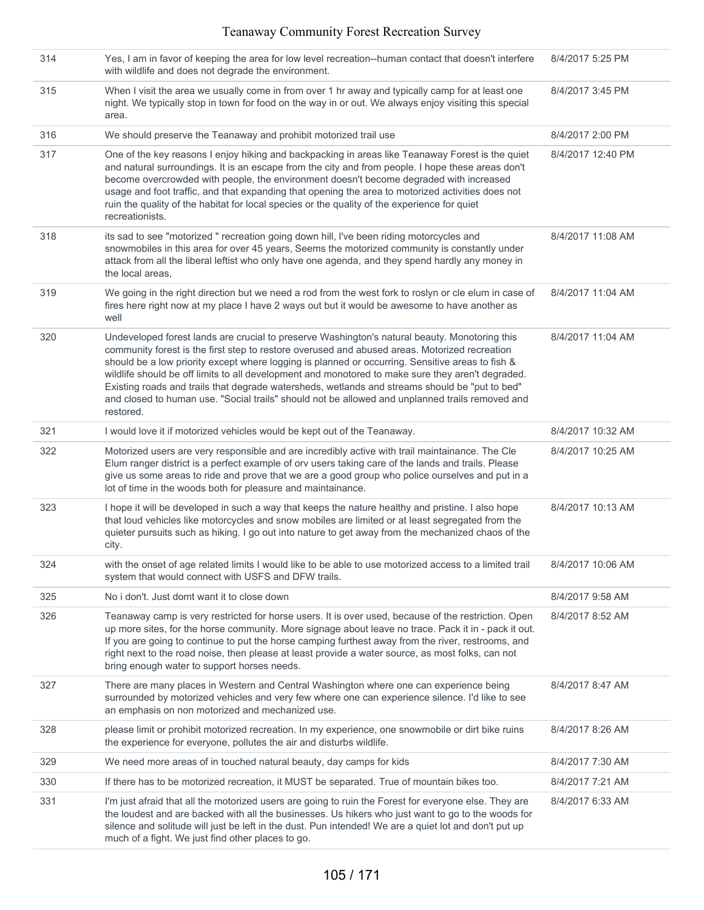| 314 | Yes, I am in favor of keeping the area for low level recreation--human contact that doesn't interfere<br>with wildlife and does not degrade the environment.                                                                                                                                                                                                                                                                                                                                                                                                                                                              | 8/4/2017 5:25 PM  |
|-----|---------------------------------------------------------------------------------------------------------------------------------------------------------------------------------------------------------------------------------------------------------------------------------------------------------------------------------------------------------------------------------------------------------------------------------------------------------------------------------------------------------------------------------------------------------------------------------------------------------------------------|-------------------|
| 315 | When I visit the area we usually come in from over 1 hr away and typically camp for at least one<br>night. We typically stop in town for food on the way in or out. We always enjoy visiting this special<br>area.                                                                                                                                                                                                                                                                                                                                                                                                        | 8/4/2017 3:45 PM  |
| 316 | We should preserve the Teanaway and prohibit motorized trail use                                                                                                                                                                                                                                                                                                                                                                                                                                                                                                                                                          | 8/4/2017 2:00 PM  |
| 317 | One of the key reasons I enjoy hiking and backpacking in areas like Teanaway Forest is the quiet<br>and natural surroundings. It is an escape from the city and from people. I hope these areas don't<br>become overcrowded with people, the environment doesn't become degraded with increased<br>usage and foot traffic, and that expanding that opening the area to motorized activities does not<br>ruin the quality of the habitat for local species or the quality of the experience for quiet<br>recreationists.                                                                                                   | 8/4/2017 12:40 PM |
| 318 | its sad to see "motorized " recreation going down hill, I've been riding motorcycles and<br>snowmobiles in this area for over 45 years, Seems the motorized community is constantly under<br>attack from all the liberal leftist who only have one agenda, and they spend hardly any money in<br>the local areas,                                                                                                                                                                                                                                                                                                         | 8/4/2017 11:08 AM |
| 319 | We going in the right direction but we need a rod from the west fork to roslyn or cle elum in case of<br>fires here right now at my place I have 2 ways out but it would be awesome to have another as<br>well                                                                                                                                                                                                                                                                                                                                                                                                            | 8/4/2017 11:04 AM |
| 320 | Undeveloped forest lands are crucial to preserve Washington's natural beauty. Monotoring this<br>community forest is the first step to restore overused and abused areas. Motorized recreation<br>should be a low priority except where logging is planned or occurring. Sensitive areas to fish &<br>wildlife should be off limits to all development and monotored to make sure they aren't degraded.<br>Existing roads and trails that degrade watersheds, wetlands and streams should be "put to bed"<br>and closed to human use. "Social trails" should not be allowed and unplanned trails removed and<br>restored. | 8/4/2017 11:04 AM |
| 321 | I would love it if motorized vehicles would be kept out of the Teanaway.                                                                                                                                                                                                                                                                                                                                                                                                                                                                                                                                                  | 8/4/2017 10:32 AM |
| 322 | Motorized users are very responsible and are incredibly active with trail maintainance. The Cle<br>Elum ranger district is a perfect example of orv users taking care of the lands and trails. Please<br>give us some areas to ride and prove that we are a good group who police ourselves and put in a<br>lot of time in the woods both for pleasure and maintainance.                                                                                                                                                                                                                                                  | 8/4/2017 10:25 AM |
| 323 | I hope it will be developed in such a way that keeps the nature healthy and pristine. I also hope<br>that loud vehicles like motorcycles and snow mobiles are limited or at least segregated from the<br>quieter pursuits such as hiking. I go out into nature to get away from the mechanized chaos of the<br>city.                                                                                                                                                                                                                                                                                                      | 8/4/2017 10:13 AM |
| 324 | with the onset of age related limits I would like to be able to use motorized access to a limited trail<br>system that would connect with USFS and DFW trails.                                                                                                                                                                                                                                                                                                                                                                                                                                                            | 8/4/2017 10:06 AM |
| 325 | No i don't. Just domt want it to close down                                                                                                                                                                                                                                                                                                                                                                                                                                                                                                                                                                               | 8/4/2017 9:58 AM  |
| 326 | Teanaway camp is very restricted for horse users. It is over used, because of the restriction. Open<br>up more sites, for the horse community. More signage about leave no trace. Pack it in - pack it out.<br>If you are going to continue to put the horse camping furthest away from the river, restrooms, and<br>right next to the road noise, then please at least provide a water source, as most folks, can not<br>bring enough water to support horses needs.                                                                                                                                                     | 8/4/2017 8:52 AM  |
| 327 | There are many places in Western and Central Washington where one can experience being<br>surrounded by motorized vehicles and very few where one can experience silence. I'd like to see<br>an emphasis on non motorized and mechanized use.                                                                                                                                                                                                                                                                                                                                                                             | 8/4/2017 8:47 AM  |
| 328 | please limit or prohibit motorized recreation. In my experience, one snowmobile or dirt bike ruins<br>the experience for everyone, pollutes the air and disturbs wildlife.                                                                                                                                                                                                                                                                                                                                                                                                                                                | 8/4/2017 8:26 AM  |
| 329 | We need more areas of in touched natural beauty, day camps for kids                                                                                                                                                                                                                                                                                                                                                                                                                                                                                                                                                       | 8/4/2017 7:30 AM  |
| 330 | If there has to be motorized recreation, it MUST be separated. True of mountain bikes too.                                                                                                                                                                                                                                                                                                                                                                                                                                                                                                                                | 8/4/2017 7:21 AM  |
| 331 | I'm just afraid that all the motorized users are going to ruin the Forest for everyone else. They are<br>the loudest and are backed with all the businesses. Us hikers who just want to go to the woods for<br>silence and solitude will just be left in the dust. Pun intended! We are a quiet lot and don't put up<br>much of a fight. We just find other places to go.                                                                                                                                                                                                                                                 | 8/4/2017 6:33 AM  |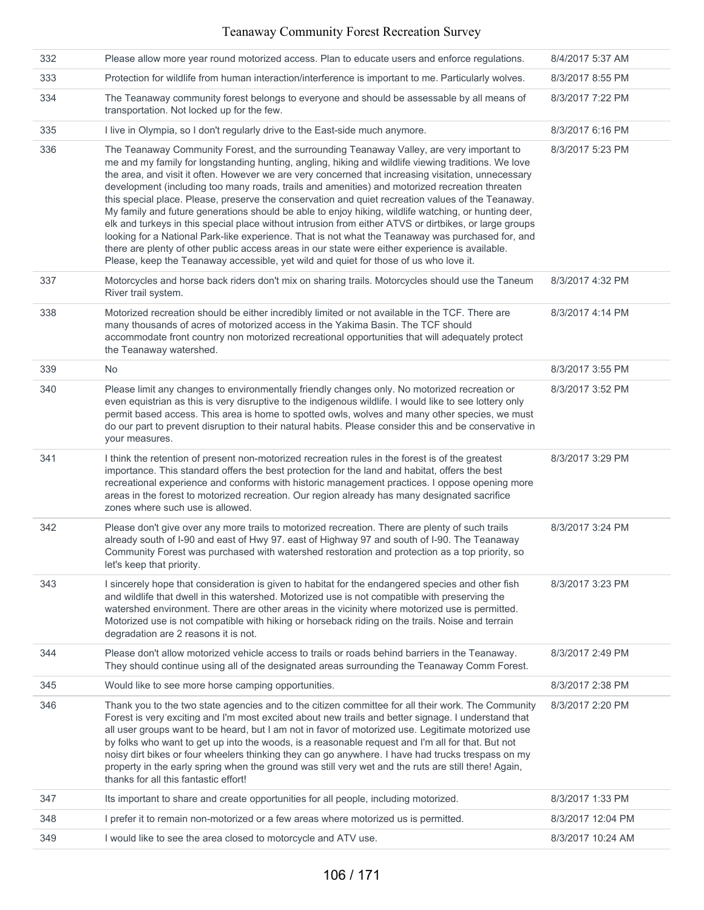| 332 | Please allow more year round motorized access. Plan to educate users and enforce regulations.                                                                                                                                                                                                                                                                                                                                                                                                                                                                                                                                                                                                                                                                                                                                                                                                                                                                                                                                      | 8/4/2017 5:37 AM  |
|-----|------------------------------------------------------------------------------------------------------------------------------------------------------------------------------------------------------------------------------------------------------------------------------------------------------------------------------------------------------------------------------------------------------------------------------------------------------------------------------------------------------------------------------------------------------------------------------------------------------------------------------------------------------------------------------------------------------------------------------------------------------------------------------------------------------------------------------------------------------------------------------------------------------------------------------------------------------------------------------------------------------------------------------------|-------------------|
| 333 | Protection for wildlife from human interaction/interference is important to me. Particularly wolves.                                                                                                                                                                                                                                                                                                                                                                                                                                                                                                                                                                                                                                                                                                                                                                                                                                                                                                                               | 8/3/2017 8:55 PM  |
| 334 | The Teanaway community forest belongs to everyone and should be assessable by all means of<br>transportation. Not locked up for the few.                                                                                                                                                                                                                                                                                                                                                                                                                                                                                                                                                                                                                                                                                                                                                                                                                                                                                           | 8/3/2017 7:22 PM  |
| 335 | I live in Olympia, so I don't regularly drive to the East-side much anymore.                                                                                                                                                                                                                                                                                                                                                                                                                                                                                                                                                                                                                                                                                                                                                                                                                                                                                                                                                       | 8/3/2017 6:16 PM  |
| 336 | The Teanaway Community Forest, and the surrounding Teanaway Valley, are very important to<br>me and my family for longstanding hunting, angling, hiking and wildlife viewing traditions. We love<br>the area, and visit it often. However we are very concerned that increasing visitation, unnecessary<br>development (including too many roads, trails and amenities) and motorized recreation threaten<br>this special place. Please, preserve the conservation and quiet recreation values of the Teanaway.<br>My family and future generations should be able to enjoy hiking, wildlife watching, or hunting deer,<br>elk and turkeys in this special place without intrusion from either ATVS or dirtbikes, or large groups<br>looking for a National Park-like experience. That is not what the Teanaway was purchased for, and<br>there are plenty of other public access areas in our state were either experience is available.<br>Please, keep the Teanaway accessible, yet wild and quiet for those of us who love it. | 8/3/2017 5:23 PM  |
| 337 | Motorcycles and horse back riders don't mix on sharing trails. Motorcycles should use the Taneum<br>River trail system.                                                                                                                                                                                                                                                                                                                                                                                                                                                                                                                                                                                                                                                                                                                                                                                                                                                                                                            | 8/3/2017 4:32 PM  |
| 338 | Motorized recreation should be either incredibly limited or not available in the TCF. There are<br>many thousands of acres of motorized access in the Yakima Basin. The TCF should<br>accommodate front country non motorized recreational opportunities that will adequately protect<br>the Teanaway watershed.                                                                                                                                                                                                                                                                                                                                                                                                                                                                                                                                                                                                                                                                                                                   | 8/3/2017 4:14 PM  |
| 339 | No                                                                                                                                                                                                                                                                                                                                                                                                                                                                                                                                                                                                                                                                                                                                                                                                                                                                                                                                                                                                                                 | 8/3/2017 3:55 PM  |
| 340 | Please limit any changes to environmentally friendly changes only. No motorized recreation or<br>even equistrian as this is very disruptive to the indigenous wildlife. I would like to see lottery only<br>permit based access. This area is home to spotted owls, wolves and many other species, we must<br>do our part to prevent disruption to their natural habits. Please consider this and be conservative in<br>your measures.                                                                                                                                                                                                                                                                                                                                                                                                                                                                                                                                                                                             | 8/3/2017 3:52 PM  |
| 341 | I think the retention of present non-motorized recreation rules in the forest is of the greatest<br>importance. This standard offers the best protection for the land and habitat, offers the best<br>recreational experience and conforms with historic management practices. I oppose opening more<br>areas in the forest to motorized recreation. Our region already has many designated sacrifice<br>zones where such use is allowed.                                                                                                                                                                                                                                                                                                                                                                                                                                                                                                                                                                                          | 8/3/2017 3:29 PM  |
| 342 | Please don't give over any more trails to motorized recreation. There are plenty of such trails<br>already south of I-90 and east of Hwy 97. east of Highway 97 and south of I-90. The Teanaway<br>Community Forest was purchased with watershed restoration and protection as a top priority, so<br>let's keep that priority.                                                                                                                                                                                                                                                                                                                                                                                                                                                                                                                                                                                                                                                                                                     | 8/3/2017 3:24 PM  |
| 343 | I sincerely hope that consideration is given to habitat for the endangered species and other fish<br>and wildlife that dwell in this watershed. Motorized use is not compatible with preserving the<br>watershed environment. There are other areas in the vicinity where motorized use is permitted.<br>Motorized use is not compatible with hiking or horseback riding on the trails. Noise and terrain<br>degradation are 2 reasons it is not.                                                                                                                                                                                                                                                                                                                                                                                                                                                                                                                                                                                  | 8/3/2017 3:23 PM  |
| 344 | Please don't allow motorized vehicle access to trails or roads behind barriers in the Teanaway.<br>They should continue using all of the designated areas surrounding the Teanaway Comm Forest.                                                                                                                                                                                                                                                                                                                                                                                                                                                                                                                                                                                                                                                                                                                                                                                                                                    | 8/3/2017 2:49 PM  |
| 345 | Would like to see more horse camping opportunities.                                                                                                                                                                                                                                                                                                                                                                                                                                                                                                                                                                                                                                                                                                                                                                                                                                                                                                                                                                                | 8/3/2017 2:38 PM  |
| 346 | Thank you to the two state agencies and to the citizen committee for all their work. The Community<br>Forest is very exciting and I'm most excited about new trails and better signage. I understand that<br>all user groups want to be heard, but I am not in favor of motorized use. Legitimate motorized use<br>by folks who want to get up into the woods, is a reasonable request and I'm all for that. But not<br>noisy dirt bikes or four wheelers thinking they can go anywhere. I have had trucks trespass on my<br>property in the early spring when the ground was still very wet and the ruts are still there! Again,<br>thanks for all this fantastic effort!                                                                                                                                                                                                                                                                                                                                                         | 8/3/2017 2:20 PM  |
| 347 | Its important to share and create opportunities for all people, including motorized.                                                                                                                                                                                                                                                                                                                                                                                                                                                                                                                                                                                                                                                                                                                                                                                                                                                                                                                                               | 8/3/2017 1:33 PM  |
| 348 | I prefer it to remain non-motorized or a few areas where motorized us is permitted.                                                                                                                                                                                                                                                                                                                                                                                                                                                                                                                                                                                                                                                                                                                                                                                                                                                                                                                                                | 8/3/2017 12:04 PM |
| 349 | I would like to see the area closed to motorcycle and ATV use.                                                                                                                                                                                                                                                                                                                                                                                                                                                                                                                                                                                                                                                                                                                                                                                                                                                                                                                                                                     | 8/3/2017 10:24 AM |
|     |                                                                                                                                                                                                                                                                                                                                                                                                                                                                                                                                                                                                                                                                                                                                                                                                                                                                                                                                                                                                                                    |                   |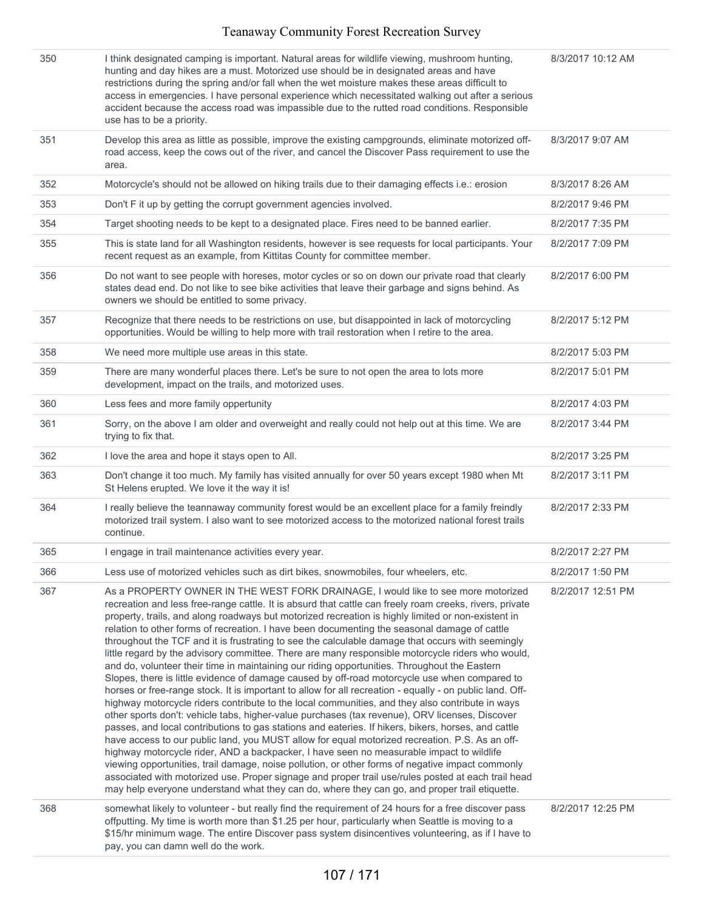| 350<br>351<br>352<br>353<br>354<br>355<br>356<br>357 | I think designated camping is important. Natural areas for wildlife viewing, mushroom hunting,<br>hunting and day hikes are a must. Motorized use should be in designated areas and have<br>restrictions during the spring and/or fall when the wet moisture makes these areas difficult to<br>access in emergencies. I have personal experience which necessitated walking out after a serious<br>accident because the access road was impassible due to the rutted road conditions. Responsible<br>use has to be a priority.<br>Develop this area as little as possible, improve the existing campgrounds, eliminate motorized off-<br>road access, keep the cows out of the river, and cancel the Discover Pass requirement to use the<br>area.<br>Motorcycle's should not be allowed on hiking trails due to their damaging effects i.e.: erosion<br>Don't F it up by getting the corrupt government agencies involved.<br>Target shooting needs to be kept to a designated place. Fires need to be banned earlier.<br>This is state land for all Washington residents, however is see requests for local participants. Your<br>recent request as an example, from Kittitas County for committee member.<br>Do not want to see people with horeses, motor cycles or so on down our private road that clearly<br>states dead end. Do not like to see bike activities that leave their garbage and signs behind. As<br>owners we should be entitled to some privacy.<br>Recognize that there needs to be restrictions on use, but disappointed in lack of motorcycling                                                                                                                                                                     | 8/3/2017 10:12 AM<br>8/3/2017 9:07 AM<br>8/3/2017 8:26 AM<br>8/2/2017 9:46 PM<br>8/2/2017 7:35 PM<br>8/2/2017 7:09 PM<br>8/2/2017 6:00 PM |
|------------------------------------------------------|----------------------------------------------------------------------------------------------------------------------------------------------------------------------------------------------------------------------------------------------------------------------------------------------------------------------------------------------------------------------------------------------------------------------------------------------------------------------------------------------------------------------------------------------------------------------------------------------------------------------------------------------------------------------------------------------------------------------------------------------------------------------------------------------------------------------------------------------------------------------------------------------------------------------------------------------------------------------------------------------------------------------------------------------------------------------------------------------------------------------------------------------------------------------------------------------------------------------------------------------------------------------------------------------------------------------------------------------------------------------------------------------------------------------------------------------------------------------------------------------------------------------------------------------------------------------------------------------------------------------------------------------------------------------------------------------------------------------------------------------|-------------------------------------------------------------------------------------------------------------------------------------------|
|                                                      |                                                                                                                                                                                                                                                                                                                                                                                                                                                                                                                                                                                                                                                                                                                                                                                                                                                                                                                                                                                                                                                                                                                                                                                                                                                                                                                                                                                                                                                                                                                                                                                                                                                                                                                                              |                                                                                                                                           |
|                                                      |                                                                                                                                                                                                                                                                                                                                                                                                                                                                                                                                                                                                                                                                                                                                                                                                                                                                                                                                                                                                                                                                                                                                                                                                                                                                                                                                                                                                                                                                                                                                                                                                                                                                                                                                              |                                                                                                                                           |
|                                                      |                                                                                                                                                                                                                                                                                                                                                                                                                                                                                                                                                                                                                                                                                                                                                                                                                                                                                                                                                                                                                                                                                                                                                                                                                                                                                                                                                                                                                                                                                                                                                                                                                                                                                                                                              |                                                                                                                                           |
|                                                      |                                                                                                                                                                                                                                                                                                                                                                                                                                                                                                                                                                                                                                                                                                                                                                                                                                                                                                                                                                                                                                                                                                                                                                                                                                                                                                                                                                                                                                                                                                                                                                                                                                                                                                                                              |                                                                                                                                           |
|                                                      |                                                                                                                                                                                                                                                                                                                                                                                                                                                                                                                                                                                                                                                                                                                                                                                                                                                                                                                                                                                                                                                                                                                                                                                                                                                                                                                                                                                                                                                                                                                                                                                                                                                                                                                                              |                                                                                                                                           |
|                                                      |                                                                                                                                                                                                                                                                                                                                                                                                                                                                                                                                                                                                                                                                                                                                                                                                                                                                                                                                                                                                                                                                                                                                                                                                                                                                                                                                                                                                                                                                                                                                                                                                                                                                                                                                              |                                                                                                                                           |
|                                                      |                                                                                                                                                                                                                                                                                                                                                                                                                                                                                                                                                                                                                                                                                                                                                                                                                                                                                                                                                                                                                                                                                                                                                                                                                                                                                                                                                                                                                                                                                                                                                                                                                                                                                                                                              |                                                                                                                                           |
|                                                      | opportunities. Would be willing to help more with trail restoration when I retire to the area.                                                                                                                                                                                                                                                                                                                                                                                                                                                                                                                                                                                                                                                                                                                                                                                                                                                                                                                                                                                                                                                                                                                                                                                                                                                                                                                                                                                                                                                                                                                                                                                                                                               | 8/2/2017 5:12 PM                                                                                                                          |
| 358                                                  | We need more multiple use areas in this state.                                                                                                                                                                                                                                                                                                                                                                                                                                                                                                                                                                                                                                                                                                                                                                                                                                                                                                                                                                                                                                                                                                                                                                                                                                                                                                                                                                                                                                                                                                                                                                                                                                                                                               | 8/2/2017 5:03 PM                                                                                                                          |
| 359                                                  | There are many wonderful places there. Let's be sure to not open the area to lots more<br>development, impact on the trails, and motorized uses.                                                                                                                                                                                                                                                                                                                                                                                                                                                                                                                                                                                                                                                                                                                                                                                                                                                                                                                                                                                                                                                                                                                                                                                                                                                                                                                                                                                                                                                                                                                                                                                             | 8/2/2017 5:01 PM                                                                                                                          |
| 360                                                  | Less fees and more family oppertunity                                                                                                                                                                                                                                                                                                                                                                                                                                                                                                                                                                                                                                                                                                                                                                                                                                                                                                                                                                                                                                                                                                                                                                                                                                                                                                                                                                                                                                                                                                                                                                                                                                                                                                        | 8/2/2017 4:03 PM                                                                                                                          |
| 361                                                  | Sorry, on the above I am older and overweight and really could not help out at this time. We are<br>trying to fix that.                                                                                                                                                                                                                                                                                                                                                                                                                                                                                                                                                                                                                                                                                                                                                                                                                                                                                                                                                                                                                                                                                                                                                                                                                                                                                                                                                                                                                                                                                                                                                                                                                      | 8/2/2017 3:44 PM                                                                                                                          |
| 362                                                  | I love the area and hope it stays open to All.                                                                                                                                                                                                                                                                                                                                                                                                                                                                                                                                                                                                                                                                                                                                                                                                                                                                                                                                                                                                                                                                                                                                                                                                                                                                                                                                                                                                                                                                                                                                                                                                                                                                                               | 8/2/2017 3:25 PM                                                                                                                          |
| 363                                                  | Don't change it too much. My family has visited annually for over 50 years except 1980 when Mt<br>St Helens erupted. We love it the way it is!                                                                                                                                                                                                                                                                                                                                                                                                                                                                                                                                                                                                                                                                                                                                                                                                                                                                                                                                                                                                                                                                                                                                                                                                                                                                                                                                                                                                                                                                                                                                                                                               | 8/2/2017 3:11 PM                                                                                                                          |
| 364                                                  | I really believe the teannaway community forest would be an excellent place for a family freindly<br>motorized trail system. I also want to see motorized access to the motorized national forest trails<br>continue.                                                                                                                                                                                                                                                                                                                                                                                                                                                                                                                                                                                                                                                                                                                                                                                                                                                                                                                                                                                                                                                                                                                                                                                                                                                                                                                                                                                                                                                                                                                        | 8/2/2017 2:33 PM                                                                                                                          |
| 365                                                  | I engage in trail maintenance activities every year.                                                                                                                                                                                                                                                                                                                                                                                                                                                                                                                                                                                                                                                                                                                                                                                                                                                                                                                                                                                                                                                                                                                                                                                                                                                                                                                                                                                                                                                                                                                                                                                                                                                                                         | 8/2/2017 2:27 PM                                                                                                                          |
| 366                                                  | Less use of motorized vehicles such as dirt bikes, snowmobiles, four wheelers, etc.                                                                                                                                                                                                                                                                                                                                                                                                                                                                                                                                                                                                                                                                                                                                                                                                                                                                                                                                                                                                                                                                                                                                                                                                                                                                                                                                                                                                                                                                                                                                                                                                                                                          | 8/2/2017 1:50 PM                                                                                                                          |
| 367                                                  | As a PROPERTY OWNER IN THE WEST FORK DRAINAGE, I would like to see more motorized<br>recreation and less free-range cattle. It is absurd that cattle can freely roam creeks, rivers, private<br>property, trails, and along roadways but motorized recreation is highly limited or non-existent in<br>relation to other forms of recreation. I have been documenting the seasonal damage of cattle<br>throughout the TCF and it is frustrating to see the calculable damage that occurs with seemingly<br>little regard by the advisory committee. There are many responsible motorcycle riders who would,<br>and do, volunteer their time in maintaining our riding opportunities. Throughout the Eastern<br>Slopes, there is little evidence of damage caused by off-road motorcycle use when compared to<br>horses or free-range stock. It is important to allow for all recreation - equally - on public land. Off-<br>highway motorcycle riders contribute to the local communities, and they also contribute in ways<br>other sports don't: vehicle tabs, higher-value purchases (tax revenue), ORV licenses, Discover<br>passes, and local contributions to gas stations and eateries. If hikers, bikers, horses, and cattle<br>have access to our public land, you MUST allow for equal motorized recreation. P.S. As an off-<br>highway motorcycle rider, AND a backpacker, I have seen no measurable impact to wildlife<br>viewing opportunities, trail damage, noise pollution, or other forms of negative impact commonly<br>associated with motorized use. Proper signage and proper trail use/rules posted at each trail head<br>may help everyone understand what they can do, where they can go, and proper trail etiquette. | 8/2/2017 12:51 PM                                                                                                                         |
| 368                                                  | somewhat likely to volunteer - but really find the requirement of 24 hours for a free discover pass<br>offputting. My time is worth more than \$1.25 per hour, particularly when Seattle is moving to a<br>\$15/hr minimum wage. The entire Discover pass system disincentives volunteering, as if I have to<br>pay, you can damn well do the work.                                                                                                                                                                                                                                                                                                                                                                                                                                                                                                                                                                                                                                                                                                                                                                                                                                                                                                                                                                                                                                                                                                                                                                                                                                                                                                                                                                                          | 8/2/2017 12:25 PM                                                                                                                         |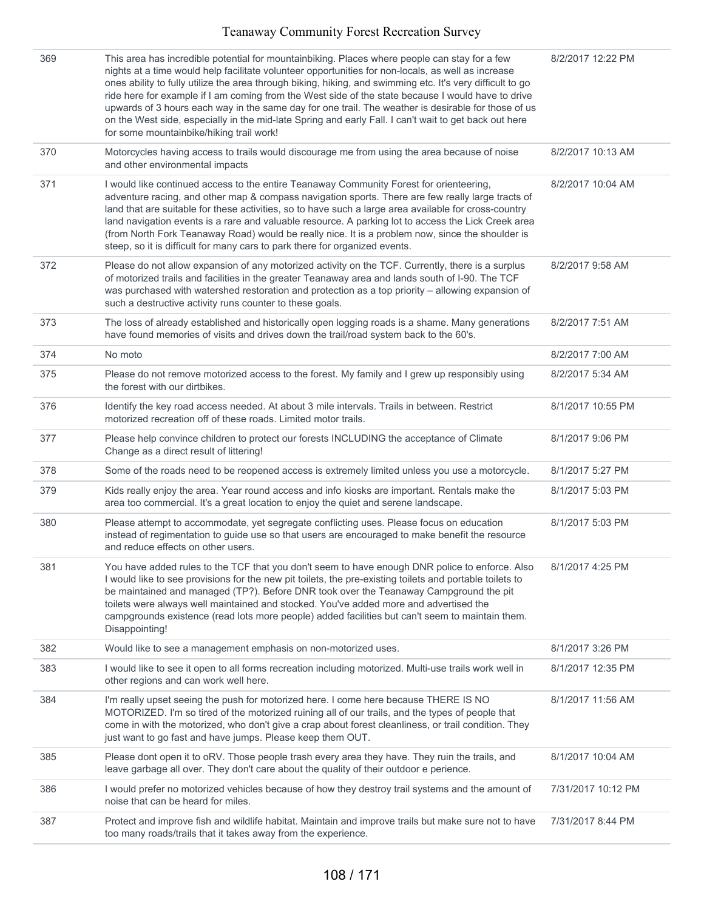| 369 | This area has incredible potential for mountainbiking. Places where people can stay for a few<br>nights at a time would help facilitate volunteer opportunities for non-locals, as well as increase<br>ones ability to fully utilize the area through biking, hiking, and swimming etc. It's very difficult to go<br>ride here for example if I am coming from the West side of the state because I would have to drive<br>upwards of 3 hours each way in the same day for one trail. The weather is desirable for those of us<br>on the West side, especially in the mid-late Spring and early Fall. I can't wait to get back out here<br>for some mountainbike/hiking trail work! | 8/2/2017 12:22 PM  |
|-----|-------------------------------------------------------------------------------------------------------------------------------------------------------------------------------------------------------------------------------------------------------------------------------------------------------------------------------------------------------------------------------------------------------------------------------------------------------------------------------------------------------------------------------------------------------------------------------------------------------------------------------------------------------------------------------------|--------------------|
| 370 | Motorcycles having access to trails would discourage me from using the area because of noise<br>and other environmental impacts                                                                                                                                                                                                                                                                                                                                                                                                                                                                                                                                                     | 8/2/2017 10:13 AM  |
| 371 | I would like continued access to the entire Teanaway Community Forest for orienteering,<br>adventure racing, and other map & compass navigation sports. There are few really large tracts of<br>land that are suitable for these activities, so to have such a large area available for cross-country<br>land navigation events is a rare and valuable resource. A parking lot to access the Lick Creek area<br>(from North Fork Teanaway Road) would be really nice. It is a problem now, since the shoulder is<br>steep, so it is difficult for many cars to park there for organized events.                                                                                     | 8/2/2017 10:04 AM  |
| 372 | Please do not allow expansion of any motorized activity on the TCF. Currently, there is a surplus<br>of motorized trails and facilities in the greater Teanaway area and lands south of I-90. The TCF<br>was purchased with watershed restoration and protection as a top priority - allowing expansion of<br>such a destructive activity runs counter to these goals.                                                                                                                                                                                                                                                                                                              | 8/2/2017 9:58 AM   |
| 373 | The loss of already established and historically open logging roads is a shame. Many generations<br>have found memories of visits and drives down the trail/road system back to the 60's.                                                                                                                                                                                                                                                                                                                                                                                                                                                                                           | 8/2/2017 7:51 AM   |
| 374 | No moto                                                                                                                                                                                                                                                                                                                                                                                                                                                                                                                                                                                                                                                                             | 8/2/2017 7:00 AM   |
| 375 | Please do not remove motorized access to the forest. My family and I grew up responsibly using<br>the forest with our dirtbikes.                                                                                                                                                                                                                                                                                                                                                                                                                                                                                                                                                    | 8/2/2017 5:34 AM   |
| 376 | Identify the key road access needed. At about 3 mile intervals. Trails in between. Restrict<br>motorized recreation off of these roads. Limited motor trails.                                                                                                                                                                                                                                                                                                                                                                                                                                                                                                                       | 8/1/2017 10:55 PM  |
| 377 | Please help convince children to protect our forests INCLUDING the acceptance of Climate<br>Change as a direct result of littering!                                                                                                                                                                                                                                                                                                                                                                                                                                                                                                                                                 | 8/1/2017 9:06 PM   |
| 378 | Some of the roads need to be reopened access is extremely limited unless you use a motorcycle.                                                                                                                                                                                                                                                                                                                                                                                                                                                                                                                                                                                      | 8/1/2017 5:27 PM   |
| 379 | Kids really enjoy the area. Year round access and info kiosks are important. Rentals make the<br>area too commercial. It's a great location to enjoy the quiet and serene landscape.                                                                                                                                                                                                                                                                                                                                                                                                                                                                                                | 8/1/2017 5:03 PM   |
| 380 | Please attempt to accommodate, yet segregate conflicting uses. Please focus on education<br>instead of regimentation to guide use so that users are encouraged to make benefit the resource<br>and reduce effects on other users.                                                                                                                                                                                                                                                                                                                                                                                                                                                   | 8/1/2017 5:03 PM   |
| 381 | You have added rules to the TCF that you don't seem to have enough DNR police to enforce. Also<br>I would like to see provisions for the new pit toilets, the pre-existing toilets and portable toilets to<br>be maintained and managed (TP?). Before DNR took over the Teanaway Campground the pit<br>toilets were always well maintained and stocked. You've added more and advertised the<br>campgrounds existence (read lots more people) added facilities but can't seem to maintain them.<br>Disappointing!                                                                                                                                                                   | 8/1/2017 4:25 PM   |
| 382 | Would like to see a management emphasis on non-motorized uses.                                                                                                                                                                                                                                                                                                                                                                                                                                                                                                                                                                                                                      | 8/1/2017 3:26 PM   |
| 383 | I would like to see it open to all forms recreation including motorized. Multi-use trails work well in<br>other regions and can work well here.                                                                                                                                                                                                                                                                                                                                                                                                                                                                                                                                     | 8/1/2017 12:35 PM  |
| 384 | I'm really upset seeing the push for motorized here. I come here because THERE IS NO<br>MOTORIZED. I'm so tired of the motorized ruining all of our trails, and the types of people that<br>come in with the motorized, who don't give a crap about forest cleanliness, or trail condition. They<br>just want to go fast and have jumps. Please keep them OUT.                                                                                                                                                                                                                                                                                                                      | 8/1/2017 11:56 AM  |
| 385 | Please dont open it to oRV. Those people trash every area they have. They ruin the trails, and<br>leave garbage all over. They don't care about the quality of their outdoor e perience.                                                                                                                                                                                                                                                                                                                                                                                                                                                                                            | 8/1/2017 10:04 AM  |
| 386 | I would prefer no motorized vehicles because of how they destroy trail systems and the amount of<br>noise that can be heard for miles.                                                                                                                                                                                                                                                                                                                                                                                                                                                                                                                                              | 7/31/2017 10:12 PM |
| 387 | Protect and improve fish and wildlife habitat. Maintain and improve trails but make sure not to have<br>too many roads/trails that it takes away from the experience.                                                                                                                                                                                                                                                                                                                                                                                                                                                                                                               | 7/31/2017 8:44 PM  |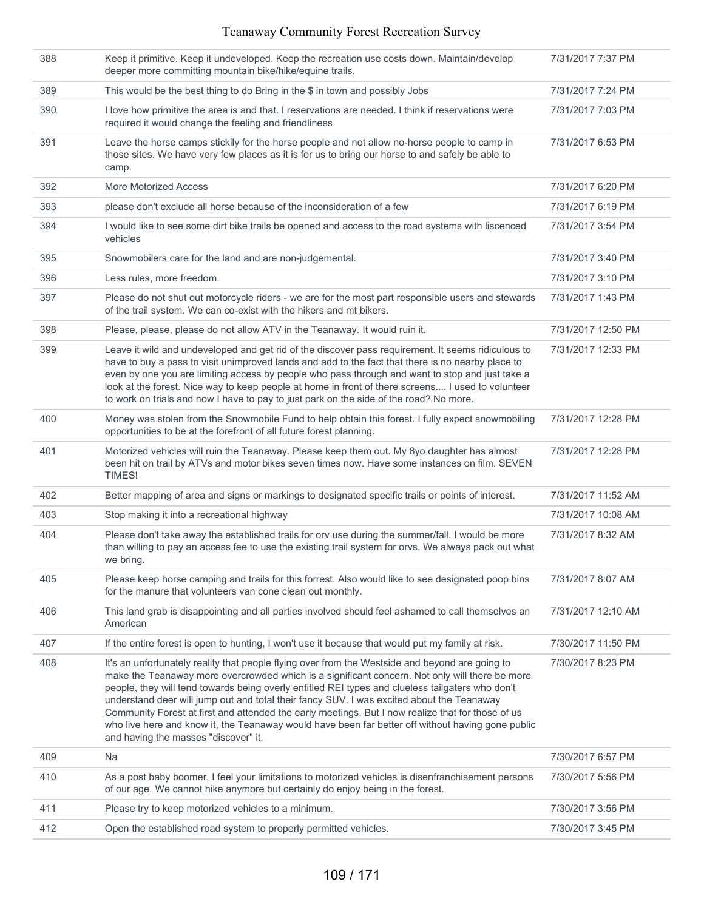| 388 | Keep it primitive. Keep it undeveloped. Keep the recreation use costs down. Maintain/develop<br>deeper more committing mountain bike/hike/equine trails.                                                                                                                                                                                                                                                                                                                                                                                                                                                                                             | 7/31/2017 7:37 PM  |
|-----|------------------------------------------------------------------------------------------------------------------------------------------------------------------------------------------------------------------------------------------------------------------------------------------------------------------------------------------------------------------------------------------------------------------------------------------------------------------------------------------------------------------------------------------------------------------------------------------------------------------------------------------------------|--------------------|
| 389 | This would be the best thing to do Bring in the \$ in town and possibly Jobs                                                                                                                                                                                                                                                                                                                                                                                                                                                                                                                                                                         | 7/31/2017 7:24 PM  |
| 390 | I love how primitive the area is and that. I reservations are needed. I think if reservations were<br>required it would change the feeling and friendliness                                                                                                                                                                                                                                                                                                                                                                                                                                                                                          | 7/31/2017 7:03 PM  |
| 391 | Leave the horse camps stickily for the horse people and not allow no-horse people to camp in<br>those sites. We have very few places as it is for us to bring our horse to and safely be able to<br>camp.                                                                                                                                                                                                                                                                                                                                                                                                                                            | 7/31/2017 6:53 PM  |
| 392 | More Motorized Access                                                                                                                                                                                                                                                                                                                                                                                                                                                                                                                                                                                                                                | 7/31/2017 6:20 PM  |
| 393 | please don't exclude all horse because of the inconsideration of a few                                                                                                                                                                                                                                                                                                                                                                                                                                                                                                                                                                               | 7/31/2017 6:19 PM  |
| 394 | I would like to see some dirt bike trails be opened and access to the road systems with liscenced<br>vehicles                                                                                                                                                                                                                                                                                                                                                                                                                                                                                                                                        | 7/31/2017 3:54 PM  |
| 395 | Snowmobilers care for the land and are non-judgemental.                                                                                                                                                                                                                                                                                                                                                                                                                                                                                                                                                                                              | 7/31/2017 3:40 PM  |
| 396 | Less rules, more freedom.                                                                                                                                                                                                                                                                                                                                                                                                                                                                                                                                                                                                                            | 7/31/2017 3:10 PM  |
| 397 | Please do not shut out motorcycle riders - we are for the most part responsible users and stewards<br>of the trail system. We can co-exist with the hikers and mt bikers.                                                                                                                                                                                                                                                                                                                                                                                                                                                                            | 7/31/2017 1:43 PM  |
| 398 | Please, please, please do not allow ATV in the Teanaway. It would ruin it.                                                                                                                                                                                                                                                                                                                                                                                                                                                                                                                                                                           | 7/31/2017 12:50 PM |
| 399 | Leave it wild and undeveloped and get rid of the discover pass requirement. It seems ridiculous to<br>have to buy a pass to visit unimproved lands and add to the fact that there is no nearby place to<br>even by one you are limiting access by people who pass through and want to stop and just take a<br>look at the forest. Nice way to keep people at home in front of there screens I used to volunteer<br>to work on trials and now I have to pay to just park on the side of the road? No more.                                                                                                                                            | 7/31/2017 12:33 PM |
| 400 | Money was stolen from the Snowmobile Fund to help obtain this forest. I fully expect snowmobiling<br>opportunities to be at the forefront of all future forest planning.                                                                                                                                                                                                                                                                                                                                                                                                                                                                             | 7/31/2017 12:28 PM |
| 401 | Motorized vehicles will ruin the Teanaway. Please keep them out. My 8yo daughter has almost<br>been hit on trail by ATVs and motor bikes seven times now. Have some instances on film. SEVEN<br>TIMES!                                                                                                                                                                                                                                                                                                                                                                                                                                               | 7/31/2017 12:28 PM |
| 402 | Better mapping of area and signs or markings to designated specific trails or points of interest.                                                                                                                                                                                                                                                                                                                                                                                                                                                                                                                                                    | 7/31/2017 11:52 AM |
| 403 | Stop making it into a recreational highway                                                                                                                                                                                                                                                                                                                                                                                                                                                                                                                                                                                                           | 7/31/2017 10:08 AM |
| 404 | Please don't take away the established trails for orv use during the summer/fall. I would be more<br>than willing to pay an access fee to use the existing trail system for orvs. We always pack out what<br>we bring.                                                                                                                                                                                                                                                                                                                                                                                                                               | 7/31/2017 8:32 AM  |
| 405 | Please keep horse camping and trails for this forrest. Also would like to see designated poop bins<br>for the manure that volunteers van cone clean out monthly.                                                                                                                                                                                                                                                                                                                                                                                                                                                                                     | 7/31/2017 8:07 AM  |
| 406 | This land grab is disappointing and all parties involved should feel ashamed to call themselves an<br>American                                                                                                                                                                                                                                                                                                                                                                                                                                                                                                                                       | 7/31/2017 12:10 AM |
| 407 | If the entire forest is open to hunting, I won't use it because that would put my family at risk.                                                                                                                                                                                                                                                                                                                                                                                                                                                                                                                                                    | 7/30/2017 11:50 PM |
| 408 | It's an unfortunately reality that people flying over from the Westside and beyond are going to<br>make the Teanaway more overcrowded which is a significant concern. Not only will there be more<br>people, they will tend towards being overly entitled REI types and clueless tailgaters who don't<br>understand deer will jump out and total their fancy SUV. I was excited about the Teanaway<br>Community Forest at first and attended the early meetings. But I now realize that for those of us<br>who live here and know it, the Teanaway would have been far better off without having gone public<br>and having the masses "discover" it. | 7/30/2017 8:23 PM  |
| 409 | Na                                                                                                                                                                                                                                                                                                                                                                                                                                                                                                                                                                                                                                                   | 7/30/2017 6:57 PM  |
| 410 | As a post baby boomer, I feel your limitations to motorized vehicles is disenfranchisement persons<br>of our age. We cannot hike anymore but certainly do enjoy being in the forest.                                                                                                                                                                                                                                                                                                                                                                                                                                                                 | 7/30/2017 5:56 PM  |
| 411 | Please try to keep motorized vehicles to a minimum.                                                                                                                                                                                                                                                                                                                                                                                                                                                                                                                                                                                                  | 7/30/2017 3:56 PM  |
| 412 | Open the established road system to properly permitted vehicles.                                                                                                                                                                                                                                                                                                                                                                                                                                                                                                                                                                                     | 7/30/2017 3:45 PM  |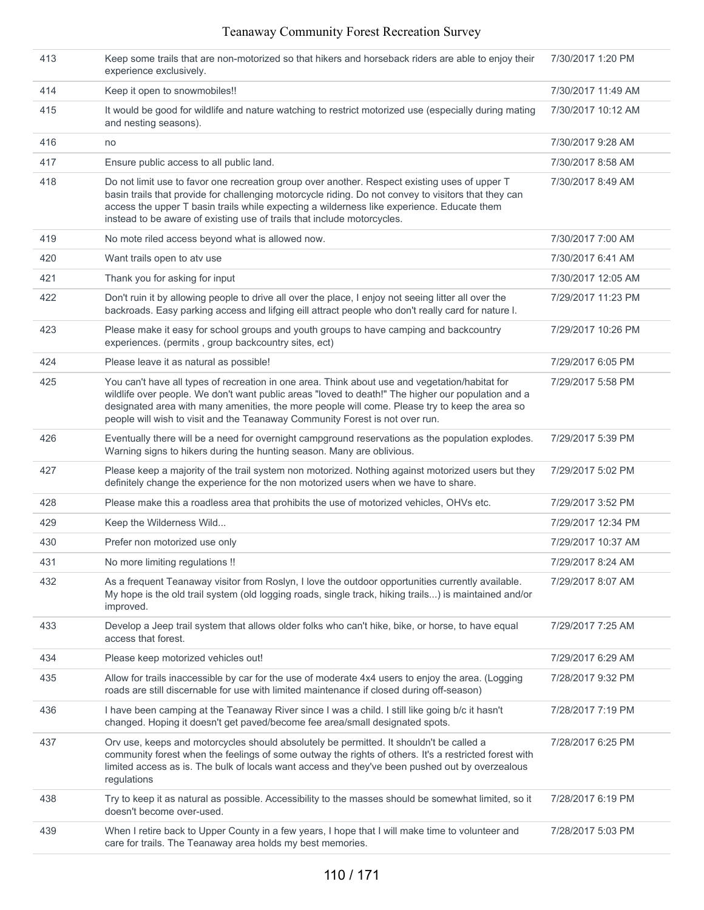| 413 | Keep some trails that are non-motorized so that hikers and horseback riders are able to enjoy their<br>experience exclusively.                                                                                                                                                                                                                                                         | 7/30/2017 1:20 PM  |
|-----|----------------------------------------------------------------------------------------------------------------------------------------------------------------------------------------------------------------------------------------------------------------------------------------------------------------------------------------------------------------------------------------|--------------------|
| 414 | Keep it open to snowmobiles!!                                                                                                                                                                                                                                                                                                                                                          | 7/30/2017 11:49 AM |
| 415 | It would be good for wildlife and nature watching to restrict motorized use (especially during mating<br>and nesting seasons).                                                                                                                                                                                                                                                         | 7/30/2017 10:12 AM |
| 416 | no                                                                                                                                                                                                                                                                                                                                                                                     | 7/30/2017 9:28 AM  |
| 417 | Ensure public access to all public land.                                                                                                                                                                                                                                                                                                                                               | 7/30/2017 8:58 AM  |
| 418 | Do not limit use to favor one recreation group over another. Respect existing uses of upper T<br>basin trails that provide for challenging motorcycle riding. Do not convey to visitors that they can<br>access the upper T basin trails while expecting a wilderness like experience. Educate them<br>instead to be aware of existing use of trails that include motorcycles.         | 7/30/2017 8:49 AM  |
| 419 | No mote riled access beyond what is allowed now.                                                                                                                                                                                                                                                                                                                                       | 7/30/2017 7:00 AM  |
| 420 | Want trails open to atv use                                                                                                                                                                                                                                                                                                                                                            | 7/30/2017 6:41 AM  |
| 421 | Thank you for asking for input                                                                                                                                                                                                                                                                                                                                                         | 7/30/2017 12:05 AM |
| 422 | Don't ruin it by allowing people to drive all over the place, I enjoy not seeing litter all over the<br>backroads. Easy parking access and lifging eill attract people who don't really card for nature I.                                                                                                                                                                             | 7/29/2017 11:23 PM |
| 423 | Please make it easy for school groups and youth groups to have camping and backcountry<br>experiences. (permits, group backcountry sites, ect)                                                                                                                                                                                                                                         | 7/29/2017 10:26 PM |
| 424 | Please leave it as natural as possible!                                                                                                                                                                                                                                                                                                                                                | 7/29/2017 6:05 PM  |
| 425 | You can't have all types of recreation in one area. Think about use and vegetation/habitat for<br>wildlife over people. We don't want public areas "loved to death!" The higher our population and a<br>designated area with many amenities, the more people will come. Please try to keep the area so<br>people will wish to visit and the Teanaway Community Forest is not over run. | 7/29/2017 5:58 PM  |
| 426 | Eventually there will be a need for overnight campground reservations as the population explodes.<br>Warning signs to hikers during the hunting season. Many are oblivious.                                                                                                                                                                                                            | 7/29/2017 5:39 PM  |
| 427 | Please keep a majority of the trail system non motorized. Nothing against motorized users but they<br>definitely change the experience for the non motorized users when we have to share.                                                                                                                                                                                              | 7/29/2017 5:02 PM  |
| 428 | Please make this a roadless area that prohibits the use of motorized vehicles, OHVs etc.                                                                                                                                                                                                                                                                                               | 7/29/2017 3:52 PM  |
| 429 | Keep the Wilderness Wild                                                                                                                                                                                                                                                                                                                                                               | 7/29/2017 12:34 PM |
| 430 | Prefer non motorized use only                                                                                                                                                                                                                                                                                                                                                          | 7/29/2017 10:37 AM |
| 431 | No more limiting regulations !!                                                                                                                                                                                                                                                                                                                                                        | 7/29/2017 8:24 AM  |
| 432 | As a frequent Teanaway visitor from Roslyn, I love the outdoor opportunities currently available.<br>My hope is the old trail system (old logging roads, single track, hiking trails) is maintained and/or<br>improved.                                                                                                                                                                | 7/29/2017 8:07 AM  |
| 433 | Develop a Jeep trail system that allows older folks who can't hike, bike, or horse, to have equal<br>access that forest.                                                                                                                                                                                                                                                               | 7/29/2017 7:25 AM  |
| 434 | Please keep motorized vehicles out!                                                                                                                                                                                                                                                                                                                                                    | 7/29/2017 6:29 AM  |
| 435 | Allow for trails inaccessible by car for the use of moderate 4x4 users to enjoy the area. (Logging<br>roads are still discernable for use with limited maintenance if closed during off-season)                                                                                                                                                                                        | 7/28/2017 9:32 PM  |
| 436 | I have been camping at the Teanaway River since I was a child. I still like going b/c it hasn't<br>changed. Hoping it doesn't get paved/become fee area/small designated spots.                                                                                                                                                                                                        | 7/28/2017 7:19 PM  |
| 437 | Orv use, keeps and motorcycles should absolutely be permitted. It shouldn't be called a<br>community forest when the feelings of some outway the rights of others. It's a restricted forest with<br>limited access as is. The bulk of locals want access and they've been pushed out by overzealous<br>regulations                                                                     | 7/28/2017 6:25 PM  |
| 438 | Try to keep it as natural as possible. Accessibility to the masses should be somewhat limited, so it<br>doesn't become over-used.                                                                                                                                                                                                                                                      | 7/28/2017 6:19 PM  |
| 439 | When I retire back to Upper County in a few years, I hope that I will make time to volunteer and<br>care for trails. The Teanaway area holds my best memories.                                                                                                                                                                                                                         | 7/28/2017 5:03 PM  |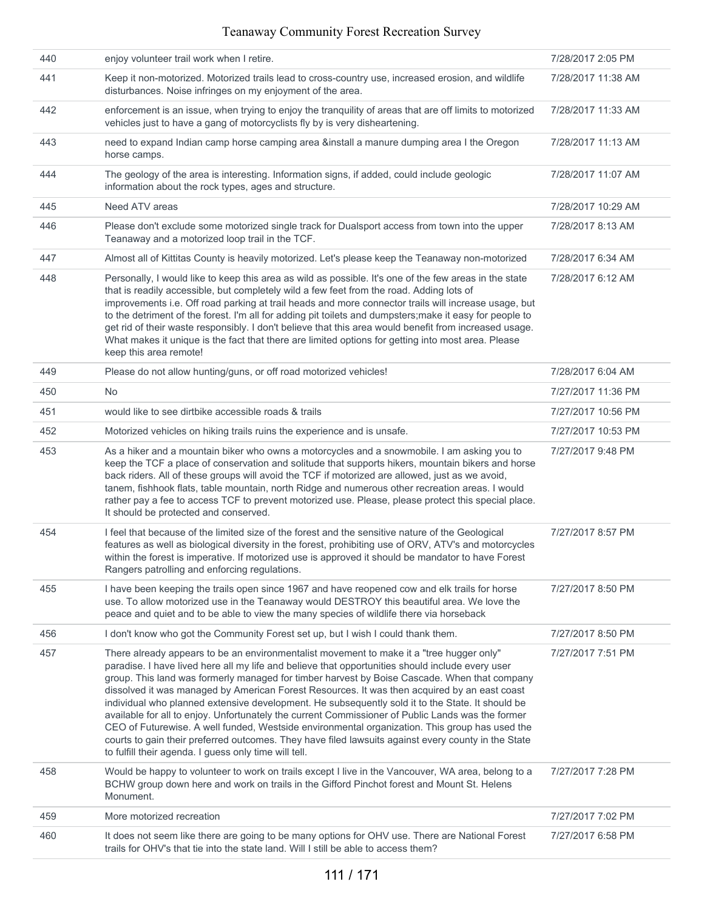| 440 | enjoy volunteer trail work when I retire.                                                                                                                                                                                                                                                                                                                                                                                                                                                                                                                                                                                                                                                                                                                                                                                                                               | 7/28/2017 2:05 PM  |
|-----|-------------------------------------------------------------------------------------------------------------------------------------------------------------------------------------------------------------------------------------------------------------------------------------------------------------------------------------------------------------------------------------------------------------------------------------------------------------------------------------------------------------------------------------------------------------------------------------------------------------------------------------------------------------------------------------------------------------------------------------------------------------------------------------------------------------------------------------------------------------------------|--------------------|
| 441 | Keep it non-motorized. Motorized trails lead to cross-country use, increased erosion, and wildlife<br>disturbances. Noise infringes on my enjoyment of the area.                                                                                                                                                                                                                                                                                                                                                                                                                                                                                                                                                                                                                                                                                                        | 7/28/2017 11:38 AM |
| 442 | enforcement is an issue, when trying to enjoy the tranquility of areas that are off limits to motorized<br>vehicles just to have a gang of motorcyclists fly by is very disheartening.                                                                                                                                                                                                                                                                                                                                                                                                                                                                                                                                                                                                                                                                                  | 7/28/2017 11:33 AM |
| 443 | need to expand Indian camp horse camping area &install a manure dumping area I the Oregon<br>horse camps.                                                                                                                                                                                                                                                                                                                                                                                                                                                                                                                                                                                                                                                                                                                                                               | 7/28/2017 11:13 AM |
| 444 | The geology of the area is interesting. Information signs, if added, could include geologic<br>information about the rock types, ages and structure.                                                                                                                                                                                                                                                                                                                                                                                                                                                                                                                                                                                                                                                                                                                    | 7/28/2017 11:07 AM |
| 445 | Need ATV areas                                                                                                                                                                                                                                                                                                                                                                                                                                                                                                                                                                                                                                                                                                                                                                                                                                                          | 7/28/2017 10:29 AM |
| 446 | Please don't exclude some motorized single track for Dualsport access from town into the upper<br>Teanaway and a motorized loop trail in the TCF.                                                                                                                                                                                                                                                                                                                                                                                                                                                                                                                                                                                                                                                                                                                       | 7/28/2017 8:13 AM  |
| 447 | Almost all of Kittitas County is heavily motorized. Let's please keep the Teanaway non-motorized                                                                                                                                                                                                                                                                                                                                                                                                                                                                                                                                                                                                                                                                                                                                                                        | 7/28/2017 6:34 AM  |
| 448 | Personally, I would like to keep this area as wild as possible. It's one of the few areas in the state<br>that is readily accessible, but completely wild a few feet from the road. Adding lots of<br>improvements i.e. Off road parking at trail heads and more connector trails will increase usage, but<br>to the detriment of the forest. I'm all for adding pit toilets and dumpsters; make it easy for people to<br>get rid of their waste responsibly. I don't believe that this area would benefit from increased usage.<br>What makes it unique is the fact that there are limited options for getting into most area. Please<br>keep this area remote!                                                                                                                                                                                                        | 7/28/2017 6:12 AM  |
| 449 | Please do not allow hunting/guns, or off road motorized vehicles!                                                                                                                                                                                                                                                                                                                                                                                                                                                                                                                                                                                                                                                                                                                                                                                                       | 7/28/2017 6:04 AM  |
| 450 | <b>No</b>                                                                                                                                                                                                                                                                                                                                                                                                                                                                                                                                                                                                                                                                                                                                                                                                                                                               | 7/27/2017 11:36 PM |
| 451 | would like to see dirtbike accessible roads & trails                                                                                                                                                                                                                                                                                                                                                                                                                                                                                                                                                                                                                                                                                                                                                                                                                    | 7/27/2017 10:56 PM |
| 452 | Motorized vehicles on hiking trails ruins the experience and is unsafe.                                                                                                                                                                                                                                                                                                                                                                                                                                                                                                                                                                                                                                                                                                                                                                                                 | 7/27/2017 10:53 PM |
| 453 | As a hiker and a mountain biker who owns a motorcycles and a snowmobile. I am asking you to<br>keep the TCF a place of conservation and solitude that supports hikers, mountain bikers and horse<br>back riders. All of these groups will avoid the TCF if motorized are allowed, just as we avoid,<br>tanem, fishhook flats, table mountain, north Ridge and numerous other recreation areas. I would<br>rather pay a fee to access TCF to prevent motorized use. Please, please protect this special place.<br>It should be protected and conserved.                                                                                                                                                                                                                                                                                                                  | 7/27/2017 9:48 PM  |
| 454 | I feel that because of the limited size of the forest and the sensitive nature of the Geological<br>features as well as biological diversity in the forest, prohibiting use of ORV, ATV's and motorcycles<br>within the forest is imperative. If motorized use is approved it should be mandator to have Forest<br>Rangers patrolling and enforcing regulations.                                                                                                                                                                                                                                                                                                                                                                                                                                                                                                        | 7/27/2017 8:57 PM  |
| 455 | I have been keeping the trails open since 1967 and have reopened cow and elk trails for horse<br>use. To allow motorized use in the Teanaway would DESTROY this beautiful area. We love the<br>peace and quiet and to be able to view the many species of wildlife there via horseback                                                                                                                                                                                                                                                                                                                                                                                                                                                                                                                                                                                  | 7/27/2017 8:50 PM  |
| 456 | I don't know who got the Community Forest set up, but I wish I could thank them.                                                                                                                                                                                                                                                                                                                                                                                                                                                                                                                                                                                                                                                                                                                                                                                        | 7/27/2017 8:50 PM  |
| 457 | There already appears to be an environmentalist movement to make it a "tree hugger only"<br>paradise. I have lived here all my life and believe that opportunities should include every user<br>group. This land was formerly managed for timber harvest by Boise Cascade. When that company<br>dissolved it was managed by American Forest Resources. It was then acquired by an east coast<br>individual who planned extensive development. He subsequently sold it to the State. It should be<br>available for all to enjoy. Unfortunately the current Commissioner of Public Lands was the former<br>CEO of Futurewise. A well funded, Westside environmental organization. This group has used the<br>courts to gain their preferred outcomes. They have filed lawsuits against every county in the State<br>to fulfill their agenda. I guess only time will tell. | 7/27/2017 7:51 PM  |
| 458 | Would be happy to volunteer to work on trails except I live in the Vancouver, WA area, belong to a<br>BCHW group down here and work on trails in the Gifford Pinchot forest and Mount St. Helens<br>Monument.                                                                                                                                                                                                                                                                                                                                                                                                                                                                                                                                                                                                                                                           | 7/27/2017 7:28 PM  |
| 459 | More motorized recreation                                                                                                                                                                                                                                                                                                                                                                                                                                                                                                                                                                                                                                                                                                                                                                                                                                               | 7/27/2017 7:02 PM  |
| 460 | It does not seem like there are going to be many options for OHV use. There are National Forest<br>trails for OHV's that tie into the state land. Will I still be able to access them?                                                                                                                                                                                                                                                                                                                                                                                                                                                                                                                                                                                                                                                                                  | 7/27/2017 6:58 PM  |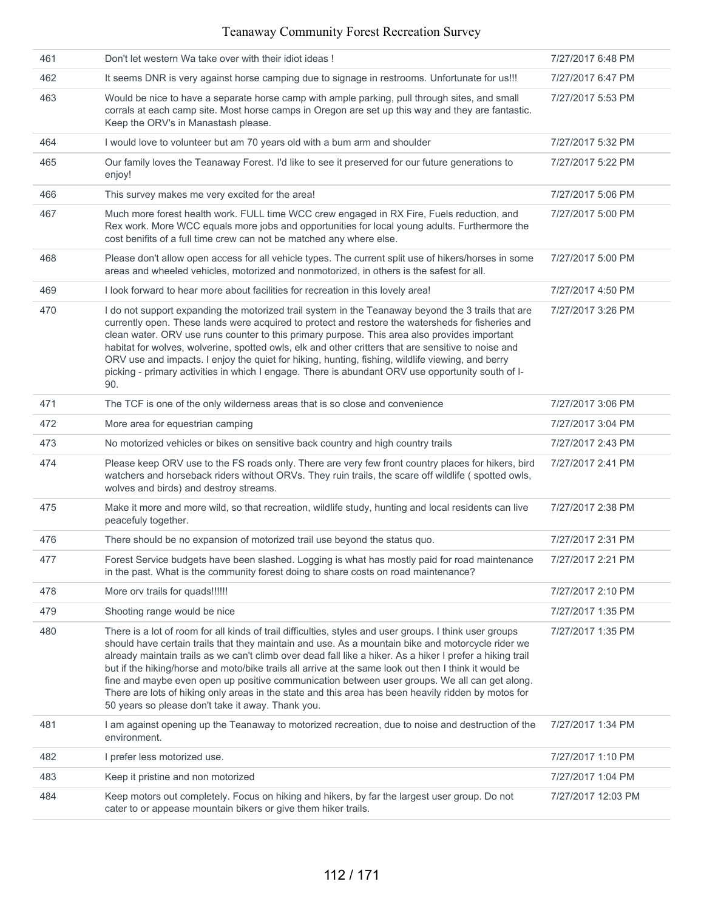| 461 | Don't let western Wa take over with their idiot ideas!                                                                                                                                                                                                                                                                                                                                                                                                                                                                                                                                                                                                                                          | 7/27/2017 6:48 PM  |
|-----|-------------------------------------------------------------------------------------------------------------------------------------------------------------------------------------------------------------------------------------------------------------------------------------------------------------------------------------------------------------------------------------------------------------------------------------------------------------------------------------------------------------------------------------------------------------------------------------------------------------------------------------------------------------------------------------------------|--------------------|
| 462 | It seems DNR is very against horse camping due to signage in restrooms. Unfortunate for us!!!                                                                                                                                                                                                                                                                                                                                                                                                                                                                                                                                                                                                   | 7/27/2017 6:47 PM  |
| 463 | Would be nice to have a separate horse camp with ample parking, pull through sites, and small<br>corrals at each camp site. Most horse camps in Oregon are set up this way and they are fantastic.<br>Keep the ORV's in Manastash please.                                                                                                                                                                                                                                                                                                                                                                                                                                                       | 7/27/2017 5:53 PM  |
| 464 | I would love to volunteer but am 70 years old with a bum arm and shoulder                                                                                                                                                                                                                                                                                                                                                                                                                                                                                                                                                                                                                       | 7/27/2017 5:32 PM  |
| 465 | Our family loves the Teanaway Forest. I'd like to see it preserved for our future generations to<br>enjoy!                                                                                                                                                                                                                                                                                                                                                                                                                                                                                                                                                                                      | 7/27/2017 5:22 PM  |
| 466 | This survey makes me very excited for the area!                                                                                                                                                                                                                                                                                                                                                                                                                                                                                                                                                                                                                                                 | 7/27/2017 5:06 PM  |
| 467 | Much more forest health work. FULL time WCC crew engaged in RX Fire, Fuels reduction, and<br>Rex work. More WCC equals more jobs and opportunities for local young adults. Furthermore the<br>cost benifits of a full time crew can not be matched any where else.                                                                                                                                                                                                                                                                                                                                                                                                                              | 7/27/2017 5:00 PM  |
| 468 | Please don't allow open access for all vehicle types. The current split use of hikers/horses in some<br>areas and wheeled vehicles, motorized and nonmotorized, in others is the safest for all.                                                                                                                                                                                                                                                                                                                                                                                                                                                                                                | 7/27/2017 5:00 PM  |
| 469 | I look forward to hear more about facilities for recreation in this lovely area!                                                                                                                                                                                                                                                                                                                                                                                                                                                                                                                                                                                                                | 7/27/2017 4:50 PM  |
| 470 | I do not support expanding the motorized trail system in the Teanaway beyond the 3 trails that are<br>currently open. These lands were acquired to protect and restore the watersheds for fisheries and<br>clean water. ORV use runs counter to this primary purpose. This area also provides important<br>habitat for wolves, wolverine, spotted owls, elk and other critters that are sensitive to noise and<br>ORV use and impacts. I enjoy the quiet for hiking, hunting, fishing, wildlife viewing, and berry<br>picking - primary activities in which I engage. There is abundant ORV use opportunity south of I-<br>90.                                                                  | 7/27/2017 3:26 PM  |
| 471 | The TCF is one of the only wilderness areas that is so close and convenience                                                                                                                                                                                                                                                                                                                                                                                                                                                                                                                                                                                                                    | 7/27/2017 3:06 PM  |
| 472 | More area for equestrian camping                                                                                                                                                                                                                                                                                                                                                                                                                                                                                                                                                                                                                                                                | 7/27/2017 3:04 PM  |
| 473 | No motorized vehicles or bikes on sensitive back country and high country trails                                                                                                                                                                                                                                                                                                                                                                                                                                                                                                                                                                                                                | 7/27/2017 2:43 PM  |
| 474 | Please keep ORV use to the FS roads only. There are very few front country places for hikers, bird<br>watchers and horseback riders without ORVs. They ruin trails, the scare off wildlife (spotted owls,<br>wolves and birds) and destroy streams.                                                                                                                                                                                                                                                                                                                                                                                                                                             | 7/27/2017 2:41 PM  |
| 475 | Make it more and more wild, so that recreation, wildlife study, hunting and local residents can live<br>peacefuly together.                                                                                                                                                                                                                                                                                                                                                                                                                                                                                                                                                                     | 7/27/2017 2:38 PM  |
| 476 | There should be no expansion of motorized trail use beyond the status quo.                                                                                                                                                                                                                                                                                                                                                                                                                                                                                                                                                                                                                      | 7/27/2017 2:31 PM  |
| 477 | Forest Service budgets have been slashed. Logging is what has mostly paid for road maintenance<br>in the past. What is the community forest doing to share costs on road maintenance?                                                                                                                                                                                                                                                                                                                                                                                                                                                                                                           | 7/27/2017 2:21 PM  |
| 478 | More ory trails for quads!!!!!!                                                                                                                                                                                                                                                                                                                                                                                                                                                                                                                                                                                                                                                                 | 7/27/2017 2:10 PM  |
| 479 | Shooting range would be nice                                                                                                                                                                                                                                                                                                                                                                                                                                                                                                                                                                                                                                                                    | 7/27/2017 1:35 PM  |
| 480 | There is a lot of room for all kinds of trail difficulties, styles and user groups. I think user groups<br>should have certain trails that they maintain and use. As a mountain bike and motorcycle rider we<br>already maintain trails as we can't climb over dead fall like a hiker. As a hiker I prefer a hiking trail<br>but if the hiking/horse and moto/bike trails all arrive at the same look out then I think it would be<br>fine and maybe even open up positive communication between user groups. We all can get along.<br>There are lots of hiking only areas in the state and this area has been heavily ridden by motos for<br>50 years so please don't take it away. Thank you. | 7/27/2017 1:35 PM  |
| 481 | I am against opening up the Teanaway to motorized recreation, due to noise and destruction of the<br>environment.                                                                                                                                                                                                                                                                                                                                                                                                                                                                                                                                                                               | 7/27/2017 1:34 PM  |
| 482 | I prefer less motorized use.                                                                                                                                                                                                                                                                                                                                                                                                                                                                                                                                                                                                                                                                    | 7/27/2017 1:10 PM  |
| 483 | Keep it pristine and non motorized                                                                                                                                                                                                                                                                                                                                                                                                                                                                                                                                                                                                                                                              | 7/27/2017 1:04 PM  |
| 484 | Keep motors out completely. Focus on hiking and hikers, by far the largest user group. Do not<br>cater to or appease mountain bikers or give them hiker trails.                                                                                                                                                                                                                                                                                                                                                                                                                                                                                                                                 | 7/27/2017 12:03 PM |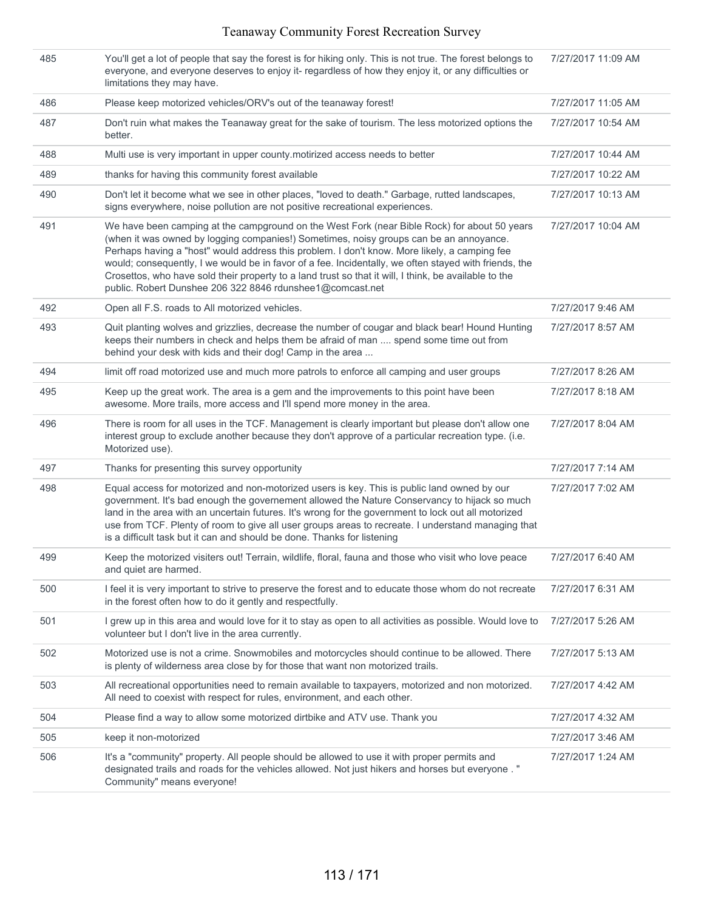| 485 | You'll get a lot of people that say the forest is for hiking only. This is not true. The forest belongs to<br>everyone, and everyone deserves to enjoy it- regardless of how they enjoy it, or any difficulties or<br>limitations they may have.                                                                                                                                                                                                                                                                                                                      | 7/27/2017 11:09 AM |
|-----|-----------------------------------------------------------------------------------------------------------------------------------------------------------------------------------------------------------------------------------------------------------------------------------------------------------------------------------------------------------------------------------------------------------------------------------------------------------------------------------------------------------------------------------------------------------------------|--------------------|
| 486 | Please keep motorized vehicles/ORV's out of the teanaway forest!                                                                                                                                                                                                                                                                                                                                                                                                                                                                                                      | 7/27/2017 11:05 AM |
| 487 | Don't ruin what makes the Teanaway great for the sake of tourism. The less motorized options the<br>better.                                                                                                                                                                                                                                                                                                                                                                                                                                                           | 7/27/2017 10:54 AM |
| 488 | Multi use is very important in upper county motirized access needs to better                                                                                                                                                                                                                                                                                                                                                                                                                                                                                          | 7/27/2017 10:44 AM |
| 489 | thanks for having this community forest available                                                                                                                                                                                                                                                                                                                                                                                                                                                                                                                     | 7/27/2017 10:22 AM |
| 490 | Don't let it become what we see in other places, "loved to death." Garbage, rutted landscapes,<br>signs everywhere, noise pollution are not positive recreational experiences.                                                                                                                                                                                                                                                                                                                                                                                        | 7/27/2017 10:13 AM |
| 491 | We have been camping at the campground on the West Fork (near Bible Rock) for about 50 years<br>(when it was owned by logging companies!) Sometimes, noisy groups can be an annoyance.<br>Perhaps having a "host" would address this problem. I don't know. More likely, a camping fee<br>would; consequently, I we would be in favor of a fee. Incidentally, we often stayed with friends, the<br>Crosettos, who have sold their property to a land trust so that it will, I think, be available to the<br>public. Robert Dunshee 206 322 8846 rdunshee1@comcast.net | 7/27/2017 10:04 AM |
| 492 | Open all F.S. roads to All motorized vehicles.                                                                                                                                                                                                                                                                                                                                                                                                                                                                                                                        | 7/27/2017 9:46 AM  |
| 493 | Quit planting wolves and grizzlies, decrease the number of cougar and black bear! Hound Hunting<br>keeps their numbers in check and helps them be afraid of man  spend some time out from<br>behind your desk with kids and their dog! Camp in the area                                                                                                                                                                                                                                                                                                               | 7/27/2017 8:57 AM  |
| 494 | limit off road motorized use and much more patrols to enforce all camping and user groups                                                                                                                                                                                                                                                                                                                                                                                                                                                                             | 7/27/2017 8:26 AM  |
| 495 | Keep up the great work. The area is a gem and the improvements to this point have been<br>awesome. More trails, more access and I'll spend more money in the area.                                                                                                                                                                                                                                                                                                                                                                                                    | 7/27/2017 8:18 AM  |
| 496 | There is room for all uses in the TCF. Management is clearly important but please don't allow one<br>interest group to exclude another because they don't approve of a particular recreation type. (i.e.<br>Motorized use).                                                                                                                                                                                                                                                                                                                                           | 7/27/2017 8:04 AM  |
| 497 | Thanks for presenting this survey opportunity                                                                                                                                                                                                                                                                                                                                                                                                                                                                                                                         | 7/27/2017 7:14 AM  |
| 498 | Equal access for motorized and non-motorized users is key. This is public land owned by our<br>government. It's bad enough the governement allowed the Nature Conservancy to hijack so much<br>land in the area with an uncertain futures. It's wrong for the government to lock out all motorized<br>use from TCF. Plenty of room to give all user groups areas to recreate. I understand managing that<br>is a difficult task but it can and should be done. Thanks for listening                                                                                   | 7/27/2017 7:02 AM  |
| 499 | Keep the motorized visiters out! Terrain, wildlife, floral, fauna and those who visit who love peace<br>and quiet are harmed.                                                                                                                                                                                                                                                                                                                                                                                                                                         | 7/27/2017 6:40 AM  |
| 500 | I feel it is very important to strive to preserve the forest and to educate those whom do not recreate<br>in the forest often how to do it gently and respectfully.                                                                                                                                                                                                                                                                                                                                                                                                   | 7/27/2017 6:31 AM  |
| 501 | I grew up in this area and would love for it to stay as open to all activities as possible. Would love to<br>volunteer but I don't live in the area currently.                                                                                                                                                                                                                                                                                                                                                                                                        | 7/27/2017 5:26 AM  |
| 502 | Motorized use is not a crime. Snowmobiles and motorcycles should continue to be allowed. There<br>is plenty of wilderness area close by for those that want non motorized trails.                                                                                                                                                                                                                                                                                                                                                                                     | 7/27/2017 5:13 AM  |
| 503 | All recreational opportunities need to remain available to taxpayers, motorized and non motorized.<br>All need to coexist with respect for rules, environment, and each other.                                                                                                                                                                                                                                                                                                                                                                                        | 7/27/2017 4:42 AM  |
| 504 | Please find a way to allow some motorized dirtbike and ATV use. Thank you                                                                                                                                                                                                                                                                                                                                                                                                                                                                                             | 7/27/2017 4:32 AM  |
| 505 | keep it non-motorized                                                                                                                                                                                                                                                                                                                                                                                                                                                                                                                                                 | 7/27/2017 3:46 AM  |
| 506 | It's a "community" property. All people should be allowed to use it with proper permits and<br>designated trails and roads for the vehicles allowed. Not just hikers and horses but everyone. "<br>Community" means everyone!                                                                                                                                                                                                                                                                                                                                         | 7/27/2017 1:24 AM  |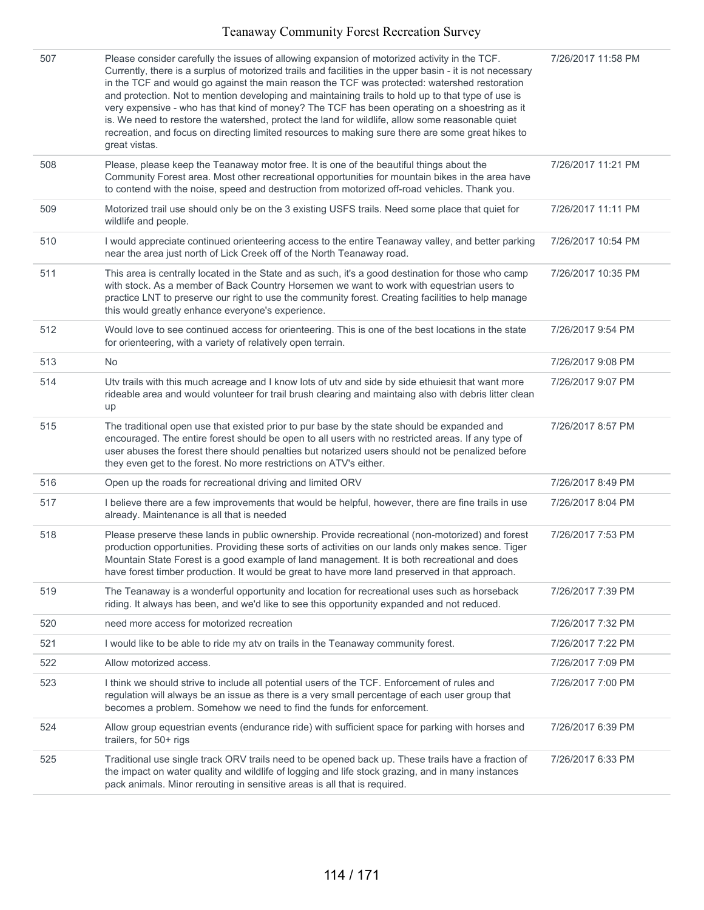| 507 | Please consider carefully the issues of allowing expansion of motorized activity in the TCF.<br>Currently, there is a surplus of motorized trails and facilities in the upper basin - it is not necessary<br>in the TCF and would go against the main reason the TCF was protected: watershed restoration<br>and protection. Not to mention developing and maintaining trails to hold up to that type of use is<br>very expensive - who has that kind of money? The TCF has been operating on a shoestring as it<br>is. We need to restore the watershed, protect the land for wildlife, allow some reasonable quiet<br>recreation, and focus on directing limited resources to making sure there are some great hikes to<br>great vistas. | 7/26/2017 11:58 PM |
|-----|--------------------------------------------------------------------------------------------------------------------------------------------------------------------------------------------------------------------------------------------------------------------------------------------------------------------------------------------------------------------------------------------------------------------------------------------------------------------------------------------------------------------------------------------------------------------------------------------------------------------------------------------------------------------------------------------------------------------------------------------|--------------------|
| 508 | Please, please keep the Teanaway motor free. It is one of the beautiful things about the<br>Community Forest area. Most other recreational opportunities for mountain bikes in the area have<br>to contend with the noise, speed and destruction from motorized off-road vehicles. Thank you.                                                                                                                                                                                                                                                                                                                                                                                                                                              | 7/26/2017 11:21 PM |
| 509 | Motorized trail use should only be on the 3 existing USFS trails. Need some place that quiet for<br>wildlife and people.                                                                                                                                                                                                                                                                                                                                                                                                                                                                                                                                                                                                                   | 7/26/2017 11:11 PM |
| 510 | I would appreciate continued orienteering access to the entire Teanaway valley, and better parking<br>near the area just north of Lick Creek off of the North Teanaway road.                                                                                                                                                                                                                                                                                                                                                                                                                                                                                                                                                               | 7/26/2017 10:54 PM |
| 511 | This area is centrally located in the State and as such, it's a good destination for those who camp<br>with stock. As a member of Back Country Horsemen we want to work with equestrian users to<br>practice LNT to preserve our right to use the community forest. Creating facilities to help manage<br>this would greatly enhance everyone's experience.                                                                                                                                                                                                                                                                                                                                                                                | 7/26/2017 10:35 PM |
| 512 | Would love to see continued access for orienteering. This is one of the best locations in the state<br>for orienteering, with a variety of relatively open terrain.                                                                                                                                                                                                                                                                                                                                                                                                                                                                                                                                                                        | 7/26/2017 9:54 PM  |
| 513 | No                                                                                                                                                                                                                                                                                                                                                                                                                                                                                                                                                                                                                                                                                                                                         | 7/26/2017 9:08 PM  |
| 514 | Utv trails with this much acreage and I know lots of utv and side by side ethuiesit that want more<br>rideable area and would volunteer for trail brush clearing and maintaing also with debris litter clean<br>up                                                                                                                                                                                                                                                                                                                                                                                                                                                                                                                         | 7/26/2017 9:07 PM  |
| 515 | The traditional open use that existed prior to pur base by the state should be expanded and<br>encouraged. The entire forest should be open to all users with no restricted areas. If any type of<br>user abuses the forest there should penalties but notarized users should not be penalized before<br>they even get to the forest. No more restrictions on ATV's either.                                                                                                                                                                                                                                                                                                                                                                | 7/26/2017 8:57 PM  |
| 516 | Open up the roads for recreational driving and limited ORV                                                                                                                                                                                                                                                                                                                                                                                                                                                                                                                                                                                                                                                                                 | 7/26/2017 8:49 PM  |
| 517 | I believe there are a few improvements that would be helpful, however, there are fine trails in use<br>already. Maintenance is all that is needed                                                                                                                                                                                                                                                                                                                                                                                                                                                                                                                                                                                          | 7/26/2017 8:04 PM  |
| 518 | Please preserve these lands in public ownership. Provide recreational (non-motorized) and forest<br>production opportunities. Providing these sorts of activities on our lands only makes sence. Tiger<br>Mountain State Forest is a good example of land management. It is both recreational and does<br>have forest timber production. It would be great to have more land preserved in that approach.                                                                                                                                                                                                                                                                                                                                   | 7/26/2017 7:53 PM  |
| 519 | The Teanaway is a wonderful opportunity and location for recreational uses such as horseback<br>riding. It always has been, and we'd like to see this opportunity expanded and not reduced.                                                                                                                                                                                                                                                                                                                                                                                                                                                                                                                                                | 7/26/2017 7:39 PM  |
| 520 | need more access for motorized recreation                                                                                                                                                                                                                                                                                                                                                                                                                                                                                                                                                                                                                                                                                                  | 7/26/2017 7:32 PM  |
| 521 | I would like to be able to ride my aty on trails in the Teanaway community forest.                                                                                                                                                                                                                                                                                                                                                                                                                                                                                                                                                                                                                                                         | 7/26/2017 7:22 PM  |
| 522 | Allow motorized access.                                                                                                                                                                                                                                                                                                                                                                                                                                                                                                                                                                                                                                                                                                                    | 7/26/2017 7:09 PM  |
| 523 | I think we should strive to include all potential users of the TCF. Enforcement of rules and<br>regulation will always be an issue as there is a very small percentage of each user group that<br>becomes a problem. Somehow we need to find the funds for enforcement.                                                                                                                                                                                                                                                                                                                                                                                                                                                                    | 7/26/2017 7:00 PM  |
| 524 | Allow group equestrian events (endurance ride) with sufficient space for parking with horses and<br>trailers, for 50+ rigs                                                                                                                                                                                                                                                                                                                                                                                                                                                                                                                                                                                                                 | 7/26/2017 6:39 PM  |
| 525 | Traditional use single track ORV trails need to be opened back up. These trails have a fraction of<br>the impact on water quality and wildlife of logging and life stock grazing, and in many instances<br>pack animals. Minor rerouting in sensitive areas is all that is required.                                                                                                                                                                                                                                                                                                                                                                                                                                                       | 7/26/2017 6:33 PM  |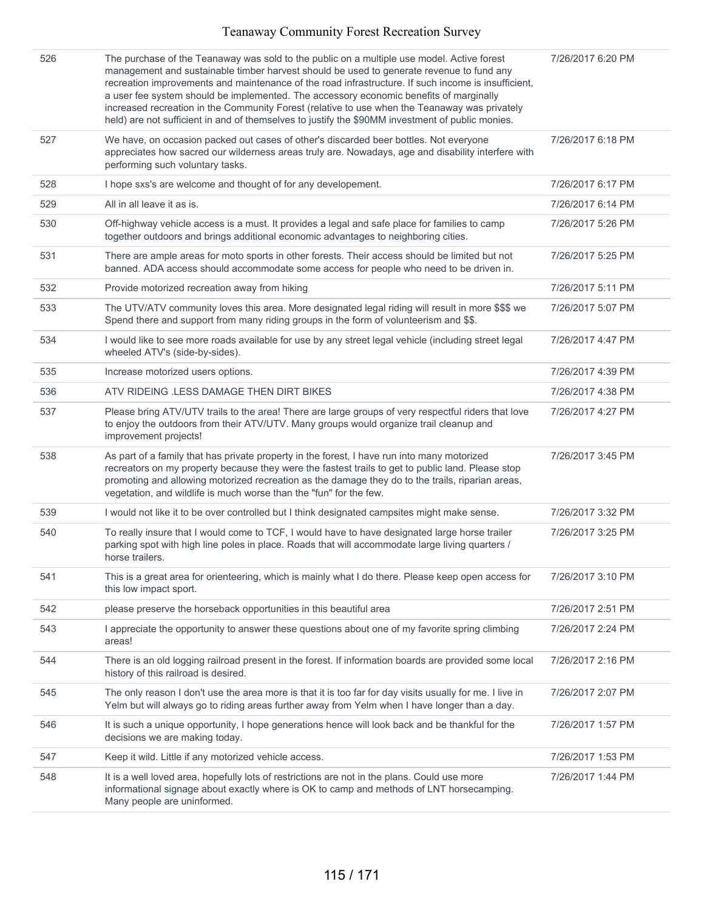| 526 | The purchase of the Teanaway was sold to the public on a multiple use model. Active forest<br>management and sustainable timber harvest should be used to generate revenue to fund any<br>recreation improvements and maintenance of the road infrastructure. If such income is insufficient,<br>a user fee system should be implemented. The accessory economic benefits of marginally<br>increased recreation in the Community Forest (relative to use when the Teanaway was privately<br>held) are not sufficient in and of themselves to justify the \$90MM investment of public monies. | 7/26/2017 6:20 PM |
|-----|----------------------------------------------------------------------------------------------------------------------------------------------------------------------------------------------------------------------------------------------------------------------------------------------------------------------------------------------------------------------------------------------------------------------------------------------------------------------------------------------------------------------------------------------------------------------------------------------|-------------------|
| 527 | We have, on occasion packed out cases of other's discarded beer bottles. Not everyone<br>appreciates how sacred our wilderness areas truly are. Nowadays, age and disability interfere with<br>performing such voluntary tasks.                                                                                                                                                                                                                                                                                                                                                              | 7/26/2017 6:18 PM |
| 528 | I hope sxs's are welcome and thought of for any developement.                                                                                                                                                                                                                                                                                                                                                                                                                                                                                                                                | 7/26/2017 6:17 PM |
| 529 | All in all leave it as is.                                                                                                                                                                                                                                                                                                                                                                                                                                                                                                                                                                   | 7/26/2017 6:14 PM |
| 530 | Off-highway vehicle access is a must. It provides a legal and safe place for families to camp<br>together outdoors and brings additional economic advantages to neighboring cities.                                                                                                                                                                                                                                                                                                                                                                                                          | 7/26/2017 5:26 PM |
| 531 | There are ample areas for moto sports in other forests. Their access should be limited but not<br>banned. ADA access should accommodate some access for people who need to be driven in.                                                                                                                                                                                                                                                                                                                                                                                                     | 7/26/2017 5:25 PM |
| 532 | Provide motorized recreation away from hiking                                                                                                                                                                                                                                                                                                                                                                                                                                                                                                                                                | 7/26/2017 5:11 PM |
| 533 | The UTV/ATV community loves this area. More designated legal riding will result in more \$\$\$ we<br>Spend there and support from many riding groups in the form of volunteerism and \$\$.                                                                                                                                                                                                                                                                                                                                                                                                   | 7/26/2017 5:07 PM |
| 534 | I would like to see more roads available for use by any street legal vehicle (including street legal<br>wheeled ATV's (side-by-sides).                                                                                                                                                                                                                                                                                                                                                                                                                                                       | 7/26/2017 4:47 PM |
| 535 | Increase motorized users options.                                                                                                                                                                                                                                                                                                                                                                                                                                                                                                                                                            | 7/26/2017 4:39 PM |
| 536 | ATV RIDEING .LESS DAMAGE THEN DIRT BIKES                                                                                                                                                                                                                                                                                                                                                                                                                                                                                                                                                     | 7/26/2017 4:38 PM |
| 537 | Please bring ATV/UTV trails to the area! There are large groups of very respectful riders that love<br>to enjoy the outdoors from their ATV/UTV. Many groups would organize trail cleanup and<br>improvement projects!                                                                                                                                                                                                                                                                                                                                                                       | 7/26/2017 4:27 PM |
| 538 | As part of a family that has private property in the forest, I have run into many motorized<br>recreators on my property because they were the fastest trails to get to public land. Please stop<br>promoting and allowing motorized recreation as the damage they do to the trails, riparian areas,<br>vegetation, and wildlife is much worse than the "fun" for the few.                                                                                                                                                                                                                   | 7/26/2017 3:45 PM |
| 539 | I would not like it to be over controlled but I think designated campsites might make sense.                                                                                                                                                                                                                                                                                                                                                                                                                                                                                                 | 7/26/2017 3:32 PM |
| 540 | To really insure that I would come to TCF, I would have to have designated large horse trailer<br>parking spot with high line poles in place. Roads that will accommodate large living quarters /<br>horse trailers.                                                                                                                                                                                                                                                                                                                                                                         | 7/26/2017 3:25 PM |
| 541 | This is a great area for orienteering, which is mainly what I do there. Please keep open access for<br>this low impact sport.                                                                                                                                                                                                                                                                                                                                                                                                                                                                | 7/26/2017 3:10 PM |
| 542 | please preserve the horseback opportunities in this beautiful area                                                                                                                                                                                                                                                                                                                                                                                                                                                                                                                           | 7/26/2017 2:51 PM |
| 543 | I appreciate the opportunity to answer these questions about one of my favorite spring climbing<br>areas!                                                                                                                                                                                                                                                                                                                                                                                                                                                                                    | 7/26/2017 2:24 PM |
| 544 | There is an old logging railroad present in the forest. If information boards are provided some local<br>history of this railroad is desired.                                                                                                                                                                                                                                                                                                                                                                                                                                                | 7/26/2017 2:16 PM |
| 545 | The only reason I don't use the area more is that it is too far for day visits usually for me. I live in<br>Yelm but will always go to riding areas further away from Yelm when I have longer than a day.                                                                                                                                                                                                                                                                                                                                                                                    | 7/26/2017 2:07 PM |
| 546 | It is such a unique opportunity, I hope generations hence will look back and be thankful for the<br>decisions we are making today.                                                                                                                                                                                                                                                                                                                                                                                                                                                           | 7/26/2017 1:57 PM |
| 547 | Keep it wild. Little if any motorized vehicle access.                                                                                                                                                                                                                                                                                                                                                                                                                                                                                                                                        | 7/26/2017 1:53 PM |
| 548 | It is a well loved area, hopefully lots of restrictions are not in the plans. Could use more<br>informational signage about exactly where is OK to camp and methods of LNT horsecamping.<br>Many people are uninformed.                                                                                                                                                                                                                                                                                                                                                                      | 7/26/2017 1:44 PM |
|     |                                                                                                                                                                                                                                                                                                                                                                                                                                                                                                                                                                                              |                   |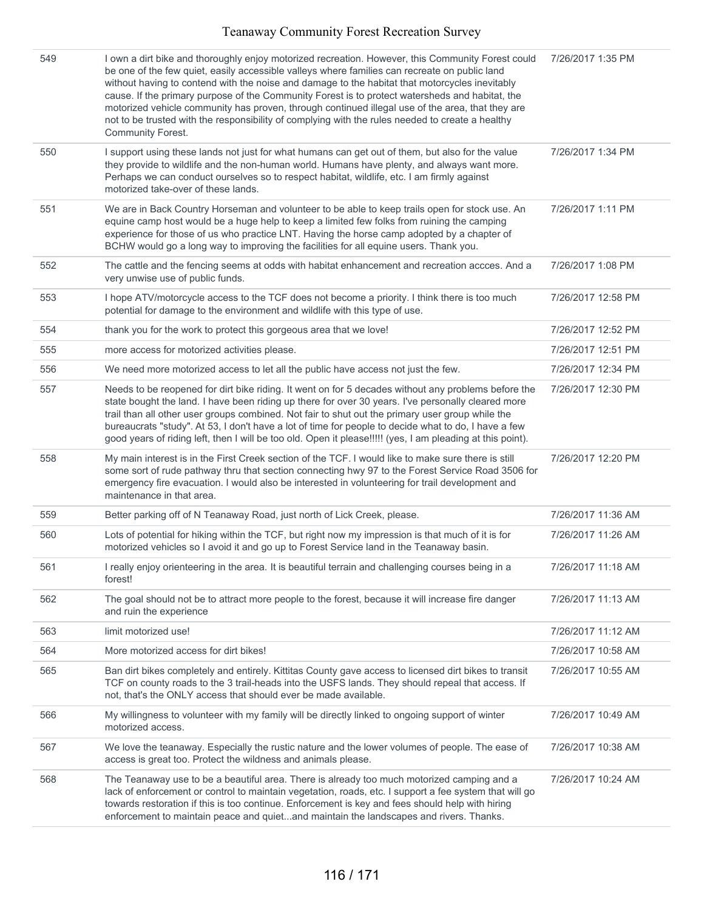| 549 | I own a dirt bike and thoroughly enjoy motorized recreation. However, this Community Forest could<br>be one of the few quiet, easily accessible valleys where families can recreate on public land<br>without having to contend with the noise and damage to the habitat that motorcycles inevitably<br>cause. If the primary purpose of the Community Forest is to protect watersheds and habitat, the<br>motorized vehicle community has proven, through continued illegal use of the area, that they are<br>not to be trusted with the responsibility of complying with the rules needed to create a healthy<br><b>Community Forest.</b> | 7/26/2017 1:35 PM  |
|-----|---------------------------------------------------------------------------------------------------------------------------------------------------------------------------------------------------------------------------------------------------------------------------------------------------------------------------------------------------------------------------------------------------------------------------------------------------------------------------------------------------------------------------------------------------------------------------------------------------------------------------------------------|--------------------|
| 550 | I support using these lands not just for what humans can get out of them, but also for the value<br>they provide to wildlife and the non-human world. Humans have plenty, and always want more.<br>Perhaps we can conduct ourselves so to respect habitat, wildlife, etc. I am firmly against<br>motorized take-over of these lands.                                                                                                                                                                                                                                                                                                        | 7/26/2017 1:34 PM  |
| 551 | We are in Back Country Horseman and volunteer to be able to keep trails open for stock use. An<br>equine camp host would be a huge help to keep a limited few folks from ruining the camping<br>experience for those of us who practice LNT. Having the horse camp adopted by a chapter of<br>BCHW would go a long way to improving the facilities for all equine users. Thank you.                                                                                                                                                                                                                                                         | 7/26/2017 1:11 PM  |
| 552 | The cattle and the fencing seems at odds with habitat enhancement and recreation accces. And a<br>very unwise use of public funds.                                                                                                                                                                                                                                                                                                                                                                                                                                                                                                          | 7/26/2017 1:08 PM  |
| 553 | I hope ATV/motorcycle access to the TCF does not become a priority. I think there is too much<br>potential for damage to the environment and wildlife with this type of use.                                                                                                                                                                                                                                                                                                                                                                                                                                                                | 7/26/2017 12:58 PM |
| 554 | thank you for the work to protect this gorgeous area that we love!                                                                                                                                                                                                                                                                                                                                                                                                                                                                                                                                                                          | 7/26/2017 12:52 PM |
| 555 | more access for motorized activities please.                                                                                                                                                                                                                                                                                                                                                                                                                                                                                                                                                                                                | 7/26/2017 12:51 PM |
| 556 | We need more motorized access to let all the public have access not just the few.                                                                                                                                                                                                                                                                                                                                                                                                                                                                                                                                                           | 7/26/2017 12:34 PM |
| 557 | Needs to be reopened for dirt bike riding. It went on for 5 decades without any problems before the<br>state bought the land. I have been riding up there for over 30 years. I've personally cleared more<br>trail than all other user groups combined. Not fair to shut out the primary user group while the<br>bureaucrats "study". At 53, I don't have a lot of time for people to decide what to do, I have a few<br>good years of riding left, then I will be too old. Open it please!!!!! (yes, I am pleading at this point).                                                                                                         | 7/26/2017 12:30 PM |
| 558 | My main interest is in the First Creek section of the TCF. I would like to make sure there is still<br>some sort of rude pathway thru that section connecting hwy 97 to the Forest Service Road 3506 for<br>emergency fire evacuation. I would also be interested in volunteering for trail development and<br>maintenance in that area.                                                                                                                                                                                                                                                                                                    | 7/26/2017 12:20 PM |
| 559 | Better parking off of N Teanaway Road, just north of Lick Creek, please.                                                                                                                                                                                                                                                                                                                                                                                                                                                                                                                                                                    | 7/26/2017 11:36 AM |
| 560 | Lots of potential for hiking within the TCF, but right now my impression is that much of it is for<br>motorized vehicles so I avoid it and go up to Forest Service land in the Teanaway basin.                                                                                                                                                                                                                                                                                                                                                                                                                                              | 7/26/2017 11:26 AM |
| 561 | I really enjoy orienteering in the area. It is beautiful terrain and challenging courses being in a<br>forest!                                                                                                                                                                                                                                                                                                                                                                                                                                                                                                                              | 7/26/2017 11:18 AM |
| 562 | The goal should not be to attract more people to the forest, because it will increase fire danger<br>and ruin the experience                                                                                                                                                                                                                                                                                                                                                                                                                                                                                                                | 7/26/2017 11:13 AM |
| 563 | limit motorized use!                                                                                                                                                                                                                                                                                                                                                                                                                                                                                                                                                                                                                        | 7/26/2017 11:12 AM |
| 564 | More motorized access for dirt bikes!                                                                                                                                                                                                                                                                                                                                                                                                                                                                                                                                                                                                       | 7/26/2017 10:58 AM |
| 565 | Ban dirt bikes completely and entirely. Kittitas County gave access to licensed dirt bikes to transit<br>TCF on county roads to the 3 trail-heads into the USFS lands. They should repeal that access. If<br>not, that's the ONLY access that should ever be made available.                                                                                                                                                                                                                                                                                                                                                                | 7/26/2017 10:55 AM |
| 566 | My willingness to volunteer with my family will be directly linked to ongoing support of winter<br>motorized access.                                                                                                                                                                                                                                                                                                                                                                                                                                                                                                                        | 7/26/2017 10:49 AM |
| 567 | We love the teanaway. Especially the rustic nature and the lower volumes of people. The ease of<br>access is great too. Protect the wildness and animals please.                                                                                                                                                                                                                                                                                                                                                                                                                                                                            | 7/26/2017 10:38 AM |
| 568 | The Teanaway use to be a beautiful area. There is already too much motorized camping and a<br>lack of enforcement or control to maintain vegetation, roads, etc. I support a fee system that will go<br>towards restoration if this is too continue. Enforcement is key and fees should help with hiring<br>enforcement to maintain peace and quietand maintain the landscapes and rivers. Thanks.                                                                                                                                                                                                                                          | 7/26/2017 10:24 AM |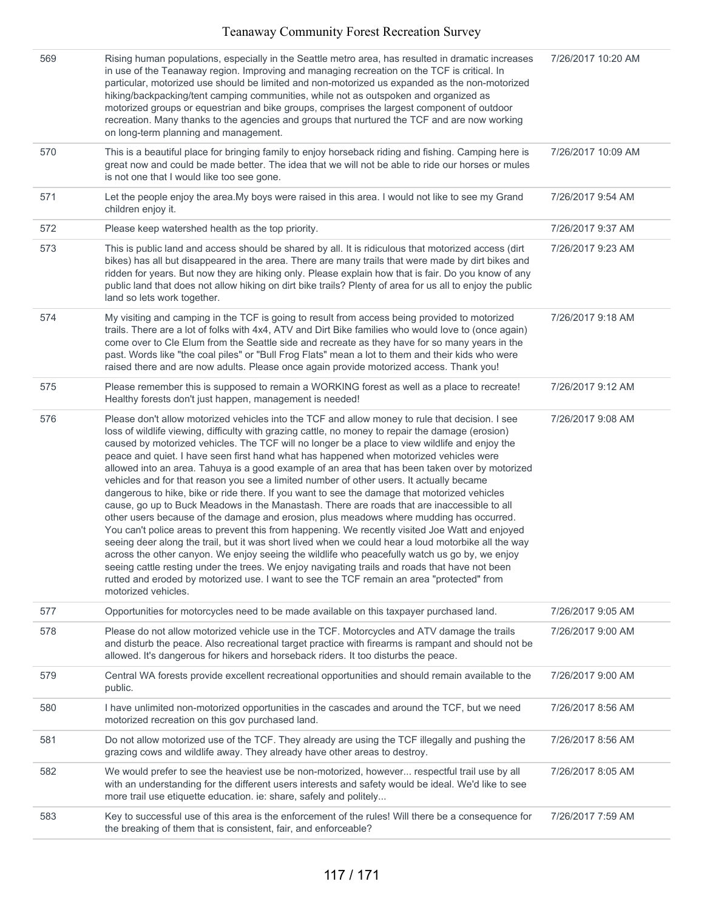| 569 | Rising human populations, especially in the Seattle metro area, has resulted in dramatic increases<br>in use of the Teanaway region. Improving and managing recreation on the TCF is critical. In<br>particular, motorized use should be limited and non-motorized us expanded as the non-motorized<br>hiking/backpacking/tent camping communities, while not as outspoken and organized as<br>motorized groups or equestrian and bike groups, comprises the largest component of outdoor<br>recreation. Many thanks to the agencies and groups that nurtured the TCF and are now working<br>on long-term planning and management.                                                                                                                                                                                                                                                                                                                                                                                                                                                                                                                                                                                                                                                                                                                                                                                         | 7/26/2017 10:20 AM |
|-----|----------------------------------------------------------------------------------------------------------------------------------------------------------------------------------------------------------------------------------------------------------------------------------------------------------------------------------------------------------------------------------------------------------------------------------------------------------------------------------------------------------------------------------------------------------------------------------------------------------------------------------------------------------------------------------------------------------------------------------------------------------------------------------------------------------------------------------------------------------------------------------------------------------------------------------------------------------------------------------------------------------------------------------------------------------------------------------------------------------------------------------------------------------------------------------------------------------------------------------------------------------------------------------------------------------------------------------------------------------------------------------------------------------------------------|--------------------|
| 570 | This is a beautiful place for bringing family to enjoy horseback riding and fishing. Camping here is<br>great now and could be made better. The idea that we will not be able to ride our horses or mules<br>is not one that I would like too see gone.                                                                                                                                                                                                                                                                                                                                                                                                                                                                                                                                                                                                                                                                                                                                                                                                                                                                                                                                                                                                                                                                                                                                                                    | 7/26/2017 10:09 AM |
| 571 | Let the people enjoy the area. My boys were raised in this area. I would not like to see my Grand<br>children enjoy it.                                                                                                                                                                                                                                                                                                                                                                                                                                                                                                                                                                                                                                                                                                                                                                                                                                                                                                                                                                                                                                                                                                                                                                                                                                                                                                    | 7/26/2017 9:54 AM  |
| 572 | Please keep watershed health as the top priority.                                                                                                                                                                                                                                                                                                                                                                                                                                                                                                                                                                                                                                                                                                                                                                                                                                                                                                                                                                                                                                                                                                                                                                                                                                                                                                                                                                          | 7/26/2017 9:37 AM  |
| 573 | This is public land and access should be shared by all. It is ridiculous that motorized access (dirt<br>bikes) has all but disappeared in the area. There are many trails that were made by dirt bikes and<br>ridden for years. But now they are hiking only. Please explain how that is fair. Do you know of any<br>public land that does not allow hiking on dirt bike trails? Plenty of area for us all to enjoy the public<br>land so lets work together.                                                                                                                                                                                                                                                                                                                                                                                                                                                                                                                                                                                                                                                                                                                                                                                                                                                                                                                                                              | 7/26/2017 9:23 AM  |
| 574 | My visiting and camping in the TCF is going to result from access being provided to motorized<br>trails. There are a lot of folks with 4x4, ATV and Dirt Bike families who would love to (once again)<br>come over to Cle Elum from the Seattle side and recreate as they have for so many years in the<br>past. Words like "the coal piles" or "Bull Frog Flats" mean a lot to them and their kids who were<br>raised there and are now adults. Please once again provide motorized access. Thank you!                                                                                                                                                                                                                                                                                                                                                                                                                                                                                                                                                                                                                                                                                                                                                                                                                                                                                                                    | 7/26/2017 9:18 AM  |
| 575 | Please remember this is supposed to remain a WORKING forest as well as a place to recreate!<br>Healthy forests don't just happen, management is needed!                                                                                                                                                                                                                                                                                                                                                                                                                                                                                                                                                                                                                                                                                                                                                                                                                                                                                                                                                                                                                                                                                                                                                                                                                                                                    | 7/26/2017 9:12 AM  |
| 576 | Please don't allow motorized vehicles into the TCF and allow money to rule that decision. I see<br>loss of wildlife viewing, difficulty with grazing cattle, no money to repair the damage (erosion)<br>caused by motorized vehicles. The TCF will no longer be a place to view wildlife and enjoy the<br>peace and quiet. I have seen first hand what has happened when motorized vehicles were<br>allowed into an area. Tahuya is a good example of an area that has been taken over by motorized<br>vehicles and for that reason you see a limited number of other users. It actually became<br>dangerous to hike, bike or ride there. If you want to see the damage that motorized vehicles<br>cause, go up to Buck Meadows in the Manastash. There are roads that are inaccessible to all<br>other users because of the damage and erosion, plus meadows where mudding has occurred.<br>You can't police areas to prevent this from happening. We recently visited Joe Watt and enjoyed<br>seeing deer along the trail, but it was short lived when we could hear a loud motorbike all the way<br>across the other canyon. We enjoy seeing the wildlife who peacefully watch us go by, we enjoy<br>seeing cattle resting under the trees. We enjoy navigating trails and roads that have not been<br>rutted and eroded by motorized use. I want to see the TCF remain an area "protected" from<br>motorized vehicles. | 7/26/2017 9:08 AM  |
| 577 | Opportunities for motorcycles need to be made available on this taxpayer purchased land.                                                                                                                                                                                                                                                                                                                                                                                                                                                                                                                                                                                                                                                                                                                                                                                                                                                                                                                                                                                                                                                                                                                                                                                                                                                                                                                                   | 7/26/2017 9:05 AM  |
| 578 | Please do not allow motorized vehicle use in the TCF. Motorcycles and ATV damage the trails<br>and disturb the peace. Also recreational target practice with firearms is rampant and should not be<br>allowed. It's dangerous for hikers and horseback riders. It too disturbs the peace.                                                                                                                                                                                                                                                                                                                                                                                                                                                                                                                                                                                                                                                                                                                                                                                                                                                                                                                                                                                                                                                                                                                                  | 7/26/2017 9:00 AM  |
| 579 | Central WA forests provide excellent recreational opportunities and should remain available to the<br>public.                                                                                                                                                                                                                                                                                                                                                                                                                                                                                                                                                                                                                                                                                                                                                                                                                                                                                                                                                                                                                                                                                                                                                                                                                                                                                                              | 7/26/2017 9:00 AM  |
| 580 | I have unlimited non-motorized opportunities in the cascades and around the TCF, but we need<br>motorized recreation on this gov purchased land.                                                                                                                                                                                                                                                                                                                                                                                                                                                                                                                                                                                                                                                                                                                                                                                                                                                                                                                                                                                                                                                                                                                                                                                                                                                                           | 7/26/2017 8:56 AM  |
| 581 | Do not allow motorized use of the TCF. They already are using the TCF illegally and pushing the<br>grazing cows and wildlife away. They already have other areas to destroy.                                                                                                                                                                                                                                                                                                                                                                                                                                                                                                                                                                                                                                                                                                                                                                                                                                                                                                                                                                                                                                                                                                                                                                                                                                               | 7/26/2017 8:56 AM  |
| 582 | We would prefer to see the heaviest use be non-motorized, however respectful trail use by all<br>with an understanding for the different users interests and safety would be ideal. We'd like to see<br>more trail use etiquette education. ie: share, safely and politely                                                                                                                                                                                                                                                                                                                                                                                                                                                                                                                                                                                                                                                                                                                                                                                                                                                                                                                                                                                                                                                                                                                                                 | 7/26/2017 8:05 AM  |
| 583 | Key to successful use of this area is the enforcement of the rules! Will there be a consequence for<br>the breaking of them that is consistent, fair, and enforceable?                                                                                                                                                                                                                                                                                                                                                                                                                                                                                                                                                                                                                                                                                                                                                                                                                                                                                                                                                                                                                                                                                                                                                                                                                                                     | 7/26/2017 7:59 AM  |
|     |                                                                                                                                                                                                                                                                                                                                                                                                                                                                                                                                                                                                                                                                                                                                                                                                                                                                                                                                                                                                                                                                                                                                                                                                                                                                                                                                                                                                                            |                    |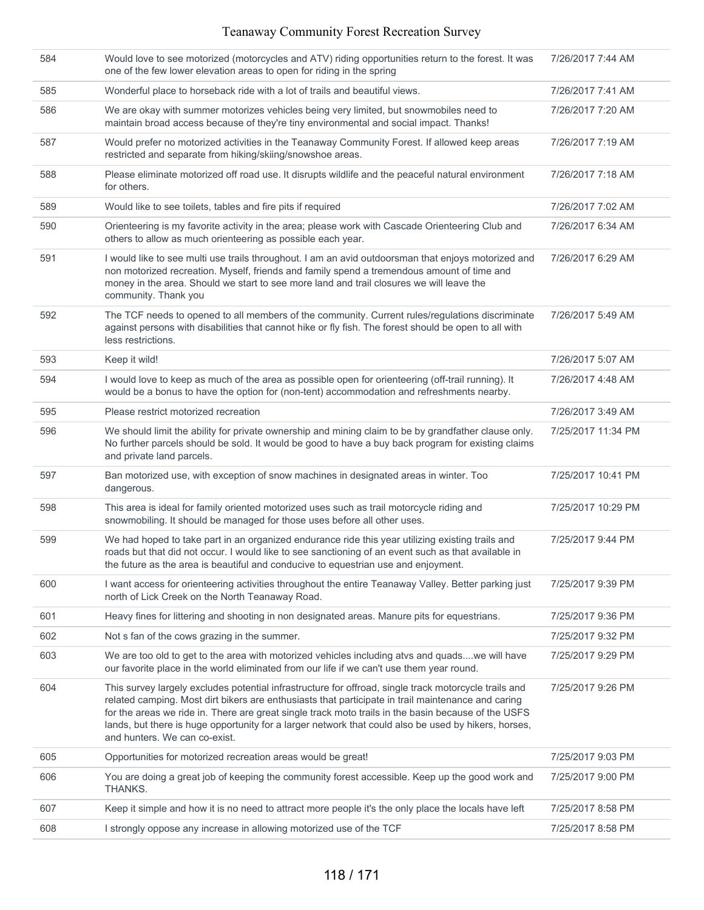| 584 | Would love to see motorized (motorcycles and ATV) riding opportunities return to the forest. It was<br>one of the few lower elevation areas to open for riding in the spring                                                                                                                                                                                                                                                                                | 7/26/2017 7:44 AM  |
|-----|-------------------------------------------------------------------------------------------------------------------------------------------------------------------------------------------------------------------------------------------------------------------------------------------------------------------------------------------------------------------------------------------------------------------------------------------------------------|--------------------|
| 585 | Wonderful place to horseback ride with a lot of trails and beautiful views.                                                                                                                                                                                                                                                                                                                                                                                 | 7/26/2017 7:41 AM  |
| 586 | We are okay with summer motorizes vehicles being very limited, but snowmobiles need to<br>maintain broad access because of they're tiny environmental and social impact. Thanks!                                                                                                                                                                                                                                                                            | 7/26/2017 7:20 AM  |
| 587 | Would prefer no motorized activities in the Teanaway Community Forest. If allowed keep areas<br>restricted and separate from hiking/skiing/snowshoe areas.                                                                                                                                                                                                                                                                                                  | 7/26/2017 7:19 AM  |
| 588 | Please eliminate motorized off road use. It disrupts wildlife and the peaceful natural environment<br>for others.                                                                                                                                                                                                                                                                                                                                           | 7/26/2017 7:18 AM  |
| 589 | Would like to see toilets, tables and fire pits if required                                                                                                                                                                                                                                                                                                                                                                                                 | 7/26/2017 7:02 AM  |
| 590 | Orienteering is my favorite activity in the area; please work with Cascade Orienteering Club and<br>others to allow as much orienteering as possible each year.                                                                                                                                                                                                                                                                                             | 7/26/2017 6:34 AM  |
| 591 | I would like to see multi use trails throughout. I am an avid outdoorsman that enjoys motorized and<br>non motorized recreation. Myself, friends and family spend a tremendous amount of time and<br>money in the area. Should we start to see more land and trail closures we will leave the<br>community. Thank you                                                                                                                                       | 7/26/2017 6:29 AM  |
| 592 | The TCF needs to opened to all members of the community. Current rules/regulations discriminate<br>against persons with disabilities that cannot hike or fly fish. The forest should be open to all with<br>less restrictions.                                                                                                                                                                                                                              | 7/26/2017 5:49 AM  |
| 593 | Keep it wild!                                                                                                                                                                                                                                                                                                                                                                                                                                               | 7/26/2017 5:07 AM  |
| 594 | I would love to keep as much of the area as possible open for orienteering (off-trail running). It<br>would be a bonus to have the option for (non-tent) accommodation and refreshments nearby.                                                                                                                                                                                                                                                             | 7/26/2017 4:48 AM  |
| 595 | Please restrict motorized recreation                                                                                                                                                                                                                                                                                                                                                                                                                        | 7/26/2017 3:49 AM  |
| 596 | We should limit the ability for private ownership and mining claim to be by grandfather clause only.<br>No further parcels should be sold. It would be good to have a buy back program for existing claims<br>and private land parcels.                                                                                                                                                                                                                     | 7/25/2017 11:34 PM |
| 597 | Ban motorized use, with exception of snow machines in designated areas in winter. Too<br>dangerous.                                                                                                                                                                                                                                                                                                                                                         | 7/25/2017 10:41 PM |
| 598 | This area is ideal for family oriented motorized uses such as trail motorcycle riding and<br>snowmobiling. It should be managed for those uses before all other uses.                                                                                                                                                                                                                                                                                       | 7/25/2017 10:29 PM |
| 599 | We had hoped to take part in an organized endurance ride this year utilizing existing trails and<br>roads but that did not occur. I would like to see sanctioning of an event such as that available in<br>the future as the area is beautiful and conducive to equestrian use and enjoyment.                                                                                                                                                               | 7/25/2017 9:44 PM  |
| 600 | I want access for orienteering activities throughout the entire Teanaway Valley. Better parking just<br>north of Lick Creek on the North Teanaway Road.                                                                                                                                                                                                                                                                                                     | 7/25/2017 9:39 PM  |
| 601 | Heavy fines for littering and shooting in non designated areas. Manure pits for equestrians.                                                                                                                                                                                                                                                                                                                                                                | 7/25/2017 9:36 PM  |
| 602 | Not s fan of the cows grazing in the summer.                                                                                                                                                                                                                                                                                                                                                                                                                | 7/25/2017 9:32 PM  |
| 603 | We are too old to get to the area with motorized vehicles including atvs and quads we will have<br>our favorite place in the world eliminated from our life if we can't use them year round.                                                                                                                                                                                                                                                                | 7/25/2017 9:29 PM  |
| 604 | This survey largely excludes potential infrastructure for offroad, single track motorcycle trails and<br>related camping. Most dirt bikers are enthusiasts that participate in trail maintenance and caring<br>for the areas we ride in. There are great single track moto trails in the basin because of the USFS<br>lands, but there is huge opportunity for a larger network that could also be used by hikers, horses,<br>and hunters. We can co-exist. | 7/25/2017 9:26 PM  |
| 605 | Opportunities for motorized recreation areas would be great!                                                                                                                                                                                                                                                                                                                                                                                                | 7/25/2017 9:03 PM  |
| 606 | You are doing a great job of keeping the community forest accessible. Keep up the good work and<br>THANKS.                                                                                                                                                                                                                                                                                                                                                  | 7/25/2017 9:00 PM  |
| 607 | Keep it simple and how it is no need to attract more people it's the only place the locals have left                                                                                                                                                                                                                                                                                                                                                        | 7/25/2017 8:58 PM  |
| 608 | I strongly oppose any increase in allowing motorized use of the TCF                                                                                                                                                                                                                                                                                                                                                                                         | 7/25/2017 8:58 PM  |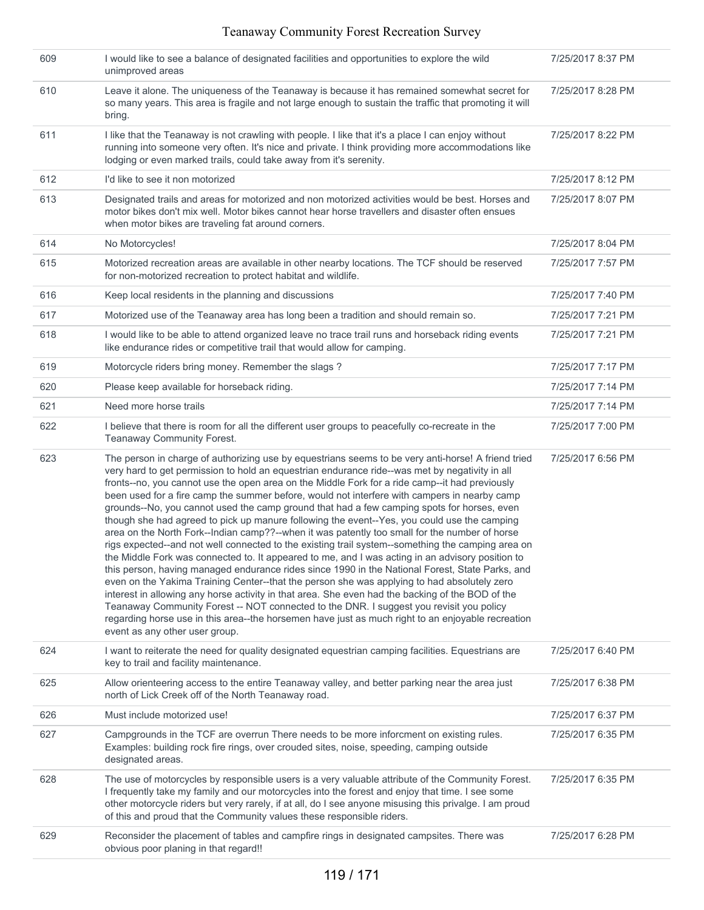| 609 | I would like to see a balance of designated facilities and opportunities to explore the wild<br>unimproved areas                                                                                                                                                                                                                                                                                                                                                                                                                                                                                                                                                                                                                                                                                                                                                                                                                                                                                                                                                                                                                                                                                                                                                                                                                                                                                                                                      | 7/25/2017 8:37 PM |
|-----|-------------------------------------------------------------------------------------------------------------------------------------------------------------------------------------------------------------------------------------------------------------------------------------------------------------------------------------------------------------------------------------------------------------------------------------------------------------------------------------------------------------------------------------------------------------------------------------------------------------------------------------------------------------------------------------------------------------------------------------------------------------------------------------------------------------------------------------------------------------------------------------------------------------------------------------------------------------------------------------------------------------------------------------------------------------------------------------------------------------------------------------------------------------------------------------------------------------------------------------------------------------------------------------------------------------------------------------------------------------------------------------------------------------------------------------------------------|-------------------|
| 610 | Leave it alone. The uniqueness of the Teanaway is because it has remained somewhat secret for<br>so many years. This area is fragile and not large enough to sustain the traffic that promoting it will<br>bring.                                                                                                                                                                                                                                                                                                                                                                                                                                                                                                                                                                                                                                                                                                                                                                                                                                                                                                                                                                                                                                                                                                                                                                                                                                     | 7/25/2017 8:28 PM |
| 611 | I like that the Teanaway is not crawling with people. I like that it's a place I can enjoy without<br>running into someone very often. It's nice and private. I think providing more accommodations like<br>lodging or even marked trails, could take away from it's serenity.                                                                                                                                                                                                                                                                                                                                                                                                                                                                                                                                                                                                                                                                                                                                                                                                                                                                                                                                                                                                                                                                                                                                                                        | 7/25/2017 8:22 PM |
| 612 | I'd like to see it non motorized                                                                                                                                                                                                                                                                                                                                                                                                                                                                                                                                                                                                                                                                                                                                                                                                                                                                                                                                                                                                                                                                                                                                                                                                                                                                                                                                                                                                                      | 7/25/2017 8:12 PM |
| 613 | Designated trails and areas for motorized and non motorized activities would be best. Horses and<br>motor bikes don't mix well. Motor bikes cannot hear horse travellers and disaster often ensues<br>when motor bikes are traveling fat around corners.                                                                                                                                                                                                                                                                                                                                                                                                                                                                                                                                                                                                                                                                                                                                                                                                                                                                                                                                                                                                                                                                                                                                                                                              | 7/25/2017 8:07 PM |
| 614 | No Motorcycles!                                                                                                                                                                                                                                                                                                                                                                                                                                                                                                                                                                                                                                                                                                                                                                                                                                                                                                                                                                                                                                                                                                                                                                                                                                                                                                                                                                                                                                       | 7/25/2017 8:04 PM |
| 615 | Motorized recreation areas are available in other nearby locations. The TCF should be reserved<br>for non-motorized recreation to protect habitat and wildlife.                                                                                                                                                                                                                                                                                                                                                                                                                                                                                                                                                                                                                                                                                                                                                                                                                                                                                                                                                                                                                                                                                                                                                                                                                                                                                       | 7/25/2017 7:57 PM |
| 616 | Keep local residents in the planning and discussions                                                                                                                                                                                                                                                                                                                                                                                                                                                                                                                                                                                                                                                                                                                                                                                                                                                                                                                                                                                                                                                                                                                                                                                                                                                                                                                                                                                                  | 7/25/2017 7:40 PM |
| 617 | Motorized use of the Teanaway area has long been a tradition and should remain so.                                                                                                                                                                                                                                                                                                                                                                                                                                                                                                                                                                                                                                                                                                                                                                                                                                                                                                                                                                                                                                                                                                                                                                                                                                                                                                                                                                    | 7/25/2017 7:21 PM |
| 618 | I would like to be able to attend organized leave no trace trail runs and horseback riding events<br>like endurance rides or competitive trail that would allow for camping.                                                                                                                                                                                                                                                                                                                                                                                                                                                                                                                                                                                                                                                                                                                                                                                                                                                                                                                                                                                                                                                                                                                                                                                                                                                                          | 7/25/2017 7:21 PM |
| 619 | Motorcycle riders bring money. Remember the slags?                                                                                                                                                                                                                                                                                                                                                                                                                                                                                                                                                                                                                                                                                                                                                                                                                                                                                                                                                                                                                                                                                                                                                                                                                                                                                                                                                                                                    | 7/25/2017 7:17 PM |
| 620 | Please keep available for horseback riding.                                                                                                                                                                                                                                                                                                                                                                                                                                                                                                                                                                                                                                                                                                                                                                                                                                                                                                                                                                                                                                                                                                                                                                                                                                                                                                                                                                                                           | 7/25/2017 7:14 PM |
| 621 | Need more horse trails                                                                                                                                                                                                                                                                                                                                                                                                                                                                                                                                                                                                                                                                                                                                                                                                                                                                                                                                                                                                                                                                                                                                                                                                                                                                                                                                                                                                                                | 7/25/2017 7:14 PM |
| 622 | I believe that there is room for all the different user groups to peacefully co-recreate in the<br>Teanaway Community Forest.                                                                                                                                                                                                                                                                                                                                                                                                                                                                                                                                                                                                                                                                                                                                                                                                                                                                                                                                                                                                                                                                                                                                                                                                                                                                                                                         | 7/25/2017 7:00 PM |
| 623 | The person in charge of authorizing use by equestrians seems to be very anti-horse! A friend tried<br>very hard to get permission to hold an equestrian endurance ride--was met by negativity in all<br>fronts--no, you cannot use the open area on the Middle Fork for a ride camp--it had previously<br>been used for a fire camp the summer before, would not interfere with campers in nearby camp<br>grounds--No, you cannot used the camp ground that had a few camping spots for horses, even<br>though she had agreed to pick up manure following the event--Yes, you could use the camping<br>area on the North Fork--Indian camp??--when it was patently too small for the number of horse<br>rigs expected--and not well connected to the existing trail system--something the camping area on<br>the Middle Fork was connected to. It appeared to me, and I was acting in an advisory position to<br>this person, having managed endurance rides since 1990 in the National Forest, State Parks, and<br>even on the Yakima Training Center--that the person she was applying to had absolutely zero<br>interest in allowing any horse activity in that area. She even had the backing of the BOD of the<br>Teanaway Community Forest -- NOT connected to the DNR. I suggest you revisit you policy<br>regarding horse use in this area--the horsemen have just as much right to an enjoyable recreation<br>event as any other user group. | 7/25/2017 6:56 PM |
| 624 | I want to reiterate the need for quality designated equestrian camping facilities. Equestrians are<br>key to trail and facility maintenance.                                                                                                                                                                                                                                                                                                                                                                                                                                                                                                                                                                                                                                                                                                                                                                                                                                                                                                                                                                                                                                                                                                                                                                                                                                                                                                          | 7/25/2017 6:40 PM |
| 625 | Allow orienteering access to the entire Teanaway valley, and better parking near the area just<br>north of Lick Creek off of the North Teanaway road.                                                                                                                                                                                                                                                                                                                                                                                                                                                                                                                                                                                                                                                                                                                                                                                                                                                                                                                                                                                                                                                                                                                                                                                                                                                                                                 | 7/25/2017 6:38 PM |
| 626 | Must include motorized use!                                                                                                                                                                                                                                                                                                                                                                                                                                                                                                                                                                                                                                                                                                                                                                                                                                                                                                                                                                                                                                                                                                                                                                                                                                                                                                                                                                                                                           | 7/25/2017 6:37 PM |
| 627 | Campgrounds in the TCF are overrun There needs to be more inforcment on existing rules.<br>Examples: building rock fire rings, over crouded sites, noise, speeding, camping outside<br>designated areas.                                                                                                                                                                                                                                                                                                                                                                                                                                                                                                                                                                                                                                                                                                                                                                                                                                                                                                                                                                                                                                                                                                                                                                                                                                              | 7/25/2017 6:35 PM |
| 628 | The use of motorcycles by responsible users is a very valuable attribute of the Community Forest.<br>I frequently take my family and our motorcycles into the forest and enjoy that time. I see some<br>other motorcycle riders but very rarely, if at all, do I see anyone misusing this privalge. I am proud<br>of this and proud that the Community values these responsible riders.                                                                                                                                                                                                                                                                                                                                                                                                                                                                                                                                                                                                                                                                                                                                                                                                                                                                                                                                                                                                                                                               | 7/25/2017 6:35 PM |
| 629 | Reconsider the placement of tables and campfire rings in designated campsites. There was<br>obvious poor planing in that regard!!                                                                                                                                                                                                                                                                                                                                                                                                                                                                                                                                                                                                                                                                                                                                                                                                                                                                                                                                                                                                                                                                                                                                                                                                                                                                                                                     | 7/25/2017 6:28 PM |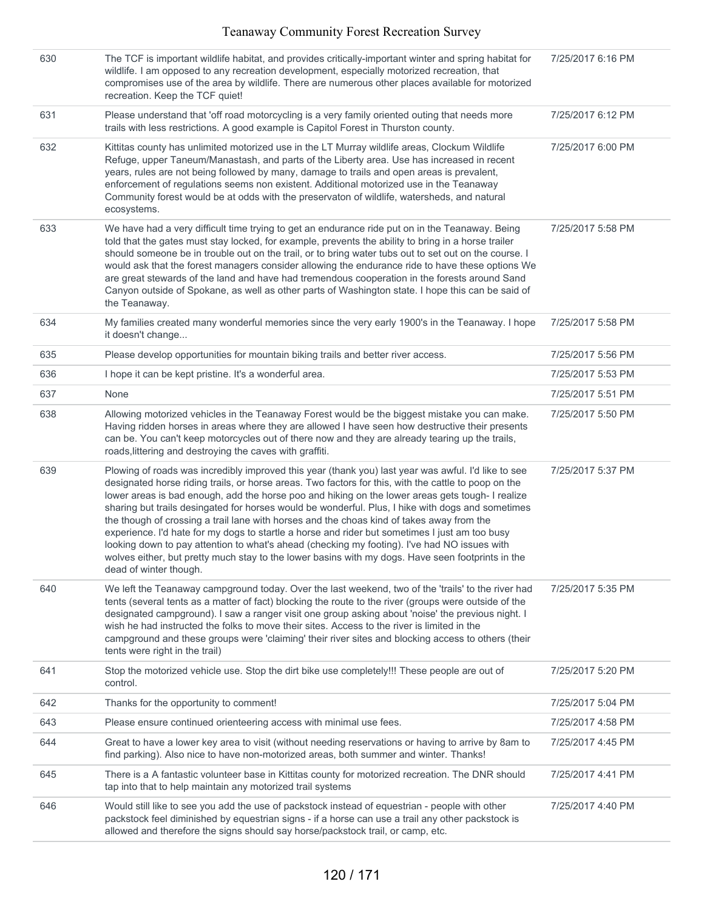| 630 | The TCF is important wildlife habitat, and provides critically-important winter and spring habitat for<br>wildlife. I am opposed to any recreation development, especially motorized recreation, that<br>compromises use of the area by wildlife. There are numerous other places available for motorized<br>recreation. Keep the TCF quiet!                                                                                                                                                                                                                                                                                                                                                                                                                                                                                                       | 7/25/2017 6:16 PM |
|-----|----------------------------------------------------------------------------------------------------------------------------------------------------------------------------------------------------------------------------------------------------------------------------------------------------------------------------------------------------------------------------------------------------------------------------------------------------------------------------------------------------------------------------------------------------------------------------------------------------------------------------------------------------------------------------------------------------------------------------------------------------------------------------------------------------------------------------------------------------|-------------------|
| 631 | Please understand that 'off road motorcycling is a very family oriented outing that needs more<br>trails with less restrictions. A good example is Capitol Forest in Thurston county.                                                                                                                                                                                                                                                                                                                                                                                                                                                                                                                                                                                                                                                              | 7/25/2017 6:12 PM |
| 632 | Kittitas county has unlimited motorized use in the LT Murray wildlife areas, Clockum Wildlife<br>Refuge, upper Taneum/Manastash, and parts of the Liberty area. Use has increased in recent<br>years, rules are not being followed by many, damage to trails and open areas is prevalent,<br>enforcement of regulations seems non existent. Additional motorized use in the Teanaway<br>Community forest would be at odds with the preservaton of wildlife, watersheds, and natural<br>ecosystems.                                                                                                                                                                                                                                                                                                                                                 | 7/25/2017 6:00 PM |
| 633 | We have had a very difficult time trying to get an endurance ride put on in the Teanaway. Being<br>told that the gates must stay locked, for example, prevents the ability to bring in a horse trailer<br>should someone be in trouble out on the trail, or to bring water tubs out to set out on the course. I<br>would ask that the forest managers consider allowing the endurance ride to have these options We<br>are great stewards of the land and have had tremendous cooperation in the forests around Sand<br>Canyon outside of Spokane, as well as other parts of Washington state. I hope this can be said of<br>the Teanaway.                                                                                                                                                                                                         | 7/25/2017 5:58 PM |
| 634 | My families created many wonderful memories since the very early 1900's in the Teanaway. I hope<br>it doesn't change                                                                                                                                                                                                                                                                                                                                                                                                                                                                                                                                                                                                                                                                                                                               | 7/25/2017 5:58 PM |
| 635 | Please develop opportunities for mountain biking trails and better river access.                                                                                                                                                                                                                                                                                                                                                                                                                                                                                                                                                                                                                                                                                                                                                                   | 7/25/2017 5:56 PM |
| 636 | I hope it can be kept pristine. It's a wonderful area.                                                                                                                                                                                                                                                                                                                                                                                                                                                                                                                                                                                                                                                                                                                                                                                             | 7/25/2017 5:53 PM |
| 637 | None                                                                                                                                                                                                                                                                                                                                                                                                                                                                                                                                                                                                                                                                                                                                                                                                                                               | 7/25/2017 5:51 PM |
| 638 | Allowing motorized vehicles in the Teanaway Forest would be the biggest mistake you can make.<br>Having ridden horses in areas where they are allowed I have seen how destructive their presents<br>can be. You can't keep motorcycles out of there now and they are already tearing up the trails,<br>roads, littering and destroying the caves with graffiti.                                                                                                                                                                                                                                                                                                                                                                                                                                                                                    | 7/25/2017 5:50 PM |
| 639 | Plowing of roads was incredibly improved this year (thank you) last year was awful. I'd like to see<br>designated horse riding trails, or horse areas. Two factors for this, with the cattle to poop on the<br>lower areas is bad enough, add the horse poo and hiking on the lower areas gets tough- I realize<br>sharing but trails desingated for horses would be wonderful. Plus, I hike with dogs and sometimes<br>the though of crossing a trail lane with horses and the choas kind of takes away from the<br>experience. I'd hate for my dogs to startle a horse and rider but sometimes I just am too busy<br>looking down to pay attention to what's ahead (checking my footing). I've had NO issues with<br>wolves either, but pretty much stay to the lower basins with my dogs. Have seen footprints in the<br>dead of winter though. | 7/25/2017 5:37 PM |
| 640 | We left the Teanaway campground today. Over the last weekend, two of the 'trails' to the river had<br>tents (several tents as a matter of fact) blocking the route to the river (groups were outside of the<br>designated campground). I saw a ranger visit one group asking about 'noise' the previous night. I<br>wish he had instructed the folks to move their sites. Access to the river is limited in the<br>campground and these groups were 'claiming' their river sites and blocking access to others (their<br>tents were right in the trail)                                                                                                                                                                                                                                                                                            | 7/25/2017 5:35 PM |
| 641 | Stop the motorized vehicle use. Stop the dirt bike use completely!!! These people are out of<br>control.                                                                                                                                                                                                                                                                                                                                                                                                                                                                                                                                                                                                                                                                                                                                           | 7/25/2017 5:20 PM |
| 642 | Thanks for the opportunity to comment!                                                                                                                                                                                                                                                                                                                                                                                                                                                                                                                                                                                                                                                                                                                                                                                                             | 7/25/2017 5:04 PM |
| 643 | Please ensure continued orienteering access with minimal use fees.                                                                                                                                                                                                                                                                                                                                                                                                                                                                                                                                                                                                                                                                                                                                                                                 | 7/25/2017 4:58 PM |
| 644 | Great to have a lower key area to visit (without needing reservations or having to arrive by 8am to<br>find parking). Also nice to have non-motorized areas, both summer and winter. Thanks!                                                                                                                                                                                                                                                                                                                                                                                                                                                                                                                                                                                                                                                       | 7/25/2017 4:45 PM |
| 645 | There is a A fantastic volunteer base in Kittitas county for motorized recreation. The DNR should<br>tap into that to help maintain any motorized trail systems                                                                                                                                                                                                                                                                                                                                                                                                                                                                                                                                                                                                                                                                                    | 7/25/2017 4:41 PM |
| 646 | Would still like to see you add the use of packstock instead of equestrian - people with other<br>packstock feel diminished by equestrian signs - if a horse can use a trail any other packstock is<br>allowed and therefore the signs should say horse/packstock trail, or camp, etc.                                                                                                                                                                                                                                                                                                                                                                                                                                                                                                                                                             | 7/25/2017 4:40 PM |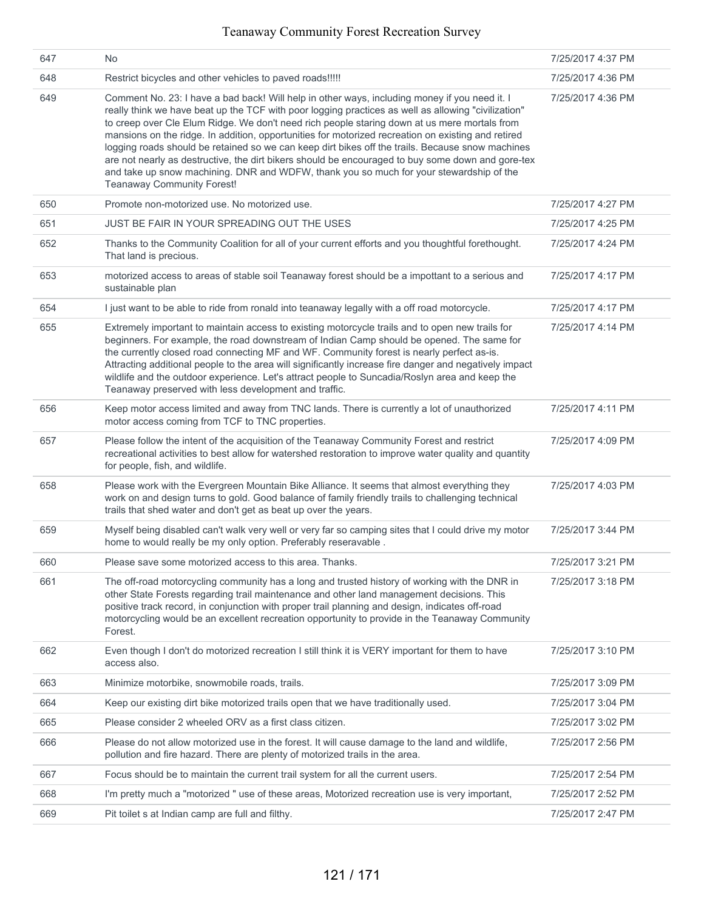| 647 | No                                                                                                                                                                                                                                                                                                                                                                                                                                                                                                                                                                                                                                                                                                                                                  | 7/25/2017 4:37 PM |
|-----|-----------------------------------------------------------------------------------------------------------------------------------------------------------------------------------------------------------------------------------------------------------------------------------------------------------------------------------------------------------------------------------------------------------------------------------------------------------------------------------------------------------------------------------------------------------------------------------------------------------------------------------------------------------------------------------------------------------------------------------------------------|-------------------|
| 648 | Restrict bicycles and other vehicles to paved roads!!!!!                                                                                                                                                                                                                                                                                                                                                                                                                                                                                                                                                                                                                                                                                            | 7/25/2017 4:36 PM |
| 649 | Comment No. 23: I have a bad back! Will help in other ways, including money if you need it. I<br>really think we have beat up the TCF with poor logging practices as well as allowing "civilization"<br>to creep over Cle Elum Ridge. We don't need rich people staring down at us mere mortals from<br>mansions on the ridge. In addition, opportunities for motorized recreation on existing and retired<br>logging roads should be retained so we can keep dirt bikes off the trails. Because snow machines<br>are not nearly as destructive, the dirt bikers should be encouraged to buy some down and gore-tex<br>and take up snow machining. DNR and WDFW, thank you so much for your stewardship of the<br><b>Teanaway Community Forest!</b> | 7/25/2017 4:36 PM |
| 650 | Promote non-motorized use. No motorized use.                                                                                                                                                                                                                                                                                                                                                                                                                                                                                                                                                                                                                                                                                                        | 7/25/2017 4:27 PM |
| 651 | JUST BE FAIR IN YOUR SPREADING OUT THE USES                                                                                                                                                                                                                                                                                                                                                                                                                                                                                                                                                                                                                                                                                                         | 7/25/2017 4:25 PM |
| 652 | Thanks to the Community Coalition for all of your current efforts and you thoughtful forethought.<br>That land is precious.                                                                                                                                                                                                                                                                                                                                                                                                                                                                                                                                                                                                                         | 7/25/2017 4:24 PM |
| 653 | motorized access to areas of stable soil Teanaway forest should be a impottant to a serious and<br>sustainable plan                                                                                                                                                                                                                                                                                                                                                                                                                                                                                                                                                                                                                                 | 7/25/2017 4:17 PM |
| 654 | I just want to be able to ride from ronald into teanaway legally with a off road motorcycle.                                                                                                                                                                                                                                                                                                                                                                                                                                                                                                                                                                                                                                                        | 7/25/2017 4:17 PM |
| 655 | Extremely important to maintain access to existing motorcycle trails and to open new trails for<br>beginners. For example, the road downstream of Indian Camp should be opened. The same for<br>the currently closed road connecting MF and WF. Community forest is nearly perfect as-is.<br>Attracting additional people to the area will significantly increase fire danger and negatively impact<br>wildlife and the outdoor experience. Let's attract people to Suncadia/Roslyn area and keep the<br>Teanaway preserved with less development and traffic.                                                                                                                                                                                      | 7/25/2017 4:14 PM |
| 656 | Keep motor access limited and away from TNC lands. There is currently a lot of unauthorized<br>motor access coming from TCF to TNC properties.                                                                                                                                                                                                                                                                                                                                                                                                                                                                                                                                                                                                      | 7/25/2017 4:11 PM |
| 657 | Please follow the intent of the acquisition of the Teanaway Community Forest and restrict<br>recreational activities to best allow for watershed restoration to improve water quality and quantity<br>for people, fish, and wildlife.                                                                                                                                                                                                                                                                                                                                                                                                                                                                                                               | 7/25/2017 4:09 PM |
| 658 | Please work with the Evergreen Mountain Bike Alliance. It seems that almost everything they<br>work on and design turns to gold. Good balance of family friendly trails to challenging technical<br>trails that shed water and don't get as beat up over the years.                                                                                                                                                                                                                                                                                                                                                                                                                                                                                 | 7/25/2017 4:03 PM |
| 659 | Myself being disabled can't walk very well or very far so camping sites that I could drive my motor<br>home to would really be my only option. Preferably reseravable.                                                                                                                                                                                                                                                                                                                                                                                                                                                                                                                                                                              | 7/25/2017 3:44 PM |
| 660 | Please save some motorized access to this area. Thanks.                                                                                                                                                                                                                                                                                                                                                                                                                                                                                                                                                                                                                                                                                             | 7/25/2017 3:21 PM |
| 661 | The off-road motorcycling community has a long and trusted history of working with the DNR in<br>other State Forests regarding trail maintenance and other land management decisions. This<br>positive track record, in conjunction with proper trail planning and design, indicates off-road<br>motorcycling would be an excellent recreation opportunity to provide in the Teanaway Community<br>Forest.                                                                                                                                                                                                                                                                                                                                          | 7/25/2017 3:18 PM |
| 662 | Even though I don't do motorized recreation I still think it is VERY important for them to have<br>access also.                                                                                                                                                                                                                                                                                                                                                                                                                                                                                                                                                                                                                                     | 7/25/2017 3:10 PM |
| 663 | Minimize motorbike, snowmobile roads, trails.                                                                                                                                                                                                                                                                                                                                                                                                                                                                                                                                                                                                                                                                                                       | 7/25/2017 3:09 PM |
| 664 | Keep our existing dirt bike motorized trails open that we have traditionally used.                                                                                                                                                                                                                                                                                                                                                                                                                                                                                                                                                                                                                                                                  | 7/25/2017 3:04 PM |
| 665 | Please consider 2 wheeled ORV as a first class citizen.                                                                                                                                                                                                                                                                                                                                                                                                                                                                                                                                                                                                                                                                                             | 7/25/2017 3:02 PM |
| 666 | Please do not allow motorized use in the forest. It will cause damage to the land and wildlife,<br>pollution and fire hazard. There are plenty of motorized trails in the area.                                                                                                                                                                                                                                                                                                                                                                                                                                                                                                                                                                     | 7/25/2017 2:56 PM |
| 667 | Focus should be to maintain the current trail system for all the current users.                                                                                                                                                                                                                                                                                                                                                                                                                                                                                                                                                                                                                                                                     | 7/25/2017 2:54 PM |
| 668 | I'm pretty much a "motorized " use of these areas, Motorized recreation use is very important,                                                                                                                                                                                                                                                                                                                                                                                                                                                                                                                                                                                                                                                      | 7/25/2017 2:52 PM |
| 669 | Pit toilet s at Indian camp are full and filthy.                                                                                                                                                                                                                                                                                                                                                                                                                                                                                                                                                                                                                                                                                                    | 7/25/2017 2:47 PM |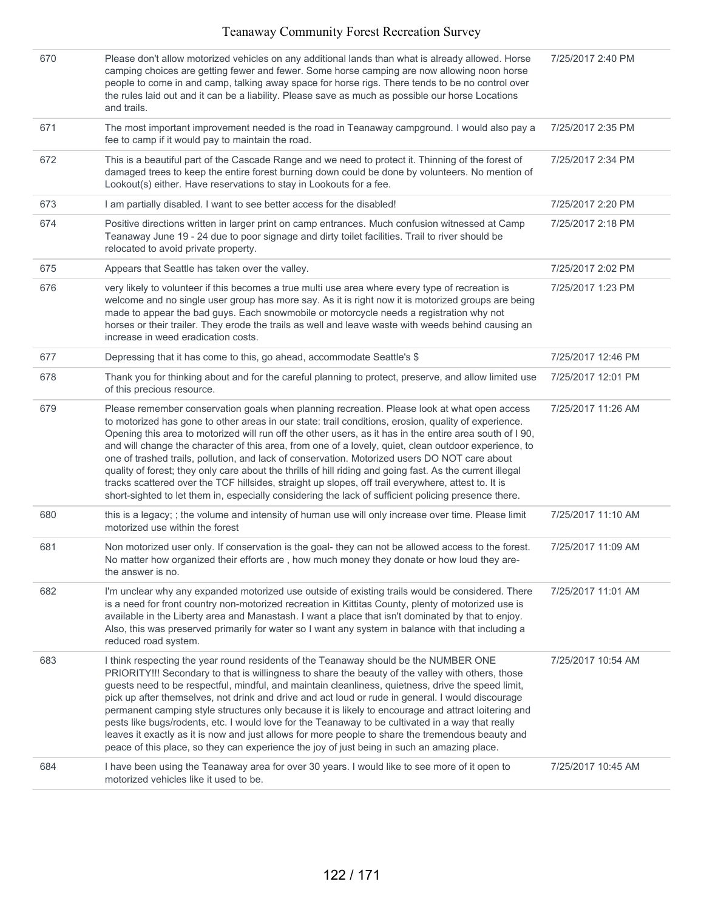| 670 | Please don't allow motorized vehicles on any additional lands than what is already allowed. Horse<br>camping choices are getting fewer and fewer. Some horse camping are now allowing noon horse<br>people to come in and camp, talking away space for horse rigs. There tends to be no control over<br>the rules laid out and it can be a liability. Please save as much as possible our horse Locations<br>and trails.                                                                                                                                                                                                                                                                                                                                                                                                                               | 7/25/2017 2:40 PM  |
|-----|--------------------------------------------------------------------------------------------------------------------------------------------------------------------------------------------------------------------------------------------------------------------------------------------------------------------------------------------------------------------------------------------------------------------------------------------------------------------------------------------------------------------------------------------------------------------------------------------------------------------------------------------------------------------------------------------------------------------------------------------------------------------------------------------------------------------------------------------------------|--------------------|
| 671 | The most important improvement needed is the road in Teanaway campground. I would also pay a<br>fee to camp if it would pay to maintain the road.                                                                                                                                                                                                                                                                                                                                                                                                                                                                                                                                                                                                                                                                                                      | 7/25/2017 2:35 PM  |
| 672 | This is a beautiful part of the Cascade Range and we need to protect it. Thinning of the forest of<br>damaged trees to keep the entire forest burning down could be done by volunteers. No mention of<br>Lookout(s) either. Have reservations to stay in Lookouts for a fee.                                                                                                                                                                                                                                                                                                                                                                                                                                                                                                                                                                           | 7/25/2017 2:34 PM  |
| 673 | I am partially disabled. I want to see better access for the disabled!                                                                                                                                                                                                                                                                                                                                                                                                                                                                                                                                                                                                                                                                                                                                                                                 | 7/25/2017 2:20 PM  |
| 674 | Positive directions written in larger print on camp entrances. Much confusion witnessed at Camp<br>Teanaway June 19 - 24 due to poor signage and dirty toilet facilities. Trail to river should be<br>relocated to avoid private property.                                                                                                                                                                                                                                                                                                                                                                                                                                                                                                                                                                                                             | 7/25/2017 2:18 PM  |
| 675 | Appears that Seattle has taken over the valley.                                                                                                                                                                                                                                                                                                                                                                                                                                                                                                                                                                                                                                                                                                                                                                                                        | 7/25/2017 2:02 PM  |
| 676 | very likely to volunteer if this becomes a true multi use area where every type of recreation is<br>welcome and no single user group has more say. As it is right now it is motorized groups are being<br>made to appear the bad guys. Each snowmobile or motorcycle needs a registration why not<br>horses or their trailer. They erode the trails as well and leave waste with weeds behind causing an<br>increase in weed eradication costs.                                                                                                                                                                                                                                                                                                                                                                                                        | 7/25/2017 1:23 PM  |
| 677 | Depressing that it has come to this, go ahead, accommodate Seattle's \$                                                                                                                                                                                                                                                                                                                                                                                                                                                                                                                                                                                                                                                                                                                                                                                | 7/25/2017 12:46 PM |
| 678 | Thank you for thinking about and for the careful planning to protect, preserve, and allow limited use<br>of this precious resource.                                                                                                                                                                                                                                                                                                                                                                                                                                                                                                                                                                                                                                                                                                                    | 7/25/2017 12:01 PM |
| 679 | Please remember conservation goals when planning recreation. Please look at what open access<br>to motorized has gone to other areas in our state: trail conditions, erosion, quality of experience.<br>Opening this area to motorized will run off the other users, as it has in the entire area south of I 90,<br>and will change the character of this area, from one of a lovely, quiet, clean outdoor experience, to<br>one of trashed trails, pollution, and lack of conservation. Motorized users DO NOT care about<br>quality of forest; they only care about the thrills of hill riding and going fast. As the current illegal<br>tracks scattered over the TCF hillsides, straight up slopes, off trail everywhere, attest to. It is<br>short-sighted to let them in, especially considering the lack of sufficient policing presence there. | 7/25/2017 11:26 AM |
| 680 | this is a legacy; ; the volume and intensity of human use will only increase over time. Please limit<br>motorized use within the forest                                                                                                                                                                                                                                                                                                                                                                                                                                                                                                                                                                                                                                                                                                                | 7/25/2017 11:10 AM |
| 681 | Non motorized user only. If conservation is the goal- they can not be allowed access to the forest.<br>No matter how organized their efforts are, how much money they donate or how loud they are-<br>the answer is no.                                                                                                                                                                                                                                                                                                                                                                                                                                                                                                                                                                                                                                | 7/25/2017 11:09 AM |
| 682 | I'm unclear why any expanded motorized use outside of existing trails would be considered. There<br>is a need for front country non-motorized recreation in Kittitas County, plenty of motorized use is<br>available in the Liberty area and Manastash. I want a place that isn't dominated by that to enjoy.<br>Also, this was preserved primarily for water so I want any system in balance with that including a<br>reduced road system.                                                                                                                                                                                                                                                                                                                                                                                                            | 7/25/2017 11:01 AM |
| 683 | I think respecting the year round residents of the Teanaway should be the NUMBER ONE<br>PRIORITY!!! Secondary to that is willingness to share the beauty of the valley with others, those<br>guests need to be respectful, mindful, and maintain cleanliness, quietness, drive the speed limit,<br>pick up after themselves, not drink and drive and act loud or rude in general. I would discourage<br>permanent camping style structures only because it is likely to encourage and attract loitering and<br>pests like bugs/rodents, etc. I would love for the Teanaway to be cultivated in a way that really<br>leaves it exactly as it is now and just allows for more people to share the tremendous beauty and<br>peace of this place, so they can experience the joy of just being in such an amazing place.                                   | 7/25/2017 10:54 AM |
| 684 | I have been using the Teanaway area for over 30 years. I would like to see more of it open to<br>motorized vehicles like it used to be.                                                                                                                                                                                                                                                                                                                                                                                                                                                                                                                                                                                                                                                                                                                | 7/25/2017 10:45 AM |
|     |                                                                                                                                                                                                                                                                                                                                                                                                                                                                                                                                                                                                                                                                                                                                                                                                                                                        |                    |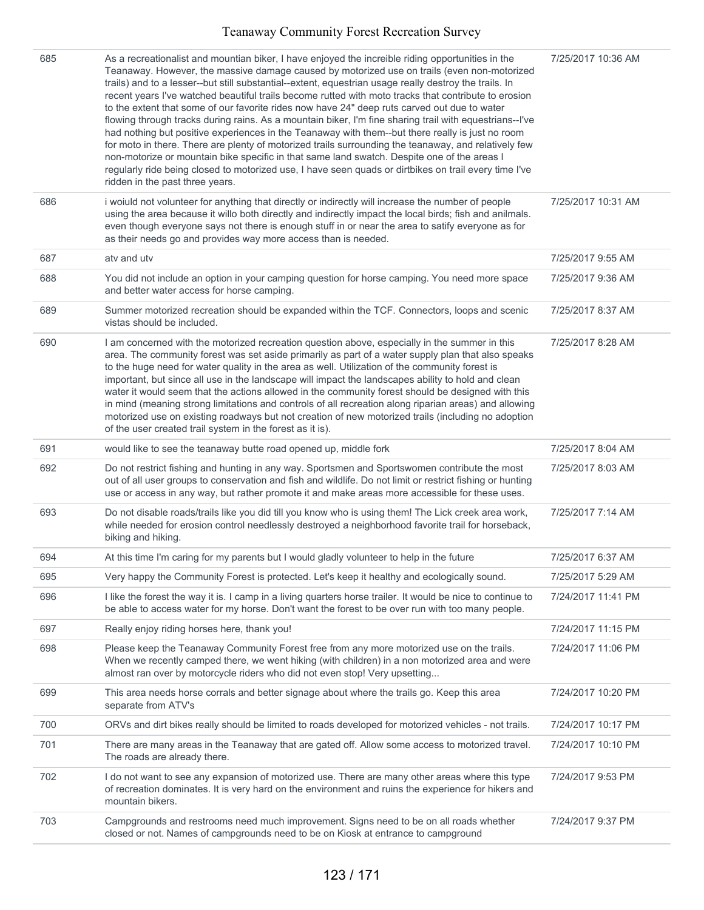| 685 | As a recreationalist and mountian biker, I have enjoyed the increible riding opportunities in the<br>Teanaway. However, the massive damage caused by motorized use on trails (even non-motorized<br>trails) and to a lesser--but still substantial--extent, equestrian usage really destroy the trails. In<br>recent years I've watched beautiful trails become rutted with moto tracks that contribute to erosion<br>to the extent that some of our favorite rides now have 24" deep ruts carved out due to water<br>flowing through tracks during rains. As a mountain biker, I'm fine sharing trail with equestrians--I've<br>had nothing but positive experiences in the Teanaway with them--but there really is just no room<br>for moto in there. There are plenty of motorized trails surrounding the teanaway, and relatively few<br>non-motorize or mountain bike specific in that same land swatch. Despite one of the areas I<br>regularly ride being closed to motorized use, I have seen quads or dirtbikes on trail every time I've<br>ridden in the past three years. | 7/25/2017 10:36 AM |
|-----|--------------------------------------------------------------------------------------------------------------------------------------------------------------------------------------------------------------------------------------------------------------------------------------------------------------------------------------------------------------------------------------------------------------------------------------------------------------------------------------------------------------------------------------------------------------------------------------------------------------------------------------------------------------------------------------------------------------------------------------------------------------------------------------------------------------------------------------------------------------------------------------------------------------------------------------------------------------------------------------------------------------------------------------------------------------------------------------|--------------------|
| 686 | i woiuld not volunteer for anything that directly or indirectly will increase the number of people<br>using the area because it willo both directly and indirectly impact the local birds; fish and anilmals.<br>even though everyone says not there is enough stuff in or near the area to satify everyone as for<br>as their needs go and provides way more access than is needed.                                                                                                                                                                                                                                                                                                                                                                                                                                                                                                                                                                                                                                                                                                 | 7/25/2017 10:31 AM |
| 687 | atv and utv                                                                                                                                                                                                                                                                                                                                                                                                                                                                                                                                                                                                                                                                                                                                                                                                                                                                                                                                                                                                                                                                          | 7/25/2017 9:55 AM  |
| 688 | You did not include an option in your camping question for horse camping. You need more space<br>and better water access for horse camping.                                                                                                                                                                                                                                                                                                                                                                                                                                                                                                                                                                                                                                                                                                                                                                                                                                                                                                                                          | 7/25/2017 9:36 AM  |
| 689 | Summer motorized recreation should be expanded within the TCF. Connectors, loops and scenic<br>vistas should be included.                                                                                                                                                                                                                                                                                                                                                                                                                                                                                                                                                                                                                                                                                                                                                                                                                                                                                                                                                            | 7/25/2017 8:37 AM  |
| 690 | I am concerned with the motorized recreation question above, especially in the summer in this<br>area. The community forest was set aside primarily as part of a water supply plan that also speaks<br>to the huge need for water quality in the area as well. Utilization of the community forest is<br>important, but since all use in the landscape will impact the landscapes ability to hold and clean<br>water it would seem that the actions allowed in the community forest should be designed with this<br>in mind (meaning strong limitations and controls of all recreation along riparian areas) and allowing<br>motorized use on existing roadways but not creation of new motorized trails (including no adoption<br>of the user created trail system in the forest as it is).                                                                                                                                                                                                                                                                                         | 7/25/2017 8:28 AM  |
| 691 | would like to see the teanaway butte road opened up, middle fork                                                                                                                                                                                                                                                                                                                                                                                                                                                                                                                                                                                                                                                                                                                                                                                                                                                                                                                                                                                                                     | 7/25/2017 8:04 AM  |
| 692 | Do not restrict fishing and hunting in any way. Sportsmen and Sportswomen contribute the most<br>out of all user groups to conservation and fish and wildlife. Do not limit or restrict fishing or hunting<br>use or access in any way, but rather promote it and make areas more accessible for these uses.                                                                                                                                                                                                                                                                                                                                                                                                                                                                                                                                                                                                                                                                                                                                                                         | 7/25/2017 8:03 AM  |
| 693 | Do not disable roads/trails like you did till you know who is using them! The Lick creek area work,<br>while needed for erosion control needlessly destroyed a neighborhood favorite trail for horseback,<br>biking and hiking.                                                                                                                                                                                                                                                                                                                                                                                                                                                                                                                                                                                                                                                                                                                                                                                                                                                      | 7/25/2017 7:14 AM  |
| 694 | At this time I'm caring for my parents but I would gladly volunteer to help in the future                                                                                                                                                                                                                                                                                                                                                                                                                                                                                                                                                                                                                                                                                                                                                                                                                                                                                                                                                                                            | 7/25/2017 6:37 AM  |
| 695 | Very happy the Community Forest is protected. Let's keep it healthy and ecologically sound.                                                                                                                                                                                                                                                                                                                                                                                                                                                                                                                                                                                                                                                                                                                                                                                                                                                                                                                                                                                          | 7/25/2017 5:29 AM  |
| 696 | I like the forest the way it is. I camp in a living quarters horse trailer. It would be nice to continue to<br>be able to access water for my horse. Don't want the forest to be over run with too many people.                                                                                                                                                                                                                                                                                                                                                                                                                                                                                                                                                                                                                                                                                                                                                                                                                                                                      | 7/24/2017 11:41 PM |
| 697 | Really enjoy riding horses here, thank you!                                                                                                                                                                                                                                                                                                                                                                                                                                                                                                                                                                                                                                                                                                                                                                                                                                                                                                                                                                                                                                          | 7/24/2017 11:15 PM |
| 698 | Please keep the Teanaway Community Forest free from any more motorized use on the trails.<br>When we recently camped there, we went hiking (with children) in a non motorized area and were<br>almost ran over by motorcycle riders who did not even stop! Very upsetting                                                                                                                                                                                                                                                                                                                                                                                                                                                                                                                                                                                                                                                                                                                                                                                                            | 7/24/2017 11:06 PM |
| 699 | This area needs horse corrals and better signage about where the trails go. Keep this area<br>separate from ATV's                                                                                                                                                                                                                                                                                                                                                                                                                                                                                                                                                                                                                                                                                                                                                                                                                                                                                                                                                                    | 7/24/2017 10:20 PM |
| 700 | ORVs and dirt bikes really should be limited to roads developed for motorized vehicles - not trails.                                                                                                                                                                                                                                                                                                                                                                                                                                                                                                                                                                                                                                                                                                                                                                                                                                                                                                                                                                                 | 7/24/2017 10:17 PM |
| 701 | There are many areas in the Teanaway that are gated off. Allow some access to motorized travel.<br>The roads are already there.                                                                                                                                                                                                                                                                                                                                                                                                                                                                                                                                                                                                                                                                                                                                                                                                                                                                                                                                                      | 7/24/2017 10:10 PM |
| 702 | I do not want to see any expansion of motorized use. There are many other areas where this type<br>of recreation dominates. It is very hard on the environment and ruins the experience for hikers and<br>mountain bikers.                                                                                                                                                                                                                                                                                                                                                                                                                                                                                                                                                                                                                                                                                                                                                                                                                                                           | 7/24/2017 9:53 PM  |
| 703 | Campgrounds and restrooms need much improvement. Signs need to be on all roads whether<br>closed or not. Names of campgrounds need to be on Kiosk at entrance to campground                                                                                                                                                                                                                                                                                                                                                                                                                                                                                                                                                                                                                                                                                                                                                                                                                                                                                                          | 7/24/2017 9:37 PM  |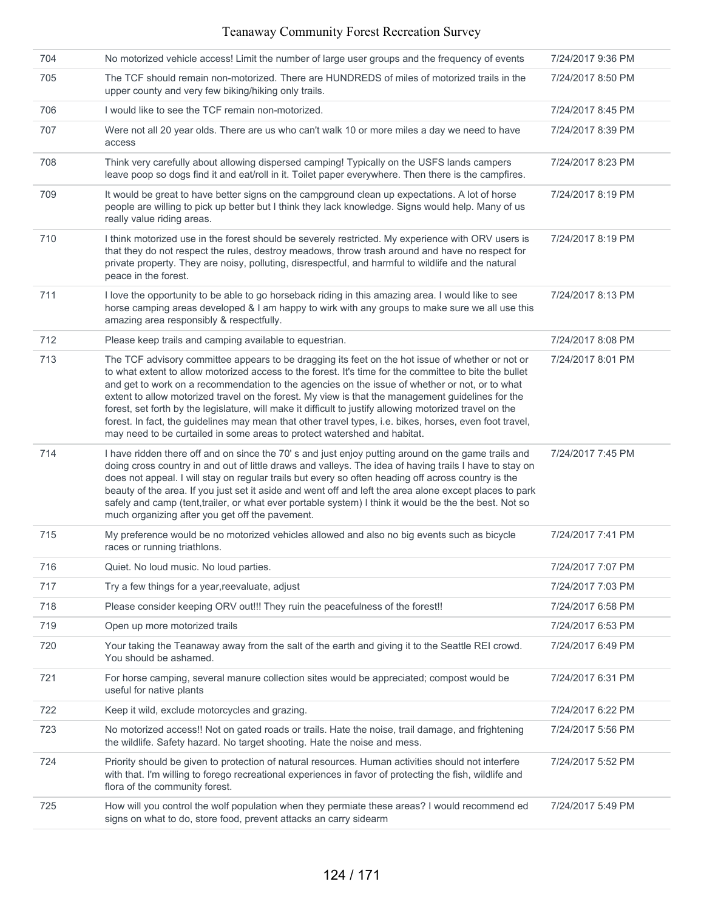| 704 | No motorized vehicle access! Limit the number of large user groups and the frequency of events                                                                                                                                                                                                                                                                                                                                                                                                                                                                                                                                                                                                                       | 7/24/2017 9:36 PM |
|-----|----------------------------------------------------------------------------------------------------------------------------------------------------------------------------------------------------------------------------------------------------------------------------------------------------------------------------------------------------------------------------------------------------------------------------------------------------------------------------------------------------------------------------------------------------------------------------------------------------------------------------------------------------------------------------------------------------------------------|-------------------|
| 705 | The TCF should remain non-motorized. There are HUNDREDS of miles of motorized trails in the<br>upper county and very few biking/hiking only trails.                                                                                                                                                                                                                                                                                                                                                                                                                                                                                                                                                                  | 7/24/2017 8:50 PM |
| 706 | I would like to see the TCF remain non-motorized.                                                                                                                                                                                                                                                                                                                                                                                                                                                                                                                                                                                                                                                                    | 7/24/2017 8:45 PM |
| 707 | Were not all 20 year olds. There are us who can't walk 10 or more miles a day we need to have<br>access                                                                                                                                                                                                                                                                                                                                                                                                                                                                                                                                                                                                              | 7/24/2017 8:39 PM |
| 708 | Think very carefully about allowing dispersed camping! Typically on the USFS lands campers<br>leave poop so dogs find it and eat/roll in it. Toilet paper everywhere. Then there is the campfires.                                                                                                                                                                                                                                                                                                                                                                                                                                                                                                                   | 7/24/2017 8:23 PM |
| 709 | It would be great to have better signs on the campground clean up expectations. A lot of horse<br>people are willing to pick up better but I think they lack knowledge. Signs would help. Many of us<br>really value riding areas.                                                                                                                                                                                                                                                                                                                                                                                                                                                                                   | 7/24/2017 8:19 PM |
| 710 | I think motorized use in the forest should be severely restricted. My experience with ORV users is<br>that they do not respect the rules, destroy meadows, throw trash around and have no respect for<br>private property. They are noisy, polluting, disrespectful, and harmful to wildlife and the natural<br>peace in the forest.                                                                                                                                                                                                                                                                                                                                                                                 | 7/24/2017 8:19 PM |
| 711 | I love the opportunity to be able to go horseback riding in this amazing area. I would like to see<br>horse camping areas developed & I am happy to wirk with any groups to make sure we all use this<br>amazing area responsibly & respectfully.                                                                                                                                                                                                                                                                                                                                                                                                                                                                    | 7/24/2017 8:13 PM |
| 712 | Please keep trails and camping available to equestrian.                                                                                                                                                                                                                                                                                                                                                                                                                                                                                                                                                                                                                                                              | 7/24/2017 8:08 PM |
| 713 | The TCF advisory committee appears to be dragging its feet on the hot issue of whether or not or<br>to what extent to allow motorized access to the forest. It's time for the committee to bite the bullet<br>and get to work on a recommendation to the agencies on the issue of whether or not, or to what<br>extent to allow motorized travel on the forest. My view is that the management guidelines for the<br>forest, set forth by the legislature, will make it difficult to justify allowing motorized travel on the<br>forest. In fact, the guidelines may mean that other travel types, i.e. bikes, horses, even foot travel,<br>may need to be curtailed in some areas to protect watershed and habitat. | 7/24/2017 8:01 PM |
| 714 | I have ridden there off and on since the 70's and just enjoy putting around on the game trails and<br>doing cross country in and out of little draws and valleys. The idea of having trails I have to stay on<br>does not appeal. I will stay on regular trails but every so often heading off across country is the<br>beauty of the area. If you just set it aside and went off and left the area alone except places to park<br>safely and camp (tent, trailer, or what ever portable system) I think it would be the the best. Not so<br>much organizing after you get off the pavement.                                                                                                                         | 7/24/2017 7:45 PM |
| 715 | My preference would be no motorized vehicles allowed and also no big events such as bicycle<br>races or running triathlons.                                                                                                                                                                                                                                                                                                                                                                                                                                                                                                                                                                                          | 7/24/2017 7:41 PM |
| 716 | Quiet. No loud music. No loud parties.                                                                                                                                                                                                                                                                                                                                                                                                                                                                                                                                                                                                                                                                               | 7/24/2017 7:07 PM |
| 717 | Try a few things for a year, reevaluate, adjust                                                                                                                                                                                                                                                                                                                                                                                                                                                                                                                                                                                                                                                                      | 7/24/2017 7:03 PM |
| 718 | Please consider keeping ORV out!!! They ruin the peacefulness of the forest!!                                                                                                                                                                                                                                                                                                                                                                                                                                                                                                                                                                                                                                        | 7/24/2017 6:58 PM |
| 719 | Open up more motorized trails                                                                                                                                                                                                                                                                                                                                                                                                                                                                                                                                                                                                                                                                                        | 7/24/2017 6:53 PM |
| 720 | Your taking the Teanaway away from the salt of the earth and giving it to the Seattle REI crowd.<br>You should be ashamed.                                                                                                                                                                                                                                                                                                                                                                                                                                                                                                                                                                                           | 7/24/2017 6:49 PM |
| 721 | For horse camping, several manure collection sites would be appreciated; compost would be<br>useful for native plants                                                                                                                                                                                                                                                                                                                                                                                                                                                                                                                                                                                                | 7/24/2017 6:31 PM |
| 722 | Keep it wild, exclude motorcycles and grazing.                                                                                                                                                                                                                                                                                                                                                                                                                                                                                                                                                                                                                                                                       | 7/24/2017 6:22 PM |
| 723 | No motorized access!! Not on gated roads or trails. Hate the noise, trail damage, and frightening<br>the wildlife. Safety hazard. No target shooting. Hate the noise and mess.                                                                                                                                                                                                                                                                                                                                                                                                                                                                                                                                       | 7/24/2017 5:56 PM |
| 724 | Priority should be given to protection of natural resources. Human activities should not interfere<br>with that. I'm willing to forego recreational experiences in favor of protecting the fish, wildlife and<br>flora of the community forest.                                                                                                                                                                                                                                                                                                                                                                                                                                                                      | 7/24/2017 5:52 PM |
| 725 | How will you control the wolf population when they permiate these areas? I would recommend ed<br>signs on what to do, store food, prevent attacks an carry sidearm                                                                                                                                                                                                                                                                                                                                                                                                                                                                                                                                                   | 7/24/2017 5:49 PM |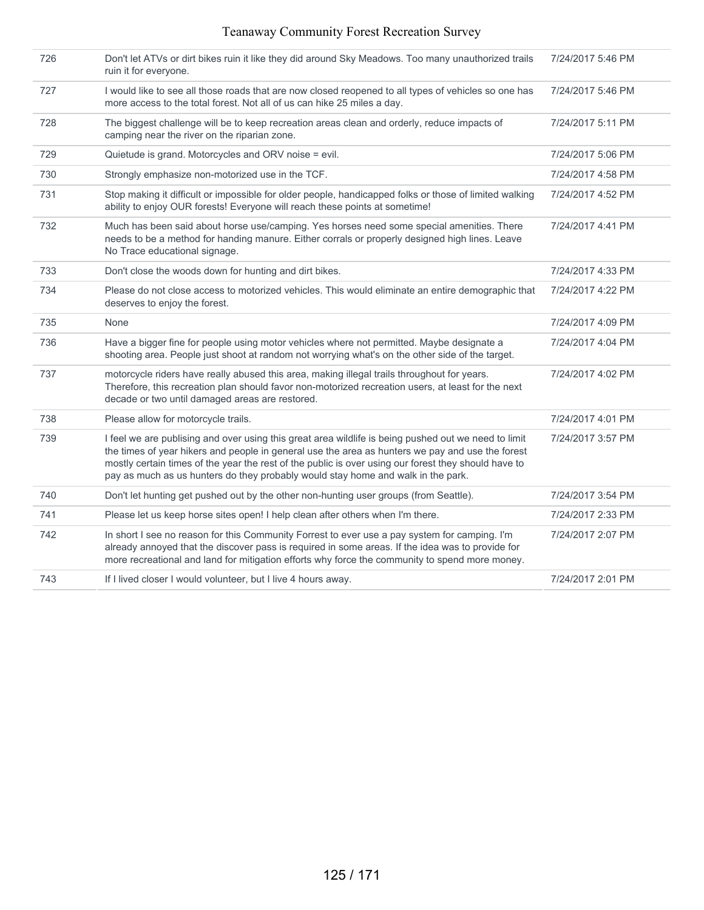| 726 | Don't let ATVs or dirt bikes ruin it like they did around Sky Meadows. Too many unauthorized trails<br>ruin it for everyone.                                                                                                                                                                                                                                                                         | 7/24/2017 5:46 PM |
|-----|------------------------------------------------------------------------------------------------------------------------------------------------------------------------------------------------------------------------------------------------------------------------------------------------------------------------------------------------------------------------------------------------------|-------------------|
| 727 | I would like to see all those roads that are now closed reopened to all types of vehicles so one has<br>more access to the total forest. Not all of us can hike 25 miles a day.                                                                                                                                                                                                                      | 7/24/2017 5:46 PM |
| 728 | The biggest challenge will be to keep recreation areas clean and orderly, reduce impacts of<br>camping near the river on the riparian zone.                                                                                                                                                                                                                                                          | 7/24/2017 5:11 PM |
| 729 | Quietude is grand. Motorcycles and ORV noise = evil.                                                                                                                                                                                                                                                                                                                                                 | 7/24/2017 5:06 PM |
| 730 | Strongly emphasize non-motorized use in the TCF.                                                                                                                                                                                                                                                                                                                                                     | 7/24/2017 4:58 PM |
| 731 | Stop making it difficult or impossible for older people, handicapped folks or those of limited walking<br>ability to enjoy OUR forests! Everyone will reach these points at sometime!                                                                                                                                                                                                                | 7/24/2017 4:52 PM |
| 732 | Much has been said about horse use/camping. Yes horses need some special amenities. There<br>needs to be a method for handing manure. Either corrals or properly designed high lines. Leave<br>No Trace educational signage.                                                                                                                                                                         | 7/24/2017 4:41 PM |
| 733 | Don't close the woods down for hunting and dirt bikes.                                                                                                                                                                                                                                                                                                                                               | 7/24/2017 4:33 PM |
| 734 | Please do not close access to motorized vehicles. This would eliminate an entire demographic that<br>deserves to enjoy the forest.                                                                                                                                                                                                                                                                   | 7/24/2017 4:22 PM |
| 735 | None                                                                                                                                                                                                                                                                                                                                                                                                 | 7/24/2017 4:09 PM |
| 736 | Have a bigger fine for people using motor vehicles where not permitted. Maybe designate a<br>shooting area. People just shoot at random not worrying what's on the other side of the target.                                                                                                                                                                                                         | 7/24/2017 4:04 PM |
| 737 | motorcycle riders have really abused this area, making illegal trails throughout for years.<br>Therefore, this recreation plan should favor non-motorized recreation users, at least for the next<br>decade or two until damaged areas are restored.                                                                                                                                                 | 7/24/2017 4:02 PM |
| 738 | Please allow for motorcycle trails.                                                                                                                                                                                                                                                                                                                                                                  | 7/24/2017 4:01 PM |
| 739 | I feel we are publising and over using this great area wildlife is being pushed out we need to limit<br>the times of year hikers and people in general use the area as hunters we pay and use the forest<br>mostly certain times of the year the rest of the public is over using our forest they should have to<br>pay as much as us hunters do they probably would stay home and walk in the park. | 7/24/2017 3:57 PM |
| 740 | Don't let hunting get pushed out by the other non-hunting user groups (from Seattle).                                                                                                                                                                                                                                                                                                                | 7/24/2017 3:54 PM |
| 741 | Please let us keep horse sites open! I help clean after others when I'm there.                                                                                                                                                                                                                                                                                                                       | 7/24/2017 2:33 PM |
| 742 | In short I see no reason for this Community Forrest to ever use a pay system for camping. I'm<br>already annoyed that the discover pass is required in some areas. If the idea was to provide for<br>more recreational and land for mitigation efforts why force the community to spend more money.                                                                                                  | 7/24/2017 2:07 PM |
| 743 | If I lived closer I would volunteer, but I live 4 hours away.                                                                                                                                                                                                                                                                                                                                        | 7/24/2017 2:01 PM |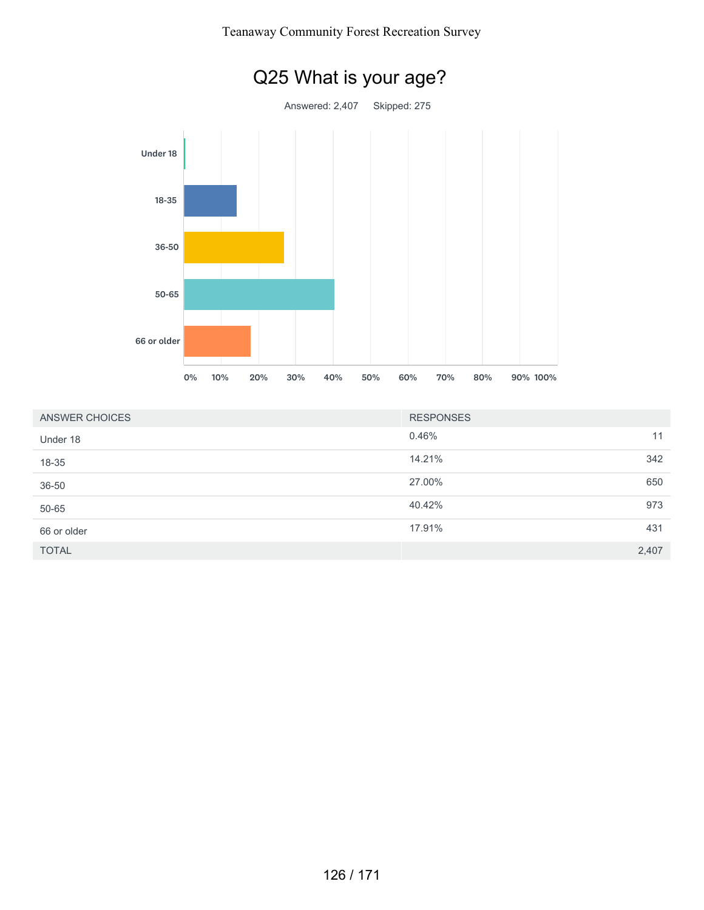

| Teanaway Community Forest Recreation Survey |  |  |
|---------------------------------------------|--|--|
|                                             |  |  |

| ANSWER CHOICES | <b>RESPONSES</b> |       |
|----------------|------------------|-------|
| Under 18       | 0.46%            | 11    |
| 18-35          | 14.21%           | 342   |
| 36-50          | 27.00%           | 650   |
| 50-65          | 40.42%           | 973   |
| 66 or older    | 17.91%           | 431   |
| <b>TOTAL</b>   |                  | 2,407 |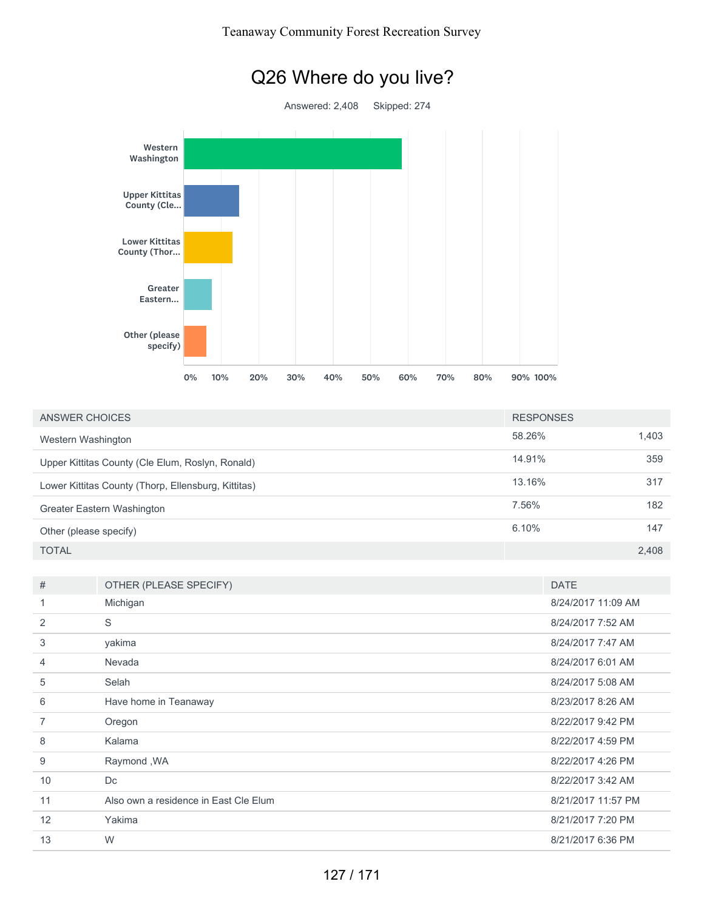# Q26 Where do you live?

Answered: 2,408 Skipped: 274



| ANSWER CHOICES                                      | <b>RESPONSES</b> |       |
|-----------------------------------------------------|------------------|-------|
| Western Washington                                  | 58.26%           | 1,403 |
| Upper Kittitas County (Cle Elum, Roslyn, Ronald)    | 14.91%           | 359   |
| Lower Kittitas County (Thorp, Ellensburg, Kittitas) | 13.16%           | 317   |
| Greater Eastern Washington                          | 7.56%            | 182   |
| Other (please specify)                              | 6.10%            | 147   |
| <b>TOTAL</b>                                        |                  | 2,408 |

| #  | OTHER (PLEASE SPECIFY)                | <b>DATE</b>        |
|----|---------------------------------------|--------------------|
| 1  | Michigan                              | 8/24/2017 11:09 AM |
| 2  | S                                     | 8/24/2017 7:52 AM  |
| 3  | yakima                                | 8/24/2017 7:47 AM  |
| 4  | Nevada                                | 8/24/2017 6:01 AM  |
| 5  | Selah                                 | 8/24/2017 5:08 AM  |
| 6  | Have home in Teanaway                 | 8/23/2017 8:26 AM  |
| 7  | Oregon                                | 8/22/2017 9:42 PM  |
| 8  | Kalama                                | 8/22/2017 4:59 PM  |
| 9  | Raymond, WA                           | 8/22/2017 4:26 PM  |
| 10 | Dc                                    | 8/22/2017 3:42 AM  |
| 11 | Also own a residence in East Cle Elum | 8/21/2017 11:57 PM |
| 12 | Yakima                                | 8/21/2017 7:20 PM  |
| 13 | W                                     | 8/21/2017 6:36 PM  |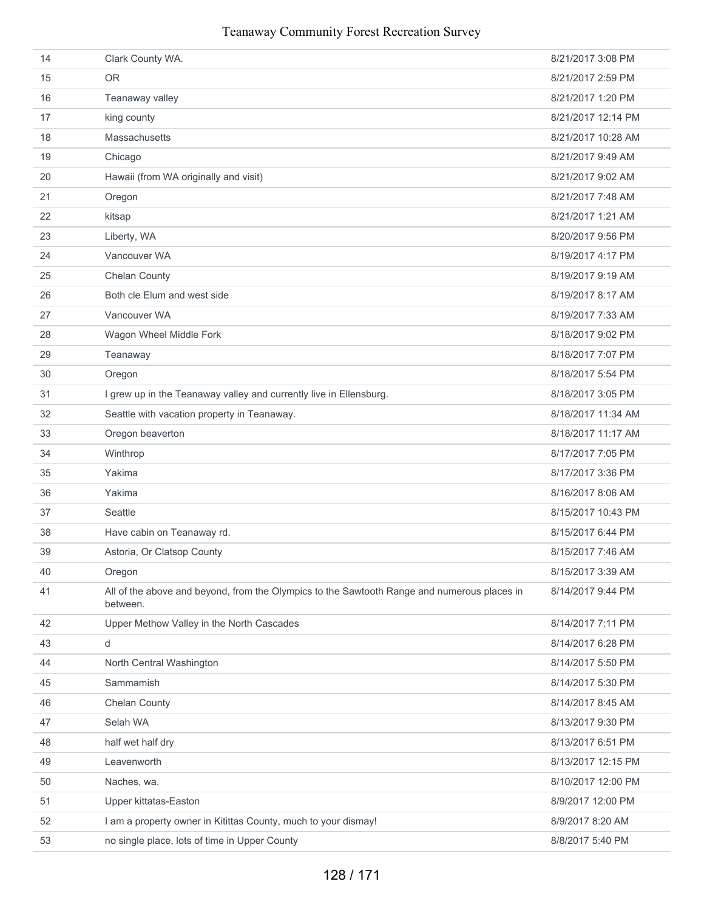| 14 | Clark County WA.                                                                                        | 8/21/2017 3:08 PM  |
|----|---------------------------------------------------------------------------------------------------------|--------------------|
| 15 | <b>OR</b>                                                                                               | 8/21/2017 2:59 PM  |
| 16 | Teanaway valley                                                                                         | 8/21/2017 1:20 PM  |
| 17 | king county                                                                                             | 8/21/2017 12:14 PM |
| 18 | Massachusetts                                                                                           | 8/21/2017 10:28 AM |
| 19 | Chicago                                                                                                 | 8/21/2017 9:49 AM  |
| 20 | Hawaii (from WA originally and visit)                                                                   | 8/21/2017 9:02 AM  |
| 21 | Oregon                                                                                                  | 8/21/2017 7:48 AM  |
| 22 | kitsap                                                                                                  | 8/21/2017 1:21 AM  |
| 23 | Liberty, WA                                                                                             | 8/20/2017 9:56 PM  |
| 24 | Vancouver WA                                                                                            | 8/19/2017 4:17 PM  |
| 25 | <b>Chelan County</b>                                                                                    | 8/19/2017 9:19 AM  |
| 26 | Both cle Elum and west side                                                                             | 8/19/2017 8:17 AM  |
| 27 | Vancouver WA                                                                                            | 8/19/2017 7:33 AM  |
| 28 | Wagon Wheel Middle Fork                                                                                 | 8/18/2017 9:02 PM  |
| 29 | Teanaway                                                                                                | 8/18/2017 7:07 PM  |
| 30 | Oregon                                                                                                  | 8/18/2017 5:54 PM  |
| 31 | I grew up in the Teanaway valley and currently live in Ellensburg.                                      | 8/18/2017 3:05 PM  |
| 32 | Seattle with vacation property in Teanaway.                                                             | 8/18/2017 11:34 AM |
| 33 | Oregon beaverton                                                                                        | 8/18/2017 11:17 AM |
| 34 | Winthrop                                                                                                | 8/17/2017 7:05 PM  |
| 35 | Yakima                                                                                                  | 8/17/2017 3:36 PM  |
| 36 | Yakima                                                                                                  | 8/16/2017 8:06 AM  |
| 37 | Seattle                                                                                                 | 8/15/2017 10:43 PM |
| 38 | Have cabin on Teanaway rd.                                                                              | 8/15/2017 6:44 PM  |
| 39 | Astoria, Or Clatsop County                                                                              | 8/15/2017 7:46 AM  |
| 40 | Oregon                                                                                                  | 8/15/2017 3:39 AM  |
| 41 | All of the above and beyond, from the Olympics to the Sawtooth Range and numerous places in<br>between. | 8/14/2017 9:44 PM  |
| 42 | Upper Methow Valley in the North Cascades                                                               | 8/14/2017 7:11 PM  |
| 43 | d                                                                                                       | 8/14/2017 6:28 PM  |
| 44 | North Central Washington                                                                                | 8/14/2017 5:50 PM  |
| 45 | Sammamish                                                                                               | 8/14/2017 5:30 PM  |
| 46 | Chelan County                                                                                           | 8/14/2017 8:45 AM  |
| 47 | Selah WA                                                                                                | 8/13/2017 9:30 PM  |
| 48 | half wet half dry                                                                                       | 8/13/2017 6:51 PM  |
| 49 | Leavenworth                                                                                             | 8/13/2017 12:15 PM |
| 50 | Naches, wa.                                                                                             | 8/10/2017 12:00 PM |
| 51 | Upper kittatas-Easton                                                                                   | 8/9/2017 12:00 PM  |
| 52 | I am a property owner in Kitittas County, much to your dismay!                                          | 8/9/2017 8:20 AM   |
| 53 | no single place, lots of time in Upper County                                                           | 8/8/2017 5:40 PM   |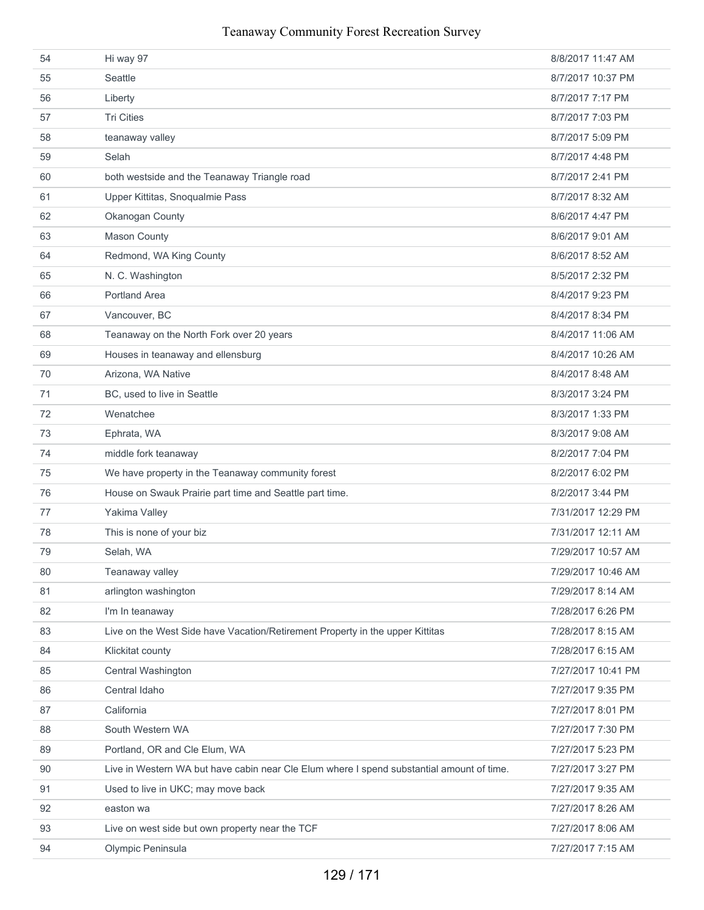| 54 | Hi way 97                                                                                 | 8/8/2017 11:47 AM  |
|----|-------------------------------------------------------------------------------------------|--------------------|
| 55 | Seattle                                                                                   | 8/7/2017 10:37 PM  |
| 56 | Liberty                                                                                   | 8/7/2017 7:17 PM   |
| 57 | <b>Tri Cities</b>                                                                         | 8/7/2017 7:03 PM   |
| 58 | teanaway valley                                                                           | 8/7/2017 5:09 PM   |
| 59 | Selah                                                                                     | 8/7/2017 4:48 PM   |
| 60 | both westside and the Teanaway Triangle road                                              | 8/7/2017 2:41 PM   |
| 61 | Upper Kittitas, Snoqualmie Pass                                                           | 8/7/2017 8:32 AM   |
| 62 | Okanogan County                                                                           | 8/6/2017 4:47 PM   |
| 63 | Mason County                                                                              | 8/6/2017 9:01 AM   |
| 64 | Redmond, WA King County                                                                   | 8/6/2017 8:52 AM   |
| 65 | N. C. Washington                                                                          | 8/5/2017 2:32 PM   |
| 66 | <b>Portland Area</b>                                                                      | 8/4/2017 9:23 PM   |
| 67 | Vancouver, BC                                                                             | 8/4/2017 8:34 PM   |
| 68 | Teanaway on the North Fork over 20 years                                                  | 8/4/2017 11:06 AM  |
| 69 | Houses in teanaway and ellensburg                                                         | 8/4/2017 10:26 AM  |
| 70 | Arizona, WA Native                                                                        | 8/4/2017 8:48 AM   |
| 71 | BC, used to live in Seattle                                                               | 8/3/2017 3:24 PM   |
| 72 | Wenatchee                                                                                 | 8/3/2017 1:33 PM   |
| 73 | Ephrata, WA                                                                               | 8/3/2017 9:08 AM   |
| 74 | middle fork teanaway                                                                      | 8/2/2017 7:04 PM   |
| 75 | We have property in the Teanaway community forest                                         | 8/2/2017 6:02 PM   |
| 76 | House on Swauk Prairie part time and Seattle part time.                                   | 8/2/2017 3:44 PM   |
| 77 | Yakima Valley                                                                             | 7/31/2017 12:29 PM |
| 78 | This is none of your biz                                                                  | 7/31/2017 12:11 AM |
| 79 | Selah, WA                                                                                 | 7/29/2017 10:57 AM |
| 80 | Teanaway valley                                                                           | 7/29/2017 10:46 AM |
| 81 | arlington washington                                                                      | 7/29/2017 8:14 AM  |
| 82 | I'm In teanaway                                                                           | 7/28/2017 6:26 PM  |
| 83 | Live on the West Side have Vacation/Retirement Property in the upper Kittitas             | 7/28/2017 8:15 AM  |
| 84 | Klickitat county                                                                          | 7/28/2017 6:15 AM  |
| 85 | Central Washington                                                                        | 7/27/2017 10:41 PM |
| 86 | Central Idaho                                                                             | 7/27/2017 9:35 PM  |
| 87 | California                                                                                | 7/27/2017 8:01 PM  |
| 88 | South Western WA                                                                          | 7/27/2017 7:30 PM  |
| 89 | Portland, OR and Cle Elum, WA                                                             | 7/27/2017 5:23 PM  |
| 90 | Live in Western WA but have cabin near Cle Elum where I spend substantial amount of time. | 7/27/2017 3:27 PM  |
| 91 | Used to live in UKC; may move back                                                        | 7/27/2017 9:35 AM  |
| 92 | easton wa                                                                                 | 7/27/2017 8:26 AM  |
| 93 | Live on west side but own property near the TCF                                           | 7/27/2017 8:06 AM  |
| 94 | Olympic Peninsula                                                                         | 7/27/2017 7:15 AM  |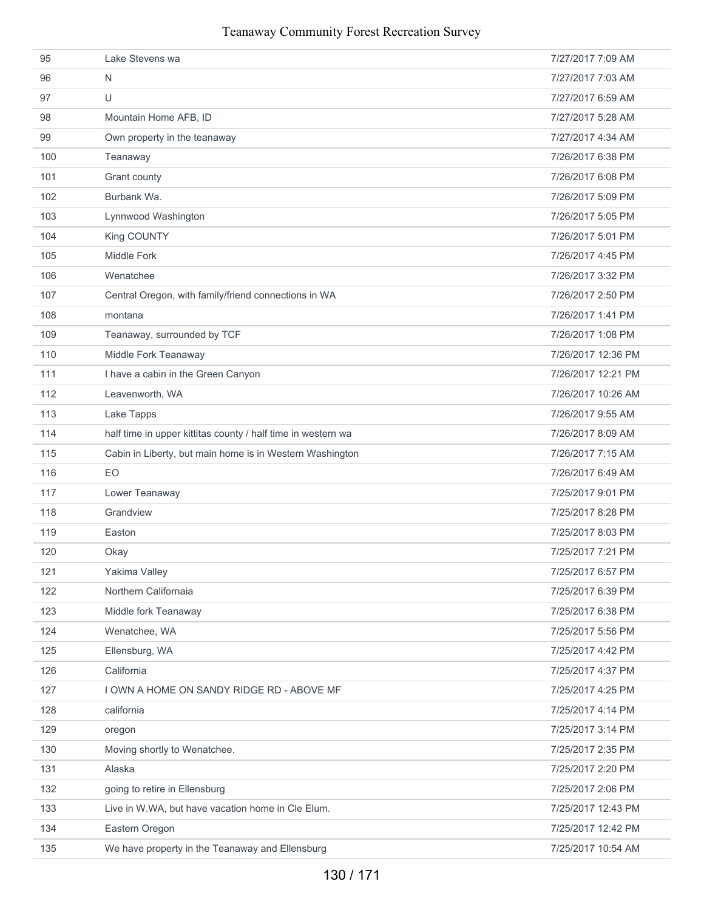| 95  | Lake Stevens wa                                              | 7/27/2017 7:09 AM  |
|-----|--------------------------------------------------------------|--------------------|
| 96  | N                                                            | 7/27/2017 7:03 AM  |
| 97  | U                                                            | 7/27/2017 6:59 AM  |
| 98  | Mountain Home AFB, ID                                        | 7/27/2017 5:28 AM  |
| 99  | Own property in the teanaway                                 | 7/27/2017 4:34 AM  |
| 100 | Teanaway                                                     | 7/26/2017 6:38 PM  |
| 101 | Grant county                                                 | 7/26/2017 6:08 PM  |
| 102 | Burbank Wa.                                                  | 7/26/2017 5:09 PM  |
| 103 | Lynnwood Washington                                          | 7/26/2017 5:05 PM  |
| 104 | King COUNTY                                                  | 7/26/2017 5:01 PM  |
| 105 | Middle Fork                                                  | 7/26/2017 4:45 PM  |
| 106 | Wenatchee                                                    | 7/26/2017 3:32 PM  |
| 107 | Central Oregon, with family/friend connections in WA         | 7/26/2017 2:50 PM  |
| 108 | montana                                                      | 7/26/2017 1:41 PM  |
| 109 | Teanaway, surrounded by TCF                                  | 7/26/2017 1:08 PM  |
| 110 | Middle Fork Teanaway                                         | 7/26/2017 12:36 PM |
| 111 | I have a cabin in the Green Canyon                           | 7/26/2017 12:21 PM |
| 112 | Leavenworth, WA                                              | 7/26/2017 10:26 AM |
| 113 | Lake Tapps                                                   | 7/26/2017 9:55 AM  |
| 114 | half time in upper kittitas county / half time in western wa | 7/26/2017 8:09 AM  |
| 115 | Cabin in Liberty, but main home is in Western Washington     | 7/26/2017 7:15 AM  |
| 116 | EO                                                           | 7/26/2017 6:49 AM  |
| 117 | Lower Teanaway                                               | 7/25/2017 9:01 PM  |
| 118 | Grandview                                                    | 7/25/2017 8:28 PM  |
| 119 | Easton                                                       | 7/25/2017 8:03 PM  |
| 120 | Okay                                                         | 7/25/2017 7:21 PM  |
| 121 | Yakima Valley                                                | 7/25/2017 6:57 PM  |
| 122 | Northern Californaia                                         | 7/25/2017 6:39 PM  |
| 123 | Middle fork Teanaway                                         | 7/25/2017 6:38 PM  |
| 124 | Wenatchee, WA                                                | 7/25/2017 5:56 PM  |
| 125 | Ellensburg, WA                                               | 7/25/2017 4:42 PM  |
| 126 | California                                                   | 7/25/2017 4:37 PM  |
| 127 | I OWN A HOME ON SANDY RIDGE RD - ABOVE MF                    | 7/25/2017 4:25 PM  |
| 128 | california                                                   | 7/25/2017 4:14 PM  |
| 129 | oregon                                                       | 7/25/2017 3:14 PM  |
| 130 | Moving shortly to Wenatchee.                                 | 7/25/2017 2:35 PM  |
| 131 | Alaska                                                       | 7/25/2017 2:20 PM  |
| 132 | going to retire in Ellensburg                                | 7/25/2017 2:06 PM  |
| 133 | Live in W.WA, but have vacation home in Cle Elum.            | 7/25/2017 12:43 PM |
| 134 | Eastern Oregon                                               | 7/25/2017 12:42 PM |
| 135 | We have property in the Teanaway and Ellensburg              | 7/25/2017 10:54 AM |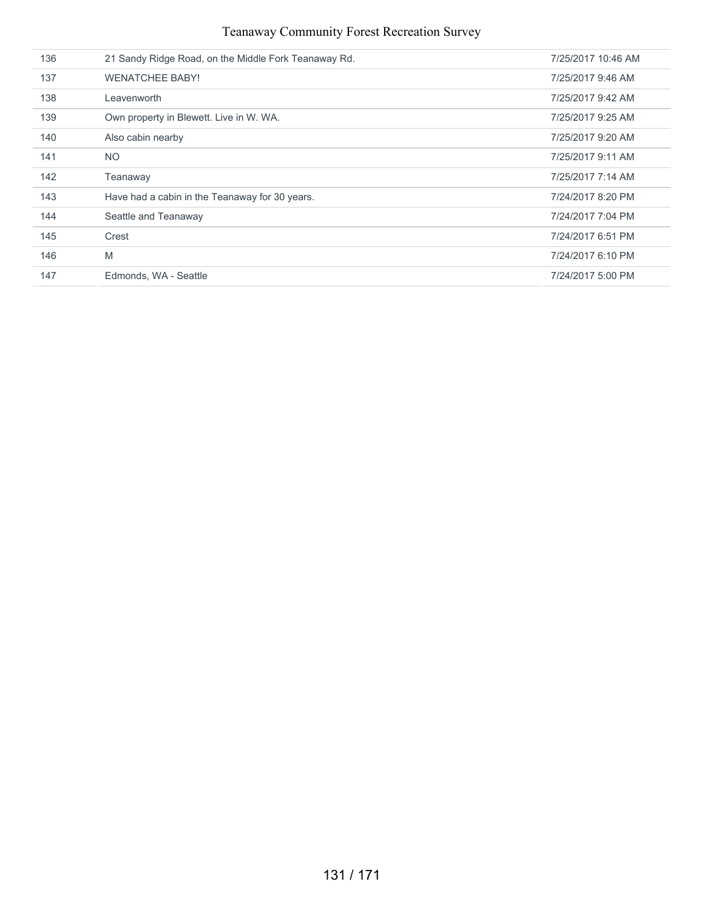| 136 | 21 Sandy Ridge Road, on the Middle Fork Teanaway Rd. | 7/25/2017 10:46 AM |
|-----|------------------------------------------------------|--------------------|
| 137 | <b>WENATCHEE BABY!</b>                               | 7/25/2017 9:46 AM  |
| 138 | Leavenworth                                          | 7/25/2017 9:42 AM  |
| 139 | Own property in Blewett. Live in W. WA.              | 7/25/2017 9:25 AM  |
| 140 | Also cabin nearby                                    | 7/25/2017 9:20 AM  |
| 141 | <b>NO</b>                                            | 7/25/2017 9:11 AM  |
| 142 | Teanaway                                             | 7/25/2017 7:14 AM  |
| 143 | Have had a cabin in the Teanaway for 30 years.       | 7/24/2017 8:20 PM  |
| 144 | Seattle and Teanaway                                 | 7/24/2017 7:04 PM  |
| 145 | Crest                                                | 7/24/2017 6:51 PM  |
| 146 | M                                                    | 7/24/2017 6:10 PM  |
| 147 | Edmonds, WA - Seattle                                | 7/24/2017 5:00 PM  |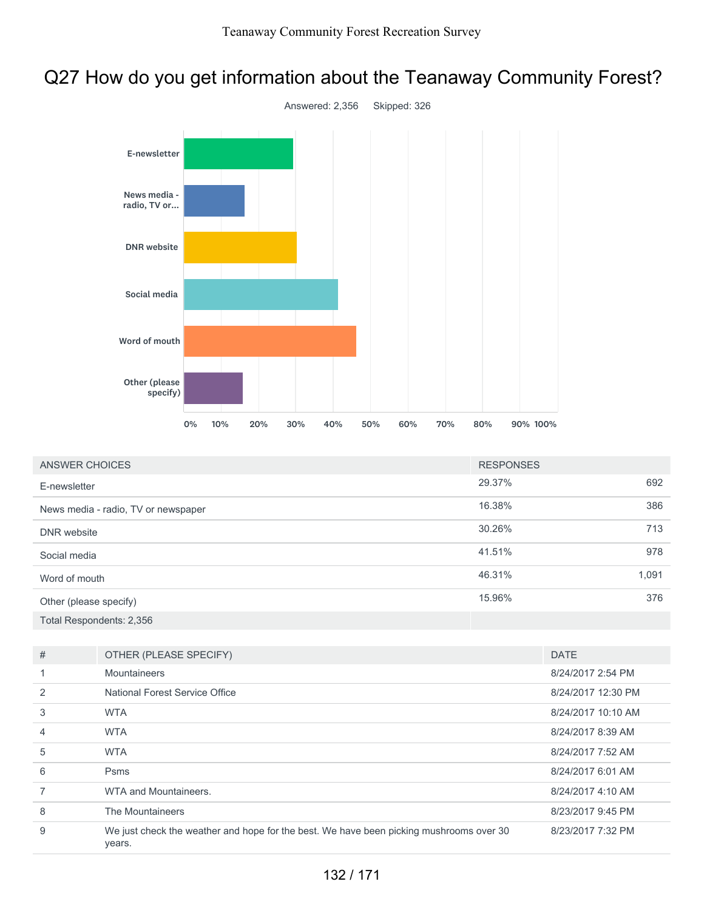## Q27 How do you get information about the Teanaway Community Forest?



| ANSWER CHOICES                      | <b>RESPONSES</b> |       |
|-------------------------------------|------------------|-------|
| E-newsletter                        | 29.37%           | 692   |
| News media - radio, TV or newspaper | 16.38%           | 386   |
| DNR website                         | 30.26%           | 713   |
| Social media                        | 41.51%           | 978   |
| Word of mouth                       | 46.31%           | 1,091 |
| Other (please specify)              | 15.96%           | 376   |
| Total Respondents: 2,356            |                  |       |

| #              | OTHER (PLEASE SPECIFY)                                                                            | <b>DATE</b>        |
|----------------|---------------------------------------------------------------------------------------------------|--------------------|
|                | Mountaineers                                                                                      | 8/24/2017 2:54 PM  |
| 2              | National Forest Service Office                                                                    | 8/24/2017 12:30 PM |
| 3              | <b>WTA</b>                                                                                        | 8/24/2017 10:10 AM |
| $\overline{4}$ | <b>WTA</b>                                                                                        | 8/24/2017 8:39 AM  |
| 5              | <b>WTA</b>                                                                                        | 8/24/2017 7:52 AM  |
| 6              | <b>Psms</b>                                                                                       | 8/24/2017 6:01 AM  |
|                | WTA and Mountaineers.                                                                             | 8/24/2017 4:10 AM  |
| 8              | The Mountaineers                                                                                  | 8/23/2017 9:45 PM  |
| 9              | We just check the weather and hope for the best. We have been picking mushrooms over 30<br>years. | 8/23/2017 7:32 PM  |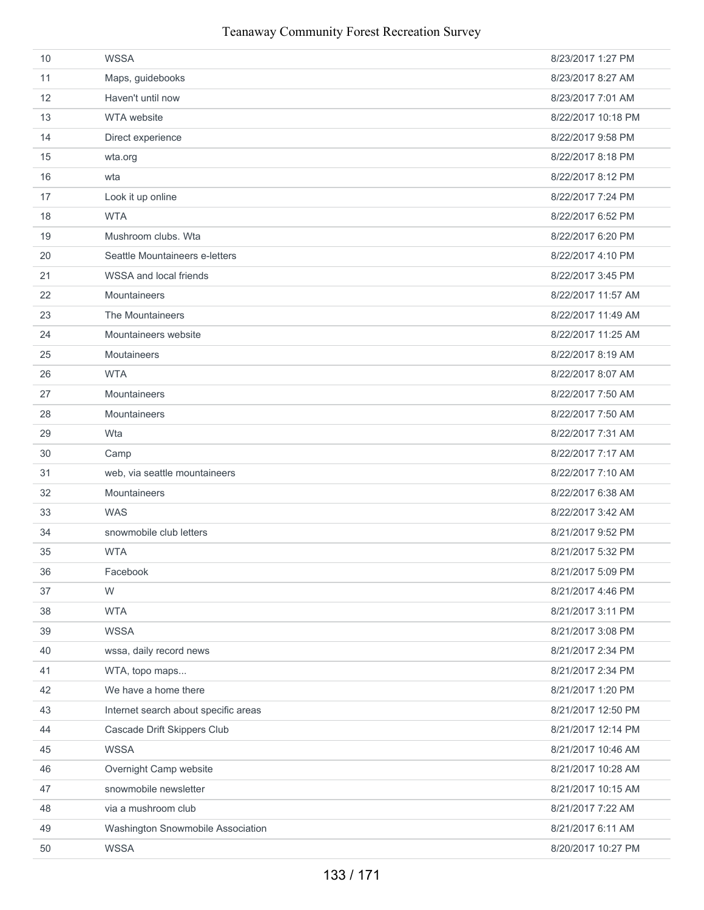| 10 | <b>WSSA</b>                          | 8/23/2017 1:27 PM  |
|----|--------------------------------------|--------------------|
| 11 | Maps, guidebooks                     | 8/23/2017 8:27 AM  |
| 12 | Haven't until now                    | 8/23/2017 7:01 AM  |
| 13 | WTA website                          | 8/22/2017 10:18 PM |
| 14 | Direct experience                    | 8/22/2017 9:58 PM  |
| 15 | wta.org                              | 8/22/2017 8:18 PM  |
| 16 | wta                                  | 8/22/2017 8:12 PM  |
| 17 | Look it up online                    | 8/22/2017 7:24 PM  |
| 18 | <b>WTA</b>                           | 8/22/2017 6:52 PM  |
| 19 | Mushroom clubs. Wta                  | 8/22/2017 6:20 PM  |
| 20 | Seattle Mountaineers e-letters       | 8/22/2017 4:10 PM  |
| 21 | WSSA and local friends               | 8/22/2017 3:45 PM  |
| 22 | Mountaineers                         | 8/22/2017 11:57 AM |
| 23 | The Mountaineers                     | 8/22/2017 11:49 AM |
| 24 | Mountaineers website                 | 8/22/2017 11:25 AM |
| 25 | <b>Moutaineers</b>                   | 8/22/2017 8:19 AM  |
| 26 | <b>WTA</b>                           | 8/22/2017 8:07 AM  |
| 27 | Mountaineers                         | 8/22/2017 7:50 AM  |
| 28 | Mountaineers                         | 8/22/2017 7:50 AM  |
| 29 | Wta                                  | 8/22/2017 7:31 AM  |
| 30 | Camp                                 | 8/22/2017 7:17 AM  |
| 31 | web, via seattle mountaineers        | 8/22/2017 7:10 AM  |
| 32 | Mountaineers                         | 8/22/2017 6:38 AM  |
| 33 | <b>WAS</b>                           | 8/22/2017 3:42 AM  |
| 34 | snowmobile club letters              | 8/21/2017 9:52 PM  |
| 35 | <b>WTA</b>                           | 8/21/2017 5:32 PM  |
| 36 | Facebook                             | 8/21/2017 5:09 PM  |
| 37 | W                                    | 8/21/2017 4:46 PM  |
| 38 | <b>WTA</b>                           | 8/21/2017 3:11 PM  |
| 39 | <b>WSSA</b>                          | 8/21/2017 3:08 PM  |
| 40 | wssa, daily record news              | 8/21/2017 2:34 PM  |
| 41 | WTA, topo maps                       | 8/21/2017 2:34 PM  |
| 42 | We have a home there                 | 8/21/2017 1:20 PM  |
| 43 | Internet search about specific areas | 8/21/2017 12:50 PM |
| 44 | Cascade Drift Skippers Club          | 8/21/2017 12:14 PM |
| 45 | <b>WSSA</b>                          | 8/21/2017 10:46 AM |
| 46 | Overnight Camp website               | 8/21/2017 10:28 AM |
| 47 | snowmobile newsletter                | 8/21/2017 10:15 AM |
| 48 | via a mushroom club                  | 8/21/2017 7:22 AM  |
| 49 | Washington Snowmobile Association    | 8/21/2017 6:11 AM  |
| 50 | <b>WSSA</b>                          | 8/20/2017 10:27 PM |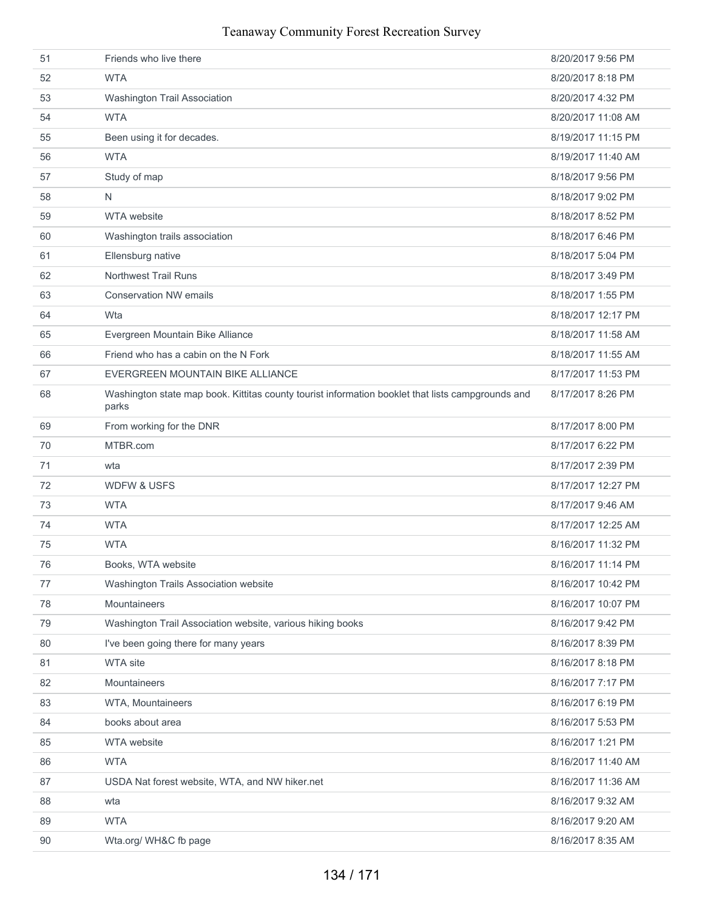| 51 | Friends who live there                                                                                     | 8/20/2017 9:56 PM  |
|----|------------------------------------------------------------------------------------------------------------|--------------------|
| 52 | <b>WTA</b>                                                                                                 | 8/20/2017 8:18 PM  |
| 53 | Washington Trail Association                                                                               | 8/20/2017 4:32 PM  |
| 54 | <b>WTA</b>                                                                                                 | 8/20/2017 11:08 AM |
| 55 | Been using it for decades.                                                                                 | 8/19/2017 11:15 PM |
| 56 | <b>WTA</b>                                                                                                 | 8/19/2017 11:40 AM |
| 57 | Study of map                                                                                               | 8/18/2017 9:56 PM  |
| 58 | N                                                                                                          | 8/18/2017 9:02 PM  |
| 59 | <b>WTA</b> website                                                                                         | 8/18/2017 8:52 PM  |
| 60 | Washington trails association                                                                              | 8/18/2017 6:46 PM  |
| 61 | Ellensburg native                                                                                          | 8/18/2017 5:04 PM  |
| 62 | <b>Northwest Trail Runs</b>                                                                                | 8/18/2017 3:49 PM  |
| 63 | <b>Conservation NW emails</b>                                                                              | 8/18/2017 1:55 PM  |
| 64 | Wta                                                                                                        | 8/18/2017 12:17 PM |
| 65 | Evergreen Mountain Bike Alliance                                                                           | 8/18/2017 11:58 AM |
| 66 | Friend who has a cabin on the N Fork                                                                       | 8/18/2017 11:55 AM |
| 67 | EVERGREEN MOUNTAIN BIKE ALLIANCE                                                                           | 8/17/2017 11:53 PM |
| 68 | Washington state map book. Kittitas county tourist information booklet that lists campgrounds and<br>parks | 8/17/2017 8:26 PM  |
| 69 | From working for the DNR                                                                                   | 8/17/2017 8:00 PM  |
| 70 | MTBR.com                                                                                                   | 8/17/2017 6:22 PM  |
| 71 | wta                                                                                                        | 8/17/2017 2:39 PM  |
| 72 | <b>WDFW &amp; USFS</b>                                                                                     | 8/17/2017 12:27 PM |
| 73 | <b>WTA</b>                                                                                                 | 8/17/2017 9:46 AM  |
| 74 | <b>WTA</b>                                                                                                 | 8/17/2017 12:25 AM |
| 75 | <b>WTA</b>                                                                                                 | 8/16/2017 11:32 PM |
| 76 | Books, WTA website                                                                                         | 8/16/2017 11:14 PM |
| 77 | Washington Trails Association website                                                                      | 8/16/2017 10:42 PM |
| 78 | Mountaineers                                                                                               | 8/16/2017 10:07 PM |
| 79 | Washington Trail Association website, various hiking books                                                 | 8/16/2017 9:42 PM  |
| 80 | I've been going there for many years                                                                       | 8/16/2017 8:39 PM  |
| 81 | <b>WTA site</b>                                                                                            | 8/16/2017 8:18 PM  |
| 82 | Mountaineers                                                                                               | 8/16/2017 7:17 PM  |
| 83 | WTA, Mountaineers                                                                                          | 8/16/2017 6:19 PM  |
| 84 | books about area                                                                                           | 8/16/2017 5:53 PM  |
| 85 | WTA website                                                                                                | 8/16/2017 1:21 PM  |
| 86 | <b>WTA</b>                                                                                                 | 8/16/2017 11:40 AM |
| 87 | USDA Nat forest website, WTA, and NW hiker.net                                                             | 8/16/2017 11:36 AM |
| 88 | wta                                                                                                        | 8/16/2017 9:32 AM  |
| 89 | <b>WTA</b>                                                                                                 | 8/16/2017 9:20 AM  |
| 90 | Wta.org/ WH&C fb page                                                                                      | 8/16/2017 8:35 AM  |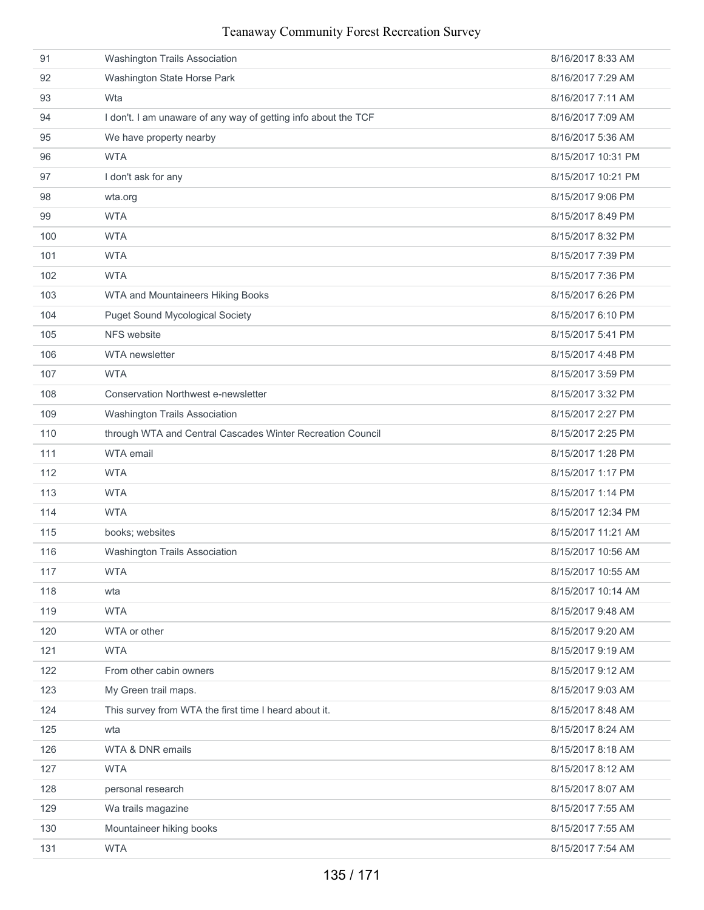| 91  | <b>Washington Trails Association</b>                           | 8/16/2017 8:33 AM  |
|-----|----------------------------------------------------------------|--------------------|
| 92  | Washington State Horse Park                                    | 8/16/2017 7:29 AM  |
| 93  | Wta                                                            | 8/16/2017 7:11 AM  |
| 94  | I don't. I am unaware of any way of getting info about the TCF | 8/16/2017 7:09 AM  |
| 95  | We have property nearby                                        | 8/16/2017 5:36 AM  |
| 96  | <b>WTA</b>                                                     | 8/15/2017 10:31 PM |
| 97  | I don't ask for any                                            | 8/15/2017 10:21 PM |
| 98  | wta.org                                                        | 8/15/2017 9:06 PM  |
| 99  | <b>WTA</b>                                                     | 8/15/2017 8:49 PM  |
| 100 | <b>WTA</b>                                                     | 8/15/2017 8:32 PM  |
| 101 | <b>WTA</b>                                                     | 8/15/2017 7:39 PM  |
| 102 | <b>WTA</b>                                                     | 8/15/2017 7:36 PM  |
| 103 | WTA and Mountaineers Hiking Books                              | 8/15/2017 6:26 PM  |
| 104 | <b>Puget Sound Mycological Society</b>                         | 8/15/2017 6:10 PM  |
| 105 | NFS website                                                    | 8/15/2017 5:41 PM  |
| 106 | <b>WTA</b> newsletter                                          | 8/15/2017 4:48 PM  |
| 107 | <b>WTA</b>                                                     | 8/15/2017 3:59 PM  |
| 108 | <b>Conservation Northwest e-newsletter</b>                     | 8/15/2017 3:32 PM  |
| 109 | Washington Trails Association                                  | 8/15/2017 2:27 PM  |
| 110 | through WTA and Central Cascades Winter Recreation Council     | 8/15/2017 2:25 PM  |
| 111 | <b>WTA</b> email                                               | 8/15/2017 1:28 PM  |
| 112 | <b>WTA</b>                                                     | 8/15/2017 1:17 PM  |
| 113 | <b>WTA</b>                                                     | 8/15/2017 1:14 PM  |
| 114 | <b>WTA</b>                                                     | 8/15/2017 12:34 PM |
| 115 | books; websites                                                | 8/15/2017 11:21 AM |
| 116 | Washington Trails Association                                  | 8/15/2017 10:56 AM |
| 117 | <b>WTA</b>                                                     | 8/15/2017 10:55 AM |
| 118 | wta                                                            | 8/15/2017 10:14 AM |
| 119 | <b>WTA</b>                                                     | 8/15/2017 9:48 AM  |
| 120 | WTA or other                                                   | 8/15/2017 9:20 AM  |
| 121 | <b>WTA</b>                                                     | 8/15/2017 9:19 AM  |
| 122 | From other cabin owners                                        | 8/15/2017 9:12 AM  |
| 123 | My Green trail maps.                                           | 8/15/2017 9:03 AM  |
| 124 | This survey from WTA the first time I heard about it.          | 8/15/2017 8:48 AM  |
| 125 | wta                                                            | 8/15/2017 8:24 AM  |
| 126 | WTA & DNR emails                                               | 8/15/2017 8:18 AM  |
| 127 | <b>WTA</b>                                                     | 8/15/2017 8:12 AM  |
| 128 | personal research                                              | 8/15/2017 8:07 AM  |
| 129 | Wa trails magazine                                             | 8/15/2017 7:55 AM  |
| 130 | Mountaineer hiking books                                       | 8/15/2017 7:55 AM  |
| 131 | <b>WTA</b>                                                     | 8/15/2017 7:54 AM  |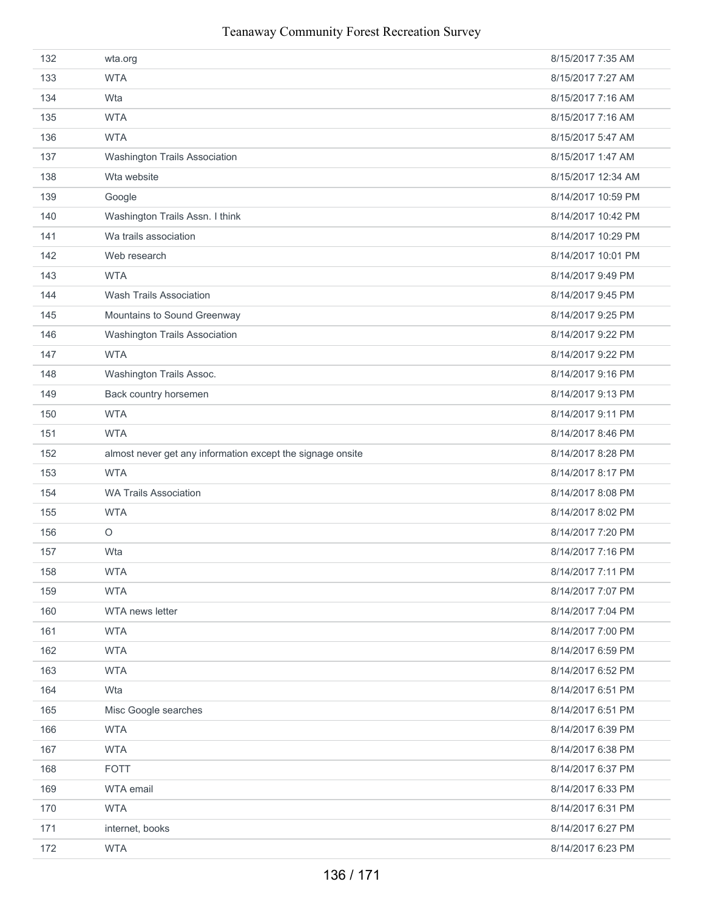| 132 | wta.org                                                    | 8/15/2017 7:35 AM  |
|-----|------------------------------------------------------------|--------------------|
| 133 | <b>WTA</b>                                                 | 8/15/2017 7:27 AM  |
| 134 | Wta                                                        | 8/15/2017 7:16 AM  |
| 135 | <b>WTA</b>                                                 | 8/15/2017 7:16 AM  |
| 136 | <b>WTA</b>                                                 | 8/15/2017 5:47 AM  |
| 137 | Washington Trails Association                              | 8/15/2017 1:47 AM  |
| 138 | Wta website                                                | 8/15/2017 12:34 AM |
| 139 | Google                                                     | 8/14/2017 10:59 PM |
| 140 | Washington Trails Assn. I think                            | 8/14/2017 10:42 PM |
| 141 | Wa trails association                                      | 8/14/2017 10:29 PM |
| 142 | Web research                                               | 8/14/2017 10:01 PM |
| 143 | <b>WTA</b>                                                 | 8/14/2017 9:49 PM  |
| 144 | <b>Wash Trails Association</b>                             | 8/14/2017 9:45 PM  |
| 145 | Mountains to Sound Greenway                                | 8/14/2017 9:25 PM  |
| 146 | Washington Trails Association                              | 8/14/2017 9:22 PM  |
| 147 | <b>WTA</b>                                                 | 8/14/2017 9:22 PM  |
| 148 | Washington Trails Assoc.                                   | 8/14/2017 9:16 PM  |
| 149 | Back country horsemen                                      | 8/14/2017 9:13 PM  |
| 150 | <b>WTA</b>                                                 | 8/14/2017 9:11 PM  |
| 151 | <b>WTA</b>                                                 | 8/14/2017 8:46 PM  |
| 152 | almost never get any information except the signage onsite | 8/14/2017 8:28 PM  |
| 153 | <b>WTA</b>                                                 | 8/14/2017 8:17 PM  |
| 154 | <b>WA Trails Association</b>                               | 8/14/2017 8:08 PM  |
| 155 | <b>WTA</b>                                                 | 8/14/2017 8:02 PM  |
| 156 | $\circ$                                                    | 8/14/2017 7:20 PM  |
| 157 | Wta                                                        | 8/14/2017 7:16 PM  |
| 158 | <b>WTA</b>                                                 | 8/14/2017 7:11 PM  |
| 159 | <b>WTA</b>                                                 | 8/14/2017 7:07 PM  |
| 160 | WTA news letter                                            | 8/14/2017 7:04 PM  |
| 161 | <b>WTA</b>                                                 | 8/14/2017 7:00 PM  |
| 162 | <b>WTA</b>                                                 | 8/14/2017 6:59 PM  |
| 163 | <b>WTA</b>                                                 | 8/14/2017 6:52 PM  |
| 164 | Wta                                                        | 8/14/2017 6:51 PM  |
| 165 | Misc Google searches                                       | 8/14/2017 6:51 PM  |
| 166 | <b>WTA</b>                                                 | 8/14/2017 6:39 PM  |
| 167 | <b>WTA</b>                                                 | 8/14/2017 6:38 PM  |
| 168 | <b>FOTT</b>                                                | 8/14/2017 6:37 PM  |
| 169 | WTA email                                                  | 8/14/2017 6:33 PM  |
| 170 | <b>WTA</b>                                                 | 8/14/2017 6:31 PM  |
| 171 | internet, books                                            | 8/14/2017 6:27 PM  |
| 172 | <b>WTA</b>                                                 | 8/14/2017 6:23 PM  |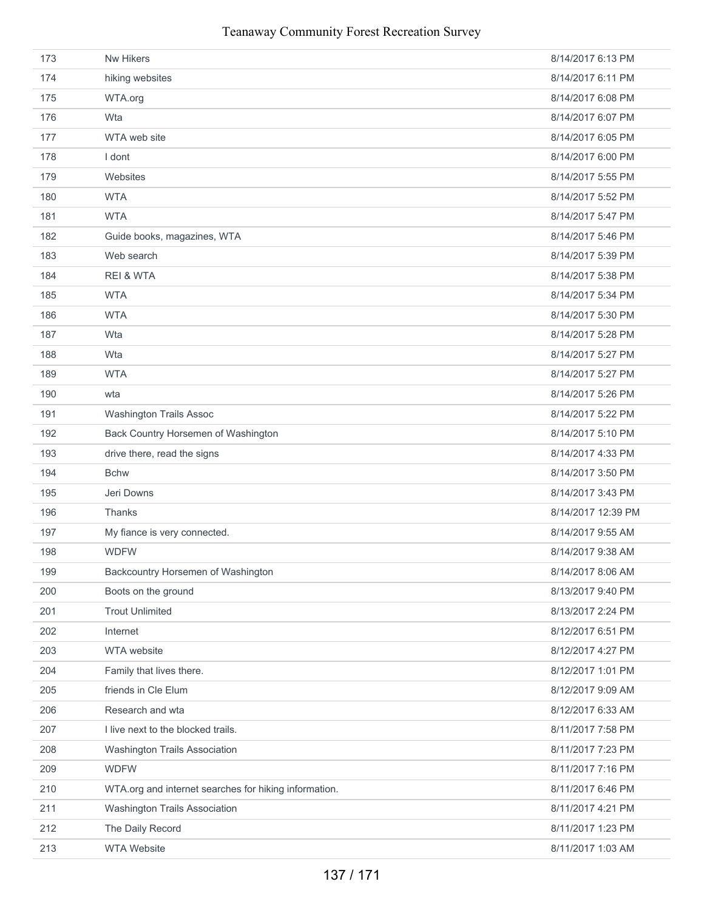| 173 | Nw Hikers                                             | 8/14/2017 6:13 PM  |
|-----|-------------------------------------------------------|--------------------|
| 174 | hiking websites                                       | 8/14/2017 6:11 PM  |
| 175 | WTA.org                                               | 8/14/2017 6:08 PM  |
| 176 | Wta                                                   | 8/14/2017 6:07 PM  |
| 177 | WTA web site                                          | 8/14/2017 6:05 PM  |
| 178 | I dont                                                | 8/14/2017 6:00 PM  |
| 179 | Websites                                              | 8/14/2017 5:55 PM  |
| 180 | <b>WTA</b>                                            | 8/14/2017 5:52 PM  |
| 181 | <b>WTA</b>                                            | 8/14/2017 5:47 PM  |
| 182 | Guide books, magazines, WTA                           | 8/14/2017 5:46 PM  |
| 183 | Web search                                            | 8/14/2017 5:39 PM  |
| 184 | <b>REI &amp; WTA</b>                                  | 8/14/2017 5:38 PM  |
| 185 | <b>WTA</b>                                            | 8/14/2017 5:34 PM  |
| 186 | <b>WTA</b>                                            | 8/14/2017 5:30 PM  |
| 187 | Wta                                                   | 8/14/2017 5:28 PM  |
| 188 | Wta                                                   | 8/14/2017 5:27 PM  |
| 189 | <b>WTA</b>                                            | 8/14/2017 5:27 PM  |
| 190 | wta                                                   | 8/14/2017 5:26 PM  |
| 191 | <b>Washington Trails Assoc</b>                        | 8/14/2017 5:22 PM  |
| 192 | Back Country Horsemen of Washington                   | 8/14/2017 5:10 PM  |
| 193 | drive there, read the signs                           | 8/14/2017 4:33 PM  |
| 194 | <b>Bchw</b>                                           | 8/14/2017 3:50 PM  |
| 195 | Jeri Downs                                            | 8/14/2017 3:43 PM  |
| 196 | Thanks                                                | 8/14/2017 12:39 PM |
| 197 | My fiance is very connected.                          | 8/14/2017 9:55 AM  |
| 198 | <b>WDFW</b>                                           | 8/14/2017 9:38 AM  |
| 199 | Backcountry Horsemen of Washington                    | 8/14/2017 8:06 AM  |
| 200 | Boots on the ground                                   | 8/13/2017 9:40 PM  |
| 201 | <b>Trout Unlimited</b>                                | 8/13/2017 2:24 PM  |
| 202 | Internet                                              | 8/12/2017 6:51 PM  |
| 203 | WTA website                                           | 8/12/2017 4:27 PM  |
| 204 | Family that lives there.                              | 8/12/2017 1:01 PM  |
| 205 | friends in Cle Elum                                   | 8/12/2017 9:09 AM  |
| 206 | Research and wta                                      | 8/12/2017 6:33 AM  |
| 207 | I live next to the blocked trails.                    | 8/11/2017 7:58 PM  |
| 208 | Washington Trails Association                         | 8/11/2017 7:23 PM  |
| 209 | <b>WDFW</b>                                           | 8/11/2017 7:16 PM  |
| 210 | WTA.org and internet searches for hiking information. | 8/11/2017 6:46 PM  |
| 211 | Washington Trails Association                         | 8/11/2017 4:21 PM  |
| 212 | The Daily Record                                      | 8/11/2017 1:23 PM  |
| 213 | <b>WTA Website</b>                                    | 8/11/2017 1:03 AM  |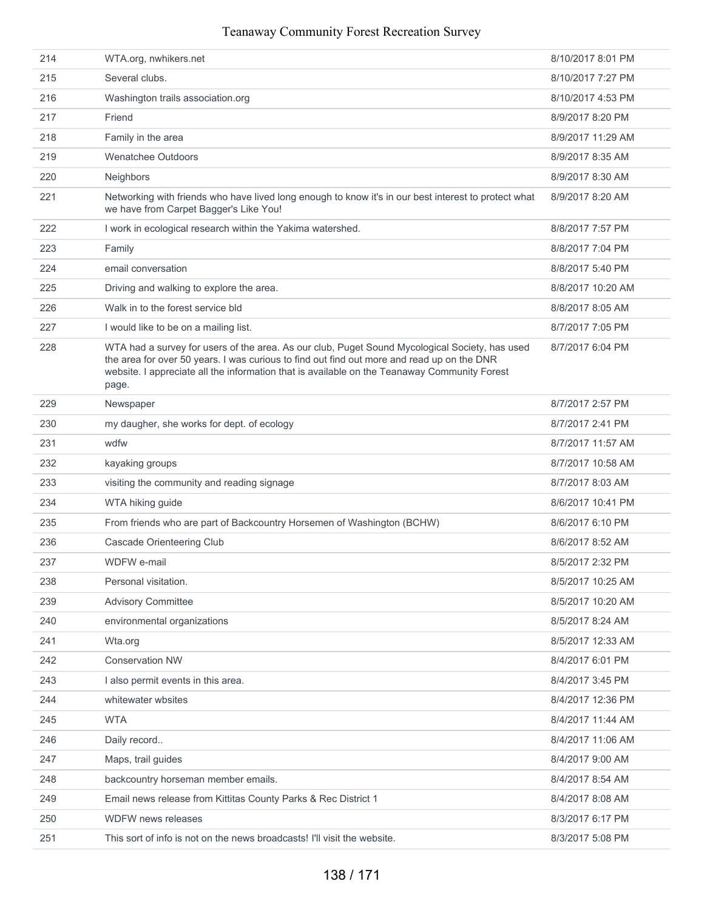| 215<br>Several clubs.<br>8/10/2017 7:27 PM<br>Washington trails association.org<br>8/10/2017 4:53 PM<br>216                                                                                                                                                                                                                      |  |
|----------------------------------------------------------------------------------------------------------------------------------------------------------------------------------------------------------------------------------------------------------------------------------------------------------------------------------|--|
|                                                                                                                                                                                                                                                                                                                                  |  |
|                                                                                                                                                                                                                                                                                                                                  |  |
| 217<br>Friend<br>8/9/2017 8:20 PM                                                                                                                                                                                                                                                                                                |  |
| Family in the area<br>218<br>8/9/2017 11:29 AM                                                                                                                                                                                                                                                                                   |  |
| 219<br><b>Wenatchee Outdoors</b><br>8/9/2017 8:35 AM                                                                                                                                                                                                                                                                             |  |
| 220<br>Neighbors<br>8/9/2017 8:30 AM                                                                                                                                                                                                                                                                                             |  |
| 221<br>Networking with friends who have lived long enough to know it's in our best interest to protect what<br>8/9/2017 8:20 AM<br>we have from Carpet Bagger's Like You!                                                                                                                                                        |  |
| 222<br>I work in ecological research within the Yakima watershed.<br>8/8/2017 7:57 PM                                                                                                                                                                                                                                            |  |
| 223<br>8/8/2017 7:04 PM<br>Family                                                                                                                                                                                                                                                                                                |  |
| email conversation<br>224<br>8/8/2017 5:40 PM                                                                                                                                                                                                                                                                                    |  |
| 225<br>Driving and walking to explore the area.<br>8/8/2017 10:20 AM                                                                                                                                                                                                                                                             |  |
| 226<br>Walk in to the forest service bld<br>8/8/2017 8:05 AM                                                                                                                                                                                                                                                                     |  |
| 227<br>8/7/2017 7:05 PM<br>I would like to be on a mailing list.                                                                                                                                                                                                                                                                 |  |
| 228<br>WTA had a survey for users of the area. As our club, Puget Sound Mycological Society, has used<br>8/7/2017 6:04 PM<br>the area for over 50 years. I was curious to find out find out more and read up on the DNR<br>website. I appreciate all the information that is available on the Teanaway Community Forest<br>page. |  |
| 229<br>8/7/2017 2:57 PM<br>Newspaper                                                                                                                                                                                                                                                                                             |  |
| 230<br>my daugher, she works for dept. of ecology<br>8/7/2017 2:41 PM                                                                                                                                                                                                                                                            |  |
| 231<br>wdfw<br>8/7/2017 11:57 AM                                                                                                                                                                                                                                                                                                 |  |
| 232<br>8/7/2017 10:58 AM<br>kayaking groups                                                                                                                                                                                                                                                                                      |  |
| 233<br>8/7/2017 8:03 AM<br>visiting the community and reading signage                                                                                                                                                                                                                                                            |  |
| 234<br>WTA hiking guide<br>8/6/2017 10:41 PM                                                                                                                                                                                                                                                                                     |  |
| 235<br>From friends who are part of Backcountry Horsemen of Washington (BCHW)<br>8/6/2017 6:10 PM                                                                                                                                                                                                                                |  |
| 236<br>Cascade Orienteering Club<br>8/6/2017 8:52 AM                                                                                                                                                                                                                                                                             |  |
| 237<br>WDFW e-mail<br>8/5/2017 2:32 PM                                                                                                                                                                                                                                                                                           |  |
| Personal visitation.<br>238<br>8/5/2017 10:25 AM                                                                                                                                                                                                                                                                                 |  |
| 239<br><b>Advisory Committee</b><br>8/5/2017 10:20 AM                                                                                                                                                                                                                                                                            |  |
| 240<br>environmental organizations<br>8/5/2017 8:24 AM                                                                                                                                                                                                                                                                           |  |
| 241<br>8/5/2017 12:33 AM<br>Wta.org                                                                                                                                                                                                                                                                                              |  |
| <b>Conservation NW</b><br>242<br>8/4/2017 6:01 PM                                                                                                                                                                                                                                                                                |  |
| 243<br>I also permit events in this area.<br>8/4/2017 3:45 PM                                                                                                                                                                                                                                                                    |  |
| 8/4/2017 12:36 PM<br>244<br>whitewater wbsites                                                                                                                                                                                                                                                                                   |  |
| <b>WTA</b><br>245<br>8/4/2017 11:44 AM                                                                                                                                                                                                                                                                                           |  |
| 246<br>Daily record<br>8/4/2017 11:06 AM                                                                                                                                                                                                                                                                                         |  |
| 247<br>Maps, trail guides<br>8/4/2017 9:00 AM                                                                                                                                                                                                                                                                                    |  |
| backcountry horseman member emails.<br>8/4/2017 8:54 AM<br>248                                                                                                                                                                                                                                                                   |  |
| 249<br>Email news release from Kittitas County Parks & Rec District 1<br>8/4/2017 8:08 AM                                                                                                                                                                                                                                        |  |
| WDFW news releases<br>250<br>8/3/2017 6:17 PM                                                                                                                                                                                                                                                                                    |  |
| 251<br>This sort of info is not on the news broadcasts! I'll visit the website.<br>8/3/2017 5:08 PM                                                                                                                                                                                                                              |  |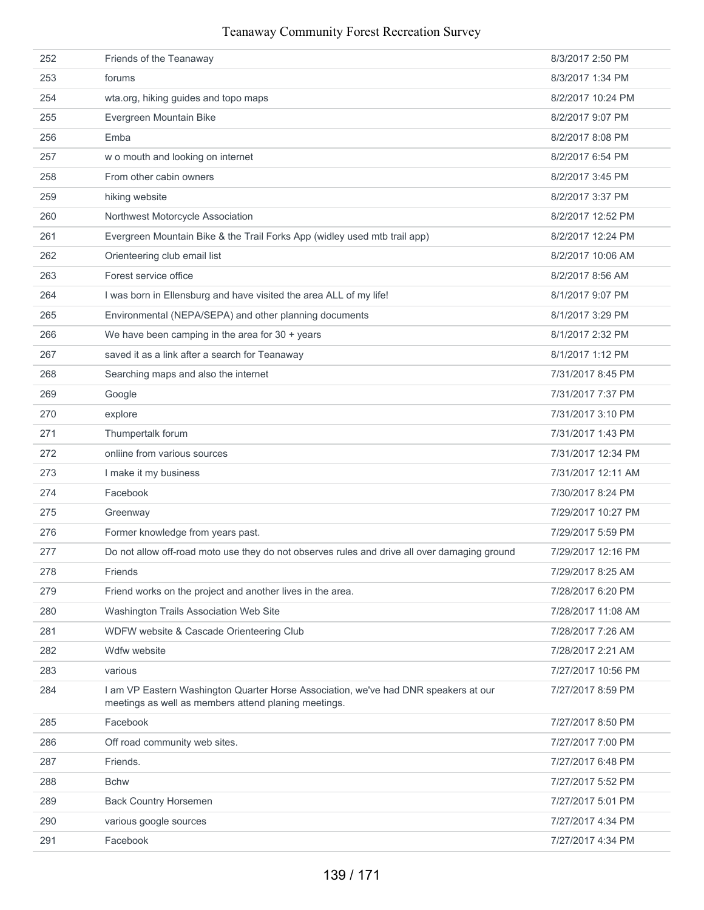| 252 | Friends of the Teanaway                                                                                                                     | 8/3/2017 2:50 PM   |
|-----|---------------------------------------------------------------------------------------------------------------------------------------------|--------------------|
| 253 | forums                                                                                                                                      | 8/3/2017 1:34 PM   |
| 254 | wta.org, hiking guides and topo maps                                                                                                        | 8/2/2017 10:24 PM  |
| 255 | Evergreen Mountain Bike                                                                                                                     | 8/2/2017 9:07 PM   |
| 256 | Emba                                                                                                                                        | 8/2/2017 8:08 PM   |
| 257 | w o mouth and looking on internet                                                                                                           | 8/2/2017 6:54 PM   |
| 258 | From other cabin owners                                                                                                                     | 8/2/2017 3:45 PM   |
| 259 | hiking website                                                                                                                              | 8/2/2017 3:37 PM   |
| 260 | Northwest Motorcycle Association                                                                                                            | 8/2/2017 12:52 PM  |
| 261 | Evergreen Mountain Bike & the Trail Forks App (widley used mtb trail app)                                                                   | 8/2/2017 12:24 PM  |
| 262 | Orienteering club email list                                                                                                                | 8/2/2017 10:06 AM  |
| 263 | Forest service office                                                                                                                       | 8/2/2017 8:56 AM   |
| 264 | I was born in Ellensburg and have visited the area ALL of my life!                                                                          | 8/1/2017 9:07 PM   |
| 265 | Environmental (NEPA/SEPA) and other planning documents                                                                                      | 8/1/2017 3:29 PM   |
| 266 | We have been camping in the area for $30 + \text{years}$                                                                                    | 8/1/2017 2:32 PM   |
| 267 | saved it as a link after a search for Teanaway                                                                                              | 8/1/2017 1:12 PM   |
| 268 | Searching maps and also the internet                                                                                                        | 7/31/2017 8:45 PM  |
| 269 | Google                                                                                                                                      | 7/31/2017 7:37 PM  |
| 270 | explore                                                                                                                                     | 7/31/2017 3:10 PM  |
| 271 | Thumpertalk forum                                                                                                                           | 7/31/2017 1:43 PM  |
| 272 | onliine from various sources                                                                                                                | 7/31/2017 12:34 PM |
| 273 | I make it my business                                                                                                                       | 7/31/2017 12:11 AM |
| 274 | Facebook                                                                                                                                    | 7/30/2017 8:24 PM  |
| 275 | Greenway                                                                                                                                    | 7/29/2017 10:27 PM |
| 276 | Former knowledge from years past.                                                                                                           | 7/29/2017 5:59 PM  |
| 277 | Do not allow off-road moto use they do not observes rules and drive all over damaging ground                                                | 7/29/2017 12:16 PM |
| 278 | Friends                                                                                                                                     | 7/29/2017 8:25 AM  |
| 279 | Friend works on the project and another lives in the area.                                                                                  | 7/28/2017 6:20 PM  |
| 280 | Washington Trails Association Web Site                                                                                                      | 7/28/2017 11:08 AM |
| 281 | WDFW website & Cascade Orienteering Club                                                                                                    | 7/28/2017 7:26 AM  |
| 282 | Wdfw website                                                                                                                                | 7/28/2017 2:21 AM  |
| 283 | various                                                                                                                                     | 7/27/2017 10:56 PM |
| 284 | I am VP Eastern Washington Quarter Horse Association, we've had DNR speakers at our<br>meetings as well as members attend planing meetings. | 7/27/2017 8:59 PM  |
| 285 | Facebook                                                                                                                                    | 7/27/2017 8:50 PM  |
| 286 | Off road community web sites.                                                                                                               | 7/27/2017 7:00 PM  |
| 287 | Friends.                                                                                                                                    | 7/27/2017 6:48 PM  |
| 288 | <b>B</b> chw                                                                                                                                | 7/27/2017 5:52 PM  |
| 289 | <b>Back Country Horsemen</b>                                                                                                                | 7/27/2017 5:01 PM  |
| 290 | various google sources                                                                                                                      | 7/27/2017 4:34 PM  |
| 291 | Facebook                                                                                                                                    | 7/27/2017 4:34 PM  |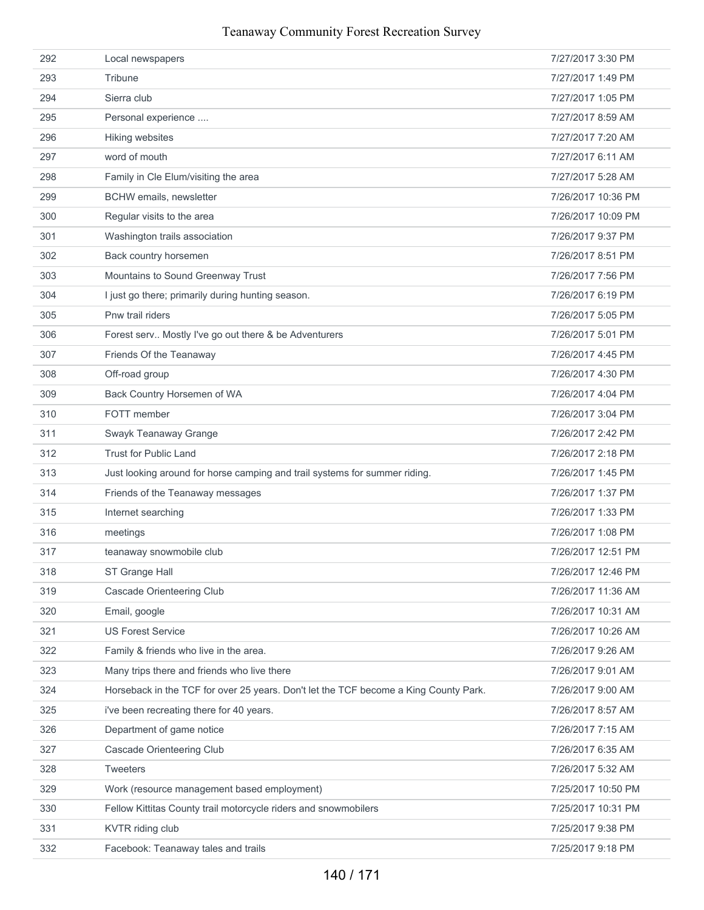| 292 | Local newspapers                                                                     | 7/27/2017 3:30 PM  |
|-----|--------------------------------------------------------------------------------------|--------------------|
| 293 | Tribune                                                                              | 7/27/2017 1:49 PM  |
| 294 | Sierra club                                                                          | 7/27/2017 1:05 PM  |
| 295 | Personal experience                                                                  | 7/27/2017 8:59 AM  |
| 296 | Hiking websites                                                                      | 7/27/2017 7:20 AM  |
| 297 | word of mouth                                                                        | 7/27/2017 6:11 AM  |
| 298 | Family in Cle Elum/visiting the area                                                 | 7/27/2017 5:28 AM  |
| 299 | BCHW emails, newsletter                                                              | 7/26/2017 10:36 PM |
| 300 | Regular visits to the area                                                           | 7/26/2017 10:09 PM |
| 301 | Washington trails association                                                        | 7/26/2017 9:37 PM  |
| 302 | Back country horsemen                                                                | 7/26/2017 8:51 PM  |
| 303 | Mountains to Sound Greenway Trust                                                    | 7/26/2017 7:56 PM  |
| 304 | I just go there; primarily during hunting season.                                    | 7/26/2017 6:19 PM  |
| 305 | Pnw trail riders                                                                     | 7/26/2017 5:05 PM  |
| 306 | Forest serv Mostly I've go out there & be Adventurers                                | 7/26/2017 5:01 PM  |
| 307 | Friends Of the Teanaway                                                              | 7/26/2017 4:45 PM  |
| 308 | Off-road group                                                                       | 7/26/2017 4:30 PM  |
| 309 | Back Country Horsemen of WA                                                          | 7/26/2017 4:04 PM  |
| 310 | FOTT member                                                                          | 7/26/2017 3:04 PM  |
| 311 | Swayk Teanaway Grange                                                                | 7/26/2017 2:42 PM  |
| 312 | <b>Trust for Public Land</b>                                                         | 7/26/2017 2:18 PM  |
| 313 | Just looking around for horse camping and trail systems for summer riding.           | 7/26/2017 1:45 PM  |
| 314 | Friends of the Teanaway messages                                                     | 7/26/2017 1:37 PM  |
| 315 | Internet searching                                                                   | 7/26/2017 1:33 PM  |
| 316 | meetings                                                                             | 7/26/2017 1:08 PM  |
| 317 | teanaway snowmobile club                                                             | 7/26/2017 12:51 PM |
| 318 | ST Grange Hall                                                                       | 7/26/2017 12:46 PM |
| 319 | Cascade Orienteering Club                                                            | 7/26/2017 11:36 AM |
| 320 | Email, google                                                                        | 7/26/2017 10:31 AM |
| 321 | <b>US Forest Service</b>                                                             | 7/26/2017 10:26 AM |
| 322 | Family & friends who live in the area.                                               | 7/26/2017 9:26 AM  |
| 323 | Many trips there and friends who live there                                          | 7/26/2017 9:01 AM  |
| 324 | Horseback in the TCF for over 25 years. Don't let the TCF become a King County Park. | 7/26/2017 9:00 AM  |
| 325 | i've been recreating there for 40 years.                                             | 7/26/2017 8:57 AM  |
| 326 | Department of game notice                                                            | 7/26/2017 7:15 AM  |
| 327 | Cascade Orienteering Club                                                            | 7/26/2017 6:35 AM  |
| 328 | <b>Tweeters</b>                                                                      | 7/26/2017 5:32 AM  |
| 329 | Work (resource management based employment)                                          | 7/25/2017 10:50 PM |
| 330 | Fellow Kittitas County trail motorcycle riders and snowmobilers                      | 7/25/2017 10:31 PM |
| 331 | KVTR riding club                                                                     | 7/25/2017 9:38 PM  |
| 332 | Facebook: Teanaway tales and trails                                                  | 7/25/2017 9:18 PM  |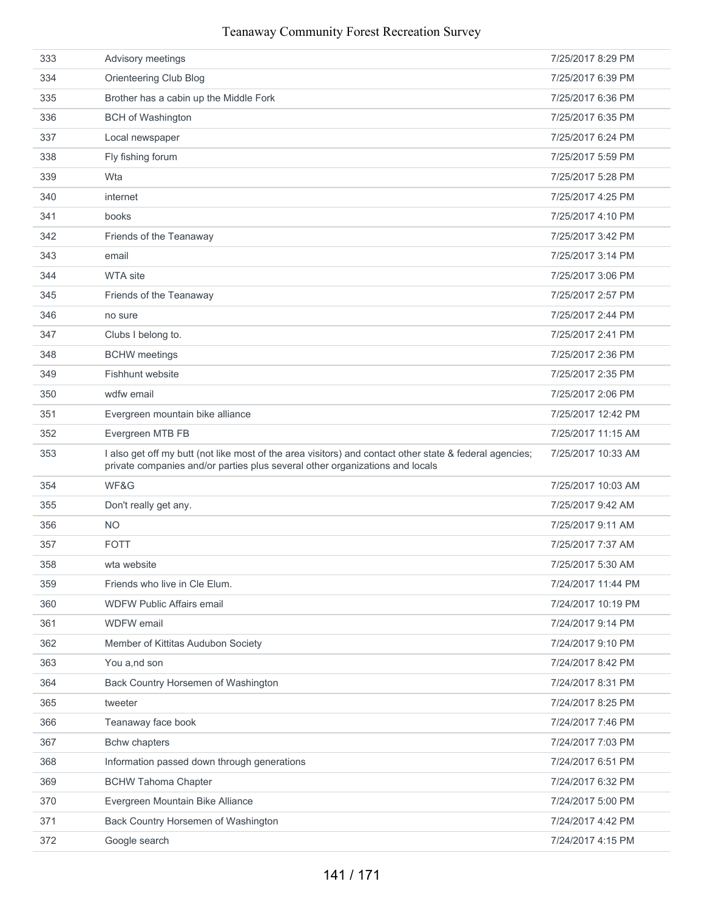| 333 | Advisory meetings                                                                                                                                                                       | 7/25/2017 8:29 PM  |
|-----|-----------------------------------------------------------------------------------------------------------------------------------------------------------------------------------------|--------------------|
| 334 | Orienteering Club Blog                                                                                                                                                                  | 7/25/2017 6:39 PM  |
| 335 | Brother has a cabin up the Middle Fork                                                                                                                                                  | 7/25/2017 6:36 PM  |
| 336 | <b>BCH of Washington</b>                                                                                                                                                                | 7/25/2017 6:35 PM  |
| 337 | Local newspaper                                                                                                                                                                         | 7/25/2017 6:24 PM  |
| 338 | Fly fishing forum                                                                                                                                                                       | 7/25/2017 5:59 PM  |
| 339 | Wta                                                                                                                                                                                     | 7/25/2017 5:28 PM  |
| 340 | internet                                                                                                                                                                                | 7/25/2017 4:25 PM  |
| 341 | books                                                                                                                                                                                   | 7/25/2017 4:10 PM  |
| 342 | Friends of the Teanaway                                                                                                                                                                 | 7/25/2017 3:42 PM  |
| 343 | email                                                                                                                                                                                   | 7/25/2017 3:14 PM  |
| 344 | <b>WTA site</b>                                                                                                                                                                         | 7/25/2017 3:06 PM  |
| 345 | Friends of the Teanaway                                                                                                                                                                 | 7/25/2017 2:57 PM  |
| 346 | no sure                                                                                                                                                                                 | 7/25/2017 2:44 PM  |
| 347 | Clubs I belong to.                                                                                                                                                                      | 7/25/2017 2:41 PM  |
| 348 | <b>BCHW</b> meetings                                                                                                                                                                    | 7/25/2017 2:36 PM  |
| 349 | Fishhunt website                                                                                                                                                                        | 7/25/2017 2:35 PM  |
| 350 | wdfw email                                                                                                                                                                              | 7/25/2017 2:06 PM  |
| 351 | Evergreen mountain bike alliance                                                                                                                                                        | 7/25/2017 12:42 PM |
| 352 | Evergreen MTB FB                                                                                                                                                                        | 7/25/2017 11:15 AM |
| 353 | I also get off my butt (not like most of the area visitors) and contact other state & federal agencies;<br>private companies and/or parties plus several other organizations and locals | 7/25/2017 10:33 AM |
| 354 | WF&G                                                                                                                                                                                    | 7/25/2017 10:03 AM |
| 355 | Don't really get any.                                                                                                                                                                   | 7/25/2017 9:42 AM  |
| 356 | <b>NO</b>                                                                                                                                                                               | 7/25/2017 9:11 AM  |
| 357 | <b>FOTT</b>                                                                                                                                                                             | 7/25/2017 7:37 AM  |
| 358 | wta website                                                                                                                                                                             | 7/25/2017 5:30 AM  |
| 359 | Friends who live in Cle Elum.                                                                                                                                                           | 7/24/2017 11:44 PM |
| 360 | <b>WDFW Public Affairs email</b>                                                                                                                                                        | 7/24/2017 10:19 PM |
| 361 | <b>WDFW</b> email                                                                                                                                                                       | 7/24/2017 9:14 PM  |
| 362 | Member of Kittitas Audubon Society                                                                                                                                                      | 7/24/2017 9:10 PM  |
| 363 | You a,nd son                                                                                                                                                                            | 7/24/2017 8:42 PM  |
| 364 | Back Country Horsemen of Washington                                                                                                                                                     | 7/24/2017 8:31 PM  |
| 365 | tweeter                                                                                                                                                                                 | 7/24/2017 8:25 PM  |
| 366 | Teanaway face book                                                                                                                                                                      | 7/24/2017 7:46 PM  |
| 367 | <b>Bchw chapters</b>                                                                                                                                                                    | 7/24/2017 7:03 PM  |
| 368 | Information passed down through generations                                                                                                                                             | 7/24/2017 6:51 PM  |
| 369 | <b>BCHW Tahoma Chapter</b>                                                                                                                                                              | 7/24/2017 6:32 PM  |
| 370 | Evergreen Mountain Bike Alliance                                                                                                                                                        | 7/24/2017 5:00 PM  |
| 371 | Back Country Horsemen of Washington                                                                                                                                                     | 7/24/2017 4:42 PM  |
| 372 | Google search                                                                                                                                                                           | 7/24/2017 4:15 PM  |
|     |                                                                                                                                                                                         |                    |